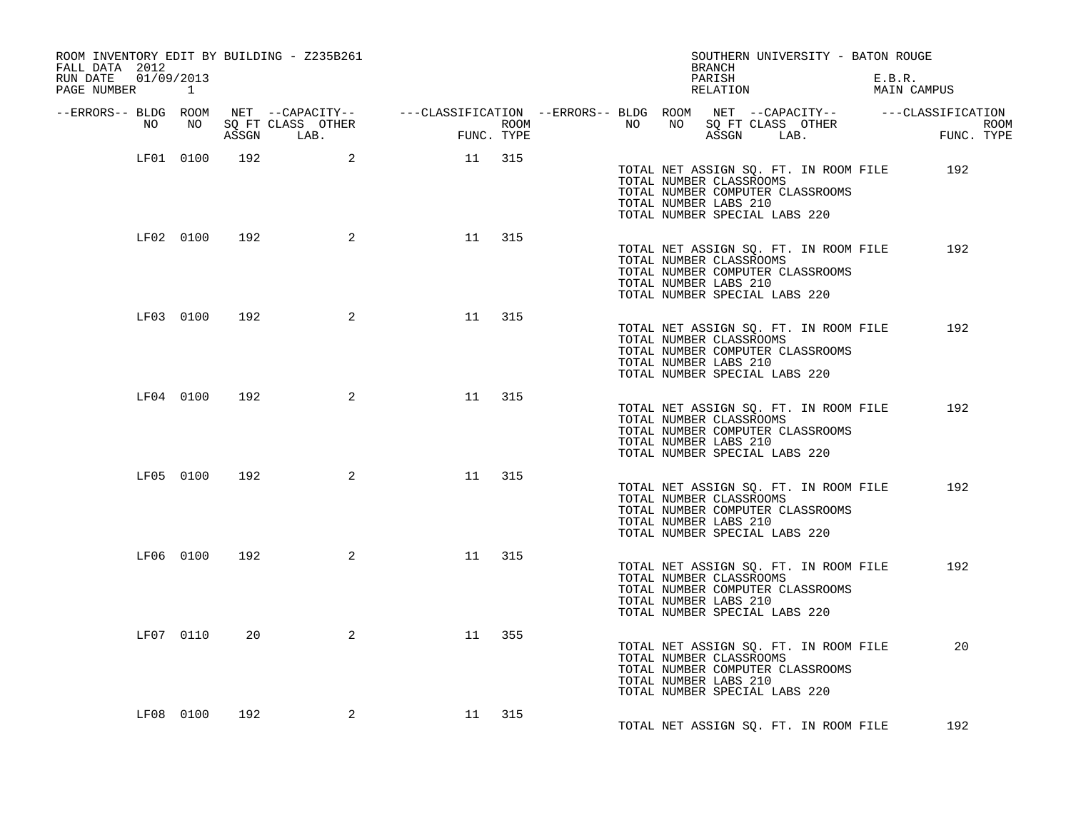| ROOM INVENTORY EDIT BY BUILDING - Z235B261<br>FALL DATA 2012 |           |               |                                 |                                                                                                |            |      |    |    | BRANCH                                                                            |            | SOUTHERN UNIVERSITY - BATON ROUGE                                         |                       |  |
|--------------------------------------------------------------|-----------|---------------|---------------------------------|------------------------------------------------------------------------------------------------|------------|------|----|----|-----------------------------------------------------------------------------------|------------|---------------------------------------------------------------------------|-----------------------|--|
| RUN DATE 01/09/2013<br>PAGE NUMBER                           | $\sim$ 1  |               |                                 |                                                                                                |            |      |    |    | PARISH<br>RELATION                                                                |            |                                                                           | E.B.R.<br>MAIN CAMPUS |  |
| --ERRORS-- BLDG ROOM                                         |           |               |                                 | NET --CAPACITY-- - ---CLASSIFICATION --ERRORS-- BLDG ROOM NET --CAPACITY-- - ---CLASSIFICATION |            |      |    |    |                                                                                   |            |                                                                           |                       |  |
| NO                                                           | NO NO     |               | SQ FT CLASS OTHER<br>ASSGN LAB. |                                                                                                | FUNC. TYPE | ROOM | NO | NO |                                                                                   | ASSGN LAB. | SQ FT CLASS OTHER                                                         | ROOM<br>FUNC. TYPE    |  |
|                                                              | LF01 0100 | 192           | 2                               | 11 315                                                                                         |            |      |    |    | TOTAL NUMBER CLASSROOMS<br>TOTAL NUMBER LABS 210<br>TOTAL NUMBER SPECIAL LABS 220 |            | TOTAL NET ASSIGN SQ. FT. IN ROOM FILE<br>TOTAL NUMBER COMPUTER CLASSROOMS | 192                   |  |
|                                                              |           | LF02 0100 192 | $\overline{\mathbf{c}}$         | 11 315                                                                                         |            |      |    |    | TOTAL NUMBER CLASSROOMS<br>TOTAL NUMBER LABS 210<br>TOTAL NUMBER SPECIAL LABS 220 |            | TOTAL NET ASSIGN SQ. FT. IN ROOM FILE<br>TOTAL NUMBER COMPUTER CLASSROOMS | 192                   |  |
|                                                              | LF03 0100 | 192           | $\overline{a}$                  | 11                                                                                             | 315        |      |    |    | TOTAL NUMBER CLASSROOMS<br>TOTAL NUMBER LABS 210<br>TOTAL NUMBER SPECIAL LABS 220 |            | TOTAL NET ASSIGN SQ. FT. IN ROOM FILE<br>TOTAL NUMBER COMPUTER CLASSROOMS | 192                   |  |
|                                                              | LF04 0100 | 192           | $\overline{\mathbf{a}}$         | 11                                                                                             | 315        |      |    |    | TOTAL NUMBER CLASSROOMS<br>TOTAL NUMBER LABS 210<br>TOTAL NUMBER SPECIAL LABS 220 |            | TOTAL NET ASSIGN SQ. FT. IN ROOM FILE<br>TOTAL NUMBER COMPUTER CLASSROOMS | 192                   |  |
|                                                              | LF05 0100 | 192           | $\overline{a}$                  | 11 315                                                                                         |            |      |    |    | TOTAL NUMBER CLASSROOMS<br>TOTAL NUMBER LABS 210<br>TOTAL NUMBER SPECIAL LABS 220 |            | TOTAL NET ASSIGN SQ. FT. IN ROOM FILE<br>TOTAL NUMBER COMPUTER CLASSROOMS | 192                   |  |
|                                                              | LF06 0100 | 192           | 2                               | 11                                                                                             | 315        |      |    |    | TOTAL NUMBER CLASSROOMS<br>TOTAL NUMBER LABS 210<br>TOTAL NUMBER SPECIAL LABS 220 |            | TOTAL NET ASSIGN SQ. FT. IN ROOM FILE<br>TOTAL NUMBER COMPUTER CLASSROOMS | 192                   |  |
|                                                              | LF07 0110 | 20            | 2                               | 11                                                                                             | 355        |      |    |    | TOTAL NUMBER CLASSROOMS<br>TOTAL NUMBER LABS 210<br>TOTAL NUMBER SPECIAL LABS 220 |            | TOTAL NET ASSIGN SQ. FT. IN ROOM FILE<br>TOTAL NUMBER COMPUTER CLASSROOMS | 20                    |  |
|                                                              | LF08 0100 | 192           | 2                               | 11 315                                                                                         |            |      |    |    |                                                                                   |            | TOTAL NET ASSIGN SQ. FT. IN ROOM FILE                                     | 192                   |  |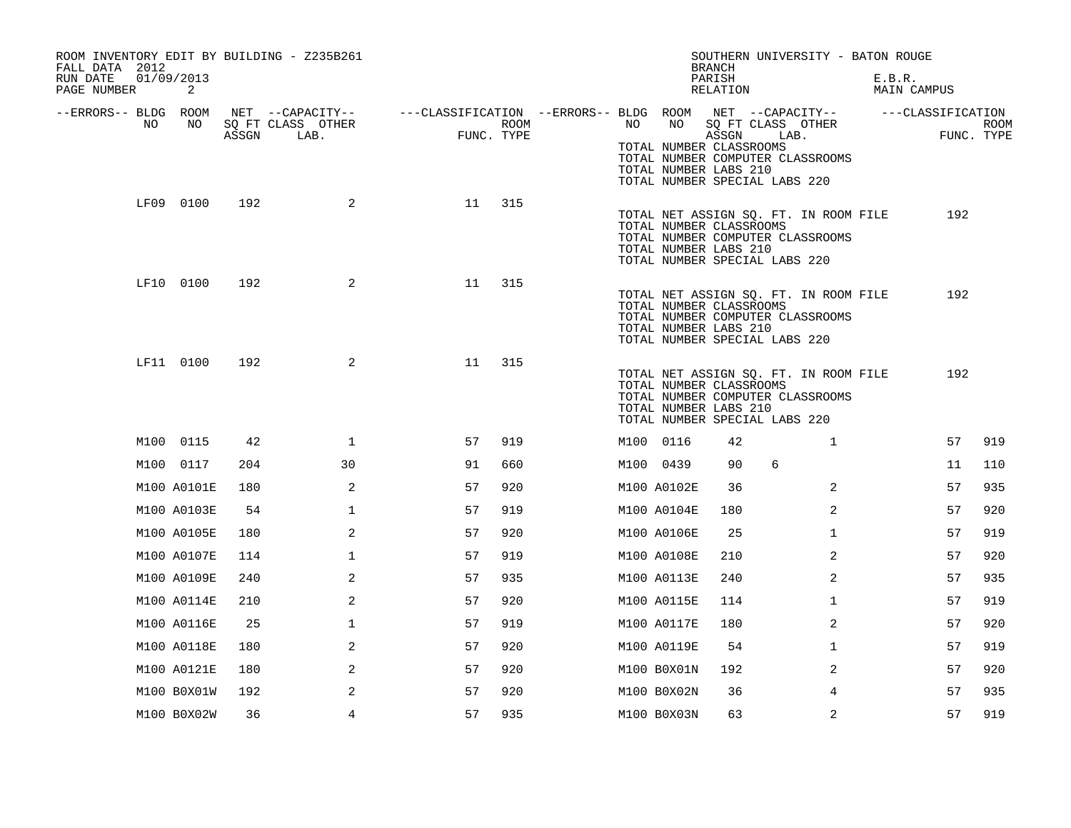| ROOM INVENTORY EDIT BY BUILDING - Z235B261<br>FALL DATA 2012 |       |                                               |                                                                                            |      |    |             | <b>BRANCH</b>                                             | SOUTHERN UNIVERSITY - BATON ROUGE                                                                          |        |             |                    |
|--------------------------------------------------------------|-------|-----------------------------------------------|--------------------------------------------------------------------------------------------|------|----|-------------|-----------------------------------------------------------|------------------------------------------------------------------------------------------------------------|--------|-------------|--------------------|
| RUN DATE<br>01/09/2013<br>PAGE NUMBER<br>2                   |       |                                               |                                                                                            |      |    |             | PARISH<br>RELATION                                        |                                                                                                            | E.B.R. | MAIN CAMPUS |                    |
| --ERRORS-- BLDG ROOM<br>NO<br>NO                             | ASSGN | NET --CAPACITY--<br>SQ FT CLASS OTHER<br>LAB. | ---CLASSIFICATION --ERRORS-- BLDG ROOM NET --CAPACITY-- ------CLASSIFICATION<br>FUNC. TYPE | ROOM | NO | NO          | ASSGN<br>TOTAL NUMBER CLASSROOMS<br>TOTAL NUMBER LABS 210 | SQ FT CLASS OTHER<br>LAB.<br>TOTAL NUMBER COMPUTER CLASSROOMS<br>TOTAL NUMBER SPECIAL LABS 220             |        |             | ROOM<br>FUNC. TYPE |
| LF09 0100                                                    | 192   | 2                                             | 11                                                                                         | 315  |    |             | TOTAL NUMBER CLASSROOMS<br>TOTAL NUMBER LABS 210          | TOTAL NET ASSIGN SQ. FT. IN ROOM FILE<br>TOTAL NUMBER COMPUTER CLASSROOMS<br>TOTAL NUMBER SPECIAL LABS 220 |        | 192         |                    |
| LF10 0100                                                    | 192   | 2                                             | 11                                                                                         | 315  |    |             | TOTAL NUMBER CLASSROOMS<br>TOTAL NUMBER LABS 210          | TOTAL NET ASSIGN SQ. FT. IN ROOM FILE<br>TOTAL NUMBER COMPUTER CLASSROOMS<br>TOTAL NUMBER SPECIAL LABS 220 |        | 192         |                    |
| LF11 0100                                                    | 192   | $\overline{a}$                                | 11                                                                                         | 315  |    |             | TOTAL NUMBER CLASSROOMS<br>TOTAL NUMBER LABS 210          | TOTAL NET ASSIGN SQ. FT. IN ROOM FILE<br>TOTAL NUMBER COMPUTER CLASSROOMS<br>TOTAL NUMBER SPECIAL LABS 220 |        | 192         |                    |
| M100 0115                                                    | 42    | $\mathbf{1}$                                  | 57                                                                                         | 919  |    | M100 0116   | 42                                                        | $\mathbf{1}$                                                                                               |        | 57          | 919                |
| M100 0117                                                    | 204   | 30                                            | 91                                                                                         | 660  |    | M100 0439   | 90                                                        | 6                                                                                                          |        | 11          | 110                |
| M100 A0101E                                                  | 180   | 2                                             | 57                                                                                         | 920  |    | M100 A0102E | 36                                                        | 2                                                                                                          |        | 57          | 935                |
| M100 A0103E                                                  | 54    | $\mathbf 1$                                   | 57                                                                                         | 919  |    | M100 A0104E | 180                                                       | $\overline{2}$                                                                                             |        | 57          | 920                |
| M100 A0105E                                                  | 180   | 2                                             | 57                                                                                         | 920  |    | M100 A0106E | 25                                                        | $\mathbf{1}$                                                                                               |        | 57          | 919                |
| M100 A0107E                                                  | 114   | $\mathbf 1$                                   | 57                                                                                         | 919  |    | M100 A0108E | 210                                                       | $\overline{2}$                                                                                             |        | 57          | 920                |
| M100 A0109E                                                  | 240   | 2                                             | 57                                                                                         | 935  |    | M100 A0113E | 240                                                       | $\overline{2}$                                                                                             |        | 57          | 935                |
| M100 A0114E                                                  | 210   | $\overline{2}$                                | 57                                                                                         | 920  |    | M100 A0115E | 114                                                       | $\mathbf{1}$                                                                                               |        | 57          | 919                |
| M100 A0116E                                                  | 25    | $\mathbf 1$                                   | 57                                                                                         | 919  |    | M100 A0117E | 180                                                       | $\overline{2}$                                                                                             |        | 57          | 920                |
| M100 A0118E                                                  | 180   | 2                                             | 57                                                                                         | 920  |    | M100 A0119E | 54                                                        | $\mathbf{1}$                                                                                               |        | 57          | 919                |
| M100 A0121E                                                  | 180   | 2                                             | 57                                                                                         | 920  |    | M100 B0X01N | 192                                                       | $\overline{2}$                                                                                             |        | 57          | 920                |
| M100 B0X01W                                                  | 192   | 2                                             | 57                                                                                         | 920  |    | M100 B0X02N | 36                                                        | 4                                                                                                          |        | 57          | 935                |
| M100 B0X02W                                                  | 36    | 4                                             | 57                                                                                         | 935  |    | M100 B0X03N | 63                                                        | 2                                                                                                          |        | 57          | 919                |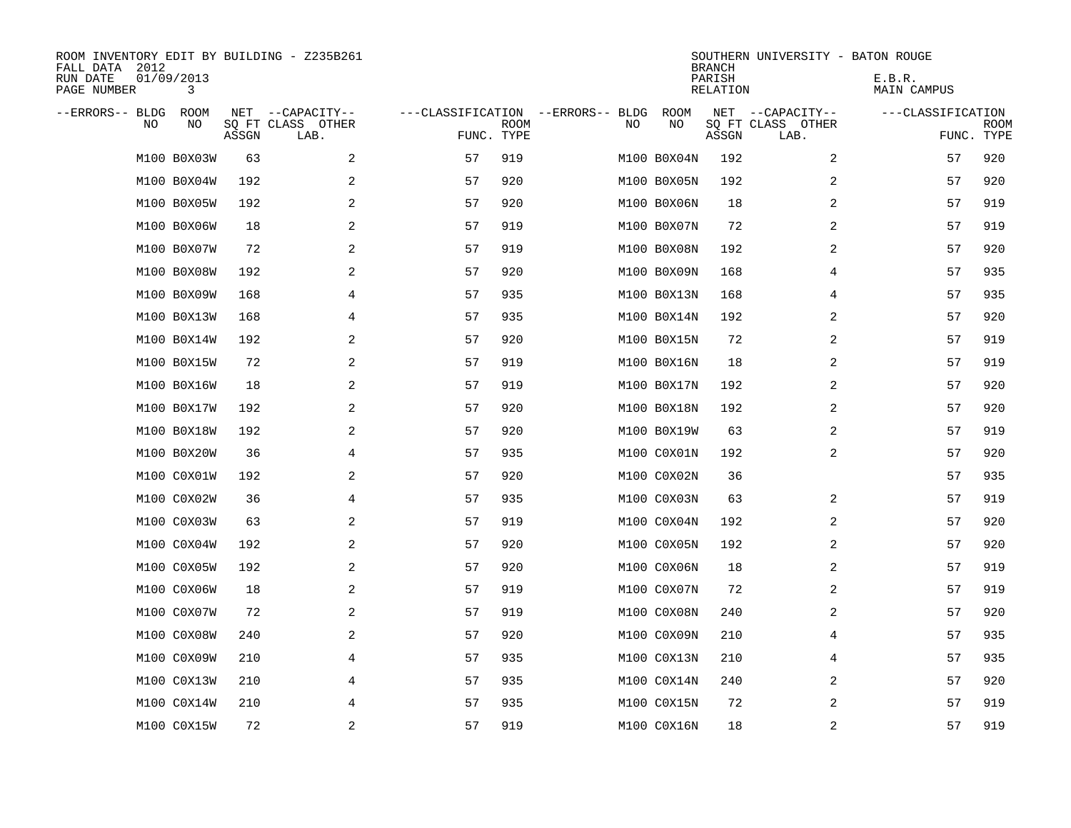| ROOM INVENTORY EDIT BY BUILDING - Z235B261<br>FALL DATA 2012<br>RUN DATE<br>PAGE NUMBER | 01/09/2013<br>3 |       |                                               |            |             |                                         |             | <b>BRANCH</b><br>PARISH<br><b>RELATION</b> | SOUTHERN UNIVERSITY - BATON ROUGE             | E.B.R.<br>MAIN CAMPUS |                           |
|-----------------------------------------------------------------------------------------|-----------------|-------|-----------------------------------------------|------------|-------------|-----------------------------------------|-------------|--------------------------------------------|-----------------------------------------------|-----------------------|---------------------------|
| --ERRORS-- BLDG<br>NO.                                                                  | ROOM<br>NO      | ASSGN | NET --CAPACITY--<br>SQ FT CLASS OTHER<br>LAB. | FUNC. TYPE | <b>ROOM</b> | ---CLASSIFICATION --ERRORS-- BLDG<br>NO | ROOM<br>NO  | ASSGN                                      | NET --CAPACITY--<br>SQ FT CLASS OTHER<br>LAB. | ---CLASSIFICATION     | <b>ROOM</b><br>FUNC. TYPE |
|                                                                                         | M100 B0X03W     | 63    | 2                                             | 57         | 919         |                                         | M100 B0X04N | 192                                        | 2                                             | 57                    | 920                       |
|                                                                                         | M100 B0X04W     | 192   | 2                                             | 57         | 920         |                                         | M100 B0X05N | 192                                        | 2                                             | 57                    | 920                       |
|                                                                                         | M100 B0X05W     | 192   | 2                                             | 57         | 920         |                                         | M100 B0X06N | 18                                         | 2                                             | 57                    | 919                       |
|                                                                                         | M100 B0X06W     | 18    | 2                                             | 57         | 919         |                                         | M100 B0X07N | 72                                         | 2                                             | 57                    | 919                       |
|                                                                                         | M100 B0X07W     | 72    | 2                                             | 57         | 919         |                                         | M100 B0X08N | 192                                        | 2                                             | 57                    | 920                       |
|                                                                                         | M100 B0X08W     | 192   | 2                                             | 57         | 920         |                                         | M100 B0X09N | 168                                        | 4                                             | 57                    | 935                       |
|                                                                                         | M100 B0X09W     | 168   | 4                                             | 57         | 935         |                                         | M100 B0X13N | 168                                        | 4                                             | 57                    | 935                       |
|                                                                                         | M100 B0X13W     | 168   | 4                                             | 57         | 935         |                                         | M100 B0X14N | 192                                        | $\overline{a}$                                | 57                    | 920                       |
|                                                                                         | M100 B0X14W     | 192   | 2                                             | 57         | 920         |                                         | M100 B0X15N | 72                                         | 2                                             | 57                    | 919                       |
|                                                                                         | M100 B0X15W     | 72    | 2                                             | 57         | 919         |                                         | M100 B0X16N | 18                                         | 2                                             | 57                    | 919                       |
|                                                                                         | M100 B0X16W     | 18    | 2                                             | 57         | 919         |                                         | M100 B0X17N | 192                                        | 2                                             | 57                    | 920                       |
|                                                                                         | M100 B0X17W     | 192   | 2                                             | 57         | 920         |                                         | M100 B0X18N | 192                                        | 2                                             | 57                    | 920                       |
|                                                                                         | M100 B0X18W     | 192   | 2                                             | 57         | 920         |                                         | M100 B0X19W | 63                                         | 2                                             | 57                    | 919                       |
|                                                                                         | M100 B0X20W     | 36    | 4                                             | 57         | 935         |                                         | M100 C0X01N | 192                                        | 2                                             | 57                    | 920                       |
|                                                                                         | M100 C0X01W     | 192   | 2                                             | 57         | 920         |                                         | M100 C0X02N | 36                                         |                                               | 57                    | 935                       |
|                                                                                         | M100 C0X02W     | 36    | 4                                             | 57         | 935         |                                         | M100 C0X03N | 63                                         | 2                                             | 57                    | 919                       |
|                                                                                         | M100 C0X03W     | 63    | 2                                             | 57         | 919         |                                         | M100 C0X04N | 192                                        | 2                                             | 57                    | 920                       |
|                                                                                         | M100 C0X04W     | 192   | 2                                             | 57         | 920         |                                         | M100 C0X05N | 192                                        | 2                                             | 57                    | 920                       |
|                                                                                         | M100 C0X05W     | 192   | 2                                             | 57         | 920         |                                         | M100 C0X06N | 18                                         | 2                                             | 57                    | 919                       |
|                                                                                         | M100 C0X06W     | 18    | 2                                             | 57         | 919         |                                         | M100 C0X07N | 72                                         | 2                                             | 57                    | 919                       |
|                                                                                         | M100 C0X07W     | 72    | 2                                             | 57         | 919         |                                         | M100 C0X08N | 240                                        | 2                                             | 57                    | 920                       |
|                                                                                         | M100 C0X08W     | 240   | 2                                             | 57         | 920         |                                         | M100 C0X09N | 210                                        | 4                                             | 57                    | 935                       |
|                                                                                         | M100 C0X09W     | 210   | 4                                             | 57         | 935         |                                         | M100 C0X13N | 210                                        | 4                                             | 57                    | 935                       |
|                                                                                         | M100 C0X13W     | 210   | 4                                             | 57         | 935         |                                         | M100 C0X14N | 240                                        | 2                                             | 57                    | 920                       |
|                                                                                         | M100 C0X14W     | 210   | 4                                             | 57         | 935         |                                         | M100 C0X15N | 72                                         | 2                                             | 57                    | 919                       |
|                                                                                         | M100 C0X15W     | 72    | 2                                             | 57         | 919         |                                         | M100 C0X16N | 18                                         | 2                                             | 57                    | 919                       |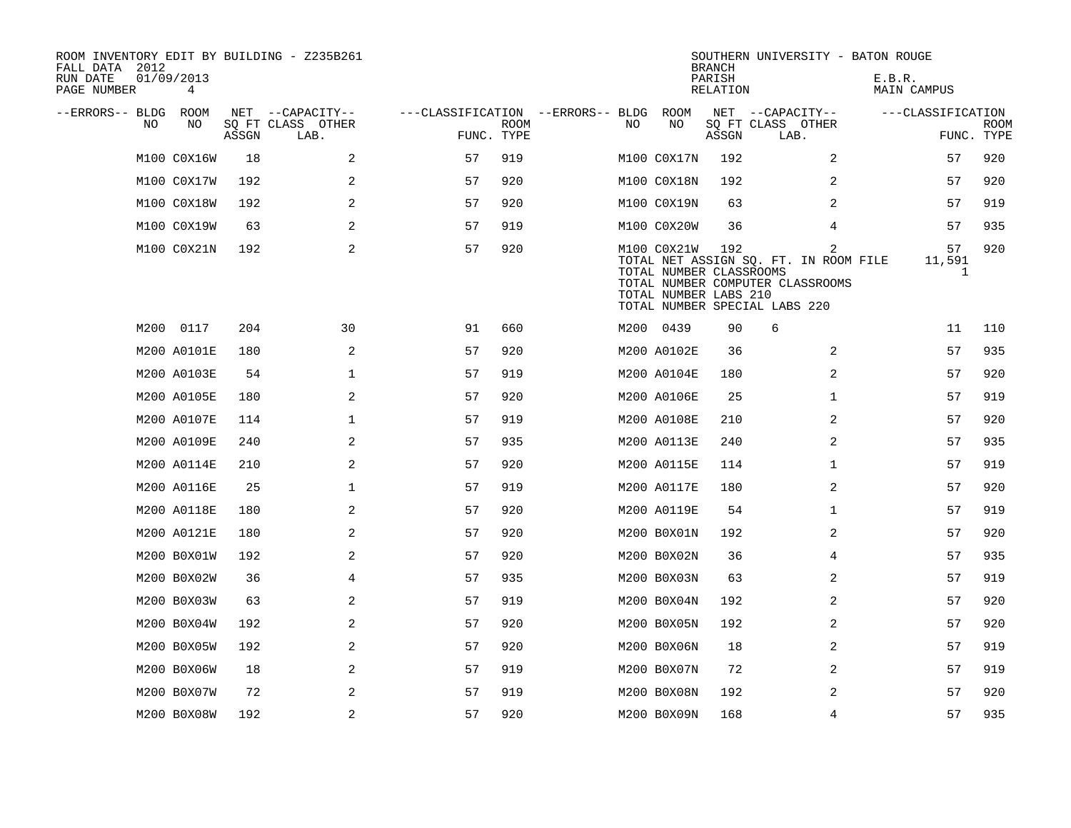| ROOM INVENTORY EDIT BY BUILDING - Z235B261<br>FALL DATA 2012<br>RUN DATE<br>PAGE NUMBER | 01/09/2013<br>4 |       |                           |                                        |             |     |                                                                                                  | <b>BRANCH</b><br>PARISH<br>RELATION |                           |                                                                                | SOUTHERN UNIVERSITY - BATON ROUGE<br>E.B.R.<br>MAIN CAMPUS |                   |                           |
|-----------------------------------------------------------------------------------------|-----------------|-------|---------------------------|----------------------------------------|-------------|-----|--------------------------------------------------------------------------------------------------|-------------------------------------|---------------------------|--------------------------------------------------------------------------------|------------------------------------------------------------|-------------------|---------------------------|
| --ERRORS-- BLDG ROOM                                                                    |                 |       | NET --CAPACITY--          | ---CLASSIFICATION --ERRORS-- BLDG ROOM |             |     |                                                                                                  |                                     | NET --CAPACITY--          |                                                                                | ---CLASSIFICATION                                          |                   |                           |
| NO.                                                                                     | NO              | ASSGN | SQ FT CLASS OTHER<br>LAB. | FUNC. TYPE                             | <b>ROOM</b> | NO. | NO                                                                                               | ASSGN                               | SQ FT CLASS OTHER<br>LAB. |                                                                                |                                                            |                   | <b>ROOM</b><br>FUNC. TYPE |
|                                                                                         | M100 C0X16W     | 18    | 2                         | 57                                     | 919         |     | M100 C0X17N                                                                                      | 192                                 |                           | 2                                                                              |                                                            | 57                | 920                       |
|                                                                                         | M100 C0X17W     | 192   | 2                         | 57                                     | 920         |     | M100 C0X18N                                                                                      | 192                                 |                           | 2                                                                              |                                                            | 57                | 920                       |
|                                                                                         | M100 C0X18W     | 192   | 2                         | 57                                     | 920         |     | M100 C0X19N                                                                                      | 63                                  |                           | 2                                                                              |                                                            | 57                | 919                       |
|                                                                                         | M100 C0X19W     | 63    | 2                         | 57                                     | 919         |     | M100 C0X20W                                                                                      | 36                                  |                           | 4                                                                              |                                                            | 57                | 935                       |
|                                                                                         | M100 C0X21N     | 192   | 2                         | 57                                     | 920         |     | M100 C0X21W<br>TOTAL NUMBER CLASSROOMS<br>TOTAL NUMBER LABS 210<br>TOTAL NUMBER SPECIAL LABS 220 | 192                                 |                           | 2<br>TOTAL NET ASSIGN SQ. FT. IN ROOM FILE<br>TOTAL NUMBER COMPUTER CLASSROOMS |                                                            | 57<br>11,591<br>1 | 920                       |
|                                                                                         | M200 0117       | 204   | 30                        | 91                                     | 660         |     | M200 0439                                                                                        | 90                                  | 6                         |                                                                                |                                                            | 11                | 110                       |
|                                                                                         | M200 A0101E     | 180   | 2                         | 57                                     | 920         |     | M200 A0102E                                                                                      | 36                                  |                           | 2                                                                              |                                                            | 57                | 935                       |
|                                                                                         | M200 A0103E     | 54    | $\mathbf 1$               | 57                                     | 919         |     | M200 A0104E                                                                                      | 180                                 |                           | 2                                                                              |                                                            | 57                | 920                       |
|                                                                                         | M200 A0105E     | 180   | 2                         | 57                                     | 920         |     | M200 A0106E                                                                                      | 25                                  |                           | $\mathbf{1}$                                                                   |                                                            | 57                | 919                       |
|                                                                                         | M200 A0107E     | 114   | $\mathbf 1$               | 57                                     | 919         |     | M200 A0108E                                                                                      | 210                                 |                           | 2                                                                              |                                                            | 57                | 920                       |
|                                                                                         | M200 A0109E     | 240   | 2                         | 57                                     | 935         |     | M200 A0113E                                                                                      | 240                                 |                           | 2                                                                              |                                                            | 57                | 935                       |
|                                                                                         | M200 A0114E     | 210   | 2                         | 57                                     | 920         |     | M200 A0115E                                                                                      | 114                                 |                           | $\mathbf{1}$                                                                   |                                                            | 57                | 919                       |
|                                                                                         | M200 A0116E     | 25    | $\mathbf 1$               | 57                                     | 919         |     | M200 A0117E                                                                                      | 180                                 |                           | $\overline{2}$                                                                 |                                                            | 57                | 920                       |
|                                                                                         | M200 A0118E     | 180   | 2                         | 57                                     | 920         |     | M200 A0119E                                                                                      | 54                                  |                           | $\mathbf{1}$                                                                   |                                                            | 57                | 919                       |
|                                                                                         | M200 A0121E     | 180   | 2                         | 57                                     | 920         |     | M200 B0X01N                                                                                      | 192                                 |                           | 2                                                                              |                                                            | 57                | 920                       |
|                                                                                         | M200 B0X01W     | 192   | 2                         | 57                                     | 920         |     | M200 B0X02N                                                                                      | 36                                  |                           | 4                                                                              |                                                            | 57                | 935                       |
|                                                                                         | M200 B0X02W     | 36    | $\overline{4}$            | 57                                     | 935         |     | M200 B0X03N                                                                                      | 63                                  |                           | $\overline{a}$                                                                 |                                                            | 57                | 919                       |
|                                                                                         | M200 B0X03W     | 63    | 2                         | 57                                     | 919         |     | M200 B0X04N                                                                                      | 192                                 |                           | 2                                                                              |                                                            | 57                | 920                       |
|                                                                                         | M200 B0X04W     | 192   | $\overline{a}$            | 57                                     | 920         |     | M200 B0X05N                                                                                      | 192                                 |                           | 2                                                                              |                                                            | 57                | 920                       |
|                                                                                         | M200 B0X05W     | 192   | 2                         | 57                                     | 920         |     | M200 B0X06N                                                                                      | 18                                  |                           | 2                                                                              |                                                            | 57                | 919                       |
|                                                                                         | M200 B0X06W     | 18    | 2                         | 57                                     | 919         |     | M200 B0X07N                                                                                      | 72                                  |                           | 2                                                                              |                                                            | 57                | 919                       |
|                                                                                         | M200 B0X07W     | 72    | 2                         | 57                                     | 919         |     | M200 B0X08N                                                                                      | 192                                 |                           | 2                                                                              |                                                            | 57                | 920                       |
|                                                                                         | M200 B0X08W     | 192   | 2                         | 57                                     | 920         |     | M200 B0X09N                                                                                      | 168                                 |                           | $\overline{4}$                                                                 |                                                            | 57                | 935                       |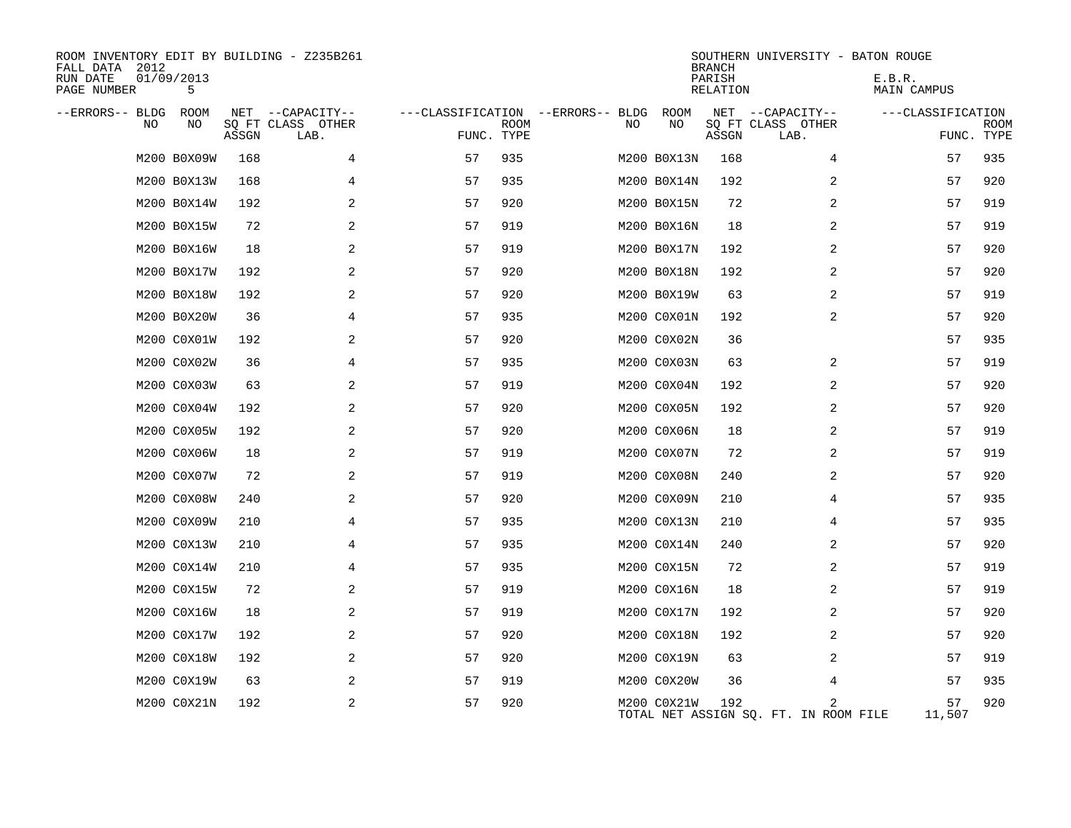| ROOM INVENTORY EDIT BY BUILDING - Z235B261<br>FALL DATA 2012<br>RUN DATE<br>PAGE NUMBER | 01/09/2013<br>5 |       |                           |            |             |                                   |             | <b>BRANCH</b><br>PARISH<br>RELATION | SOUTHERN UNIVERSITY - BATON ROUGE          | E.B.R.<br>MAIN CAMPUS |                    |
|-----------------------------------------------------------------------------------------|-----------------|-------|---------------------------|------------|-------------|-----------------------------------|-------------|-------------------------------------|--------------------------------------------|-----------------------|--------------------|
| --ERRORS-- BLDG ROOM                                                                    |                 |       | NET --CAPACITY--          |            |             | ---CLASSIFICATION --ERRORS-- BLDG | ROOM        |                                     | NET --CAPACITY--                           | ---CLASSIFICATION     |                    |
| NO                                                                                      | NO              | ASSGN | SQ FT CLASS OTHER<br>LAB. | FUNC. TYPE | <b>ROOM</b> | NO.                               | NO          | ASSGN                               | SQ FT CLASS OTHER<br>LAB.                  |                       | ROOM<br>FUNC. TYPE |
|                                                                                         |                 | 168   |                           |            | 935         |                                   |             | 168                                 |                                            | 57                    |                    |
|                                                                                         | M200 B0X09W     |       | 4                         | 57         |             |                                   | M200 B0X13N |                                     | 4                                          |                       | 935                |
|                                                                                         | M200 B0X13W     | 168   | 4                         | 57         | 935         |                                   | M200 B0X14N | 192                                 | 2                                          | 57                    | 920                |
|                                                                                         | M200 B0X14W     | 192   | 2                         | 57         | 920         |                                   | M200 B0X15N | 72                                  | 2                                          | 57                    | 919                |
|                                                                                         | M200 B0X15W     | 72    | 2                         | 57         | 919         |                                   | M200 B0X16N | 18                                  | 2                                          | 57                    | 919                |
|                                                                                         | M200 B0X16W     | 18    | 2                         | 57         | 919         |                                   | M200 B0X17N | 192                                 | 2                                          | 57                    | 920                |
|                                                                                         | M200 B0X17W     | 192   | 2                         | 57         | 920         |                                   | M200 B0X18N | 192                                 | 2                                          | 57                    | 920                |
|                                                                                         | M200 B0X18W     | 192   | 2                         | 57         | 920         |                                   | M200 B0X19W | 63                                  | 2                                          | 57                    | 919                |
|                                                                                         | M200 B0X20W     | 36    | 4                         | 57         | 935         |                                   | M200 C0X01N | 192                                 | 2                                          | 57                    | 920                |
|                                                                                         | M200 C0X01W     | 192   | 2                         | 57         | 920         |                                   | M200 C0X02N | 36                                  |                                            | 57                    | 935                |
|                                                                                         | M200 C0X02W     | 36    | 4                         | 57         | 935         |                                   | M200 C0X03N | 63                                  | 2                                          | 57                    | 919                |
|                                                                                         | M200 C0X03W     | 63    | 2                         | 57         | 919         |                                   | M200 C0X04N | 192                                 | 2                                          | 57                    | 920                |
|                                                                                         | M200 C0X04W     | 192   | $\overline{2}$            | 57         | 920         |                                   | M200 C0X05N | 192                                 | 2                                          | 57                    | 920                |
|                                                                                         | M200 C0X05W     | 192   | 2                         | 57         | 920         |                                   | M200 C0X06N | 18                                  | 2                                          | 57                    | 919                |
|                                                                                         | M200 C0X06W     | 18    | 2                         | 57         | 919         |                                   | M200 C0X07N | 72                                  | 2                                          | 57                    | 919                |
|                                                                                         | M200 C0X07W     | 72    | 2                         | 57         | 919         |                                   | M200 C0X08N | 240                                 | 2                                          | 57                    | 920                |
|                                                                                         | M200 C0X08W     | 240   | 2                         | 57         | 920         |                                   | M200 C0X09N | 210                                 | 4                                          | 57                    | 935                |
|                                                                                         | M200 C0X09W     | 210   | 4                         | 57         | 935         |                                   | M200 C0X13N | 210                                 | 4                                          | 57                    | 935                |
|                                                                                         | M200 C0X13W     | 210   | 4                         | 57         | 935         |                                   | M200 C0X14N | 240                                 | 2                                          | 57                    | 920                |
|                                                                                         | M200 C0X14W     | 210   | 4                         | 57         | 935         |                                   | M200 C0X15N | 72                                  | 2                                          | 57                    | 919                |
|                                                                                         | M200 C0X15W     | 72    | 2                         | 57         | 919         |                                   | M200 C0X16N | 18                                  | 2                                          | 57                    | 919                |
|                                                                                         | M200 C0X16W     | 18    | 2                         | 57         | 919         |                                   | M200 C0X17N | 192                                 | 2                                          | 57                    | 920                |
|                                                                                         | M200 C0X17W     | 192   | 2                         | 57         | 920         |                                   | M200 C0X18N | 192                                 | 2                                          | 57                    | 920                |
|                                                                                         | M200 C0X18W     | 192   | 2                         | 57         | 920         |                                   | M200 C0X19N | 63                                  | $\overline{a}$                             | 57                    | 919                |
|                                                                                         | M200 C0X19W     | 63    | 2                         | 57         | 919         |                                   | M200 C0X20W | 36                                  | 4                                          | 57                    | 935                |
|                                                                                         | M200 C0X21N     | 192   | 2                         | 57         | 920         |                                   | M200 C0X21W | 192                                 | 2<br>TOTAL NET ASSIGN SQ. FT. IN ROOM FILE | 57<br>11,507          | 920                |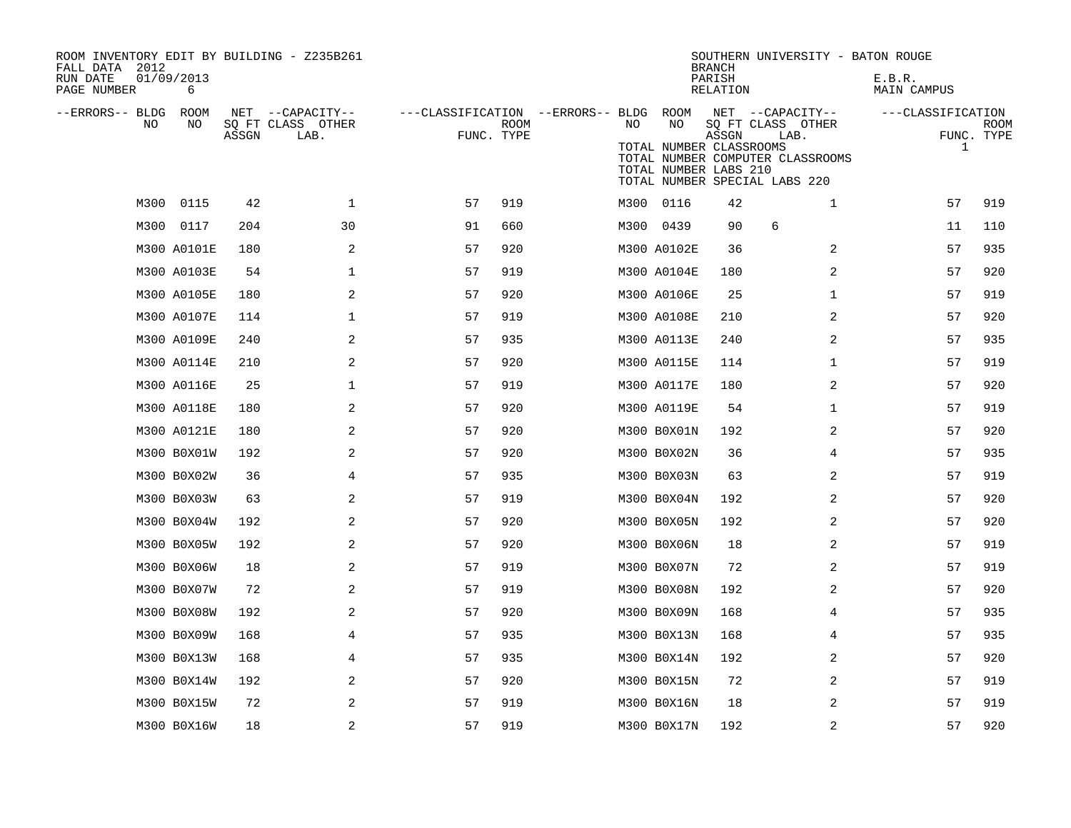| ROOM INVENTORY EDIT BY BUILDING - Z235B261<br>FALL DATA 2012<br>RUN DATE<br>PAGE NUMBER | 01/09/2013<br>6 |       |                                               |                                                      |             |    |                                                        | <b>BRANCH</b><br>PARISH<br>RELATION | SOUTHERN UNIVERSITY - BATON ROUGE                                                                                  | E.B.R.<br>MAIN CAMPUS             |                           |
|-----------------------------------------------------------------------------------------|-----------------|-------|-----------------------------------------------|------------------------------------------------------|-------------|----|--------------------------------------------------------|-------------------------------------|--------------------------------------------------------------------------------------------------------------------|-----------------------------------|---------------------------|
| --ERRORS-- BLDG<br>NO.                                                                  | ROOM<br>NO      | ASSGN | NET --CAPACITY--<br>SQ FT CLASS OTHER<br>LAB. | ---CLASSIFICATION --ERRORS-- BLDG ROOM<br>FUNC. TYPE | <b>ROOM</b> | NO | NO<br>TOTAL NUMBER CLASSROOMS<br>TOTAL NUMBER LABS 210 | ASSGN                               | NET --CAPACITY--<br>SQ FT CLASS OTHER<br>LAB.<br>TOTAL NUMBER COMPUTER CLASSROOMS<br>TOTAL NUMBER SPECIAL LABS 220 | ---CLASSIFICATION<br>$\mathbf{1}$ | <b>ROOM</b><br>FUNC. TYPE |
| M300                                                                                    | 0115            | 42    | $\mathbf{1}$                                  | 57                                                   | 919         |    | M300 0116                                              | 42                                  | $\mathbf{1}$                                                                                                       | 57                                | 919                       |
|                                                                                         | M300 0117       | 204   | 30                                            | 91                                                   | 660         |    | M300 0439                                              | 90                                  | 6                                                                                                                  | 11                                | 110                       |
|                                                                                         | M300 A0101E     | 180   | 2                                             | 57                                                   | 920         |    | M300 A0102E                                            | 36                                  | 2                                                                                                                  | 57                                | 935                       |
|                                                                                         | M300 A0103E     | 54    | $\mathbf{1}$                                  | 57                                                   | 919         |    | M300 A0104E                                            | 180                                 | $\overline{2}$                                                                                                     | 57                                | 920                       |
|                                                                                         | M300 A0105E     | 180   | 2                                             | 57                                                   | 920         |    | M300 A0106E                                            | 25                                  | $\mathbf{1}$                                                                                                       | 57                                | 919                       |
|                                                                                         | M300 A0107E     | 114   | $\mathbf 1$                                   | 57                                                   | 919         |    | M300 A0108E                                            | 210                                 | 2                                                                                                                  | 57                                | 920                       |
|                                                                                         | M300 A0109E     | 240   | 2                                             | 57                                                   | 935         |    | M300 A0113E                                            | 240                                 | 2                                                                                                                  | 57                                | 935                       |
|                                                                                         | M300 A0114E     | 210   | 2                                             | 57                                                   | 920         |    | M300 A0115E                                            | 114                                 | $\mathbf{1}$                                                                                                       | 57                                | 919                       |
|                                                                                         | M300 A0116E     | 25    | $\mathbf 1$                                   | 57                                                   | 919         |    | M300 A0117E                                            | 180                                 | 2                                                                                                                  | 57                                | 920                       |
|                                                                                         | M300 A0118E     | 180   | 2                                             | 57                                                   | 920         |    | M300 A0119E                                            | 54                                  | $\mathbf{1}$                                                                                                       | 57                                | 919                       |
|                                                                                         | M300 A0121E     | 180   | 2                                             | 57                                                   | 920         |    | M300 B0X01N                                            | 192                                 | 2                                                                                                                  | 57                                | 920                       |
|                                                                                         | M300 B0X01W     | 192   | 2                                             | 57                                                   | 920         |    | M300 B0X02N                                            | 36                                  | 4                                                                                                                  | 57                                | 935                       |
|                                                                                         | M300 B0X02W     | 36    | $\overline{4}$                                | 57                                                   | 935         |    | M300 B0X03N                                            | 63                                  | $\overline{a}$                                                                                                     | 57                                | 919                       |
|                                                                                         | M300 B0X03W     | 63    | 2                                             | 57                                                   | 919         |    | M300 B0X04N                                            | 192                                 | 2                                                                                                                  | 57                                | 920                       |
|                                                                                         | M300 B0X04W     | 192   | 2                                             | 57                                                   | 920         |    | M300 B0X05N                                            | 192                                 | 2                                                                                                                  | 57                                | 920                       |
|                                                                                         | M300 B0X05W     | 192   | 2                                             | 57                                                   | 920         |    | M300 B0X06N                                            | 18                                  | 2                                                                                                                  | 57                                | 919                       |
|                                                                                         | M300 B0X06W     | 18    | 2                                             | 57                                                   | 919         |    | M300 B0X07N                                            | 72                                  | 2                                                                                                                  | 57                                | 919                       |
|                                                                                         | M300 B0X07W     | 72    | 2                                             | 57                                                   | 919         |    | M300 B0X08N                                            | 192                                 | 2                                                                                                                  | 57                                | 920                       |
|                                                                                         | M300 B0X08W     | 192   | 2                                             | 57                                                   | 920         |    | M300 B0X09N                                            | 168                                 | 4                                                                                                                  | 57                                | 935                       |
|                                                                                         | M300 B0X09W     | 168   | 4                                             | 57                                                   | 935         |    | M300 B0X13N                                            | 168                                 | 4                                                                                                                  | 57                                | 935                       |
|                                                                                         | M300 B0X13W     | 168   | 4                                             | 57                                                   | 935         |    | M300 B0X14N                                            | 192                                 | 2                                                                                                                  | 57                                | 920                       |
|                                                                                         | M300 B0X14W     | 192   | 2                                             | 57                                                   | 920         |    | M300 B0X15N                                            | 72                                  | 2                                                                                                                  | 57                                | 919                       |
|                                                                                         | M300 B0X15W     | 72    | 2                                             | 57                                                   | 919         |    | M300 B0X16N                                            | 18                                  | 2                                                                                                                  | 57                                | 919                       |
|                                                                                         | M300 B0X16W     | 18    | 2                                             | 57                                                   | 919         |    | M300 B0X17N                                            | 192                                 | $\overline{2}$                                                                                                     | 57                                | 920                       |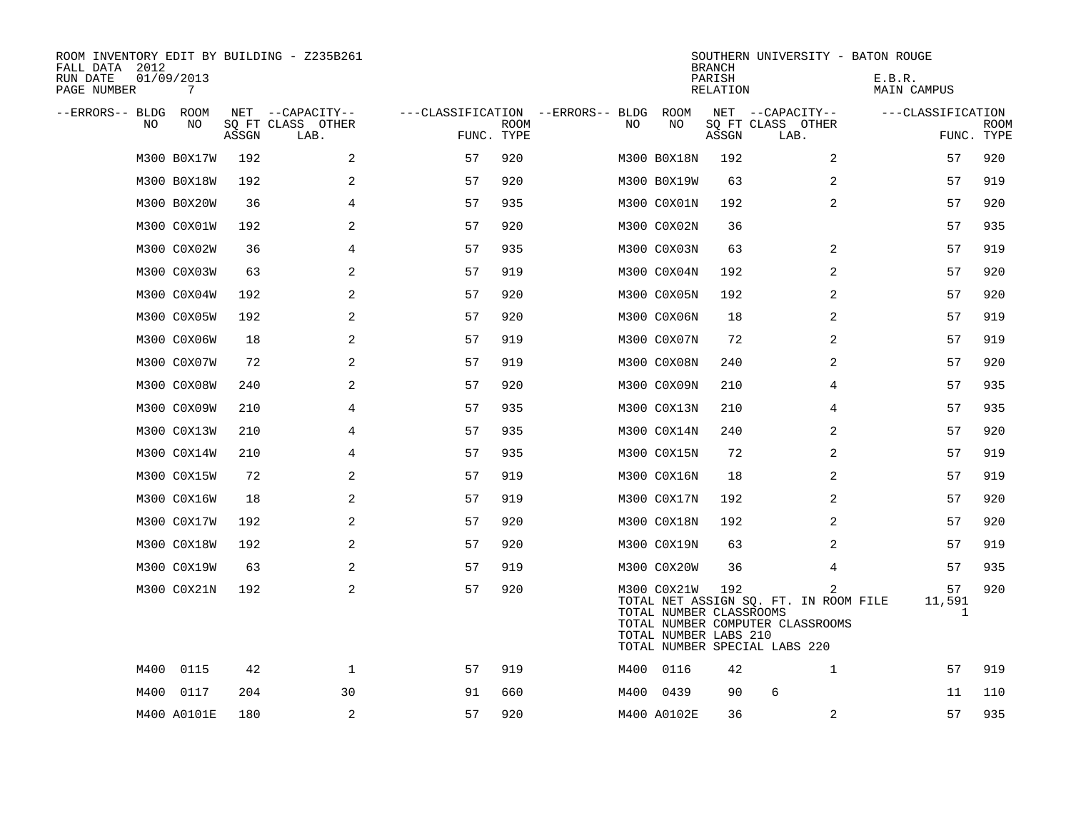| ROOM INVENTORY EDIT BY BUILDING - Z235B261<br>FALL DATA 2012<br>RUN DATE<br>PAGE NUMBER | 01/09/2013<br>7 |       |                           |                                   |             |    |                                                                 | <b>BRANCH</b><br>PARISH<br><b>RELATION</b> | SOUTHERN UNIVERSITY - BATON ROUGE                                                                               | E.B.R.<br>MAIN CAMPUS |                           |
|-----------------------------------------------------------------------------------------|-----------------|-------|---------------------------|-----------------------------------|-------------|----|-----------------------------------------------------------------|--------------------------------------------|-----------------------------------------------------------------------------------------------------------------|-----------------------|---------------------------|
| --ERRORS-- BLDG ROOM                                                                    |                 |       | NET --CAPACITY--          | ---CLASSIFICATION --ERRORS-- BLDG |             |    | ROOM                                                            |                                            | NET --CAPACITY--                                                                                                | ---CLASSIFICATION     |                           |
| NO                                                                                      | NO              | ASSGN | SQ FT CLASS OTHER<br>LAB. | FUNC. TYPE                        | <b>ROOM</b> | NO | NO                                                              | ASSGN                                      | SQ FT CLASS OTHER<br>LAB.                                                                                       |                       | <b>ROOM</b><br>FUNC. TYPE |
|                                                                                         | M300 B0X17W     | 192   | 2                         | 57                                | 920         |    | M300 B0X18N                                                     | 192                                        | 2                                                                                                               | 57                    | 920                       |
|                                                                                         | M300 B0X18W     | 192   | 2                         | 57                                | 920         |    | M300 B0X19W                                                     | 63                                         | 2                                                                                                               | 57                    | 919                       |
|                                                                                         | M300 B0X20W     | 36    | 4                         | 57                                | 935         |    | M300 C0X01N                                                     | 192                                        | 2                                                                                                               | 57                    | 920                       |
|                                                                                         | M300 C0X01W     | 192   | 2                         | 57                                | 920         |    | M300 C0X02N                                                     | 36                                         |                                                                                                                 | 57                    | 935                       |
|                                                                                         | M300 C0X02W     | 36    | 4                         | 57                                | 935         |    | M300 C0X03N                                                     | 63                                         | 2                                                                                                               | 57                    | 919                       |
|                                                                                         | M300 C0X03W     | 63    | 2                         | 57                                | 919         |    | M300 C0X04N                                                     | 192                                        | 2                                                                                                               | 57                    | 920                       |
|                                                                                         | M300 C0X04W     | 192   | 2                         | 57                                | 920         |    | M300 C0X05N                                                     | 192                                        | 2                                                                                                               | 57                    | 920                       |
|                                                                                         | M300 C0X05W     | 192   | 2                         | 57                                | 920         |    | M300 C0X06N                                                     | 18                                         | 2                                                                                                               | 57                    | 919                       |
|                                                                                         | M300 C0X06W     | 18    | 2                         | 57                                | 919         |    | M300 C0X07N                                                     | 72                                         | 2                                                                                                               | 57                    | 919                       |
|                                                                                         | M300 C0X07W     | 72    | 2                         | 57                                | 919         |    | M300 C0X08N                                                     | 240                                        | 2                                                                                                               | 57                    | 920                       |
|                                                                                         | M300 C0X08W     | 240   | 2                         | 57                                | 920         |    | M300 C0X09N                                                     | 210                                        | 4                                                                                                               | 57                    | 935                       |
|                                                                                         | M300 C0X09W     | 210   | 4                         | 57                                | 935         |    | M300 C0X13N                                                     | 210                                        | 4                                                                                                               | 57                    | 935                       |
|                                                                                         | M300 C0X13W     | 210   | 4                         | 57                                | 935         |    | M300 C0X14N                                                     | 240                                        | 2                                                                                                               | 57                    | 920                       |
|                                                                                         | M300 C0X14W     | 210   | 4                         | 57                                | 935         |    | M300 C0X15N                                                     | 72                                         | $\overline{2}$                                                                                                  | 57                    | 919                       |
|                                                                                         | M300 C0X15W     | 72    | 2                         | 57                                | 919         |    | M300 C0X16N                                                     | 18                                         | 2                                                                                                               | 57                    | 919                       |
|                                                                                         | M300 C0X16W     | 18    | 2                         | 57                                | 919         |    | M300 C0X17N                                                     | 192                                        | $\overline{2}$                                                                                                  | 57                    | 920                       |
|                                                                                         | M300 C0X17W     | 192   | 2                         | 57                                | 920         |    | M300 C0X18N                                                     | 192                                        | 2                                                                                                               | 57                    | 920                       |
|                                                                                         | M300 C0X18W     | 192   | 2                         | 57                                | 920         |    | M300 C0X19N                                                     | 63                                         | 2                                                                                                               | 57                    | 919                       |
|                                                                                         | M300 C0X19W     | 63    | 2                         | 57                                | 919         |    | M300 C0X20W                                                     | 36                                         | 4                                                                                                               | 57                    | 935                       |
|                                                                                         | M300 C0X21N     | 192   | 2                         | 57                                | 920         |    | M300 C0X21W<br>TOTAL NUMBER CLASSROOMS<br>TOTAL NUMBER LABS 210 | 192                                        | 2<br>TOTAL NET ASSIGN SQ. FT. IN ROOM FILE<br>TOTAL NUMBER COMPUTER CLASSROOMS<br>TOTAL NUMBER SPECIAL LABS 220 | 57<br>11,591          | 920<br>1                  |
| M400                                                                                    | 0115            | 42    | $\mathbf 1$               | 57                                | 919         |    | M400 0116                                                       | 42                                         | $\mathbf{1}$                                                                                                    | 57                    | 919                       |
| M400                                                                                    | 0117            | 204   | 30                        | 91                                | 660         |    | M400 0439                                                       | 90                                         | 6                                                                                                               | 11                    | 110                       |
|                                                                                         | M400 A0101E     | 180   | 2                         | 57                                | 920         |    | M400 A0102E                                                     | 36                                         | 2                                                                                                               | 57                    | 935                       |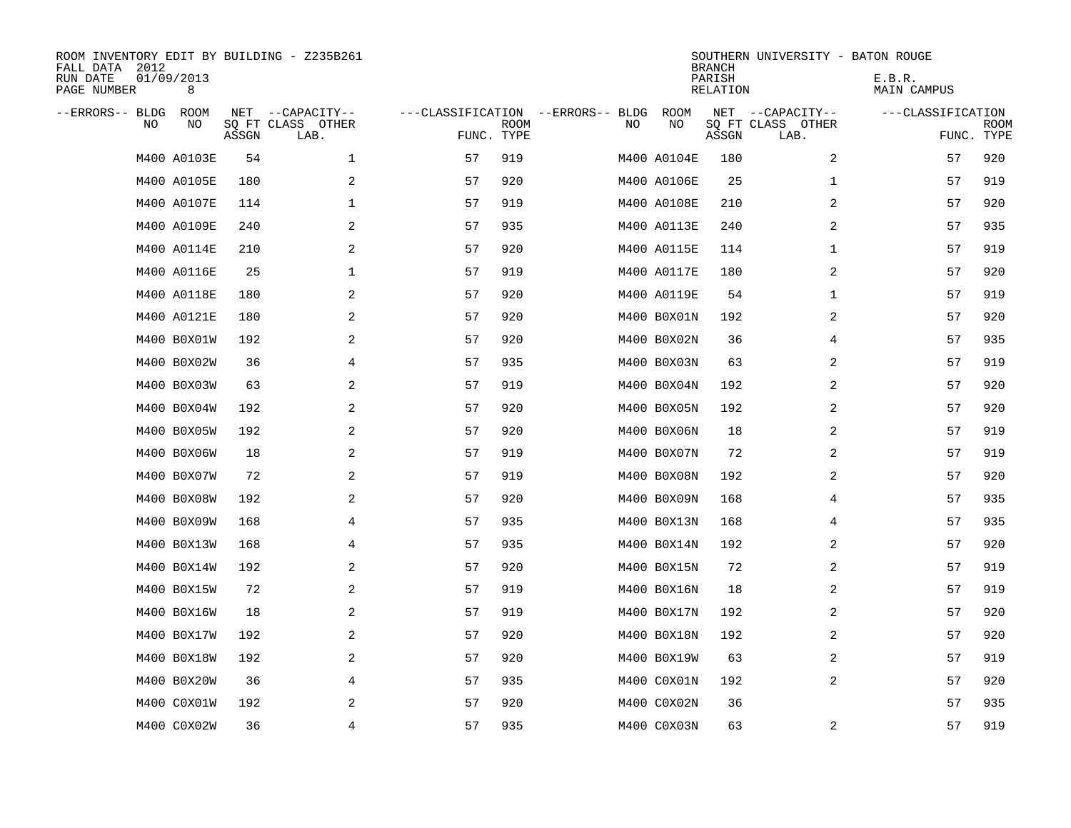| ROOM INVENTORY EDIT BY BUILDING - Z235B261<br>FALL DATA 2012<br>RUN DATE<br>PAGE NUMBER | 01/09/2013<br>8 |       |                                               |            |             |                                         |             | <b>BRANCH</b><br>PARISH<br><b>RELATION</b> | SOUTHERN UNIVERSITY - BATON ROUGE             | E.B.R.<br>MAIN CAMPUS |                           |
|-----------------------------------------------------------------------------------------|-----------------|-------|-----------------------------------------------|------------|-------------|-----------------------------------------|-------------|--------------------------------------------|-----------------------------------------------|-----------------------|---------------------------|
| --ERRORS-- BLDG<br>NO.                                                                  | ROOM<br>NO      | ASSGN | NET --CAPACITY--<br>SQ FT CLASS OTHER<br>LAB. | FUNC. TYPE | <b>ROOM</b> | ---CLASSIFICATION --ERRORS-- BLDG<br>NO | ROOM<br>NO  | ASSGN                                      | NET --CAPACITY--<br>SQ FT CLASS OTHER<br>LAB. | ---CLASSIFICATION     | <b>ROOM</b><br>FUNC. TYPE |
|                                                                                         | M400 A0103E     | 54    | $\mathbf 1$                                   | 57         | 919         |                                         | M400 A0104E | 180                                        | 2                                             | 57                    | 920                       |
|                                                                                         | M400 A0105E     | 180   | 2                                             | 57         | 920         |                                         | M400 A0106E | 25                                         | $\mathbf{1}$                                  | 57                    | 919                       |
|                                                                                         | M400 A0107E     | 114   | 1                                             | 57         | 919         |                                         | M400 A0108E | 210                                        | 2                                             | 57                    | 920                       |
|                                                                                         | M400 A0109E     | 240   | 2                                             | 57         | 935         |                                         | M400 A0113E | 240                                        | 2                                             | 57                    | 935                       |
|                                                                                         | M400 A0114E     | 210   | 2                                             | 57         | 920         |                                         | M400 A0115E | 114                                        | $\mathbf{1}$                                  | 57                    | 919                       |
|                                                                                         | M400 A0116E     | 25    | $\mathbf 1$                                   | 57         | 919         |                                         | M400 A0117E | 180                                        | 2                                             | 57                    | 920                       |
|                                                                                         | M400 A0118E     | 180   | 2                                             | 57         | 920         |                                         | M400 A0119E | 54                                         | $\mathbf{1}$                                  | 57                    | 919                       |
|                                                                                         | M400 A0121E     | 180   | 2                                             | 57         | 920         |                                         | M400 B0X01N | 192                                        | $\overline{a}$                                | 57                    | 920                       |
|                                                                                         | M400 B0X01W     | 192   | 2                                             | 57         | 920         |                                         | M400 B0X02N | 36                                         | 4                                             | 57                    | 935                       |
|                                                                                         | M400 B0X02W     | 36    | 4                                             | 57         | 935         |                                         | M400 B0X03N | 63                                         | 2                                             | 57                    | 919                       |
|                                                                                         | M400 B0X03W     | 63    | 2                                             | 57         | 919         |                                         | M400 B0X04N | 192                                        | 2                                             | 57                    | 920                       |
|                                                                                         | M400 B0X04W     | 192   | 2                                             | 57         | 920         |                                         | M400 B0X05N | 192                                        | 2                                             | 57                    | 920                       |
|                                                                                         | M400 B0X05W     | 192   | 2                                             | 57         | 920         |                                         | M400 B0X06N | 18                                         | 2                                             | 57                    | 919                       |
|                                                                                         | M400 B0X06W     | 18    | 2                                             | 57         | 919         |                                         | M400 B0X07N | 72                                         | 2                                             | 57                    | 919                       |
|                                                                                         | M400 B0X07W     | 72    | 2                                             | 57         | 919         |                                         | M400 B0X08N | 192                                        | 2                                             | 57                    | 920                       |
|                                                                                         | M400 B0X08W     | 192   | 2                                             | 57         | 920         |                                         | M400 B0X09N | 168                                        | 4                                             | 57                    | 935                       |
|                                                                                         | M400 B0X09W     | 168   | 4                                             | 57         | 935         |                                         | M400 B0X13N | 168                                        | 4                                             | 57                    | 935                       |
|                                                                                         | M400 B0X13W     | 168   | 4                                             | 57         | 935         |                                         | M400 B0X14N | 192                                        | 2                                             | 57                    | 920                       |
|                                                                                         | M400 B0X14W     | 192   | 2                                             | 57         | 920         |                                         | M400 B0X15N | 72                                         | 2                                             | 57                    | 919                       |
|                                                                                         | M400 B0X15W     | 72    | 2                                             | 57         | 919         |                                         | M400 B0X16N | 18                                         | 2                                             | 57                    | 919                       |
|                                                                                         | M400 B0X16W     | 18    | 2                                             | 57         | 919         |                                         | M400 B0X17N | 192                                        | 2                                             | 57                    | 920                       |
|                                                                                         | M400 B0X17W     | 192   | $\mathbf{2}$                                  | 57         | 920         |                                         | M400 B0X18N | 192                                        | 2                                             | 57                    | 920                       |
|                                                                                         | M400 B0X18W     | 192   | 2                                             | 57         | 920         |                                         | M400 B0X19W | 63                                         | 2                                             | 57                    | 919                       |
|                                                                                         | M400 B0X20W     | 36    | 4                                             | 57         | 935         |                                         | M400 COXO1N | 192                                        | 2                                             | 57                    | 920                       |
|                                                                                         | M400 C0X01W     | 192   | 2                                             | 57         | 920         |                                         | M400 C0X02N | 36                                         |                                               | 57                    | 935                       |
|                                                                                         | M400 C0X02W     | 36    | $\overline{4}$                                | 57         | 935         |                                         | M400 C0X03N | 63                                         | 2                                             | 57                    | 919                       |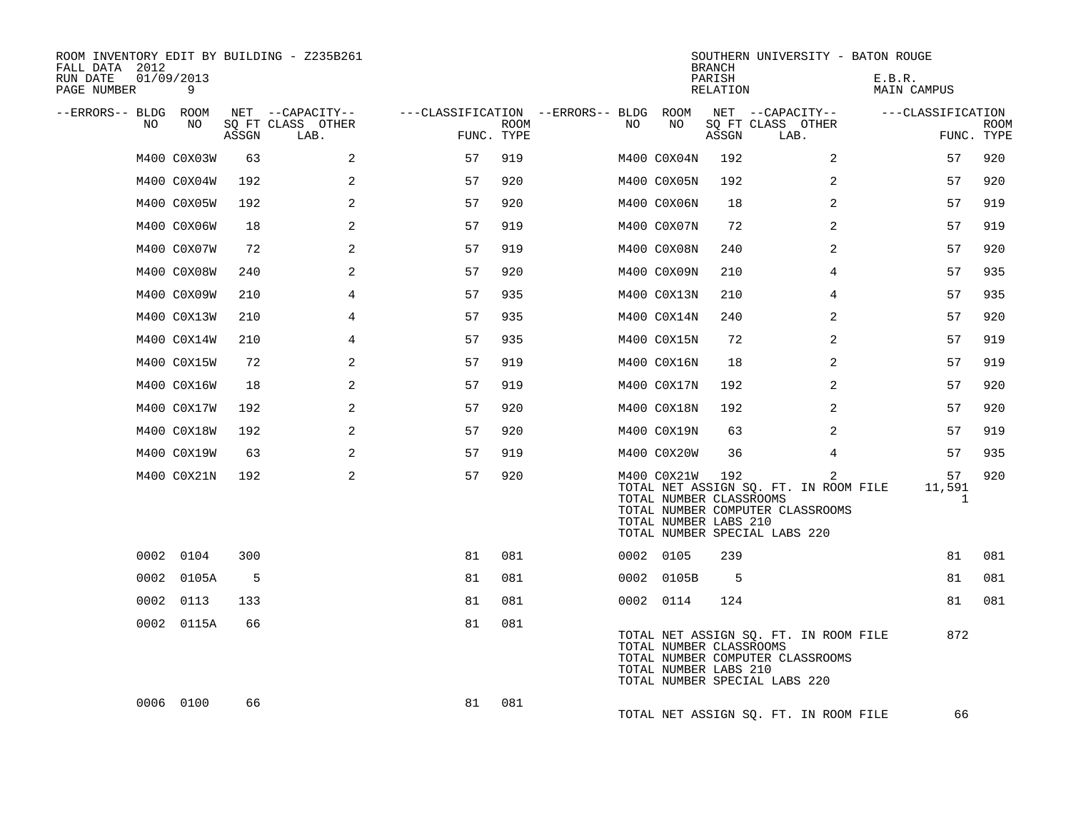| ROOM INVENTORY EDIT BY BUILDING - Z235B261<br>FALL DATA 2012<br>RUN DATE<br>PAGE NUMBER | 01/09/2013<br>9 |       |                                               |                                                      |             |    |                                                                 | <b>BRANCH</b><br>PARISH<br>RELATION |                                                                                                            |                | SOUTHERN UNIVERSITY - BATON ROUGE<br>E.B.R.<br>MAIN CAMPUS |                              |                           |
|-----------------------------------------------------------------------------------------|-----------------|-------|-----------------------------------------------|------------------------------------------------------|-------------|----|-----------------------------------------------------------------|-------------------------------------|------------------------------------------------------------------------------------------------------------|----------------|------------------------------------------------------------|------------------------------|---------------------------|
| --ERRORS-- BLDG ROOM<br>NO                                                              | NO              | ASSGN | NET --CAPACITY--<br>SQ FT CLASS OTHER<br>LAB. | ---CLASSIFICATION --ERRORS-- BLDG ROOM<br>FUNC. TYPE | <b>ROOM</b> | NO | NO                                                              | ASSGN                               | NET --CAPACITY--<br>SQ FT CLASS OTHER<br>LAB.                                                              |                | ---CLASSIFICATION                                          |                              | <b>ROOM</b><br>FUNC. TYPE |
|                                                                                         | M400 C0X03W     | 63    | 2                                             | 57                                                   | 919         |    | M400 C0X04N                                                     | 192                                 |                                                                                                            | 2              |                                                            | 57                           | 920                       |
|                                                                                         | M400 C0X04W     | 192   | 2                                             | 57                                                   | 920         |    | M400 C0X05N                                                     | 192                                 |                                                                                                            | $\overline{a}$ |                                                            | 57                           | 920                       |
|                                                                                         | M400 C0X05W     | 192   | 2                                             | 57                                                   | 920         |    | M400 C0X06N                                                     | 18                                  |                                                                                                            | 2              |                                                            | 57                           | 919                       |
|                                                                                         | M400 C0X06W     | 18    | 2                                             | 57                                                   | 919         |    | M400 C0X07N                                                     | 72                                  |                                                                                                            | 2              |                                                            | 57                           | 919                       |
|                                                                                         | M400 C0X07W     | 72    | 2                                             | 57                                                   | 919         |    | M400 C0X08N                                                     | 240                                 |                                                                                                            | 2              |                                                            | 57                           | 920                       |
|                                                                                         | M400 C0X08W     | 240   | 2                                             | 57                                                   | 920         |    | M400 C0X09N                                                     | 210                                 |                                                                                                            | 4              |                                                            | 57                           | 935                       |
|                                                                                         | M400 C0X09W     | 210   | $\overline{4}$                                | 57                                                   | 935         |    | M400 C0X13N                                                     | 210                                 |                                                                                                            | 4              |                                                            | 57                           | 935                       |
|                                                                                         | M400 C0X13W     | 210   | 4                                             | 57                                                   | 935         |    | M400 C0X14N                                                     | 240                                 |                                                                                                            | 2              |                                                            | 57                           | 920                       |
|                                                                                         | M400 C0X14W     | 210   | 4                                             | 57                                                   | 935         |    | M400 C0X15N                                                     | 72                                  |                                                                                                            | 2              |                                                            | 57                           | 919                       |
|                                                                                         | M400 C0X15W     | 72    | 2                                             | 57                                                   | 919         |    | M400 C0X16N                                                     | 18                                  |                                                                                                            | 2              |                                                            | 57                           | 919                       |
|                                                                                         | M400 C0X16W     | 18    | 2                                             | 57                                                   | 919         |    | M400 C0X17N                                                     | 192                                 |                                                                                                            | 2              |                                                            | 57                           | 920                       |
|                                                                                         | M400 C0X17W     | 192   | 2                                             | 57                                                   | 920         |    | M400 C0X18N                                                     | 192                                 |                                                                                                            | 2              |                                                            | 57                           | 920                       |
|                                                                                         | M400 C0X18W     | 192   | 2                                             | 57                                                   | 920         |    | M400 C0X19N                                                     | 63                                  |                                                                                                            | 2              |                                                            | 57                           | 919                       |
|                                                                                         | M400 C0X19W     | 63    | 2                                             | 57                                                   | 919         |    | M400 C0X20W                                                     | 36                                  |                                                                                                            | 4              |                                                            | 57                           | 935                       |
|                                                                                         | M400 C0X21N     | 192   | 2                                             | 57                                                   | 920         |    | M400 C0X21W<br>TOTAL NUMBER CLASSROOMS<br>TOTAL NUMBER LABS 210 | 192                                 | TOTAL NET ASSIGN SQ. FT. IN ROOM FILE<br>TOTAL NUMBER COMPUTER CLASSROOMS<br>TOTAL NUMBER SPECIAL LABS 220 | $\overline{2}$ |                                                            | 57<br>11,591<br>$\mathbf{1}$ | 920                       |
|                                                                                         | 0002 0104       | 300   |                                               | 81                                                   | 081         |    | 0002 0105                                                       | 239                                 |                                                                                                            |                |                                                            | 81                           | 081                       |
|                                                                                         | 0002 0105A      | 5     |                                               | 81                                                   | 081         |    | 0002 0105B                                                      | - 5                                 |                                                                                                            |                |                                                            | 81                           | 081                       |
|                                                                                         | 0002 0113       | 133   |                                               | 81                                                   | 081         |    | 0002 0114                                                       | 124                                 |                                                                                                            |                |                                                            | 81                           | 081                       |
|                                                                                         | 0002 0115A      | 66    |                                               | 81                                                   | 081         |    | TOTAL NUMBER CLASSROOMS<br>TOTAL NUMBER LABS 210                |                                     | TOTAL NET ASSIGN SQ. FT. IN ROOM FILE<br>TOTAL NUMBER COMPUTER CLASSROOMS<br>TOTAL NUMBER SPECIAL LABS 220 |                |                                                            | 872                          |                           |
|                                                                                         | 0006 0100       | 66    |                                               | 81                                                   | 081         |    |                                                                 |                                     | TOTAL NET ASSIGN SO. FT. IN ROOM FILE                                                                      |                |                                                            | 66                           |                           |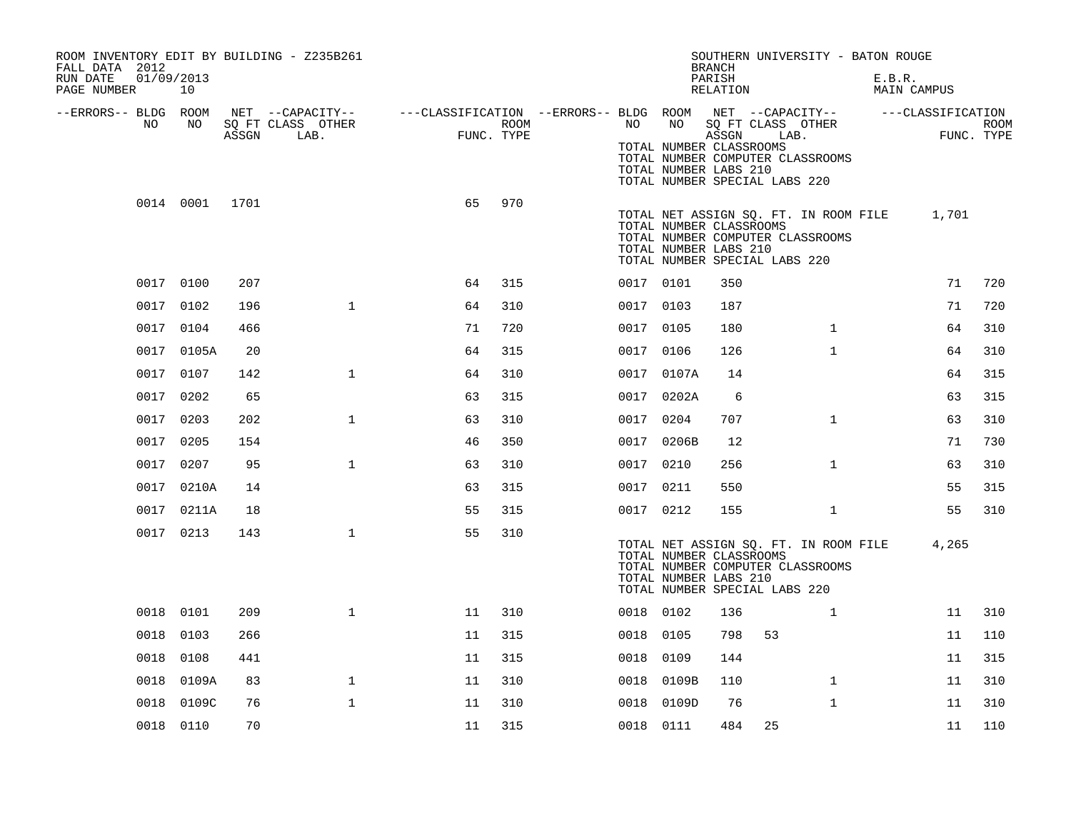| ROOM INVENTORY EDIT BY BUILDING - Z235B261<br>FALL DATA 2012<br>RUN DATE<br>01/09/2013<br>PAGE NUMBER | 10             |       |                                               |                                                         |                    |           |            | SOUTHERN UNIVERSITY - BATON ROUGE<br><b>BRANCH</b><br>PARISH<br>RELATION                                                                                       |              | E.B.R.<br>MAIN CAMPUS |                                 |             |
|-------------------------------------------------------------------------------------------------------|----------------|-------|-----------------------------------------------|---------------------------------------------------------|--------------------|-----------|------------|----------------------------------------------------------------------------------------------------------------------------------------------------------------|--------------|-----------------------|---------------------------------|-------------|
| --ERRORS-- BLDG ROOM<br>NO.                                                                           | NO             | ASSGN | NET --CAPACITY--<br>SQ FT CLASS OTHER<br>LAB. | ---CLASSIFICATION --ERRORS-- BLDG ROOM NET --CAPACITY-- | ROOM<br>FUNC. TYPE | NO        | NO         | SQ FT CLASS OTHER<br>ASSGN<br>TOTAL NUMBER CLASSROOMS<br>TOTAL NUMBER COMPUTER CLASSROOMS<br>TOTAL NUMBER LABS 210<br>TOTAL NUMBER SPECIAL LABS 220            | LAB.         |                       | ---CLASSIFICATION<br>FUNC. TYPE | <b>ROOM</b> |
|                                                                                                       | 0014 0001 1701 |       |                                               | 65                                                      | 970                |           |            | TOTAL NET ASSIGN SQ. FT. IN ROOM FILE<br>TOTAL NUMBER CLASSROOMS<br>TOTAL NUMBER COMPUTER CLASSROOMS<br>TOTAL NUMBER LABS 210<br>TOTAL NUMBER SPECIAL LABS 220 |              |                       | 1,701                           |             |
|                                                                                                       | 0017 0100      | 207   |                                               | 64                                                      | 315                | 0017 0101 |            | 350                                                                                                                                                            |              |                       | 71                              | 720         |
|                                                                                                       | 0017 0102      | 196   | $\mathbf{1}$                                  | 64                                                      | 310                | 0017 0103 |            | 187                                                                                                                                                            |              |                       | 71                              | 720         |
|                                                                                                       | 0017 0104      | 466   |                                               | 71                                                      | 720                | 0017 0105 |            | 180                                                                                                                                                            | $\mathbf{1}$ |                       | 64                              | 310         |
|                                                                                                       | 0017 0105A     | 20    |                                               | 64                                                      | 315                | 0017 0106 |            | 126                                                                                                                                                            | $\mathbf{1}$ |                       | 64                              | 310         |
|                                                                                                       | 0017 0107      | 142   | $\mathbf{1}$                                  | 64                                                      | 310                |           | 0017 0107A | 14                                                                                                                                                             |              |                       | 64                              | 315         |
| 0017                                                                                                  | 0202           | 65    |                                               | 63                                                      | 315                |           | 0017 0202A | 6                                                                                                                                                              |              |                       | 63                              | 315         |
|                                                                                                       | 0017 0203      | 202   | $\mathbf{1}$                                  | 63                                                      | 310                | 0017 0204 |            | 707                                                                                                                                                            | $\mathbf{1}$ |                       | 63                              | 310         |
| 0017                                                                                                  | 0205           | 154   |                                               | 46                                                      | 350                |           | 0017 0206B | 12                                                                                                                                                             |              |                       | 71                              | 730         |
|                                                                                                       | 0017 0207      | 95    | $\mathbf{1}$                                  | 63                                                      | 310                | 0017 0210 |            | 256                                                                                                                                                            | $\mathbf{1}$ |                       | 63                              | 310         |
|                                                                                                       | 0017 0210A     | 14    |                                               | 63                                                      | 315                | 0017 0211 |            | 550                                                                                                                                                            |              |                       | 55                              | 315         |
|                                                                                                       | 0017 0211A     | 18    |                                               | 55                                                      | 315                | 0017 0212 |            | 155                                                                                                                                                            | $\mathbf{1}$ |                       | 55                              | 310         |
|                                                                                                       | 0017 0213      | 143   | $\mathbf{1}$                                  | 55                                                      | 310                |           |            | TOTAL NET ASSIGN SQ. FT. IN ROOM FILE<br>TOTAL NUMBER CLASSROOMS<br>TOTAL NUMBER COMPUTER CLASSROOMS<br>TOTAL NUMBER LABS 210<br>TOTAL NUMBER SPECIAL LABS 220 |              |                       | 4,265                           |             |
|                                                                                                       | 0018 0101      | 209   | $\mathbf{1}$                                  | 11                                                      | 310                | 0018 0102 |            | 136                                                                                                                                                            | $\mathbf{1}$ |                       | 11                              | 310         |
| 0018                                                                                                  | 0103           | 266   |                                               | 11                                                      | 315                | 0018 0105 |            | 798<br>53                                                                                                                                                      |              |                       | 11                              | 110         |
| 0018                                                                                                  | 0108           | 441   |                                               | 11                                                      | 315                | 0018 0109 |            | 144                                                                                                                                                            |              |                       | 11                              | 315         |
|                                                                                                       | 0018 0109A     | 83    | $\mathbf 1$                                   | 11                                                      | 310                | 0018      | 0109B      | 110                                                                                                                                                            | $\mathbf{1}$ |                       | 11                              | 310         |
| 0018                                                                                                  | 0109C          | 76    | $\mathbf{1}$                                  | 11                                                      | 310                |           | 0018 0109D | 76                                                                                                                                                             | $\mathbf{1}$ |                       | 11                              | 310         |
|                                                                                                       | 0018 0110      | 70    |                                               | 11                                                      | 315                | 0018 0111 |            | 484<br>25                                                                                                                                                      |              |                       | 11                              | 110         |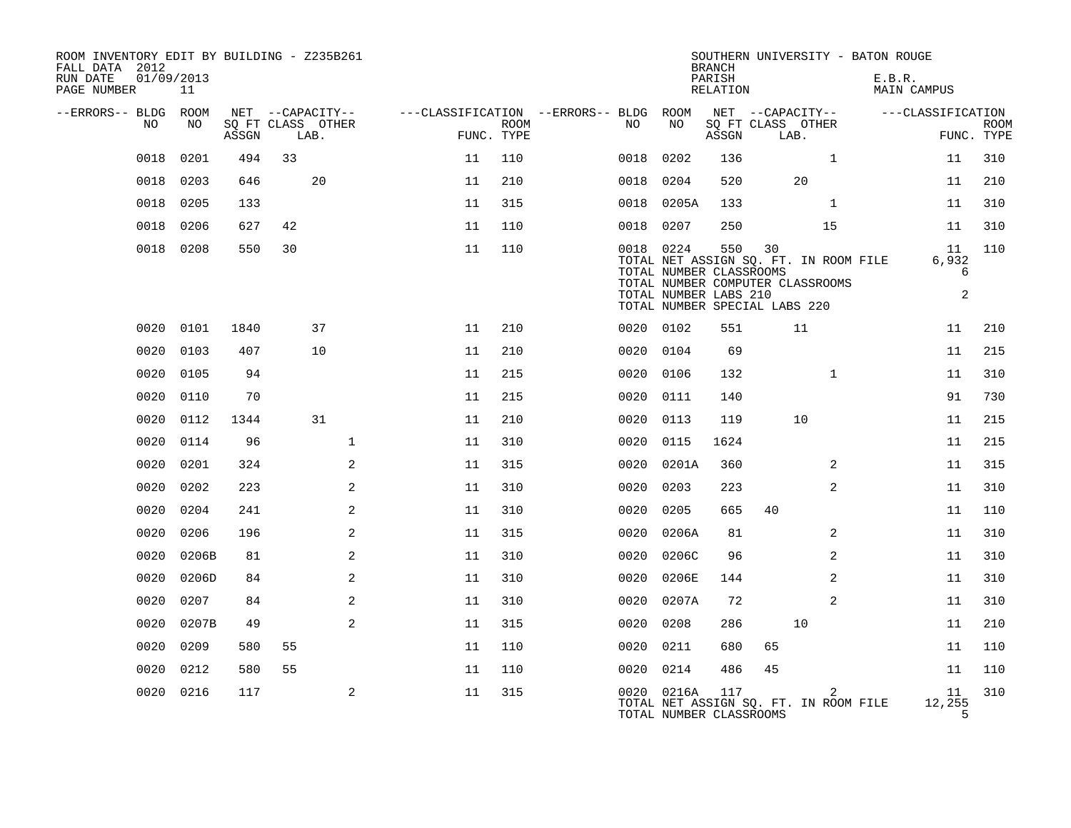| ROOM INVENTORY EDIT BY BUILDING - Z235B261<br>FALL DATA 2012<br>RUN DATE<br>PAGE NUMBER | 01/09/2013<br>11 |       |      |                   |                                        |                           |           |                                                               | <b>BRANCH</b><br>PARISH<br>RELATION |                                                                                                                  |                | SOUTHERN UNIVERSITY - BATON ROUGE<br>E.B.R.<br>MAIN CAMPUS |                                    |                           |
|-----------------------------------------------------------------------------------------|------------------|-------|------|-------------------|----------------------------------------|---------------------------|-----------|---------------------------------------------------------------|-------------------------------------|------------------------------------------------------------------------------------------------------------------|----------------|------------------------------------------------------------|------------------------------------|---------------------------|
| --ERRORS-- BLDG ROOM                                                                    |                  |       |      | NET --CAPACITY--  | ---CLASSIFICATION --ERRORS-- BLDG ROOM |                           |           |                                                               |                                     | NET --CAPACITY--                                                                                                 |                |                                                            | ---CLASSIFICATION                  |                           |
| NO                                                                                      | NO               | ASSGN | LAB. | SQ FT CLASS OTHER |                                        | <b>ROOM</b><br>FUNC. TYPE | NO        | NO                                                            | ASSGN                               | SQ FT CLASS OTHER<br>LAB.                                                                                        |                |                                                            |                                    | <b>ROOM</b><br>FUNC. TYPE |
| 0018                                                                                    | 0201             | 494   | 33   |                   | 11                                     | 110                       | 0018      | 0202                                                          | 136                                 |                                                                                                                  | $\mathbf{1}$   |                                                            | 11                                 | 310                       |
| 0018                                                                                    | 0203             | 646   |      | 20                | 11                                     | 210                       | 0018      | 0204                                                          | 520                                 | 20                                                                                                               |                |                                                            | 11                                 | 210                       |
| 0018                                                                                    | 0205             | 133   |      |                   | 11                                     | 315                       |           | 0018 0205A                                                    | 133                                 |                                                                                                                  | $\mathbf{1}$   |                                                            | 11                                 | 310                       |
| 0018                                                                                    | 0206             | 627   | 42   |                   | 11                                     | 110                       | 0018      | 0207                                                          | 250                                 |                                                                                                                  | 15             |                                                            | 11                                 | 310                       |
|                                                                                         | 0018 0208        | 550   | 30   |                   | 11                                     | 110                       |           | 0018 0224<br>TOTAL NUMBER CLASSROOMS<br>TOTAL NUMBER LABS 210 | 550                                 | 30<br>TOTAL NET ASSIGN SQ. FT. IN ROOM FILE<br>TOTAL NUMBER COMPUTER CLASSROOMS<br>TOTAL NUMBER SPECIAL LABS 220 |                |                                                            | 11<br>6,932<br>6<br>$\overline{a}$ | 110                       |
| 0020                                                                                    | 0101             | 1840  |      | 37                | 11                                     | 210                       | 0020 0102 |                                                               | 551                                 | 11                                                                                                               |                |                                                            | 11                                 | 210                       |
| 0020                                                                                    | 0103             | 407   |      | 10                | 11                                     | 210                       | 0020      | 0104                                                          | 69                                  |                                                                                                                  |                |                                                            | 11                                 | 215                       |
| 0020                                                                                    | 0105             | 94    |      |                   | 11                                     | 215                       |           | 0020 0106                                                     | 132                                 |                                                                                                                  | $\mathbf{1}$   |                                                            | 11                                 | 310                       |
| 0020                                                                                    | 0110             | 70    |      |                   | 11                                     | 215                       | 0020      | 0111                                                          | 140                                 |                                                                                                                  |                |                                                            | 91                                 | 730                       |
| 0020                                                                                    | 0112             | 1344  |      | 31                | 11                                     | 210                       |           | 0020 0113                                                     | 119                                 | 10                                                                                                               |                |                                                            | 11                                 | 215                       |
| 0020                                                                                    | 0114             | 96    |      | $\mathbf{1}$      | 11                                     | 310                       | 0020      | 0115                                                          | 1624                                |                                                                                                                  |                |                                                            | 11                                 | 215                       |
| 0020                                                                                    | 0201             | 324   |      | $\overline{a}$    | 11                                     | 315                       |           | 0020 0201A                                                    | 360                                 |                                                                                                                  | 2              |                                                            | 11                                 | 315                       |
| 0020                                                                                    | 0202             | 223   |      | 2                 | 11                                     | 310                       | 0020      | 0203                                                          | 223                                 |                                                                                                                  | $\overline{a}$ |                                                            | 11                                 | 310                       |
| 0020                                                                                    | 0204             | 241   |      | 2                 | 11                                     | 310                       | 0020      | 0205                                                          | 665                                 | 40                                                                                                               |                |                                                            | 11                                 | 110                       |
| 0020                                                                                    | 0206             | 196   |      | 2                 | 11                                     | 315                       | 0020      | 0206A                                                         | 81                                  |                                                                                                                  | 2              |                                                            | 11                                 | 310                       |
| 0020                                                                                    | 0206B            | 81    |      | 2                 | 11                                     | 310                       | 0020      | 0206C                                                         | 96                                  |                                                                                                                  | $\overline{2}$ |                                                            | 11                                 | 310                       |
| 0020                                                                                    | 0206D            | 84    |      | 2                 | 11                                     | 310                       | 0020      | 0206E                                                         | 144                                 |                                                                                                                  | 2              |                                                            | 11                                 | 310                       |
| 0020                                                                                    | 0207             | 84    |      | 2                 | 11                                     | 310                       | 0020      | 0207A                                                         | 72                                  |                                                                                                                  | 2              |                                                            | 11                                 | 310                       |
| 0020                                                                                    | 0207B            | 49    |      | 2                 | 11                                     | 315                       | 0020      | 0208                                                          | 286                                 | 10                                                                                                               |                |                                                            | 11                                 | 210                       |
| 0020                                                                                    | 0209             | 580   | 55   |                   | 11                                     | 110                       | 0020      | 0211                                                          | 680                                 | 65                                                                                                               |                |                                                            | 11                                 | 110                       |
| 0020                                                                                    | 0212             | 580   | 55   |                   | 11                                     | 110                       |           | 0020 0214                                                     | 486                                 | 45                                                                                                               |                |                                                            | 11                                 | 110                       |
| 0020                                                                                    | 0216             | 117   |      | 2                 | 11                                     | 315                       |           | 0020 0216A<br>TOTAL NUMBER CLASSROOMS                         | 117                                 | TOTAL NET ASSIGN SQ. FT. IN ROOM FILE                                                                            | $\overline{2}$ |                                                            | 11<br>12,255<br>5                  | 310                       |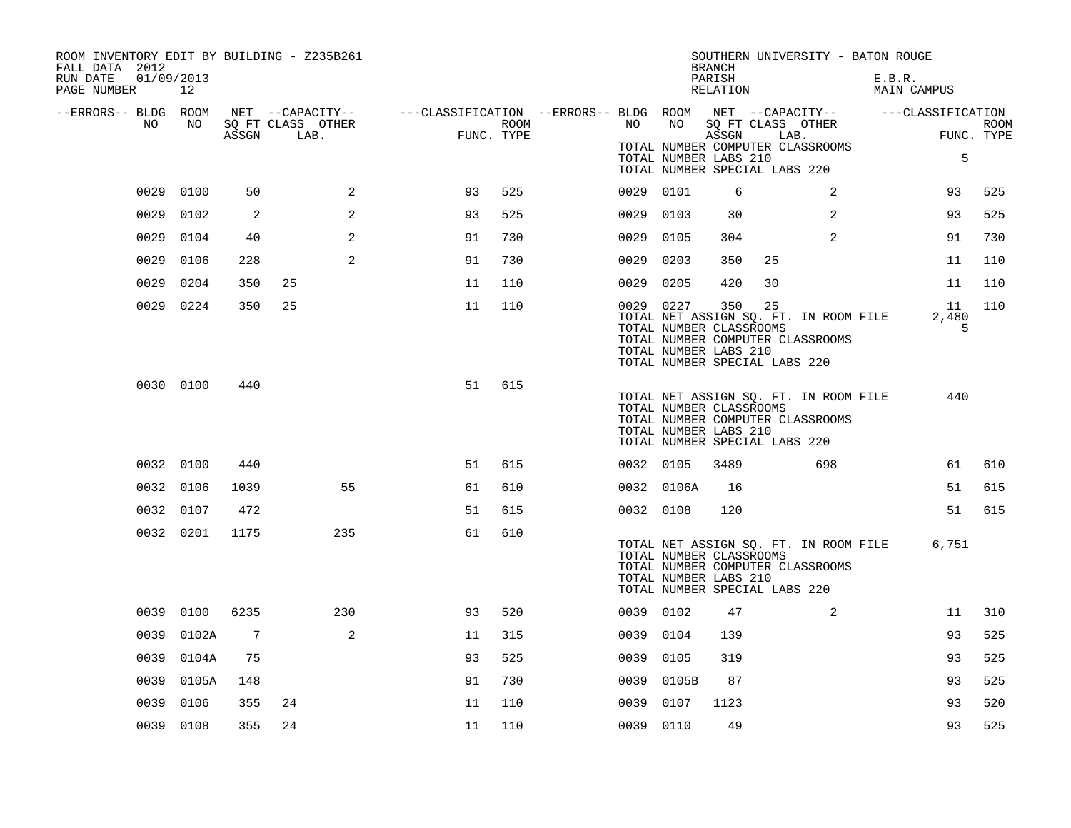| ROOM INVENTORY EDIT BY BUILDING - Z235B261<br>FALL DATA 2012<br>RUN DATE<br>01/09/2013 |            |                 |                   |                                                                                                |            |           |                                                                                   | <b>BRANCH</b>      |    | SOUTHERN UNIVERSITY - BATON ROUGE                                         |        |                  |             |
|----------------------------------------------------------------------------------------|------------|-----------------|-------------------|------------------------------------------------------------------------------------------------|------------|-----------|-----------------------------------------------------------------------------------|--------------------|----|---------------------------------------------------------------------------|--------|------------------|-------------|
| PAGE NUMBER                                                                            | 12         |                 |                   |                                                                                                |            |           |                                                                                   | PARISH<br>RELATION |    |                                                                           | E.B.R. | MAIN CAMPUS      |             |
| --ERRORS-- BLDG ROOM<br>NO                                                             | NO .       |                 | SQ FT CLASS OTHER | NET --CAPACITY-- - ---CLASSIFICATION --ERRORS-- BLDG ROOM NET --CAPACITY-- - ---CLASSIFICATION | ROOM       | NO        | NO                                                                                |                    |    | SQ FT CLASS OTHER                                                         |        |                  | <b>ROOM</b> |
|                                                                                        |            |                 | ASSGN LAB.        |                                                                                                | FUNC. TYPE |           | TOTAL NUMBER LABS 210<br>TOTAL NUMBER SPECIAL LABS 220                            | ASSGN              |    | LAB.<br>TOTAL NUMBER COMPUTER CLASSROOMS                                  |        | 5                | FUNC. TYPE  |
|                                                                                        | 0029 0100  | 50              | 2                 | 93                                                                                             | 525        | 0029 0101 |                                                                                   | 6                  |    | 2                                                                         |        | 93               | 525         |
| 0029                                                                                   | 0102       | 2               | 2                 | 93                                                                                             | 525        | 0029 0103 |                                                                                   | 30                 |    | 2                                                                         |        | 93               | 525         |
|                                                                                        | 0029 0104  | 40              | 2                 | 91                                                                                             | 730        | 0029 0105 |                                                                                   | 304                |    | $\overline{2}$                                                            |        | 91               | 730         |
|                                                                                        | 0029 0106  | 228             | 2                 | 91                                                                                             | 730        | 0029 0203 |                                                                                   | 350                | 25 |                                                                           |        | 11               | 110         |
|                                                                                        | 0029 0204  | 350             | 25                | 11                                                                                             | 110        | 0029 0205 |                                                                                   | 420                | 30 |                                                                           |        | 11               | 110         |
|                                                                                        | 0029 0224  | 350             | 25                | 11                                                                                             | 110        | 0029 0227 | TOTAL NUMBER CLASSROOMS<br>TOTAL NUMBER LABS 210<br>TOTAL NUMBER SPECIAL LABS 220 | 350                | 25 | TOTAL NET ASSIGN SQ. FT. IN ROOM FILE<br>TOTAL NUMBER COMPUTER CLASSROOMS |        | 11<br>2,480<br>5 | 110         |
|                                                                                        | 0030 0100  | 440             |                   | 51                                                                                             | 615        |           | TOTAL NUMBER CLASSROOMS<br>TOTAL NUMBER LABS 210<br>TOTAL NUMBER SPECIAL LABS 220 |                    |    | TOTAL NET ASSIGN SQ. FT. IN ROOM FILE<br>TOTAL NUMBER COMPUTER CLASSROOMS |        | 440              |             |
|                                                                                        | 0032 0100  | 440             |                   | 51                                                                                             | 615        | 0032 0105 |                                                                                   | 3489               |    | 698                                                                       |        | 61               | 610         |
|                                                                                        | 0032 0106  | 1039            | 55                | 61                                                                                             | 610        |           | 0032 0106A                                                                        | 16                 |    |                                                                           |        | 51               | 615         |
|                                                                                        | 0032 0107  | 472             |                   | 51                                                                                             | 615        | 0032 0108 |                                                                                   | 120                |    |                                                                           |        | 51               | 615         |
|                                                                                        | 0032 0201  | 1175            | 235               | 61                                                                                             | 610        |           | TOTAL NUMBER CLASSROOMS<br>TOTAL NUMBER LABS 210<br>TOTAL NUMBER SPECIAL LABS 220 |                    |    | TOTAL NET ASSIGN SQ. FT. IN ROOM FILE<br>TOTAL NUMBER COMPUTER CLASSROOMS |        | 6,751            |             |
|                                                                                        | 0039 0100  | 6235            | 230               | 93                                                                                             | 520        | 0039 0102 |                                                                                   | 47                 |    | 2                                                                         |        | 11               | 310         |
|                                                                                        | 0039 0102A | $7\phantom{.0}$ | 2                 | 11                                                                                             | 315        | 0039 0104 |                                                                                   | 139                |    |                                                                           |        | 93               | 525         |
|                                                                                        | 0039 0104A | 75              |                   | 93                                                                                             | 525        | 0039 0105 |                                                                                   | 319                |    |                                                                           |        | 93               | 525         |
|                                                                                        | 0039 0105A | 148             |                   | 91                                                                                             | 730        |           | 0039 0105B                                                                        | 87                 |    |                                                                           |        | 93               | 525         |
| 0039                                                                                   | 0106       | 355             | 24                | 11                                                                                             | 110        | 0039 0107 |                                                                                   | 1123               |    |                                                                           |        | 93               | 520         |
|                                                                                        | 0039 0108  | 355             | 24                | 11                                                                                             | 110        | 0039 0110 |                                                                                   | 49                 |    |                                                                           |        | 93               | 525         |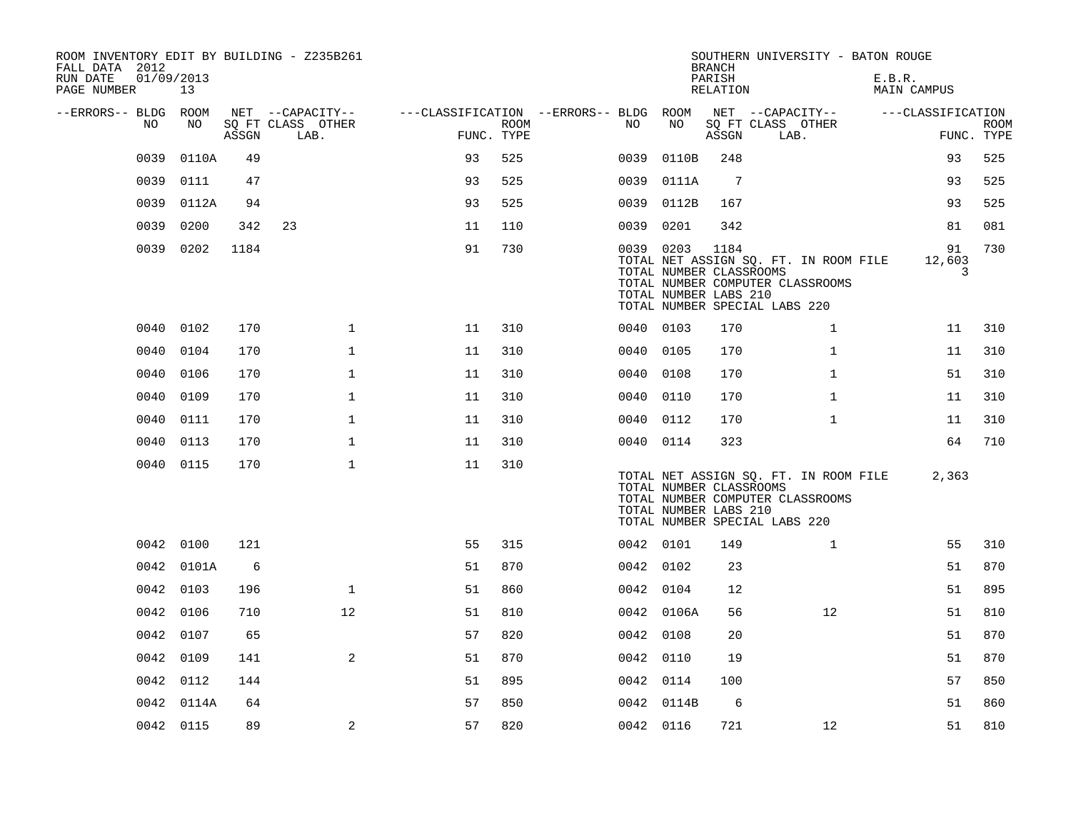| ROOM INVENTORY EDIT BY BUILDING - Z235B261<br>FALL DATA 2012 |                  |       |                           |                                        |             |           |            | <b>BRANCH</b>                                            | SOUTHERN UNIVERSITY - BATON ROUGE                                                                          |                       |                           |
|--------------------------------------------------------------|------------------|-------|---------------------------|----------------------------------------|-------------|-----------|------------|----------------------------------------------------------|------------------------------------------------------------------------------------------------------------|-----------------------|---------------------------|
| RUN DATE<br>PAGE NUMBER                                      | 01/09/2013<br>13 |       |                           |                                        |             |           |            | PARISH<br>RELATION                                       |                                                                                                            | E.B.R.<br>MAIN CAMPUS |                           |
| --ERRORS-- BLDG ROOM                                         |                  |       | NET --CAPACITY--          | ---CLASSIFICATION --ERRORS-- BLDG ROOM |             |           | NO         |                                                          | NET --CAPACITY--                                                                                           | ---CLASSIFICATION     |                           |
| NO                                                           | NO               | ASSGN | SQ FT CLASS OTHER<br>LAB. | FUNC. TYPE                             | <b>ROOM</b> | NO        |            | ASSGN                                                    | SQ FT CLASS OTHER<br>LAB.                                                                                  |                       | <b>ROOM</b><br>FUNC. TYPE |
| 0039                                                         | 0110A            | 49    |                           | 93                                     | 525         | 0039      | 0110B      | 248                                                      |                                                                                                            | 93                    | 525                       |
| 0039                                                         | 0111             | 47    |                           | 93                                     | 525         | 0039      | 0111A      | $7\phantom{.0}$                                          |                                                                                                            | 93                    | 525                       |
| 0039                                                         | 0112A            | 94    |                           | 93                                     | 525         | 0039      | 0112B      | 167                                                      |                                                                                                            | 93                    | 525                       |
| 0039                                                         | 0200             | 342   | 23                        | 11                                     | 110         | 0039      | 0201       | 342                                                      |                                                                                                            | 81                    | 081                       |
| 0039                                                         | 0202             | 1184  |                           | 91                                     | 730         |           | 0039 0203  | 1184<br>TOTAL NUMBER CLASSROOMS<br>TOTAL NUMBER LABS 210 | TOTAL NET ASSIGN SQ. FT. IN ROOM FILE<br>TOTAL NUMBER COMPUTER CLASSROOMS<br>TOTAL NUMBER SPECIAL LABS 220 | 91<br>12,603<br>3     | 730                       |
| 0040                                                         | 0102             | 170   | $\mathbf 1$               | 11                                     | 310         | 0040 0103 |            | 170                                                      | $\mathbf{1}$                                                                                               | 11                    | 310                       |
| 0040                                                         | 0104             | 170   | $\mathbf 1$               | 11                                     | 310         | 0040      | 0105       | 170                                                      | $\mathbf{1}$                                                                                               | 11                    | 310                       |
| 0040                                                         | 0106             | 170   | $\mathbf{1}$              | 11                                     | 310         | 0040 0108 |            | 170                                                      | $\mathbf{1}$                                                                                               | 51                    | 310                       |
| 0040                                                         | 0109             | 170   | $\mathbf{1}$              | 11                                     | 310         | 0040      | 0110       | 170                                                      | $\mathbf{1}$                                                                                               | 11                    | 310                       |
| 0040                                                         | 0111             | 170   | $\mathbf 1$               | 11                                     | 310         | 0040 0112 |            | 170                                                      | $\mathbf{1}$                                                                                               | 11                    | 310                       |
| 0040                                                         | 0113             | 170   | $\mathbf{1}$              | 11                                     | 310         | 0040 0114 |            | 323                                                      |                                                                                                            | 64                    | 710                       |
|                                                              | 0040 0115        | 170   | $\mathbf 1$               | 11                                     | 310         |           |            | TOTAL NUMBER CLASSROOMS<br>TOTAL NUMBER LABS 210         | TOTAL NET ASSIGN SQ. FT. IN ROOM FILE<br>TOTAL NUMBER COMPUTER CLASSROOMS<br>TOTAL NUMBER SPECIAL LABS 220 | 2,363                 |                           |
|                                                              | 0042 0100        | 121   |                           | 55                                     | 315         | 0042 0101 |            | 149                                                      | $\mathbf{1}$                                                                                               | 55                    | 310                       |
|                                                              | 0042 0101A       | 6     |                           | 51                                     | 870         | 0042 0102 |            | 23                                                       |                                                                                                            | 51                    | 870                       |
|                                                              | 0042 0103        | 196   | $\mathbf{1}$              | 51                                     | 860         | 0042 0104 |            | 12                                                       |                                                                                                            | 51                    | 895                       |
|                                                              | 0042 0106        | 710   | 12                        | 51                                     | 810         |           | 0042 0106A | 56                                                       | 12                                                                                                         | 51                    | 810                       |
| 0042                                                         | 0107             | 65    |                           | 57                                     | 820         | 0042      | 0108       | 20                                                       |                                                                                                            | 51                    | 870                       |
| 0042                                                         | 0109             | 141   | $\overline{a}$            | 51                                     | 870         | 0042 0110 |            | 19                                                       |                                                                                                            | 51                    | 870                       |
|                                                              | 0042 0112        | 144   |                           | 51                                     | 895         | 0042 0114 |            | 100                                                      |                                                                                                            | 57                    | 850                       |
|                                                              | 0042 0114A       | 64    |                           | 57                                     | 850         |           | 0042 0114B | 6                                                        |                                                                                                            | 51                    | 860                       |
|                                                              | 0042 0115        | 89    | 2                         | 57                                     | 820         | 0042 0116 |            | 721                                                      | 12                                                                                                         | 51                    | 810                       |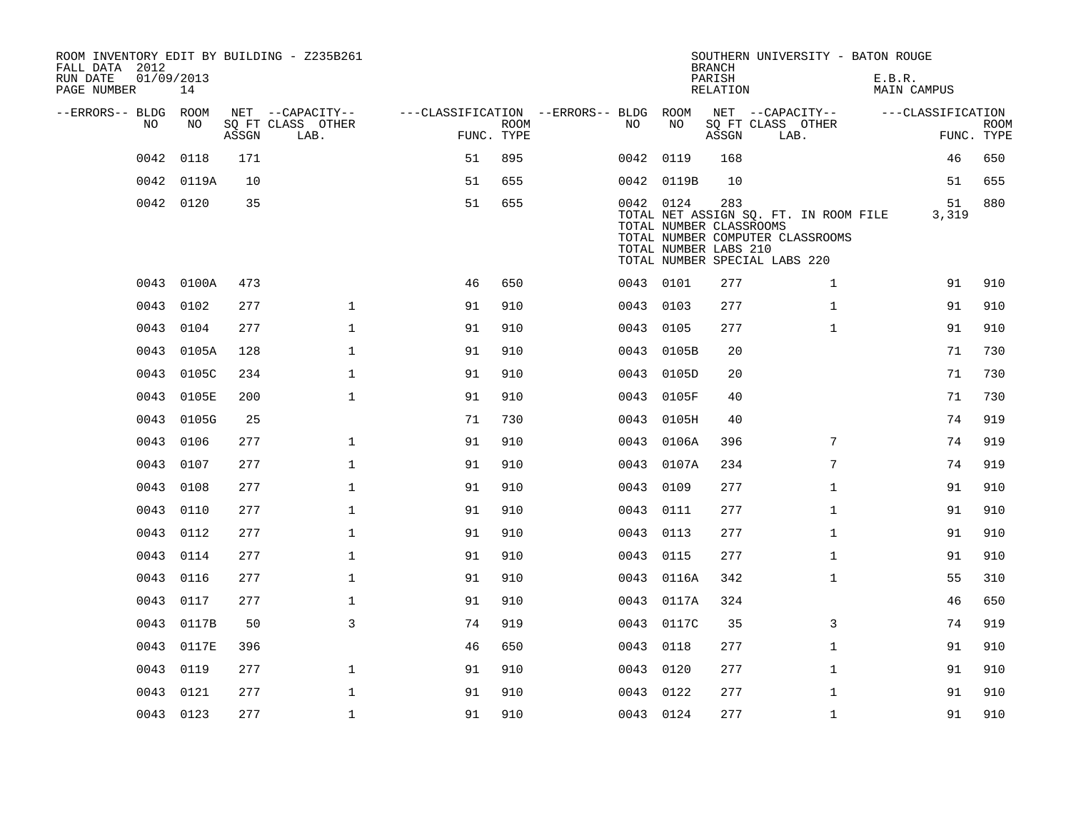| ROOM INVENTORY EDIT BY BUILDING - Z235B261<br>FALL DATA 2012<br>RUN DATE | 01/09/2013 |       |                           |                                        |                           |           |            | <b>BRANCH</b><br>PARISH                                 | SOUTHERN UNIVERSITY - BATON ROUGE                                                                          | E.B.R.             |                           |
|--------------------------------------------------------------------------|------------|-------|---------------------------|----------------------------------------|---------------------------|-----------|------------|---------------------------------------------------------|------------------------------------------------------------------------------------------------------------|--------------------|---------------------------|
| PAGE NUMBER                                                              | 14         |       |                           |                                        |                           |           |            | RELATION                                                |                                                                                                            | <b>MAIN CAMPUS</b> |                           |
| --ERRORS-- BLDG ROOM                                                     |            |       | NET --CAPACITY--          | ---CLASSIFICATION --ERRORS-- BLDG ROOM |                           |           |            |                                                         | NET --CAPACITY--                                                                                           | ---CLASSIFICATION  |                           |
| NO                                                                       | NO         | ASSGN | SQ FT CLASS OTHER<br>LAB. |                                        | <b>ROOM</b><br>FUNC. TYPE | NO.       | NO         | ASSGN                                                   | SQ FT CLASS OTHER<br>LAB.                                                                                  |                    | <b>ROOM</b><br>FUNC. TYPE |
| 0042                                                                     | 0118       | 171   |                           | 51                                     | 895                       | 0042      | 0119       | 168                                                     |                                                                                                            | 46                 | 650                       |
| 0042                                                                     | 0119A      | 10    |                           | 51                                     | 655                       |           | 0042 0119B | 10                                                      |                                                                                                            | 51                 | 655                       |
|                                                                          | 0042 0120  | 35    |                           | 51                                     | 655                       | 0042 0124 |            | 283<br>TOTAL NUMBER CLASSROOMS<br>TOTAL NUMBER LABS 210 | TOTAL NET ASSIGN SQ. FT. IN ROOM FILE<br>TOTAL NUMBER COMPUTER CLASSROOMS<br>TOTAL NUMBER SPECIAL LABS 220 | 51<br>3,319        | 880                       |
|                                                                          | 0043 0100A | 473   |                           | 46                                     | 650                       | 0043 0101 |            | 277                                                     | $\mathbf{1}$                                                                                               | 91                 | 910                       |
| 0043                                                                     | 0102       | 277   | $\mathbf{1}$              | 91                                     | 910                       | 0043      | 0103       | 277                                                     | $\mathbf{1}$                                                                                               | 91                 | 910                       |
|                                                                          | 0043 0104  | 277   | $\mathbf 1$               | 91                                     | 910                       | 0043 0105 |            | 277                                                     | $\mathbf{1}$                                                                                               | 91                 | 910                       |
| 0043                                                                     | 0105A      | 128   | $\mathbf{1}$              | 91                                     | 910                       | 0043      | 0105B      | 20                                                      |                                                                                                            | 71                 | 730                       |
| 0043                                                                     | 0105C      | 234   | $\mathbf 1$               | 91                                     | 910                       |           | 0043 0105D | 20                                                      |                                                                                                            | 71                 | 730                       |
| 0043                                                                     | 0105E      | 200   | $\mathbf{1}$              | 91                                     | 910                       | 0043      | 0105F      | 40                                                      |                                                                                                            | 71                 | 730                       |
|                                                                          | 0043 0105G | 25    |                           | 71                                     | 730                       |           | 0043 0105H | 40                                                      |                                                                                                            | 74                 | 919                       |
| 0043                                                                     | 0106       | 277   | $\mathbf{1}$              | 91                                     | 910                       | 0043      | 0106A      | 396                                                     | $7\phantom{.0}$                                                                                            | 74                 | 919                       |
| 0043                                                                     | 0107       | 277   | $\mathbf 1$               | 91                                     | 910                       |           | 0043 0107A | 234                                                     | 7                                                                                                          | 74                 | 919                       |
| 0043                                                                     | 0108       | 277   | $\mathbf{1}$              | 91                                     | 910                       | 0043      | 0109       | 277                                                     | $\mathbf{1}$                                                                                               | 91                 | 910                       |
| 0043                                                                     | 0110       | 277   | $\mathbf 1$               | 91                                     | 910                       | 0043 0111 |            | 277                                                     | $\mathbf{1}$                                                                                               | 91                 | 910                       |
| 0043                                                                     | 0112       | 277   | $\mathbf{1}$              | 91                                     | 910                       | 0043      | 0113       | 277                                                     | $\mathbf{1}$                                                                                               | 91                 | 910                       |
| 0043                                                                     | 0114       | 277   | $\mathbf 1$               | 91                                     | 910                       | 0043 0115 |            | 277                                                     | $\mathbf{1}$                                                                                               | 91                 | 910                       |
| 0043                                                                     | 0116       | 277   | $\mathbf{1}$              | 91                                     | 910                       | 0043      | 0116A      | 342                                                     | $\mathbf{1}$                                                                                               | 55                 | 310                       |
| 0043                                                                     | 0117       | 277   | $\mathbf 1$               | 91                                     | 910                       |           | 0043 0117A | 324                                                     |                                                                                                            | 46                 | 650                       |
| 0043                                                                     | 0117B      | 50    | 3                         | 74                                     | 919                       |           | 0043 0117C | 35                                                      | 3                                                                                                          | 74                 | 919                       |
| 0043                                                                     | 0117E      | 396   |                           | 46                                     | 650                       | 0043 0118 |            | 277                                                     | $\mathbf{1}$                                                                                               | 91                 | 910                       |
| 0043                                                                     | 0119       | 277   | $\mathbf 1$               | 91                                     | 910                       | 0043      | 0120       | 277                                                     | $\mathbf{1}$                                                                                               | 91                 | 910                       |
| 0043                                                                     | 0121       | 277   | $\mathbf{1}$              | 91                                     | 910                       | 0043      | 0122       | 277                                                     | $\mathbf{1}$                                                                                               | 91                 | 910                       |
|                                                                          | 0043 0123  | 277   | $\mathbf{1}$              | 91                                     | 910                       | 0043 0124 |            | 277                                                     | $\mathbf{1}$                                                                                               | 91                 | 910                       |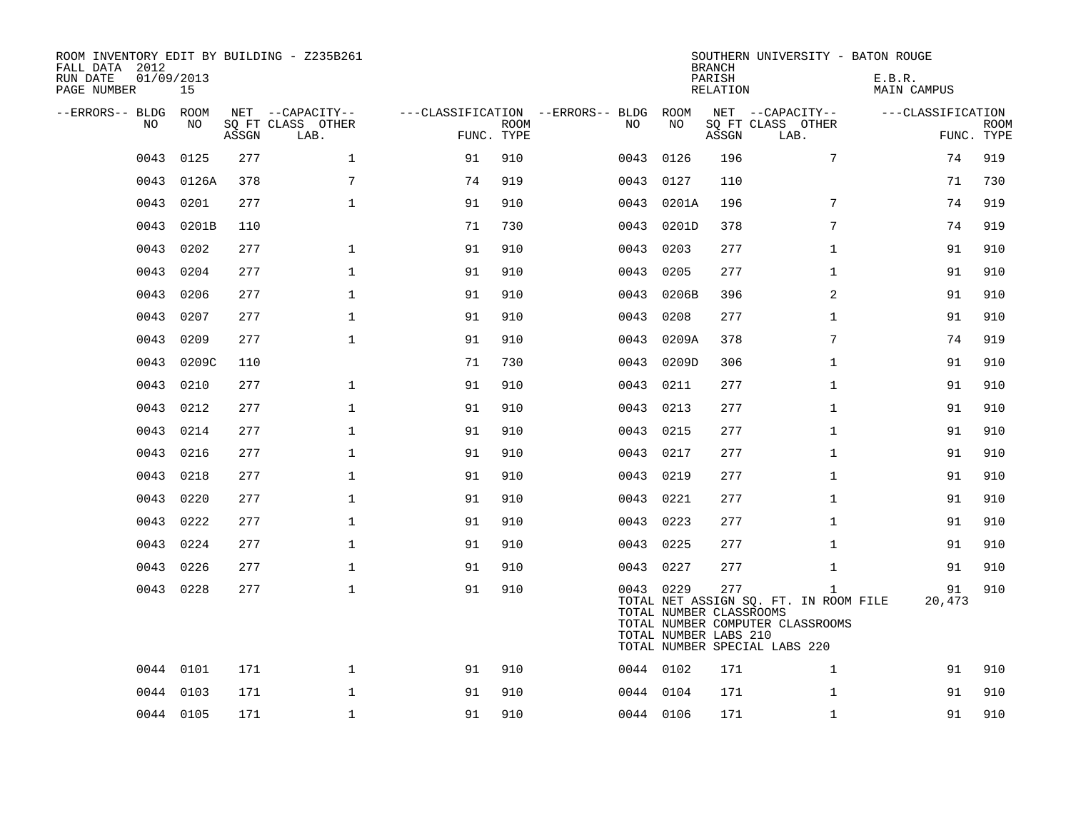| ROOM INVENTORY EDIT BY BUILDING - Z235B261<br>FALL DATA 2012<br>RUN DATE<br>PAGE NUMBER | 01/09/2013<br>15 |       |                           |                                        |             |           |                                                  | <b>BRANCH</b><br>PARISH<br>RELATION | SOUTHERN UNIVERSITY - BATON ROUGE                                                                                          | E.B.R.<br>MAIN CAMPUS |                           |
|-----------------------------------------------------------------------------------------|------------------|-------|---------------------------|----------------------------------------|-------------|-----------|--------------------------------------------------|-------------------------------------|----------------------------------------------------------------------------------------------------------------------------|-----------------------|---------------------------|
| --ERRORS-- BLDG ROOM                                                                    |                  |       | NET --CAPACITY--          | ---CLASSIFICATION --ERRORS-- BLDG ROOM |             |           |                                                  |                                     | NET --CAPACITY--                                                                                                           | ---CLASSIFICATION     |                           |
| NO.                                                                                     | NO.              | ASSGN | SO FT CLASS OTHER<br>LAB. | FUNC. TYPE                             | <b>ROOM</b> | NO.       | NO                                               | ASSGN                               | SQ FT CLASS OTHER<br>LAB.                                                                                                  |                       | <b>ROOM</b><br>FUNC. TYPE |
| 0043                                                                                    | 0125             | 277   | $\mathbf{1}$              | 91                                     | 910         | 0043      | 0126                                             | 196                                 | $7\phantom{.0}$                                                                                                            | 74                    | 919                       |
| 0043                                                                                    | 0126A            | 378   | 7                         | 74                                     | 919         | 0043      | 0127                                             | 110                                 |                                                                                                                            | 71                    | 730                       |
| 0043                                                                                    | 0201             | 277   | $\mathbf 1$               | 91                                     | 910         | 0043      | 0201A                                            | 196                                 | $7\phantom{.0}$                                                                                                            | 74                    | 919                       |
| 0043                                                                                    | 0201B            | 110   |                           | 71                                     | 730         | 0043      | 0201D                                            | 378                                 | $7\phantom{.}$                                                                                                             | 74                    | 919                       |
| 0043                                                                                    | 0202             | 277   | $\mathbf{1}$              | 91                                     | 910         | 0043      | 0203                                             | 277                                 | $\mathbf{1}$                                                                                                               | 91                    | 910                       |
| 0043                                                                                    | 0204             | 277   | $\mathbf{1}$              | 91                                     | 910         | 0043      | 0205                                             | 277                                 | $\mathbf{1}$                                                                                                               | 91                    | 910                       |
| 0043                                                                                    | 0206             | 277   | $\mathbf 1$               | 91                                     | 910         | 0043      | 0206B                                            | 396                                 | 2                                                                                                                          | 91                    | 910                       |
| 0043                                                                                    | 0207             | 277   | $\mathbf{1}$              | 91                                     | 910         | 0043      | 0208                                             | 277                                 | $\mathbf{1}$                                                                                                               | 91                    | 910                       |
| 0043                                                                                    | 0209             | 277   | $\mathbf{1}$              | 91                                     | 910         | 0043      | 0209A                                            | 378                                 | 7                                                                                                                          | 74                    | 919                       |
| 0043                                                                                    | 0209C            | 110   |                           | 71                                     | 730         | 0043      | 0209D                                            | 306                                 | $\mathbf{1}$                                                                                                               | 91                    | 910                       |
| 0043                                                                                    | 0210             | 277   | $\mathbf 1$               | 91                                     | 910         | 0043      | 0211                                             | 277                                 | $\mathbf{1}$                                                                                                               | 91                    | 910                       |
| 0043                                                                                    | 0212             | 277   | $\mathbf{1}$              | 91                                     | 910         | 0043      | 0213                                             | 277                                 | $\mathbf{1}$                                                                                                               | 91                    | 910                       |
| 0043                                                                                    | 0214             | 277   | $\mathbf 1$               | 91                                     | 910         | 0043      | 0215                                             | 277                                 | $\mathbf{1}$                                                                                                               | 91                    | 910                       |
| 0043                                                                                    | 0216             | 277   | $\mathbf 1$               | 91                                     | 910         | 0043      | 0217                                             | 277                                 | $\mathbf{1}$                                                                                                               | 91                    | 910                       |
| 0043                                                                                    | 0218             | 277   | $\mathbf{1}$              | 91                                     | 910         | 0043 0219 |                                                  | 277                                 | $\mathbf{1}$                                                                                                               | 91                    | 910                       |
| 0043                                                                                    | 0220             | 277   | $\mathbf 1$               | 91                                     | 910         | 0043      | 0221                                             | 277                                 | $\mathbf{1}$                                                                                                               | 91                    | 910                       |
| 0043                                                                                    | 0222             | 277   | $\mathbf{1}$              | 91                                     | 910         | 0043 0223 |                                                  | 277                                 | $\mathbf{1}$                                                                                                               | 91                    | 910                       |
| 0043                                                                                    | 0224             | 277   | $\mathbf 1$               | 91                                     | 910         | 0043 0225 |                                                  | 277                                 | $\mathbf{1}$                                                                                                               | 91                    | 910                       |
|                                                                                         | 0043 0226        | 277   | $\mathbf{1}$              | 91                                     | 910         | 0043 0227 |                                                  | 277                                 | $\mathbf{1}$                                                                                                               | 91                    | 910                       |
|                                                                                         | 0043 0228        | 277   | $\mathbf{1}$              | 91                                     | 910         | 0043 0229 | TOTAL NUMBER CLASSROOMS<br>TOTAL NUMBER LABS 210 | 277                                 | $\mathbf{1}$<br>TOTAL NET ASSIGN SQ. FT. IN ROOM FILE<br>TOTAL NUMBER COMPUTER CLASSROOMS<br>TOTAL NUMBER SPECIAL LABS 220 | 91<br>20,473          | 910                       |
|                                                                                         | 0044 0101        | 171   | $\mathbf{1}$              | 91                                     | 910         | 0044 0102 |                                                  | 171                                 | $\mathbf{1}$                                                                                                               | 91                    | 910                       |
|                                                                                         | 0044 0103        | 171   | $\mathbf{1}$              | 91                                     | 910         | 0044 0104 |                                                  | 171                                 | $\mathbf{1}$                                                                                                               | 91                    | 910                       |
|                                                                                         | 0044 0105        | 171   | $\mathbf{1}$              | 91                                     | 910         | 0044 0106 |                                                  | 171                                 | $\mathbf{1}$                                                                                                               | 91                    | 910                       |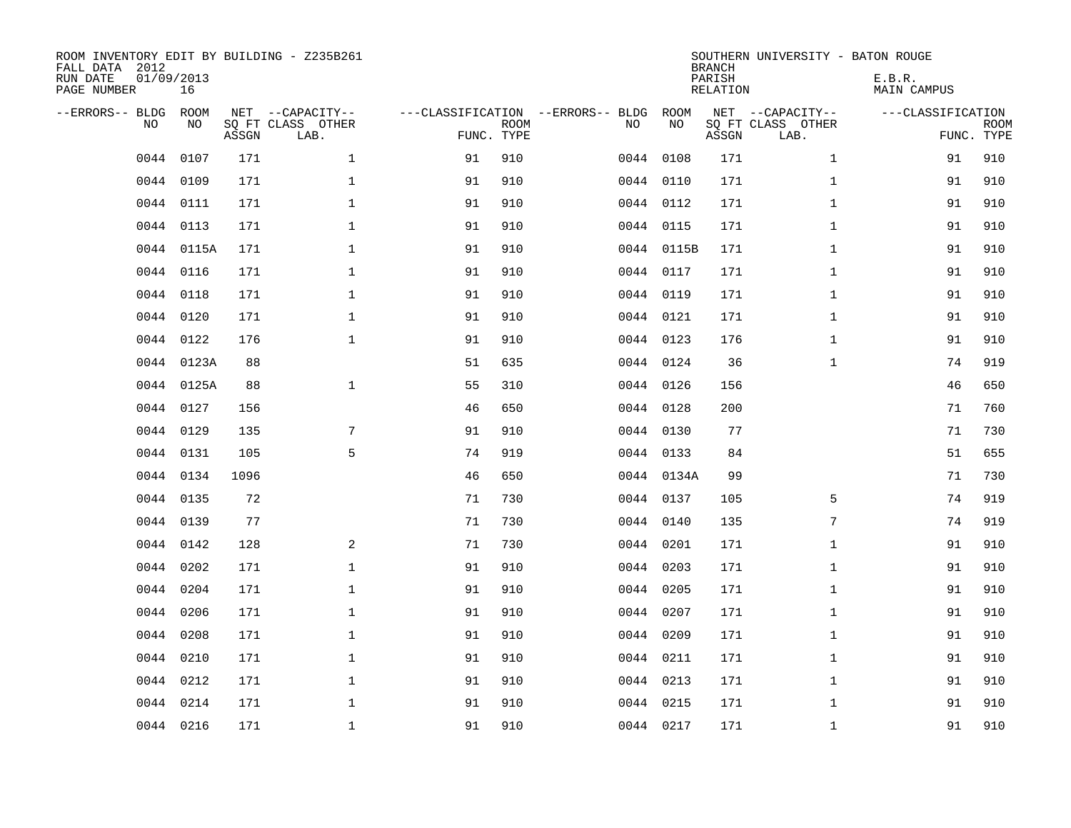| FALL DATA 2012<br>RUN DATE<br>PAGE NUMBER | 01/09/2013 | 16          |       | ROOM INVENTORY EDIT BY BUILDING - Z235B261    |                                                 |             |           |            | <b>BRANCH</b><br>PARISH<br>RELATION | SOUTHERN UNIVERSITY - BATON ROUGE             | E.B.R.<br><b>MAIN CAMPUS</b> |                           |
|-------------------------------------------|------------|-------------|-------|-----------------------------------------------|-------------------------------------------------|-------------|-----------|------------|-------------------------------------|-----------------------------------------------|------------------------------|---------------------------|
| --ERRORS-- BLDG                           | <b>NO</b>  | ROOM<br>NO. | ASSGN | NET --CAPACITY--<br>SQ FT CLASS OTHER<br>LAB. | ---CLASSIFICATION --ERRORS-- BLDG<br>FUNC. TYPE | <b>ROOM</b> | NO        | ROOM<br>NO | ASSGN                               | NET --CAPACITY--<br>SQ FT CLASS OTHER<br>LAB. | ---CLASSIFICATION            | <b>ROOM</b><br>FUNC. TYPE |
|                                           | 0044       | 0107        | 171   | $\mathbf{1}$                                  | 91                                              | 910         | 0044      | 0108       | 171                                 | $\mathbf{1}$                                  | 91                           | 910                       |
|                                           | 0044       | 0109        | 171   | $\mathbf 1$                                   | 91                                              | 910         |           | 0044 0110  | 171                                 | $\mathbf{1}$                                  | 91                           | 910                       |
|                                           | 0044       | 0111        | 171   | $\mathbf{1}$                                  | 91                                              | 910         |           | 0044 0112  | 171                                 | $\mathbf{1}$                                  | 91                           | 910                       |
|                                           | 0044 0113  |             | 171   | $\mathbf{1}$                                  | 91                                              | 910         |           | 0044 0115  | 171                                 | $\mathbf{1}$                                  | 91                           | 910                       |
|                                           | 0044       | 0115A       | 171   | $\mathbf{1}$                                  | 91                                              | 910         |           | 0044 0115B | 171                                 | $\mathbf{1}$                                  | 91                           | 910                       |
|                                           | 0044 0116  |             | 171   | $\mathbf 1$                                   | 91                                              | 910         |           | 0044 0117  | 171                                 | $\mathbf{1}$                                  | 91                           | 910                       |
|                                           | 0044       | 0118        | 171   | $\mathbf 1$                                   | 91                                              | 910         | 0044 0119 |            | 171                                 | $\mathbf{1}$                                  | 91                           | 910                       |
|                                           | 0044 0120  |             | 171   | $\mathbf 1$                                   | 91                                              | 910         |           | 0044 0121  | 171                                 | $\mathbf{1}$                                  | 91                           | 910                       |
|                                           | 0044       | 0122        | 176   | $\mathbf 1$                                   | 91                                              | 910         |           | 0044 0123  | 176                                 | $\mathbf{1}$                                  | 91                           | 910                       |
|                                           |            | 0044 0123A  | 88    |                                               | 51                                              | 635         |           | 0044 0124  | 36                                  | $\mathbf{1}$                                  | 74                           | 919                       |
|                                           |            | 0044 0125A  | 88    | $\mathbf 1$                                   | 55                                              | 310         |           | 0044 0126  | 156                                 |                                               | 46                           | 650                       |
|                                           | 0044 0127  |             | 156   |                                               | 46                                              | 650         |           | 0044 0128  | 200                                 |                                               | 71                           | 760                       |
|                                           | 0044       | 0129        | 135   | 7                                             | 91                                              | 910         |           | 0044 0130  | 77                                  |                                               | 71                           | 730                       |
|                                           | 0044       | 0131        | 105   | 5                                             | 74                                              | 919         |           | 0044 0133  | 84                                  |                                               | 51                           | 655                       |
|                                           | 0044       | 0134        | 1096  |                                               | 46                                              | 650         |           | 0044 0134A | 99                                  |                                               | 71                           | 730                       |
|                                           | 0044       | 0135        | 72    |                                               | 71                                              | 730         | 0044 0137 |            | 105                                 | 5                                             | 74                           | 919                       |
|                                           | 0044 0139  |             | 77    |                                               | 71                                              | 730         | 0044 0140 |            | 135                                 | 7                                             | 74                           | 919                       |
|                                           | 0044       | 0142        | 128   | 2                                             | 71                                              | 730         |           | 0044 0201  | 171                                 | $\mathbf{1}$                                  | 91                           | 910                       |
|                                           | 0044       | 0202        | 171   | $\mathbf 1$                                   | 91                                              | 910         | 0044 0203 |            | 171                                 | $\mathbf{1}$                                  | 91                           | 910                       |
|                                           | 0044       | 0204        | 171   | $\mathbf 1$                                   | 91                                              | 910         | 0044 0205 |            | 171                                 | $\mathbf{1}$                                  | 91                           | 910                       |
|                                           | 0044       | 0206        | 171   | $\mathbf 1$                                   | 91                                              | 910         |           | 0044 0207  | 171                                 | $\mathbf{1}$                                  | 91                           | 910                       |
|                                           | 0044       | 0208        | 171   | $\mathbf 1$                                   | 91                                              | 910         | 0044 0209 |            | 171                                 | $\mathbf{1}$                                  | 91                           | 910                       |
|                                           | 0044       | 0210        | 171   | $\mathbf{1}$                                  | 91                                              | 910         | 0044 0211 |            | 171                                 | $\mathbf{1}$                                  | 91                           | 910                       |
|                                           | 0044       | 0212        | 171   | $\mathbf{1}$                                  | 91                                              | 910         | 0044 0213 |            | 171                                 | $\mathbf{1}$                                  | 91                           | 910                       |
|                                           | 0044       | 0214        | 171   | $\mathbf 1$                                   | 91                                              | 910         |           | 0044 0215  | 171                                 | $\mathbf{1}$                                  | 91                           | 910                       |
|                                           | 0044 0216  |             | 171   | $\mathbf{1}$                                  | 91                                              | 910         | 0044 0217 |            | 171                                 | $\mathbf{1}$                                  | 91                           | 910                       |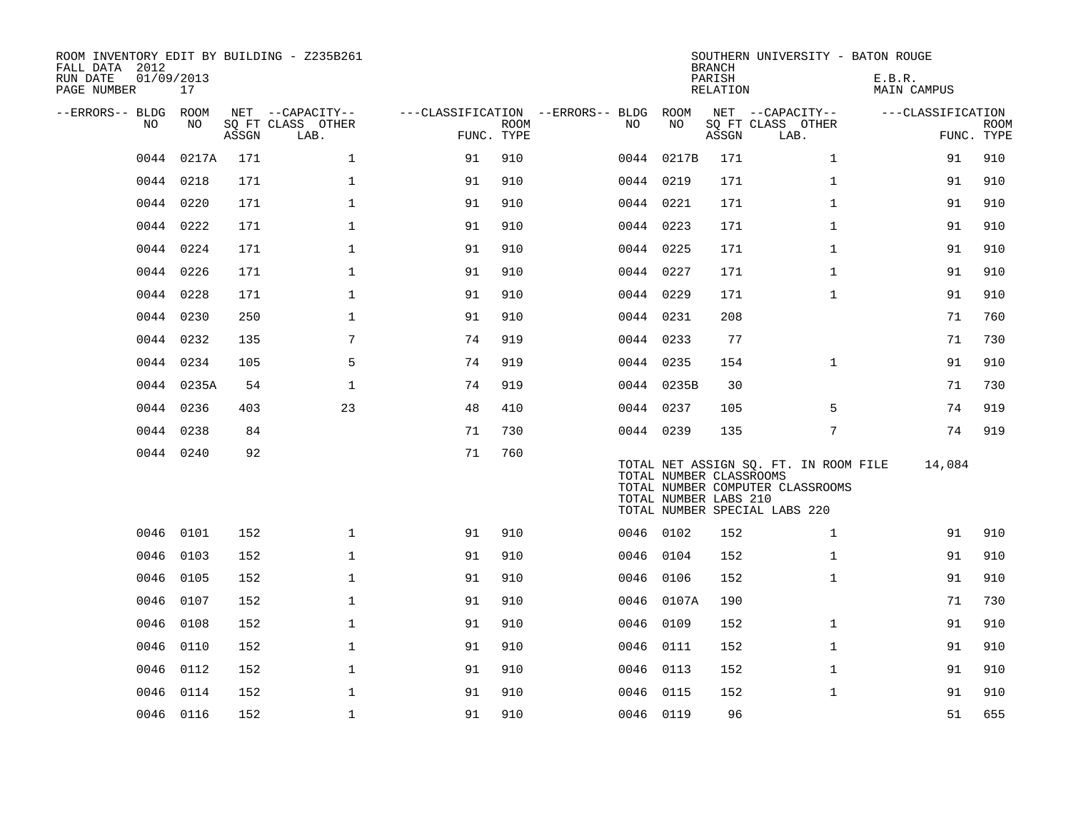| ROOM INVENTORY EDIT BY BUILDING - Z235B261<br>FALL DATA 2012<br>RUN DATE<br>PAGE NUMBER | 01/09/2013<br>17 |       |                           |            |             |                                        |            | <b>BRANCH</b><br>PARISH<br>RELATION              | SOUTHERN UNIVERSITY - BATON ROUGE                                                                          | E.B.R.<br>MAIN CAMPUS |             |
|-----------------------------------------------------------------------------------------|------------------|-------|---------------------------|------------|-------------|----------------------------------------|------------|--------------------------------------------------|------------------------------------------------------------------------------------------------------------|-----------------------|-------------|
| --ERRORS-- BLDG ROOM                                                                    |                  |       | NET --CAPACITY--          |            |             | ---CLASSIFICATION --ERRORS-- BLDG ROOM |            |                                                  | NET --CAPACITY--                                                                                           | ---CLASSIFICATION     |             |
| NO                                                                                      | NO.              | ASSGN | SO FT CLASS OTHER<br>LAB. | FUNC. TYPE | <b>ROOM</b> | NO                                     | NO         | ASSGN                                            | SQ FT CLASS OTHER<br>LAB.                                                                                  | FUNC. TYPE            | <b>ROOM</b> |
| 0044                                                                                    | 0217A            | 171   | $\mathbf{1}$              | 91         | 910         |                                        | 0044 0217B | 171                                              | $\mathbf{1}$                                                                                               | 91                    | 910         |
|                                                                                         | 0044 0218        | 171   | $\mathbf{1}$              | 91         | 910         |                                        | 0044 0219  | 171                                              | $\mathbf{1}$                                                                                               | 91                    | 910         |
|                                                                                         | 0044 0220        | 171   | $\mathbf 1$               | 91         | 910         |                                        | 0044 0221  | 171                                              | $\mathbf{1}$                                                                                               | 91                    | 910         |
|                                                                                         | 0044 0222        | 171   | $\mathbf{1}$              | 91         | 910         |                                        | 0044 0223  | 171                                              | $\mathbf{1}$                                                                                               | 91                    | 910         |
|                                                                                         | 0044 0224        | 171   | $\mathbf{1}$              | 91         | 910         |                                        | 0044 0225  | 171                                              | $\mathbf{1}$                                                                                               | 91                    | 910         |
|                                                                                         | 0044 0226        | 171   | $\mathbf{1}$              | 91         | 910         |                                        | 0044 0227  | 171                                              | $\mathbf{1}$                                                                                               | 91                    | 910         |
|                                                                                         | 0044 0228        | 171   | $\mathbf{1}$              | 91         | 910         |                                        | 0044 0229  | 171                                              | $\mathbf{1}$                                                                                               | 91                    | 910         |
| 0044                                                                                    | 0230             | 250   | $\mathbf 1$               | 91         | 910         |                                        | 0044 0231  | 208                                              |                                                                                                            | 71                    | 760         |
|                                                                                         | 0044 0232        | 135   | 7                         | 74         | 919         |                                        | 0044 0233  | 77                                               |                                                                                                            | 71                    | 730         |
|                                                                                         | 0044 0234        | 105   | 5                         | 74         | 919         |                                        | 0044 0235  | 154                                              | $\mathbf{1}$                                                                                               | 91                    | 910         |
|                                                                                         | 0044 0235A       | 54    | $\mathbf{1}$              | 74         | 919         |                                        | 0044 0235B | 30                                               |                                                                                                            | 71                    | 730         |
| 0044                                                                                    | 0236             | 403   | 23                        | 48         | 410         |                                        | 0044 0237  | 105                                              | 5                                                                                                          | 74                    | 919         |
| 0044                                                                                    | 0238             | 84    |                           | 71         | 730         |                                        | 0044 0239  | 135                                              | $\overline{7}$                                                                                             | 74                    | 919         |
|                                                                                         | 0044 0240        | 92    |                           | 71         | 760         |                                        |            | TOTAL NUMBER CLASSROOMS<br>TOTAL NUMBER LABS 210 | TOTAL NET ASSIGN SQ. FT. IN ROOM FILE<br>TOTAL NUMBER COMPUTER CLASSROOMS<br>TOTAL NUMBER SPECIAL LABS 220 | 14,084                |             |
|                                                                                         | 0046 0101        | 152   | $\mathbf 1$               | 91         | 910         |                                        | 0046 0102  | 152                                              | $\mathbf{1}$                                                                                               | 91                    | 910         |
| 0046                                                                                    | 0103             | 152   | $\mathbf{1}$              | 91         | 910         |                                        | 0046 0104  | 152                                              | $\mathbf{1}$                                                                                               | 91                    | 910         |
| 0046                                                                                    | 0105             | 152   | $\mathbf 1$               | 91         | 910         |                                        | 0046 0106  | 152                                              | $\mathbf{1}$                                                                                               | 91                    | 910         |
| 0046                                                                                    | 0107             | 152   | $\mathbf 1$               | 91         | 910         |                                        | 0046 0107A | 190                                              |                                                                                                            | 71                    | 730         |
| 0046                                                                                    | 0108             | 152   | $\mathbf 1$               | 91         | 910         | 0046                                   | 0109       | 152                                              | $\mathbf{1}$                                                                                               | 91                    | 910         |
| 0046                                                                                    | 0110             | 152   | $\mathbf 1$               | 91         | 910         |                                        | 0046 0111  | 152                                              | $\mathbf{1}$                                                                                               | 91                    | 910         |
| 0046                                                                                    | 0112             | 152   | $\mathbf{1}$              | 91         | 910         | 0046                                   | 0113       | 152                                              | $\mathbf{1}$                                                                                               | 91                    | 910         |
| 0046                                                                                    | 0114             | 152   | $\mathbf 1$               | 91         | 910         |                                        | 0046 0115  | 152                                              | $\mathbf{1}$                                                                                               | 91                    | 910         |
|                                                                                         | 0046 0116        | 152   | $\mathbf{1}$              | 91         | 910         |                                        | 0046 0119  | 96                                               |                                                                                                            | 51                    | 655         |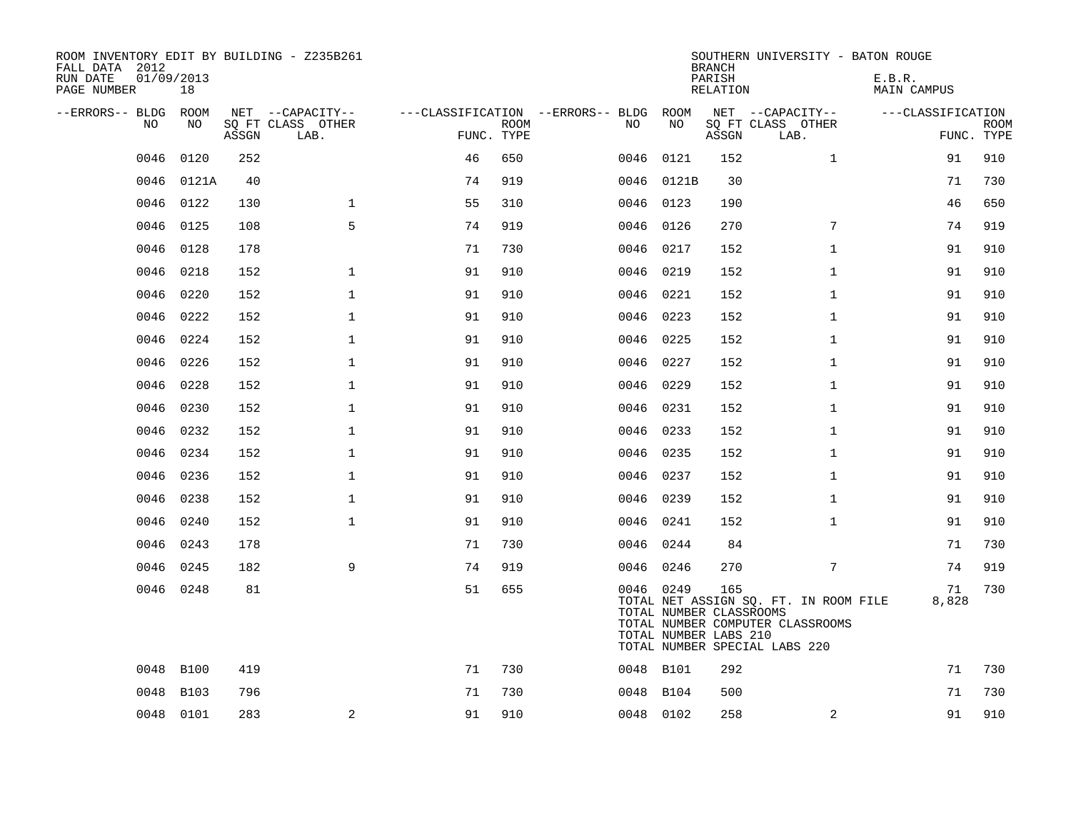| ROOM INVENTORY EDIT BY BUILDING - Z235B261<br>FALL DATA 2012<br>01/09/2013<br>RUN DATE<br>PAGE NUMBER | 18         |       |                                               |            |             |                                          |            | <b>BRANCH</b><br>PARISH<br>RELATION                     | SOUTHERN UNIVERSITY - BATON ROUGE                                                                          | E.B.R.<br><b>MAIN CAMPUS</b> |                           |
|-------------------------------------------------------------------------------------------------------|------------|-------|-----------------------------------------------|------------|-------------|------------------------------------------|------------|---------------------------------------------------------|------------------------------------------------------------------------------------------------------------|------------------------------|---------------------------|
| --ERRORS-- BLDG<br>NO                                                                                 | ROOM<br>NO | ASSGN | NET --CAPACITY--<br>SQ FT CLASS OTHER<br>LAB. | FUNC. TYPE | <b>ROOM</b> | ---CLASSIFICATION --ERRORS-- BLDG<br>NO. | ROOM<br>NO | ASSGN                                                   | NET --CAPACITY--<br>SQ FT CLASS OTHER<br>LAB.                                                              | ---CLASSIFICATION            | <b>ROOM</b><br>FUNC. TYPE |
| 0046                                                                                                  | 0120       | 252   |                                               | 46         | 650         | 0046                                     | 0121       | 152                                                     | $\mathbf{1}$                                                                                               | 91                           | 910                       |
| 0046                                                                                                  | 0121A      | 40    |                                               | 74         | 919         | 0046                                     | 0121B      | 30                                                      |                                                                                                            | 71                           | 730                       |
| 0046                                                                                                  | 0122       | 130   | $\mathbf 1$                                   | 55         | 310         |                                          | 0046 0123  | 190                                                     |                                                                                                            | 46                           | 650                       |
| 0046                                                                                                  | 0125       | 108   | 5                                             | 74         | 919         | 0046                                     | 0126       | 270                                                     | $7\phantom{.0}$                                                                                            | 74                           | 919                       |
| 0046                                                                                                  | 0128       | 178   |                                               | 71         | 730         | 0046 0217                                |            | 152                                                     | $\mathbf{1}$                                                                                               | 91                           | 910                       |
| 0046                                                                                                  | 0218       | 152   | $\mathbf{1}$                                  | 91         | 910         | 0046                                     | 0219       | 152                                                     | $\mathbf{1}$                                                                                               | 91                           | 910                       |
| 0046                                                                                                  | 0220       | 152   | $\mathbf 1$                                   | 91         | 910         |                                          | 0046 0221  | 152                                                     | $\mathbf{1}$                                                                                               | 91                           | 910                       |
| 0046                                                                                                  | 0222       | 152   | $\mathbf{1}$                                  | 91         | 910         | 0046 0223                                |            | 152                                                     | $\mathbf{1}$                                                                                               | 91                           | 910                       |
| 0046                                                                                                  | 0224       | 152   | $\mathbf 1$                                   | 91         | 910         | 0046 0225                                |            | 152                                                     | $\mathbf{1}$                                                                                               | 91                           | 910                       |
| 0046                                                                                                  | 0226       | 152   | $\mathbf{1}$                                  | 91         | 910         | 0046 0227                                |            | 152                                                     | $\mathbf{1}$                                                                                               | 91                           | 910                       |
| 0046                                                                                                  | 0228       | 152   | $\mathbf 1$                                   | 91         | 910         |                                          | 0046 0229  | 152                                                     | $\mathbf{1}$                                                                                               | 91                           | 910                       |
| 0046                                                                                                  | 0230       | 152   | $\mathbf{1}$                                  | 91         | 910         | 0046                                     | 0231       | 152                                                     | $\mathbf{1}$                                                                                               | 91                           | 910                       |
| 0046                                                                                                  | 0232       | 152   | $\mathbf{1}$                                  | 91         | 910         | 0046 0233                                |            | 152                                                     | $\mathbf{1}$                                                                                               | 91                           | 910                       |
| 0046                                                                                                  | 0234       | 152   | $\mathbf 1$                                   | 91         | 910         | 0046 0235                                |            | 152                                                     | $\mathbf{1}$                                                                                               | 91                           | 910                       |
| 0046                                                                                                  | 0236       | 152   | $\mathbf 1$                                   | 91         | 910         |                                          | 0046 0237  | 152                                                     | $\mathbf{1}$                                                                                               | 91                           | 910                       |
| 0046                                                                                                  | 0238       | 152   | $\mathbf 1$                                   | 91         | 910         | 0046                                     | 0239       | 152                                                     | $\mathbf{1}$                                                                                               | 91                           | 910                       |
| 0046                                                                                                  | 0240       | 152   | $\mathbf{1}$                                  | 91         | 910         | 0046 0241                                |            | 152                                                     | $\mathbf{1}$                                                                                               | 91                           | 910                       |
| 0046                                                                                                  | 0243       | 178   |                                               | 71         | 730         | 0046 0244                                |            | 84                                                      |                                                                                                            | 71                           | 730                       |
| 0046                                                                                                  | 0245       | 182   | 9                                             | 74         | 919         |                                          | 0046 0246  | 270                                                     | 7                                                                                                          | 74                           | 919                       |
|                                                                                                       | 0046 0248  | 81    |                                               | 51         | 655         |                                          | 0046 0249  | 165<br>TOTAL NUMBER CLASSROOMS<br>TOTAL NUMBER LABS 210 | TOTAL NET ASSIGN SQ. FT. IN ROOM FILE<br>TOTAL NUMBER COMPUTER CLASSROOMS<br>TOTAL NUMBER SPECIAL LABS 220 | 71<br>8,828                  | 730                       |
| 0048                                                                                                  | B100       | 419   |                                               | 71         | 730         | 0048 B101                                |            | 292                                                     |                                                                                                            | 71                           | 730                       |
| 0048                                                                                                  | B103       | 796   |                                               | 71         | 730         |                                          | 0048 B104  | 500                                                     |                                                                                                            | 71                           | 730                       |
|                                                                                                       | 0048 0101  | 283   | $\mathbf{2}$                                  | 91         | 910         | 0048 0102                                |            | 258                                                     | 2                                                                                                          | 91                           | 910                       |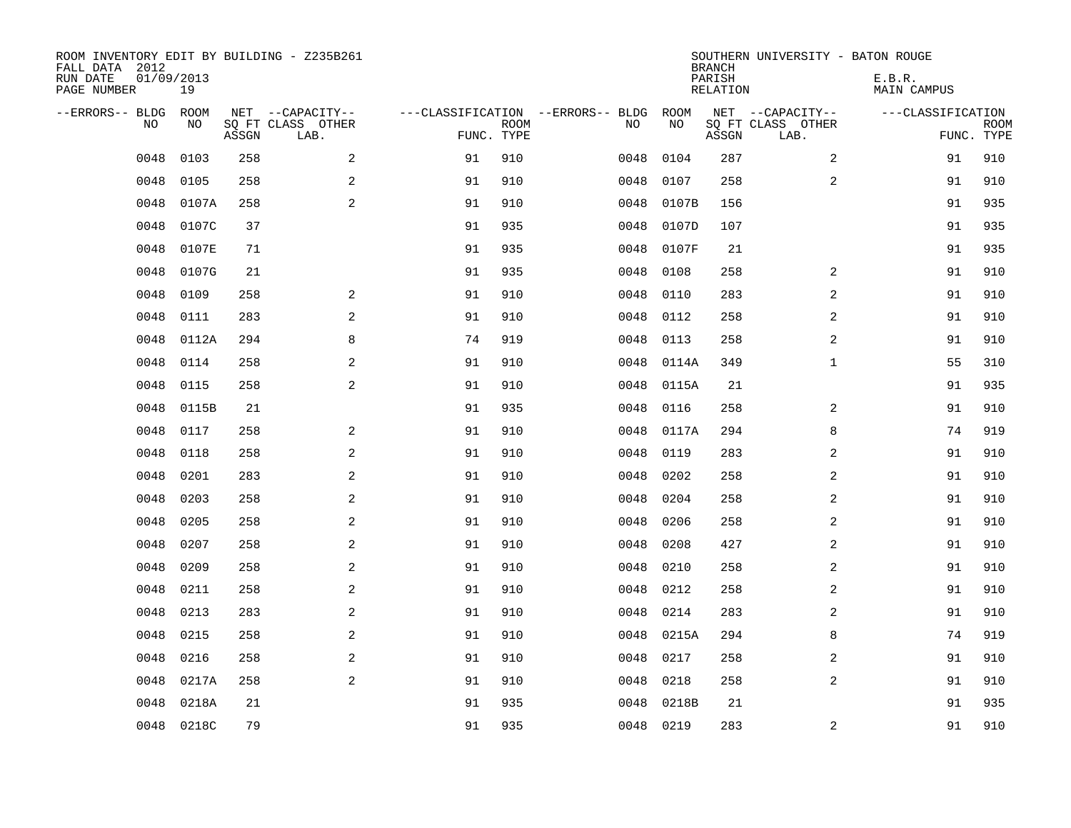| ROOM INVENTORY EDIT BY BUILDING - Z235B261<br>FALL DATA 2012<br>RUN DATE<br>PAGE NUMBER | 01/09/2013<br>19 |       |                                               |                                                 |             |           |            | <b>BRANCH</b><br>PARISH<br><b>RELATION</b> | SOUTHERN UNIVERSITY - BATON ROUGE             | E.B.R.<br><b>MAIN CAMPUS</b> |                           |
|-----------------------------------------------------------------------------------------|------------------|-------|-----------------------------------------------|-------------------------------------------------|-------------|-----------|------------|--------------------------------------------|-----------------------------------------------|------------------------------|---------------------------|
| --ERRORS-- BLDG<br>NO                                                                   | ROOM<br>NO       | ASSGN | NET --CAPACITY--<br>SQ FT CLASS OTHER<br>LAB. | ---CLASSIFICATION --ERRORS-- BLDG<br>FUNC. TYPE | <b>ROOM</b> | NO        | ROOM<br>NO | ASSGN                                      | NET --CAPACITY--<br>SQ FT CLASS OTHER<br>LAB. | ---CLASSIFICATION            | <b>ROOM</b><br>FUNC. TYPE |
| 0048                                                                                    | 0103             | 258   | 2                                             | 91                                              | 910         | 0048      | 0104       | 287                                        | $\overline{a}$                                | 91                           | 910                       |
| 0048                                                                                    | 0105             | 258   | 2                                             | 91                                              | 910         | 0048      | 0107       | 258                                        | 2                                             | 91                           | 910                       |
| 0048                                                                                    | 0107A            | 258   | 2                                             | 91                                              | 910         | 0048      | 0107B      | 156                                        |                                               | 91                           | 935                       |
| 0048                                                                                    | 0107C            | 37    |                                               | 91                                              | 935         | 0048      | 0107D      | 107                                        |                                               | 91                           | 935                       |
| 0048                                                                                    | 0107E            | 71    |                                               | 91                                              | 935         | 0048      | 0107F      | 21                                         |                                               | 91                           | 935                       |
| 0048                                                                                    | 0107G            | 21    |                                               | 91                                              | 935         | 0048      | 0108       | 258                                        | $\overline{a}$                                | 91                           | 910                       |
| 0048                                                                                    | 0109             | 258   | $\overline{a}$                                | 91                                              | 910         | 0048      | 0110       | 283                                        | $\overline{a}$                                | 91                           | 910                       |
| 0048                                                                                    | 0111             | 283   | 2                                             | 91                                              | 910         | 0048      | 0112       | 258                                        | 2                                             | 91                           | 910                       |
| 0048                                                                                    | 0112A            | 294   | 8                                             | 74                                              | 919         | 0048      | 0113       | 258                                        | 2                                             | 91                           | 910                       |
| 0048                                                                                    | 0114             | 258   | 2                                             | 91                                              | 910         | 0048      | 0114A      | 349                                        | $\mathbf{1}$                                  | 55                           | 310                       |
| 0048                                                                                    | 0115             | 258   | 2                                             | 91                                              | 910         | 0048      | 0115A      | 21                                         |                                               | 91                           | 935                       |
| 0048                                                                                    | 0115B            | 21    |                                               | 91                                              | 935         | 0048      | 0116       | 258                                        | 2                                             | 91                           | 910                       |
| 0048                                                                                    | 0117             | 258   | 2                                             | 91                                              | 910         | 0048      | 0117A      | 294                                        | 8                                             | 74                           | 919                       |
| 0048                                                                                    | 0118             | 258   | $\overline{a}$                                | 91                                              | 910         | 0048      | 0119       | 283                                        | 2                                             | 91                           | 910                       |
| 0048                                                                                    | 0201             | 283   | 2                                             | 91                                              | 910         | 0048      | 0202       | 258                                        | 2                                             | 91                           | 910                       |
| 0048                                                                                    | 0203             | 258   | 2                                             | 91                                              | 910         | 0048      | 0204       | 258                                        | $\overline{a}$                                | 91                           | 910                       |
| 0048                                                                                    | 0205             | 258   | 2                                             | 91                                              | 910         | 0048      | 0206       | 258                                        | 2                                             | 91                           | 910                       |
| 0048                                                                                    | 0207             | 258   | 2                                             | 91                                              | 910         | 0048      | 0208       | 427                                        | $\overline{a}$                                | 91                           | 910                       |
| 0048                                                                                    | 0209             | 258   | 2                                             | 91                                              | 910         | 0048      | 0210       | 258                                        | 2                                             | 91                           | 910                       |
| 0048                                                                                    | 0211             | 258   | 2                                             | 91                                              | 910         | 0048      | 0212       | 258                                        | 2                                             | 91                           | 910                       |
| 0048                                                                                    | 0213             | 283   | 2                                             | 91                                              | 910         | 0048      | 0214       | 283                                        | 2                                             | 91                           | 910                       |
| 0048                                                                                    | 0215             | 258   | 2                                             | 91                                              | 910         | 0048      | 0215A      | 294                                        | 8                                             | 74                           | 919                       |
| 0048                                                                                    | 0216             | 258   | 2                                             | 91                                              | 910         | 0048      | 0217       | 258                                        | 2                                             | 91                           | 910                       |
| 0048                                                                                    | 0217A            | 258   | 2                                             | 91                                              | 910         | 0048      | 0218       | 258                                        | $\overline{a}$                                | 91                           | 910                       |
| 0048                                                                                    | 0218A            | 21    |                                               | 91                                              | 935         | 0048      | 0218B      | 21                                         |                                               | 91                           | 935                       |
|                                                                                         | 0048 0218C       | 79    |                                               | 91                                              | 935         | 0048 0219 |            | 283                                        | 2                                             | 91                           | 910                       |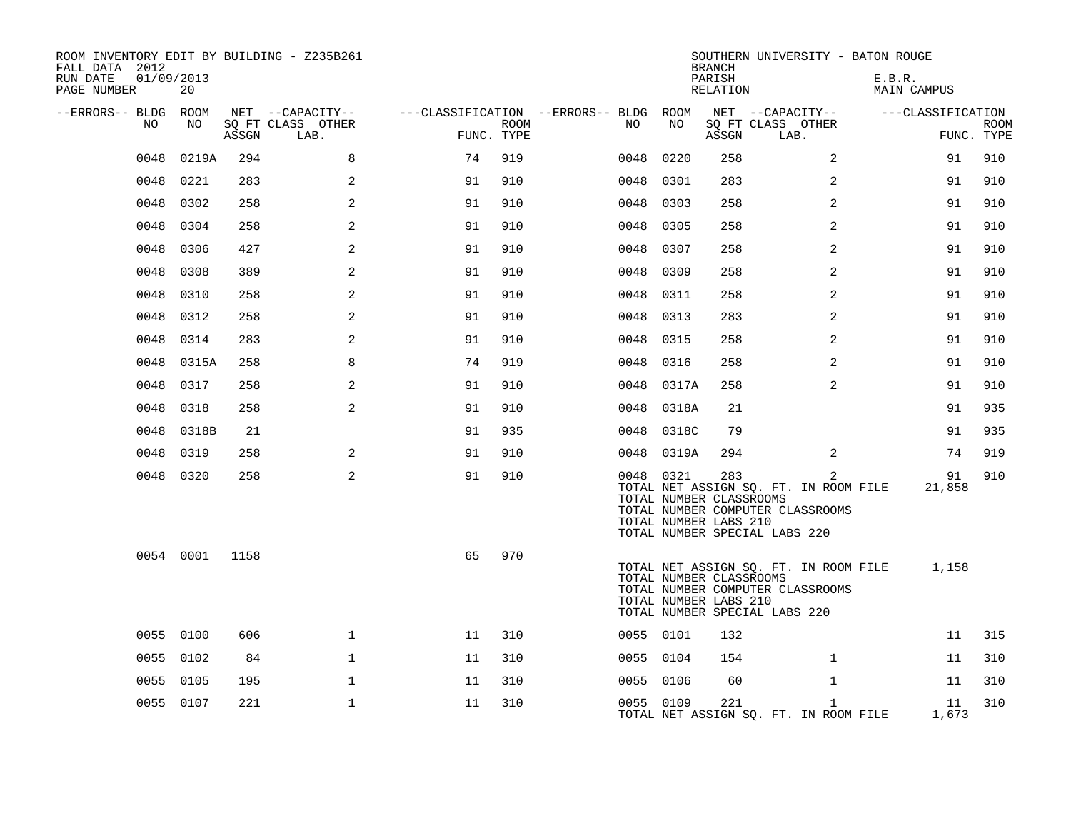| ROOM INVENTORY EDIT BY BUILDING - Z235B261<br>FALL DATA 2012<br>RUN DATE<br>01/09/2013<br>PAGE NUMBER | 20        |       |                           |            |      |                                        |            | <b>BRANCH</b><br>PARISH<br>RELATION                     | SOUTHERN UNIVERSITY - BATON ROUGE                                                                                            | E.B.R.<br>MAIN CAMPUS |                           |
|-------------------------------------------------------------------------------------------------------|-----------|-------|---------------------------|------------|------|----------------------------------------|------------|---------------------------------------------------------|------------------------------------------------------------------------------------------------------------------------------|-----------------------|---------------------------|
| --ERRORS-- BLDG ROOM                                                                                  |           |       | NET --CAPACITY--          |            |      | ---CLASSIFICATION --ERRORS-- BLDG ROOM |            |                                                         | NET --CAPACITY--                                                                                                             | ---CLASSIFICATION     |                           |
| NO                                                                                                    | NO        | ASSGN | SQ FT CLASS OTHER<br>LAB. | FUNC. TYPE | ROOM | NO                                     | NO         | ASSGN                                                   | SQ FT CLASS OTHER<br>LAB.                                                                                                    |                       | <b>ROOM</b><br>FUNC. TYPE |
| 0048                                                                                                  | 0219A     | 294   | 8                         | 74         | 919  | 0048                                   | 0220       | 258                                                     | 2                                                                                                                            | 91                    | 910                       |
| 0048                                                                                                  | 0221      | 283   | 2                         | 91         | 910  | 0048                                   | 0301       | 283                                                     | $\overline{2}$                                                                                                               | 91                    | 910                       |
|                                                                                                       | 0048 0302 | 258   | 2                         | 91         | 910  |                                        | 0048 0303  | 258                                                     | 2                                                                                                                            | 91                    | 910                       |
| 0048                                                                                                  | 0304      | 258   | 2                         | 91         | 910  | 0048                                   | 0305       | 258                                                     | 2                                                                                                                            | 91                    | 910                       |
| 0048                                                                                                  | 0306      | 427   | $\overline{2}$            | 91         | 910  | 0048                                   | 0307       | 258                                                     | $\overline{2}$                                                                                                               | 91                    | 910                       |
| 0048                                                                                                  | 0308      | 389   | 2                         | 91         | 910  | 0048                                   | 0309       | 258                                                     | 2                                                                                                                            | 91                    | 910                       |
| 0048                                                                                                  | 0310      | 258   | 2                         | 91         | 910  |                                        | 0048 0311  | 258                                                     | 2                                                                                                                            | 91                    | 910                       |
| 0048                                                                                                  | 0312      | 258   | $\overline{a}$            | 91         | 910  | 0048                                   | 0313       | 283                                                     | 2                                                                                                                            | 91                    | 910                       |
| 0048                                                                                                  | 0314      | 283   | 2                         | 91         | 910  |                                        | 0048 0315  | 258                                                     | $\overline{a}$                                                                                                               | 91                    | 910                       |
| 0048                                                                                                  | 0315A     | 258   | 8                         | 74         | 919  | 0048                                   | 0316       | 258                                                     | 2                                                                                                                            | 91                    | 910                       |
| 0048                                                                                                  | 0317      | 258   | 2                         | 91         | 910  |                                        | 0048 0317A | 258                                                     | 2                                                                                                                            | 91                    | 910                       |
| 0048                                                                                                  | 0318      | 258   | 2                         | 91         | 910  | 0048                                   | 0318A      | 21                                                      |                                                                                                                              | 91                    | 935                       |
| 0048                                                                                                  | 0318B     | 21    |                           | 91         | 935  |                                        | 0048 0318C | 79                                                      |                                                                                                                              | 91                    | 935                       |
| 0048                                                                                                  | 0319      | 258   | 2                         | 91         | 910  |                                        | 0048 0319A | 294                                                     | $\overline{2}$                                                                                                               | 74                    | 919                       |
|                                                                                                       | 0048 0320 | 258   | 2                         | 91         | 910  |                                        | 0048 0321  | 283<br>TOTAL NUMBER CLASSROOMS<br>TOTAL NUMBER LABS 210 | $\overline{2}$<br>TOTAL NET ASSIGN SQ. FT. IN ROOM FILE<br>TOTAL NUMBER COMPUTER CLASSROOMS<br>TOTAL NUMBER SPECIAL LABS 220 | 91<br>21,858          | 910                       |
|                                                                                                       | 0054 0001 | 1158  |                           | 65         | 970  |                                        |            | TOTAL NUMBER CLASSROOMS<br>TOTAL NUMBER LABS 210        | TOTAL NET ASSIGN SQ. FT. IN ROOM FILE<br>TOTAL NUMBER COMPUTER CLASSROOMS<br>TOTAL NUMBER SPECIAL LABS 220                   | 1,158                 |                           |
|                                                                                                       | 0055 0100 | 606   | $\mathbf{1}$              | 11         | 310  |                                        | 0055 0101  | 132                                                     |                                                                                                                              | 11                    | 315                       |
|                                                                                                       | 0055 0102 | 84    | $\mathbf{1}$              | 11         | 310  |                                        | 0055 0104  | 154                                                     | $\mathbf{1}$                                                                                                                 | 11                    | 310                       |
|                                                                                                       | 0055 0105 | 195   | $\mathbf 1$               | 11         | 310  |                                        | 0055 0106  | 60                                                      | $\mathbf{1}$                                                                                                                 | 11                    | 310                       |
|                                                                                                       | 0055 0107 | 221   | $\mathbf 1$               | 11         | 310  |                                        | 0055 0109  | 221                                                     | $\mathbf{1}$<br>TOTAL NET ASSIGN SQ. FT. IN ROOM FILE                                                                        | 11<br>1,673           | 310                       |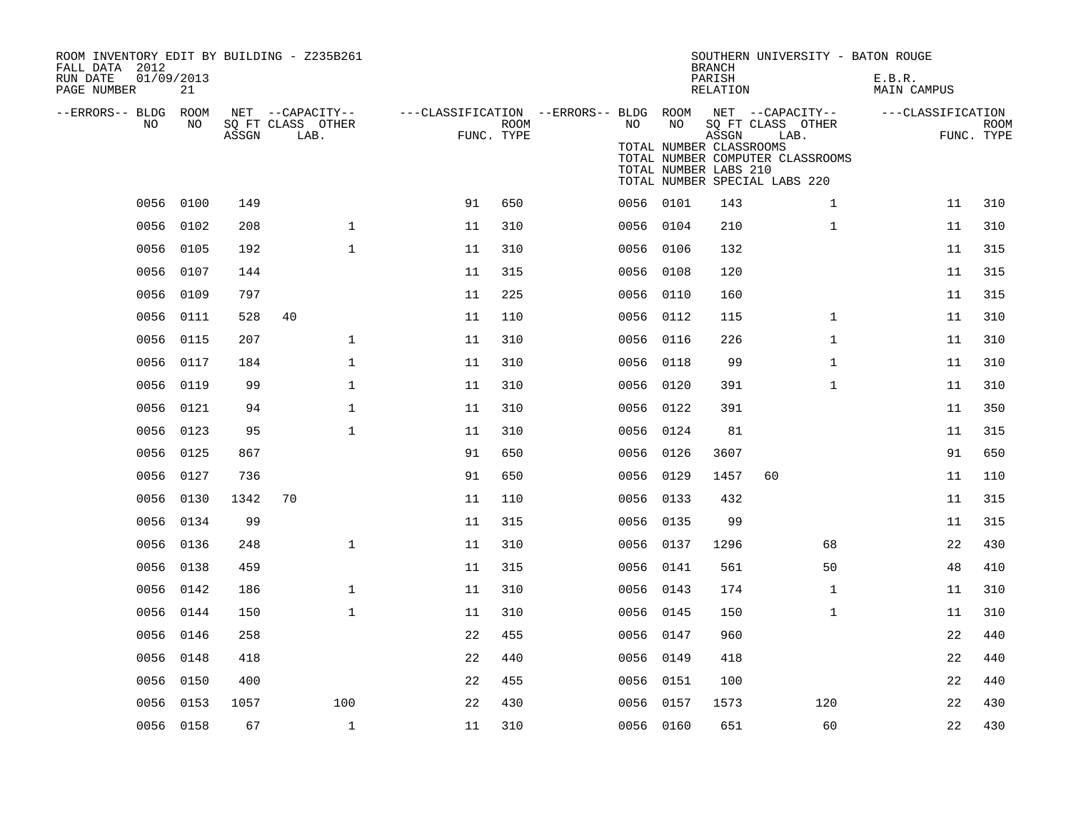| ROOM INVENTORY EDIT BY BUILDING - Z235B261<br>FALL DATA 2012 |                  |       |                                       |                                        |                    |           |                         | <b>BRANCH</b>      | SOUTHERN UNIVERSITY - BATON ROUGE                                 |                       |                           |
|--------------------------------------------------------------|------------------|-------|---------------------------------------|----------------------------------------|--------------------|-----------|-------------------------|--------------------|-------------------------------------------------------------------|-----------------------|---------------------------|
| RUN DATE<br>PAGE NUMBER                                      | 01/09/2013<br>21 |       |                                       |                                        |                    |           |                         | PARISH<br>RELATION |                                                                   | E.B.R.<br>MAIN CAMPUS |                           |
| --ERRORS-- BLDG ROOM<br>NO                                   | NO               |       | NET --CAPACITY--<br>SQ FT CLASS OTHER | ---CLASSIFICATION --ERRORS-- BLDG ROOM |                    | NO.       | NO                      |                    | NET --CAPACITY--                                                  | ---CLASSIFICATION     |                           |
|                                                              |                  | ASSGN | LAB.                                  |                                        | ROOM<br>FUNC. TYPE |           | TOTAL NUMBER CLASSROOMS | ASSGN              | SQ FT CLASS OTHER<br>LAB.                                         |                       | <b>ROOM</b><br>FUNC. TYPE |
|                                                              |                  |       |                                       |                                        |                    |           | TOTAL NUMBER LABS 210   |                    | TOTAL NUMBER COMPUTER CLASSROOMS<br>TOTAL NUMBER SPECIAL LABS 220 |                       |                           |
| 0056                                                         | 0100             | 149   |                                       | 91                                     | 650                | 0056 0101 |                         | 143                | $\mathbf{1}$                                                      | 11                    | 310                       |
| 0056                                                         | 0102             | 208   | $\mathbf{1}$                          | 11                                     | 310                | 0056 0104 |                         | 210                | $\mathbf{1}$                                                      | 11                    | 310                       |
| 0056                                                         | 0105             | 192   | $\mathbf{1}$                          | 11                                     | 310                | 0056 0106 |                         | 132                |                                                                   | 11                    | 315                       |
| 0056                                                         | 0107             | 144   |                                       | 11                                     | 315                | 0056 0108 |                         | 120                |                                                                   | 11                    | 315                       |
| 0056                                                         | 0109             | 797   |                                       | 11                                     | 225                | 0056 0110 |                         | 160                |                                                                   | 11                    | 315                       |
|                                                              | 0056 0111        | 528   | 40                                    | 11                                     | 110                | 0056 0112 |                         | 115                | $\mathbf{1}$                                                      | 11                    | 310                       |
| 0056                                                         | 0115             | 207   | $\mathbf{1}$                          | 11                                     | 310                | 0056      | 0116                    | 226                | $\mathbf{1}$                                                      | 11                    | 310                       |
| 0056                                                         | 0117             | 184   | $\mathbf 1$                           | 11                                     | 310                | 0056 0118 |                         | 99                 | $\mathbf{1}$                                                      | 11                    | 310                       |
| 0056                                                         | 0119             | 99    | $\mathbf{1}$                          | 11                                     | 310                | 0056 0120 |                         | 391                | $\mathbf{1}$                                                      | 11                    | 310                       |
|                                                              | 0056 0121        | 94    | $\mathbf 1$                           | 11                                     | 310                | 0056 0122 |                         | 391                |                                                                   | 11                    | 350                       |
| 0056                                                         | 0123             | 95    | $\mathbf 1$                           | 11                                     | 310                | 0056      | 0124                    | 81                 |                                                                   | 11                    | 315                       |
|                                                              | 0056 0125        | 867   |                                       | 91                                     | 650                | 0056 0126 |                         | 3607               |                                                                   | 91                    | 650                       |
|                                                              | 0056 0127        | 736   |                                       | 91                                     | 650                | 0056 0129 |                         | 1457               | 60                                                                | 11                    | 110                       |
| 0056                                                         | 0130             | 1342  | 70                                    | 11                                     | 110                | 0056 0133 |                         | 432                |                                                                   | 11                    | 315                       |
|                                                              | 0056 0134        | 99    |                                       | 11                                     | 315                | 0056 0135 |                         | 99                 |                                                                   | 11                    | 315                       |
| 0056                                                         | 0136             | 248   | $\mathbf{1}$                          | 11                                     | 310                | 0056 0137 |                         | 1296               | 68                                                                | 22                    | 430                       |
| 0056                                                         | 0138             | 459   |                                       | 11                                     | 315                | 0056 0141 |                         | 561                | 50                                                                | 48                    | 410                       |
| 0056                                                         | 0142             | 186   | $\mathbf{1}$                          | 11                                     | 310                | 0056 0143 |                         | 174                | $\mathbf{1}$                                                      | 11                    | 310                       |
|                                                              | 0056 0144        | 150   | $\mathbf{1}$                          | 11                                     | 310                | 0056 0145 |                         | 150                | $\mathbf{1}$                                                      | 11                    | 310                       |
| 0056                                                         | 0146             | 258   |                                       | 22                                     | 455                | 0056 0147 |                         | 960                |                                                                   | 22                    | 440                       |
|                                                              | 0056 0148        | 418   |                                       | 22                                     | 440                | 0056 0149 |                         | 418                |                                                                   | 22                    | 440                       |
| 0056                                                         | 0150             | 400   |                                       | 22                                     | 455                | 0056      | 0151                    | 100                |                                                                   | 22                    | 440                       |
| 0056                                                         | 0153             | 1057  | 100                                   | 22                                     | 430                | 0056 0157 |                         | 1573               | 120                                                               | 22                    | 430                       |
|                                                              | 0056 0158        | 67    | $\mathbf{1}$                          | 11                                     | 310                | 0056 0160 |                         | 651                | 60                                                                | 22                    | 430                       |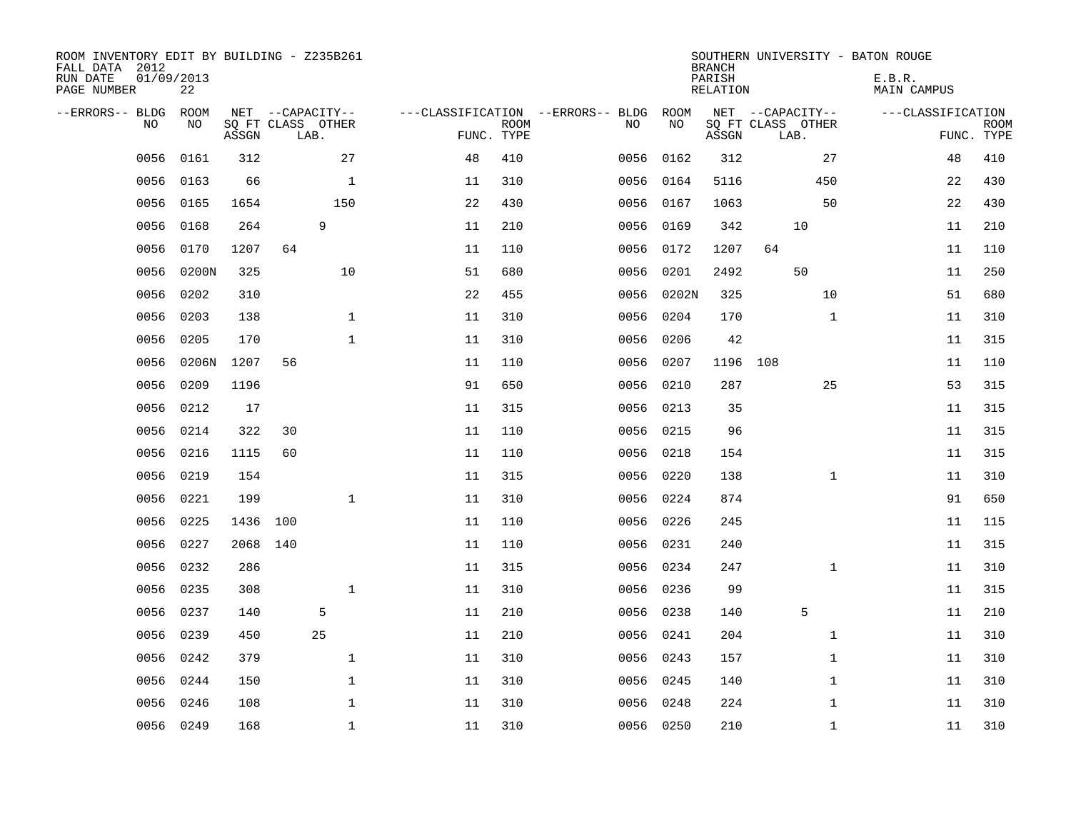| ROOM INVENTORY EDIT BY BUILDING - Z235B261<br>FALL DATA 2012<br>RUN DATE | 01/09/2013 |          |     |                                       |                                   |             |      |            | <b>BRANCH</b><br>PARISH | SOUTHERN UNIVERSITY - BATON ROUGE     | E.B.R.            |             |
|--------------------------------------------------------------------------|------------|----------|-----|---------------------------------------|-----------------------------------|-------------|------|------------|-------------------------|---------------------------------------|-------------------|-------------|
| PAGE NUMBER                                                              | 22         |          |     |                                       |                                   |             |      |            | RELATION                |                                       | MAIN CAMPUS       |             |
| --ERRORS-- BLDG ROOM<br>NO                                               | NO         |          |     | NET --CAPACITY--<br>SQ FT CLASS OTHER | ---CLASSIFICATION --ERRORS-- BLDG | <b>ROOM</b> | NO   | ROOM<br>NO |                         | NET --CAPACITY--<br>SQ FT CLASS OTHER | ---CLASSIFICATION | <b>ROOM</b> |
|                                                                          |            | ASSGN    |     | LAB.                                  | FUNC. TYPE                        |             |      |            | ASSGN                   | LAB.                                  |                   | FUNC. TYPE  |
| 0056                                                                     | 0161       | 312      |     | 27                                    | 48                                | 410         | 0056 | 0162       | 312                     | 27                                    | 48                | 410         |
| 0056                                                                     | 0163       | 66       |     | $\mathbf 1$                           | 11                                | 310         | 0056 | 0164       | 5116                    | 450                                   | 22                | 430         |
| 0056                                                                     | 0165       | 1654     |     | 150                                   | 22                                | 430         | 0056 | 0167       | 1063                    | 50                                    | 22                | 430         |
| 0056                                                                     | 0168       | 264      |     | 9                                     | 11                                | 210         | 0056 | 0169       | 342                     | 10                                    | 11                | 210         |
| 0056                                                                     | 0170       | 1207     | 64  |                                       | 11                                | 110         | 0056 | 0172       | 1207                    | 64                                    | 11                | 110         |
| 0056                                                                     | 0200N      | 325      |     | 10                                    | 51                                | 680         | 0056 | 0201       | 2492                    | 50                                    | 11                | 250         |
| 0056                                                                     | 0202       | 310      |     |                                       | 22                                | 455         | 0056 | 0202N      | 325                     | 10                                    | 51                | 680         |
| 0056                                                                     | 0203       | 138      |     | $\mathbf{1}$                          | 11                                | 310         | 0056 | 0204       | 170                     | $\mathbf{1}$                          | 11                | 310         |
| 0056                                                                     | 0205       | 170      |     | $\mathbf 1$                           | 11                                | 310         | 0056 | 0206       | 42                      |                                       | 11                | 315         |
| 0056                                                                     | 0206N      | 1207     | 56  |                                       | 11                                | 110         | 0056 | 0207       | 1196 108                |                                       | 11                | 110         |
| 0056                                                                     | 0209       | 1196     |     |                                       | 91                                | 650         | 0056 | 0210       | 287                     | 25                                    | 53                | 315         |
| 0056                                                                     | 0212       | 17       |     |                                       | 11                                | 315         | 0056 | 0213       | 35                      |                                       | 11                | 315         |
| 0056                                                                     | 0214       | 322      | 30  |                                       | 11                                | 110         | 0056 | 0215       | 96                      |                                       | 11                | 315         |
| 0056                                                                     | 0216       | 1115     | 60  |                                       | 11                                | 110         | 0056 | 0218       | 154                     |                                       | 11                | 315         |
| 0056                                                                     | 0219       | 154      |     |                                       | 11                                | 315         | 0056 | 0220       | 138                     | $\mathbf{1}$                          | 11                | 310         |
| 0056                                                                     | 0221       | 199      |     | $\mathbf 1$                           | 11                                | 310         | 0056 | 0224       | 874                     |                                       | 91                | 650         |
| 0056                                                                     | 0225       | 1436     | 100 |                                       | 11                                | 110         |      | 0056 0226  | 245                     |                                       | 11                | 115         |
| 0056                                                                     | 0227       | 2068 140 |     |                                       | 11                                | 110         | 0056 | 0231       | 240                     |                                       | 11                | 315         |
| 0056                                                                     | 0232       | 286      |     |                                       | 11                                | 315         |      | 0056 0234  | 247                     | $\mathbf{1}$                          | 11                | 310         |
| 0056                                                                     | 0235       | 308      |     | $\mathbf 1$                           | 11                                | 310         | 0056 | 0236       | 99                      |                                       | 11                | 315         |
| 0056                                                                     | 0237       | 140      |     | 5                                     | 11                                | 210         |      | 0056 0238  | 140                     | 5                                     | 11                | 210         |
| 0056                                                                     | 0239       | 450      |     | 25                                    | 11                                | 210         | 0056 | 0241       | 204                     | $\mathbf{1}$                          | 11                | 310         |
| 0056                                                                     | 0242       | 379      |     | $\mathbf{1}$                          | 11                                | 310         |      | 0056 0243  | 157                     | $\mathbf{1}$                          | 11                | 310         |
| 0056                                                                     | 0244       | 150      |     | $\mathbf 1$                           | 11                                | 310         | 0056 | 0245       | 140                     | $\mathbf{1}$                          | 11                | 310         |
| 0056                                                                     | 0246       | 108      |     | $\mathbf{1}$                          | 11                                | 310         |      | 0056 0248  | 224                     | $\mathbf{1}$                          | 11                | 310         |
|                                                                          | 0056 0249  | 168      |     | $\mathbf 1$                           | 11                                | 310         |      | 0056 0250  | 210                     | $\mathbf{1}$                          | 11                | 310         |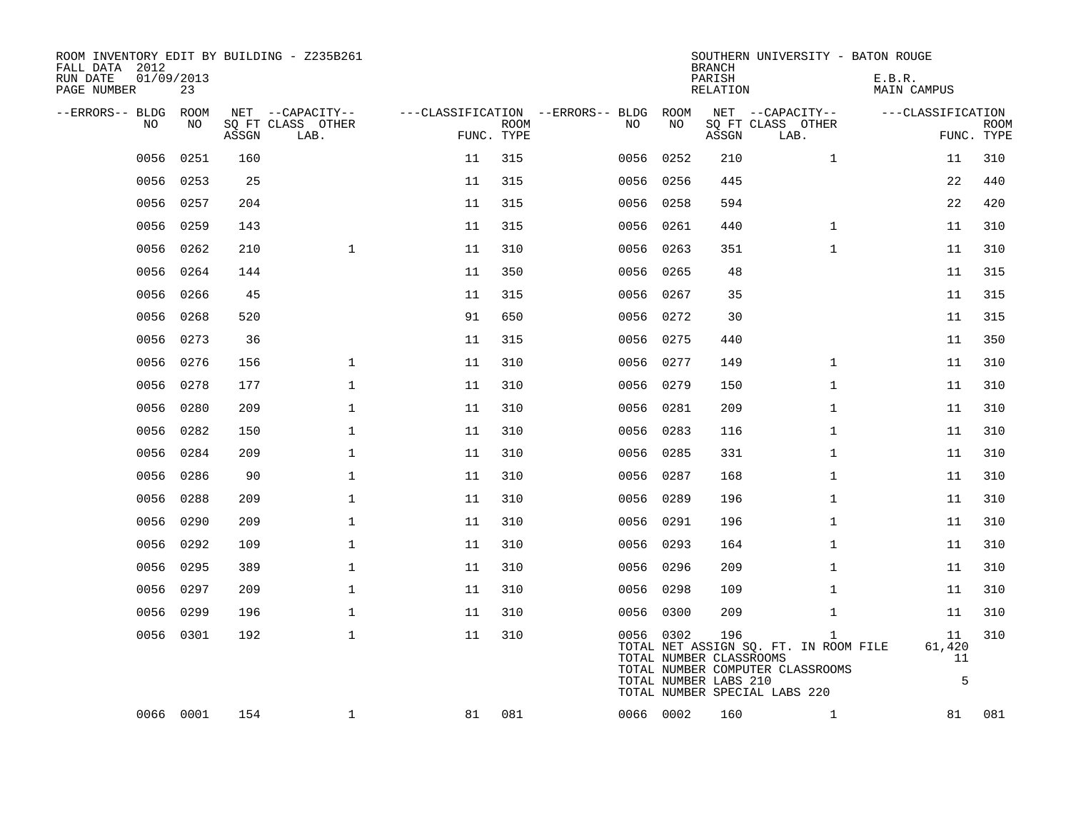| ROOM INVENTORY EDIT BY BUILDING - Z235B261<br>FALL DATA 2012<br>RUN DATE<br>PAGE NUMBER | 01/09/2013<br>23 |       |                                               |            |             |                                         |            | <b>BRANCH</b><br>PARISH<br>RELATION                     | SOUTHERN UNIVERSITY - BATON ROUGE                                                                                          | E.B.R.<br><b>MAIN CAMPUS</b> |                           |
|-----------------------------------------------------------------------------------------|------------------|-------|-----------------------------------------------|------------|-------------|-----------------------------------------|------------|---------------------------------------------------------|----------------------------------------------------------------------------------------------------------------------------|------------------------------|---------------------------|
| --ERRORS-- BLDG<br>NO                                                                   | ROOM<br>NO       | ASSGN | NET --CAPACITY--<br>SQ FT CLASS OTHER<br>LAB. | FUNC. TYPE | <b>ROOM</b> | ---CLASSIFICATION --ERRORS-- BLDG<br>NO | ROOM<br>NO | ASSGN                                                   | NET --CAPACITY--<br>SQ FT CLASS OTHER<br>LAB.                                                                              | ---CLASSIFICATION            | <b>ROOM</b><br>FUNC. TYPE |
| 0056                                                                                    | 0251             | 160   |                                               | 11         | 315         | 0056                                    | 0252       | 210                                                     | $\mathbf{1}$                                                                                                               | 11                           | 310                       |
| 0056                                                                                    | 0253             | 25    |                                               | 11         | 315         | 0056                                    | 0256       | 445                                                     |                                                                                                                            | 22                           | 440                       |
|                                                                                         | 0056 0257        | 204   |                                               | 11         | 315         |                                         | 0056 0258  | 594                                                     |                                                                                                                            | 22                           | 420                       |
| 0056                                                                                    | 0259             | 143   |                                               | 11         | 315         | 0056                                    | 0261       | 440                                                     | $\mathbf{1}$                                                                                                               | 11                           | 310                       |
| 0056                                                                                    | 0262             | 210   | $\mathbf{1}$                                  | 11         | 310         |                                         | 0056 0263  | 351                                                     | $\mathbf{1}$                                                                                                               | 11                           | 310                       |
| 0056                                                                                    | 0264             | 144   |                                               | 11         | 350         | 0056 0265                               |            | 48                                                      |                                                                                                                            | 11                           | 315                       |
| 0056                                                                                    | 0266             | 45    |                                               | 11         | 315         |                                         | 0056 0267  | 35                                                      |                                                                                                                            | 11                           | 315                       |
| 0056                                                                                    | 0268             | 520   |                                               | 91         | 650         |                                         | 0056 0272  | 30                                                      |                                                                                                                            | 11                           | 315                       |
| 0056                                                                                    | 0273             | 36    |                                               | 11         | 315         |                                         | 0056 0275  | 440                                                     |                                                                                                                            | 11                           | 350                       |
| 0056                                                                                    | 0276             | 156   | $\mathbf{1}$                                  | 11         | 310         | 0056 0277                               |            | 149                                                     | $\mathbf{1}$                                                                                                               | 11                           | 310                       |
| 0056                                                                                    | 0278             | 177   | $\mathbf 1$                                   | 11         | 310         |                                         | 0056 0279  | 150                                                     | $\mathbf{1}$                                                                                                               | 11                           | 310                       |
| 0056                                                                                    | 0280             | 209   | $\mathbf 1$                                   | 11         | 310         | 0056 0281                               |            | 209                                                     | $\mathbf{1}$                                                                                                               | 11                           | 310                       |
| 0056                                                                                    | 0282             | 150   | $\mathbf 1$                                   | 11         | 310         | 0056 0283                               |            | 116                                                     | $\mathbf{1}$                                                                                                               | 11                           | 310                       |
| 0056                                                                                    | 0284             | 209   | $\mathbf 1$                                   | 11         | 310         | 0056 0285                               |            | 331                                                     | $\mathbf{1}$                                                                                                               | 11                           | 310                       |
|                                                                                         | 0056 0286        | 90    | $\mathbf 1$                                   | 11         | 310         |                                         | 0056 0287  | 168                                                     | $\mathbf{1}$                                                                                                               | 11                           | 310                       |
| 0056                                                                                    | 0288             | 209   | $\mathbf{1}$                                  | 11         | 310         | 0056                                    | 0289       | 196                                                     | $\mathbf{1}$                                                                                                               | 11                           | 310                       |
| 0056                                                                                    | 0290             | 209   | $\mathbf 1$                                   | 11         | 310         | 0056 0291                               |            | 196                                                     | $\mathbf{1}$                                                                                                               | 11                           | 310                       |
| 0056                                                                                    | 0292             | 109   | $\mathbf 1$                                   | 11         | 310         | 0056 0293                               |            | 164                                                     | $\mathbf{1}$                                                                                                               | 11                           | 310                       |
| 0056                                                                                    | 0295             | 389   | $\mathbf 1$                                   | 11         | 310         | 0056 0296                               |            | 209                                                     | $\mathbf{1}$                                                                                                               | 11                           | 310                       |
| 0056                                                                                    | 0297             | 209   | $\mathbf{1}$                                  | 11         | 310         |                                         | 0056 0298  | 109                                                     | $\mathbf{1}$                                                                                                               | 11                           | 310                       |
| 0056                                                                                    | 0299             | 196   | $\mathbf 1$                                   | 11         | 310         |                                         | 0056 0300  | 209                                                     | $\mathbf{1}$                                                                                                               | 11                           | 310                       |
|                                                                                         | 0056 0301        | 192   | $\mathbf{1}$                                  | 11         | 310         |                                         | 0056 0302  | 196<br>TOTAL NUMBER CLASSROOMS<br>TOTAL NUMBER LABS 210 | $\mathbf{1}$<br>TOTAL NET ASSIGN SQ. FT. IN ROOM FILE<br>TOTAL NUMBER COMPUTER CLASSROOMS<br>TOTAL NUMBER SPECIAL LABS 220 | 11<br>61,420<br>11<br>5      | 310                       |
|                                                                                         | 0066 0001        | 154   | $\mathbf 1$                                   | 81         | 081         |                                         | 0066 0002  | 160                                                     | $\mathbf{1}$                                                                                                               | 81                           | 081                       |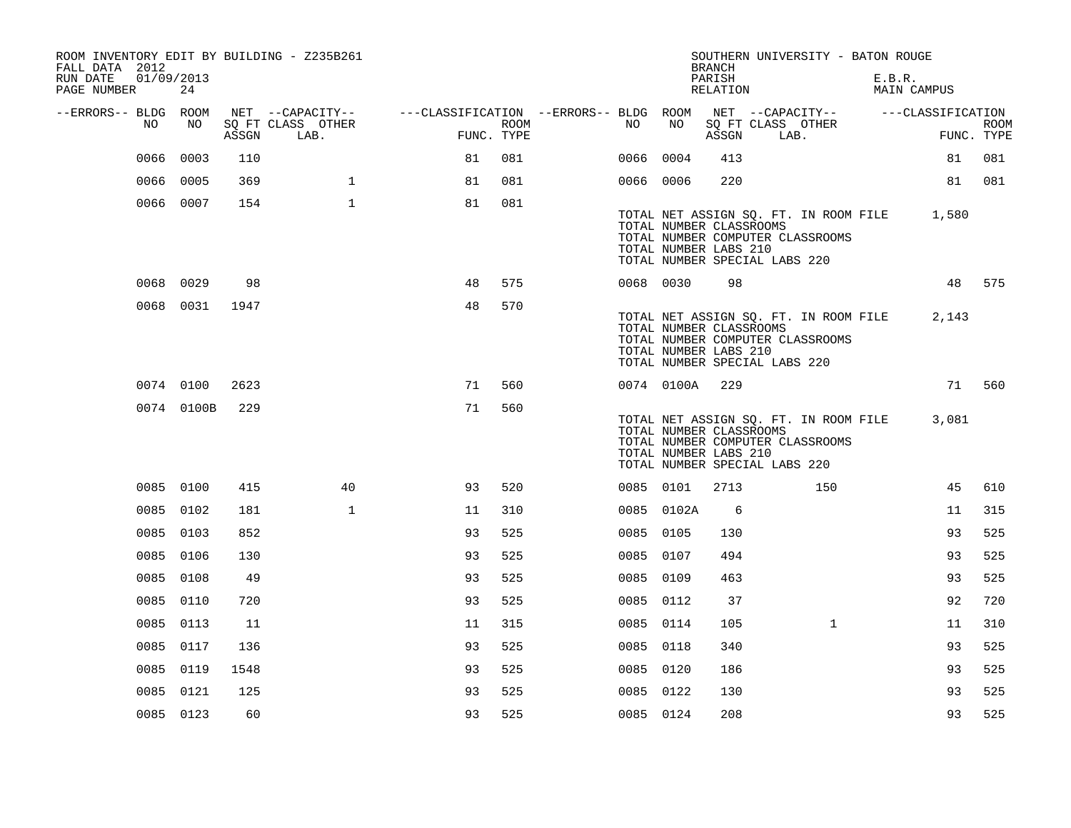| FALL DATA 2012          |      |                  |       | ROOM INVENTORY EDIT BY BUILDING - Z235B261    |                                                                                           |      |           |            | <b>BRANCH</b>                                    | SOUTHERN UNIVERSITY - BATON ROUGE                                                                                |        |             |             |
|-------------------------|------|------------------|-------|-----------------------------------------------|-------------------------------------------------------------------------------------------|------|-----------|------------|--------------------------------------------------|------------------------------------------------------------------------------------------------------------------|--------|-------------|-------------|
| RUN DATE<br>PAGE NUMBER |      | 01/09/2013<br>24 |       |                                               |                                                                                           |      |           |            | PARISH<br>RELATION                               |                                                                                                                  | E.B.R. | MAIN CAMPUS |             |
| --ERRORS-- BLDG ROOM    | NO   | NO               | ASSGN | NET --CAPACITY--<br>SQ FT CLASS OTHER<br>LAB. | ---CLASSIFICATION --ERRORS-- BLDG ROOM NET --CAPACITY-- -----CLASSIFICATION<br>FUNC. TYPE | ROOM | NO        | NO         | ASSGN                                            | SQ FT CLASS OTHER<br>LAB.                                                                                        |        | FUNC. TYPE  | <b>ROOM</b> |
|                         | 0066 | 0003             | 110   |                                               | 81                                                                                        | 081  | 0066 0004 |            | 413                                              |                                                                                                                  |        | 81          | 081         |
|                         |      | 0066 0005        | 369   | $\mathbf{1}$                                  | 81                                                                                        | 081  | 0066 0006 |            | 220                                              |                                                                                                                  |        | 81          | 081         |
|                         |      | 0066 0007        | 154   | $\mathbf{1}$                                  | 81                                                                                        | 081  |           |            | TOTAL NUMBER CLASSROOMS<br>TOTAL NUMBER LABS 210 | TOTAL NET ASSIGN SQ. FT. IN ROOM FILE 1,580<br>TOTAL NUMBER COMPUTER CLASSROOMS<br>TOTAL NUMBER SPECIAL LABS 220 |        |             |             |
|                         |      | 0068 0029        | 98    |                                               | 48                                                                                        | 575  | 0068 0030 |            | 98                                               |                                                                                                                  |        |             | 48 575      |
|                         |      | 0068 0031        | 1947  |                                               | 48                                                                                        | 570  |           |            | TOTAL NUMBER CLASSROOMS<br>TOTAL NUMBER LABS 210 | TOTAL NET ASSIGN SO. FT. IN ROOM FILE<br>TOTAL NUMBER COMPUTER CLASSROOMS<br>TOTAL NUMBER SPECIAL LABS 220       |        | 2,143       |             |
|                         |      | 0074 0100        | 2623  |                                               | 71                                                                                        | 560  |           | 0074 0100A | 229                                              |                                                                                                                  |        |             | 71 560      |
|                         |      | 0074 0100B       | 229   |                                               | 71                                                                                        | 560  |           |            | TOTAL NUMBER CLASSROOMS<br>TOTAL NUMBER LABS 210 | TOTAL NET ASSIGN SQ. FT. IN ROOM FILE<br>TOTAL NUMBER COMPUTER CLASSROOMS<br>TOTAL NUMBER SPECIAL LABS 220       |        | 3,081       |             |
|                         |      | 0085 0100        | 415   | 40                                            | 93                                                                                        | 520  | 0085 0101 |            | 2713                                             | 150                                                                                                              |        | 45          | 610         |
|                         |      | 0085 0102        | 181   | $\mathbf{1}$                                  | 11                                                                                        | 310  |           | 0085 0102A | 6                                                |                                                                                                                  |        | 11          | 315         |
|                         |      | 0085 0103        | 852   |                                               | 93                                                                                        | 525  | 0085 0105 |            | 130                                              |                                                                                                                  |        | 93          | 525         |
|                         |      | 0085 0106        | 130   |                                               | 93                                                                                        | 525  | 0085 0107 |            | 494                                              |                                                                                                                  |        | 93          | 525         |
|                         |      | 0085 0108        | 49    |                                               | 93                                                                                        | 525  | 0085 0109 |            | 463                                              |                                                                                                                  |        | 93          | 525         |
|                         |      | 0085 0110        | 720   |                                               | 93                                                                                        | 525  | 0085 0112 |            | 37                                               |                                                                                                                  |        | 92          | 720         |
|                         |      | 0085 0113        | 11    |                                               | 11                                                                                        | 315  | 0085 0114 |            | 105                                              | $\mathbf{1}$                                                                                                     |        | 11          | 310         |
|                         |      | 0085 0117        | 136   |                                               | 93                                                                                        | 525  | 0085 0118 |            | 340                                              |                                                                                                                  |        | 93          | 525         |
|                         |      | 0085 0119        | 1548  |                                               | 93                                                                                        | 525  | 0085 0120 |            | 186                                              |                                                                                                                  |        | 93          | 525         |
|                         |      | 0085 0121        | 125   |                                               | 93                                                                                        | 525  | 0085 0122 |            | 130                                              |                                                                                                                  |        | 93          | 525         |
|                         |      | 0085 0123        | 60    |                                               | 93                                                                                        | 525  | 0085 0124 |            | 208                                              |                                                                                                                  |        | 93          | 525         |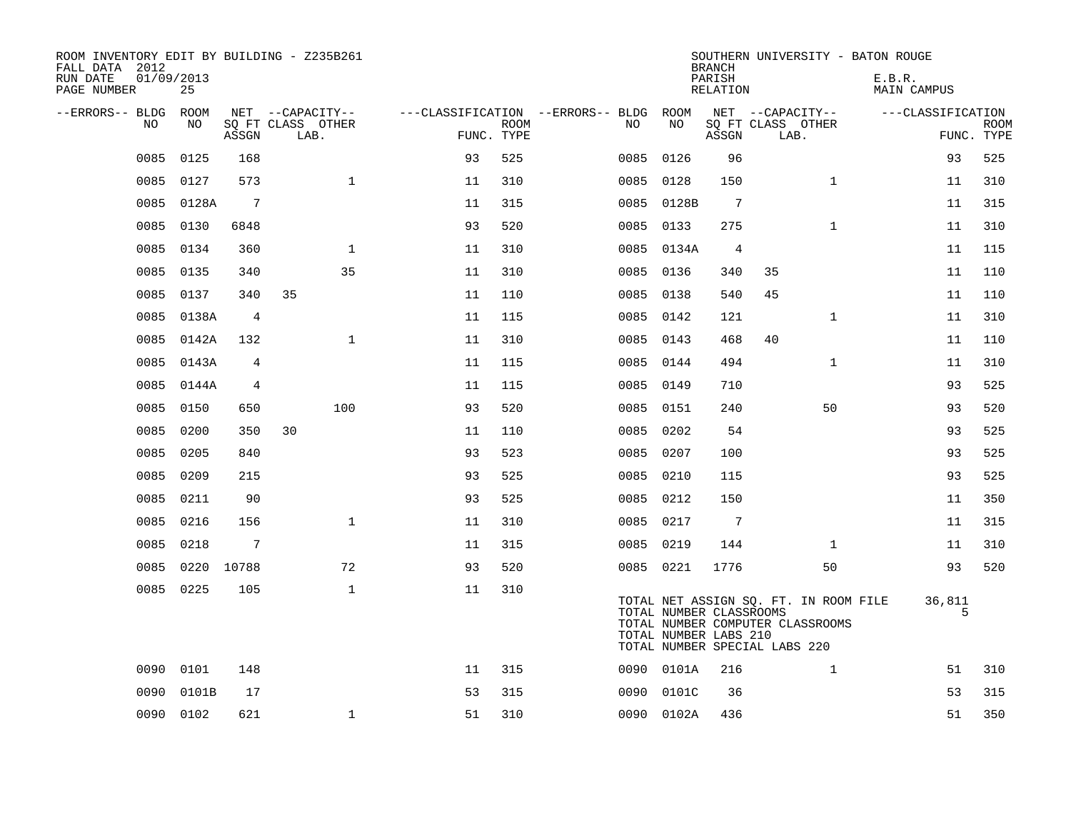| ROOM INVENTORY EDIT BY BUILDING - Z235B261<br>FALL DATA 2012<br>RUN DATE<br>PAGE NUMBER | 01/09/2013<br>25 |                 |                           |            |             |                                   |                                                  | <b>BRANCH</b><br>PARISH<br>RELATION | SOUTHERN UNIVERSITY - BATON ROUGE                                                                          | E.B.R.<br>MAIN CAMPUS |                           |
|-----------------------------------------------------------------------------------------|------------------|-----------------|---------------------------|------------|-------------|-----------------------------------|--------------------------------------------------|-------------------------------------|------------------------------------------------------------------------------------------------------------|-----------------------|---------------------------|
| --ERRORS-- BLDG ROOM                                                                    |                  |                 | NET --CAPACITY--          |            |             | ---CLASSIFICATION --ERRORS-- BLDG | ROOM                                             |                                     | NET --CAPACITY--                                                                                           | ---CLASSIFICATION     |                           |
| NO                                                                                      | NO               | ASSGN           | SO FT CLASS OTHER<br>LAB. | FUNC. TYPE | <b>ROOM</b> | NO.                               | NO                                               | ASSGN                               | SQ FT CLASS OTHER<br>LAB.                                                                                  |                       | <b>ROOM</b><br>FUNC. TYPE |
| 0085                                                                                    | 0125             | 168             |                           | 93         | 525         | 0085                              | 0126                                             | 96                                  |                                                                                                            | 93                    | 525                       |
| 0085                                                                                    | 0127             | 573             | $\mathbf{1}$              | 11         | 310         | 0085                              | 0128                                             | 150                                 | $\mathbf{1}$                                                                                               | 11                    | 310                       |
| 0085                                                                                    | 0128A            | $7\phantom{.0}$ |                           | 11         | 315         |                                   | 0085 0128B                                       | $7\phantom{.0}$                     |                                                                                                            | 11                    | 315                       |
| 0085                                                                                    | 0130             | 6848            |                           | 93         | 520         | 0085                              | 0133                                             | 275                                 | $\mathbf{1}$                                                                                               | 11                    | 310                       |
| 0085                                                                                    | 0134             | 360             | $\mathbf 1$               | 11         | 310         |                                   | 0085 0134A                                       | $\overline{4}$                      |                                                                                                            | 11                    | 115                       |
| 0085                                                                                    | 0135             | 340             | 35                        | 11         | 310         |                                   | 0085 0136                                        | 340                                 | 35                                                                                                         | 11                    | 110                       |
| 0085                                                                                    | 0137             | 340             | 35                        | 11         | 110         |                                   | 0085 0138                                        | 540                                 | 45                                                                                                         | 11                    | 110                       |
| 0085                                                                                    | 0138A            | $\overline{4}$  |                           | 11         | 115         |                                   | 0085 0142                                        | 121                                 | $\mathbf{1}$                                                                                               | 11                    | 310                       |
| 0085                                                                                    | 0142A            | 132             | $\mathbf{1}$              | 11         | 310         |                                   | 0085 0143                                        | 468                                 | 40                                                                                                         | 11                    | 110                       |
| 0085                                                                                    | 0143A            | 4               |                           | 11         | 115         |                                   | 0085 0144                                        | 494                                 | $\mathbf{1}$                                                                                               | 11                    | 310                       |
| 0085                                                                                    | 0144A            | 4               |                           | 11         | 115         |                                   | 0085 0149                                        | 710                                 |                                                                                                            | 93                    | 525                       |
| 0085                                                                                    | 0150             | 650             | 100                       | 93         | 520         |                                   | 0085 0151                                        | 240                                 | 50                                                                                                         | 93                    | 520                       |
| 0085                                                                                    | 0200             | 350             | 30                        | 11         | 110         |                                   | 0085 0202                                        | 54                                  |                                                                                                            | 93                    | 525                       |
| 0085                                                                                    | 0205             | 840             |                           | 93         | 523         | 0085                              | 0207                                             | 100                                 |                                                                                                            | 93                    | 525                       |
| 0085                                                                                    | 0209             | 215             |                           | 93         | 525         |                                   | 0085 0210                                        | 115                                 |                                                                                                            | 93                    | 525                       |
| 0085                                                                                    | 0211             | 90              |                           | 93         | 525         | 0085                              | 0212                                             | 150                                 |                                                                                                            | 11                    | 350                       |
| 0085                                                                                    | 0216             | 156             | $\mathbf{1}$              | 11         | 310         |                                   | 0085 0217                                        | $7\phantom{.0}$                     |                                                                                                            | 11                    | 315                       |
| 0085                                                                                    | 0218             | 7               |                           | 11         | 315         |                                   | 0085 0219                                        | 144                                 | $\mathbf{1}$                                                                                               | 11                    | 310                       |
| 0085                                                                                    | 0220 10788       |                 | 72                        | 93         | 520         |                                   | 0085 0221                                        | 1776                                | 50                                                                                                         | 93                    | 520                       |
| 0085                                                                                    | 0225             | 105             | $\mathbf{1}$              | 11         | 310         |                                   | TOTAL NUMBER CLASSROOMS<br>TOTAL NUMBER LABS 210 |                                     | TOTAL NET ASSIGN SQ. FT. IN ROOM FILE<br>TOTAL NUMBER COMPUTER CLASSROOMS<br>TOTAL NUMBER SPECIAL LABS 220 | 36,811<br>5           |                           |
|                                                                                         | 0090 0101        | 148             |                           | 11         | 315         |                                   | 0090 0101A                                       | 216                                 | $\mathbf{1}$                                                                                               | 51                    | 310                       |
| 0090                                                                                    | 0101B            | 17              |                           | 53         | 315         | 0090                              | 0101C                                            | 36                                  |                                                                                                            | 53                    | 315                       |
|                                                                                         | 0090 0102        | 621             | $\mathbf 1$               | 51         | 310         |                                   | 0090 0102A                                       | 436                                 |                                                                                                            | 51                    | 350                       |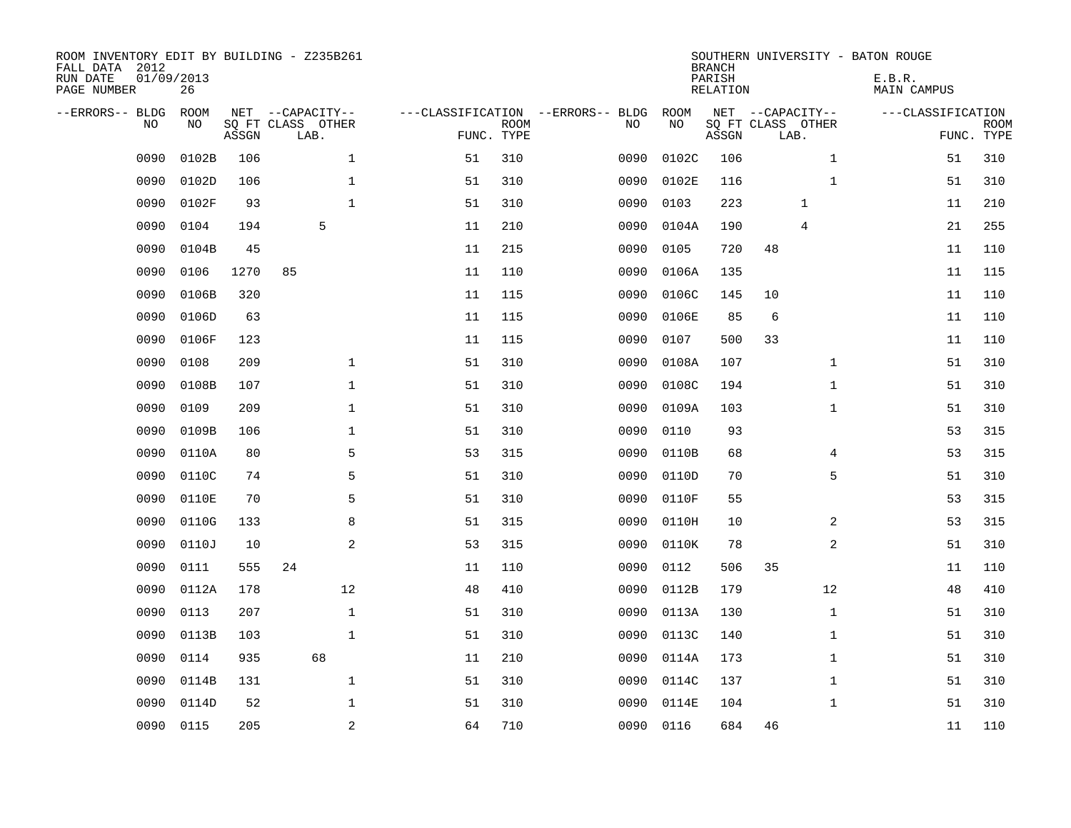| ROOM INVENTORY EDIT BY BUILDING - Z235B261<br>FALL DATA 2012<br>RUN DATE<br>PAGE NUMBER | 01/09/2013<br>26 |       |                           |            |             |                                   |           | <b>BRANCH</b><br>PARISH<br><b>RELATION</b> |                           | SOUTHERN UNIVERSITY - BATON ROUGE<br>E.B.R.<br><b>MAIN CAMPUS</b> |                           |
|-----------------------------------------------------------------------------------------|------------------|-------|---------------------------|------------|-------------|-----------------------------------|-----------|--------------------------------------------|---------------------------|-------------------------------------------------------------------|---------------------------|
| --ERRORS-- BLDG                                                                         | ROOM             |       | NET --CAPACITY--          |            |             | ---CLASSIFICATION --ERRORS-- BLDG | ROOM      |                                            | NET --CAPACITY--          | ---CLASSIFICATION                                                 |                           |
| NO                                                                                      | NO               | ASSGN | SQ FT CLASS OTHER<br>LAB. | FUNC. TYPE | <b>ROOM</b> | NO                                | NO        | ASSGN                                      | SQ FT CLASS OTHER<br>LAB. |                                                                   | <b>ROOM</b><br>FUNC. TYPE |
| 0090                                                                                    | 0102B            | 106   | $\mathbf 1$               | 51         | 310         | 0090                              | 0102C     | 106                                        | $\mathbf{1}$              | 51                                                                | 310                       |
| 0090                                                                                    | 0102D            | 106   | $\mathbf 1$               | 51         | 310         | 0090                              | 0102E     | 116                                        | $\mathbf{1}$              | 51                                                                | 310                       |
| 0090                                                                                    | 0102F            | 93    | $\mathbf{1}$              | 51         | 310         | 0090                              | 0103      | 223                                        | 1                         | 11                                                                | 210                       |
| 0090                                                                                    | 0104             | 194   | 5                         | 11         | 210         | 0090                              | 0104A     | 190                                        | 4                         | 21                                                                | 255                       |
| 0090                                                                                    | 0104B            | 45    |                           | 11         | 215         | 0090                              | 0105      | 720                                        | 48                        | 11                                                                | 110                       |
| 0090                                                                                    | 0106             | 1270  | 85                        | 11         | 110         | 0090                              | 0106A     | 135                                        |                           | 11                                                                | 115                       |
| 0090                                                                                    | 0106B            | 320   |                           | 11         | 115         | 0090                              | 0106C     | 145                                        | 10                        | 11                                                                | 110                       |
| 0090                                                                                    | 0106D            | 63    |                           | 11         | 115         | 0090                              | 0106E     | 85                                         | 6                         | 11                                                                | 110                       |
| 0090                                                                                    | 0106F            | 123   |                           | 11         | 115         | 0090                              | 0107      | 500                                        | 33                        | 11                                                                | 110                       |
| 0090                                                                                    | 0108             | 209   | $\mathbf 1$               | 51         | 310         | 0090                              | 0108A     | 107                                        | $\mathbf{1}$              | 51                                                                | 310                       |
| 0090                                                                                    | 0108B            | 107   | $\mathbf 1$               | 51         | 310         | 0090                              | 0108C     | 194                                        | $\mathbf{1}$              | 51                                                                | 310                       |
| 0090                                                                                    | 0109             | 209   | $\mathbf 1$               | 51         | 310         | 0090                              | 0109A     | 103                                        | $\mathbf{1}$              | 51                                                                | 310                       |
| 0090                                                                                    | 0109B            | 106   | 1                         | 51         | 310         | 0090                              | 0110      | 93                                         |                           | 53                                                                | 315                       |
| 0090                                                                                    | 0110A            | 80    | 5                         | 53         | 315         | 0090                              | 0110B     | 68                                         | 4                         | 53                                                                | 315                       |
| 0090                                                                                    | 0110C            | 74    | 5                         | 51         | 310         | 0090                              | 0110D     | 70                                         | 5                         | 51                                                                | 310                       |
| 0090                                                                                    | 0110E            | 70    | 5                         | 51         | 310         | 0090                              | 0110F     | 55                                         |                           | 53                                                                | 315                       |
| 0090                                                                                    | 0110G            | 133   | 8                         | 51         | 315         | 0090                              | 0110H     | 10                                         | 2                         | 53                                                                | 315                       |
| 0090                                                                                    | 0110J            | 10    | $\overline{a}$            | 53         | 315         | 0090                              | 0110K     | 78                                         | $\overline{a}$            | 51                                                                | 310                       |
| 0090                                                                                    | 0111             | 555   | 24                        | 11         | 110         | 0090                              | 0112      | 506                                        | 35                        | 11                                                                | 110                       |
| 0090                                                                                    | 0112A            | 178   | 12                        | 48         | 410         | 0090                              | 0112B     | 179                                        | 12                        | 48                                                                | 410                       |
| 0090                                                                                    | 0113             | 207   | $\mathbf{1}$              | 51         | 310         | 0090                              | 0113A     | 130                                        | $\mathbf{1}$              | 51                                                                | 310                       |
| 0090                                                                                    | 0113B            | 103   | $\mathbf{1}$              | 51         | 310         | 0090                              | 0113C     | 140                                        | $\mathbf{1}$              | 51                                                                | 310                       |
| 0090                                                                                    | 0114             | 935   | 68                        | 11         | 210         | 0090                              | 0114A     | 173                                        | $\mathbf{1}$              | 51                                                                | 310                       |
| 0090                                                                                    | 0114B            | 131   | $\mathbf{1}$              | 51         | 310         | 0090                              | 0114C     | 137                                        | $\mathbf{1}$              | 51                                                                | 310                       |
| 0090                                                                                    | 0114D            | 52    | $\mathbf 1$               | 51         | 310         | 0090                              | 0114E     | 104                                        | $\mathbf{1}$              | 51                                                                | 310                       |
| 0090                                                                                    | 0115             | 205   | $\overline{a}$            | 64         | 710         |                                   | 0090 0116 | 684                                        | 46                        | 11                                                                | 110                       |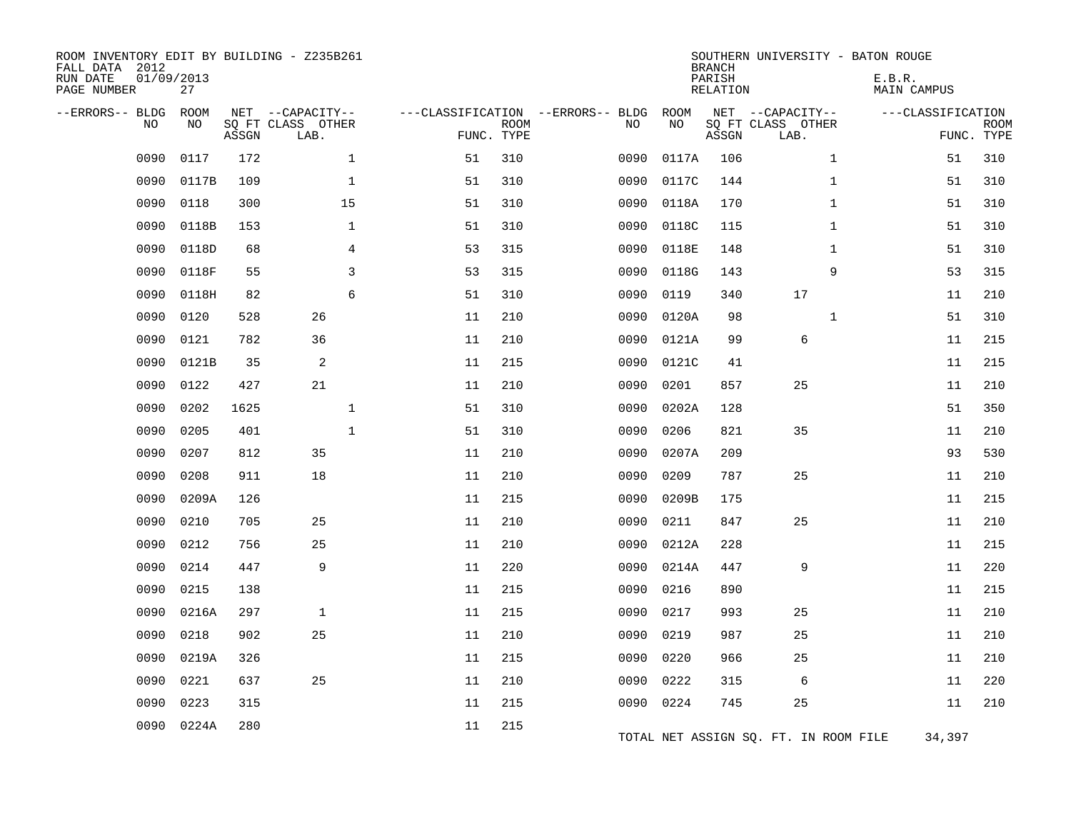| ROOM INVENTORY EDIT BY BUILDING - Z235B261<br>FALL DATA 2012<br>RUN DATE<br>PAGE NUMBER | 01/09/2013<br>27  |       |                                               |    |                           |                                         |            | <b>BRANCH</b><br>PARISH<br>RELATION | SOUTHERN UNIVERSITY - BATON ROUGE             | E.B.R.<br><b>MAIN CAMPUS</b> |                           |
|-----------------------------------------------------------------------------------------|-------------------|-------|-----------------------------------------------|----|---------------------------|-----------------------------------------|------------|-------------------------------------|-----------------------------------------------|------------------------------|---------------------------|
| --ERRORS-- BLDG<br>NO.                                                                  | <b>ROOM</b><br>NO | ASSGN | NET --CAPACITY--<br>SQ FT CLASS OTHER<br>LAB. |    | <b>ROOM</b><br>FUNC. TYPE | ---CLASSIFICATION --ERRORS-- BLDG<br>NO | ROOM<br>NO | ASSGN                               | NET --CAPACITY--<br>SQ FT CLASS OTHER<br>LAB. | ---CLASSIFICATION            | <b>ROOM</b><br>FUNC. TYPE |
| 0090                                                                                    | 0117              | 172   | $\mathbf{1}$                                  | 51 | 310                       | 0090                                    | 0117A      | 106                                 | $\mathbf{1}$                                  | 51                           | 310                       |
| 0090                                                                                    | 0117B             | 109   | $\mathbf{1}$                                  | 51 | 310                       | 0090                                    | 0117C      | 144                                 | $\mathbf{1}$                                  | 51                           | 310                       |
| 0090                                                                                    | 0118              | 300   | 15                                            | 51 | 310                       | 0090                                    | 0118A      | 170                                 | $\mathbf{1}$                                  | 51                           | 310                       |
| 0090                                                                                    | 0118B             | 153   | $\mathbf 1$                                   | 51 | 310                       | 0090                                    | 0118C      | 115                                 | $\mathbf{1}$                                  | 51                           | 310                       |
| 0090                                                                                    | 0118D             | 68    | 4                                             | 53 | 315                       | 0090                                    | 0118E      | 148                                 | $\mathbf{1}$                                  | 51                           | 310                       |
| 0090                                                                                    | 0118F             | 55    | $\overline{3}$                                | 53 | 315                       | 0090                                    | 0118G      | 143                                 | 9                                             | 53                           | 315                       |
| 0090                                                                                    | 0118H             | 82    | 6                                             | 51 | 310                       | 0090                                    | 0119       | 340                                 | 17                                            | 11                           | 210                       |
| 0090                                                                                    | 0120              | 528   | 26                                            | 11 | 210                       | 0090                                    | 0120A      | 98                                  | $\mathbf{1}$                                  | 51                           | 310                       |
| 0090                                                                                    | 0121              | 782   | 36                                            | 11 | 210                       | 0090                                    | 0121A      | 99                                  | $\epsilon$                                    | 11                           | 215                       |
| 0090                                                                                    | 0121B             | 35    | 2                                             | 11 | 215                       | 0090                                    | 0121C      | 41                                  |                                               | 11                           | 215                       |
| 0090                                                                                    | 0122              | 427   | 21                                            | 11 | 210                       | 0090                                    | 0201       | 857                                 | 25                                            | 11                           | 210                       |
| 0090                                                                                    | 0202              | 1625  | $\mathbf 1$                                   | 51 | 310                       | 0090                                    | 0202A      | 128                                 |                                               | 51                           | 350                       |
| 0090                                                                                    | 0205              | 401   | $\mathbf{1}$                                  | 51 | 310                       | 0090                                    | 0206       | 821                                 | 35                                            | 11                           | 210                       |
| 0090                                                                                    | 0207              | 812   | 35                                            | 11 | 210                       | 0090                                    | 0207A      | 209                                 |                                               | 93                           | 530                       |
| 0090                                                                                    | 0208              | 911   | 18                                            | 11 | 210                       | 0090                                    | 0209       | 787                                 | 25                                            | 11                           | 210                       |
| 0090                                                                                    | 0209A             | 126   |                                               | 11 | 215                       | 0090                                    | 0209B      | 175                                 |                                               | 11                           | 215                       |
| 0090                                                                                    | 0210              | 705   | 25                                            | 11 | 210                       | 0090                                    | 0211       | 847                                 | 25                                            | 11                           | 210                       |
| 0090                                                                                    | 0212              | 756   | 25                                            | 11 | 210                       | 0090                                    | 0212A      | 228                                 |                                               | 11                           | 215                       |
| 0090                                                                                    | 0214              | 447   | 9                                             | 11 | 220                       | 0090                                    | 0214A      | 447                                 | 9                                             | 11                           | 220                       |
| 0090                                                                                    | 0215              | 138   |                                               | 11 | 215                       | 0090                                    | 0216       | 890                                 |                                               | 11                           | 215                       |
| 0090                                                                                    | 0216A             | 297   | $\mathbf{1}$                                  | 11 | 215                       | 0090                                    | 0217       | 993                                 | 25                                            | 11                           | 210                       |
| 0090                                                                                    | 0218              | 902   | 25                                            | 11 | 210                       | 0090                                    | 0219       | 987                                 | 25                                            | 11                           | 210                       |
| 0090                                                                                    | 0219A             | 326   |                                               | 11 | 215                       | 0090                                    | 0220       | 966                                 | 25                                            | 11                           | 210                       |
| 0090                                                                                    | 0221              | 637   | 25                                            | 11 | 210                       | 0090                                    | 0222       | 315                                 | 6                                             | 11                           | 220                       |
| 0090                                                                                    | 0223              | 315   |                                               | 11 | 215                       | 0090                                    | 0224       | 745                                 | 25                                            | 11                           | 210                       |
| 0090                                                                                    | 0224A             | 280   |                                               | 11 | 215                       |                                         |            |                                     | TOTAL NET ASSIGN SQ. FT. IN ROOM FILE         | 34,397                       |                           |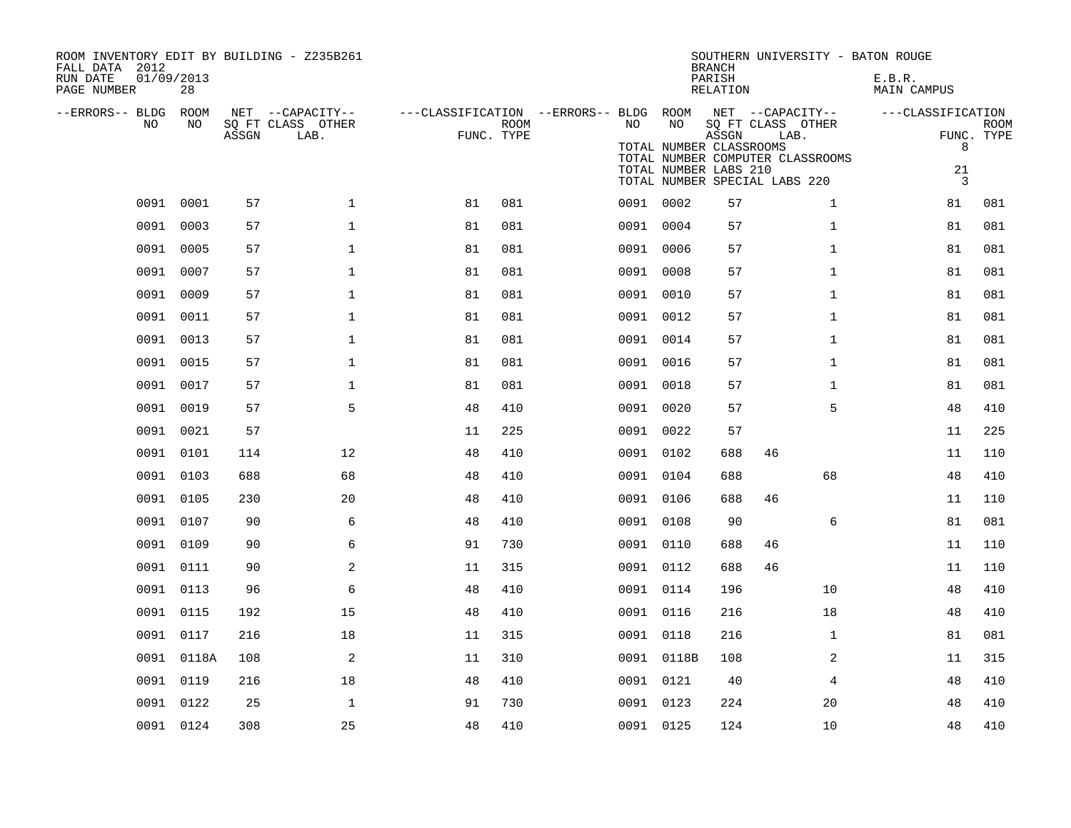| FALL DATA 2012<br>RUN DATE<br>PAGE NUMBER |      | 01/09/2013<br>28 |       | ROOM INVENTORY EDIT BY BUILDING - Z235B261    |                                                      |             |           |                                                        | <b>BRANCH</b><br>PARISH<br>RELATION | SOUTHERN UNIVERSITY - BATON ROUGE                                                                                  | E.B.R.<br><b>MAIN CAMPUS</b>                   |                           |
|-------------------------------------------|------|------------------|-------|-----------------------------------------------|------------------------------------------------------|-------------|-----------|--------------------------------------------------------|-------------------------------------|--------------------------------------------------------------------------------------------------------------------|------------------------------------------------|---------------------------|
| --ERRORS-- BLDG ROOM                      | NO   | NO               | ASSGN | NET --CAPACITY--<br>SQ FT CLASS OTHER<br>LAB. | ---CLASSIFICATION --ERRORS-- BLDG ROOM<br>FUNC. TYPE | <b>ROOM</b> | NO        | NO<br>TOTAL NUMBER CLASSROOMS<br>TOTAL NUMBER LABS 210 | ASSGN                               | NET --CAPACITY--<br>SQ FT CLASS OTHER<br>LAB.<br>TOTAL NUMBER COMPUTER CLASSROOMS<br>TOTAL NUMBER SPECIAL LABS 220 | ---CLASSIFICATION<br>8<br>21<br>$\overline{3}$ | <b>ROOM</b><br>FUNC. TYPE |
|                                           | 0091 | 0001             | 57    | $\mathbf{1}$                                  | 81                                                   | 081         | 0091 0002 |                                                        | 57                                  | $\mathbf{1}$                                                                                                       | 81                                             | 081                       |
|                                           |      | 0091 0003        | 57    | $\mathbf 1$                                   | 81                                                   | 081         |           | 0091 0004                                              | 57                                  | $\mathbf{1}$                                                                                                       | 81                                             | 081                       |
|                                           | 0091 | 0005             | 57    | $\mathbf 1$                                   | 81                                                   | 081         | 0091      | 0006                                                   | 57                                  | $\mathbf{1}$                                                                                                       | 81                                             | 081                       |
|                                           |      | 0091 0007        | 57    | $\mathbf{1}$                                  | 81                                                   | 081         |           | 0091 0008                                              | 57                                  | $\mathbf{1}$                                                                                                       | 81                                             | 081                       |
|                                           | 0091 | 0009             | 57    | $\mathbf{1}$                                  | 81                                                   | 081         | 0091 0010 |                                                        | 57                                  | $\mathbf{1}$                                                                                                       | 81                                             | 081                       |
|                                           |      | 0091 0011        | 57    | $\mathbf 1$                                   | 81                                                   | 081         |           | 0091 0012                                              | 57                                  | $\mathbf{1}$                                                                                                       | 81                                             | 081                       |
|                                           | 0091 | 0013             | 57    | $\mathbf 1$                                   | 81                                                   | 081         | 0091      | 0014                                                   | 57                                  | $\mathbf{1}$                                                                                                       | 81                                             | 081                       |
|                                           | 0091 | 0015             | 57    | $\mathbf 1$                                   | 81                                                   | 081         |           | 0091 0016                                              | 57                                  | $\mathbf{1}$                                                                                                       | 81                                             | 081                       |
|                                           | 0091 | 0017             | 57    | $\mathbf 1$                                   | 81                                                   | 081         | 0091      | 0018                                                   | 57                                  | $\mathbf{1}$                                                                                                       | 81                                             | 081                       |
|                                           | 0091 | 0019             | 57    | 5                                             | 48                                                   | 410         |           | 0091 0020                                              | 57                                  | 5                                                                                                                  | 48                                             | 410                       |
|                                           | 0091 | 0021             | 57    |                                               | 11                                                   | 225         |           | 0091 0022                                              | 57                                  |                                                                                                                    | 11                                             | 225                       |
|                                           |      | 0091 0101        | 114   | 12                                            | 48                                                   | 410         |           | 0091 0102                                              | 688                                 | 46                                                                                                                 | 11                                             | 110                       |
|                                           |      | 0091 0103        | 688   | 68                                            | 48                                                   | 410         | 0091 0104 |                                                        | 688                                 | 68                                                                                                                 | 48                                             | 410                       |
|                                           | 0091 | 0105             | 230   | 20                                            | 48                                                   | 410         |           | 0091 0106                                              | 688                                 | 46                                                                                                                 | 11                                             | 110                       |
|                                           | 0091 | 0107             | 90    | 6                                             | 48                                                   | 410         | 0091 0108 |                                                        | 90                                  | 6                                                                                                                  | 81                                             | 081                       |
|                                           | 0091 | 0109             | 90    | 6                                             | 91                                                   | 730         |           | 0091 0110                                              | 688                                 | 46                                                                                                                 | 11                                             | 110                       |
|                                           | 0091 | 0111             | 90    | 2                                             | 11                                                   | 315         |           | 0091 0112                                              | 688                                 | 46                                                                                                                 | 11                                             | 110                       |
|                                           | 0091 | 0113             | 96    | 6                                             | 48                                                   | 410         | 0091 0114 |                                                        | 196                                 | 10                                                                                                                 | 48                                             | 410                       |
|                                           | 0091 | 0115             | 192   | 15                                            | 48                                                   | 410         |           | 0091 0116                                              | 216                                 | 18                                                                                                                 | 48                                             | 410                       |
|                                           | 0091 | 0117             | 216   | 18                                            | 11                                                   | 315         |           | 0091 0118                                              | 216                                 | $\mathbf{1}$                                                                                                       | 81                                             | 081                       |
|                                           | 0091 | 0118A            | 108   | 2                                             | 11                                                   | 310         |           | 0091 0118B                                             | 108                                 | 2                                                                                                                  | 11                                             | 315                       |
|                                           | 0091 | 0119             | 216   | 18                                            | 48                                                   | 410         | 0091 0121 |                                                        | 40                                  | 4                                                                                                                  | 48                                             | 410                       |
|                                           |      | 0091 0122        | 25    | $\mathbf{1}$                                  | 91                                                   | 730         |           | 0091 0123                                              | 224                                 | 20                                                                                                                 | 48                                             | 410                       |
|                                           |      | 0091 0124        | 308   | 25                                            | 48                                                   | 410         | 0091 0125 |                                                        | 124                                 | 10                                                                                                                 | 48                                             | 410                       |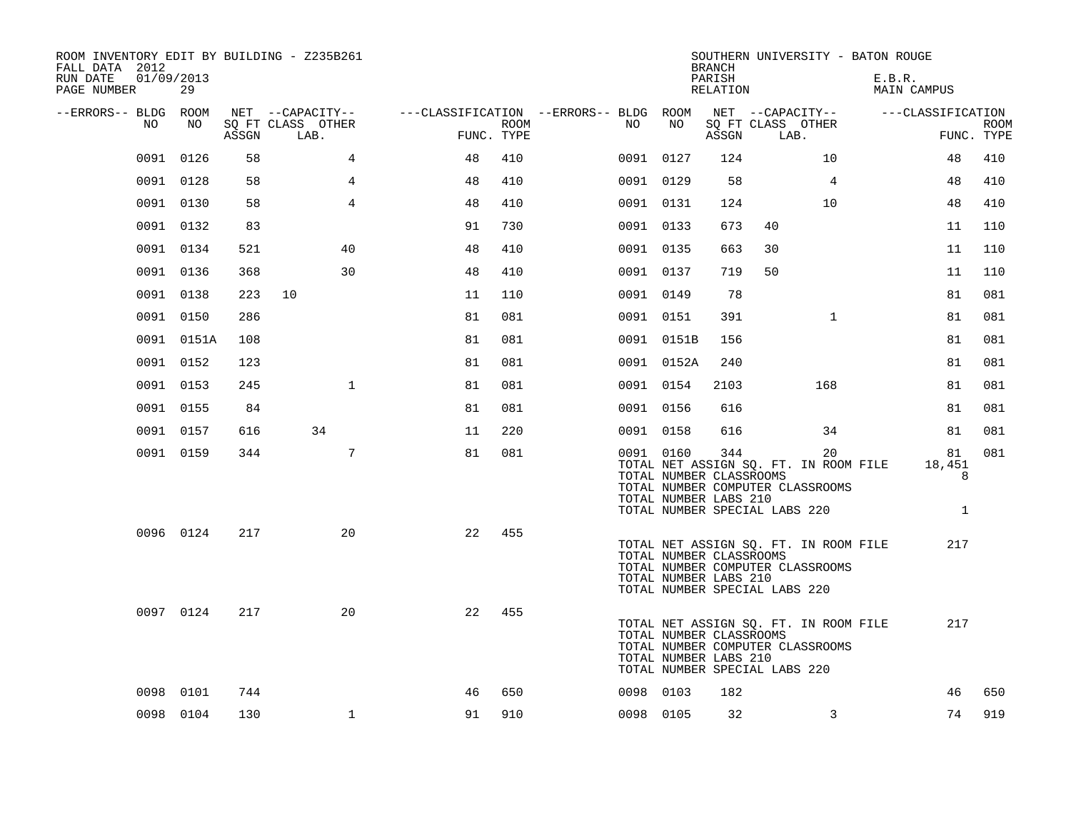| ROOM INVENTORY EDIT BY BUILDING - Z235B261<br>FALL DATA 2012<br>01/09/2013<br>RUN DATE<br>PAGE NUMBER | 29         |       |                                               |                                                      |      |    |            | <b>BRANCH</b><br>PARISH<br>RELATION                                                      |      |                                                                                 | SOUTHERN UNIVERSITY - BATON ROUGE<br>E.B.R.<br>MAIN CAMPUS |                                   |             |
|-------------------------------------------------------------------------------------------------------|------------|-------|-----------------------------------------------|------------------------------------------------------|------|----|------------|------------------------------------------------------------------------------------------|------|---------------------------------------------------------------------------------|------------------------------------------------------------|-----------------------------------|-------------|
| --ERRORS-- BLDG ROOM<br>NO                                                                            | NO         | ASSGN | NET --CAPACITY--<br>SQ FT CLASS OTHER<br>LAB. | ---CLASSIFICATION --ERRORS-- BLDG ROOM<br>FUNC. TYPE | ROOM | NO | NO         | ASSGN                                                                                    | LAB. | NET --CAPACITY--<br>SQ FT CLASS OTHER                                           |                                                            | ---CLASSIFICATION<br>FUNC. TYPE   | <b>ROOM</b> |
|                                                                                                       | 0091 0126  | 58    | 4                                             | 48                                                   | 410  |    | 0091 0127  | 124                                                                                      |      | 10                                                                              |                                                            | 48                                | 410         |
|                                                                                                       | 0091 0128  | 58    | $\overline{4}$                                | 48                                                   | 410  |    | 0091 0129  | 58                                                                                       |      | $\overline{4}$                                                                  |                                                            | 48                                | 410         |
|                                                                                                       | 0091 0130  | 58    | 4                                             | 48                                                   | 410  |    | 0091 0131  | 124                                                                                      |      | 10                                                                              |                                                            | 48                                | 410         |
|                                                                                                       | 0091 0132  | 83    |                                               | 91                                                   | 730  |    | 0091 0133  | 673                                                                                      | 40   |                                                                                 |                                                            | 11                                | 110         |
|                                                                                                       | 0091 0134  | 521   | 40                                            | 48                                                   | 410  |    | 0091 0135  | 663                                                                                      | 30   |                                                                                 |                                                            | 11                                | 110         |
|                                                                                                       | 0091 0136  | 368   | 30                                            | 48                                                   | 410  |    | 0091 0137  | 719                                                                                      | 50   |                                                                                 |                                                            | 11                                | 110         |
|                                                                                                       | 0091 0138  | 223   | 10                                            | 11                                                   | 110  |    | 0091 0149  | 78                                                                                       |      |                                                                                 |                                                            | 81                                | 081         |
|                                                                                                       | 0091 0150  | 286   |                                               | 81                                                   | 081  |    | 0091 0151  | 391                                                                                      |      | $\mathbf{1}$                                                                    |                                                            | 81                                | 081         |
|                                                                                                       | 0091 0151A | 108   |                                               | 81                                                   | 081  |    | 0091 0151B | 156                                                                                      |      |                                                                                 |                                                            | 81                                | 081         |
|                                                                                                       | 0091 0152  | 123   |                                               | 81                                                   | 081  |    | 0091 0152A | 240                                                                                      |      |                                                                                 |                                                            | 81                                | 081         |
|                                                                                                       | 0091 0153  | 245   | $\mathbf{1}$                                  | 81                                                   | 081  |    | 0091 0154  | 2103                                                                                     |      | 168                                                                             |                                                            | 81                                | 081         |
|                                                                                                       | 0091 0155  | 84    |                                               | 81                                                   | 081  |    | 0091 0156  | 616                                                                                      |      |                                                                                 |                                                            | 81                                | 081         |
|                                                                                                       | 0091 0157  | 616   | 34                                            | 11                                                   | 220  |    | 0091 0158  | 616                                                                                      |      | 34                                                                              |                                                            | 81                                | 081         |
|                                                                                                       | 0091 0159  | 344   | $7\overline{ }$                               | 81                                                   | 081  |    | 0091 0160  | 344<br>TOTAL NUMBER CLASSROOMS<br>TOTAL NUMBER LABS 210<br>TOTAL NUMBER SPECIAL LABS 220 |      | 20<br>TOTAL NET ASSIGN SQ. FT. IN ROOM FILE<br>TOTAL NUMBER COMPUTER CLASSROOMS |                                                            | 81<br>18,451<br>8<br>$\mathbf{1}$ | 081         |
|                                                                                                       | 0096 0124  | 217   | 20                                            | 22                                                   | 455  |    |            | TOTAL NUMBER CLASSROOMS<br>TOTAL NUMBER LABS 210<br>TOTAL NUMBER SPECIAL LABS 220        |      | TOTAL NET ASSIGN SQ. FT. IN ROOM FILE<br>TOTAL NUMBER COMPUTER CLASSROOMS       |                                                            | 217                               |             |
|                                                                                                       | 0097 0124  | 217   | 20                                            | 22                                                   | 455  |    |            | TOTAL NUMBER CLASSROOMS<br>TOTAL NUMBER LABS 210<br>TOTAL NUMBER SPECIAL LABS 220        |      | TOTAL NET ASSIGN SQ. FT. IN ROOM FILE<br>TOTAL NUMBER COMPUTER CLASSROOMS       |                                                            | 217                               |             |
|                                                                                                       | 0098 0101  | 744   |                                               | 46                                                   | 650  |    | 0098 0103  | 182                                                                                      |      |                                                                                 |                                                            | 46                                | 650         |
|                                                                                                       | 0098 0104  | 130   | $\mathbf{1}$                                  | 91                                                   | 910  |    | 0098 0105  | 32                                                                                       |      | 3                                                                               |                                                            | 74                                | 919         |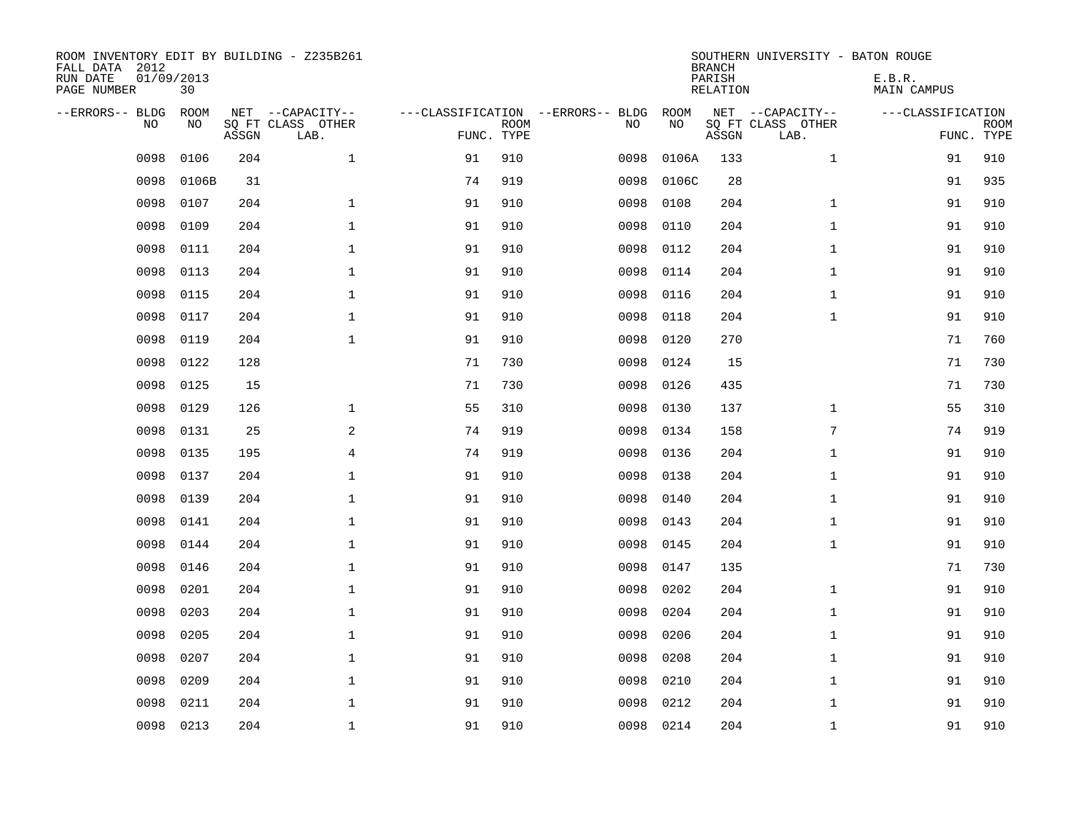| ROOM INVENTORY EDIT BY BUILDING - Z235B261<br>FALL DATA 2012<br>RUN DATE<br>PAGE NUMBER | 01/09/2013<br>30  |       |                                               |            |             |                                         |            | <b>BRANCH</b><br>PARISH<br><b>RELATION</b> | SOUTHERN UNIVERSITY - BATON ROUGE             | E.B.R.<br><b>MAIN CAMPUS</b> |                           |
|-----------------------------------------------------------------------------------------|-------------------|-------|-----------------------------------------------|------------|-------------|-----------------------------------------|------------|--------------------------------------------|-----------------------------------------------|------------------------------|---------------------------|
| --ERRORS-- BLDG<br>NO                                                                   | <b>ROOM</b><br>NO | ASSGN | NET --CAPACITY--<br>SQ FT CLASS OTHER<br>LAB. | FUNC. TYPE | <b>ROOM</b> | ---CLASSIFICATION --ERRORS-- BLDG<br>NO | ROOM<br>NO | ASSGN                                      | NET --CAPACITY--<br>SQ FT CLASS OTHER<br>LAB. | ---CLASSIFICATION            | <b>ROOM</b><br>FUNC. TYPE |
| 0098                                                                                    | 0106              | 204   | $\mathbf{1}$                                  | 91         | 910         | 0098                                    | 0106A      | 133                                        | $\mathbf{1}$                                  | 91                           | 910                       |
| 0098                                                                                    | 0106B             | 31    |                                               | 74         | 919         | 0098                                    | 0106C      | 28                                         |                                               | 91                           | 935                       |
| 0098                                                                                    | 0107              | 204   | $\mathbf 1$                                   | 91         | 910         | 0098                                    | 0108       | 204                                        | $\mathbf{1}$                                  | 91                           | 910                       |
| 0098                                                                                    | 0109              | 204   | $\mathbf 1$                                   | 91         | 910         | 0098                                    | 0110       | 204                                        | $\mathbf{1}$                                  | 91                           | 910                       |
| 0098                                                                                    | 0111              | 204   | $\mathbf{1}$                                  | 91         | 910         | 0098                                    | 0112       | 204                                        | $\mathbf{1}$                                  | 91                           | 910                       |
| 0098                                                                                    | 0113              | 204   | $\mathbf 1$                                   | 91         | 910         | 0098                                    | 0114       | 204                                        | $\mathbf{1}$                                  | 91                           | 910                       |
| 0098                                                                                    | 0115              | 204   | $\mathbf{1}$                                  | 91         | 910         | 0098                                    | 0116       | 204                                        | $\mathbf{1}$                                  | 91                           | 910                       |
| 0098                                                                                    | 0117              | 204   | $\mathbf 1$                                   | 91         | 910         | 0098                                    | 0118       | 204                                        | $\mathbf{1}$                                  | 91                           | 910                       |
| 0098                                                                                    | 0119              | 204   | $\mathbf{1}$                                  | 91         | 910         | 0098                                    | 0120       | 270                                        |                                               | 71                           | 760                       |
| 0098                                                                                    | 0122              | 128   |                                               | 71         | 730         | 0098                                    | 0124       | 15                                         |                                               | 71                           | 730                       |
| 0098                                                                                    | 0125              | 15    |                                               | 71         | 730         | 0098                                    | 0126       | 435                                        |                                               | 71                           | 730                       |
| 0098                                                                                    | 0129              | 126   | $\mathbf 1$                                   | 55         | 310         | 0098                                    | 0130       | 137                                        | $\mathbf{1}$                                  | 55                           | 310                       |
| 0098                                                                                    | 0131              | 25    | 2                                             | 74         | 919         | 0098                                    | 0134       | 158                                        | 7                                             | 74                           | 919                       |
| 0098                                                                                    | 0135              | 195   | $\overline{4}$                                | 74         | 919         | 0098                                    | 0136       | 204                                        | $\mathbf{1}$                                  | 91                           | 910                       |
| 0098                                                                                    | 0137              | 204   | $\mathbf 1$                                   | 91         | 910         | 0098                                    | 0138       | 204                                        | $\mathbf{1}$                                  | 91                           | 910                       |
| 0098                                                                                    | 0139              | 204   | $\mathbf{1}$                                  | 91         | 910         | 0098                                    | 0140       | 204                                        | $\mathbf{1}$                                  | 91                           | 910                       |
| 0098                                                                                    | 0141              | 204   | $\mathbf{1}$                                  | 91         | 910         | 0098                                    | 0143       | 204                                        | $\mathbf{1}$                                  | 91                           | 910                       |
| 0098                                                                                    | 0144              | 204   | $\mathbf{1}$                                  | 91         | 910         | 0098                                    | 0145       | 204                                        | $\mathbf{1}$                                  | 91                           | 910                       |
| 0098                                                                                    | 0146              | 204   | $\mathbf 1$                                   | 91         | 910         | 0098                                    | 0147       | 135                                        |                                               | 71                           | 730                       |
| 0098                                                                                    | 0201              | 204   | $\mathbf 1$                                   | 91         | 910         | 0098                                    | 0202       | 204                                        | $\mathbf{1}$                                  | 91                           | 910                       |
| 0098                                                                                    | 0203              | 204   | $\mathbf 1$                                   | 91         | 910         | 0098                                    | 0204       | 204                                        | $\mathbf{1}$                                  | 91                           | 910                       |
| 0098                                                                                    | 0205              | 204   | $\mathbf 1$                                   | 91         | 910         | 0098                                    | 0206       | 204                                        | $\mathbf{1}$                                  | 91                           | 910                       |
| 0098                                                                                    | 0207              | 204   | $\mathbf 1$                                   | 91         | 910         | 0098                                    | 0208       | 204                                        | $\mathbf{1}$                                  | 91                           | 910                       |
| 0098                                                                                    | 0209              | 204   | $\mathbf{1}$                                  | 91         | 910         | 0098                                    | 0210       | 204                                        | $\mathbf{1}$                                  | 91                           | 910                       |
| 0098                                                                                    | 0211              | 204   | $\mathbf 1$                                   | 91         | 910         | 0098                                    | 0212       | 204                                        | $\mathbf{1}$                                  | 91                           | 910                       |
| 0098                                                                                    | 0213              | 204   | $\mathbf{1}$                                  | 91         | 910         | 0098                                    | 0214       | 204                                        | $\mathbf{1}$                                  | 91                           | 910                       |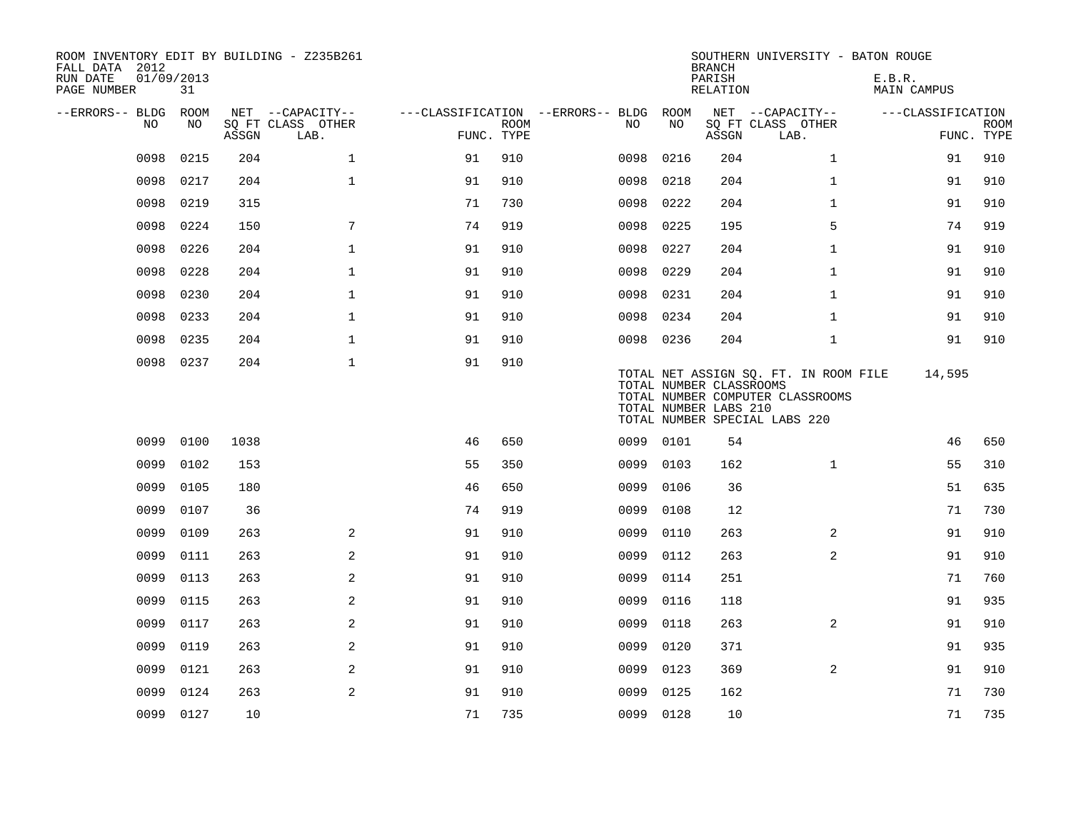| ROOM INVENTORY EDIT BY BUILDING - Z235B261<br>FALL DATA 2012<br>RUN DATE<br>PAGE NUMBER | 01/09/2013<br>31 |       |                           |                                        |             |           |      | <b>BRANCH</b><br>PARISH<br>RELATION              | SOUTHERN UNIVERSITY - BATON ROUGE                                                                          | E.B.R.<br>MAIN CAMPUS |                           |
|-----------------------------------------------------------------------------------------|------------------|-------|---------------------------|----------------------------------------|-------------|-----------|------|--------------------------------------------------|------------------------------------------------------------------------------------------------------------|-----------------------|---------------------------|
| --ERRORS-- BLDG ROOM                                                                    |                  |       | NET --CAPACITY--          | ---CLASSIFICATION --ERRORS-- BLDG ROOM |             |           |      |                                                  | NET --CAPACITY--                                                                                           | ---CLASSIFICATION     |                           |
| NO.                                                                                     | NO.              | ASSGN | SO FT CLASS OTHER<br>LAB. | FUNC. TYPE                             | <b>ROOM</b> | NO.       | NO   | ASSGN                                            | SQ FT CLASS OTHER<br>LAB.                                                                                  |                       | <b>ROOM</b><br>FUNC. TYPE |
| 0098                                                                                    | 0215             | 204   | $\mathbf{1}$              | 91                                     | 910         | 0098      | 0216 | 204                                              | $\mathbf{1}$                                                                                               | 91                    | 910                       |
| 0098                                                                                    | 0217             | 204   | $\mathbf{1}$              | 91                                     | 910         | 0098      | 0218 | 204                                              | $\mathbf{1}$                                                                                               | 91                    | 910                       |
| 0098                                                                                    | 0219             | 315   |                           | 71                                     | 730         | 0098      | 0222 | 204                                              | $\mathbf{1}$                                                                                               | 91                    | 910                       |
| 0098                                                                                    | 0224             | 150   | $7\overline{ }$           | 74                                     | 919         | 0098      | 0225 | 195                                              | 5                                                                                                          | 74                    | 919                       |
| 0098                                                                                    | 0226             | 204   | $\mathbf{1}$              | 91                                     | 910         | 0098      | 0227 | 204                                              | $\mathbf{1}$                                                                                               | 91                    | 910                       |
| 0098                                                                                    | 0228             | 204   | $\mathbf{1}$              | 91                                     | 910         | 0098      | 0229 | 204                                              | $\mathbf{1}$                                                                                               | 91                    | 910                       |
| 0098                                                                                    | 0230             | 204   | $\mathbf 1$               | 91                                     | 910         | 0098      | 0231 | 204                                              | $\mathbf{1}$                                                                                               | 91                    | 910                       |
| 0098                                                                                    | 0233             | 204   | $\mathbf{1}$              | 91                                     | 910         | 0098      | 0234 | 204                                              | $\mathbf{1}$                                                                                               | 91                    | 910                       |
| 0098                                                                                    | 0235             | 204   | $\mathbf{1}$              | 91                                     | 910         | 0098 0236 |      | 204                                              | $\mathbf{1}$                                                                                               | 91                    | 910                       |
| 0098                                                                                    | 0237             | 204   | $\mathbf{1}$              | 91                                     | 910         |           |      | TOTAL NUMBER CLASSROOMS<br>TOTAL NUMBER LABS 210 | TOTAL NET ASSIGN SQ. FT. IN ROOM FILE<br>TOTAL NUMBER COMPUTER CLASSROOMS<br>TOTAL NUMBER SPECIAL LABS 220 | 14,595                |                           |
| 0099                                                                                    | 0100             | 1038  |                           | 46                                     | 650         | 0099 0101 |      | 54                                               |                                                                                                            | 46                    | 650                       |
| 0099                                                                                    | 0102             | 153   |                           | 55                                     | 350         | 0099      | 0103 | 162                                              | $\mathbf{1}$                                                                                               | 55                    | 310                       |
| 0099                                                                                    | 0105             | 180   |                           | 46                                     | 650         | 0099      | 0106 | 36                                               |                                                                                                            | 51                    | 635                       |
| 0099                                                                                    | 0107             | 36    |                           | 74                                     | 919         | 0099      | 0108 | 12                                               |                                                                                                            | 71                    | 730                       |
| 0099                                                                                    | 0109             | 263   | 2                         | 91                                     | 910         | 0099      | 0110 | 263                                              | 2                                                                                                          | 91                    | 910                       |
| 0099                                                                                    | 0111             | 263   | 2                         | 91                                     | 910         | 0099      | 0112 | 263                                              | $\overline{a}$                                                                                             | 91                    | 910                       |
| 0099                                                                                    | 0113             | 263   | 2                         | 91                                     | 910         | 0099      | 0114 | 251                                              |                                                                                                            | 71                    | 760                       |
| 0099                                                                                    | 0115             | 263   | 2                         | 91                                     | 910         | 0099      | 0116 | 118                                              |                                                                                                            | 91                    | 935                       |
| 0099                                                                                    | 0117             | 263   | $\overline{a}$            | 91                                     | 910         | 0099      | 0118 | 263                                              | 2                                                                                                          | 91                    | 910                       |
| 0099                                                                                    | 0119             | 263   | 2                         | 91                                     | 910         | 0099      | 0120 | 371                                              |                                                                                                            | 91                    | 935                       |
| 0099                                                                                    | 0121             | 263   | 2                         | 91                                     | 910         | 0099      | 0123 | 369                                              | $\overline{2}$                                                                                             | 91                    | 910                       |
| 0099                                                                                    | 0124             | 263   | 2                         | 91                                     | 910         | 0099      | 0125 | 162                                              |                                                                                                            | 71                    | 730                       |
|                                                                                         | 0099 0127        | 10    |                           | 71                                     | 735         | 0099 0128 |      | 10                                               |                                                                                                            | 71                    | 735                       |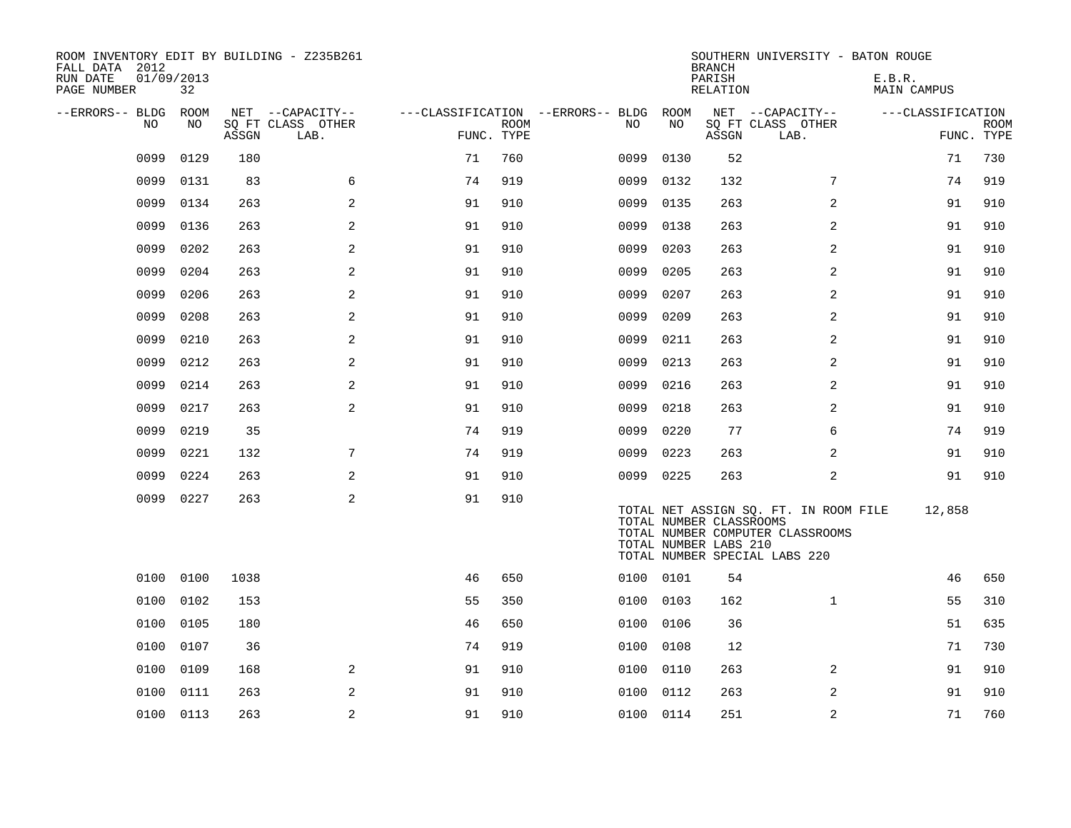| ROOM INVENTORY EDIT BY BUILDING - Z235B261<br>FALL DATA 2012<br>RUN DATE<br>PAGE NUMBER | 01/09/2013<br>32 |       |                           |                                        |             |           |                                                  | <b>BRANCH</b><br>PARISH<br>RELATION | SOUTHERN UNIVERSITY - BATON ROUGE                                                                          | E.B.R.<br><b>MAIN CAMPUS</b> |                           |
|-----------------------------------------------------------------------------------------|------------------|-------|---------------------------|----------------------------------------|-------------|-----------|--------------------------------------------------|-------------------------------------|------------------------------------------------------------------------------------------------------------|------------------------------|---------------------------|
| --ERRORS-- BLDG ROOM                                                                    |                  |       | NET --CAPACITY--          | ---CLASSIFICATION --ERRORS-- BLDG ROOM |             |           |                                                  |                                     | NET --CAPACITY--                                                                                           | ---CLASSIFICATION            |                           |
| NO                                                                                      | NO               | ASSGN | SQ FT CLASS OTHER<br>LAB. | FUNC. TYPE                             | <b>ROOM</b> | NO        | NO                                               | ASSGN                               | SQ FT CLASS OTHER<br>LAB.                                                                                  |                              | <b>ROOM</b><br>FUNC. TYPE |
| 0099                                                                                    | 0129             | 180   |                           | 71                                     | 760         | 0099      | 0130                                             | 52                                  |                                                                                                            | 71                           | 730                       |
| 0099                                                                                    | 0131             | 83    | 6                         | 74                                     | 919         | 0099      | 0132                                             | 132                                 | 7                                                                                                          | 74                           | 919                       |
| 0099                                                                                    | 0134             | 263   | 2                         | 91                                     | 910         | 0099      | 0135                                             | 263                                 | 2                                                                                                          | 91                           | 910                       |
| 0099                                                                                    | 0136             | 263   | 2                         | 91                                     | 910         | 0099      | 0138                                             | 263                                 | 2                                                                                                          | 91                           | 910                       |
| 0099                                                                                    | 0202             | 263   | 2                         | 91                                     | 910         | 0099      | 0203                                             | 263                                 | 2                                                                                                          | 91                           | 910                       |
| 0099                                                                                    | 0204             | 263   | 2                         | 91                                     | 910         | 0099      | 0205                                             | 263                                 | 2                                                                                                          | 91                           | 910                       |
| 0099                                                                                    | 0206             | 263   | 2                         | 91                                     | 910         | 0099      | 0207                                             | 263                                 | 2                                                                                                          | 91                           | 910                       |
| 0099                                                                                    | 0208             | 263   | 2                         | 91                                     | 910         | 0099      | 0209                                             | 263                                 | 2                                                                                                          | 91                           | 910                       |
| 0099                                                                                    | 0210             | 263   | 2                         | 91                                     | 910         | 0099      | 0211                                             | 263                                 | 2                                                                                                          | 91                           | 910                       |
| 0099                                                                                    | 0212             | 263   | 2                         | 91                                     | 910         | 0099      | 0213                                             | 263                                 | 2                                                                                                          | 91                           | 910                       |
| 0099                                                                                    | 0214             | 263   | 2                         | 91                                     | 910         | 0099      | 0216                                             | 263                                 | 2                                                                                                          | 91                           | 910                       |
| 0099                                                                                    | 0217             | 263   | 2                         | 91                                     | 910         | 0099      | 0218                                             | 263                                 | 2                                                                                                          | 91                           | 910                       |
| 0099                                                                                    | 0219             | 35    |                           | 74                                     | 919         | 0099      | 0220                                             | 77                                  | 6                                                                                                          | 74                           | 919                       |
| 0099                                                                                    | 0221             | 132   | 7                         | 74                                     | 919         | 0099      | 0223                                             | 263                                 | $\overline{2}$                                                                                             | 91                           | 910                       |
| 0099                                                                                    | 0224             | 263   | 2                         | 91                                     | 910         | 0099      | 0225                                             | 263                                 | 2                                                                                                          | 91                           | 910                       |
| 0099                                                                                    | 0227             | 263   | 2                         | 91                                     | 910         |           | TOTAL NUMBER CLASSROOMS<br>TOTAL NUMBER LABS 210 |                                     | TOTAL NET ASSIGN SQ. FT. IN ROOM FILE<br>TOTAL NUMBER COMPUTER CLASSROOMS<br>TOTAL NUMBER SPECIAL LABS 220 | 12,858                       |                           |
| 0100                                                                                    | 0100             | 1038  |                           | 46                                     | 650         | 0100      | 0101                                             | 54                                  |                                                                                                            | 46                           | 650                       |
| 0100                                                                                    | 0102             | 153   |                           | 55                                     | 350         | 0100      | 0103                                             | 162                                 | $\mathbf{1}$                                                                                               | 55                           | 310                       |
| 0100                                                                                    | 0105             | 180   |                           | 46                                     | 650         | 0100      | 0106                                             | 36                                  |                                                                                                            | 51                           | 635                       |
| 0100                                                                                    | 0107             | 36    |                           | 74                                     | 919         | 0100      | 0108                                             | 12                                  |                                                                                                            | 71                           | 730                       |
| 0100                                                                                    | 0109             | 168   | 2                         | 91                                     | 910         | 0100      | 0110                                             | 263                                 | $\overline{2}$                                                                                             | 91                           | 910                       |
| 0100                                                                                    | 0111             | 263   | 2                         | 91                                     | 910         | 0100      | 0112                                             | 263                                 | 2                                                                                                          | 91                           | 910                       |
|                                                                                         | 0100 0113        | 263   | $\overline{a}$            | 91                                     | 910         | 0100 0114 |                                                  | 251                                 | $\overline{a}$                                                                                             | 71                           | 760                       |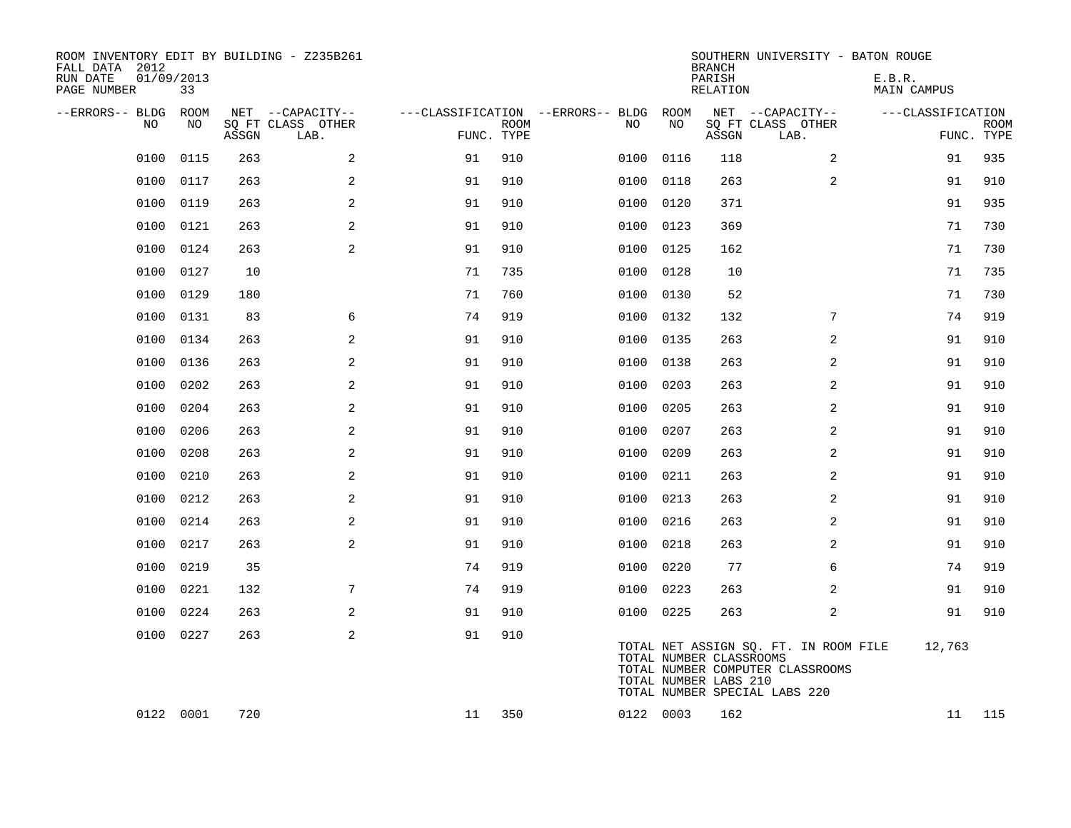| ROOM INVENTORY EDIT BY BUILDING - Z235B261<br>FALL DATA 2012<br>RUN DATE<br>PAGE NUMBER | 01/09/2013<br>33 |       |                           |            |             |                                        |      |           | <b>BRANCH</b><br>PARISH<br>RELATION              | SOUTHERN UNIVERSITY - BATON ROUGE                                                                          | E.B.R.<br>MAIN CAMPUS |                           |
|-----------------------------------------------------------------------------------------|------------------|-------|---------------------------|------------|-------------|----------------------------------------|------|-----------|--------------------------------------------------|------------------------------------------------------------------------------------------------------------|-----------------------|---------------------------|
| --ERRORS-- BLDG ROOM                                                                    |                  |       | NET --CAPACITY--          |            |             | ---CLASSIFICATION --ERRORS-- BLDG ROOM |      |           |                                                  | NET --CAPACITY--                                                                                           | ---CLASSIFICATION     |                           |
| NO.                                                                                     | NO               | ASSGN | SQ FT CLASS OTHER<br>LAB. | FUNC. TYPE | <b>ROOM</b> | NO.                                    |      | NO        | ASSGN                                            | SQ FT CLASS OTHER<br>LAB.                                                                                  |                       | <b>ROOM</b><br>FUNC. TYPE |
| 0100                                                                                    | 0115             | 263   | $\overline{a}$            | 91         | 910         | 0100                                   |      | 0116      | 118                                              | 2                                                                                                          | 91                    | 935                       |
| 0100                                                                                    | 0117             | 263   | 2                         | 91         | 910         | 0100                                   |      | 0118      | 263                                              | 2                                                                                                          | 91                    | 910                       |
| 0100                                                                                    | 0119             | 263   | 2                         | 91         | 910         | 0100                                   |      | 0120      | 371                                              |                                                                                                            | 91                    | 935                       |
| 0100                                                                                    | 0121             | 263   | 2                         | 91         | 910         | 0100                                   |      | 0123      | 369                                              |                                                                                                            | 71                    | 730                       |
| 0100                                                                                    | 0124             | 263   | $\overline{a}$            | 91         | 910         | 0100                                   |      | 0125      | 162                                              |                                                                                                            | 71                    | 730                       |
| 0100                                                                                    | 0127             | 10    |                           | 71         | 735         | 0100                                   |      | 0128      | 10                                               |                                                                                                            | 71                    | 735                       |
| 0100                                                                                    | 0129             | 180   |                           | 71         | 760         | 0100                                   |      | 0130      | 52                                               |                                                                                                            | 71                    | 730                       |
| 0100                                                                                    | 0131             | 83    | 6                         | 74         | 919         | 0100                                   |      | 0132      | 132                                              | 7                                                                                                          | 74                    | 919                       |
| 0100                                                                                    | 0134             | 263   | 2                         | 91         | 910         | 0100                                   |      | 0135      | 263                                              | 2                                                                                                          | 91                    | 910                       |
| 0100                                                                                    | 0136             | 263   | 2                         | 91         | 910         | 0100                                   |      | 0138      | 263                                              | $\overline{a}$                                                                                             | 91                    | 910                       |
| 0100                                                                                    | 0202             | 263   | 2                         | 91         | 910         | 0100                                   |      | 0203      | 263                                              | 2                                                                                                          | 91                    | 910                       |
| 0100                                                                                    | 0204             | 263   | 2                         | 91         | 910         | 0100                                   |      | 0205      | 263                                              | 2                                                                                                          | 91                    | 910                       |
| 0100                                                                                    | 0206             | 263   | 2                         | 91         | 910         | 0100                                   |      | 0207      | 263                                              | 2                                                                                                          | 91                    | 910                       |
| 0100                                                                                    | 0208             | 263   | 2                         | 91         | 910         | 0100                                   |      | 0209      | 263                                              | 2                                                                                                          | 91                    | 910                       |
| 0100                                                                                    | 0210             | 263   | 2                         | 91         | 910         |                                        | 0100 | 0211      | 263                                              | 2                                                                                                          | 91                    | 910                       |
| 0100                                                                                    | 0212             | 263   | 2                         | 91         | 910         | 0100                                   |      | 0213      | 263                                              | 2                                                                                                          | 91                    | 910                       |
| 0100                                                                                    | 0214             | 263   | 2                         | 91         | 910         |                                        | 0100 | 0216      | 263                                              | 2                                                                                                          | 91                    | 910                       |
| 0100                                                                                    | 0217             | 263   | 2                         | 91         | 910         |                                        | 0100 | 0218      | 263                                              | 2                                                                                                          | 91                    | 910                       |
| 0100                                                                                    | 0219             | 35    |                           | 74         | 919         |                                        |      | 0100 0220 | 77                                               | 6                                                                                                          | 74                    | 919                       |
| 0100                                                                                    | 0221             | 132   | 7                         | 74         | 919         | 0100                                   |      | 0223      | 263                                              | 2                                                                                                          | 91                    | 910                       |
| 0100                                                                                    | 0224             | 263   | 2                         | 91         | 910         |                                        |      | 0100 0225 | 263                                              | 2                                                                                                          | 91                    | 910                       |
|                                                                                         | 0100 0227        | 263   | 2                         | 91         | 910         |                                        |      |           | TOTAL NUMBER CLASSROOMS<br>TOTAL NUMBER LABS 210 | TOTAL NET ASSIGN SQ. FT. IN ROOM FILE<br>TOTAL NUMBER COMPUTER CLASSROOMS<br>TOTAL NUMBER SPECIAL LABS 220 | 12,763                |                           |
|                                                                                         | 0122 0001        | 720   |                           | 11         | 350         |                                        |      | 0122 0003 | 162                                              |                                                                                                            | 11                    | 115                       |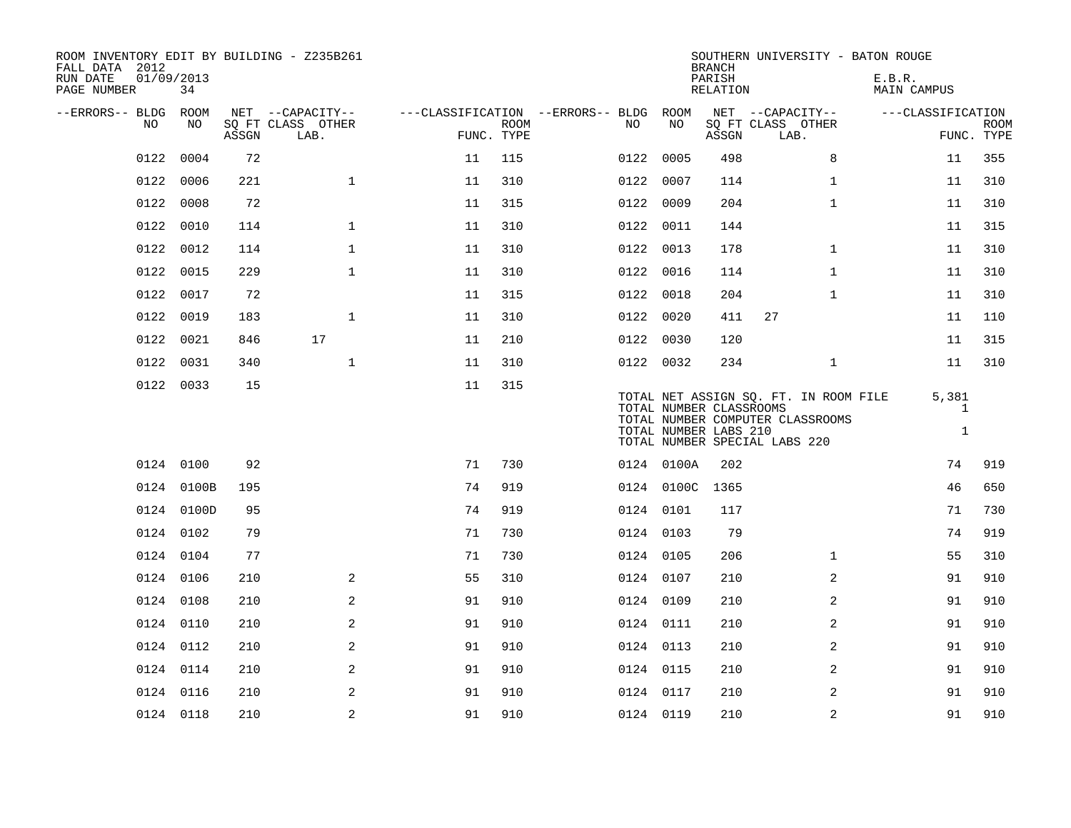| ROOM INVENTORY EDIT BY BUILDING - Z235B261<br>FALL DATA 2012<br>RUN DATE<br>PAGE NUMBER | 01/09/2013<br>34 |       |                           |    |                           |                                        |                                                  | <b>BRANCH</b><br>PARISH<br>RELATION | SOUTHERN UNIVERSITY - BATON ROUGE                                                                          | E.B.R.<br>MAIN CAMPUS                 |                           |
|-----------------------------------------------------------------------------------------|------------------|-------|---------------------------|----|---------------------------|----------------------------------------|--------------------------------------------------|-------------------------------------|------------------------------------------------------------------------------------------------------------|---------------------------------------|---------------------------|
| --ERRORS-- BLDG ROOM                                                                    |                  |       | NET --CAPACITY--          |    |                           | ---CLASSIFICATION --ERRORS-- BLDG ROOM |                                                  |                                     | NET --CAPACITY--                                                                                           | ---CLASSIFICATION                     |                           |
| NO                                                                                      | NO               | ASSGN | SQ FT CLASS OTHER<br>LAB. |    | <b>ROOM</b><br>FUNC. TYPE | NO                                     | NO                                               | ASSGN                               | SQ FT CLASS OTHER<br>LAB.                                                                                  |                                       | <b>ROOM</b><br>FUNC. TYPE |
| 0122                                                                                    | 0004             | 72    |                           | 11 | 115                       | 0122                                   | 0005                                             | 498                                 | 8                                                                                                          | 11                                    | 355                       |
| 0122                                                                                    | 0006             | 221   | $\mathbf{1}$              | 11 | 310                       | 0122                                   | 0007                                             | 114                                 | $\mathbf{1}$                                                                                               | 11                                    | 310                       |
| 0122                                                                                    | 0008             | 72    |                           | 11 | 315                       |                                        | 0122 0009                                        | 204                                 | $\mathbf{1}$                                                                                               | 11                                    | 310                       |
| 0122                                                                                    | 0010             | 114   | $\mathbf{1}$              | 11 | 310                       |                                        | 0122 0011                                        | 144                                 |                                                                                                            | 11                                    | 315                       |
| 0122                                                                                    | 0012             | 114   | $\mathbf{1}$              | 11 | 310                       |                                        | 0122 0013                                        | 178                                 | $\mathbf{1}$                                                                                               | 11                                    | 310                       |
| 0122                                                                                    | 0015             | 229   | $\mathbf{1}$              | 11 | 310                       |                                        | 0122 0016                                        | 114                                 | $\mathbf{1}$                                                                                               | 11                                    | 310                       |
| 0122                                                                                    | 0017             | 72    |                           | 11 | 315                       |                                        | 0122 0018                                        | 204                                 | $\mathbf{1}$                                                                                               | 11                                    | 310                       |
| 0122                                                                                    | 0019             | 183   | $\mathbf 1$               | 11 | 310                       |                                        | 0122 0020                                        | 411                                 | 27                                                                                                         | 11                                    | 110                       |
| 0122                                                                                    | 0021             | 846   | 17                        | 11 | 210                       |                                        | 0122 0030                                        | 120                                 |                                                                                                            | 11                                    | 315                       |
| 0122                                                                                    | 0031             | 340   | $\mathbf{1}$              | 11 | 310                       |                                        | 0122 0032                                        | 234                                 | $\mathbf{1}$                                                                                               | 11                                    | 310                       |
|                                                                                         | 0122 0033        | 15    |                           | 11 | 315                       |                                        | TOTAL NUMBER CLASSROOMS<br>TOTAL NUMBER LABS 210 |                                     | TOTAL NET ASSIGN SQ. FT. IN ROOM FILE<br>TOTAL NUMBER COMPUTER CLASSROOMS<br>TOTAL NUMBER SPECIAL LABS 220 | 5,381<br>$\mathbf{1}$<br>$\mathbf{1}$ |                           |
|                                                                                         | 0124 0100        | 92    |                           | 71 | 730                       |                                        | 0124 0100A                                       | 202                                 |                                                                                                            | 74                                    | 919                       |
|                                                                                         | 0124 0100B       | 195   |                           | 74 | 919                       |                                        | 0124 0100C                                       | 1365                                |                                                                                                            | 46                                    | 650                       |
|                                                                                         | 0124 0100D       | 95    |                           | 74 | 919                       |                                        | 0124 0101                                        | 117                                 |                                                                                                            | 71                                    | 730                       |
|                                                                                         | 0124 0102        | 79    |                           | 71 | 730                       |                                        | 0124 0103                                        | 79                                  |                                                                                                            | 74                                    | 919                       |
|                                                                                         | 0124 0104        | 77    |                           | 71 | 730                       |                                        | 0124 0105                                        | 206                                 | $\mathbf{1}$                                                                                               | 55                                    | 310                       |
|                                                                                         | 0124 0106        | 210   | 2                         | 55 | 310                       |                                        | 0124 0107                                        | 210                                 | 2                                                                                                          | 91                                    | 910                       |
|                                                                                         | 0124 0108        | 210   | 2                         | 91 | 910                       |                                        | 0124 0109                                        | 210                                 | 2                                                                                                          | 91                                    | 910                       |
|                                                                                         | 0124 0110        | 210   | 2                         | 91 | 910                       |                                        | 0124 0111                                        | 210                                 | 2                                                                                                          | 91                                    | 910                       |
|                                                                                         | 0124 0112        | 210   | 2                         | 91 | 910                       |                                        | 0124 0113                                        | 210                                 | 2                                                                                                          | 91                                    | 910                       |
|                                                                                         | 0124 0114        | 210   | 2                         | 91 | 910                       |                                        | 0124 0115                                        | 210                                 | 2                                                                                                          | 91                                    | 910                       |
|                                                                                         | 0124 0116        | 210   | 2                         | 91 | 910                       |                                        | 0124 0117                                        | 210                                 | 2                                                                                                          | 91                                    | 910                       |
|                                                                                         | 0124 0118        | 210   | $\sqrt{2}$                | 91 | 910                       |                                        | 0124 0119                                        | 210                                 | 2                                                                                                          | 91                                    | 910                       |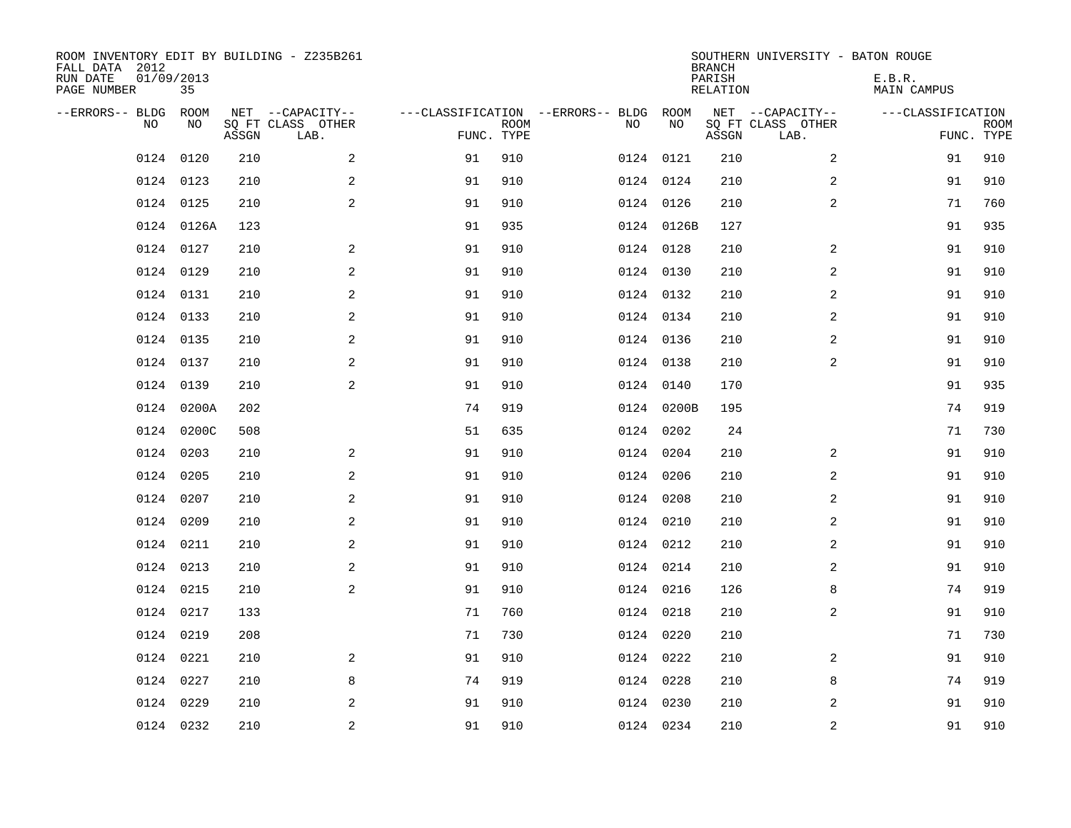| ROOM INVENTORY EDIT BY BUILDING - Z235B261<br>FALL DATA 2012<br>RUN DATE<br>PAGE NUMBER | 01/09/2013<br>35 |       |                                               |            |             |                                              |            | <b>BRANCH</b><br>PARISH<br><b>RELATION</b> |       | SOUTHERN UNIVERSITY - BATON ROUGE             | E.B.R.<br><b>MAIN CAMPUS</b> |                           |
|-----------------------------------------------------------------------------------------|------------------|-------|-----------------------------------------------|------------|-------------|----------------------------------------------|------------|--------------------------------------------|-------|-----------------------------------------------|------------------------------|---------------------------|
| --ERRORS-- BLDG ROOM<br>NO                                                              | NO               | ASSGN | NET --CAPACITY--<br>SQ FT CLASS OTHER<br>LAB. | FUNC. TYPE | <b>ROOM</b> | ---CLASSIFICATION --ERRORS-- BLDG ROOM<br>NO | NO         |                                            | ASSGN | NET --CAPACITY--<br>SQ FT CLASS OTHER<br>LAB. | ---CLASSIFICATION            | <b>ROOM</b><br>FUNC. TYPE |
| 0124                                                                                    | 0120             | 210   | 2                                             | 91         | 910         |                                              | 0124 0121  |                                            | 210   | 2                                             | 91                           | 910                       |
|                                                                                         | 0124 0123        | 210   | 2                                             | 91         | 910         |                                              | 0124 0124  |                                            | 210   | 2                                             | 91                           | 910                       |
|                                                                                         | 0124 0125        | 210   | 2                                             | 91         | 910         |                                              | 0124 0126  |                                            | 210   | 2                                             | 71                           | 760                       |
|                                                                                         | 0124 0126A       | 123   |                                               | 91         | 935         |                                              | 0124 0126B |                                            | 127   |                                               | 91                           | 935                       |
| 0124                                                                                    | 0127             | 210   | 2                                             | 91         | 910         |                                              | 0124 0128  |                                            | 210   | 2                                             | 91                           | 910                       |
|                                                                                         | 0124 0129        | 210   | 2                                             | 91         | 910         |                                              | 0124 0130  |                                            | 210   | $\overline{a}$                                | 91                           | 910                       |
|                                                                                         | 0124 0131        | 210   | $\overline{a}$                                | 91         | 910         |                                              | 0124 0132  |                                            | 210   | $\overline{a}$                                | 91                           | 910                       |
|                                                                                         | 0124 0133        | 210   | 2                                             | 91         | 910         |                                              | 0124 0134  |                                            | 210   | 2                                             | 91                           | 910                       |
|                                                                                         | 0124 0135        | 210   | 2                                             | 91         | 910         |                                              | 0124 0136  |                                            | 210   | 2                                             | 91                           | 910                       |
|                                                                                         | 0124 0137        | 210   | 2                                             | 91         | 910         |                                              | 0124 0138  |                                            | 210   | 2                                             | 91                           | 910                       |
|                                                                                         | 0124 0139        | 210   | 2                                             | 91         | 910         |                                              | 0124 0140  |                                            | 170   |                                               | 91                           | 935                       |
|                                                                                         | 0124 0200A       | 202   |                                               | 74         | 919         |                                              | 0124 0200B |                                            | 195   |                                               | 74                           | 919                       |
| 0124                                                                                    | 0200C            | 508   |                                               | 51         | 635         |                                              | 0124 0202  |                                            | 24    |                                               | 71                           | 730                       |
| 0124                                                                                    | 0203             | 210   | 2                                             | 91         | 910         |                                              | 0124 0204  |                                            | 210   | 2                                             | 91                           | 910                       |
| 0124                                                                                    | 0205             | 210   | 2                                             | 91         | 910         |                                              | 0124 0206  |                                            | 210   | 2                                             | 91                           | 910                       |
| 0124                                                                                    | 0207             | 210   | 2                                             | 91         | 910         |                                              | 0124 0208  |                                            | 210   | 2                                             | 91                           | 910                       |
| 0124                                                                                    | 0209             | 210   | 2                                             | 91         | 910         |                                              | 0124 0210  |                                            | 210   | 2                                             | 91                           | 910                       |
| 0124                                                                                    | 0211             | 210   | 2                                             | 91         | 910         |                                              | 0124 0212  |                                            | 210   | $\overline{a}$                                | 91                           | 910                       |
|                                                                                         | 0124 0213        | 210   | 2                                             | 91         | 910         |                                              | 0124 0214  |                                            | 210   | 2                                             | 91                           | 910                       |
|                                                                                         | 0124 0215        | 210   | 2                                             | 91         | 910         |                                              | 0124 0216  |                                            | 126   | 8                                             | 74                           | 919                       |
|                                                                                         | 0124 0217        | 133   |                                               | 71         | 760         |                                              | 0124 0218  |                                            | 210   | 2                                             | 91                           | 910                       |
|                                                                                         | 0124 0219        | 208   |                                               | 71         | 730         |                                              | 0124 0220  |                                            | 210   |                                               | 71                           | 730                       |
|                                                                                         | 0124 0221        | 210   | 2                                             | 91         | 910         |                                              | 0124 0222  |                                            | 210   | 2                                             | 91                           | 910                       |
|                                                                                         | 0124 0227        | 210   | 8                                             | 74         | 919         |                                              | 0124 0228  |                                            | 210   | 8                                             | 74                           | 919                       |
|                                                                                         | 0124 0229        | 210   | 2                                             | 91         | 910         |                                              | 0124 0230  |                                            | 210   | 2                                             | 91                           | 910                       |
|                                                                                         | 0124 0232        | 210   | $\overline{c}$                                | 91         | 910         |                                              | 0124 0234  |                                            | 210   | $\overline{c}$                                | 91                           | 910                       |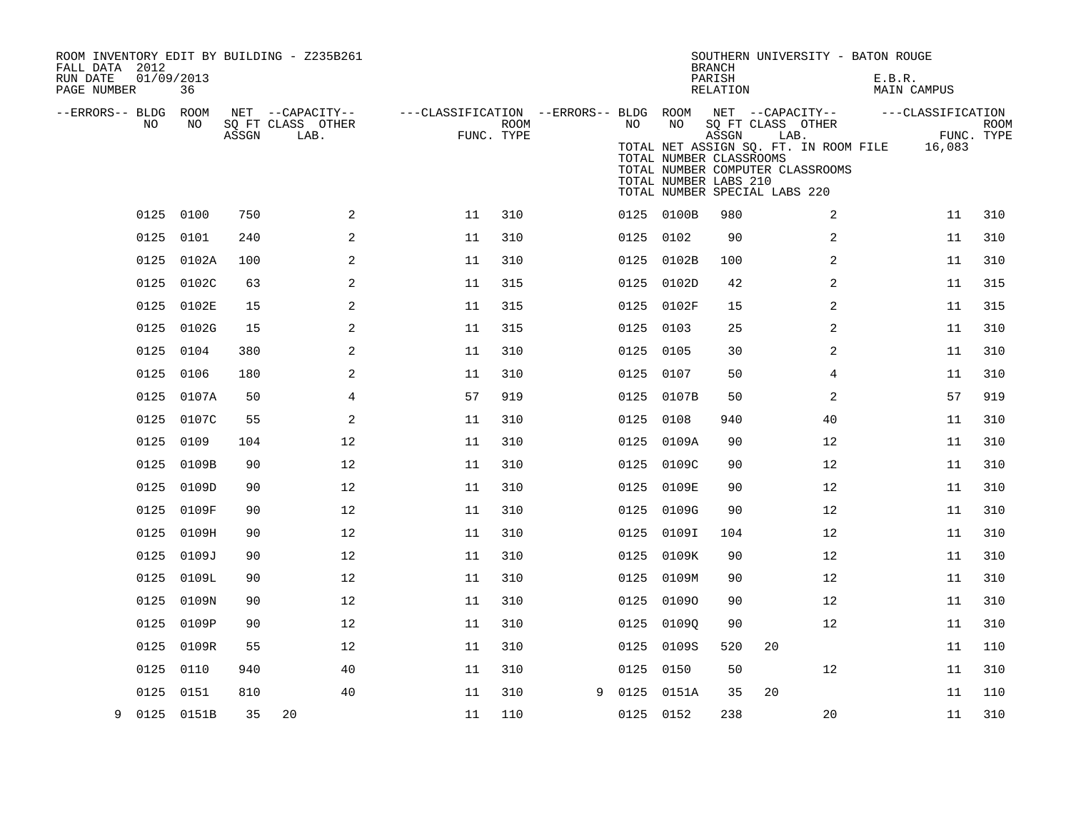| ROOM INVENTORY EDIT BY BUILDING - Z235B261<br>FALL DATA 2012<br>RUN DATE<br>PAGE NUMBER | 01/09/2013<br>36 |       |                                               |    |                    |   |           |                                                        | <b>BRANCH</b><br>PARISH<br>RELATION | SOUTHERN UNIVERSITY - BATON ROUGE                                                                                                                                                                  | E.B.R.<br>MAIN CAMPUS       |                           |
|-----------------------------------------------------------------------------------------|------------------|-------|-----------------------------------------------|----|--------------------|---|-----------|--------------------------------------------------------|-------------------------------------|----------------------------------------------------------------------------------------------------------------------------------------------------------------------------------------------------|-----------------------------|---------------------------|
| --ERRORS-- BLDG ROOM<br>NO                                                              | NO               | ASSGN | NET --CAPACITY--<br>SQ FT CLASS OTHER<br>LAB. |    | ROOM<br>FUNC. TYPE |   | NO        | NO<br>TOTAL NUMBER CLASSROOMS<br>TOTAL NUMBER LABS 210 | ASSGN                               | ---CLASSIFICATION --ERRORS-- BLDG ROOM NET --CAPACITY--<br>SQ FT CLASS OTHER<br>LAB.<br>TOTAL NET ASSIGN SQ. FT. IN ROOM FILE<br>TOTAL NUMBER COMPUTER CLASSROOMS<br>TOTAL NUMBER SPECIAL LABS 220 | ---CLASSIFICATION<br>16,083 | <b>ROOM</b><br>FUNC. TYPE |
|                                                                                         | 0125 0100        | 750   | 2                                             | 11 | 310                |   |           | 0125 0100B                                             | 980                                 | 2                                                                                                                                                                                                  | 11                          | 310                       |
|                                                                                         | 0125 0101        | 240   | 2                                             | 11 | 310                |   | 0125 0102 |                                                        | 90                                  | 2                                                                                                                                                                                                  | 11                          | 310                       |
|                                                                                         | 0125 0102A       | 100   | 2                                             | 11 | 310                |   |           | 0125 0102B                                             | 100                                 | 2                                                                                                                                                                                                  | 11                          | 310                       |
|                                                                                         | 0125 0102C       | 63    | 2                                             | 11 | 315                |   |           | 0125 0102D                                             | 42                                  | 2                                                                                                                                                                                                  | 11                          | 315                       |
|                                                                                         | 0125 0102E       | 15    | 2                                             | 11 | 315                |   |           | 0125 0102F                                             | 15                                  | 2                                                                                                                                                                                                  | 11                          | 315                       |
|                                                                                         | 0125 0102G       | 15    | 2                                             | 11 | 315                |   | 0125 0103 |                                                        | 25                                  | $\overline{a}$                                                                                                                                                                                     | 11                          | 310                       |
| 0125                                                                                    | 0104             | 380   | 2                                             | 11 | 310                |   | 0125      | 0105                                                   | 30                                  | 2                                                                                                                                                                                                  | 11                          | 310                       |
| 0125                                                                                    | 0106             | 180   | 2                                             | 11 | 310                |   | 0125 0107 |                                                        | 50                                  | 4                                                                                                                                                                                                  | 11                          | 310                       |
| 0125                                                                                    | 0107A            | 50    | 4                                             | 57 | 919                |   |           | 0125 0107B                                             | 50                                  | 2                                                                                                                                                                                                  | 57                          | 919                       |
|                                                                                         | 0125 0107C       | 55    | 2                                             | 11 | 310                |   | 0125 0108 |                                                        | 940                                 | 40                                                                                                                                                                                                 | 11                          | 310                       |
| 0125                                                                                    | 0109             | 104   | 12                                            | 11 | 310                |   | 0125      | 0109A                                                  | 90                                  | 12                                                                                                                                                                                                 | 11                          | 310                       |
| 0125                                                                                    | 0109B            | 90    | 12                                            | 11 | 310                |   |           | 0125 0109C                                             | 90                                  | 12                                                                                                                                                                                                 | 11                          | 310                       |
| 0125                                                                                    | 0109D            | 90    | 12                                            | 11 | 310                |   |           | 0125 0109E                                             | 90                                  | 12                                                                                                                                                                                                 | 11                          | 310                       |
|                                                                                         | 0125 0109F       | 90    | 12                                            | 11 | 310                |   |           | 0125 0109G                                             | 90                                  | 12                                                                                                                                                                                                 | 11                          | 310                       |
| 0125                                                                                    | 0109H            | 90    | 12                                            | 11 | 310                |   | 0125      | 0109I                                                  | 104                                 | 12                                                                                                                                                                                                 | 11                          | 310                       |
| 0125                                                                                    | 0109J            | 90    | 12                                            | 11 | 310                |   |           | 0125 0109K                                             | 90                                  | 12                                                                                                                                                                                                 | 11                          | 310                       |
| 0125                                                                                    | 0109L            | 90    | 12                                            | 11 | 310                |   |           | 0125 0109M                                             | 90                                  | 12                                                                                                                                                                                                 | 11                          | 310                       |
| 0125                                                                                    | 0109N            | 90    | 12                                            | 11 | 310                |   |           | 0125 01090                                             | 90                                  | 12                                                                                                                                                                                                 | 11                          | 310                       |
| 0125                                                                                    | 0109P            | 90    | 12                                            | 11 | 310                |   |           | 0125 01090                                             | 90                                  | 12                                                                                                                                                                                                 | 11                          | 310                       |
| 0125                                                                                    | 0109R            | 55    | 12                                            | 11 | 310                |   |           | 0125 0109S                                             | 520                                 | 20                                                                                                                                                                                                 | 11                          | 110                       |
| 0125                                                                                    | 0110             | 940   | 40                                            | 11 | 310                |   | 0125      | 0150                                                   | 50                                  | 12                                                                                                                                                                                                 | 11                          | 310                       |
| 0125                                                                                    | 0151             | 810   | 40                                            | 11 | 310                | 9 | 0125      | 0151A                                                  | 35                                  | 20                                                                                                                                                                                                 | 11                          | 110                       |
| 9                                                                                       | 0125 0151B       | 35    | 20                                            | 11 | 110                |   | 0125 0152 |                                                        | 238                                 | 20                                                                                                                                                                                                 | 11                          | 310                       |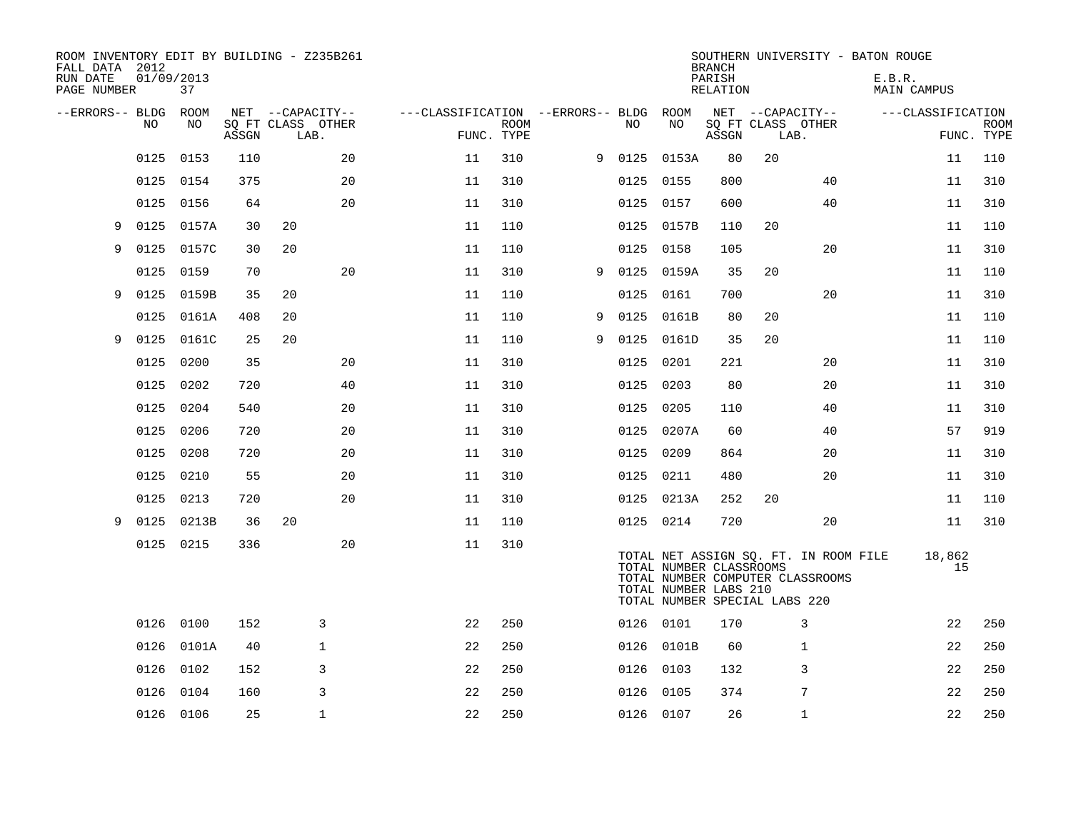| ROOM INVENTORY EDIT BY BUILDING - Z235B261<br>FALL DATA 2012<br>RUN DATE<br>PAGE NUMBER | 01/09/2013 | 37         |       |                                       |    |                                   |             |   |           |                                                                                   | <b>BRANCH</b><br>PARISH<br>RELATION |    |                                                                           | SOUTHERN UNIVERSITY - BATON ROUGE<br>E.B.R.<br><b>MAIN CAMPUS</b> |              |             |
|-----------------------------------------------------------------------------------------|------------|------------|-------|---------------------------------------|----|-----------------------------------|-------------|---|-----------|-----------------------------------------------------------------------------------|-------------------------------------|----|---------------------------------------------------------------------------|-------------------------------------------------------------------|--------------|-------------|
| --ERRORS-- BLDG                                                                         | NO         | ROOM<br>NO |       | NET --CAPACITY--<br>SQ FT CLASS OTHER |    | ---CLASSIFICATION --ERRORS-- BLDG | <b>ROOM</b> |   | NO        | ROOM<br>NO                                                                        |                                     |    | NET --CAPACITY--<br>SQ FT CLASS OTHER                                     | ---CLASSIFICATION                                                 |              | <b>ROOM</b> |
|                                                                                         |            |            | ASSGN | LAB.                                  |    |                                   | FUNC. TYPE  |   |           |                                                                                   | ASSGN                               |    | LAB.                                                                      |                                                                   | FUNC. TYPE   |             |
|                                                                                         | 0125       | 0153       | 110   |                                       | 20 | 11                                | 310         | 9 | 0125      | 0153A                                                                             | 80                                  | 20 |                                                                           |                                                                   | 11           | 110         |
|                                                                                         | 0125       | 0154       | 375   |                                       | 20 | 11                                | 310         |   | 0125      | 0155                                                                              | 800                                 |    | 40                                                                        |                                                                   | 11           | 310         |
|                                                                                         | 0125       | 0156       | 64    |                                       | 20 | 11                                | 310         |   | 0125      | 0157                                                                              | 600                                 |    | 40                                                                        |                                                                   | 11           | 310         |
| 9                                                                                       | 0125       | 0157A      | 30    | 20                                    |    | 11                                | 110         |   | 0125      | 0157B                                                                             | 110                                 | 20 |                                                                           |                                                                   | 11           | 110         |
| 9                                                                                       | 0125       | 0157C      | 30    | 20                                    |    | 11                                | 110         |   | 0125      | 0158                                                                              | 105                                 |    | 20                                                                        |                                                                   | 11           | 310         |
|                                                                                         | 0125       | 0159       | 70    |                                       | 20 | 11                                | 310         | 9 | 0125      | 0159A                                                                             | 35                                  | 20 |                                                                           |                                                                   | 11           | 110         |
| 9                                                                                       | 0125       | 0159B      | 35    | 20                                    |    | 11                                | 110         |   | 0125      | 0161                                                                              | 700                                 |    | 20                                                                        |                                                                   | 11           | 310         |
|                                                                                         | 0125       | 0161A      | 408   | 20                                    |    | 11                                | 110         | 9 | 0125      | 0161B                                                                             | 80                                  | 20 |                                                                           |                                                                   | 11           | 110         |
| 9                                                                                       | 0125       | 0161C      | 25    | 20                                    |    | 11                                | 110         | 9 | 0125      | 0161D                                                                             | 35                                  | 20 |                                                                           |                                                                   | 11           | 110         |
|                                                                                         | 0125       | 0200       | 35    |                                       | 20 | 11                                | 310         |   | 0125      | 0201                                                                              | 221                                 |    | 20                                                                        |                                                                   | 11           | 310         |
|                                                                                         | 0125       | 0202       | 720   |                                       | 40 | 11                                | 310         |   | 0125      | 0203                                                                              | 80                                  |    | 20                                                                        |                                                                   | 11           | 310         |
|                                                                                         | 0125       | 0204       | 540   |                                       | 20 | 11                                | 310         |   | 0125      | 0205                                                                              | 110                                 |    | 40                                                                        |                                                                   | 11           | 310         |
|                                                                                         | 0125       | 0206       | 720   |                                       | 20 | 11                                | 310         |   | 0125      | 0207A                                                                             | 60                                  |    | 40                                                                        |                                                                   | 57           | 919         |
|                                                                                         | 0125       | 0208       | 720   |                                       | 20 | 11                                | 310         |   | 0125      | 0209                                                                              | 864                                 |    | 20                                                                        |                                                                   | 11           | 310         |
|                                                                                         | 0125       | 0210       | 55    |                                       | 20 | 11                                | 310         |   |           | 0125 0211                                                                         | 480                                 |    | 20                                                                        |                                                                   | 11           | 310         |
|                                                                                         | 0125       | 0213       | 720   |                                       | 20 | 11                                | 310         |   | 0125      | 0213A                                                                             | 252                                 | 20 |                                                                           |                                                                   | 11           | 110         |
| 9                                                                                       | 0125       | 0213B      | 36    | 20                                    |    | 11                                | 110         |   | 0125 0214 |                                                                                   | 720                                 |    | 20                                                                        |                                                                   | 11           | 310         |
|                                                                                         | 0125 0215  |            | 336   |                                       | 20 | 11                                | 310         |   |           | TOTAL NUMBER CLASSROOMS<br>TOTAL NUMBER LABS 210<br>TOTAL NUMBER SPECIAL LABS 220 |                                     |    | TOTAL NET ASSIGN SQ. FT. IN ROOM FILE<br>TOTAL NUMBER COMPUTER CLASSROOMS |                                                                   | 18,862<br>15 |             |
|                                                                                         | 0126       | 0100       | 152   | 3                                     |    | 22                                | 250         |   | 0126 0101 |                                                                                   | 170                                 |    | 3                                                                         |                                                                   | 22           | 250         |
|                                                                                         | 0126       | 0101A      | 40    | $\mathbf{1}$                          |    | 22                                | 250         |   |           | 0126 0101B                                                                        | 60                                  |    | 1                                                                         |                                                                   | 22           | 250         |
|                                                                                         | 0126       | 0102       | 152   | 3                                     |    | 22                                | 250         |   | 0126      | 0103                                                                              | 132                                 |    | 3                                                                         |                                                                   | 22           | 250         |
|                                                                                         | 0126       | 0104       | 160   | 3                                     |    | 22                                | 250         |   | 0126      | 0105                                                                              | 374                                 |    | 7                                                                         |                                                                   | 22           | 250         |
|                                                                                         | 0126 0106  |            | 25    | $\mathbf{1}$                          |    | 22                                | 250         |   | 0126 0107 |                                                                                   | 26                                  |    | 1                                                                         |                                                                   | 22           | 250         |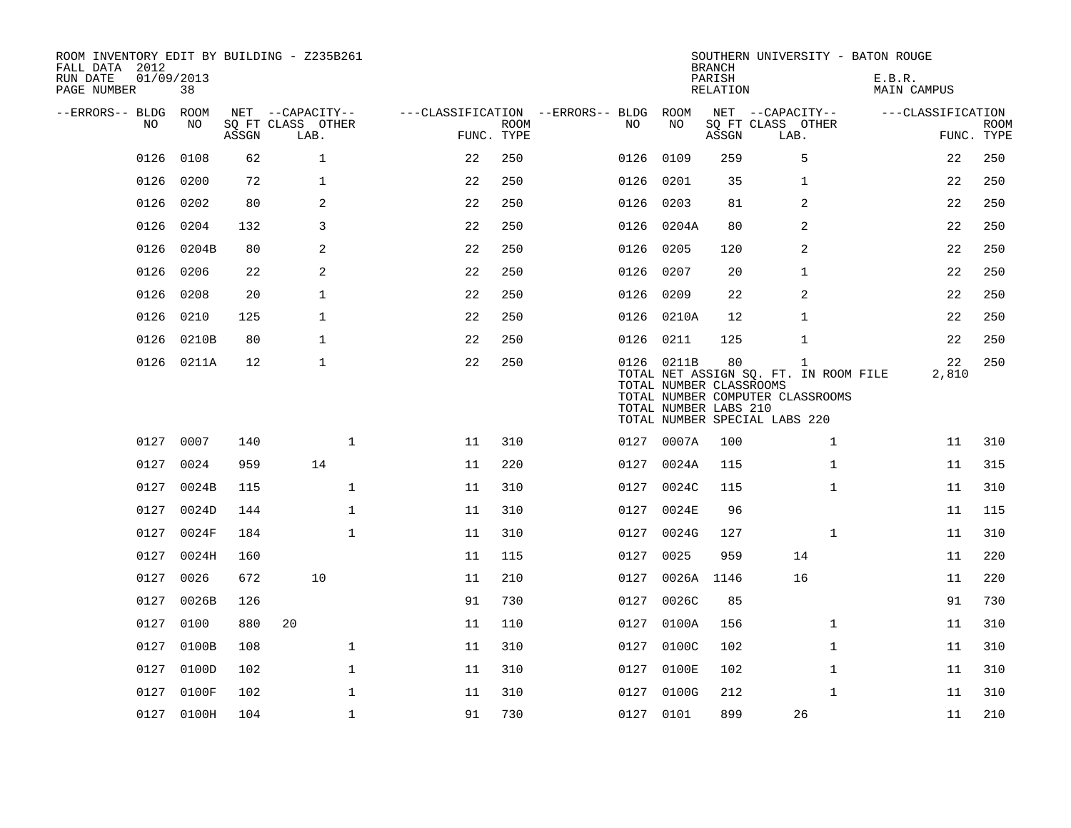| ROOM INVENTORY EDIT BY BUILDING - Z235B261<br>FALL DATA 2012<br>RUN DATE<br>PAGE NUMBER | 01/09/2013<br>38 |       |                                               |            |             |                                          |                                                                | <b>BRANCH</b><br>PARISH<br>RELATION | SOUTHERN UNIVERSITY - BATON ROUGE                                                                                          | E.B.R.<br>MAIN CAMPUS |                           |
|-----------------------------------------------------------------------------------------|------------------|-------|-----------------------------------------------|------------|-------------|------------------------------------------|----------------------------------------------------------------|-------------------------------------|----------------------------------------------------------------------------------------------------------------------------|-----------------------|---------------------------|
| --ERRORS-- BLDG<br>NO                                                                   | ROOM<br>NO       | ASSGN | NET --CAPACITY--<br>SQ FT CLASS OTHER<br>LAB. | FUNC. TYPE | <b>ROOM</b> | ---CLASSIFICATION --ERRORS-- BLDG<br>NO. | ROOM<br>NO                                                     | ASSGN                               | NET --CAPACITY--<br>SQ FT CLASS OTHER<br>LAB.                                                                              | ---CLASSIFICATION     | <b>ROOM</b><br>FUNC. TYPE |
| 0126                                                                                    | 0108             | 62    | $\mathbf{1}$                                  | 22         | 250         | 0126                                     | 0109                                                           | 259                                 | 5                                                                                                                          | 22                    | 250                       |
| 0126                                                                                    | 0200             | 72    | $\mathbf{1}$                                  | 22         | 250         | 0126                                     | 0201                                                           | 35                                  | 1                                                                                                                          | 22                    | 250                       |
| 0126                                                                                    | 0202             | 80    | 2                                             | 22         | 250         |                                          | 0126 0203                                                      | 81                                  | 2                                                                                                                          | 22                    | 250                       |
| 0126                                                                                    | 0204             | 132   | 3                                             | 22         | 250         | 0126                                     | 0204A                                                          | 80                                  | 2                                                                                                                          | 22                    | 250                       |
| 0126                                                                                    | 0204B            | 80    | 2                                             | 22         | 250         | 0126                                     | 0205                                                           | 120                                 | 2                                                                                                                          | 22                    | 250                       |
| 0126                                                                                    | 0206             | 22    | 2                                             | 22         | 250         | 0126                                     | 0207                                                           | 20                                  | 1                                                                                                                          | 22                    | 250                       |
| 0126                                                                                    | 0208             | 20    | $\mathbf{1}$                                  | 22         | 250         | 0126                                     | 0209                                                           | 22                                  | 2                                                                                                                          | 22                    | 250                       |
| 0126                                                                                    | 0210             | 125   | $\mathbf{1}$                                  | 22         | 250         |                                          | 0126 0210A                                                     | 12                                  | 1                                                                                                                          | 22                    | 250                       |
| 0126                                                                                    | 0210B            | 80    | $\mathbf 1$                                   | 22         | 250         |                                          | 0126 0211                                                      | 125                                 | $\mathbf{1}$                                                                                                               | 22                    | 250                       |
|                                                                                         | 0126 0211A       | 12    | $\mathbf{1}$                                  | 22         | 250         |                                          | 0126 0211B<br>TOTAL NUMBER CLASSROOMS<br>TOTAL NUMBER LABS 210 | 80                                  | $\mathbf{1}$<br>TOTAL NET ASSIGN SQ. FT. IN ROOM FILE<br>TOTAL NUMBER COMPUTER CLASSROOMS<br>TOTAL NUMBER SPECIAL LABS 220 | 22<br>2,810           | 250                       |
|                                                                                         | 0127 0007        | 140   | $\mathbf{1}$                                  | 11         | 310         |                                          | 0127 0007A                                                     | 100                                 | $\mathbf{1}$                                                                                                               | 11                    | 310                       |
| 0127                                                                                    | 0024             | 959   | 14                                            | 11         | 220         | 0127                                     | 0024A                                                          | 115                                 | $\mathbf{1}$                                                                                                               | 11                    | 315                       |
| 0127                                                                                    | 0024B            | 115   | $\mathbf{1}$                                  | 11         | 310         | 0127                                     | 0024C                                                          | 115                                 | $\mathbf{1}$                                                                                                               | 11                    | 310                       |
|                                                                                         | 0127 0024D       | 144   | $\mathbf 1$                                   | 11         | 310         | 0127                                     | 0024E                                                          | 96                                  |                                                                                                                            | 11                    | 115                       |
| 0127                                                                                    | 0024F            | 184   | $\mathbf{1}$                                  | 11         | 310         | 0127                                     | 0024G                                                          | 127                                 | $\mathbf{1}$                                                                                                               | 11                    | 310                       |
|                                                                                         | 0127 0024H       | 160   |                                               | 11         | 115         | 0127                                     | 0025                                                           | 959                                 | 14                                                                                                                         | 11                    | 220                       |
| 0127                                                                                    | 0026             | 672   | 10                                            | 11         | 210         | 0127                                     | 0026A 1146                                                     |                                     | 16                                                                                                                         | 11                    | 220                       |
| 0127                                                                                    | 0026B            | 126   |                                               | 91         | 730         | 0127                                     | 0026C                                                          | 85                                  |                                                                                                                            | 91                    | 730                       |
| 0127                                                                                    | 0100             | 880   | 20                                            | 11         | 110         | 0127                                     | 0100A                                                          | 156                                 | $\mathbf{1}$                                                                                                               | 11                    | 310                       |
| 0127                                                                                    | 0100B            | 108   | $\mathbf 1$                                   | 11         | 310         | 0127                                     | 0100C                                                          | 102                                 | $\mathbf{1}$                                                                                                               | 11                    | 310                       |
| 0127                                                                                    | 0100D            | 102   | $\mathbf 1$                                   | 11         | 310         | 0127                                     | 0100E                                                          | 102                                 | $\mathbf{1}$                                                                                                               | 11                    | 310                       |
| 0127                                                                                    | 0100F            | 102   | $\mathbf 1$                                   | 11         | 310         |                                          | 0127 0100G                                                     | 212                                 | $\mathbf{1}$                                                                                                               | 11                    | 310                       |
|                                                                                         | 0127 0100H       | 104   | $\mathbf{1}$                                  | 91         | 730         |                                          | 0127 0101                                                      | 899                                 | 26                                                                                                                         | 11                    | 210                       |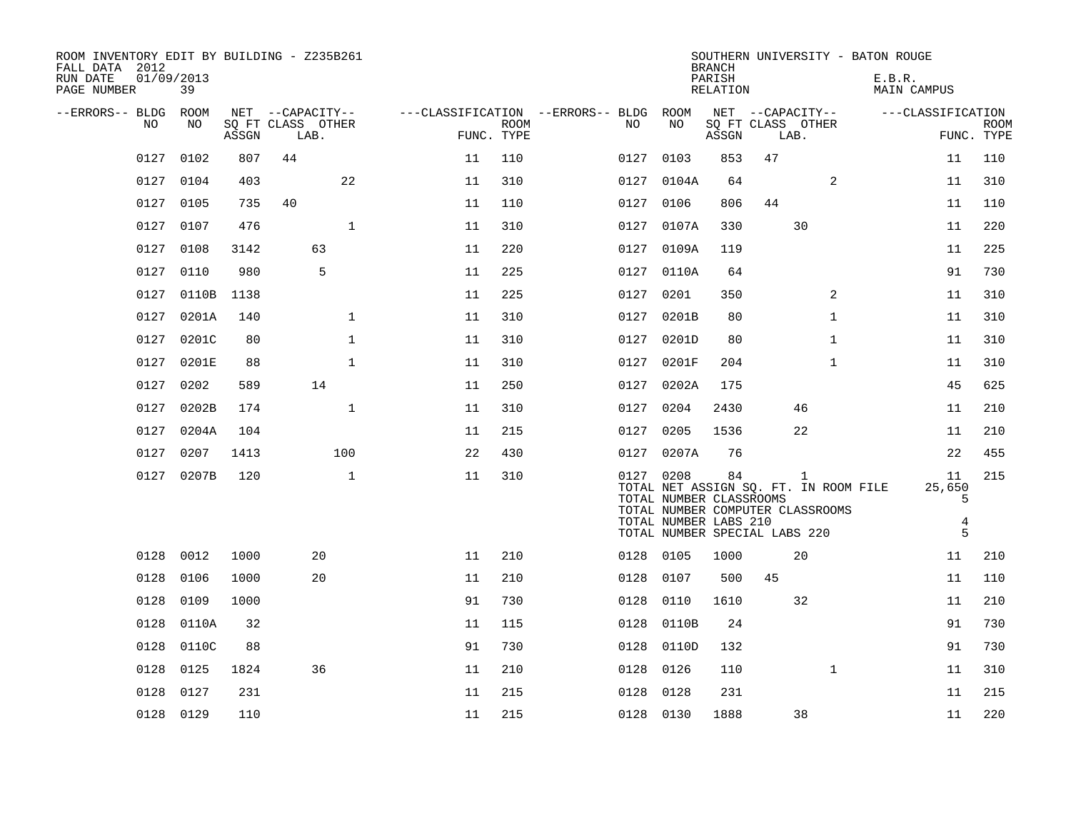| ROOM INVENTORY EDIT BY BUILDING - Z235B261<br>FALL DATA 2012<br>RUN DATE<br>PAGE NUMBER | 01/09/2013<br>39 |       |                           |              |            |             |                                        |                                                                                                                                                                             | <b>BRANCH</b><br>PARISH<br>RELATION |    |                           | SOUTHERN UNIVERSITY - BATON ROUGE<br>E.B.R.<br><b>MAIN CAMPUS</b> |                             |                           |
|-----------------------------------------------------------------------------------------|------------------|-------|---------------------------|--------------|------------|-------------|----------------------------------------|-----------------------------------------------------------------------------------------------------------------------------------------------------------------------------|-------------------------------------|----|---------------------------|-------------------------------------------------------------------|-----------------------------|---------------------------|
| --ERRORS-- BLDG ROOM                                                                    |                  |       | NET --CAPACITY--          |              |            |             | ---CLASSIFICATION --ERRORS-- BLDG ROOM |                                                                                                                                                                             |                                     |    | NET --CAPACITY--          |                                                                   | ---CLASSIFICATION           |                           |
| NO                                                                                      | NO               | ASSGN | SQ FT CLASS OTHER<br>LAB. |              | FUNC. TYPE | <b>ROOM</b> | NO                                     | NO                                                                                                                                                                          | ASSGN                               |    | SQ FT CLASS OTHER<br>LAB. |                                                                   |                             | <b>ROOM</b><br>FUNC. TYPE |
| 0127                                                                                    | 0102             | 807   | 44                        |              | 11         | 110         | 0127                                   | 0103                                                                                                                                                                        | 853                                 | 47 |                           |                                                                   | 11                          | 110                       |
| 0127                                                                                    | 0104             | 403   |                           | 22           | 11         | 310         | 0127                                   | 0104A                                                                                                                                                                       | 64                                  |    | 2                         |                                                                   | 11                          | 310                       |
|                                                                                         | 0127 0105        | 735   | 40                        |              | 11         | 110         |                                        | 0127 0106                                                                                                                                                                   | 806                                 | 44 |                           |                                                                   | 11                          | 110                       |
| 0127                                                                                    | 0107             | 476   |                           | $\mathbf{1}$ | 11         | 310         | 0127                                   | 0107A                                                                                                                                                                       | 330                                 |    | 30                        |                                                                   | 11                          | 220                       |
| 0127                                                                                    | 0108             | 3142  |                           | 63           | 11         | 220         | 0127                                   | 0109A                                                                                                                                                                       | 119                                 |    |                           |                                                                   | 11                          | 225                       |
| 0127                                                                                    | 0110             | 980   |                           | 5            | 11         | 225         |                                        | 0127 0110A                                                                                                                                                                  | 64                                  |    |                           |                                                                   | 91                          | 730                       |
| 0127                                                                                    | 0110B            | 1138  |                           |              | 11         | 225         |                                        | 0127 0201                                                                                                                                                                   | 350                                 |    | 2                         |                                                                   | 11                          | 310                       |
| 0127                                                                                    | 0201A            | 140   |                           | $\mathbf{1}$ | 11         | 310         | 0127                                   | 0201B                                                                                                                                                                       | 80                                  |    | $\mathbf{1}$              |                                                                   | 11                          | 310                       |
| 0127                                                                                    | 0201C            | 80    |                           | $\mathbf{1}$ | 11         | 310         | 0127                                   | 0201D                                                                                                                                                                       | 80                                  |    | $\mathbf{1}$              |                                                                   | 11                          | 310                       |
| 0127                                                                                    | 0201E            | 88    |                           | $\mathbf{1}$ | 11         | 310         | 0127                                   | 0201F                                                                                                                                                                       | 204                                 |    | $\mathbf{1}$              |                                                                   | 11                          | 310                       |
| 0127                                                                                    | 0202             | 589   |                           | 14           | 11         | 250         | 0127                                   | 0202A                                                                                                                                                                       | 175                                 |    |                           |                                                                   | 45                          | 625                       |
| 0127                                                                                    | 0202B            | 174   |                           | $\mathbf{1}$ | 11         | 310         | 0127                                   | 0204                                                                                                                                                                        | 2430                                |    | 46                        |                                                                   | 11                          | 210                       |
| 0127                                                                                    | 0204A            | 104   |                           |              | 11         | 215         |                                        | 0127 0205                                                                                                                                                                   | 1536                                |    | 22                        |                                                                   | 11                          | 210                       |
| 0127                                                                                    | 0207             | 1413  |                           | 100          | 22         | 430         |                                        | 0127 0207A                                                                                                                                                                  | 76                                  |    |                           |                                                                   | 22                          | 455                       |
|                                                                                         | 0127 0207B       | 120   |                           | $\mathbf{1}$ | 11         | 310         |                                        | 0127 0208<br>TOTAL NET ASSIGN SQ. FT. IN ROOM FILE<br>TOTAL NUMBER CLASSROOMS<br>TOTAL NUMBER COMPUTER CLASSROOMS<br>TOTAL NUMBER LABS 210<br>TOTAL NUMBER SPECIAL LABS 220 | 84                                  |    | 1                         |                                                                   | 11<br>25,650<br>5<br>4<br>5 | 215                       |
| 0128                                                                                    | 0012             | 1000  |                           | 20           | 11         | 210         |                                        | 0128 0105                                                                                                                                                                   | 1000                                |    | 20                        |                                                                   | 11                          | 210                       |
| 0128                                                                                    | 0106             | 1000  |                           | 20           | 11         | 210         | 0128                                   | 0107                                                                                                                                                                        | 500                                 | 45 |                           |                                                                   | 11                          | 110                       |
| 0128                                                                                    | 0109             | 1000  |                           |              | 91         | 730         | 0128                                   | 0110                                                                                                                                                                        | 1610                                |    | 32                        |                                                                   | 11                          | 210                       |
| 0128                                                                                    | 0110A            | 32    |                           |              | 11         | 115         | 0128                                   | 0110B                                                                                                                                                                       | 24                                  |    |                           |                                                                   | 91                          | 730                       |
| 0128                                                                                    | 0110C            | 88    |                           |              | 91         | 730         | 0128                                   | 0110D                                                                                                                                                                       | 132                                 |    |                           |                                                                   | 91                          | 730                       |
| 0128                                                                                    | 0125             | 1824  |                           | 36           | 11         | 210         | 0128                                   | 0126                                                                                                                                                                        | 110                                 |    | $\mathbf{1}$              |                                                                   | 11                          | 310                       |
| 0128                                                                                    | 0127             | 231   |                           |              | 11         | 215         | 0128                                   | 0128                                                                                                                                                                        | 231                                 |    |                           |                                                                   | 11                          | 215                       |
|                                                                                         | 0128 0129        | 110   |                           |              | 11         | 215         |                                        | 0128 0130                                                                                                                                                                   | 1888                                |    | 38                        |                                                                   | 11                          | 220                       |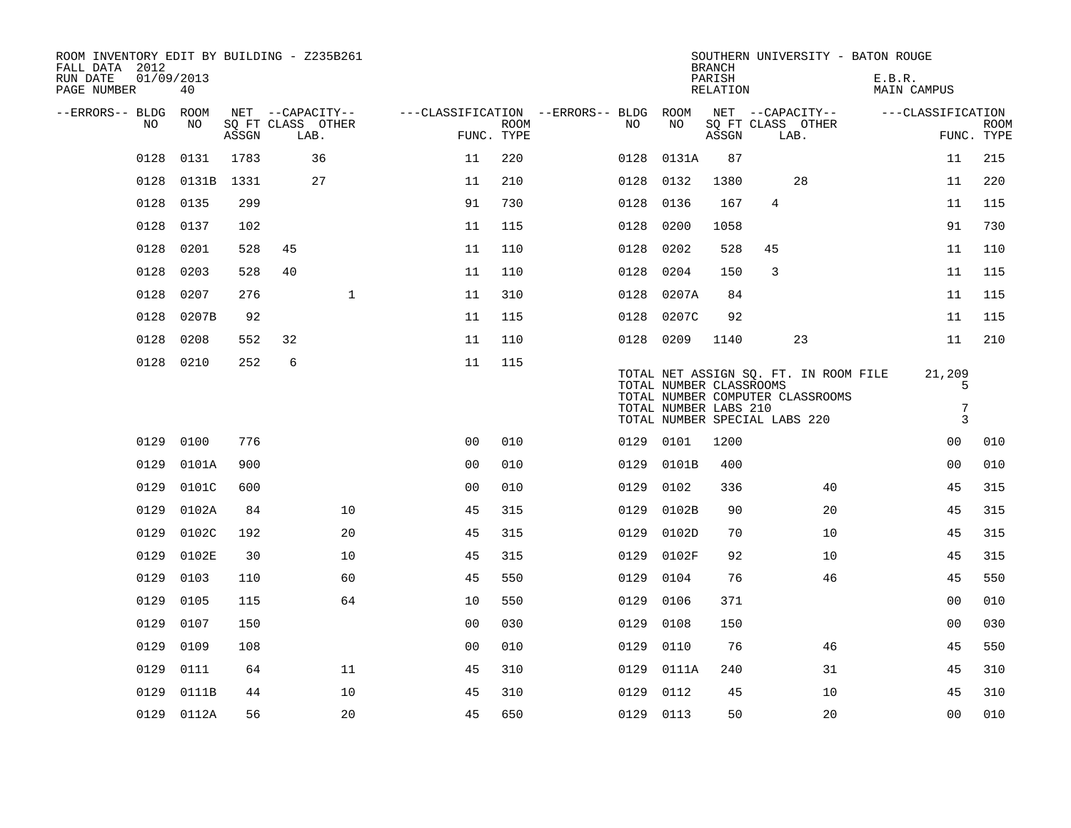| ROOM INVENTORY EDIT BY BUILDING - Z235B261<br>FALL DATA 2012<br>RUN DATE<br>PAGE NUMBER | 01/09/2013<br>40 |       |      |                   |                                        |                           |           |                                                  | <b>BRANCH</b><br>PARISH<br>RELATION |                               |                                                                           | SOUTHERN UNIVERSITY - BATON ROUGE<br>E.B.R.<br>MAIN CAMPUS |                                    |             |
|-----------------------------------------------------------------------------------------|------------------|-------|------|-------------------|----------------------------------------|---------------------------|-----------|--------------------------------------------------|-------------------------------------|-------------------------------|---------------------------------------------------------------------------|------------------------------------------------------------|------------------------------------|-------------|
| --ERRORS-- BLDG ROOM                                                                    |                  |       |      | NET --CAPACITY--  | ---CLASSIFICATION --ERRORS-- BLDG ROOM |                           |           |                                                  |                                     |                               | NET --CAPACITY--                                                          |                                                            | ---CLASSIFICATION                  |             |
| NO                                                                                      | NO               | ASSGN | LAB. | SQ FT CLASS OTHER |                                        | <b>ROOM</b><br>FUNC. TYPE | NO.       | NO                                               | ASSGN                               | LAB.                          | SQ FT CLASS OTHER                                                         |                                                            | FUNC. TYPE                         | <b>ROOM</b> |
| 0128                                                                                    | 0131             | 1783  |      | 36                | 11                                     | 220                       | 0128      | 0131A                                            | 87                                  |                               |                                                                           |                                                            | 11                                 | 215         |
| 0128                                                                                    | 0131B            | 1331  |      | 27                | 11                                     | 210                       | 0128      | 0132                                             | 1380                                |                               | 28                                                                        |                                                            | 11                                 | 220         |
| 0128                                                                                    | 0135             | 299   |      |                   | 91                                     | 730                       | 0128      | 0136                                             | 167                                 | 4                             |                                                                           |                                                            | 11                                 | 115         |
| 0128                                                                                    | 0137             | 102   |      |                   | 11                                     | 115                       | 0128      | 0200                                             | 1058                                |                               |                                                                           |                                                            | 91                                 | 730         |
| 0128                                                                                    | 0201             | 528   | 45   |                   | 11                                     | 110                       | 0128      | 0202                                             | 528                                 | 45                            |                                                                           |                                                            | 11                                 | 110         |
| 0128                                                                                    | 0203             | 528   | 40   |                   | 11                                     | 110                       | 0128      | 0204                                             | 150                                 | 3                             |                                                                           |                                                            | 11                                 | 115         |
| 0128                                                                                    | 0207             | 276   |      | $\mathbf 1$       | 11                                     | 310                       | 0128      | 0207A                                            | 84                                  |                               |                                                                           |                                                            | 11                                 | 115         |
| 0128                                                                                    | 0207B            | 92    |      |                   | 11                                     | 115                       | 0128      | 0207C                                            | 92                                  |                               |                                                                           |                                                            | 11                                 | 115         |
| 0128                                                                                    | 0208             | 552   | 32   |                   | 11                                     | 110                       | 0128 0209 |                                                  | 1140                                |                               | 23                                                                        |                                                            | 11                                 | 210         |
| 0128                                                                                    | 0210             | 252   | 6    |                   | 11                                     | 115                       |           | TOTAL NUMBER CLASSROOMS<br>TOTAL NUMBER LABS 210 |                                     | TOTAL NUMBER SPECIAL LABS 220 | TOTAL NET ASSIGN SO. FT. IN ROOM FILE<br>TOTAL NUMBER COMPUTER CLASSROOMS |                                                            | 21,209<br>5<br>$\overline{7}$<br>3 |             |
| 0129                                                                                    | 0100             | 776   |      |                   | 0 <sub>0</sub>                         | 010                       | 0129 0101 |                                                  | 1200                                |                               |                                                                           |                                                            | 0 <sub>0</sub>                     | 010         |
| 0129                                                                                    | 0101A            | 900   |      |                   | 0 <sub>0</sub>                         | 010                       | 0129      | 0101B                                            | 400                                 |                               |                                                                           |                                                            | 00                                 | 010         |
| 0129                                                                                    | 0101C            | 600   |      |                   | 0 <sub>0</sub>                         | 010                       | 0129      | 0102                                             | 336                                 |                               | 40                                                                        |                                                            | 45                                 | 315         |
| 0129                                                                                    | 0102A            | 84    |      | 10                | 45                                     | 315                       | 0129      | 0102B                                            | 90                                  |                               | 20                                                                        |                                                            | 45                                 | 315         |
| 0129                                                                                    | 0102C            | 192   |      | 20                | 45                                     | 315                       | 0129      | 0102D                                            | 70                                  |                               | 10                                                                        |                                                            | 45                                 | 315         |
| 0129                                                                                    | 0102E            | 30    |      | 10                | 45                                     | 315                       | 0129      | 0102F                                            | 92                                  |                               | 10                                                                        |                                                            | 45                                 | 315         |
| 0129                                                                                    | 0103             | 110   |      | 60                | 45                                     | 550                       | 0129      | 0104                                             | 76                                  |                               | 46                                                                        |                                                            | 45                                 | 550         |
| 0129                                                                                    | 0105             | 115   |      | 64                | 10                                     | 550                       | 0129      | 0106                                             | 371                                 |                               |                                                                           |                                                            | 00                                 | 010         |
| 0129                                                                                    | 0107             | 150   |      |                   | 00                                     | 030                       | 0129      | 0108                                             | 150                                 |                               |                                                                           |                                                            | 0 <sub>0</sub>                     | 030         |
| 0129                                                                                    | 0109             | 108   |      |                   | 0 <sub>0</sub>                         | 010                       | 0129      | 0110                                             | 76                                  |                               | 46                                                                        |                                                            | 45                                 | 550         |
| 0129                                                                                    | 0111             | 64    |      | 11                | 45                                     | 310                       | 0129      | 0111A                                            | 240                                 |                               | 31                                                                        |                                                            | 45                                 | 310         |
| 0129                                                                                    | 0111B            | 44    |      | 10                | 45                                     | 310                       | 0129      | 0112                                             | 45                                  |                               | 10                                                                        |                                                            | 45                                 | 310         |
|                                                                                         | 0129 0112A       | 56    |      | 20                | 45                                     | 650                       | 0129 0113 |                                                  | 50                                  |                               | 20                                                                        |                                                            | 0 <sub>0</sub>                     | 010         |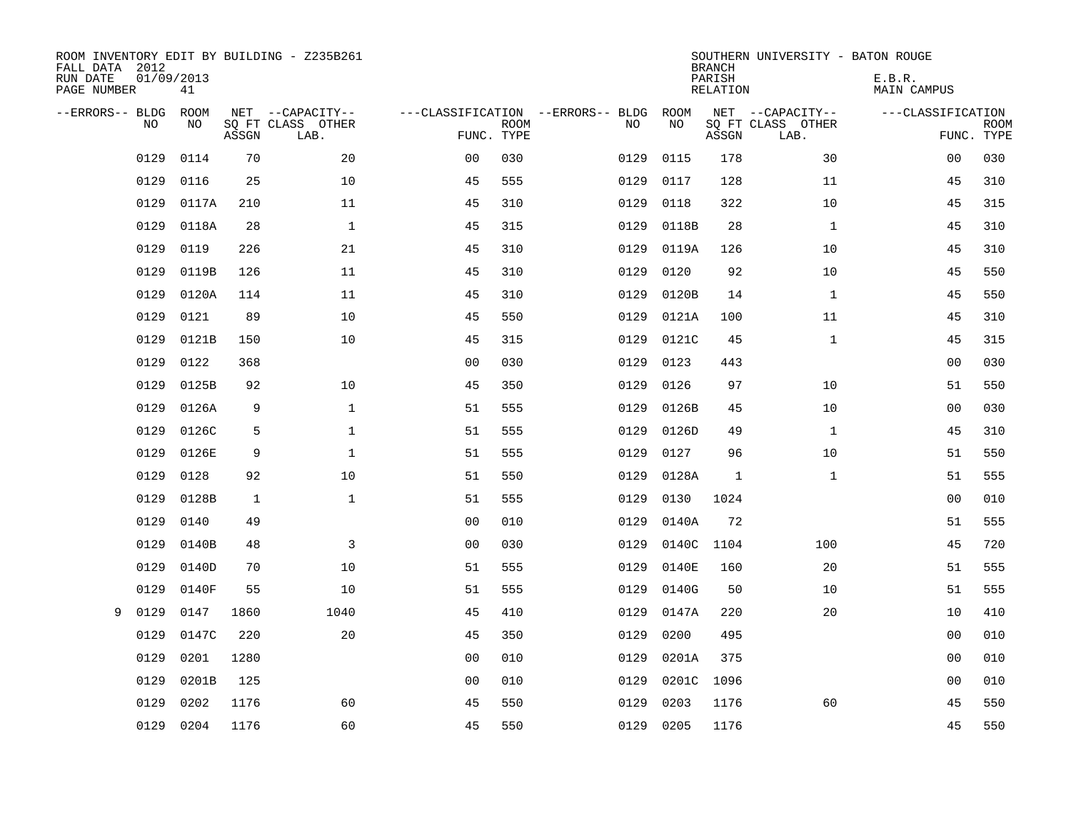| ROOM INVENTORY EDIT BY BUILDING - Z235B261<br>FALL DATA 2012<br>RUN DATE<br>PAGE NUMBER | 01/09/2013<br>41 |       |                                               |                |             |                                         |            | <b>BRANCH</b><br>PARISH<br><b>RELATION</b> | SOUTHERN UNIVERSITY - BATON ROUGE             | E.B.R.<br><b>MAIN CAMPUS</b> |                           |
|-----------------------------------------------------------------------------------------|------------------|-------|-----------------------------------------------|----------------|-------------|-----------------------------------------|------------|--------------------------------------------|-----------------------------------------------|------------------------------|---------------------------|
| --ERRORS-- BLDG<br>NO                                                                   | ROOM<br>NO       | ASSGN | NET --CAPACITY--<br>SQ FT CLASS OTHER<br>LAB. | FUNC. TYPE     | <b>ROOM</b> | ---CLASSIFICATION --ERRORS-- BLDG<br>NO | ROOM<br>NO | ASSGN                                      | NET --CAPACITY--<br>SQ FT CLASS OTHER<br>LAB. | ---CLASSIFICATION            | <b>ROOM</b><br>FUNC. TYPE |
| 0129                                                                                    | 0114             | 70    | 20                                            | 0 <sub>0</sub> | 030         | 0129                                    | 0115       | 178                                        | 30                                            | 0 <sub>0</sub>               | 030                       |
| 0129                                                                                    | 0116             | 25    | 10                                            | 45             | 555         | 0129                                    | 0117       | 128                                        | 11                                            | 45                           | 310                       |
| 0129                                                                                    | 0117A            | 210   | 11                                            | 45             | 310         | 0129                                    | 0118       | 322                                        | 10                                            | 45                           | 315                       |
| 0129                                                                                    | 0118A            | 28    | $\mathbf 1$                                   | 45             | 315         | 0129                                    | 0118B      | 28                                         | $\mathbf{1}$                                  | 45                           | 310                       |
| 0129                                                                                    | 0119             | 226   | 21                                            | 45             | 310         | 0129                                    | 0119A      | 126                                        | 10                                            | 45                           | 310                       |
| 0129                                                                                    | 0119B            | 126   | 11                                            | 45             | 310         | 0129                                    | 0120       | 92                                         | 10                                            | 45                           | 550                       |
| 0129                                                                                    | 0120A            | 114   | 11                                            | 45             | 310         | 0129                                    | 0120B      | 14                                         | $\mathbf{1}$                                  | 45                           | 550                       |
| 0129                                                                                    | 0121             | 89    | 10                                            | 45             | 550         | 0129                                    | 0121A      | 100                                        | 11                                            | 45                           | 310                       |
| 0129                                                                                    | 0121B            | 150   | 10                                            | 45             | 315         | 0129                                    | 0121C      | 45                                         | $\mathbf{1}$                                  | 45                           | 315                       |
| 0129                                                                                    | 0122             | 368   |                                               | 0 <sub>0</sub> | 030         | 0129                                    | 0123       | 443                                        |                                               | 00                           | 030                       |
| 0129                                                                                    | 0125B            | 92    | 10                                            | 45             | 350         | 0129                                    | 0126       | 97                                         | 10                                            | 51                           | 550                       |
| 0129                                                                                    | 0126A            | 9     | $\mathbf{1}$                                  | 51             | 555         | 0129                                    | 0126B      | 45                                         | 10                                            | 00                           | 030                       |
| 0129                                                                                    | 0126C            | 5     | $\mathbf{1}$                                  | 51             | 555         | 0129                                    | 0126D      | 49                                         | $\mathbf{1}$                                  | 45                           | 310                       |
| 0129                                                                                    | 0126E            | 9     | $\mathbf 1$                                   | 51             | 555         | 0129                                    | 0127       | 96                                         | 10                                            | 51                           | 550                       |
| 0129                                                                                    | 0128             | 92    | 10                                            | 51             | 550         | 0129                                    | 0128A      | 1                                          | $\mathbf{1}$                                  | 51                           | 555                       |
| 0129                                                                                    | 0128B            | 1     | $\mathbf{1}$                                  | 51             | 555         | 0129                                    | 0130       | 1024                                       |                                               | 00                           | 010                       |
| 0129                                                                                    | 0140             | 49    |                                               | 0 <sub>0</sub> | 010         | 0129                                    | 0140A      | 72                                         |                                               | 51                           | 555                       |
| 0129                                                                                    | 0140B            | 48    | 3                                             | 0 <sub>0</sub> | 030         | 0129                                    | 0140C      | 1104                                       | 100                                           | 45                           | 720                       |
| 0129                                                                                    | 0140D            | 70    | 10                                            | 51             | 555         | 0129                                    | 0140E      | 160                                        | 20                                            | 51                           | 555                       |
| 0129                                                                                    | 0140F            | 55    | 10                                            | 51             | 555         | 0129                                    | 0140G      | 50                                         | 10                                            | 51                           | 555                       |
| 0129<br>9                                                                               | 0147             | 1860  | 1040                                          | 45             | 410         | 0129                                    | 0147A      | 220                                        | 20                                            | 10                           | 410                       |
| 0129                                                                                    | 0147C            | 220   | 20                                            | 45             | 350         | 0129                                    | 0200       | 495                                        |                                               | 0 <sub>0</sub>               | 010                       |
| 0129                                                                                    | 0201             | 1280  |                                               | 0 <sub>0</sub> | 010         | 0129                                    | 0201A      | 375                                        |                                               | 0 <sub>0</sub>               | 010                       |
| 0129                                                                                    | 0201B            | 125   |                                               | 00             | 010         | 0129                                    | 0201C      | 1096                                       |                                               | 0 <sub>0</sub>               | 010                       |
| 0129                                                                                    | 0202             | 1176  | 60                                            | 45             | 550         | 0129                                    | 0203       | 1176                                       | 60                                            | 45                           | 550                       |
|                                                                                         | 0129 0204        | 1176  | 60                                            | 45             | 550         |                                         | 0129 0205  | 1176                                       |                                               | 45                           | 550                       |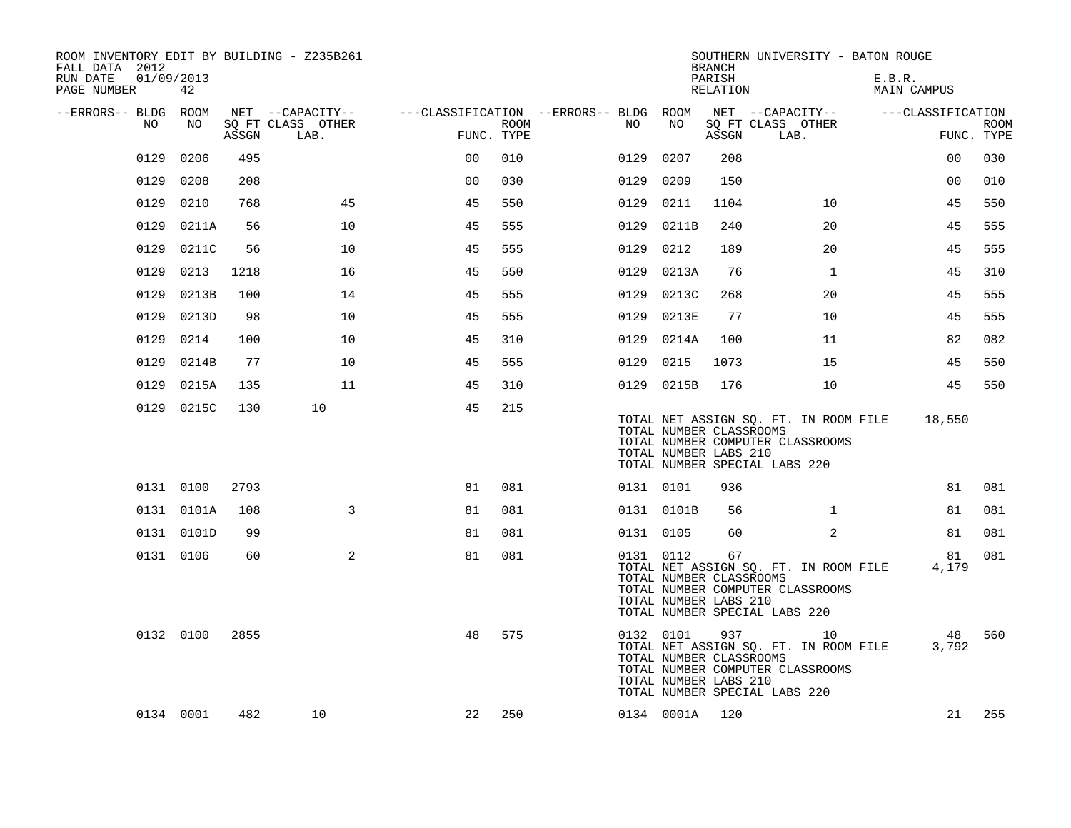| ROOM INVENTORY EDIT BY BUILDING - Z235B261<br>FALL DATA 2012<br>RUN DATE<br>PAGE NUMBER | 01/09/2013<br>42 |       |                                               |                |      |                                              |                                                               | <b>BRANCH</b><br>PARISH<br>RELATION | SOUTHERN UNIVERSITY - BATON ROUGE                                                                                | E.B.R.<br>MAIN CAMPUS |                           |
|-----------------------------------------------------------------------------------------|------------------|-------|-----------------------------------------------|----------------|------|----------------------------------------------|---------------------------------------------------------------|-------------------------------------|------------------------------------------------------------------------------------------------------------------|-----------------------|---------------------------|
| --ERRORS-- BLDG ROOM<br>NO                                                              | NO               | ASSGN | NET --CAPACITY--<br>SO FT CLASS OTHER<br>LAB. | FUNC. TYPE     | ROOM | ---CLASSIFICATION --ERRORS-- BLDG ROOM<br>NO | NO                                                            | ASSGN                               | NET --CAPACITY--<br>SQ FT CLASS OTHER<br>LAB.                                                                    | ---CLASSIFICATION     | <b>ROOM</b><br>FUNC. TYPE |
| 0129                                                                                    | 0206             | 495   |                                               | 0 <sub>0</sub> | 010  | 0129                                         | 0207                                                          | 208                                 |                                                                                                                  | 0 <sub>0</sub>        | 030                       |
| 0129                                                                                    | 0208             | 208   |                                               | 0 <sub>0</sub> | 030  | 0129                                         | 0209                                                          | 150                                 |                                                                                                                  | 0 <sub>0</sub>        | 010                       |
| 0129                                                                                    | 0210             | 768   | 45                                            | 45             | 550  | 0129                                         | 0211                                                          | 1104                                | 10                                                                                                               | 45                    | 550                       |
| 0129                                                                                    | 0211A            | 56    | 10                                            | 45             | 555  | 0129                                         | 0211B                                                         | 240                                 | 20                                                                                                               | 45                    | 555                       |
| 0129                                                                                    | 0211C            | 56    | 10                                            | 45             | 555  |                                              | 0129 0212                                                     | 189                                 | 20                                                                                                               | 45                    | 555                       |
| 0129                                                                                    | 0213             | 1218  | 16                                            | 45             | 550  |                                              | 0129 0213A                                                    | 76                                  | $\mathbf{1}$                                                                                                     | 45                    | 310                       |
| 0129                                                                                    | 0213B            | 100   | 14                                            | 45             | 555  |                                              | 0129 0213C                                                    | 268                                 | 20                                                                                                               | 45                    | 555                       |
| 0129                                                                                    | 0213D            | 98    | 10                                            | 45             | 555  | 0129                                         | 0213E                                                         | 77                                  | 10                                                                                                               | 45                    | 555                       |
| 0129                                                                                    | 0214             | 100   | 10                                            | 45             | 310  |                                              | 0129 0214A                                                    | 100                                 | 11                                                                                                               | 82                    | 082                       |
| 0129                                                                                    | 0214B            | 77    | 10                                            | 45             | 555  | 0129                                         | 0215                                                          | 1073                                | 15                                                                                                               | 45                    | 550                       |
| 0129                                                                                    | 0215A            | 135   | 11                                            | 45             | 310  |                                              | 0129 0215B                                                    | 176                                 | 10                                                                                                               | 45                    | 550                       |
|                                                                                         | 0129 0215C       | 130   | 10                                            | 45             | 215  |                                              | TOTAL NUMBER CLASSROOMS<br>TOTAL NUMBER LABS 210              |                                     | TOTAL NET ASSIGN SQ. FT. IN ROOM FILE<br>TOTAL NUMBER COMPUTER CLASSROOMS<br>TOTAL NUMBER SPECIAL LABS 220       | 18,550                |                           |
|                                                                                         | 0131 0100        | 2793  |                                               | 81             | 081  |                                              | 0131 0101                                                     | 936                                 |                                                                                                                  | 81                    | 081                       |
|                                                                                         | 0131 0101A       | 108   | 3                                             | 81             | 081  |                                              | 0131 0101B                                                    | 56                                  | $\mathbf{1}$                                                                                                     | 81                    | 081                       |
|                                                                                         | 0131 0101D       | 99    |                                               | 81             | 081  |                                              | 0131 0105                                                     | 60                                  | $\overline{2}$                                                                                                   | 81                    | 081                       |
|                                                                                         | 0131 0106        | 60    | 2                                             | 81             | 081  |                                              | 0131 0112<br>TOTAL NUMBER CLASSROOMS<br>TOTAL NUMBER LABS 210 | 67                                  | TOTAL NET ASSIGN SQ. FT. IN ROOM FILE<br>TOTAL NUMBER COMPUTER CLASSROOMS<br>TOTAL NUMBER SPECIAL LABS 220       | 81<br>4,179           | 081                       |
|                                                                                         | 0132 0100        | 2855  |                                               | 48             | 575  |                                              | 0132 0101<br>TOTAL NUMBER CLASSROOMS<br>TOTAL NUMBER LABS 210 | 937                                 | 10<br>TOTAL NET ASSIGN SQ. FT. IN ROOM FILE<br>TOTAL NUMBER COMPUTER CLASSROOMS<br>TOTAL NUMBER SPECIAL LABS 220 | 48<br>3,792           | 560                       |
|                                                                                         | 0134 0001        | 482   | 10                                            | 22             | 250  |                                              | 0134 0001A                                                    | 120                                 |                                                                                                                  | 21                    | 255                       |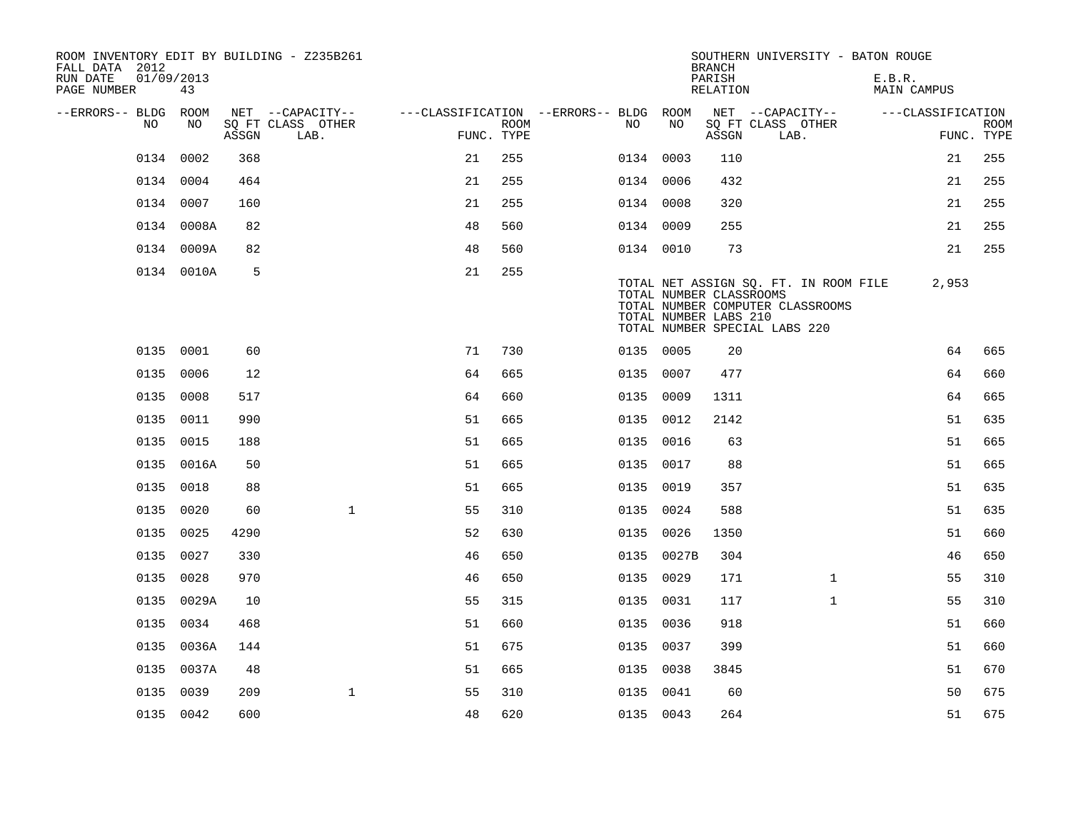| ROOM INVENTORY EDIT BY BUILDING - Z235B261<br>FALL DATA 2012 |                  |       |                           |                                        |                           |           |                                                  | <b>BRANCH</b>      | SOUTHERN UNIVERSITY - BATON ROUGE                                                                          |                              |                           |
|--------------------------------------------------------------|------------------|-------|---------------------------|----------------------------------------|---------------------------|-----------|--------------------------------------------------|--------------------|------------------------------------------------------------------------------------------------------------|------------------------------|---------------------------|
| RUN DATE<br>PAGE NUMBER                                      | 01/09/2013<br>43 |       |                           |                                        |                           |           |                                                  | PARISH<br>RELATION |                                                                                                            | E.B.R.<br><b>MAIN CAMPUS</b> |                           |
| --ERRORS-- BLDG ROOM                                         |                  |       | NET --CAPACITY--          | ---CLASSIFICATION --ERRORS-- BLDG ROOM |                           |           |                                                  |                    | NET --CAPACITY--                                                                                           | ---CLASSIFICATION            |                           |
| NO                                                           | NO               | ASSGN | SQ FT CLASS OTHER<br>LAB. |                                        | <b>ROOM</b><br>FUNC. TYPE | NO        | NO                                               | ASSGN              | SQ FT CLASS OTHER<br>LAB.                                                                                  |                              | <b>ROOM</b><br>FUNC. TYPE |
|                                                              | 0134 0002        | 368   |                           | 21                                     | 255                       | 0134 0003 |                                                  | 110                |                                                                                                            | 21                           | 255                       |
|                                                              | 0134 0004        | 464   |                           | 21                                     | 255                       | 0134 0006 |                                                  | 432                |                                                                                                            | 21                           | 255                       |
|                                                              | 0134 0007        | 160   |                           | 21                                     | 255                       | 0134 0008 |                                                  | 320                |                                                                                                            | 21                           | 255                       |
|                                                              | 0134 0008A       | 82    |                           | 48                                     | 560                       | 0134 0009 |                                                  | 255                |                                                                                                            | 21                           | 255                       |
|                                                              | 0134 0009A       | 82    |                           | 48                                     | 560                       | 0134 0010 |                                                  | 73                 |                                                                                                            | 21                           | 255                       |
|                                                              | 0134 0010A       | 5     |                           | 21                                     | 255                       |           | TOTAL NUMBER CLASSROOMS<br>TOTAL NUMBER LABS 210 |                    | TOTAL NET ASSIGN SQ. FT. IN ROOM FILE<br>TOTAL NUMBER COMPUTER CLASSROOMS<br>TOTAL NUMBER SPECIAL LABS 220 | 2,953                        |                           |
|                                                              | 0135 0001        | 60    |                           | 71                                     | 730                       | 0135 0005 |                                                  | 20                 |                                                                                                            | 64                           | 665                       |
|                                                              | 0135 0006        | 12    |                           | 64                                     | 665                       | 0135 0007 |                                                  | 477                |                                                                                                            | 64                           | 660                       |
|                                                              | 0135 0008        | 517   |                           | 64                                     | 660                       | 0135 0009 |                                                  | 1311               |                                                                                                            | 64                           | 665                       |
|                                                              | 0135 0011        | 990   |                           | 51                                     | 665                       | 0135 0012 |                                                  | 2142               |                                                                                                            | 51                           | 635                       |
| 0135                                                         | 0015             | 188   |                           | 51                                     | 665                       | 0135 0016 |                                                  | 63                 |                                                                                                            | 51                           | 665                       |
|                                                              | 0135 0016A       | 50    |                           | 51                                     | 665                       | 0135 0017 |                                                  | 88                 |                                                                                                            | 51                           | 665                       |
| 0135                                                         | 0018             | 88    |                           | 51                                     | 665                       | 0135 0019 |                                                  | 357                |                                                                                                            | 51                           | 635                       |
|                                                              | 0135 0020        | 60    | $\mathbf{1}$              | 55                                     | 310                       | 0135 0024 |                                                  | 588                |                                                                                                            | 51                           | 635                       |
| 0135                                                         | 0025             | 4290  |                           | 52                                     | 630                       | 0135 0026 |                                                  | 1350               |                                                                                                            | 51                           | 660                       |
|                                                              | 0135 0027        | 330   |                           | 46                                     | 650                       |           | 0135 0027B                                       | 304                |                                                                                                            | 46                           | 650                       |
|                                                              | 0135 0028        | 970   |                           | 46                                     | 650                       | 0135 0029 |                                                  | 171                | $\mathbf{1}$                                                                                               | 55                           | 310                       |
|                                                              | 0135 0029A       | 10    |                           | 55                                     | 315                       | 0135 0031 |                                                  | 117                | $\mathbf{1}$                                                                                               | 55                           | 310                       |
| 0135                                                         | 0034             | 468   |                           | 51                                     | 660                       | 0135 0036 |                                                  | 918                |                                                                                                            | 51                           | 660                       |
|                                                              | 0135 0036A       | 144   |                           | 51                                     | 675                       | 0135 0037 |                                                  | 399                |                                                                                                            | 51                           | 660                       |
|                                                              | 0135 0037A       | 48    |                           | 51                                     | 665                       | 0135 0038 |                                                  | 3845               |                                                                                                            | 51                           | 670                       |
|                                                              | 0135 0039        | 209   | $\mathbf{1}$              | 55                                     | 310                       | 0135 0041 |                                                  | 60                 |                                                                                                            | 50                           | 675                       |
|                                                              | 0135 0042        | 600   |                           | 48                                     | 620                       | 0135 0043 |                                                  | 264                |                                                                                                            | 51                           | 675                       |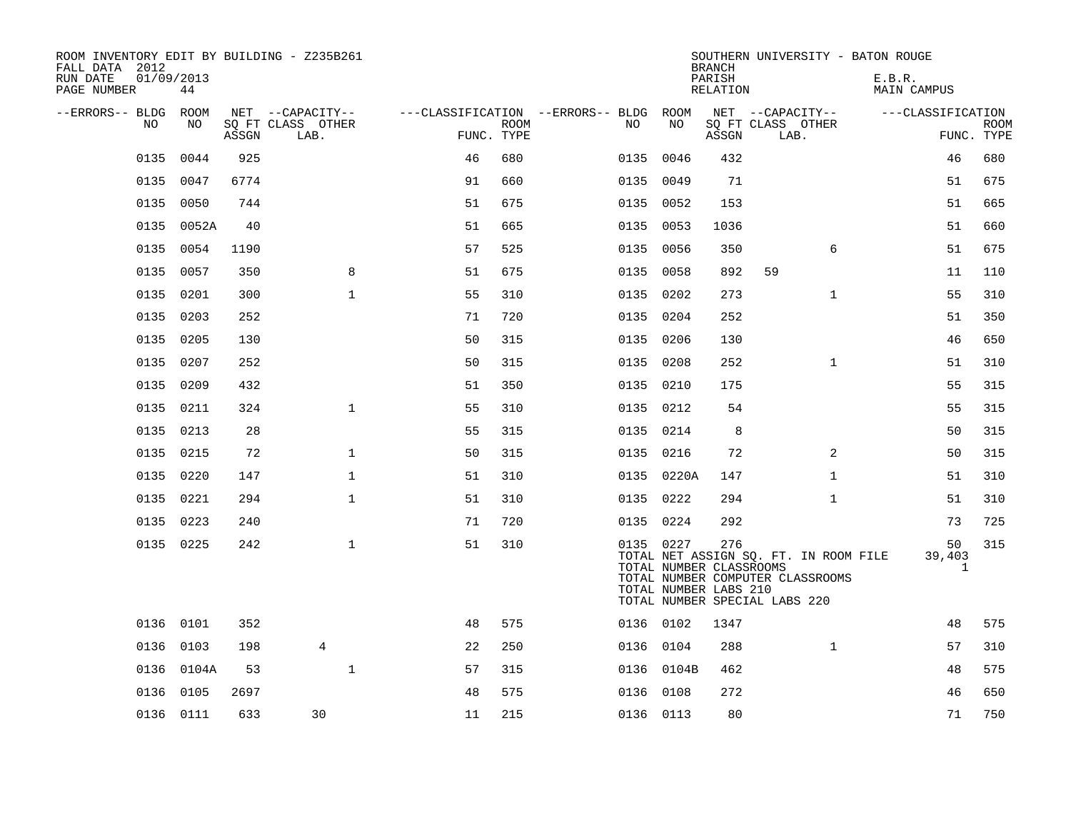| ROOM INVENTORY EDIT BY BUILDING - Z235B261<br>FALL DATA 2012 |                  |       |                           |            |             |                                        |            | <b>BRANCH</b>                                           | SOUTHERN UNIVERSITY - BATON ROUGE                                                                          |                              |                           |
|--------------------------------------------------------------|------------------|-------|---------------------------|------------|-------------|----------------------------------------|------------|---------------------------------------------------------|------------------------------------------------------------------------------------------------------------|------------------------------|---------------------------|
| RUN DATE<br>PAGE NUMBER                                      | 01/09/2013<br>44 |       |                           |            |             |                                        |            | PARISH<br>RELATION                                      |                                                                                                            | E.B.R.<br><b>MAIN CAMPUS</b> |                           |
| --ERRORS-- BLDG                                              | ROOM             |       | NET --CAPACITY--          |            |             | ---CLASSIFICATION --ERRORS-- BLDG ROOM |            |                                                         | NET --CAPACITY--                                                                                           | ---CLASSIFICATION            |                           |
| NO                                                           | NO               | ASSGN | SQ FT CLASS OTHER<br>LAB. | FUNC. TYPE | <b>ROOM</b> | NO                                     | NO         | ASSGN                                                   | SQ FT CLASS OTHER<br>LAB.                                                                                  |                              | <b>ROOM</b><br>FUNC. TYPE |
| 0135                                                         | 0044             | 925   |                           | 46         | 680         |                                        | 0135 0046  | 432                                                     |                                                                                                            | 46                           | 680                       |
| 0135                                                         | 0047             | 6774  |                           | 91         | 660         | 0135                                   | 0049       | 71                                                      |                                                                                                            | 51                           | 675                       |
|                                                              | 0135 0050        | 744   |                           | 51         | 675         |                                        | 0135 0052  | 153                                                     |                                                                                                            | 51                           | 665                       |
| 0135                                                         | 0052A            | 40    |                           | 51         | 665         | 0135                                   | 0053       | 1036                                                    |                                                                                                            | 51                           | 660                       |
|                                                              | 0135 0054        | 1190  |                           | 57         | 525         |                                        | 0135 0056  | 350                                                     | 6                                                                                                          | 51                           | 675                       |
| 0135                                                         | 0057             | 350   | 8                         | 51         | 675         |                                        | 0135 0058  | 892                                                     | 59                                                                                                         | 11                           | 110                       |
| 0135                                                         | 0201             | 300   | $\mathbf{1}$              | 55         | 310         |                                        | 0135 0202  | 273                                                     | $\mathbf{1}$                                                                                               | 55                           | 310                       |
| 0135                                                         | 0203             | 252   |                           | 71         | 720         |                                        | 0135 0204  | 252                                                     |                                                                                                            | 51                           | 350                       |
| 0135                                                         | 0205             | 130   |                           | 50         | 315         |                                        | 0135 0206  | 130                                                     |                                                                                                            | 46                           | 650                       |
| 0135                                                         | 0207             | 252   |                           | 50         | 315         |                                        | 0135 0208  | 252                                                     | $\mathbf{1}$                                                                                               | 51                           | 310                       |
| 0135                                                         | 0209             | 432   |                           | 51         | 350         |                                        | 0135 0210  | 175                                                     |                                                                                                            | 55                           | 315                       |
| 0135                                                         | 0211             | 324   | $\mathbf{1}$              | 55         | 310         |                                        | 0135 0212  | 54                                                      |                                                                                                            | 55                           | 315                       |
| 0135                                                         | 0213             | 28    |                           | 55         | 315         |                                        | 0135 0214  | 8                                                       |                                                                                                            | 50                           | 315                       |
| 0135                                                         | 0215             | 72    | $\mathbf{1}$              | 50         | 315         |                                        | 0135 0216  | 72                                                      | 2                                                                                                          | 50                           | 315                       |
|                                                              | 0135 0220        | 147   | $\mathbf{1}$              | 51         | 310         |                                        | 0135 0220A | 147                                                     | $\mathbf{1}$                                                                                               | 51                           | 310                       |
| 0135                                                         | 0221             | 294   | $\mathbf 1$               | 51         | 310         |                                        | 0135 0222  | 294                                                     | $\mathbf{1}$                                                                                               | 51                           | 310                       |
|                                                              | 0135 0223        | 240   |                           | 71         | 720         |                                        | 0135 0224  | 292                                                     |                                                                                                            | 73                           | 725                       |
|                                                              | 0135 0225        | 242   | $\mathbf 1$               | 51         | 310         |                                        | 0135 0227  | 276<br>TOTAL NUMBER CLASSROOMS<br>TOTAL NUMBER LABS 210 | TOTAL NET ASSIGN SQ. FT. IN ROOM FILE<br>TOTAL NUMBER COMPUTER CLASSROOMS<br>TOTAL NUMBER SPECIAL LABS 220 | 50<br>39,403<br>$\mathbf{1}$ | 315                       |
|                                                              | 0136 0101        | 352   |                           | 48         | 575         |                                        | 0136 0102  | 1347                                                    |                                                                                                            | 48                           | 575                       |
|                                                              | 0136 0103        | 198   | $\overline{4}$            | 22         | 250         |                                        | 0136 0104  | 288                                                     | $\mathbf{1}$                                                                                               | 57                           | 310                       |
| 0136                                                         | 0104A            | 53    | $\mathbf{1}$              | 57         | 315         |                                        | 0136 0104B | 462                                                     |                                                                                                            | 48                           | 575                       |
|                                                              | 0136 0105        | 2697  |                           | 48         | 575         |                                        | 0136 0108  | 272                                                     |                                                                                                            | 46                           | 650                       |
|                                                              | 0136 0111        | 633   | 30                        | 11         | 215         |                                        | 0136 0113  | 80                                                      |                                                                                                            | 71                           | 750                       |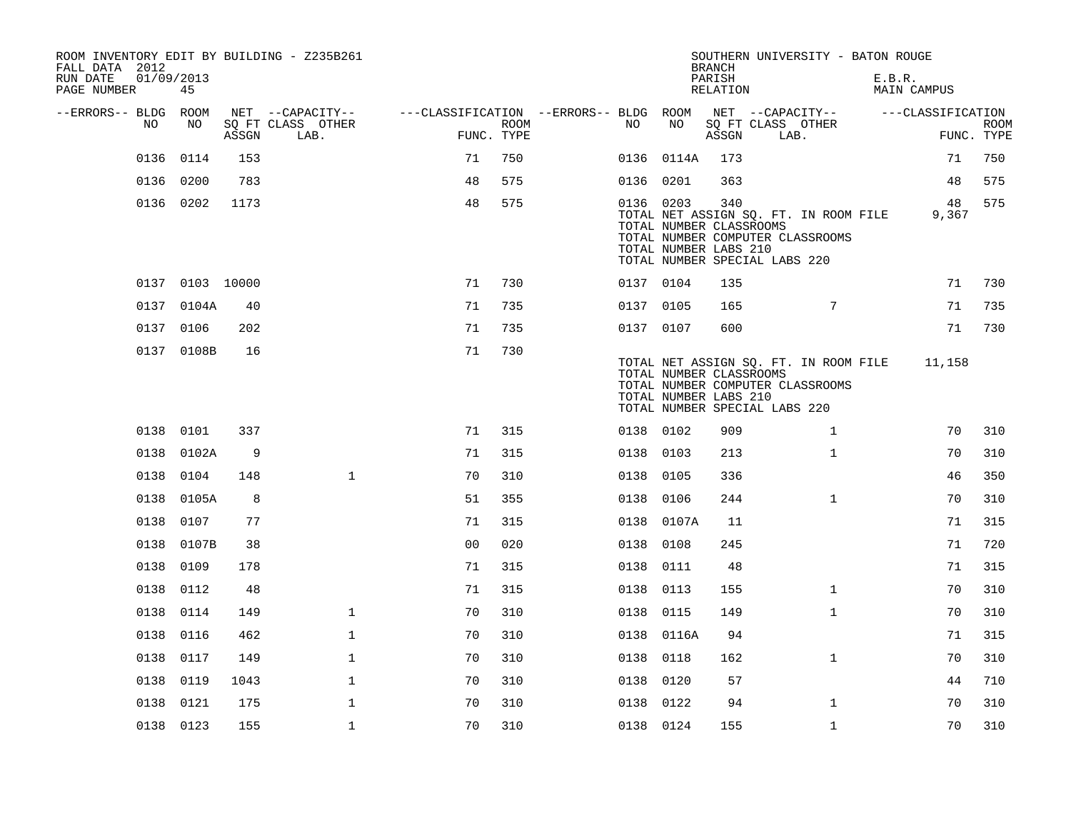| ROOM INVENTORY EDIT BY BUILDING - Z235B261<br>FALL DATA 2012<br>01/09/2013<br>RUN DATE<br>PAGE NUMBER | 45              |       |                           |                                        |      |           |            | <b>BRANCH</b><br>PARISH<br>RELATION                     | SOUTHERN UNIVERSITY - BATON ROUGE                                                                          | E.B.R.<br><b>MAIN CAMPUS</b> |                           |
|-------------------------------------------------------------------------------------------------------|-----------------|-------|---------------------------|----------------------------------------|------|-----------|------------|---------------------------------------------------------|------------------------------------------------------------------------------------------------------------|------------------------------|---------------------------|
| --ERRORS-- BLDG                                                                                       | ROOM            |       | NET --CAPACITY--          | ---CLASSIFICATION --ERRORS-- BLDG ROOM |      |           |            |                                                         | NET --CAPACITY--                                                                                           | ---CLASSIFICATION            |                           |
| NO                                                                                                    | NO              | ASSGN | SQ FT CLASS OTHER<br>LAB. | FUNC. TYPE                             | ROOM | NO        | NO         | ASSGN                                                   | SQ FT CLASS OTHER<br>LAB.                                                                                  |                              | <b>ROOM</b><br>FUNC. TYPE |
| 0136                                                                                                  | 0114            | 153   |                           | 71                                     | 750  |           | 0136 0114A | 173                                                     |                                                                                                            | 71                           | 750                       |
| 0136                                                                                                  | 0200            | 783   |                           | 48                                     | 575  | 0136 0201 |            | 363                                                     |                                                                                                            | 48                           | 575                       |
|                                                                                                       | 0136 0202       | 1173  |                           | 48                                     | 575  | 0136 0203 |            | 340<br>TOTAL NUMBER CLASSROOMS<br>TOTAL NUMBER LABS 210 | TOTAL NET ASSIGN SQ. FT. IN ROOM FILE<br>TOTAL NUMBER COMPUTER CLASSROOMS<br>TOTAL NUMBER SPECIAL LABS 220 | 48<br>9,367                  | 575                       |
|                                                                                                       | 0137 0103 10000 |       |                           | 71                                     | 730  | 0137 0104 |            | 135                                                     |                                                                                                            | 71                           | 730                       |
|                                                                                                       | 0137 0104A      | 40    |                           | 71                                     | 735  | 0137 0105 |            | 165                                                     | $7\phantom{.0}$                                                                                            | 71                           | 735                       |
|                                                                                                       | 0137 0106       | 202   |                           | 71                                     | 735  | 0137 0107 |            | 600                                                     |                                                                                                            | 71                           | 730                       |
|                                                                                                       | 0137 0108B      | 16    |                           | 71                                     | 730  |           |            | TOTAL NUMBER CLASSROOMS<br>TOTAL NUMBER LABS 210        | TOTAL NET ASSIGN SQ. FT. IN ROOM FILE<br>TOTAL NUMBER COMPUTER CLASSROOMS<br>TOTAL NUMBER SPECIAL LABS 220 | 11,158                       |                           |
|                                                                                                       | 0138 0101       | 337   |                           | 71                                     | 315  | 0138 0102 |            | 909                                                     | $\mathbf{1}$                                                                                               | 70                           | 310                       |
| 0138                                                                                                  | 0102A           | 9     |                           | 71                                     | 315  | 0138 0103 |            | 213                                                     | $\mathbf{1}$                                                                                               | 70                           | 310                       |
| 0138                                                                                                  | 0104            | 148   | $\mathbf{1}$              | 70                                     | 310  | 0138      | 0105       | 336                                                     |                                                                                                            | 46                           | 350                       |
|                                                                                                       | 0138 0105A      | 8     |                           | 51                                     | 355  | 0138 0106 |            | 244                                                     | $\mathbf{1}$                                                                                               | 70                           | 310                       |
| 0138                                                                                                  | 0107            | 77    |                           | 71                                     | 315  | 0138      | 0107A      | 11                                                      |                                                                                                            | 71                           | 315                       |
| 0138                                                                                                  | 0107B           | 38    |                           | 0 <sub>0</sub>                         | 020  | 0138 0108 |            | 245                                                     |                                                                                                            | 71                           | 720                       |
| 0138                                                                                                  | 0109            | 178   |                           | 71                                     | 315  | 0138 0111 |            | 48                                                      |                                                                                                            | 71                           | 315                       |
| 0138                                                                                                  | 0112            | 48    |                           | 71                                     | 315  | 0138 0113 |            | 155                                                     | $\mathbf{1}$                                                                                               | 70                           | 310                       |
| 0138                                                                                                  | 0114            | 149   | $\mathbf 1$               | 70                                     | 310  | 0138 0115 |            | 149                                                     | $\mathbf{1}$                                                                                               | 70                           | 310                       |
| 0138                                                                                                  | 0116            | 462   | $\mathbf 1$               | 70                                     | 310  |           | 0138 0116A | 94                                                      |                                                                                                            | 71                           | 315                       |
| 0138                                                                                                  | 0117            | 149   | $\mathbf 1$               | 70                                     | 310  | 0138 0118 |            | 162                                                     | $\mathbf{1}$                                                                                               | 70                           | 310                       |
| 0138                                                                                                  | 0119            | 1043  | $\mathbf{1}$              | 70                                     | 310  | 0138 0120 |            | 57                                                      |                                                                                                            | 44                           | 710                       |
| 0138                                                                                                  | 0121            | 175   | $\mathbf 1$               | 70                                     | 310  | 0138 0122 |            | 94                                                      | $\mathbf{1}$                                                                                               | 70                           | 310                       |
|                                                                                                       | 0138 0123       | 155   | $\mathbf 1$               | 70                                     | 310  | 0138 0124 |            | 155                                                     | $\mathbf{1}$                                                                                               | 70                           | 310                       |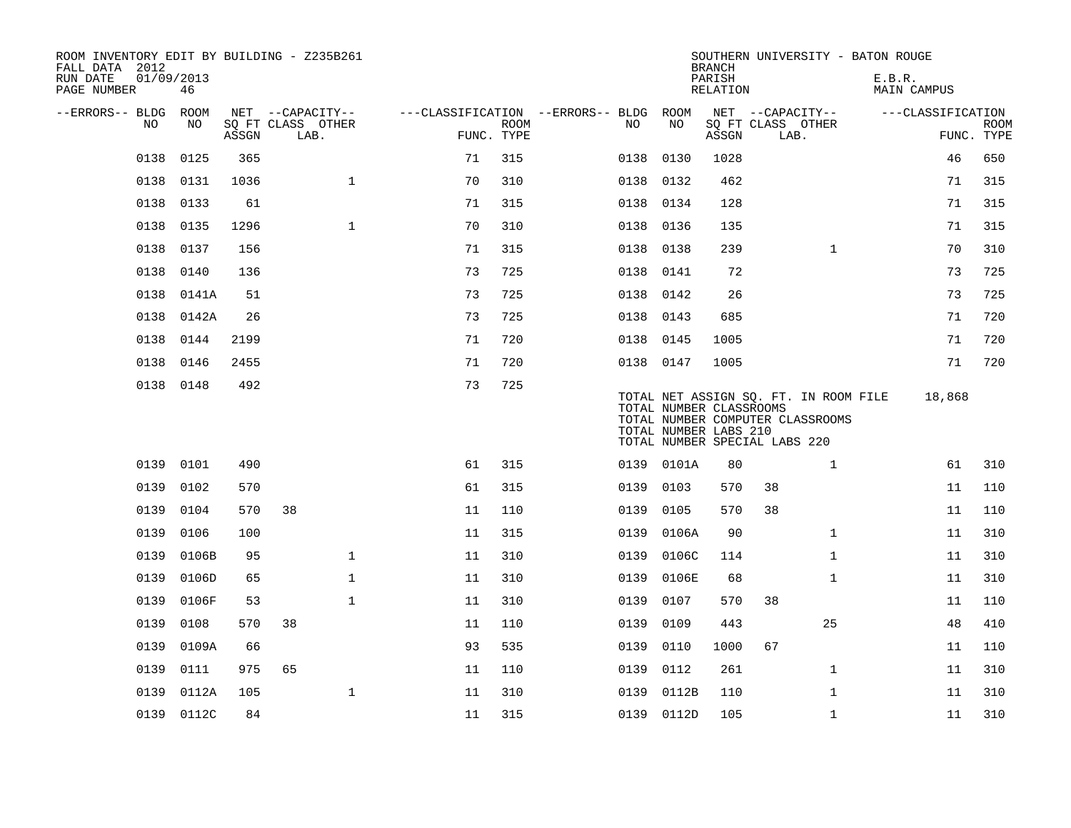| ROOM INVENTORY EDIT BY BUILDING - Z235B261<br>FALL DATA 2012<br>RUN DATE<br>PAGE NUMBER | 01/09/2013<br>46 |       |                           |    |                           |                                        |                                                  | <b>BRANCH</b><br>PARISH<br>RELATION | SOUTHERN UNIVERSITY - BATON ROUGE                                                                          | E.B.R.<br>MAIN CAMPUS |                           |
|-----------------------------------------------------------------------------------------|------------------|-------|---------------------------|----|---------------------------|----------------------------------------|--------------------------------------------------|-------------------------------------|------------------------------------------------------------------------------------------------------------|-----------------------|---------------------------|
| --ERRORS-- BLDG ROOM                                                                    |                  |       | NET --CAPACITY--          |    |                           | ---CLASSIFICATION --ERRORS-- BLDG ROOM |                                                  |                                     | NET --CAPACITY--                                                                                           | ---CLASSIFICATION     |                           |
| NO                                                                                      | NO               | ASSGN | SQ FT CLASS OTHER<br>LAB. |    | <b>ROOM</b><br>FUNC. TYPE | NO.                                    | NO                                               | ASSGN                               | SQ FT CLASS OTHER<br>LAB.                                                                                  |                       | <b>ROOM</b><br>FUNC. TYPE |
| 0138                                                                                    | 0125             | 365   |                           | 71 | 315                       | 0138                                   | 0130                                             | 1028                                |                                                                                                            | 46                    | 650                       |
| 0138                                                                                    | 0131             | 1036  | $\mathbf{1}$              | 70 | 310                       | 0138                                   | 0132                                             | 462                                 |                                                                                                            | 71                    | 315                       |
| 0138                                                                                    | 0133             | 61    |                           | 71 | 315                       |                                        | 0138 0134                                        | 128                                 |                                                                                                            | 71                    | 315                       |
| 0138                                                                                    | 0135             | 1296  | $\mathbf{1}$              | 70 | 310                       | 0138                                   | 0136                                             | 135                                 |                                                                                                            | 71                    | 315                       |
| 0138                                                                                    | 0137             | 156   |                           | 71 | 315                       |                                        | 0138 0138                                        | 239                                 | $\mathbf{1}$                                                                                               | 70                    | 310                       |
| 0138                                                                                    | 0140             | 136   |                           | 73 | 725                       | 0138                                   | 0141                                             | 72                                  |                                                                                                            | 73                    | 725                       |
| 0138                                                                                    | 0141A            | 51    |                           | 73 | 725                       |                                        | 0138 0142                                        | 26                                  |                                                                                                            | 73                    | 725                       |
| 0138                                                                                    | 0142A            | 26    |                           | 73 | 725                       | 0138                                   | 0143                                             | 685                                 |                                                                                                            | 71                    | 720                       |
| 0138                                                                                    | 0144             | 2199  |                           | 71 | 720                       |                                        | 0138 0145                                        | 1005                                |                                                                                                            | 71                    | 720                       |
| 0138                                                                                    | 0146             | 2455  |                           | 71 | 720                       |                                        | 0138 0147                                        | 1005                                |                                                                                                            | 71                    | 720                       |
|                                                                                         | 0138 0148        | 492   |                           | 73 | 725                       |                                        | TOTAL NUMBER CLASSROOMS<br>TOTAL NUMBER LABS 210 |                                     | TOTAL NET ASSIGN SQ. FT. IN ROOM FILE<br>TOTAL NUMBER COMPUTER CLASSROOMS<br>TOTAL NUMBER SPECIAL LABS 220 | 18,868                |                           |
| 0139                                                                                    | 0101             | 490   |                           | 61 | 315                       |                                        | 0139 0101A                                       | 80                                  | $\mathbf{1}$                                                                                               | 61                    | 310                       |
| 0139                                                                                    | 0102             | 570   |                           | 61 | 315                       | 0139                                   | 0103                                             | 570                                 | 38                                                                                                         | 11                    | 110                       |
| 0139                                                                                    | 0104             | 570   | 38                        | 11 | 110                       | 0139                                   | 0105                                             | 570                                 | 38                                                                                                         | 11                    | 110                       |
| 0139                                                                                    | 0106             | 100   |                           | 11 | 315                       | 0139                                   | 0106A                                            | 90                                  | $\mathbf{1}$                                                                                               | 11                    | 310                       |
| 0139                                                                                    | 0106B            | 95    | 1                         | 11 | 310                       | 0139                                   | 0106C                                            | 114                                 | $\mathbf{1}$                                                                                               | 11                    | 310                       |
| 0139                                                                                    | 0106D            | 65    | $\mathbf{1}$              | 11 | 310                       | 0139                                   | 0106E                                            | 68                                  | $\mathbf{1}$                                                                                               | 11                    | 310                       |
| 0139                                                                                    | 0106F            | 53    | $\mathbf 1$               | 11 | 310                       | 0139                                   | 0107                                             | 570                                 | 38                                                                                                         | 11                    | 110                       |
| 0139                                                                                    | 0108             | 570   | 38                        | 11 | 110                       | 0139                                   | 0109                                             | 443                                 | 25                                                                                                         | 48                    | 410                       |
| 0139                                                                                    | 0109A            | 66    |                           | 93 | 535                       | 0139                                   | 0110                                             | 1000                                | 67                                                                                                         | 11                    | 110                       |
| 0139                                                                                    | 0111             | 975   | 65                        | 11 | 110                       | 0139                                   | 0112                                             | 261                                 | $\mathbf{1}$                                                                                               | 11                    | 310                       |
| 0139                                                                                    | 0112A            | 105   | 1                         | 11 | 310                       | 0139                                   | 0112B                                            | 110                                 | $\mathbf{1}$                                                                                               | 11                    | 310                       |
|                                                                                         | 0139 0112C       | 84    |                           | 11 | 315                       |                                        | 0139 0112D                                       | 105                                 | $\mathbf{1}$                                                                                               | 11                    | 310                       |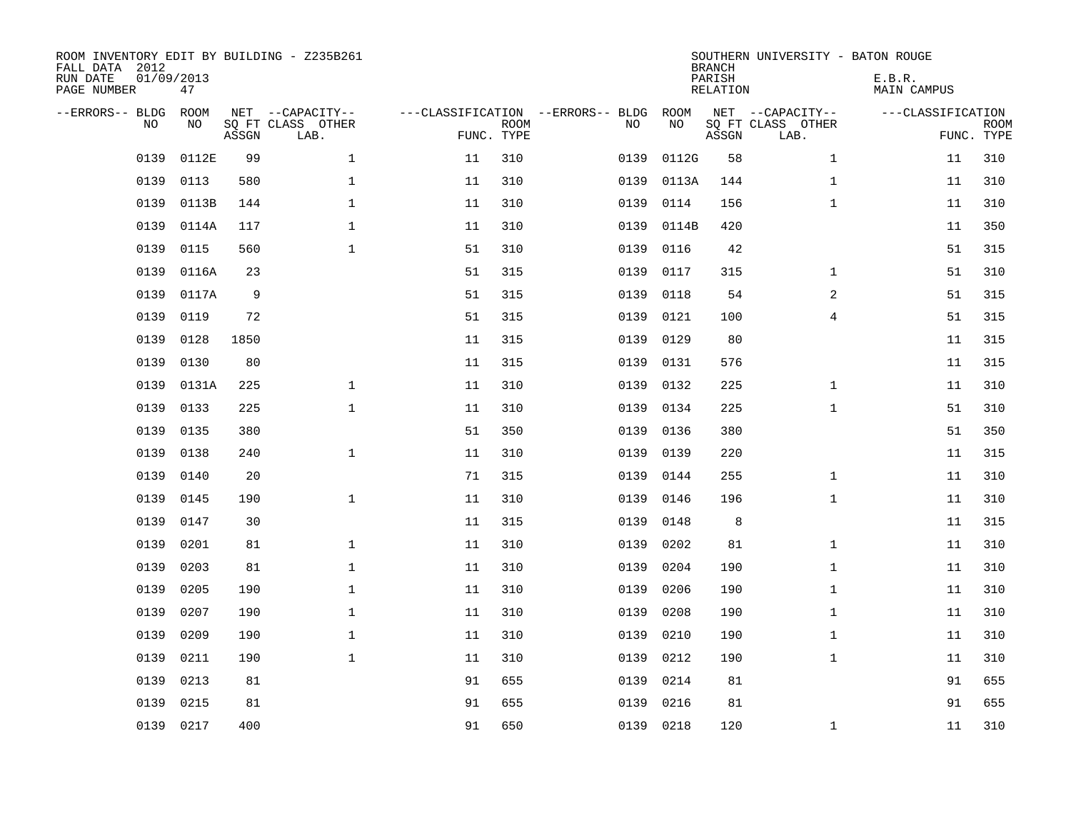| FALL DATA 2012<br>RUN DATE<br>PAGE NUMBER | 01/09/2013<br>47 |       | ROOM INVENTORY EDIT BY BUILDING - Z235B261    |                                   |                           |      |            | <b>BRANCH</b><br>PARISH<br>RELATION | SOUTHERN UNIVERSITY - BATON ROUGE             | E.B.R.<br><b>MAIN CAMPUS</b> |                           |
|-------------------------------------------|------------------|-------|-----------------------------------------------|-----------------------------------|---------------------------|------|------------|-------------------------------------|-----------------------------------------------|------------------------------|---------------------------|
| --ERRORS-- BLDG<br><b>NO</b>              | ROOM<br>NO.      | ASSGN | NET --CAPACITY--<br>SQ FT CLASS OTHER<br>LAB. | ---CLASSIFICATION --ERRORS-- BLDG | <b>ROOM</b><br>FUNC. TYPE | NO   | ROOM<br>NO | ASSGN                               | NET --CAPACITY--<br>SQ FT CLASS OTHER<br>LAB. | ---CLASSIFICATION            | <b>ROOM</b><br>FUNC. TYPE |
| 0139                                      | 0112E            | 99    | $\mathbf{1}$                                  | 11                                | 310                       | 0139 | 0112G      | 58                                  | $\mathbf{1}$                                  | 11                           | 310                       |
| 0139                                      | 0113             | 580   | $\mathbf 1$                                   | 11                                | 310                       | 0139 | 0113A      | 144                                 | $\mathbf{1}$                                  | 11                           | 310                       |
| 0139                                      | 0113B            | 144   | $\mathbf{1}$                                  | 11                                | 310                       | 0139 | 0114       | 156                                 | $\mathbf{1}$                                  | 11                           | 310                       |
| 0139                                      | 0114A            | 117   | $\mathbf{1}$                                  | 11                                | 310                       | 0139 | 0114B      | 420                                 |                                               | 11                           | 350                       |
| 0139                                      | 0115             | 560   | $\mathbf{1}$                                  | 51                                | 310                       | 0139 | 0116       | 42                                  |                                               | 51                           | 315                       |
| 0139                                      | 0116A            | 23    |                                               | 51                                | 315                       | 0139 | 0117       | 315                                 | $\mathbf{1}$                                  | 51                           | 310                       |
| 0139                                      | 0117A            | 9     |                                               | 51                                | 315                       | 0139 | 0118       | 54                                  | 2                                             | 51                           | 315                       |
| 0139                                      | 0119             | 72    |                                               | 51                                | 315                       | 0139 | 0121       | 100                                 | 4                                             | 51                           | 315                       |
| 0139                                      | 0128             | 1850  |                                               | 11                                | 315                       | 0139 | 0129       | 80                                  |                                               | 11                           | 315                       |
| 0139                                      | 0130             | 80    |                                               | 11                                | 315                       | 0139 | 0131       | 576                                 |                                               | 11                           | 315                       |
| 0139                                      | 0131A            | 225   | $\mathbf 1$                                   | 11                                | 310                       | 0139 | 0132       | 225                                 | $\mathbf{1}$                                  | 11                           | 310                       |
| 0139                                      | 0133             | 225   | $\mathbf{1}$                                  | 11                                | 310                       | 0139 | 0134       | 225                                 | $\mathbf{1}$                                  | 51                           | 310                       |
| 0139                                      | 0135             | 380   |                                               | 51                                | 350                       | 0139 | 0136       | 380                                 |                                               | 51                           | 350                       |
| 0139                                      | 0138             | 240   | $\mathbf{1}$                                  | 11                                | 310                       | 0139 | 0139       | 220                                 |                                               | 11                           | 315                       |
| 0139                                      | 0140             | 20    |                                               | 71                                | 315                       | 0139 | 0144       | 255                                 | $\mathbf{1}$                                  | 11                           | 310                       |
| 0139                                      | 0145             | 190   | $\mathbf 1$                                   | 11                                | 310                       | 0139 | 0146       | 196                                 | $\mathbf{1}$                                  | 11                           | 310                       |
| 0139                                      | 0147             | 30    |                                               | 11                                | 315                       | 0139 | 0148       | 8                                   |                                               | 11                           | 315                       |
| 0139                                      | 0201             | 81    | $\mathbf{1}$                                  | 11                                | 310                       | 0139 | 0202       | 81                                  | $\mathbf{1}$                                  | 11                           | 310                       |
| 0139                                      | 0203             | 81    | 1                                             | 11                                | 310                       | 0139 | 0204       | 190                                 | $\mathbf{1}$                                  | 11                           | 310                       |
| 0139                                      | 0205             | 190   | $\mathbf 1$                                   | 11                                | 310                       | 0139 | 0206       | 190                                 | $\mathbf{1}$                                  | 11                           | 310                       |
| 0139                                      | 0207             | 190   | $\mathbf 1$                                   | 11                                | 310                       | 0139 | 0208       | 190                                 | $\mathbf{1}$                                  | 11                           | 310                       |
| 0139                                      | 0209             | 190   | $\mathbf 1$                                   | 11                                | 310                       | 0139 | 0210       | 190                                 | $\mathbf{1}$                                  | 11                           | 310                       |
| 0139                                      | 0211             | 190   | $\mathbf{1}$                                  | 11                                | 310                       | 0139 | 0212       | 190                                 | $\mathbf{1}$                                  | 11                           | 310                       |
| 0139                                      | 0213             | 81    |                                               | 91                                | 655                       | 0139 | 0214       | 81                                  |                                               | 91                           | 655                       |
| 0139                                      | 0215             | 81    |                                               | 91                                | 655                       | 0139 | 0216       | 81                                  |                                               | 91                           | 655                       |
|                                           | 0139 0217        | 400   |                                               | 91                                | 650                       |      | 0139 0218  | 120                                 | $\mathbf{1}$                                  | 11                           | 310                       |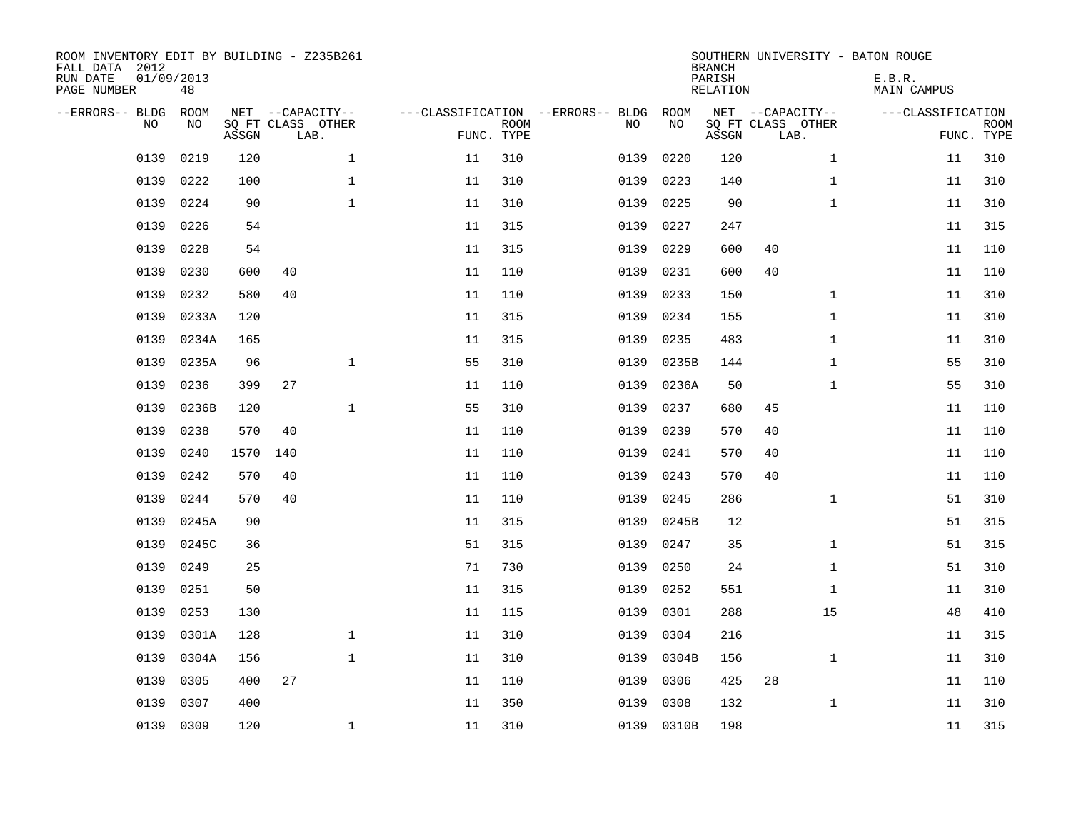| ROOM INVENTORY EDIT BY BUILDING - Z235B261<br>FALL DATA 2012<br>RUN DATE<br>PAGE NUMBER | 01/09/2013<br>48 |       |                                               |              |            |             |                                         |            | <b>BRANCH</b><br>PARISH<br><b>RELATION</b> |                                               | SOUTHERN UNIVERSITY - BATON ROUGE<br>E.B.R.<br><b>MAIN CAMPUS</b> |                           |
|-----------------------------------------------------------------------------------------|------------------|-------|-----------------------------------------------|--------------|------------|-------------|-----------------------------------------|------------|--------------------------------------------|-----------------------------------------------|-------------------------------------------------------------------|---------------------------|
| --ERRORS-- BLDG<br>NO                                                                   | ROOM<br>NO       | ASSGN | NET --CAPACITY--<br>SQ FT CLASS OTHER<br>LAB. |              | FUNC. TYPE | <b>ROOM</b> | ---CLASSIFICATION --ERRORS-- BLDG<br>NO | ROOM<br>NO | ASSGN                                      | NET --CAPACITY--<br>SQ FT CLASS OTHER<br>LAB. | ---CLASSIFICATION                                                 | <b>ROOM</b><br>FUNC. TYPE |
| 0139                                                                                    | 0219             | 120   |                                               | $\mathbf 1$  | 11         | 310         | 0139                                    | 0220       | 120                                        | $\mathbf{1}$                                  | 11                                                                | 310                       |
| 0139                                                                                    | 0222             | 100   |                                               | $\mathbf 1$  | 11         | 310         | 0139                                    | 0223       | 140                                        | $\mathbf{1}$                                  | 11                                                                | 310                       |
| 0139                                                                                    | 0224             | 90    |                                               | $\mathbf{1}$ | 11         | 310         | 0139                                    | 0225       | 90                                         | $\mathbf{1}$                                  | 11                                                                | 310                       |
| 0139                                                                                    | 0226             | 54    |                                               |              | 11         | 315         | 0139                                    | 0227       | 247                                        |                                               | 11                                                                | 315                       |
| 0139                                                                                    | 0228             | 54    |                                               |              | 11         | 315         | 0139                                    | 0229       | 600                                        | 40                                            | 11                                                                | 110                       |
| 0139                                                                                    | 0230             | 600   | 40                                            |              | 11         | 110         | 0139                                    | 0231       | 600                                        | 40                                            | 11                                                                | 110                       |
| 0139                                                                                    | 0232             | 580   | 40                                            |              | 11         | 110         | 0139                                    | 0233       | 150                                        | $\mathbf{1}$                                  | 11                                                                | 310                       |
| 0139                                                                                    | 0233A            | 120   |                                               |              | 11         | 315         | 0139                                    | 0234       | 155                                        | $\mathbf{1}$                                  | 11                                                                | 310                       |
| 0139                                                                                    | 0234A            | 165   |                                               |              | 11         | 315         | 0139                                    | 0235       | 483                                        | $\mathbf{1}$                                  | 11                                                                | 310                       |
| 0139                                                                                    | 0235A            | 96    |                                               | $\mathbf 1$  | 55         | 310         | 0139                                    | 0235B      | 144                                        | $\mathbf{1}$                                  | 55                                                                | 310                       |
| 0139                                                                                    | 0236             | 399   | 27                                            |              | 11         | 110         | 0139                                    | 0236A      | 50                                         | $\mathbf{1}$                                  | 55                                                                | 310                       |
| 0139                                                                                    | 0236B            | 120   |                                               | $\mathbf{1}$ | 55         | 310         | 0139                                    | 0237       | 680                                        | 45                                            | 11                                                                | 110                       |
| 0139                                                                                    | 0238             | 570   | 40                                            |              | 11         | 110         | 0139                                    | 0239       | 570                                        | 40                                            | 11                                                                | 110                       |
| 0139                                                                                    | 0240             | 1570  | 140                                           |              | 11         | 110         | 0139                                    | 0241       | 570                                        | 40                                            | 11                                                                | 110                       |
| 0139                                                                                    | 0242             | 570   | 40                                            |              | 11         | 110         | 0139                                    | 0243       | 570                                        | 40                                            | 11                                                                | 110                       |
| 0139                                                                                    | 0244             | 570   | 40                                            |              | 11         | 110         | 0139                                    | 0245       | 286                                        | $\mathbf{1}$                                  | 51                                                                | 310                       |
| 0139                                                                                    | 0245A            | 90    |                                               |              | 11         | 315         | 0139                                    | 0245B      | 12                                         |                                               | 51                                                                | 315                       |
| 0139                                                                                    | 0245C            | 36    |                                               |              | 51         | 315         | 0139                                    | 0247       | 35                                         | $\mathbf{1}$                                  | 51                                                                | 315                       |
| 0139                                                                                    | 0249             | 25    |                                               |              | 71         | 730         | 0139                                    | 0250       | 24                                         | $\mathbf{1}$                                  | 51                                                                | 310                       |
| 0139                                                                                    | 0251             | 50    |                                               |              | 11         | 315         | 0139                                    | 0252       | 551                                        | $\mathbf{1}$                                  | 11                                                                | 310                       |
| 0139                                                                                    | 0253             | 130   |                                               |              | 11         | 115         | 0139                                    | 0301       | 288                                        | 15                                            | 48                                                                | 410                       |
| 0139                                                                                    | 0301A            | 128   |                                               | $\mathbf{1}$ | 11         | 310         | 0139                                    | 0304       | 216                                        |                                               | 11                                                                | 315                       |
| 0139                                                                                    | 0304A            | 156   |                                               | 1            | 11         | 310         | 0139                                    | 0304B      | 156                                        | $\mathbf{1}$                                  | 11                                                                | 310                       |
| 0139                                                                                    | 0305             | 400   | 27                                            |              | 11         | 110         | 0139                                    | 0306       | 425                                        | 28                                            | 11                                                                | 110                       |
| 0139                                                                                    | 0307             | 400   |                                               |              | 11         | 350         | 0139                                    | 0308       | 132                                        | $\mathbf{1}$                                  | 11                                                                | 310                       |
|                                                                                         | 0139 0309        | 120   |                                               | $\mathbf{1}$ | 11         | 310         |                                         | 0139 0310B | 198                                        |                                               | 11                                                                | 315                       |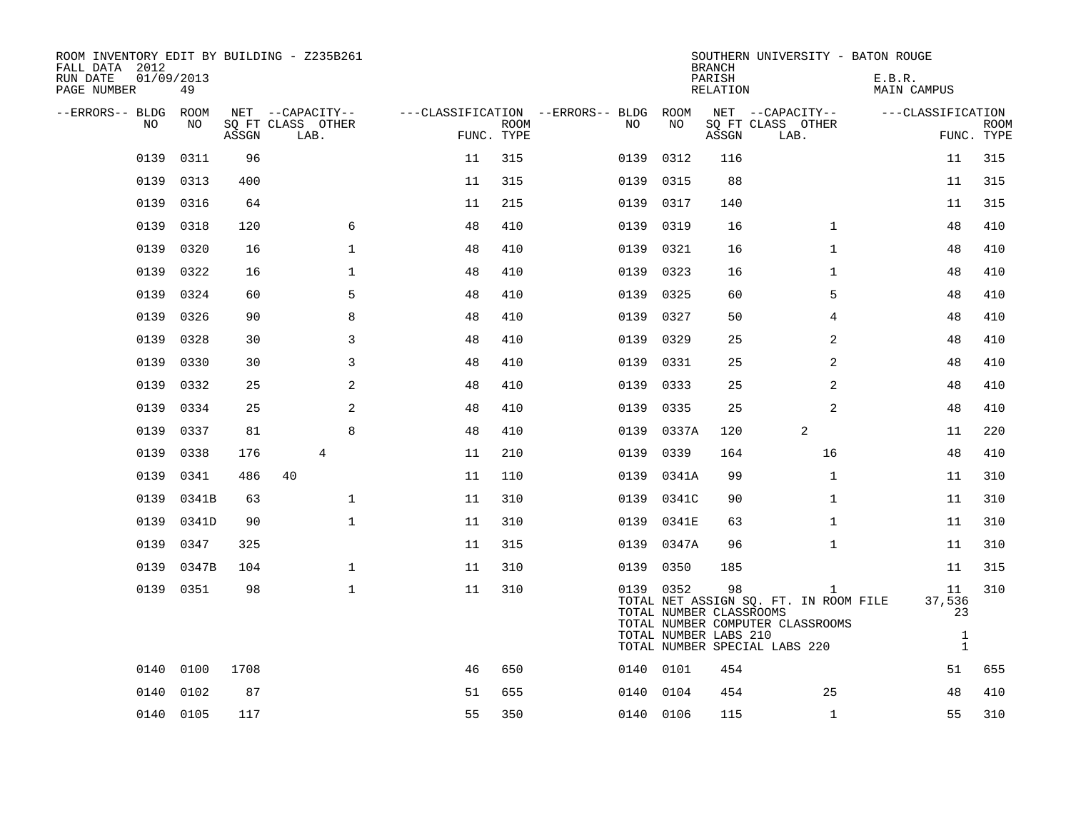| ROOM INVENTORY EDIT BY BUILDING - Z235B261<br>FALL DATA 2012<br>RUN DATE<br>PAGE NUMBER | 01/09/2013<br>49 |       |                           |            |             |                                        |                                                               | <b>BRANCH</b><br>PARISH<br>RELATION | SOUTHERN UNIVERSITY - BATON ROUGE                                                                               | E.B.R.<br>MAIN CAMPUS                              |                           |
|-----------------------------------------------------------------------------------------|------------------|-------|---------------------------|------------|-------------|----------------------------------------|---------------------------------------------------------------|-------------------------------------|-----------------------------------------------------------------------------------------------------------------|----------------------------------------------------|---------------------------|
| --ERRORS-- BLDG ROOM                                                                    |                  |       | NET --CAPACITY--          |            |             | ---CLASSIFICATION --ERRORS-- BLDG ROOM |                                                               |                                     | NET --CAPACITY--                                                                                                | ---CLASSIFICATION                                  |                           |
| NO.                                                                                     | NO.              | ASSGN | SO FT CLASS OTHER<br>LAB. | FUNC. TYPE | <b>ROOM</b> | NO.                                    | NO                                                            | ASSGN                               | SQ FT CLASS OTHER<br>LAB.                                                                                       |                                                    | <b>ROOM</b><br>FUNC. TYPE |
| 0139                                                                                    | 0311             | 96    |                           | 11         | 315         | 0139                                   | 0312                                                          | 116                                 |                                                                                                                 | 11                                                 | 315                       |
| 0139                                                                                    | 0313             | 400   |                           | 11         | 315         | 0139                                   | 0315                                                          | 88                                  |                                                                                                                 | 11                                                 | 315                       |
| 0139                                                                                    | 0316             | 64    |                           | 11         | 215         | 0139                                   | 0317                                                          | 140                                 |                                                                                                                 | 11                                                 | 315                       |
| 0139                                                                                    | 0318             | 120   | 6                         | 48         | 410         | 0139                                   | 0319                                                          | 16                                  | $\mathbf{1}$                                                                                                    | 48                                                 | 410                       |
| 0139                                                                                    | 0320             | 16    | $\mathbf 1$               | 48         | 410         | 0139                                   | 0321                                                          | 16                                  | $\mathbf{1}$                                                                                                    | 48                                                 | 410                       |
| 0139                                                                                    | 0322             | 16    | $\mathbf{1}$              | 48         | 410         | 0139                                   | 0323                                                          | 16                                  | $\mathbf{1}$                                                                                                    | 48                                                 | 410                       |
| 0139                                                                                    | 0324             | 60    | 5                         | 48         | 410         | 0139                                   | 0325                                                          | 60                                  | 5                                                                                                               | 48                                                 | 410                       |
| 0139                                                                                    | 0326             | 90    | 8                         | 48         | 410         | 0139                                   | 0327                                                          | 50                                  | $\overline{4}$                                                                                                  | 48                                                 | 410                       |
| 0139                                                                                    | 0328             | 30    | 3                         | 48         | 410         | 0139                                   | 0329                                                          | 25                                  | 2                                                                                                               | 48                                                 | 410                       |
| 0139                                                                                    | 0330             | 30    | 3                         | 48         | 410         | 0139                                   | 0331                                                          | 25                                  | $\overline{a}$                                                                                                  | 48                                                 | 410                       |
| 0139                                                                                    | 0332             | 25    | 2                         | 48         | 410         | 0139                                   | 0333                                                          | 25                                  | 2                                                                                                               | 48                                                 | 410                       |
| 0139                                                                                    | 0334             | 25    | 2                         | 48         | 410         | 0139                                   | 0335                                                          | 25                                  | $\overline{a}$                                                                                                  | 48                                                 | 410                       |
| 0139                                                                                    | 0337             | 81    | 8                         | 48         | 410         | 0139                                   | 0337A                                                         | 120                                 | 2                                                                                                               | 11                                                 | 220                       |
| 0139                                                                                    | 0338             | 176   | $\overline{4}$            | 11         | 210         | 0139                                   | 0339                                                          | 164                                 | 16                                                                                                              | 48                                                 | 410                       |
| 0139                                                                                    | 0341             | 486   | 40                        | 11         | 110         |                                        | 0139 0341A                                                    | 99                                  | $\mathbf{1}$                                                                                                    | 11                                                 | 310                       |
| 0139                                                                                    | 0341B            | 63    | $\mathbf 1$               | 11         | 310         | 0139                                   | 0341C                                                         | 90                                  | $\mathbf{1}$                                                                                                    | 11                                                 | 310                       |
| 0139                                                                                    | 0341D            | 90    | $\mathbf{1}$              | 11         | 310         | 0139                                   | 0341E                                                         | 63                                  | $\mathbf{1}$                                                                                                    | 11                                                 | 310                       |
| 0139                                                                                    | 0347             | 325   |                           | 11         | 315         | 0139                                   | 0347A                                                         | 96                                  | $\mathbf{1}$                                                                                                    | 11                                                 | 310                       |
| 0139                                                                                    | 0347B            | 104   | $\mathbf{1}$              | 11         | 310         | 0139                                   | 0350                                                          | 185                                 |                                                                                                                 | 11                                                 | 315                       |
|                                                                                         | 0139 0351        | 98    | $\mathbf{1}$              | 11         | 310         |                                        | 0139 0352<br>TOTAL NUMBER CLASSROOMS<br>TOTAL NUMBER LABS 210 | 98                                  | 1<br>TOTAL NET ASSIGN SQ. FT. IN ROOM FILE<br>TOTAL NUMBER COMPUTER CLASSROOMS<br>TOTAL NUMBER SPECIAL LABS 220 | 11<br>37,536<br>23<br>$\mathbf{1}$<br>$\mathbf{1}$ | 310                       |
| 0140                                                                                    | 0100             | 1708  |                           | 46         | 650         |                                        | 0140 0101                                                     | 454                                 |                                                                                                                 | 51                                                 | 655                       |
| 0140                                                                                    | 0102             | 87    |                           | 51         | 655         |                                        | 0140 0104                                                     | 454                                 | 25                                                                                                              | 48                                                 | 410                       |
|                                                                                         | 0140 0105        | 117   |                           | 55         | 350         |                                        | 0140 0106                                                     | 115                                 | $\mathbf{1}$                                                                                                    | 55                                                 | 310                       |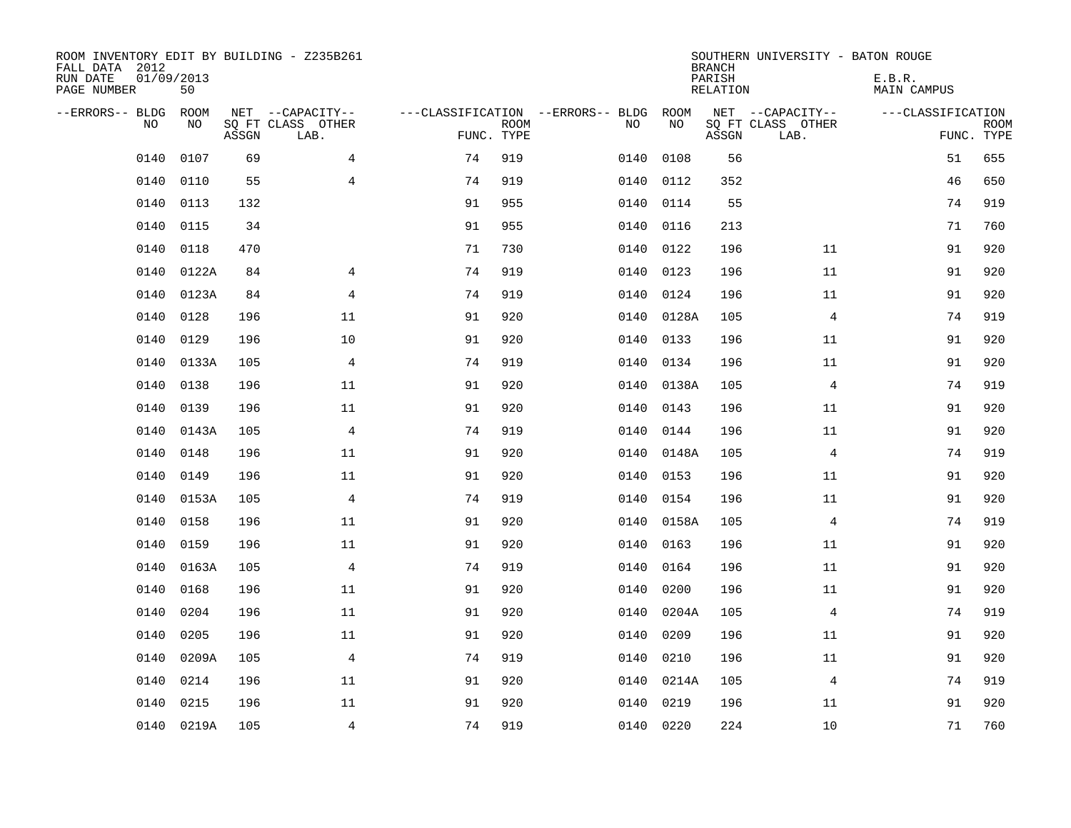| ROOM INVENTORY EDIT BY BUILDING - Z235B261<br>FALL DATA 2012<br>RUN DATE<br>PAGE NUMBER | 01/09/2013<br>50 |       |                                               |    |                           |                                         |            | <b>BRANCH</b><br>PARISH<br><b>RELATION</b> | SOUTHERN UNIVERSITY - BATON ROUGE             | E.B.R.<br><b>MAIN CAMPUS</b> |                           |
|-----------------------------------------------------------------------------------------|------------------|-------|-----------------------------------------------|----|---------------------------|-----------------------------------------|------------|--------------------------------------------|-----------------------------------------------|------------------------------|---------------------------|
| --ERRORS-- BLDG<br>NO.                                                                  | ROOM<br>NO       | ASSGN | NET --CAPACITY--<br>SQ FT CLASS OTHER<br>LAB. |    | <b>ROOM</b><br>FUNC. TYPE | ---CLASSIFICATION --ERRORS-- BLDG<br>NO | ROOM<br>NO | ASSGN                                      | NET --CAPACITY--<br>SQ FT CLASS OTHER<br>LAB. | ---CLASSIFICATION            | <b>ROOM</b><br>FUNC. TYPE |
| 0140                                                                                    | 0107             | 69    | $\overline{4}$                                | 74 | 919                       | 0140                                    | 0108       | 56                                         |                                               | 51                           | 655                       |
| 0140                                                                                    | 0110             | 55    | 4                                             | 74 | 919                       | 0140                                    | 0112       | 352                                        |                                               | 46                           | 650                       |
| 0140                                                                                    | 0113             | 132   |                                               | 91 | 955                       | 0140                                    | 0114       | 55                                         |                                               | 74                           | 919                       |
| 0140                                                                                    | 0115             | 34    |                                               | 91 | 955                       | 0140                                    | 0116       | 213                                        |                                               | 71                           | 760                       |
| 0140                                                                                    | 0118             | 470   |                                               | 71 | 730                       | 0140                                    | 0122       | 196                                        | 11                                            | 91                           | 920                       |
| 0140                                                                                    | 0122A            | 84    | 4                                             | 74 | 919                       |                                         | 0140 0123  | 196                                        | 11                                            | 91                           | 920                       |
| 0140                                                                                    | 0123A            | 84    | $\overline{4}$                                | 74 | 919                       | 0140                                    | 0124       | 196                                        | 11                                            | 91                           | 920                       |
| 0140                                                                                    | 0128             | 196   | 11                                            | 91 | 920                       |                                         | 0140 0128A | 105                                        | $\overline{4}$                                | 74                           | 919                       |
| 0140                                                                                    | 0129             | 196   | 10                                            | 91 | 920                       | 0140                                    | 0133       | 196                                        | 11                                            | 91                           | 920                       |
| 0140                                                                                    | 0133A            | 105   | 4                                             | 74 | 919                       | 0140                                    | 0134       | 196                                        | 11                                            | 91                           | 920                       |
| 0140                                                                                    | 0138             | 196   | 11                                            | 91 | 920                       | 0140                                    | 0138A      | 105                                        | 4                                             | 74                           | 919                       |
| 0140                                                                                    | 0139             | 196   | 11                                            | 91 | 920                       | 0140                                    | 0143       | 196                                        | 11                                            | 91                           | 920                       |
| 0140                                                                                    | 0143A            | 105   | 4                                             | 74 | 919                       | 0140                                    | 0144       | 196                                        | 11                                            | 91                           | 920                       |
| 0140                                                                                    | 0148             | 196   | 11                                            | 91 | 920                       | 0140                                    | 0148A      | 105                                        | 4                                             | 74                           | 919                       |
| 0140                                                                                    | 0149             | 196   | 11                                            | 91 | 920                       | 0140                                    | 0153       | 196                                        | 11                                            | 91                           | 920                       |
| 0140                                                                                    | 0153A            | 105   | $\overline{4}$                                | 74 | 919                       | 0140                                    | 0154       | 196                                        | 11                                            | 91                           | 920                       |
| 0140                                                                                    | 0158             | 196   | 11                                            | 91 | 920                       | 0140                                    | 0158A      | 105                                        | $\overline{4}$                                | 74                           | 919                       |
| 0140                                                                                    | 0159             | 196   | 11                                            | 91 | 920                       | 0140                                    | 0163       | 196                                        | 11                                            | 91                           | 920                       |
| 0140                                                                                    | 0163A            | 105   | 4                                             | 74 | 919                       | 0140                                    | 0164       | 196                                        | 11                                            | 91                           | 920                       |
| 0140                                                                                    | 0168             | 196   | 11                                            | 91 | 920                       | 0140                                    | 0200       | 196                                        | 11                                            | 91                           | 920                       |
| 0140                                                                                    | 0204             | 196   | 11                                            | 91 | 920                       | 0140                                    | 0204A      | 105                                        | 4                                             | 74                           | 919                       |
| 0140                                                                                    | 0205             | 196   | 11                                            | 91 | 920                       | 0140                                    | 0209       | 196                                        | 11                                            | 91                           | 920                       |
| 0140                                                                                    | 0209A            | 105   | 4                                             | 74 | 919                       | 0140                                    | 0210       | 196                                        | 11                                            | 91                           | 920                       |
| 0140                                                                                    | 0214             | 196   | 11                                            | 91 | 920                       | 0140                                    | 0214A      | 105                                        | 4                                             | 74                           | 919                       |
| 0140                                                                                    | 0215             | 196   | 11                                            | 91 | 920                       | 0140                                    | 0219       | 196                                        | 11                                            | 91                           | 920                       |
|                                                                                         | 0140 0219A       | 105   | 4                                             | 74 | 919                       |                                         | 0140 0220  | 224                                        | 10                                            | 71                           | 760                       |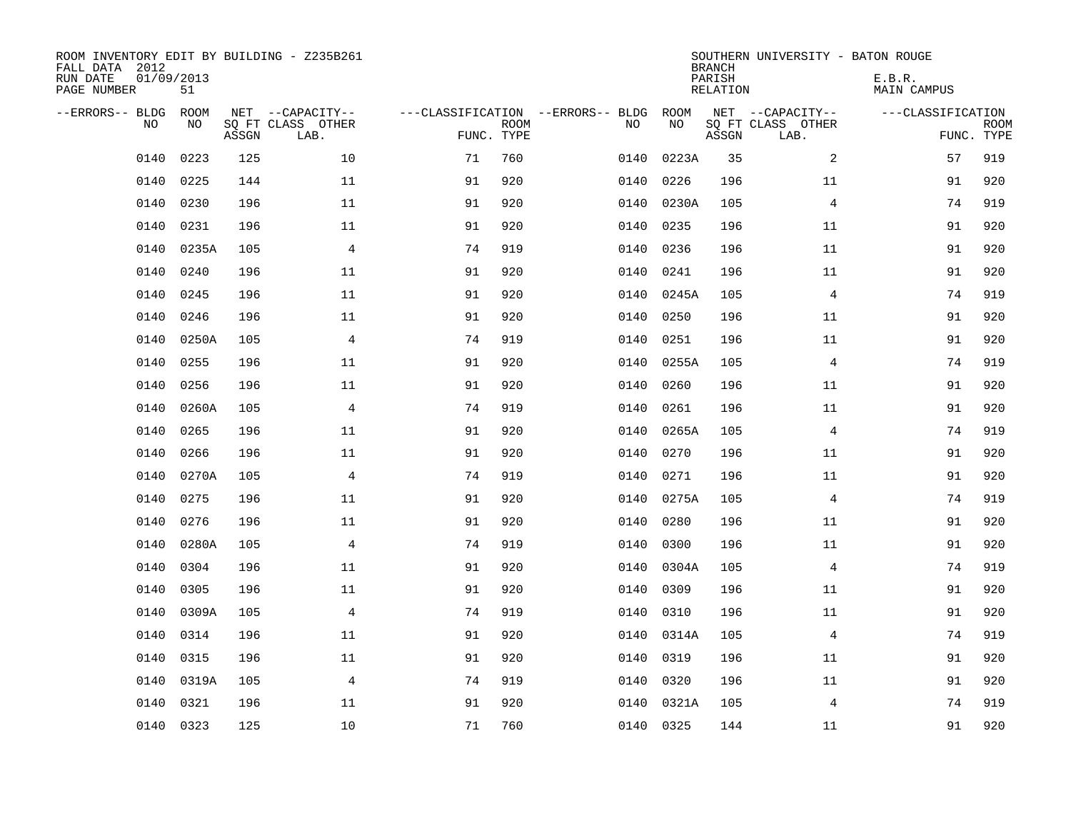| ROOM INVENTORY EDIT BY BUILDING - Z235B261<br>FALL DATA 2012<br>RUN DATE<br>PAGE NUMBER | 01/09/2013<br>51 |       |                                               |                                                 |             |           |            | <b>BRANCH</b><br>PARISH<br><b>RELATION</b> | SOUTHERN UNIVERSITY - BATON ROUGE             | E.B.R.<br><b>MAIN CAMPUS</b>    |             |
|-----------------------------------------------------------------------------------------|------------------|-------|-----------------------------------------------|-------------------------------------------------|-------------|-----------|------------|--------------------------------------------|-----------------------------------------------|---------------------------------|-------------|
| --ERRORS-- BLDG<br>NO                                                                   | ROOM<br>NO       | ASSGN | NET --CAPACITY--<br>SQ FT CLASS OTHER<br>LAB. | ---CLASSIFICATION --ERRORS-- BLDG<br>FUNC. TYPE | <b>ROOM</b> | NO        | ROOM<br>NO | ASSGN                                      | NET --CAPACITY--<br>SQ FT CLASS OTHER<br>LAB. | ---CLASSIFICATION<br>FUNC. TYPE | <b>ROOM</b> |
| 0140                                                                                    | 0223             | 125   | 10                                            | 71                                              | 760         | 0140      | 0223A      | 35                                         | 2                                             | 57                              | 919         |
| 0140                                                                                    | 0225             | 144   | 11                                            | 91                                              | 920         | 0140      | 0226       | 196                                        | 11                                            | 91                              | 920         |
| 0140                                                                                    | 0230             | 196   | 11                                            | 91                                              | 920         | 0140      | 0230A      | 105                                        | 4                                             | 74                              | 919         |
| 0140                                                                                    | 0231             | 196   | 11                                            | 91                                              | 920         | 0140      | 0235       | 196                                        | 11                                            | 91                              | 920         |
| 0140                                                                                    | 0235A            | 105   | $\overline{4}$                                | 74                                              | 919         | 0140      | 0236       | 196                                        | 11                                            | 91                              | 920         |
| 0140                                                                                    | 0240             | 196   | 11                                            | 91                                              | 920         | 0140      | 0241       | 196                                        | 11                                            | 91                              | 920         |
| 0140                                                                                    | 0245             | 196   | 11                                            | 91                                              | 920         | 0140      | 0245A      | 105                                        | 4                                             | 74                              | 919         |
| 0140                                                                                    | 0246             | 196   | 11                                            | 91                                              | 920         | 0140      | 0250       | 196                                        | 11                                            | 91                              | 920         |
| 0140                                                                                    | 0250A            | 105   | $\overline{4}$                                | 74                                              | 919         | 0140      | 0251       | 196                                        | 11                                            | 91                              | 920         |
| 0140                                                                                    | 0255             | 196   | 11                                            | 91                                              | 920         | 0140      | 0255A      | 105                                        | 4                                             | 74                              | 919         |
| 0140                                                                                    | 0256             | 196   | 11                                            | 91                                              | 920         | 0140      | 0260       | 196                                        | 11                                            | 91                              | 920         |
| 0140                                                                                    | 0260A            | 105   | $\overline{4}$                                | 74                                              | 919         | 0140      | 0261       | 196                                        | 11                                            | 91                              | 920         |
| 0140                                                                                    | 0265             | 196   | 11                                            | 91                                              | 920         | 0140      | 0265A      | 105                                        | $\overline{4}$                                | 74                              | 919         |
| 0140                                                                                    | 0266             | 196   | 11                                            | 91                                              | 920         | 0140      | 0270       | 196                                        | 11                                            | 91                              | 920         |
| 0140                                                                                    | 0270A            | 105   | 4                                             | 74                                              | 919         | 0140      | 0271       | 196                                        | 11                                            | 91                              | 920         |
| 0140                                                                                    | 0275             | 196   | 11                                            | 91                                              | 920         | 0140      | 0275A      | 105                                        | 4                                             | 74                              | 919         |
| 0140                                                                                    | 0276             | 196   | 11                                            | 91                                              | 920         | 0140      | 0280       | 196                                        | 11                                            | 91                              | 920         |
| 0140                                                                                    | 0280A            | 105   | $\overline{4}$                                | 74                                              | 919         | 0140      | 0300       | 196                                        | 11                                            | 91                              | 920         |
| 0140                                                                                    | 0304             | 196   | 11                                            | 91                                              | 920         | 0140      | 0304A      | 105                                        | $\overline{4}$                                | 74                              | 919         |
| 0140                                                                                    | 0305             | 196   | 11                                            | 91                                              | 920         | 0140      | 0309       | 196                                        | 11                                            | 91                              | 920         |
| 0140                                                                                    | 0309A            | 105   | 4                                             | 74                                              | 919         | 0140      | 0310       | 196                                        | 11                                            | 91                              | 920         |
| 0140                                                                                    | 0314             | 196   | 11                                            | 91                                              | 920         | 0140      | 0314A      | 105                                        | 4                                             | 74                              | 919         |
| 0140                                                                                    | 0315             | 196   | 11                                            | 91                                              | 920         | 0140      | 0319       | 196                                        | 11                                            | 91                              | 920         |
| 0140                                                                                    | 0319A            | 105   | 4                                             | 74                                              | 919         | 0140      | 0320       | 196                                        | 11                                            | 91                              | 920         |
| 0140                                                                                    | 0321             | 196   | 11                                            | 91                                              | 920         | 0140      | 0321A      | 105                                        | 4                                             | 74                              | 919         |
|                                                                                         | 0140 0323        | 125   | 10                                            | 71                                              | 760         | 0140 0325 |            | 144                                        | 11                                            | 91                              | 920         |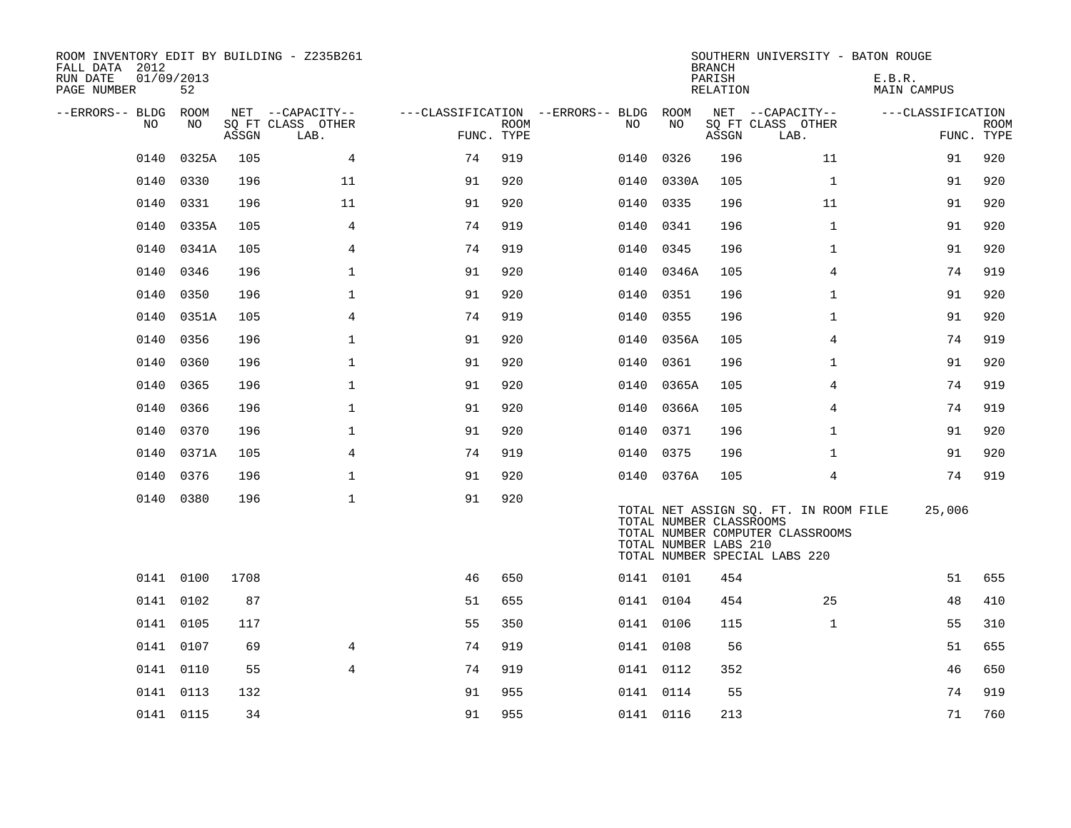| ROOM INVENTORY EDIT BY BUILDING - Z235B261<br>FALL DATA 2012<br>RUN DATE<br>PAGE NUMBER | 01/09/2013<br>52 |       |                           |                                        |             |           |                                                  | <b>BRANCH</b><br>PARISH<br>RELATION | SOUTHERN UNIVERSITY - BATON ROUGE                                                                          | E.B.R.<br><b>MAIN CAMPUS</b> |             |
|-----------------------------------------------------------------------------------------|------------------|-------|---------------------------|----------------------------------------|-------------|-----------|--------------------------------------------------|-------------------------------------|------------------------------------------------------------------------------------------------------------|------------------------------|-------------|
| --ERRORS-- BLDG ROOM                                                                    |                  |       | NET --CAPACITY--          | ---CLASSIFICATION --ERRORS-- BLDG ROOM |             |           |                                                  |                                     | NET --CAPACITY--                                                                                           | ---CLASSIFICATION            |             |
| NO                                                                                      | NO               | ASSGN | SQ FT CLASS OTHER<br>LAB. | FUNC. TYPE                             | <b>ROOM</b> | NO.       | NO                                               | ASSGN                               | SQ FT CLASS OTHER<br>LAB.                                                                                  | FUNC. TYPE                   | <b>ROOM</b> |
| 0140                                                                                    | 0325A            | 105   | 4                         | 74                                     | 919         | 0140      | 0326                                             | 196                                 | 11                                                                                                         | 91                           | 920         |
| 0140                                                                                    | 0330             | 196   | 11                        | 91                                     | 920         | 0140      | 0330A                                            | 105                                 | $\mathbf{1}$                                                                                               | 91                           | 920         |
| 0140                                                                                    | 0331             | 196   | 11                        | 91                                     | 920         | 0140      | 0335                                             | 196                                 | 11                                                                                                         | 91                           | 920         |
| 0140                                                                                    | 0335A            | 105   | 4                         | 74                                     | 919         | 0140      | 0341                                             | 196                                 | $\mathbf{1}$                                                                                               | 91                           | 920         |
| 0140                                                                                    | 0341A            | 105   | $\overline{4}$            | 74                                     | 919         | 0140      | 0345                                             | 196                                 | $\mathbf{1}$                                                                                               | 91                           | 920         |
| 0140                                                                                    | 0346             | 196   | $\mathbf 1$               | 91                                     | 920         | 0140      | 0346A                                            | 105                                 | 4                                                                                                          | 74                           | 919         |
| 0140                                                                                    | 0350             | 196   | $\mathbf 1$               | 91                                     | 920         | 0140 0351 |                                                  | 196                                 | $\mathbf{1}$                                                                                               | 91                           | 920         |
| 0140                                                                                    | 0351A            | 105   | $\overline{4}$            | 74                                     | 919         | 0140      | 0355                                             | 196                                 | $\mathbf{1}$                                                                                               | 91                           | 920         |
| 0140                                                                                    | 0356             | 196   | $\mathbf 1$               | 91                                     | 920         |           | 0140 0356A                                       | 105                                 | 4                                                                                                          | 74                           | 919         |
| 0140                                                                                    | 0360             | 196   | $\mathbf{1}$              | 91                                     | 920         | 0140      | 0361                                             | 196                                 | $\mathbf{1}$                                                                                               | 91                           | 920         |
| 0140                                                                                    | 0365             | 196   | $\mathbf 1$               | 91                                     | 920         |           | 0140 0365A                                       | 105                                 | 4                                                                                                          | 74                           | 919         |
| 0140                                                                                    | 0366             | 196   | $\mathbf{1}$              | 91                                     | 920         | 0140      | 0366A                                            | 105                                 | 4                                                                                                          | 74                           | 919         |
| 0140                                                                                    | 0370             | 196   | $\mathbf 1$               | 91                                     | 920         | 0140 0371 |                                                  | 196                                 | $\mathbf{1}$                                                                                               | 91                           | 920         |
| 0140                                                                                    | 0371A            | 105   | 4                         | 74                                     | 919         | 0140      | 0375                                             | 196                                 | $\mathbf{1}$                                                                                               | 91                           | 920         |
| 0140                                                                                    | 0376             | 196   | $\mathbf 1$               | 91                                     | 920         |           | 0140 0376A                                       | 105                                 | $\overline{4}$                                                                                             | 74                           | 919         |
| 0140                                                                                    | 0380             | 196   | $\mathbf{1}$              | 91                                     | 920         |           | TOTAL NUMBER CLASSROOMS<br>TOTAL NUMBER LABS 210 |                                     | TOTAL NET ASSIGN SQ. FT. IN ROOM FILE<br>TOTAL NUMBER COMPUTER CLASSROOMS<br>TOTAL NUMBER SPECIAL LABS 220 | 25,006                       |             |
|                                                                                         | 0141 0100        | 1708  |                           | 46                                     | 650         | 0141 0101 |                                                  | 454                                 |                                                                                                            | 51                           | 655         |
|                                                                                         | 0141 0102        | 87    |                           | 51                                     | 655         | 0141 0104 |                                                  | 454                                 | 25                                                                                                         | 48                           | 410         |
|                                                                                         | 0141 0105        | 117   |                           | 55                                     | 350         | 0141 0106 |                                                  | 115                                 | $\mathbf{1}$                                                                                               | 55                           | 310         |
|                                                                                         | 0141 0107        | 69    | 4                         | 74                                     | 919         | 0141 0108 |                                                  | 56                                  |                                                                                                            | 51                           | 655         |
|                                                                                         | 0141 0110        | 55    | $\overline{4}$            | 74                                     | 919         | 0141 0112 |                                                  | 352                                 |                                                                                                            | 46                           | 650         |
|                                                                                         | 0141 0113        | 132   |                           | 91                                     | 955         | 0141 0114 |                                                  | 55                                  |                                                                                                            | 74                           | 919         |
|                                                                                         | 0141 0115        | 34    |                           | 91                                     | 955         | 0141 0116 |                                                  | 213                                 |                                                                                                            | 71                           | 760         |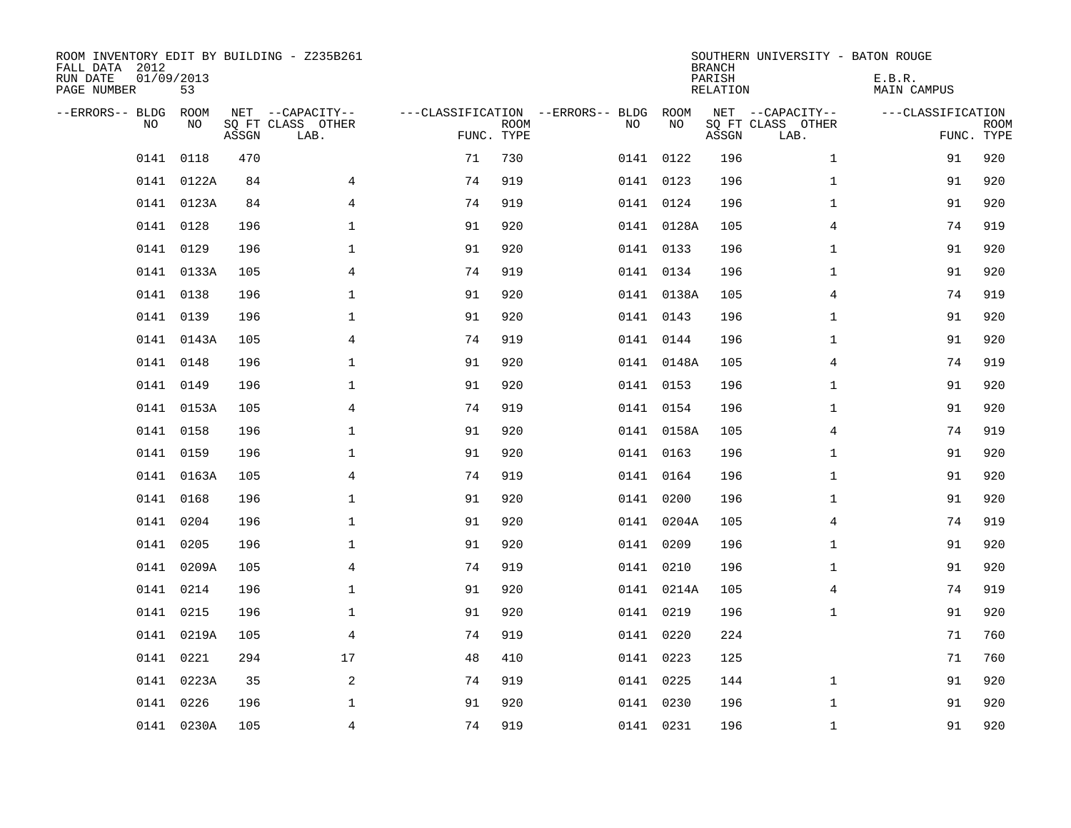| ROOM INVENTORY EDIT BY BUILDING - Z235B261<br>FALL DATA 2012<br>RUN DATE<br>PAGE NUMBER | 01/09/2013<br>53 |       |                                               |                                                      |             |           |            | <b>BRANCH</b><br>PARISH<br><b>RELATION</b> | SOUTHERN UNIVERSITY - BATON ROUGE             | E.B.R.<br><b>MAIN CAMPUS</b> |                           |
|-----------------------------------------------------------------------------------------|------------------|-------|-----------------------------------------------|------------------------------------------------------|-------------|-----------|------------|--------------------------------------------|-----------------------------------------------|------------------------------|---------------------------|
| --ERRORS-- BLDG<br>NO.                                                                  | ROOM<br>NO       | ASSGN | NET --CAPACITY--<br>SQ FT CLASS OTHER<br>LAB. | ---CLASSIFICATION --ERRORS-- BLDG ROOM<br>FUNC. TYPE | <b>ROOM</b> | NO        | NO         | ASSGN                                      | NET --CAPACITY--<br>SQ FT CLASS OTHER<br>LAB. | ---CLASSIFICATION            | <b>ROOM</b><br>FUNC. TYPE |
| 0141                                                                                    | 0118             | 470   |                                               | 71                                                   | 730         | 0141 0122 |            | 196                                        | $\mathbf{1}$                                  | 91                           | 920                       |
|                                                                                         | 0141 0122A       | 84    | 4                                             | 74                                                   | 919         | 0141 0123 |            | 196                                        | $\mathbf{1}$                                  | 91                           | 920                       |
|                                                                                         | 0141 0123A       | 84    | 4                                             | 74                                                   | 919         | 0141 0124 |            | 196                                        | $\mathbf{1}$                                  | 91                           | 920                       |
|                                                                                         | 0141 0128        | 196   | $\mathbf 1$                                   | 91                                                   | 920         |           | 0141 0128A | 105                                        | 4                                             | 74                           | 919                       |
| 0141                                                                                    | 0129             | 196   | $\mathbf{1}$                                  | 91                                                   | 920         | 0141 0133 |            | 196                                        | $\mathbf{1}$                                  | 91                           | 920                       |
|                                                                                         | 0141 0133A       | 105   | $\overline{4}$                                | 74                                                   | 919         |           | 0141 0134  | 196                                        | $\mathbf{1}$                                  | 91                           | 920                       |
|                                                                                         | 0141 0138        | 196   | $\mathbf{1}$                                  | 91                                                   | 920         |           | 0141 0138A | 105                                        | 4                                             | 74                           | 919                       |
|                                                                                         | 0141 0139        | 196   | $\mathbf 1$                                   | 91                                                   | 920         |           | 0141 0143  | 196                                        | $\mathbf{1}$                                  | 91                           | 920                       |
|                                                                                         | 0141 0143A       | 105   | $\overline{4}$                                | 74                                                   | 919         | 0141 0144 |            | 196                                        | $\mathbf{1}$                                  | 91                           | 920                       |
|                                                                                         | 0141 0148        | 196   | $\mathbf 1$                                   | 91                                                   | 920         |           | 0141 0148A | 105                                        | 4                                             | 74                           | 919                       |
| 0141                                                                                    | 0149             | 196   | $\mathbf 1$                                   | 91                                                   | 920         | 0141 0153 |            | 196                                        | $\mathbf{1}$                                  | 91                           | 920                       |
|                                                                                         | 0141 0153A       | 105   | $\overline{4}$                                | 74                                                   | 919         |           | 0141 0154  | 196                                        | $\mathbf{1}$                                  | 91                           | 920                       |
| 0141                                                                                    | 0158             | 196   | $\mathbf 1$                                   | 91                                                   | 920         |           | 0141 0158A | 105                                        | 4                                             | 74                           | 919                       |
|                                                                                         | 0141 0159        | 196   | $\mathbf 1$                                   | 91                                                   | 920         |           | 0141 0163  | 196                                        | $\mathbf{1}$                                  | 91                           | 920                       |
| 0141                                                                                    | 0163A            | 105   | 4                                             | 74                                                   | 919         | 0141 0164 |            | 196                                        | $\mathbf{1}$                                  | 91                           | 920                       |
|                                                                                         | 0141 0168        | 196   | $\mathbf 1$                                   | 91                                                   | 920         | 0141 0200 |            | 196                                        | $\mathbf{1}$                                  | 91                           | 920                       |
| 0141                                                                                    | 0204             | 196   | $\mathbf 1$                                   | 91                                                   | 920         |           | 0141 0204A | 105                                        | 4                                             | 74                           | 919                       |
| 0141                                                                                    | 0205             | 196   | $\mathbf{1}$                                  | 91                                                   | 920         |           | 0141 0209  | 196                                        | $\mathbf{1}$                                  | 91                           | 920                       |
|                                                                                         | 0141 0209A       | 105   | $\overline{4}$                                | 74                                                   | 919         | 0141 0210 |            | 196                                        | $\mathbf{1}$                                  | 91                           | 920                       |
|                                                                                         | 0141 0214        | 196   | $\mathbf 1$                                   | 91                                                   | 920         |           | 0141 0214A | 105                                        | 4                                             | 74                           | 919                       |
|                                                                                         | 0141 0215        | 196   | $\mathbf 1$                                   | 91                                                   | 920         | 0141 0219 |            | 196                                        | $\mathbf{1}$                                  | 91                           | 920                       |
|                                                                                         | 0141 0219A       | 105   | 4                                             | 74                                                   | 919         | 0141 0220 |            | 224                                        |                                               | 71                           | 760                       |
|                                                                                         | 0141 0221        | 294   | 17                                            | 48                                                   | 410         | 0141 0223 |            | 125                                        |                                               | 71                           | 760                       |
|                                                                                         | 0141 0223A       | 35    | 2                                             | 74                                                   | 919         | 0141 0225 |            | 144                                        | $\mathbf{1}$                                  | 91                           | 920                       |
|                                                                                         | 0141 0226        | 196   | $\mathbf 1$                                   | 91                                                   | 920         | 0141 0230 |            | 196                                        | $\mathbf{1}$                                  | 91                           | 920                       |
|                                                                                         | 0141 0230A       | 105   | $\overline{4}$                                | 74                                                   | 919         | 0141 0231 |            | 196                                        | $\mathbf{1}$                                  | 91                           | 920                       |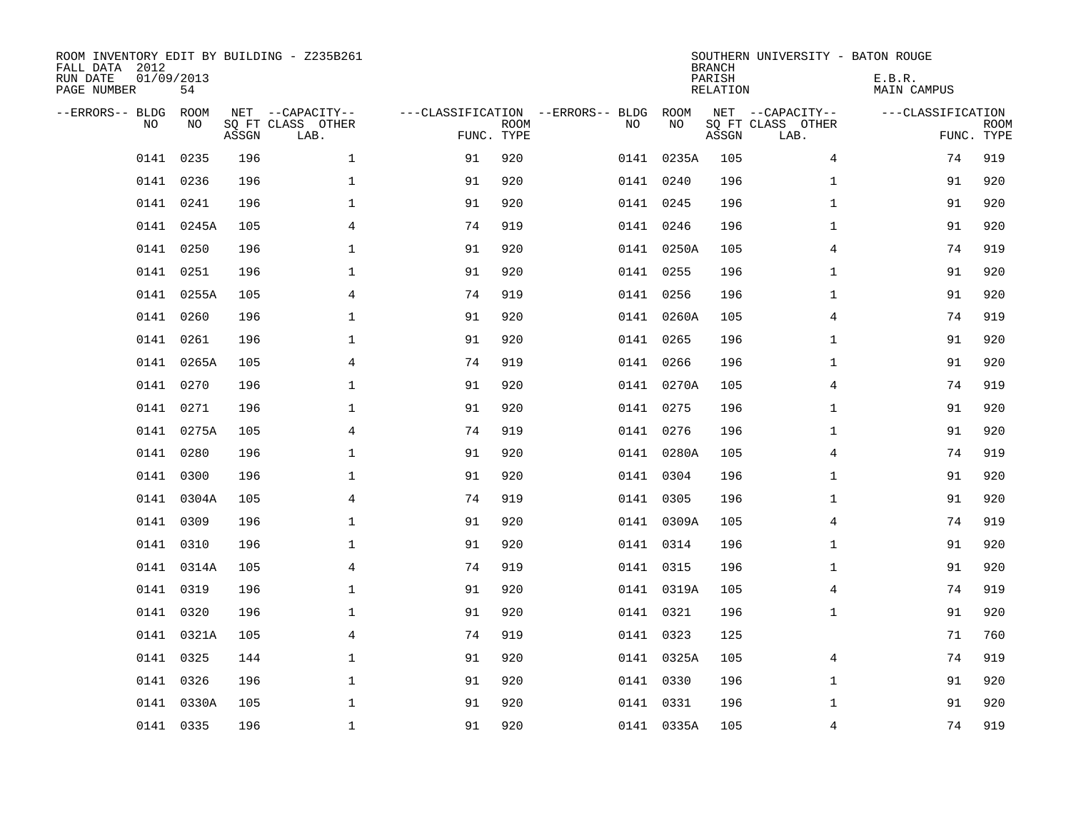| ROOM INVENTORY EDIT BY BUILDING - Z235B261<br>FALL DATA 2012<br>RUN DATE<br>PAGE NUMBER | 01/09/2013<br>54 |       |                                               |                                   |                           |           |            | <b>BRANCH</b><br>PARISH<br>RELATION | SOUTHERN UNIVERSITY - BATON ROUGE             | E.B.R.<br><b>MAIN CAMPUS</b> |                           |
|-----------------------------------------------------------------------------------------|------------------|-------|-----------------------------------------------|-----------------------------------|---------------------------|-----------|------------|-------------------------------------|-----------------------------------------------|------------------------------|---------------------------|
| --ERRORS-- BLDG<br>NO.                                                                  | ROOM<br>NO       | ASSGN | NET --CAPACITY--<br>SQ FT CLASS OTHER<br>LAB. | ---CLASSIFICATION --ERRORS-- BLDG | <b>ROOM</b><br>FUNC. TYPE | NO        | ROOM<br>NO | ASSGN                               | NET --CAPACITY--<br>SQ FT CLASS OTHER<br>LAB. | ---CLASSIFICATION            | <b>ROOM</b><br>FUNC. TYPE |
| 0141                                                                                    | 0235             | 196   | $\mathbf{1}$                                  | 91                                | 920                       |           | 0141 0235A | 105                                 | 4                                             | 74                           | 919                       |
| 0141                                                                                    | 0236             | 196   | 1                                             | 91                                | 920                       | 0141 0240 |            | 196                                 | $\mathbf{1}$                                  | 91                           | 920                       |
| 0141                                                                                    | 0241             | 196   | $\mathbf 1$                                   | 91                                | 920                       | 0141 0245 |            | 196                                 | $\mathbf{1}$                                  | 91                           | 920                       |
|                                                                                         | 0141 0245A       | 105   | 4                                             | 74                                | 919                       | 0141 0246 |            | 196                                 | $\mathbf{1}$                                  | 91                           | 920                       |
| 0141                                                                                    | 0250             | 196   | $\mathbf 1$                                   | 91                                | 920                       |           | 0141 0250A | 105                                 | 4                                             | 74                           | 919                       |
|                                                                                         | 0141 0251        | 196   | $\mathbf 1$                                   | 91                                | 920                       | 0141 0255 |            | 196                                 | $\mathbf{1}$                                  | 91                           | 920                       |
| 0141                                                                                    | 0255A            | 105   | $\overline{4}$                                | 74                                | 919                       | 0141 0256 |            | 196                                 | $\mathbf{1}$                                  | 91                           | 920                       |
|                                                                                         | 0141 0260        | 196   | $\mathbf 1$                                   | 91                                | 920                       |           | 0141 0260A | 105                                 | $\overline{4}$                                | 74                           | 919                       |
| 0141                                                                                    | 0261             | 196   | $\mathbf 1$                                   | 91                                | 920                       | 0141 0265 |            | 196                                 | $\mathbf{1}$                                  | 91                           | 920                       |
|                                                                                         | 0141 0265A       | 105   | 4                                             | 74                                | 919                       |           | 0141 0266  | 196                                 | $\mathbf{1}$                                  | 91                           | 920                       |
| 0141                                                                                    | 0270             | 196   | $\mathbf 1$                                   | 91                                | 920                       |           | 0141 0270A | 105                                 | 4                                             | 74                           | 919                       |
|                                                                                         | 0141 0271        | 196   | $\mathbf 1$                                   | 91                                | 920                       |           | 0141 0275  | 196                                 | $\mathbf{1}$                                  | 91                           | 920                       |
|                                                                                         | 0141 0275A       | 105   | 4                                             | 74                                | 919                       | 0141 0276 |            | 196                                 | $\mathbf{1}$                                  | 91                           | 920                       |
|                                                                                         | 0141 0280        | 196   | $\mathbf 1$                                   | 91                                | 920                       |           | 0141 0280A | 105                                 | 4                                             | 74                           | 919                       |
| 0141                                                                                    | 0300             | 196   | $\mathbf 1$                                   | 91                                | 920                       | 0141 0304 |            | 196                                 | $\mathbf{1}$                                  | 91                           | 920                       |
|                                                                                         | 0141 0304A       | 105   | $\overline{4}$                                | 74                                | 919                       | 0141 0305 |            | 196                                 | $\mathbf{1}$                                  | 91                           | 920                       |
|                                                                                         | 0141 0309        | 196   | 1                                             | 91                                | 920                       |           | 0141 0309A | 105                                 | 4                                             | 74                           | 919                       |
| 0141                                                                                    | 0310             | 196   | $\mathbf 1$                                   | 91                                | 920                       | 0141 0314 |            | 196                                 | $\mathbf{1}$                                  | 91                           | 920                       |
|                                                                                         | 0141 0314A       | 105   | 4                                             | 74                                | 919                       | 0141 0315 |            | 196                                 | $\mathbf{1}$                                  | 91                           | 920                       |
|                                                                                         | 0141 0319        | 196   | 1                                             | 91                                | 920                       |           | 0141 0319A | 105                                 | 4                                             | 74                           | 919                       |
|                                                                                         | 0141 0320        | 196   | $\mathbf 1$                                   | 91                                | 920                       | 0141 0321 |            | 196                                 | $\mathbf{1}$                                  | 91                           | 920                       |
|                                                                                         | 0141 0321A       | 105   | $\overline{4}$                                | 74                                | 919                       | 0141 0323 |            | 125                                 |                                               | 71                           | 760                       |
|                                                                                         | 0141 0325        | 144   | $\mathbf{1}$                                  | 91                                | 920                       |           | 0141 0325A | 105                                 | 4                                             | 74                           | 919                       |
|                                                                                         | 0141 0326        | 196   | $\mathbf 1$                                   | 91                                | 920                       | 0141 0330 |            | 196                                 | $\mathbf{1}$                                  | 91                           | 920                       |
|                                                                                         | 0141 0330A       | 105   | $\mathbf 1$                                   | 91                                | 920                       | 0141 0331 |            | 196                                 | $\mathbf{1}$                                  | 91                           | 920                       |
|                                                                                         | 0141 0335        | 196   | $\mathbf{1}$                                  | 91                                | 920                       |           | 0141 0335A | 105                                 | 4                                             | 74                           | 919                       |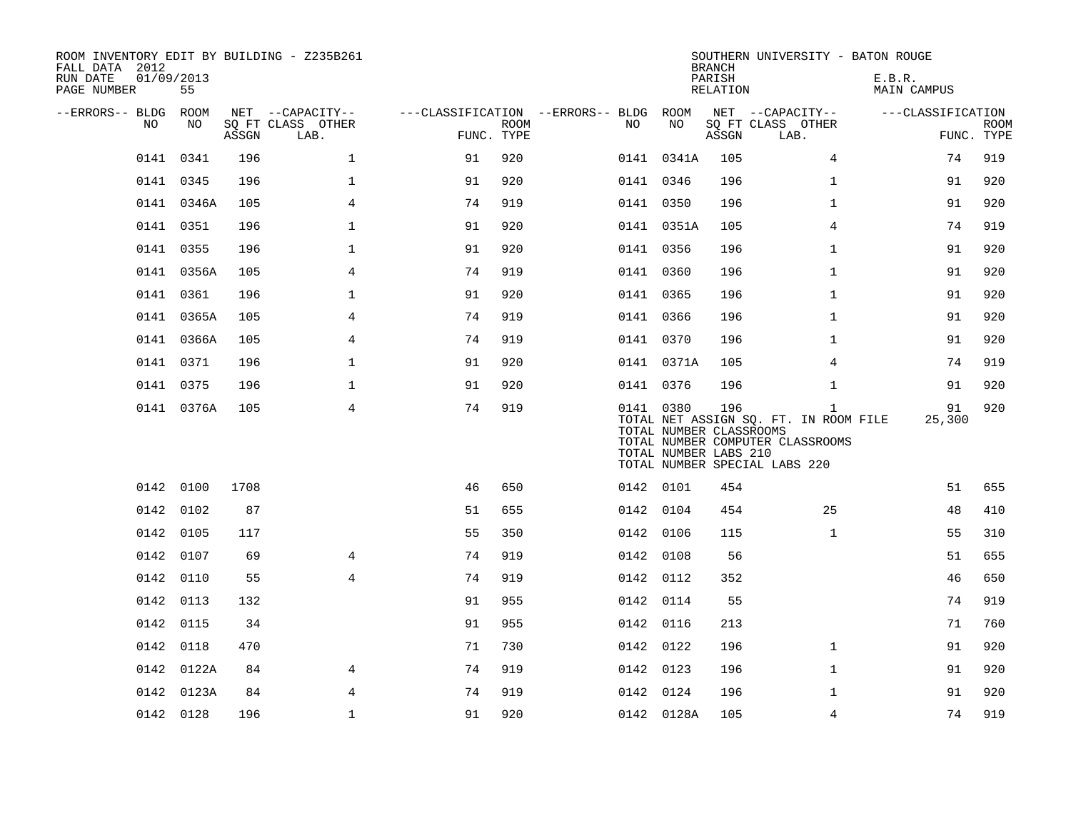| ROOM INVENTORY EDIT BY BUILDING - Z235B261<br>FALL DATA 2012<br>RUN DATE<br>PAGE NUMBER | 01/09/2013<br>55 |       |                           |            |             |                                        |            | <b>BRANCH</b><br>PARISH<br>RELATION                     | SOUTHERN UNIVERSITY - BATON ROUGE                                                                                          | E.B.R.<br>MAIN CAMPUS |                           |
|-----------------------------------------------------------------------------------------|------------------|-------|---------------------------|------------|-------------|----------------------------------------|------------|---------------------------------------------------------|----------------------------------------------------------------------------------------------------------------------------|-----------------------|---------------------------|
| --ERRORS-- BLDG ROOM                                                                    |                  |       | NET --CAPACITY--          |            |             | ---CLASSIFICATION --ERRORS-- BLDG ROOM |            |                                                         | NET --CAPACITY--                                                                                                           | ---CLASSIFICATION     |                           |
| NO                                                                                      | NO               | ASSGN | SQ FT CLASS OTHER<br>LAB. | FUNC. TYPE | <b>ROOM</b> | NO                                     | NO         | ASSGN                                                   | SQ FT CLASS OTHER<br>LAB.                                                                                                  |                       | <b>ROOM</b><br>FUNC. TYPE |
|                                                                                         | 0141 0341        | 196   | $\mathbf{1}$              | 91         | 920         |                                        | 0141 0341A | 105                                                     | 4                                                                                                                          | 74                    | 919                       |
|                                                                                         | 0141 0345        | 196   | $\mathbf{1}$              | 91         | 920         |                                        | 0141 0346  | 196                                                     | $\mathbf{1}$                                                                                                               | 91                    | 920                       |
|                                                                                         | 0141 0346A       | 105   | $\overline{4}$            | 74         | 919         |                                        | 0141 0350  | 196                                                     | $\mathbf{1}$                                                                                                               | 91                    | 920                       |
|                                                                                         | 0141 0351        | 196   | $\mathbf 1$               | 91         | 920         |                                        | 0141 0351A | 105                                                     | 4                                                                                                                          | 74                    | 919                       |
|                                                                                         | 0141 0355        | 196   | $\mathbf{1}$              | 91         | 920         |                                        | 0141 0356  | 196                                                     | $\mathbf{1}$                                                                                                               | 91                    | 920                       |
|                                                                                         | 0141 0356A       | 105   | 4                         | 74         | 919         |                                        | 0141 0360  | 196                                                     | $\mathbf{1}$                                                                                                               | 91                    | 920                       |
|                                                                                         | 0141 0361        | 196   | $\mathbf{1}$              | 91         | 920         |                                        | 0141 0365  | 196                                                     | $\mathbf{1}$                                                                                                               | 91                    | 920                       |
| 0141                                                                                    | 0365A            | 105   | 4                         | 74         | 919         |                                        | 0141 0366  | 196                                                     | $\mathbf{1}$                                                                                                               | 91                    | 920                       |
|                                                                                         | 0141 0366A       | 105   | 4                         | 74         | 919         |                                        | 0141 0370  | 196                                                     | $\mathbf{1}$                                                                                                               | 91                    | 920                       |
|                                                                                         | 0141 0371        | 196   | $\mathbf 1$               | 91         | 920         |                                        | 0141 0371A | 105                                                     | $\overline{4}$                                                                                                             | 74                    | 919                       |
|                                                                                         | 0141 0375        | 196   | $\mathbf 1$               | 91         | 920         |                                        | 0141 0376  | 196                                                     | $\mathbf{1}$                                                                                                               | 91                    | 920                       |
|                                                                                         | 0141 0376A       | 105   | $\overline{4}$            | 74         | 919         |                                        | 0141 0380  | 196<br>TOTAL NUMBER CLASSROOMS<br>TOTAL NUMBER LABS 210 | $\mathbf{1}$<br>TOTAL NET ASSIGN SQ. FT. IN ROOM FILE<br>TOTAL NUMBER COMPUTER CLASSROOMS<br>TOTAL NUMBER SPECIAL LABS 220 | 91<br>25,300          | 920                       |
|                                                                                         | 0142 0100        | 1708  |                           | 46         | 650         |                                        | 0142 0101  | 454                                                     |                                                                                                                            | 51                    | 655                       |
|                                                                                         | 0142 0102        | 87    |                           | 51         | 655         |                                        | 0142 0104  | 454                                                     | 25                                                                                                                         | 48                    | 410                       |
|                                                                                         | 0142 0105        | 117   |                           | 55         | 350         |                                        | 0142 0106  | 115                                                     | $\mathbf{1}$                                                                                                               | 55                    | 310                       |
|                                                                                         | 0142 0107        | 69    | 4                         | 74         | 919         |                                        | 0142 0108  | 56                                                      |                                                                                                                            | 51                    | 655                       |
|                                                                                         | 0142 0110        | 55    | $\overline{4}$            | 74         | 919         |                                        | 0142 0112  | 352                                                     |                                                                                                                            | 46                    | 650                       |
|                                                                                         | 0142 0113        | 132   |                           | 91         | 955         |                                        | 0142 0114  | 55                                                      |                                                                                                                            | 74                    | 919                       |
|                                                                                         | 0142 0115        | 34    |                           | 91         | 955         |                                        | 0142 0116  | 213                                                     |                                                                                                                            | 71                    | 760                       |
|                                                                                         | 0142 0118        | 470   |                           | 71         | 730         |                                        | 0142 0122  | 196                                                     | $\mathbf{1}$                                                                                                               | 91                    | 920                       |
|                                                                                         | 0142 0122A       | 84    | 4                         | 74         | 919         |                                        | 0142 0123  | 196                                                     | $\mathbf{1}$                                                                                                               | 91                    | 920                       |
|                                                                                         | 0142 0123A       | 84    | $\overline{4}$            | 74         | 919         |                                        | 0142 0124  | 196                                                     | $\mathbf{1}$                                                                                                               | 91                    | 920                       |
|                                                                                         | 0142 0128        | 196   | $\mathbf 1$               | 91         | 920         |                                        | 0142 0128A | 105                                                     | 4                                                                                                                          | 74                    | 919                       |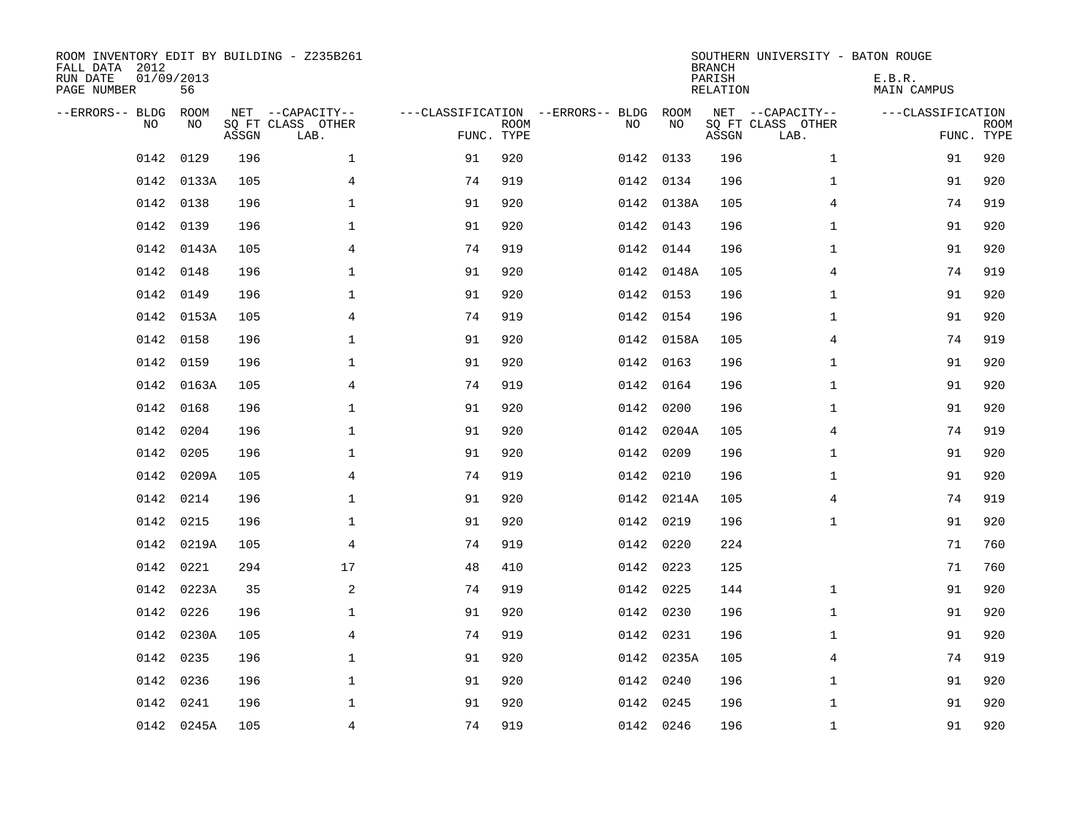| ROOM INVENTORY EDIT BY BUILDING - Z235B261<br>FALL DATA 2012<br>RUN DATE<br>PAGE NUMBER | 01/09/2013<br>56 |       |                                               |                                                      |             |           |            | <b>BRANCH</b><br>PARISH<br><b>RELATION</b> | SOUTHERN UNIVERSITY - BATON ROUGE             | E.B.R.<br><b>MAIN CAMPUS</b> |                           |
|-----------------------------------------------------------------------------------------|------------------|-------|-----------------------------------------------|------------------------------------------------------|-------------|-----------|------------|--------------------------------------------|-----------------------------------------------|------------------------------|---------------------------|
| --ERRORS-- BLDG<br>NO.                                                                  | ROOM<br>NO       | ASSGN | NET --CAPACITY--<br>SQ FT CLASS OTHER<br>LAB. | ---CLASSIFICATION --ERRORS-- BLDG ROOM<br>FUNC. TYPE | <b>ROOM</b> | NO        | NO         | ASSGN                                      | NET --CAPACITY--<br>SQ FT CLASS OTHER<br>LAB. | ---CLASSIFICATION            | <b>ROOM</b><br>FUNC. TYPE |
| 0142                                                                                    | 0129             | 196   | $\mathbf 1$                                   | 91                                                   | 920         | 0142 0133 |            | 196                                        | $\mathbf{1}$                                  | 91                           | 920                       |
| 0142                                                                                    | 0133A            | 105   | 4                                             | 74                                                   | 919         | 0142 0134 |            | 196                                        | $\mathbf{1}$                                  | 91                           | 920                       |
| 0142                                                                                    | 0138             | 196   | $\mathbf 1$                                   | 91                                                   | 920         |           | 0142 0138A | 105                                        | 4                                             | 74                           | 919                       |
| 0142                                                                                    | 0139             | 196   | $\mathbf 1$                                   | 91                                                   | 920         |           | 0142 0143  | 196                                        | $\mathbf{1}$                                  | 91                           | 920                       |
| 0142                                                                                    | 0143A            | 105   | 4                                             | 74                                                   | 919         | 0142 0144 |            | 196                                        | $\mathbf{1}$                                  | 91                           | 920                       |
| 0142                                                                                    | 0148             | 196   | $\mathbf 1$                                   | 91                                                   | 920         |           | 0142 0148A | 105                                        | 4                                             | 74                           | 919                       |
| 0142                                                                                    | 0149             | 196   | $\mathbf 1$                                   | 91                                                   | 920         | 0142 0153 |            | 196                                        | $\mathbf{1}$                                  | 91                           | 920                       |
| 0142                                                                                    | 0153A            | 105   | $\overline{4}$                                | 74                                                   | 919         |           | 0142 0154  | 196                                        | $\mathbf{1}$                                  | 91                           | 920                       |
| 0142                                                                                    | 0158             | 196   | $\mathbf{1}$                                  | 91                                                   | 920         |           | 0142 0158A | 105                                        | $\overline{4}$                                | 74                           | 919                       |
|                                                                                         | 0142 0159        | 196   | $\mathbf{1}$                                  | 91                                                   | 920         |           | 0142 0163  | 196                                        | $\mathbf{1}$                                  | 91                           | 920                       |
| 0142                                                                                    | 0163A            | 105   | 4                                             | 74                                                   | 919         | 0142      | 0164       | 196                                        | $\mathbf{1}$                                  | 91                           | 920                       |
|                                                                                         | 0142 0168        | 196   | $\mathbf 1$                                   | 91                                                   | 920         |           | 0142 0200  | 196                                        | $\mathbf{1}$                                  | 91                           | 920                       |
| 0142                                                                                    | 0204             | 196   | $\mathbf 1$                                   | 91                                                   | 920         | 0142      | 0204A      | 105                                        | 4                                             | 74                           | 919                       |
| 0142                                                                                    | 0205             | 196   | $\mathbf 1$                                   | 91                                                   | 920         |           | 0142 0209  | 196                                        | $\mathbf{1}$                                  | 91                           | 920                       |
|                                                                                         | 0142 0209A       | 105   | $\overline{4}$                                | 74                                                   | 919         | 0142 0210 |            | 196                                        | $\mathbf{1}$                                  | 91                           | 920                       |
|                                                                                         | 0142 0214        | 196   | $\mathbf 1$                                   | 91                                                   | 920         |           | 0142 0214A | 105                                        | 4                                             | 74                           | 919                       |
|                                                                                         | 0142 0215        | 196   | $\mathbf 1$                                   | 91                                                   | 920         | 0142 0219 |            | 196                                        | $\mathbf{1}$                                  | 91                           | 920                       |
|                                                                                         | 0142 0219A       | 105   | $\overline{4}$                                | 74                                                   | 919         | 0142 0220 |            | 224                                        |                                               | 71                           | 760                       |
|                                                                                         | 0142 0221        | 294   | 17                                            | 48                                                   | 410         | 0142 0223 |            | 125                                        |                                               | 71                           | 760                       |
|                                                                                         | 0142 0223A       | 35    | 2                                             | 74                                                   | 919         | 0142 0225 |            | 144                                        | $\mathbf{1}$                                  | 91                           | 920                       |
| 0142                                                                                    | 0226             | 196   | $\mathbf{1}$                                  | 91                                                   | 920         | 0142 0230 |            | 196                                        | $\mathbf{1}$                                  | 91                           | 920                       |
| 0142                                                                                    | 0230A            | 105   | 4                                             | 74                                                   | 919         | 0142 0231 |            | 196                                        | $\mathbf{1}$                                  | 91                           | 920                       |
| 0142                                                                                    | 0235             | 196   | 1                                             | 91                                                   | 920         |           | 0142 0235A | 105                                        | 4                                             | 74                           | 919                       |
| 0142                                                                                    | 0236             | 196   | $\mathbf 1$                                   | 91                                                   | 920         | 0142 0240 |            | 196                                        | $\mathbf{1}$                                  | 91                           | 920                       |
| 0142                                                                                    | 0241             | 196   | $\mathbf 1$                                   | 91                                                   | 920         |           | 0142 0245  | 196                                        | $\mathbf{1}$                                  | 91                           | 920                       |
|                                                                                         | 0142 0245A       | 105   | $\overline{4}$                                | 74                                                   | 919         | 0142 0246 |            | 196                                        | $\mathbf{1}$                                  | 91                           | 920                       |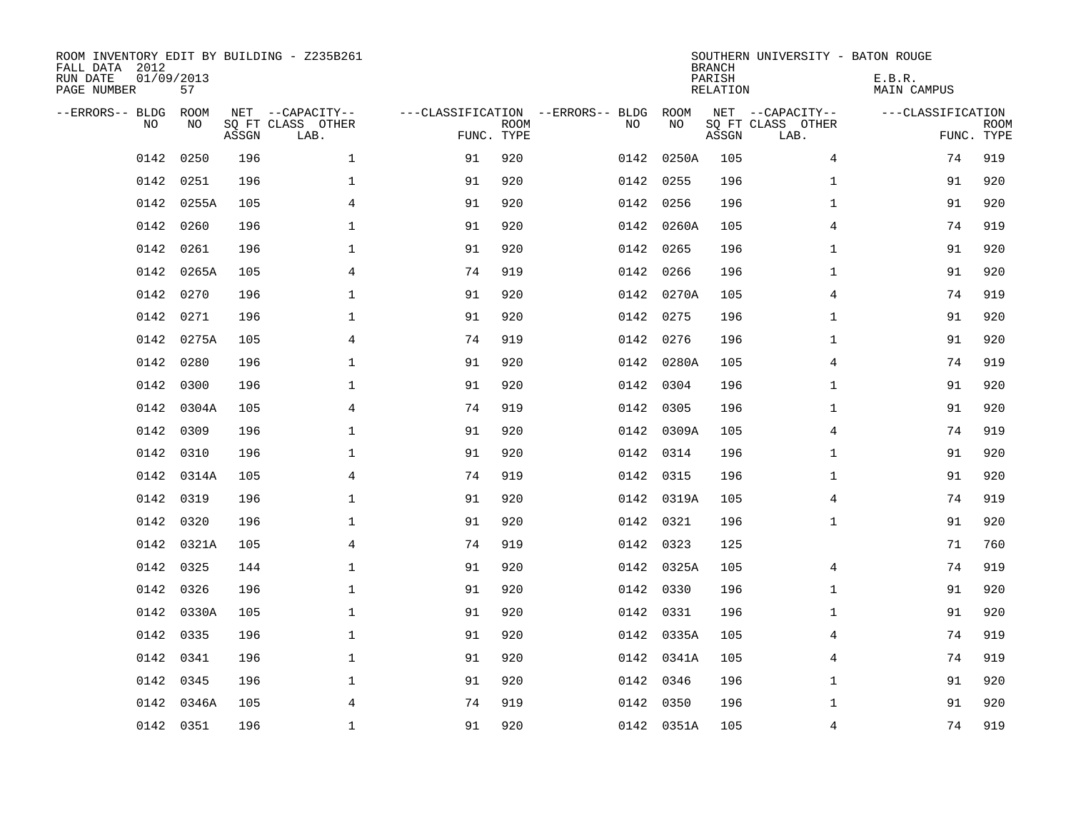| ROOM INVENTORY EDIT BY BUILDING - Z235B261<br>FALL DATA 2012<br>RUN DATE<br>PAGE NUMBER | 01/09/2013<br>57 |       |                                               |                                                      |             |           |            | <b>BRANCH</b><br>PARISH<br><b>RELATION</b> | SOUTHERN UNIVERSITY - BATON ROUGE             | E.B.R.<br><b>MAIN CAMPUS</b> |                           |
|-----------------------------------------------------------------------------------------|------------------|-------|-----------------------------------------------|------------------------------------------------------|-------------|-----------|------------|--------------------------------------------|-----------------------------------------------|------------------------------|---------------------------|
| --ERRORS-- BLDG<br>NO.                                                                  | ROOM<br>NO       | ASSGN | NET --CAPACITY--<br>SQ FT CLASS OTHER<br>LAB. | ---CLASSIFICATION --ERRORS-- BLDG ROOM<br>FUNC. TYPE | <b>ROOM</b> | NO        | NO         | ASSGN                                      | NET --CAPACITY--<br>SQ FT CLASS OTHER<br>LAB. | ---CLASSIFICATION            | <b>ROOM</b><br>FUNC. TYPE |
| 0142                                                                                    | 0250             | 196   | $\mathbf 1$                                   | 91                                                   | 920         |           | 0142 0250A | 105                                        | 4                                             | 74                           | 919                       |
| 0142                                                                                    | 0251             | 196   | 1                                             | 91                                                   | 920         | 0142 0255 |            | 196                                        | $\mathbf{1}$                                  | 91                           | 920                       |
| 0142                                                                                    | 0255A            | 105   | 4                                             | 91                                                   | 920         | 0142      | 0256       | 196                                        | $\mathbf{1}$                                  | 91                           | 920                       |
| 0142                                                                                    | 0260             | 196   | $\mathbf 1$                                   | 91                                                   | 920         |           | 0142 0260A | 105                                        | 4                                             | 74                           | 919                       |
| 0142                                                                                    | 0261             | 196   | $\mathbf{1}$                                  | 91                                                   | 920         | 0142 0265 |            | 196                                        | $\mathbf{1}$                                  | 91                           | 920                       |
| 0142                                                                                    | 0265A            | 105   | $\overline{4}$                                | 74                                                   | 919         |           | 0142 0266  | 196                                        | $\mathbf{1}$                                  | 91                           | 920                       |
| 0142                                                                                    | 0270             | 196   | $\mathbf{1}$                                  | 91                                                   | 920         |           | 0142 0270A | 105                                        | 4                                             | 74                           | 919                       |
| 0142                                                                                    | 0271             | 196   | $\mathbf 1$                                   | 91                                                   | 920         | 0142 0275 |            | 196                                        | $\mathbf{1}$                                  | 91                           | 920                       |
| 0142                                                                                    | 0275A            | 105   | 4                                             | 74                                                   | 919         | 0142      | 0276       | 196                                        | $\mathbf{1}$                                  | 91                           | 920                       |
| 0142                                                                                    | 0280             | 196   | $\mathbf 1$                                   | 91                                                   | 920         |           | 0142 0280A | 105                                        | 4                                             | 74                           | 919                       |
| 0142                                                                                    | 0300             | 196   | $\mathbf 1$                                   | 91                                                   | 920         | 0142      | 0304       | 196                                        | $\mathbf{1}$                                  | 91                           | 920                       |
|                                                                                         | 0142 0304A       | 105   | $\overline{4}$                                | 74                                                   | 919         |           | 0142 0305  | 196                                        | $\mathbf{1}$                                  | 91                           | 920                       |
| 0142                                                                                    | 0309             | 196   | $\mathbf 1$                                   | 91                                                   | 920         |           | 0142 0309A | 105                                        | 4                                             | 74                           | 919                       |
| 0142                                                                                    | 0310             | 196   | $\mathbf 1$                                   | 91                                                   | 920         |           | 0142 0314  | 196                                        | $\mathbf{1}$                                  | 91                           | 920                       |
| 0142                                                                                    | 0314A            | 105   | 4                                             | 74                                                   | 919         | 0142 0315 |            | 196                                        | $\mathbf{1}$                                  | 91                           | 920                       |
|                                                                                         | 0142 0319        | 196   | $\mathbf 1$                                   | 91                                                   | 920         |           | 0142 0319A | 105                                        | 4                                             | 74                           | 919                       |
| 0142                                                                                    | 0320             | 196   | $\mathbf 1$                                   | 91                                                   | 920         | 0142 0321 |            | 196                                        | $\mathbf{1}$                                  | 91                           | 920                       |
| 0142                                                                                    | 0321A            | 105   | $\overline{4}$                                | 74                                                   | 919         | 0142 0323 |            | 125                                        |                                               | 71                           | 760                       |
|                                                                                         | 0142 0325        | 144   | $\mathbf{1}$                                  | 91                                                   | 920         |           | 0142 0325A | 105                                        | $\overline{4}$                                | 74                           | 919                       |
| 0142                                                                                    | 0326             | 196   | $\mathbf 1$                                   | 91                                                   | 920         | 0142 0330 |            | 196                                        | $\mathbf{1}$                                  | 91                           | 920                       |
| 0142                                                                                    | 0330A            | 105   | $\mathbf 1$                                   | 91                                                   | 920         | 0142 0331 |            | 196                                        | $\mathbf{1}$                                  | 91                           | 920                       |
| 0142                                                                                    | 0335             | 196   | $\mathbf 1$                                   | 91                                                   | 920         |           | 0142 0335A | 105                                        | 4                                             | 74                           | 919                       |
| 0142                                                                                    | 0341             | 196   | $\mathbf 1$                                   | 91                                                   | 920         |           | 0142 0341A | 105                                        | 4                                             | 74                           | 919                       |
| 0142                                                                                    | 0345             | 196   | $\mathbf 1$                                   | 91                                                   | 920         | 0142 0346 |            | 196                                        | $\mathbf{1}$                                  | 91                           | 920                       |
| 0142                                                                                    | 0346A            | 105   | 4                                             | 74                                                   | 919         |           | 0142 0350  | 196                                        | $\mathbf{1}$                                  | 91                           | 920                       |
|                                                                                         | 0142 0351        | 196   | $\mathbf{1}$                                  | 91                                                   | 920         |           | 0142 0351A | 105                                        | 4                                             | 74                           | 919                       |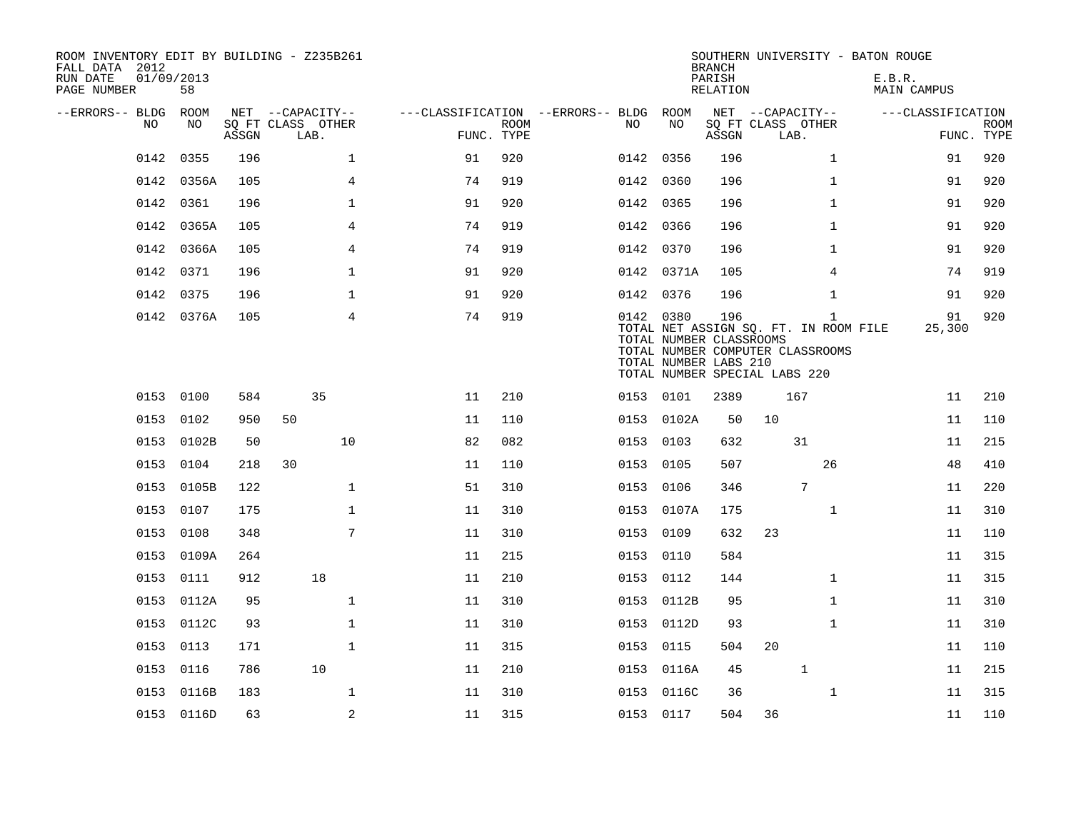| ROOM INVENTORY EDIT BY BUILDING - Z235B261<br>FALL DATA 2012<br>RUN DATE<br>PAGE NUMBER | 01/09/2013<br>58 |       |                                               |                                                      |             |           |                                                  | <b>BRANCH</b><br>PARISH<br><b>RELATION</b> |                                               |                                                                                           | SOUTHERN UNIVERSITY - BATON ROUGE<br>E.B.R. | <b>MAIN CAMPUS</b> |                           |
|-----------------------------------------------------------------------------------------|------------------|-------|-----------------------------------------------|------------------------------------------------------|-------------|-----------|--------------------------------------------------|--------------------------------------------|-----------------------------------------------|-------------------------------------------------------------------------------------------|---------------------------------------------|--------------------|---------------------------|
| --ERRORS-- BLDG<br>NO.                                                                  | ROOM<br>NO.      | ASSGN | NET --CAPACITY--<br>SQ FT CLASS OTHER<br>LAB. | ---CLASSIFICATION --ERRORS-- BLDG ROOM<br>FUNC. TYPE | <b>ROOM</b> | NO.       | NO.                                              | ASSGN                                      | NET --CAPACITY--<br>SQ FT CLASS OTHER<br>LAB. |                                                                                           |                                             | ---CLASSIFICATION  | <b>ROOM</b><br>FUNC. TYPE |
| 0142                                                                                    | 0355             | 196   | $\mathbf 1$                                   | 91                                                   | 920         | 0142 0356 |                                                  | 196                                        |                                               | $\mathbf{1}$                                                                              |                                             | 91                 | 920                       |
| 0142                                                                                    | 0356A            | 105   | 4                                             | 74                                                   | 919         | 0142 0360 |                                                  | 196                                        |                                               | $\mathbf{1}$                                                                              |                                             | 91                 | 920                       |
| 0142                                                                                    | 0361             | 196   | $\mathbf 1$                                   | 91                                                   | 920         | 0142 0365 |                                                  | 196                                        |                                               | $\mathbf{1}$                                                                              |                                             | 91                 | 920                       |
| 0142                                                                                    | 0365A            | 105   | 4                                             | 74                                                   | 919         | 0142 0366 |                                                  | 196                                        |                                               | $\mathbf{1}$                                                                              |                                             | 91                 | 920                       |
| 0142                                                                                    | 0366A            | 105   | 4                                             | 74                                                   | 919         | 0142 0370 |                                                  | 196                                        |                                               | $\mathbf{1}$                                                                              |                                             | 91                 | 920                       |
| 0142                                                                                    | 0371             | 196   | $\mathbf{1}$                                  | 91                                                   | 920         |           | 0142 0371A                                       | 105                                        |                                               | $\overline{4}$                                                                            |                                             | 74                 | 919                       |
| 0142                                                                                    | 0375             | 196   | $\mathbf 1$                                   | 91                                                   | 920         | 0142 0376 |                                                  | 196                                        |                                               | $\mathbf{1}$                                                                              |                                             | 91                 | 920                       |
|                                                                                         | 0142 0376A       | 105   | 4                                             | 74                                                   | 919         | 0142 0380 | TOTAL NUMBER CLASSROOMS<br>TOTAL NUMBER LABS 210 | 196                                        | TOTAL NUMBER SPECIAL LABS 220                 | $\mathbf{1}$<br>TOTAL NET ASSIGN SQ. FT. IN ROOM FILE<br>TOTAL NUMBER COMPUTER CLASSROOMS |                                             | 91<br>25,300       | 920                       |
|                                                                                         | 0153 0100        | 584   | 35                                            | 11                                                   | 210         | 0153 0101 |                                                  | 2389                                       | 167                                           |                                                                                           |                                             | 11                 | 210                       |
|                                                                                         | 0153 0102        | 950   | 50                                            | 11                                                   | 110         | 0153      | 0102A                                            | 50                                         | 10                                            |                                                                                           |                                             | 11                 | 110                       |
| 0153                                                                                    | 0102B            | 50    | 10                                            | 82                                                   | 082         | 0153      | 0103                                             | 632                                        |                                               | 31                                                                                        |                                             | 11                 | 215                       |
|                                                                                         | 0153 0104        | 218   | 30                                            | 11                                                   | 110         | 0153      | 0105                                             | 507                                        |                                               | 26                                                                                        |                                             | 48                 | 410                       |
|                                                                                         | 0153 0105B       | 122   | $\mathbf 1$                                   | 51                                                   | 310         | 0153      | 0106                                             | 346                                        |                                               | $7\phantom{.0}$                                                                           |                                             | 11                 | 220                       |
|                                                                                         | 0153 0107        | 175   | $\mathbf{1}$                                  | 11                                                   | 310         |           | 0153 0107A                                       | 175                                        |                                               | $\mathbf{1}$                                                                              |                                             | 11                 | 310                       |
| 0153                                                                                    | 0108             | 348   | 7                                             | 11                                                   | 310         | 0153      | 0109                                             | 632                                        | 23                                            |                                                                                           |                                             | 11                 | 110                       |
|                                                                                         | 0153 0109A       | 264   |                                               | 11                                                   | 215         | 0153      | 0110                                             | 584                                        |                                               |                                                                                           |                                             | 11                 | 315                       |
|                                                                                         | 0153 0111        | 912   | 18                                            | 11                                                   | 210         | 0153      | 0112                                             | 144                                        |                                               | $\mathbf{1}$                                                                              |                                             | 11                 | 315                       |
|                                                                                         | 0153 0112A       | 95    | $\mathbf{1}$                                  | 11                                                   | 310         |           | 0153 0112B                                       | 95                                         |                                               | $\mathbf{1}$                                                                              |                                             | 11                 | 310                       |
|                                                                                         | 0153 0112C       | 93    | $\mathbf{1}$                                  | 11                                                   | 310         | 0153      | 0112D                                            | 93                                         |                                               | $\mathbf{1}$                                                                              |                                             | 11                 | 310                       |
|                                                                                         | 0153 0113        | 171   | $\mathbf{1}$                                  | 11                                                   | 315         | 0153 0115 |                                                  | 504                                        | 20                                            |                                                                                           |                                             | 11                 | 110                       |
| 0153                                                                                    | 0116             | 786   | 10                                            | 11                                                   | 210         | 0153      | 0116A                                            | 45                                         |                                               | $\mathbf{1}$                                                                              |                                             | 11                 | 215                       |
|                                                                                         | 0153 0116B       | 183   | $\mathbf 1$                                   | 11                                                   | 310         | 0153      | 0116C                                            | 36                                         |                                               | $\mathbf{1}$                                                                              |                                             | 11                 | 315                       |
|                                                                                         | 0153 0116D       | 63    | $\sqrt{2}$                                    | 11                                                   | 315         | 0153 0117 |                                                  | 504                                        | 36                                            |                                                                                           |                                             | 11                 | 110                       |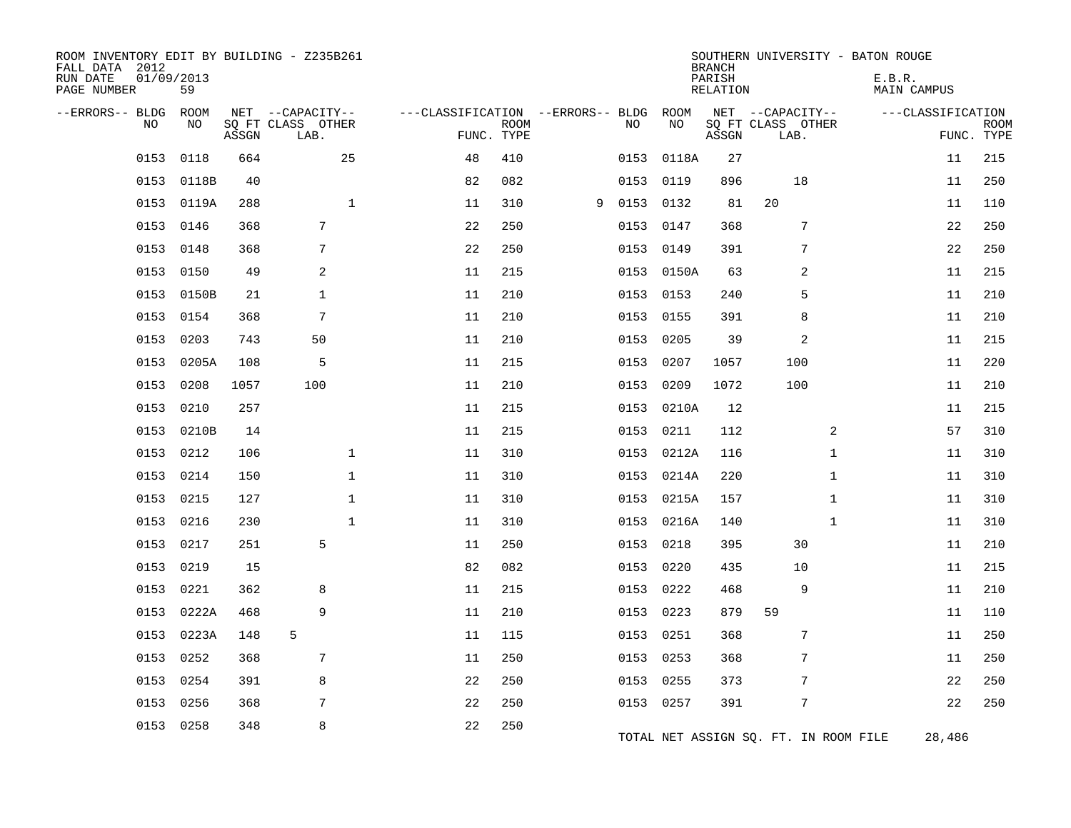| ROOM INVENTORY EDIT BY BUILDING - Z235B261<br>FALL DATA 2012<br>RUN DATE<br>PAGE NUMBER | 01/09/2013<br>59 |       |                                               |              |                                   |                           |   |           |            | <b>BRANCH</b><br>PARISH<br>RELATION | SOUTHERN UNIVERSITY - BATON ROUGE             | E.B.R.<br>MAIN CAMPUS |                           |
|-----------------------------------------------------------------------------------------|------------------|-------|-----------------------------------------------|--------------|-----------------------------------|---------------------------|---|-----------|------------|-------------------------------------|-----------------------------------------------|-----------------------|---------------------------|
| --ERRORS-- BLDG<br><b>NO</b>                                                            | ROOM<br>NO.      | ASSGN | NET --CAPACITY--<br>SQ FT CLASS OTHER<br>LAB. |              | ---CLASSIFICATION --ERRORS-- BLDG | <b>ROOM</b><br>FUNC. TYPE |   | NO.       | ROOM<br>NO | ASSGN                               | NET --CAPACITY--<br>SQ FT CLASS OTHER<br>LAB. | ---CLASSIFICATION     | <b>ROOM</b><br>FUNC. TYPE |
| 0153                                                                                    | 0118             | 664   |                                               | 25           | 48                                | 410                       |   | 0153      | 0118A      | 27                                  |                                               | 11                    | 215                       |
| 0153                                                                                    | 0118B            | 40    |                                               |              | 82                                | 082                       |   | 0153      | 0119       | 896                                 | 18                                            | 11                    | 250                       |
|                                                                                         | 0153 0119A       | 288   |                                               | $\mathbf{1}$ | 11                                | 310                       | 9 | 0153      | 0132       | 81                                  | 20                                            | 11                    | 110                       |
| 0153                                                                                    | 0146             | 368   | 7                                             |              | 22                                | 250                       |   | 0153      | 0147       | 368                                 | 7                                             | 22                    | 250                       |
| 0153                                                                                    | 0148             | 368   | 7                                             |              | 22                                | 250                       |   | 0153      | 0149       | 391                                 | $\overline{7}$                                | 22                    | 250                       |
| 0153                                                                                    | 0150             | 49    | 2                                             |              | 11                                | 215                       |   |           | 0153 0150A | 63                                  | $\overline{2}$                                | 11                    | 215                       |
| 0153                                                                                    | 0150B            | 21    | $\mathbf{1}$                                  |              | 11                                | 210                       |   | 0153 0153 |            | 240                                 | 5                                             | 11                    | 210                       |
| 0153                                                                                    | 0154             | 368   | $7\phantom{.0}$                               |              | 11                                | 210                       |   | 0153      | 0155       | 391                                 | 8                                             | 11                    | 210                       |
| 0153                                                                                    | 0203             | 743   | 50                                            |              | 11                                | 210                       |   | 0153      | 0205       | 39                                  | 2                                             | 11                    | 215                       |
| 0153                                                                                    | 0205A            | 108   | 5                                             |              | 11                                | 215                       |   | 0153      | 0207       | 1057                                | 100                                           | 11                    | 220                       |
| 0153                                                                                    | 0208             | 1057  | 100                                           |              | 11                                | 210                       |   | 0153      | 0209       | 1072                                | 100                                           | 11                    | 210                       |
| 0153                                                                                    | 0210             | 257   |                                               |              | 11                                | 215                       |   |           | 0153 0210A | 12                                  |                                               | 11                    | 215                       |
| 0153                                                                                    | 0210B            | 14    |                                               |              | 11                                | 215                       |   | 0153      | 0211       | 112                                 | 2                                             | 57                    | 310                       |
|                                                                                         | 0153 0212        | 106   |                                               | $\mathbf{1}$ | 11                                | 310                       |   |           | 0153 0212A | 116                                 | $\mathbf{1}$                                  | 11                    | 310                       |
| 0153                                                                                    | 0214             | 150   |                                               | $\mathbf{1}$ | 11                                | 310                       |   | 0153      | 0214A      | 220                                 | $\mathbf{1}$                                  | 11                    | 310                       |
| 0153                                                                                    | 0215             | 127   |                                               | $\mathbf 1$  | 11                                | 310                       |   | 0153      | 0215A      | 157                                 | $\mathbf{1}$                                  | 11                    | 310                       |
| 0153                                                                                    | 0216             | 230   |                                               | $\mathbf{1}$ | 11                                | 310                       |   | 0153      | 0216A      | 140                                 | $\mathbf{1}$                                  | 11                    | 310                       |
| 0153                                                                                    | 0217             | 251   | 5                                             |              | 11                                | 250                       |   | 0153      | 0218       | 395                                 | 30                                            | 11                    | 210                       |
| 0153                                                                                    | 0219             | 15    |                                               |              | 82                                | 082                       |   | 0153      | 0220       | 435                                 | 10                                            | 11                    | 215                       |
| 0153                                                                                    | 0221             | 362   | 8                                             |              | 11                                | 215                       |   | 0153      | 0222       | 468                                 | 9                                             | 11                    | 210                       |
| 0153                                                                                    | 0222A            | 468   | 9                                             |              | 11                                | 210                       |   | 0153 0223 |            | 879                                 | 59                                            | 11                    | 110                       |
| 0153                                                                                    | 0223A            | 148   | 5                                             |              | 11                                | 115                       |   | 0153      | 0251       | 368                                 | 7                                             | 11                    | 250                       |
| 0153                                                                                    | 0252             | 368   | 7                                             |              | 11                                | 250                       |   |           | 0153 0253  | 368                                 | 7                                             | 11                    | 250                       |
| 0153                                                                                    | 0254             | 391   | 8                                             |              | 22                                | 250                       |   | 0153      | 0255       | 373                                 | 7                                             | 22                    | 250                       |
| 0153                                                                                    | 0256             | 368   | 7                                             |              | 22                                | 250                       |   | 0153 0257 |            | 391                                 | 7                                             | 22                    | 250                       |
|                                                                                         | 0153 0258        | 348   | 8                                             |              | 22                                | 250                       |   |           |            |                                     | TOTAL NET ASSIGN SQ. FT. IN ROOM FILE         | 28,486                |                           |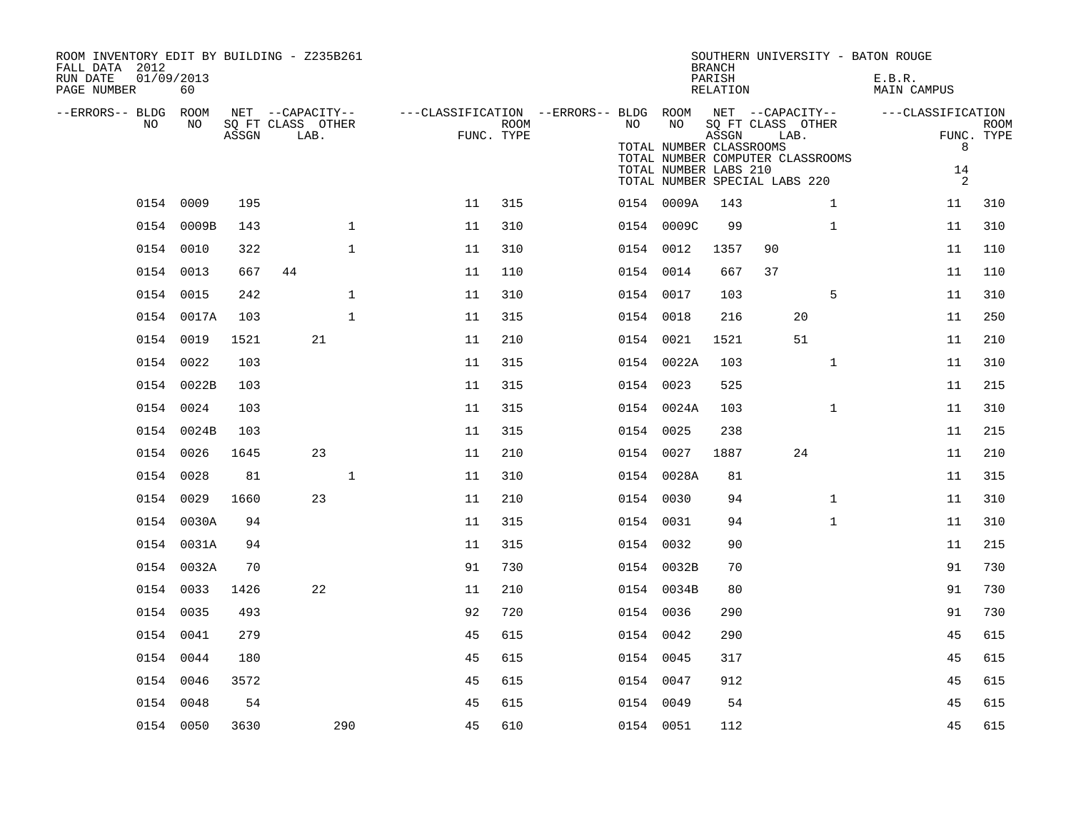| ROOM INVENTORY EDIT BY BUILDING - Z235B261<br>FALL DATA 2012<br>RUN DATE<br>01/09/2013<br>PAGE NUMBER | 60         |       |                                               |    |                           |           |                                                        | <b>BRANCH</b><br>PARISH<br>RELATION | SOUTHERN UNIVERSITY - BATON ROUGE                                                                                                                         | E.B.R.<br><b>MAIN CAMPUS</b>      |                           |
|-------------------------------------------------------------------------------------------------------|------------|-------|-----------------------------------------------|----|---------------------------|-----------|--------------------------------------------------------|-------------------------------------|-----------------------------------------------------------------------------------------------------------------------------------------------------------|-----------------------------------|---------------------------|
| --ERRORS-- BLDG ROOM<br>NO                                                                            | NO         | ASSGN | NET --CAPACITY--<br>SQ FT CLASS OTHER<br>LAB. |    | <b>ROOM</b><br>FUNC. TYPE | NO        | NO<br>TOTAL NUMBER CLASSROOMS<br>TOTAL NUMBER LABS 210 | ASSGN                               | ---CLASSIFICATION --ERRORS-- BLDG ROOM NET --CAPACITY--<br>SQ FT CLASS OTHER<br>LAB.<br>TOTAL NUMBER COMPUTER CLASSROOMS<br>TOTAL NUMBER SPECIAL LABS 220 | ---CLASSIFICATION<br>8<br>14<br>2 | <b>ROOM</b><br>FUNC. TYPE |
|                                                                                                       | 0154 0009  | 195   |                                               | 11 | 315                       |           | 0154 0009A                                             | 143                                 | $\mathbf{1}$                                                                                                                                              | 11                                | 310                       |
|                                                                                                       | 0154 0009B | 143   | $\mathbf{1}$                                  | 11 | 310                       |           | 0154 0009C                                             | 99                                  | $\mathbf{1}$                                                                                                                                              | 11                                | 310                       |
|                                                                                                       | 0154 0010  | 322   | $\mathbf{1}$                                  | 11 | 310                       | 0154 0012 |                                                        | 1357                                | 90                                                                                                                                                        | 11                                | 110                       |
|                                                                                                       | 0154 0013  | 667   | 44                                            | 11 | 110                       | 0154 0014 |                                                        | 667                                 | 37                                                                                                                                                        | 11                                | 110                       |
|                                                                                                       | 0154 0015  | 242   | $\mathbf{1}$                                  | 11 | 310                       | 0154 0017 |                                                        | 103                                 | 5                                                                                                                                                         | 11                                | 310                       |
|                                                                                                       | 0154 0017A | 103   | $\mathbf{1}$                                  | 11 | 315                       | 0154 0018 |                                                        | 216                                 | 20                                                                                                                                                        | 11                                | 250                       |
|                                                                                                       | 0154 0019  | 1521  | 21                                            | 11 | 210                       | 0154 0021 |                                                        | 1521                                | 51                                                                                                                                                        | 11                                | 210                       |
|                                                                                                       | 0154 0022  | 103   |                                               | 11 | 315                       |           | 0154 0022A                                             | 103                                 | $\mathbf{1}$                                                                                                                                              | 11                                | 310                       |
|                                                                                                       | 0154 0022B | 103   |                                               | 11 | 315                       | 0154 0023 |                                                        | 525                                 |                                                                                                                                                           | 11                                | 215                       |
|                                                                                                       | 0154 0024  | 103   |                                               | 11 | 315                       |           | 0154 0024A                                             | 103                                 | $\mathbf{1}$                                                                                                                                              | 11                                | 310                       |
|                                                                                                       | 0154 0024B | 103   |                                               | 11 | 315                       | 0154 0025 |                                                        | 238                                 |                                                                                                                                                           | 11                                | 215                       |
|                                                                                                       | 0154 0026  | 1645  | 23                                            | 11 | 210                       | 0154 0027 |                                                        | 1887                                | 24                                                                                                                                                        | 11                                | 210                       |
|                                                                                                       | 0154 0028  | 81    | $\mathbf{1}$                                  | 11 | 310                       |           | 0154 0028A                                             | 81                                  |                                                                                                                                                           | 11                                | 315                       |
|                                                                                                       | 0154 0029  | 1660  | 23                                            | 11 | 210                       | 0154 0030 |                                                        | 94                                  | $\mathbf{1}$                                                                                                                                              | 11                                | 310                       |
|                                                                                                       | 0154 0030A | 94    |                                               | 11 | 315                       | 0154 0031 |                                                        | 94                                  | $\mathbf{1}$                                                                                                                                              | 11                                | 310                       |
|                                                                                                       | 0154 0031A | 94    |                                               | 11 | 315                       | 0154 0032 |                                                        | 90                                  |                                                                                                                                                           | 11                                | 215                       |
|                                                                                                       | 0154 0032A | 70    |                                               | 91 | 730                       |           | 0154 0032B                                             | 70                                  |                                                                                                                                                           | 91                                | 730                       |
|                                                                                                       | 0154 0033  | 1426  | 22                                            | 11 | 210                       |           | 0154 0034B                                             | 80                                  |                                                                                                                                                           | 91                                | 730                       |
|                                                                                                       | 0154 0035  | 493   |                                               | 92 | 720                       | 0154 0036 |                                                        | 290                                 |                                                                                                                                                           | 91                                | 730                       |
|                                                                                                       | 0154 0041  | 279   |                                               | 45 | 615                       | 0154 0042 |                                                        | 290                                 |                                                                                                                                                           | 45                                | 615                       |
|                                                                                                       | 0154 0044  | 180   |                                               | 45 | 615                       | 0154 0045 |                                                        | 317                                 |                                                                                                                                                           | 45                                | 615                       |
|                                                                                                       | 0154 0046  | 3572  |                                               | 45 | 615                       | 0154 0047 |                                                        | 912                                 |                                                                                                                                                           | 45                                | 615                       |
|                                                                                                       | 0154 0048  | 54    |                                               | 45 | 615                       | 0154 0049 |                                                        | 54                                  |                                                                                                                                                           | 45                                | 615                       |
|                                                                                                       | 0154 0050  | 3630  | 290                                           | 45 | 610                       | 0154 0051 |                                                        | 112                                 |                                                                                                                                                           | 45                                | 615                       |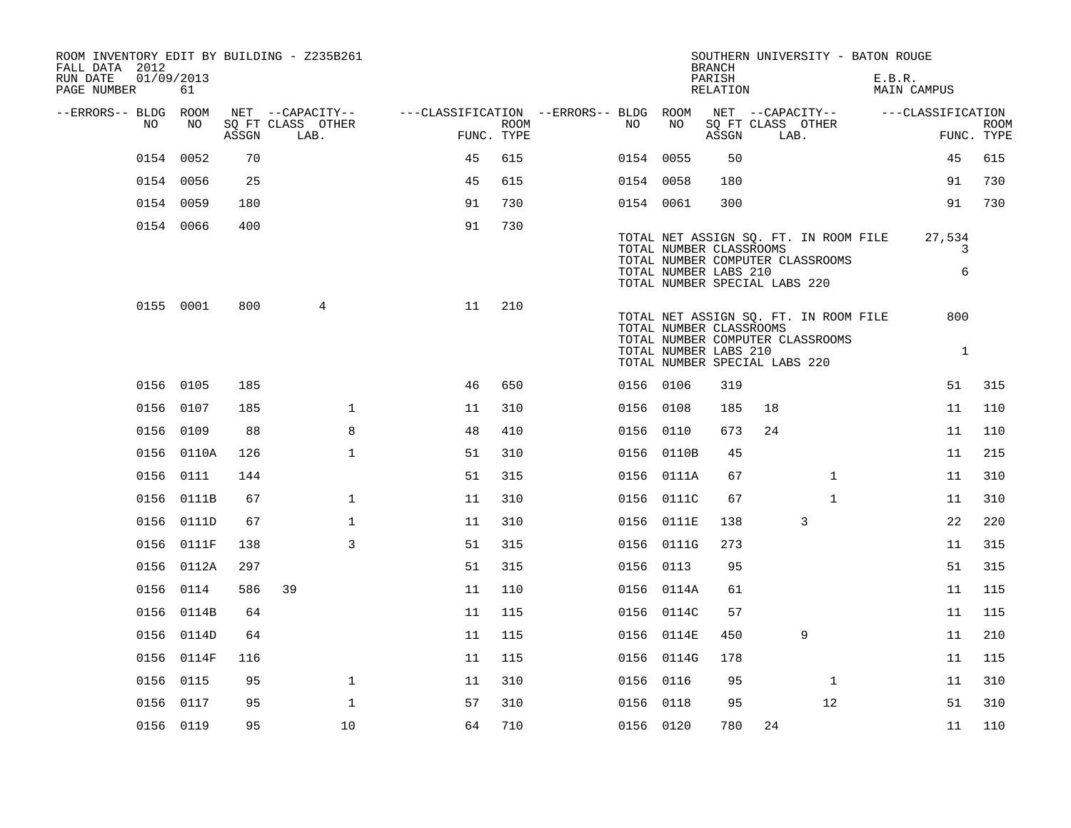| ROOM INVENTORY EDIT BY BUILDING - Z235B261<br>FALL DATA 2012<br>RUN DATE<br>PAGE NUMBER | 01/09/2013<br>61 |       |                           |                                        |      |           |                                                                                   | <b>BRANCH</b><br>PARISH<br>RELATION |      | SOUTHERN UNIVERSITY - BATON ROUGE                                         | E.B.R. | MAIN CAMPUS         |                           |
|-----------------------------------------------------------------------------------------|------------------|-------|---------------------------|----------------------------------------|------|-----------|-----------------------------------------------------------------------------------|-------------------------------------|------|---------------------------------------------------------------------------|--------|---------------------|---------------------------|
| --ERRORS-- BLDG ROOM                                                                    |                  |       | NET --CAPACITY--          | ---CLASSIFICATION --ERRORS-- BLDG ROOM |      |           |                                                                                   |                                     |      | NET --CAPACITY--                                                          |        | ---CLASSIFICATION   |                           |
| NO                                                                                      | NO               | ASSGN | SQ FT CLASS OTHER<br>LAB. | FUNC. TYPE                             | ROOM | NO        | NO                                                                                | ASSGN                               | LAB. | SQ FT CLASS OTHER                                                         |        |                     | <b>ROOM</b><br>FUNC. TYPE |
|                                                                                         | 0154 0052        | 70    |                           | 45                                     | 615  | 0154 0055 |                                                                                   | 50                                  |      |                                                                           |        | 45                  | 615                       |
|                                                                                         | 0154 0056        | 25    |                           | 45                                     | 615  | 0154 0058 |                                                                                   | 180                                 |      |                                                                           |        | 91                  | 730                       |
|                                                                                         | 0154 0059        | 180   |                           | 91                                     | 730  | 0154 0061 |                                                                                   | 300                                 |      |                                                                           |        | 91                  | 730                       |
|                                                                                         | 0154 0066        | 400   |                           | 91                                     | 730  |           |                                                                                   |                                     |      |                                                                           |        |                     |                           |
|                                                                                         |                  |       |                           |                                        |      |           | TOTAL NUMBER CLASSROOMS<br>TOTAL NUMBER LABS 210<br>TOTAL NUMBER SPECIAL LABS 220 |                                     |      | TOTAL NET ASSIGN SQ. FT. IN ROOM FILE<br>TOTAL NUMBER COMPUTER CLASSROOMS |        | 27,534<br>3<br>6    |                           |
|                                                                                         | 0155 0001        | 800   | 4                         | 11                                     | 210  |           | TOTAL NUMBER CLASSROOMS<br>TOTAL NUMBER LABS 210<br>TOTAL NUMBER SPECIAL LABS 220 |                                     |      | TOTAL NET ASSIGN SQ. FT. IN ROOM FILE<br>TOTAL NUMBER COMPUTER CLASSROOMS |        | 800<br><sup>1</sup> |                           |
|                                                                                         | 0156 0105        | 185   |                           | 46                                     | 650  | 0156 0106 |                                                                                   | 319                                 |      |                                                                           |        | 51                  | 315                       |
|                                                                                         | 0156 0107        | 185   | $\mathbf 1$               | 11                                     | 310  | 0156 0108 |                                                                                   | 185                                 | 18   |                                                                           |        | 11                  | 110                       |
|                                                                                         | 0156 0109        | 88    | 8                         | 48                                     | 410  | 0156 0110 |                                                                                   | 673                                 | 24   |                                                                           |        | 11                  | 110                       |
|                                                                                         | 0156 0110A       | 126   | $\mathbf{1}$              | 51                                     | 310  |           | 0156 0110B                                                                        | 45                                  |      |                                                                           |        | 11                  | 215                       |
|                                                                                         | 0156 0111        | 144   |                           | 51                                     | 315  |           | 0156 0111A                                                                        | 67                                  |      | $\mathbf{1}$                                                              |        | 11                  | 310                       |
|                                                                                         | 0156 0111B       | 67    | $\mathbf 1$               | 11                                     | 310  |           | 0156 0111C                                                                        | 67                                  |      | $\mathbf{1}$                                                              |        | 11                  | 310                       |
|                                                                                         | 0156 0111D       | 67    | $\mathbf 1$               | 11                                     | 310  |           | 0156 0111E                                                                        | 138                                 |      | 3                                                                         |        | 22                  | 220                       |
|                                                                                         | 0156 0111F       | 138   | 3                         | 51                                     | 315  |           | 0156 0111G                                                                        | 273                                 |      |                                                                           |        | 11                  | 315                       |
|                                                                                         | 0156 0112A       | 297   |                           | 51                                     | 315  | 0156 0113 |                                                                                   | 95                                  |      |                                                                           |        | 51                  | 315                       |
|                                                                                         | 0156 0114        | 586   | 39                        | 11                                     | 110  |           | 0156 0114A                                                                        | 61                                  |      |                                                                           |        | 11                  | 115                       |
|                                                                                         | 0156 0114B       | 64    |                           | 11                                     | 115  |           | 0156 0114C                                                                        | 57                                  |      |                                                                           |        | 11                  | 115                       |
|                                                                                         | 0156 0114D       | 64    |                           | 11                                     | 115  |           | 0156 0114E                                                                        | 450                                 |      | 9                                                                         |        | 11                  | 210                       |
|                                                                                         | 0156 0114F       | 116   |                           | 11                                     | 115  |           | 0156 0114G                                                                        | 178                                 |      |                                                                           |        | 11                  | 115                       |
|                                                                                         | 0156 0115        | 95    | $\mathbf 1$               | 11                                     | 310  | 0156 0116 |                                                                                   | 95                                  |      | $\mathbf{1}$                                                              |        | 11                  | 310                       |
|                                                                                         | 0156 0117        | 95    | $\mathbf{1}$              | 57                                     | 310  | 0156 0118 |                                                                                   | 95                                  |      | 12                                                                        |        | 51                  | 310                       |
|                                                                                         | 0156 0119        | 95    | 10                        | 64                                     | 710  | 0156 0120 |                                                                                   | 780                                 | 24   |                                                                           |        | 11                  | 110                       |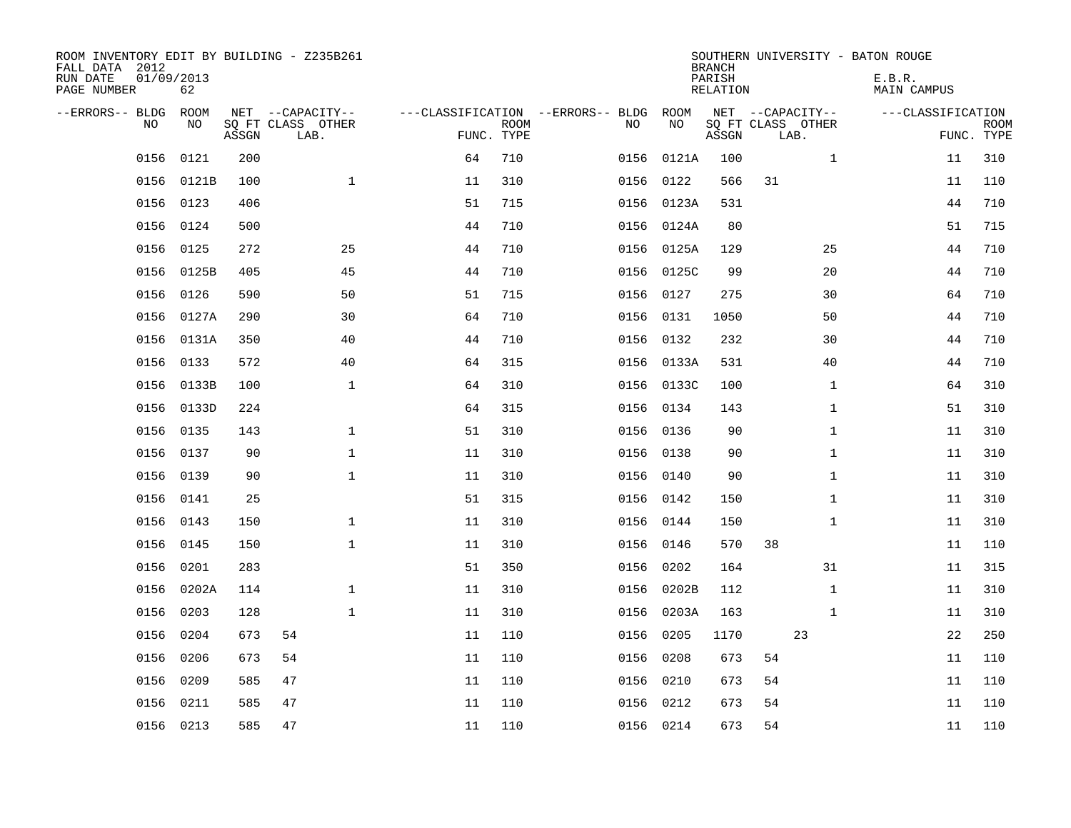| ROOM INVENTORY EDIT BY BUILDING - Z235B261<br>FALL DATA 2012<br>RUN DATE<br>PAGE NUMBER | 01/09/2013<br>62 |       |                                               |            |             |                                         |            | <b>BRANCH</b><br>PARISH<br><b>RELATION</b> |                                               | SOUTHERN UNIVERSITY - BATON ROUGE<br>E.B.R.<br><b>MAIN CAMPUS</b> |                           |
|-----------------------------------------------------------------------------------------|------------------|-------|-----------------------------------------------|------------|-------------|-----------------------------------------|------------|--------------------------------------------|-----------------------------------------------|-------------------------------------------------------------------|---------------------------|
| --ERRORS-- BLDG<br>NO                                                                   | ROOM<br>NO       | ASSGN | NET --CAPACITY--<br>SQ FT CLASS OTHER<br>LAB. | FUNC. TYPE | <b>ROOM</b> | ---CLASSIFICATION --ERRORS-- BLDG<br>NO | ROOM<br>NO | ASSGN                                      | NET --CAPACITY--<br>SQ FT CLASS OTHER<br>LAB. | ---CLASSIFICATION                                                 | <b>ROOM</b><br>FUNC. TYPE |
| 0156                                                                                    | 0121             | 200   |                                               | 64         | 710         | 0156                                    | 0121A      | 100                                        | $\mathbf{1}$                                  | 11                                                                | 310                       |
| 0156                                                                                    | 0121B            | 100   | $\mathbf{1}$                                  | 11         | 310         |                                         | 0156 0122  | 566                                        | 31                                            | 11                                                                | 110                       |
| 0156                                                                                    | 0123             | 406   |                                               | 51         | 715         |                                         | 0156 0123A | 531                                        |                                               | 44                                                                | 710                       |
| 0156                                                                                    | 0124             | 500   |                                               | 44         | 710         |                                         | 0156 0124A | 80                                         |                                               | 51                                                                | 715                       |
| 0156                                                                                    | 0125             | 272   | 25                                            | 44         | 710         |                                         | 0156 0125A | 129                                        | 25                                            | 44                                                                | 710                       |
| 0156                                                                                    | 0125B            | 405   | 45                                            | 44         | 710         |                                         | 0156 0125C | 99                                         | 20                                            | 44                                                                | 710                       |
| 0156                                                                                    | 0126             | 590   | 50                                            | 51         | 715         |                                         | 0156 0127  | 275                                        | 30                                            | 64                                                                | 710                       |
| 0156                                                                                    | 0127A            | 290   | 30                                            | 64         | 710         |                                         | 0156 0131  | 1050                                       | 50                                            | 44                                                                | 710                       |
| 0156                                                                                    | 0131A            | 350   | 40                                            | 44         | 710         | 0156                                    | 0132       | 232                                        | 30                                            | 44                                                                | 710                       |
| 0156                                                                                    | 0133             | 572   | 40                                            | 64         | 315         |                                         | 0156 0133A | 531                                        | 40                                            | 44                                                                | 710                       |
| 0156                                                                                    | 0133B            | 100   | $\mathbf{1}$                                  | 64         | 310         | 0156                                    | 0133C      | 100                                        | $\mathbf{1}$                                  | 64                                                                | 310                       |
| 0156                                                                                    | 0133D            | 224   |                                               | 64         | 315         |                                         | 0156 0134  | 143                                        | $\mathbf{1}$                                  | 51                                                                | 310                       |
| 0156                                                                                    | 0135             | 143   | $\mathbf 1$                                   | 51         | 310         | 0156                                    | 0136       | 90                                         | $\mathbf{1}$                                  | 11                                                                | 310                       |
| 0156                                                                                    | 0137             | 90    | $\mathbf 1$                                   | 11         | 310         |                                         | 0156 0138  | 90                                         | $\mathbf{1}$                                  | 11                                                                | 310                       |
| 0156                                                                                    | 0139             | 90    | $\mathbf 1$                                   | 11         | 310         | 0156                                    | 0140       | 90                                         | $\mathbf{1}$                                  | 11                                                                | 310                       |
| 0156                                                                                    | 0141             | 25    |                                               | 51         | 315         |                                         | 0156 0142  | 150                                        | $\mathbf{1}$                                  | 11                                                                | 310                       |
| 0156                                                                                    | 0143             | 150   | $\mathbf 1$                                   | 11         | 310         | 0156                                    | 0144       | 150                                        | $\mathbf{1}$                                  | 11                                                                | 310                       |
| 0156                                                                                    | 0145             | 150   | $\mathbf 1$                                   | 11         | 310         |                                         | 0156 0146  | 570                                        | 38                                            | 11                                                                | 110                       |
| 0156                                                                                    | 0201             | 283   |                                               | 51         | 350         | 0156                                    | 0202       | 164                                        | 31                                            | 11                                                                | 315                       |
| 0156                                                                                    | 0202A            | 114   | $\mathbf 1$                                   | 11         | 310         | 0156                                    | 0202B      | 112                                        | $\mathbf{1}$                                  | 11                                                                | 310                       |
| 0156                                                                                    | 0203             | 128   | $\mathbf 1$                                   | 11         | 310         |                                         | 0156 0203A | 163                                        | $\mathbf{1}$                                  | 11                                                                | 310                       |
| 0156                                                                                    | 0204             | 673   | 54                                            | 11         | 110         | 0156                                    | 0205       | 1170                                       | 23                                            | 22                                                                | 250                       |
| 0156                                                                                    | 0206             | 673   | 54                                            | 11         | 110         | 0156                                    | 0208       | 673                                        | 54                                            | 11                                                                | 110                       |
| 0156                                                                                    | 0209             | 585   | 47                                            | 11         | 110         | 0156                                    | 0210       | 673                                        | 54                                            | 11                                                                | 110                       |
| 0156                                                                                    | 0211             | 585   | 47                                            | 11         | 110         | 0156                                    | 0212       | 673                                        | 54                                            | 11                                                                | 110                       |
|                                                                                         | 0156 0213        | 585   | 47                                            | 11         | 110         |                                         | 0156 0214  | 673                                        | 54                                            | 11                                                                | 110                       |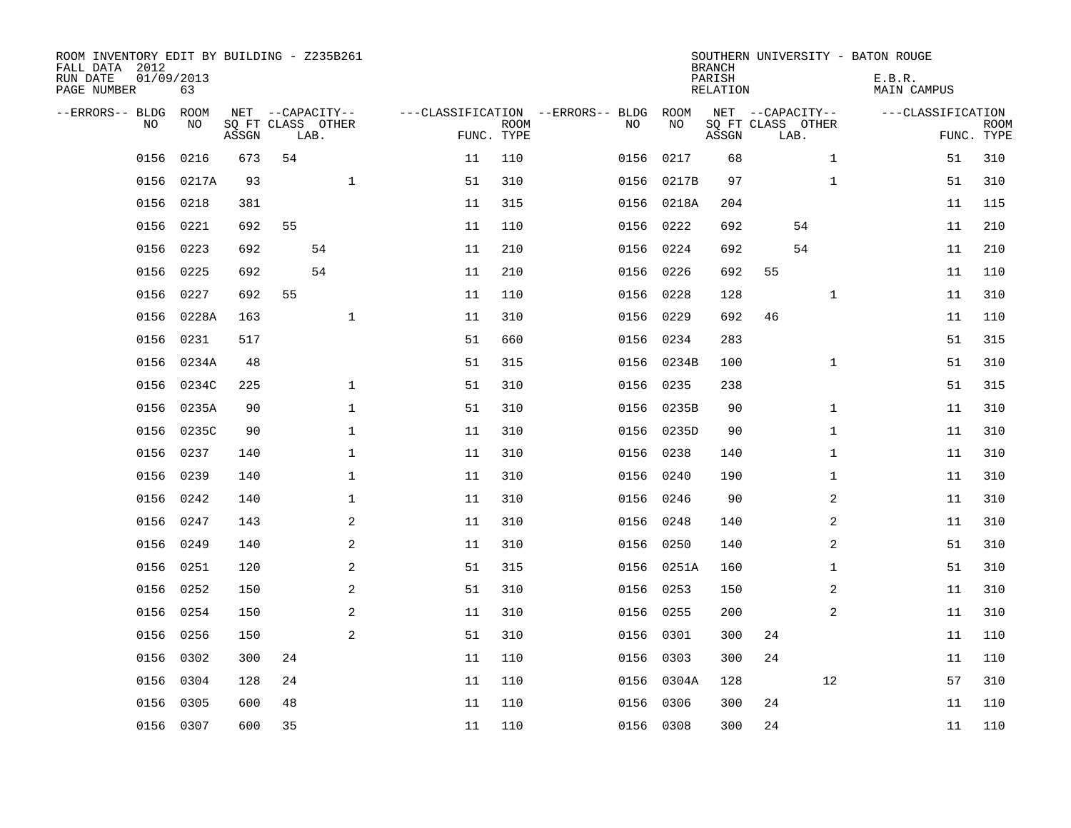| ROOM INVENTORY EDIT BY BUILDING - Z235B261<br>FALL DATA 2012<br>RUN DATE<br>PAGE NUMBER | 01/09/2013<br>63 |       |      |                   |    |                           |                                        |            | <b>BRANCH</b><br>PARISH<br>RELATION |                           |              | SOUTHERN UNIVERSITY - BATON ROUGE<br>E.B.R.<br>MAIN CAMPUS |             |
|-----------------------------------------------------------------------------------------|------------------|-------|------|-------------------|----|---------------------------|----------------------------------------|------------|-------------------------------------|---------------------------|--------------|------------------------------------------------------------|-------------|
| --ERRORS-- BLDG ROOM                                                                    |                  |       |      | NET --CAPACITY--  |    |                           | ---CLASSIFICATION --ERRORS-- BLDG ROOM |            |                                     | NET --CAPACITY--          |              | ---CLASSIFICATION                                          |             |
| NO.                                                                                     | NO.              | ASSGN | LAB. | SQ FT CLASS OTHER |    | <b>ROOM</b><br>FUNC. TYPE | NO.                                    | NO         | ASSGN                               | SQ FT CLASS OTHER<br>LAB. |              | FUNC. TYPE                                                 | <b>ROOM</b> |
| 0156                                                                                    | 0216             | 673   | 54   |                   | 11 | 110                       | 0156                                   | 0217       | 68                                  |                           | $\mathbf{1}$ | 51                                                         | 310         |
|                                                                                         | 0156 0217A       | 93    |      | $\mathbf 1$       | 51 | 310                       |                                        | 0156 0217B | 97                                  |                           | $\mathbf{1}$ | 51                                                         | 310         |
| 0156                                                                                    | 0218             | 381   |      |                   | 11 | 315                       |                                        | 0156 0218A | 204                                 |                           |              | 11                                                         | 115         |
| 0156                                                                                    | 0221             | 692   | 55   |                   | 11 | 110                       |                                        | 0156 0222  | 692                                 | 54                        |              | 11                                                         | 210         |
| 0156                                                                                    | 0223             | 692   |      | 54                | 11 | 210                       | 0156                                   | 0224       | 692                                 | 54                        |              | 11                                                         | 210         |
| 0156                                                                                    | 0225             | 692   |      | 54                | 11 | 210                       |                                        | 0156 0226  | 692                                 | 55                        |              | 11                                                         | 110         |
| 0156                                                                                    | 0227             | 692   | 55   |                   | 11 | 110                       | 0156                                   | 0228       | 128                                 |                           | $\mathbf{1}$ | 11                                                         | 310         |
| 0156                                                                                    | 0228A            | 163   |      | $\mathbf 1$       | 11 | 310                       |                                        | 0156 0229  | 692                                 | 46                        |              | 11                                                         | 110         |
| 0156                                                                                    | 0231             | 517   |      |                   | 51 | 660                       | 0156                                   | 0234       | 283                                 |                           |              | 51                                                         | 315         |
| 0156                                                                                    | 0234A            | 48    |      |                   | 51 | 315                       |                                        | 0156 0234B | 100                                 |                           | $\mathbf{1}$ | 51                                                         | 310         |
| 0156                                                                                    | 0234C            | 225   |      | $\mathbf 1$       | 51 | 310                       | 0156                                   | 0235       | 238                                 |                           |              | 51                                                         | 315         |
|                                                                                         | 0156 0235A       | 90    |      | $\mathbf 1$       | 51 | 310                       |                                        | 0156 0235B | 90                                  |                           | $\mathbf{1}$ | 11                                                         | 310         |
| 0156                                                                                    | 0235C            | 90    |      | $\mathbf 1$       | 11 | 310                       | 0156                                   | 0235D      | 90                                  |                           | $\mathbf{1}$ | 11                                                         | 310         |
| 0156                                                                                    | 0237             | 140   |      | $\mathbf 1$       | 11 | 310                       |                                        | 0156 0238  | 140                                 |                           | $\mathbf{1}$ | 11                                                         | 310         |
| 0156                                                                                    | 0239             | 140   |      | 1                 | 11 | 310                       | 0156                                   | 0240       | 190                                 |                           | $\mathbf{1}$ | 11                                                         | 310         |
| 0156                                                                                    | 0242             | 140   |      | $\mathbf 1$       | 11 | 310                       |                                        | 0156 0246  | 90                                  |                           | 2            | 11                                                         | 310         |
| 0156                                                                                    | 0247             | 143   |      | 2                 | 11 | 310                       | 0156                                   | 0248       | 140                                 |                           | 2            | 11                                                         | 310         |
| 0156                                                                                    | 0249             | 140   |      | $\mathbf{2}$      | 11 | 310                       | 0156                                   | 0250       | 140                                 |                           | 2            | 51                                                         | 310         |
|                                                                                         | 0156 0251        | 120   |      | 2                 | 51 | 315                       |                                        | 0156 0251A | 160                                 |                           | $\mathbf{1}$ | 51                                                         | 310         |
| 0156                                                                                    | 0252             | 150   |      | 2                 | 51 | 310                       |                                        | 0156 0253  | 150                                 |                           | 2            | 11                                                         | 310         |
| 0156                                                                                    | 0254             | 150   |      | 2                 | 11 | 310                       |                                        | 0156 0255  | 200                                 |                           | 2            | 11                                                         | 310         |
| 0156                                                                                    | 0256             | 150   |      | 2                 | 51 | 310                       | 0156                                   | 0301       | 300                                 | 24                        |              | 11                                                         | 110         |
| 0156                                                                                    | 0302             | 300   | 24   |                   | 11 | 110                       |                                        | 0156 0303  | 300                                 | 24                        |              | 11                                                         | 110         |
| 0156                                                                                    | 0304             | 128   | 24   |                   | 11 | 110                       | 0156                                   | 0304A      | 128                                 |                           | 12           | 57                                                         | 310         |
| 0156                                                                                    | 0305             | 600   | 48   |                   | 11 | 110                       |                                        | 0156 0306  | 300                                 | 24                        |              | 11                                                         | 110         |
|                                                                                         | 0156 0307        | 600   | 35   |                   | 11 | 110                       |                                        | 0156 0308  | 300                                 | 24                        |              | 11                                                         | 110         |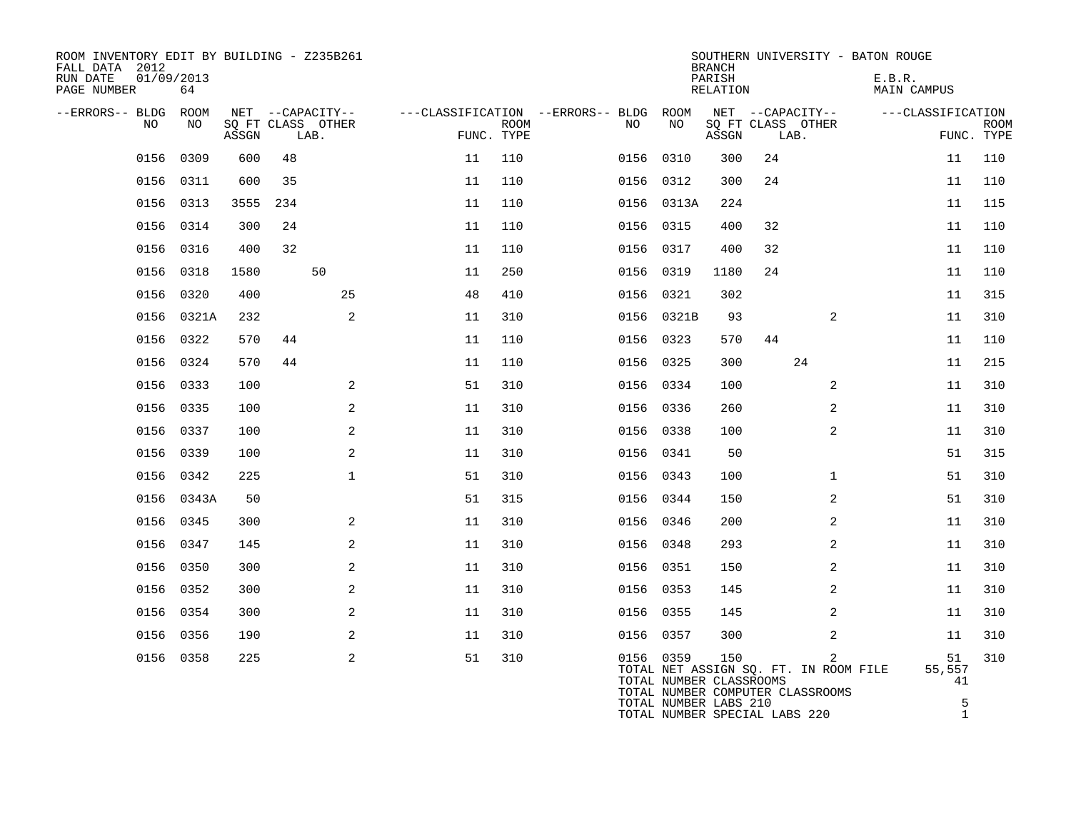| ROOM INVENTORY EDIT BY BUILDING - Z235B261<br>FALL DATA 2012<br>RUN DATE<br>PAGE NUMBER | 01/09/2013<br>64 |       |     |                                               |            |             |                                               |                                                               | <b>BRANCH</b><br>PARISH<br>RELATION |    |                                                                                | SOUTHERN UNIVERSITY - BATON ROUGE<br>E.B.R.<br>MAIN CAMPUS |                           |
|-----------------------------------------------------------------------------------------|------------------|-------|-----|-----------------------------------------------|------------|-------------|-----------------------------------------------|---------------------------------------------------------------|-------------------------------------|----|--------------------------------------------------------------------------------|------------------------------------------------------------|---------------------------|
| --ERRORS-- BLDG<br>NO                                                                   | ROOM<br>NO       | ASSGN |     | NET --CAPACITY--<br>SQ FT CLASS OTHER<br>LAB. | FUNC. TYPE | <b>ROOM</b> | ---CLASSIFICATION --ERRORS-- BLDG ROOM<br>NO. | NO                                                            | ASSGN                               |    | NET --CAPACITY--<br>SQ FT CLASS OTHER<br>LAB.                                  | ---CLASSIFICATION                                          | <b>ROOM</b><br>FUNC. TYPE |
| 0156                                                                                    | 0309             | 600   | 48  |                                               | 11         | 110         |                                               | 0156 0310                                                     | 300                                 | 24 |                                                                                | 11                                                         | 110                       |
|                                                                                         | 0156 0311        | 600   | 35  |                                               | 11         | 110         |                                               | 0156 0312                                                     | 300                                 | 24 |                                                                                | 11                                                         | 110                       |
| 0156                                                                                    | 0313             | 3555  | 234 |                                               | 11         | 110         |                                               | 0156 0313A                                                    | 224                                 |    |                                                                                | 11                                                         | 115                       |
|                                                                                         | 0156 0314        | 300   | 24  |                                               | 11         | 110         |                                               | 0156 0315                                                     | 400                                 | 32 |                                                                                | 11                                                         | 110                       |
|                                                                                         | 0156 0316        | 400   | 32  |                                               | 11         | 110         |                                               | 0156 0317                                                     | 400                                 | 32 |                                                                                | 11                                                         | 110                       |
|                                                                                         | 0156 0318        | 1580  |     | 50                                            | 11         | 250         |                                               | 0156 0319                                                     | 1180                                | 24 |                                                                                | 11                                                         | 110                       |
| 0156                                                                                    | 0320             | 400   |     | 25                                            | 48         | 410         |                                               | 0156 0321                                                     | 302                                 |    |                                                                                | 11                                                         | 315                       |
|                                                                                         | 0156 0321A       | 232   |     | 2                                             | 11         | 310         |                                               | 0156 0321B                                                    | 93                                  |    | 2                                                                              | 11                                                         | 310                       |
|                                                                                         | 0156 0322        | 570   | 44  |                                               | 11         | 110         |                                               | 0156 0323                                                     | 570                                 | 44 |                                                                                | 11                                                         | 110                       |
| 0156                                                                                    | 0324             | 570   | 44  |                                               | 11         | 110         |                                               | 0156 0325                                                     | 300                                 |    | 24                                                                             | 11                                                         | 215                       |
|                                                                                         | 0156 0333        | 100   |     | 2                                             | 51         | 310         |                                               | 0156 0334                                                     | 100                                 |    | 2                                                                              | 11                                                         | 310                       |
| 0156                                                                                    | 0335             | 100   |     | 2                                             | 11         | 310         |                                               | 0156 0336                                                     | 260                                 |    | $\overline{a}$                                                                 | 11                                                         | 310                       |
|                                                                                         | 0156 0337        | 100   |     | 2                                             | 11         | 310         |                                               | 0156 0338                                                     | 100                                 |    | 2                                                                              | 11                                                         | 310                       |
|                                                                                         | 0156 0339        | 100   |     | 2                                             | 11         | 310         |                                               | 0156 0341                                                     | 50                                  |    |                                                                                | 51                                                         | 315                       |
|                                                                                         | 0156 0342        | 225   |     | $\mathbf{1}$                                  | 51         | 310         |                                               | 0156 0343                                                     | 100                                 |    | $\mathbf{1}$                                                                   | 51                                                         | 310                       |
|                                                                                         | 0156 0343A       | 50    |     |                                               | 51         | 315         |                                               | 0156 0344                                                     | 150                                 |    | 2                                                                              | 51                                                         | 310                       |
|                                                                                         | 0156 0345        | 300   |     | 2                                             | 11         | 310         |                                               | 0156 0346                                                     | 200                                 |    | 2                                                                              | 11                                                         | 310                       |
|                                                                                         | 0156 0347        | 145   |     | 2                                             | 11         | 310         |                                               | 0156 0348                                                     | 293                                 |    | 2                                                                              | 11                                                         | 310                       |
| 0156                                                                                    | 0350             | 300   |     | $\mathbf{2}$                                  | 11         | 310         |                                               | 0156 0351                                                     | 150                                 |    | 2                                                                              | 11                                                         | 310                       |
|                                                                                         | 0156 0352        | 300   |     | 2                                             | 11         | 310         |                                               | 0156 0353                                                     | 145                                 |    | 2                                                                              | 11                                                         | 310                       |
|                                                                                         | 0156 0354        | 300   |     | 2                                             | 11         | 310         |                                               | 0156 0355                                                     | 145                                 |    | 2                                                                              | 11                                                         | 310                       |
| 0156                                                                                    | 0356             | 190   |     | 2                                             | 11         | 310         |                                               | 0156 0357                                                     | 300                                 |    | 2                                                                              | 11                                                         | 310                       |
|                                                                                         | 0156 0358        | 225   |     | 2                                             | 51         | 310         |                                               | 0156 0359<br>TOTAL NUMBER CLASSROOMS<br>TOTAL NUMBER LABS 210 | 150                                 |    | 2<br>TOTAL NET ASSIGN SQ. FT. IN ROOM FILE<br>TOTAL NUMBER COMPUTER CLASSROOMS | 51<br>55,557<br>41                                         | 310<br>5                  |

TOTAL NUMBER SPECIAL LABS 220 1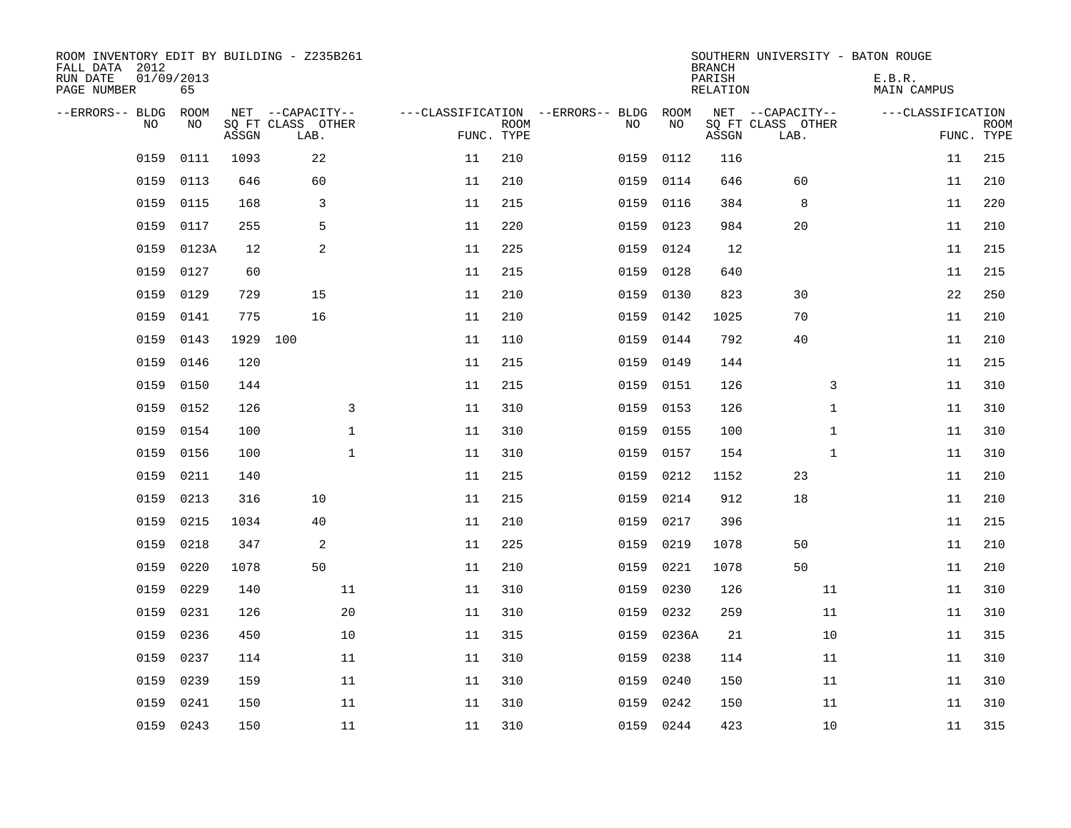| ROOM INVENTORY EDIT BY BUILDING - Z235B261<br>FALL DATA 2012<br>RUN DATE<br>PAGE NUMBER | 01/09/2013<br>65 |       |                           |              |    |             |                                         |            | <b>BRANCH</b><br>PARISH<br><b>RELATION</b> |                           | SOUTHERN UNIVERSITY - BATON ROUGE<br>E.B.R.<br><b>MAIN CAMPUS</b> |            |             |
|-----------------------------------------------------------------------------------------|------------------|-------|---------------------------|--------------|----|-------------|-----------------------------------------|------------|--------------------------------------------|---------------------------|-------------------------------------------------------------------|------------|-------------|
| --ERRORS-- BLDG<br>NO                                                                   | ROOM<br>NO       |       | NET --CAPACITY--          |              |    | <b>ROOM</b> | ---CLASSIFICATION --ERRORS-- BLDG<br>NO | ROOM<br>NO |                                            | NET --CAPACITY--          | ---CLASSIFICATION                                                 |            | <b>ROOM</b> |
|                                                                                         |                  | ASSGN | SQ FT CLASS OTHER<br>LAB. |              |    | FUNC. TYPE  |                                         |            | ASSGN                                      | SQ FT CLASS OTHER<br>LAB. |                                                                   | FUNC. TYPE |             |
| 0159                                                                                    | 0111             | 1093  | 22                        |              | 11 | 210         | 0159                                    | 0112       | 116                                        |                           |                                                                   | 11         | 215         |
| 0159                                                                                    | 0113             | 646   | 60                        |              | 11 | 210         | 0159                                    | 0114       | 646                                        | 60                        |                                                                   | 11         | 210         |
| 0159                                                                                    | 0115             | 168   | 3                         |              | 11 | 215         | 0159                                    | 0116       | 384                                        | 8                         |                                                                   | 11         | 220         |
| 0159                                                                                    | 0117             | 255   | 5                         |              | 11 | 220         | 0159                                    | 0123       | 984                                        | 20                        |                                                                   | 11         | 210         |
| 0159                                                                                    | 0123A            | 12    | 2                         |              | 11 | 225         | 0159                                    | 0124       | 12                                         |                           |                                                                   | 11         | 215         |
| 0159                                                                                    | 0127             | 60    |                           |              | 11 | 215         | 0159                                    | 0128       | 640                                        |                           |                                                                   | 11         | 215         |
| 0159                                                                                    | 0129             | 729   | 15                        |              | 11 | 210         | 0159                                    | 0130       | 823                                        | 30                        |                                                                   | 22         | 250         |
| 0159                                                                                    | 0141             | 775   | 16                        |              | 11 | 210         | 0159                                    | 0142       | 1025                                       | 70                        |                                                                   | 11         | 210         |
| 0159                                                                                    | 0143             | 1929  | 100                       |              | 11 | 110         | 0159                                    | 0144       | 792                                        | 40                        |                                                                   | 11         | 210         |
| 0159                                                                                    | 0146             | 120   |                           |              | 11 | 215         | 0159                                    | 0149       | 144                                        |                           |                                                                   | 11         | 215         |
| 0159                                                                                    | 0150             | 144   |                           |              | 11 | 215         | 0159                                    | 0151       | 126                                        | 3                         |                                                                   | 11         | 310         |
| 0159                                                                                    | 0152             | 126   |                           | 3            | 11 | 310         | 0159                                    | 0153       | 126                                        | $\mathbf{1}$              |                                                                   | 11         | 310         |
| 0159                                                                                    | 0154             | 100   |                           | $\mathbf{1}$ | 11 | 310         | 0159                                    | 0155       | 100                                        | $\mathbf{1}$              |                                                                   | 11         | 310         |
| 0159                                                                                    | 0156             | 100   |                           | $\mathbf 1$  | 11 | 310         | 0159                                    | 0157       | 154                                        | $\mathbf{1}$              |                                                                   | 11         | 310         |
| 0159                                                                                    | 0211             | 140   |                           |              | 11 | 215         | 0159                                    | 0212       | 1152                                       | 23                        |                                                                   | 11         | 210         |
| 0159                                                                                    | 0213             | 316   | 10                        |              | 11 | 215         | 0159                                    | 0214       | 912                                        | 18                        |                                                                   | 11         | 210         |
| 0159                                                                                    | 0215             | 1034  | 40                        |              | 11 | 210         | 0159                                    | 0217       | 396                                        |                           |                                                                   | 11         | 215         |
| 0159                                                                                    | 0218             | 347   | 2                         |              | 11 | 225         | 0159                                    | 0219       | 1078                                       | 50                        |                                                                   | 11         | 210         |
| 0159                                                                                    | 0220             | 1078  | 50                        |              | 11 | 210         | 0159                                    | 0221       | 1078                                       | 50                        |                                                                   | 11         | 210         |
| 0159                                                                                    | 0229             | 140   |                           | 11           | 11 | 310         | 0159                                    | 0230       | 126                                        | 11                        |                                                                   | 11         | 310         |
| 0159                                                                                    | 0231             | 126   |                           | 20           | 11 | 310         | 0159                                    | 0232       | 259                                        | 11                        |                                                                   | 11         | 310         |
| 0159                                                                                    | 0236             | 450   |                           | 10           | 11 | 315         | 0159                                    | 0236A      | 21                                         | 10                        |                                                                   | 11         | 315         |
| 0159                                                                                    | 0237             | 114   |                           | 11           | 11 | 310         | 0159                                    | 0238       | 114                                        | 11                        |                                                                   | 11         | 310         |
| 0159                                                                                    | 0239             | 159   |                           | 11           | 11 | 310         | 0159                                    | 0240       | 150                                        | 11                        |                                                                   | 11         | 310         |
| 0159                                                                                    | 0241             | 150   |                           | 11           | 11 | 310         | 0159                                    | 0242       | 150                                        | 11                        |                                                                   | 11         | 310         |
|                                                                                         | 0159 0243        | 150   |                           | 11           | 11 | 310         |                                         | 0159 0244  | 423                                        | 10                        |                                                                   | 11         | 315         |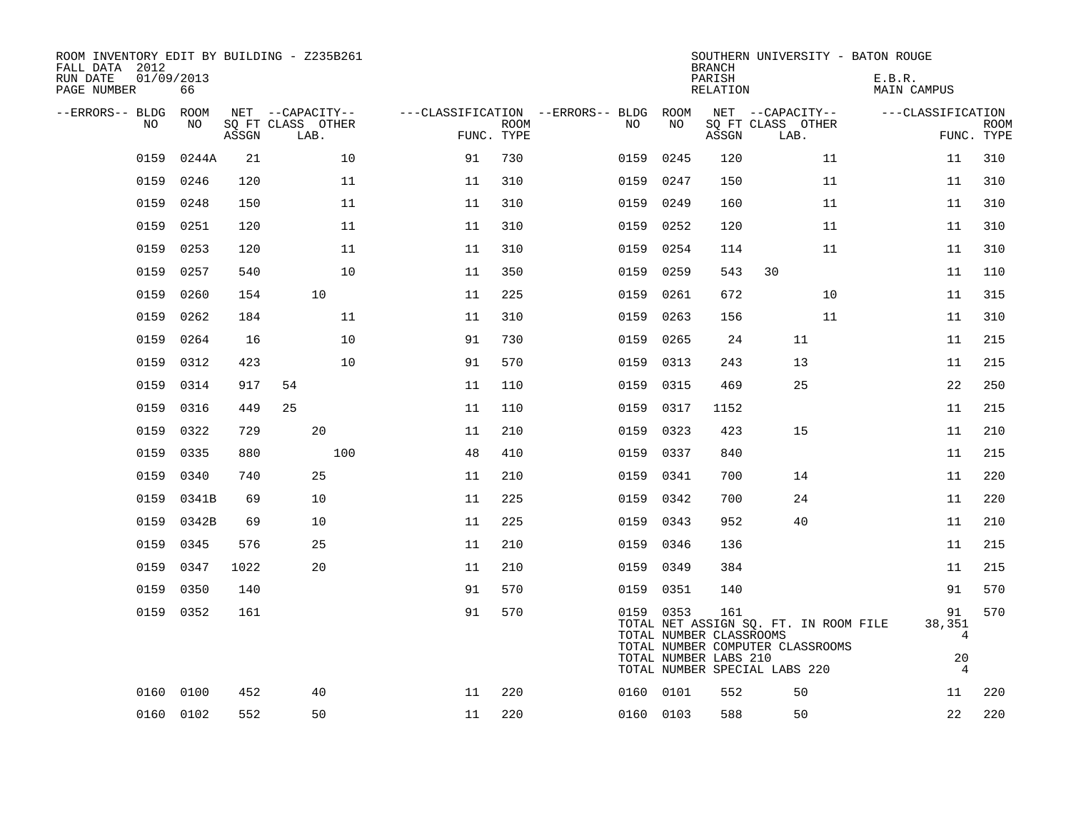| ROOM INVENTORY EDIT BY BUILDING - Z235B261<br>FALL DATA 2012<br>RUN DATE<br>PAGE NUMBER | 01/09/2013<br>66 |       |                           |            |             |                                        |           | <b>BRANCH</b><br>PARISH<br>RELATION                     | SOUTHERN UNIVERSITY - BATON ROUGE                                                                          | E.B.R.<br>MAIN CAMPUS                                  |                           |
|-----------------------------------------------------------------------------------------|------------------|-------|---------------------------|------------|-------------|----------------------------------------|-----------|---------------------------------------------------------|------------------------------------------------------------------------------------------------------------|--------------------------------------------------------|---------------------------|
| --ERRORS-- BLDG ROOM                                                                    |                  |       | NET --CAPACITY--          |            |             | ---CLASSIFICATION --ERRORS-- BLDG ROOM |           |                                                         | NET --CAPACITY--                                                                                           | ---CLASSIFICATION                                      |                           |
| NO.                                                                                     | NO.              | ASSGN | SQ FT CLASS OTHER<br>LAB. | FUNC. TYPE | <b>ROOM</b> | NO                                     | NO        | ASSGN                                                   | SQ FT CLASS OTHER<br>LAB.                                                                                  |                                                        | <b>ROOM</b><br>FUNC. TYPE |
| 0159                                                                                    | 0244A            | 21    | 10                        | 91         | 730         | 0159                                   | 0245      | 120                                                     | 11                                                                                                         | 11                                                     | 310                       |
| 0159                                                                                    | 0246             | 120   | 11                        | 11         | 310         | 0159                                   | 0247      | 150                                                     | 11                                                                                                         | 11                                                     | 310                       |
| 0159                                                                                    | 0248             | 150   | 11                        | 11         | 310         |                                        | 0159 0249 | 160                                                     | 11                                                                                                         | 11                                                     | 310                       |
| 0159                                                                                    | 0251             | 120   | 11                        | 11         | 310         | 0159                                   | 0252      | 120                                                     | 11                                                                                                         | 11                                                     | 310                       |
| 0159                                                                                    | 0253             | 120   | 11                        | 11         | 310         |                                        | 0159 0254 | 114                                                     | 11                                                                                                         | 11                                                     | 310                       |
| 0159                                                                                    | 0257             | 540   | 10                        | 11         | 350         | 0159                                   | 0259      | 543                                                     | 30                                                                                                         | 11                                                     | 110                       |
| 0159                                                                                    | 0260             | 154   | 10                        | 11         | 225         | 0159                                   | 0261      | 672                                                     | 10                                                                                                         | 11                                                     | 315                       |
| 0159                                                                                    | 0262             | 184   | 11                        | 11         | 310         | 0159                                   | 0263      | 156                                                     | 11                                                                                                         | 11                                                     | 310                       |
| 0159                                                                                    | 0264             | 16    | 10                        | 91         | 730         |                                        | 0159 0265 | 24                                                      | 11                                                                                                         | 11                                                     | 215                       |
| 0159                                                                                    | 0312             | 423   | 10                        | 91         | 570         | 0159                                   | 0313      | 243                                                     | 13                                                                                                         | 11                                                     | 215                       |
| 0159                                                                                    | 0314             | 917   | 54                        | 11         | 110         |                                        | 0159 0315 | 469                                                     | 25                                                                                                         | 22                                                     | 250                       |
| 0159                                                                                    | 0316             | 449   | 25                        | 11         | 110         | 0159                                   | 0317      | 1152                                                    |                                                                                                            | 11                                                     | 215                       |
| 0159                                                                                    | 0322             | 729   | 20                        | 11         | 210         | 0159                                   | 0323      | 423                                                     | 15                                                                                                         | 11                                                     | 210                       |
| 0159                                                                                    | 0335             | 880   | 100                       | 48         | 410         |                                        | 0159 0337 | 840                                                     |                                                                                                            | 11                                                     | 215                       |
| 0159                                                                                    | 0340             | 740   | 25                        | 11         | 210         | 0159                                   | 0341      | 700                                                     | 14                                                                                                         | 11                                                     | 220                       |
| 0159                                                                                    | 0341B            | 69    | 10                        | 11         | 225         |                                        | 0159 0342 | 700                                                     | 24                                                                                                         | 11                                                     | 220                       |
| 0159                                                                                    | 0342B            | 69    | 10                        | 11         | 225         |                                        | 0159 0343 | 952                                                     | 40                                                                                                         | 11                                                     | 210                       |
| 0159                                                                                    | 0345             | 576   | 25                        | 11         | 210         |                                        | 0159 0346 | 136                                                     |                                                                                                            | 11                                                     | 215                       |
| 0159                                                                                    | 0347             | 1022  | 20                        | 11         | 210         | 0159                                   | 0349      | 384                                                     |                                                                                                            | 11                                                     | 215                       |
| 0159                                                                                    | 0350             | 140   |                           | 91         | 570         |                                        | 0159 0351 | 140                                                     |                                                                                                            | 91                                                     | 570                       |
|                                                                                         | 0159 0352        | 161   |                           | 91         | 570         |                                        | 0159 0353 | 161<br>TOTAL NUMBER CLASSROOMS<br>TOTAL NUMBER LABS 210 | TOTAL NET ASSIGN SO. FT. IN ROOM FILE<br>TOTAL NUMBER COMPUTER CLASSROOMS<br>TOTAL NUMBER SPECIAL LABS 220 | 91<br>38,351<br>$\overline{4}$<br>20<br>$\overline{4}$ | 570                       |
|                                                                                         | 0160 0100        | 452   | 40                        | 11         | 220         |                                        | 0160 0101 | 552                                                     | 50                                                                                                         | 11                                                     | 220                       |
|                                                                                         | 0160 0102        | 552   | 50                        | 11         | 220         |                                        | 0160 0103 | 588                                                     | 50                                                                                                         | 22                                                     | 220                       |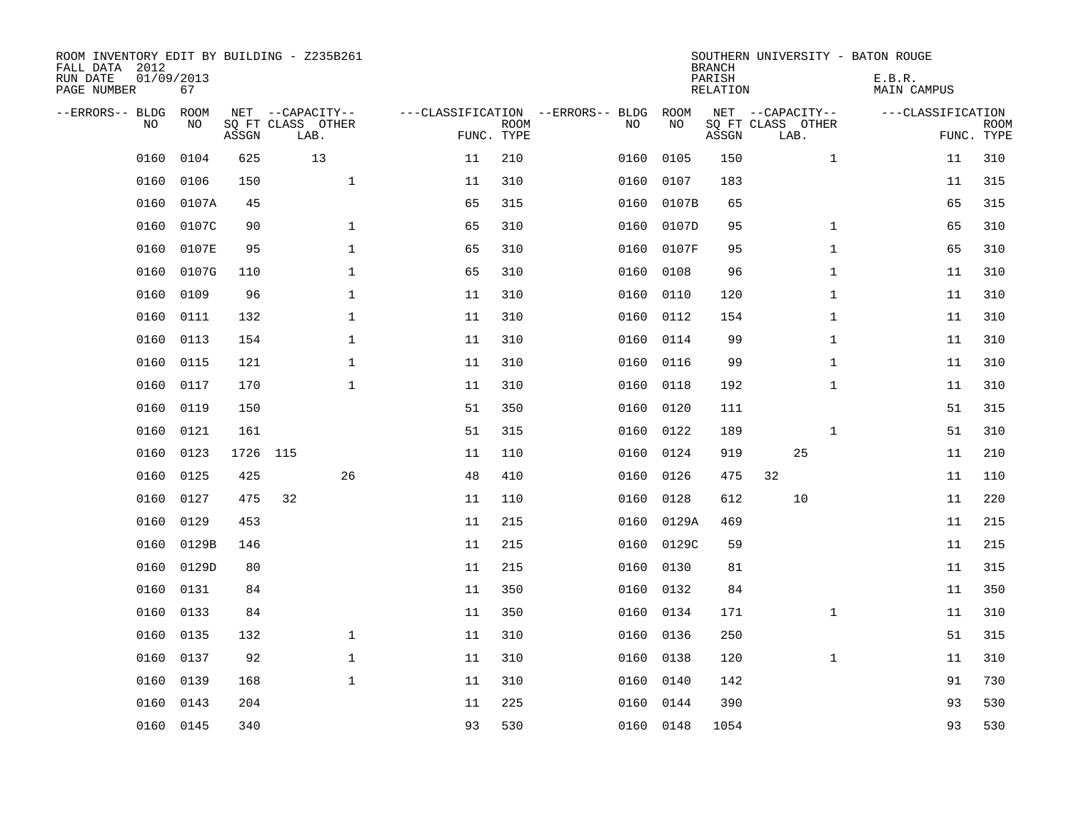| ROOM INVENTORY EDIT BY BUILDING - Z235B261<br>FALL DATA 2012<br>RUN DATE<br>PAGE NUMBER | 01/09/2013<br>67 |          |                                               |    |                           |                                         |            | <b>BRANCH</b><br>PARISH<br><b>RELATION</b> |                                               | SOUTHERN UNIVERSITY - BATON ROUGE<br>E.B.R.<br><b>MAIN CAMPUS</b> |                           |
|-----------------------------------------------------------------------------------------|------------------|----------|-----------------------------------------------|----|---------------------------|-----------------------------------------|------------|--------------------------------------------|-----------------------------------------------|-------------------------------------------------------------------|---------------------------|
| --ERRORS-- BLDG<br>NO                                                                   | ROOM<br>NO       | ASSGN    | NET --CAPACITY--<br>SQ FT CLASS OTHER<br>LAB. |    | <b>ROOM</b><br>FUNC. TYPE | ---CLASSIFICATION --ERRORS-- BLDG<br>NO | ROOM<br>NO | ASSGN                                      | NET --CAPACITY--<br>SQ FT CLASS OTHER<br>LAB. | ---CLASSIFICATION                                                 | <b>ROOM</b><br>FUNC. TYPE |
| 0160                                                                                    | 0104             | 625      | 13                                            | 11 | 210                       | 0160                                    | 0105       | 150                                        | $\mathbf{1}$                                  | 11                                                                | 310                       |
| 0160                                                                                    | 0106             | 150      | $\mathbf{1}$                                  | 11 | 310                       | 0160                                    | 0107       | 183                                        |                                               | 11                                                                | 315                       |
| 0160                                                                                    | 0107A            | 45       |                                               | 65 | 315                       | 0160                                    | 0107B      | 65                                         |                                               | 65                                                                | 315                       |
| 0160                                                                                    | 0107C            | 90       | $\mathbf 1$                                   | 65 | 310                       | 0160                                    | 0107D      | 95                                         | $\mathbf{1}$                                  | 65                                                                | 310                       |
| 0160                                                                                    | 0107E            | 95       | $\mathbf{1}$                                  | 65 | 310                       | 0160                                    | 0107F      | 95                                         | $\mathbf{1}$                                  | 65                                                                | 310                       |
| 0160                                                                                    | 0107G            | 110      | $\mathbf{1}$                                  | 65 | 310                       | 0160                                    | 0108       | 96                                         | $\mathbf{1}$                                  | 11                                                                | 310                       |
| 0160                                                                                    | 0109             | 96       | $\mathbf{1}$                                  | 11 | 310                       | 0160                                    | 0110       | 120                                        | $\mathbf{1}$                                  | 11                                                                | 310                       |
| 0160                                                                                    | 0111             | 132      | $\mathbf 1$                                   | 11 | 310                       | 0160                                    | 0112       | 154                                        | $\mathbf{1}$                                  | 11                                                                | 310                       |
| 0160                                                                                    | 0113             | 154      | $\mathbf{1}$                                  | 11 | 310                       | 0160                                    | 0114       | 99                                         | $\mathbf{1}$                                  | 11                                                                | 310                       |
| 0160                                                                                    | 0115             | 121      | $\mathbf{1}$                                  | 11 | 310                       | 0160                                    | 0116       | 99                                         | $\mathbf{1}$                                  | 11                                                                | 310                       |
| 0160                                                                                    | 0117             | 170      | $\mathbf{1}$                                  | 11 | 310                       | 0160                                    | 0118       | 192                                        | $\mathbf{1}$                                  | 11                                                                | 310                       |
| 0160                                                                                    | 0119             | 150      |                                               | 51 | 350                       | 0160                                    | 0120       | 111                                        |                                               | 51                                                                | 315                       |
| 0160                                                                                    | 0121             | 161      |                                               | 51 | 315                       | 0160                                    | 0122       | 189                                        | $\mathbf{1}$                                  | 51                                                                | 310                       |
| 0160                                                                                    | 0123             | 1726 115 |                                               | 11 | 110                       | 0160                                    | 0124       | 919                                        | 25                                            | 11                                                                | 210                       |
| 0160                                                                                    | 0125             | 425      | 26                                            | 48 | 410                       | 0160                                    | 0126       | 475                                        | 32                                            | 11                                                                | 110                       |
| 0160                                                                                    | 0127             | 475      | 32                                            | 11 | 110                       | 0160                                    | 0128       | 612                                        | 10                                            | 11                                                                | 220                       |
| 0160                                                                                    | 0129             | 453      |                                               | 11 | 215                       | 0160                                    | 0129A      | 469                                        |                                               | 11                                                                | 215                       |
| 0160                                                                                    | 0129B            | 146      |                                               | 11 | 215                       | 0160                                    | 0129C      | 59                                         |                                               | 11                                                                | 215                       |
| 0160                                                                                    | 0129D            | 80       |                                               | 11 | 215                       | 0160                                    | 0130       | 81                                         |                                               | 11                                                                | 315                       |
| 0160                                                                                    | 0131             | 84       |                                               | 11 | 350                       | 0160                                    | 0132       | 84                                         |                                               | 11                                                                | 350                       |
| 0160                                                                                    | 0133             | 84       |                                               | 11 | 350                       | 0160                                    | 0134       | 171                                        | $\mathbf{1}$                                  | 11                                                                | 310                       |
| 0160                                                                                    | 0135             | 132      | $\mathbf 1$                                   | 11 | 310                       | 0160                                    | 0136       | 250                                        |                                               | 51                                                                | 315                       |
| 0160                                                                                    | 0137             | 92       | $\mathbf{1}$                                  | 11 | 310                       | 0160                                    | 0138       | 120                                        | $\mathbf{1}$                                  | 11                                                                | 310                       |
| 0160                                                                                    | 0139             | 168      | $\mathbf{1}$                                  | 11 | 310                       | 0160                                    | 0140       | 142                                        |                                               | 91                                                                | 730                       |
| 0160                                                                                    | 0143             | 204      |                                               | 11 | 225                       | 0160                                    | 0144       | 390                                        |                                               | 93                                                                | 530                       |
|                                                                                         | 0160 0145        | 340      |                                               | 93 | 530                       |                                         | 0160 0148  | 1054                                       |                                               | 93                                                                | 530                       |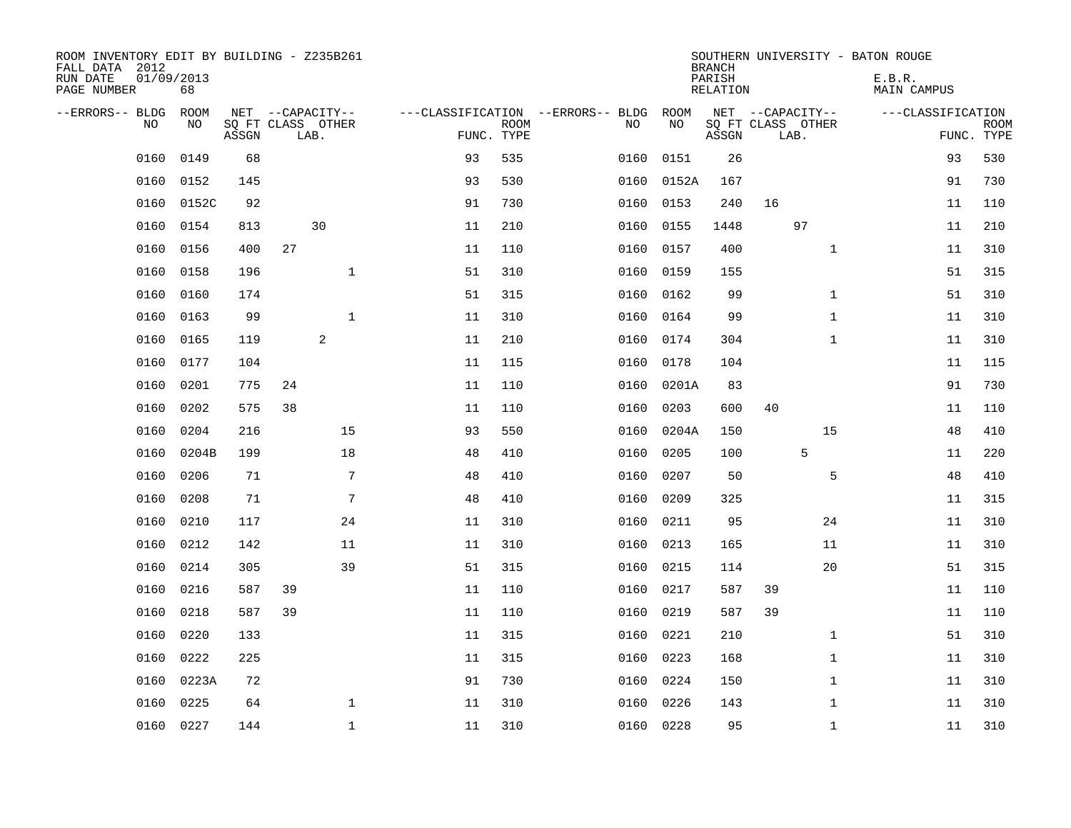| ROOM INVENTORY EDIT BY BUILDING - Z235B261<br>FALL DATA 2012<br>01/09/2013<br>RUN DATE<br>PAGE NUMBER<br>68 |                                       |            |                                                  |           |            | <b>BRANCH</b><br>PARISH<br>RELATION | SOUTHERN UNIVERSITY - BATON ROUGE     | E.B.R.<br>MAIN CAMPUS |             |
|-------------------------------------------------------------------------------------------------------------|---------------------------------------|------------|--------------------------------------------------|-----------|------------|-------------------------------------|---------------------------------------|-----------------------|-------------|
|                                                                                                             |                                       |            |                                                  |           |            |                                     |                                       |                       |             |
| --ERRORS-- BLDG<br>ROOM<br>NO<br>NO                                                                         | NET --CAPACITY--<br>SQ FT CLASS OTHER |            | ---CLASSIFICATION --ERRORS-- BLDG<br><b>ROOM</b> | NO        | ROOM<br>NO |                                     | NET --CAPACITY--<br>SQ FT CLASS OTHER | ---CLASSIFICATION     | <b>ROOM</b> |
| ASSGN                                                                                                       | LAB.                                  | FUNC. TYPE |                                                  |           |            | ASSGN                               | LAB.                                  | FUNC. TYPE            |             |
| 0160<br>0149<br>68                                                                                          |                                       | 93         | 535                                              | 0160      | 0151       | 26                                  |                                       | 93                    | 530         |
| 0152<br>0160<br>145                                                                                         |                                       | 93         | 530                                              | 0160      | 0152A      | 167                                 |                                       | 91                    | 730         |
| 0152C<br>92<br>0160                                                                                         |                                       | 91         | 730                                              | 0160      | 0153       | 240                                 | 16                                    | 11                    | 110         |
| 0160<br>0154<br>813                                                                                         | 30                                    | 11         | 210                                              | 0160      | 0155       | 1448                                | 97                                    | 11                    | 210         |
| 0160<br>0156<br>400                                                                                         | 27                                    | 11         | 110                                              | 0160      | 0157       | 400                                 | $\mathbf{1}$                          | 11                    | 310         |
| 0160<br>0158<br>196                                                                                         | $\mathbf{1}$                          | 51         | 310                                              | 0160      | 0159       | 155                                 |                                       | 51                    | 315         |
| 0160<br>0160<br>174                                                                                         |                                       | 51         | 315                                              | 0160      | 0162       | 99                                  | $\mathbf{1}$                          | 51                    | 310         |
| 0160<br>0163<br>99                                                                                          | $\mathbf{1}$                          | 11         | 310                                              | 0160      | 0164       | 99                                  | $\mathbf{1}$                          | 11                    | 310         |
| 0160<br>0165<br>119                                                                                         | $\overline{c}$                        | 11         | 210                                              | 0160      | 0174       | 304                                 | $\mathbf{1}$                          | 11                    | 310         |
| 0160<br>0177<br>104                                                                                         |                                       | 11         | 115                                              | 0160      | 0178       | 104                                 |                                       | 11                    | 115         |
| 0201<br>775<br>0160                                                                                         | 24                                    | 11         | 110                                              | 0160      | 0201A      | 83                                  |                                       | 91                    | 730         |
| 0160<br>0202<br>575                                                                                         | 38                                    | 11         | 110                                              | 0160      | 0203       | 600                                 | 40                                    | 11                    | 110         |
| 0160<br>0204<br>216                                                                                         | 15                                    | 93         | 550                                              | 0160      | 0204A      | 150                                 | 15                                    | 48                    | 410         |
| 0204B<br>0160<br>199                                                                                        | 18                                    | 48         | 410                                              | 0160      | 0205       | 100                                 | 5                                     | 11                    | 220         |
| 0160<br>0206<br>71                                                                                          | 7                                     | 48         | 410                                              | 0160      | 0207       | 50                                  | 5                                     | 48                    | 410         |
| 0208<br>0160<br>71                                                                                          | 7                                     | 48         | 410                                              | 0160      | 0209       | 325                                 |                                       | 11                    | 315         |
| 0210<br>0160<br>117                                                                                         | 24                                    | 11         | 310                                              | 0160      | 0211       | 95                                  | 24                                    | 11                    | 310         |
| 0212<br>0160<br>142                                                                                         | 11                                    | 11         | 310                                              | 0160      | 0213       | 165                                 | 11                                    | 11                    | 310         |
| 0160<br>0214<br>305                                                                                         | 39                                    | 51         | 315                                              | 0160      | 0215       | 114                                 | 20                                    | 51                    | 315         |
| 0160<br>0216<br>587                                                                                         | 39                                    | 11         | 110                                              | 0160      | 0217       | 587                                 | 39                                    | 11                    | 110         |
| 0218<br>0160<br>587                                                                                         | 39                                    | 11         | 110                                              | 0160      | 0219       | 587                                 | 39                                    | 11                    | 110         |
| 0160<br>0220<br>133                                                                                         |                                       | 11         | 315                                              | 0160      | 0221       | 210                                 | $\mathbf{1}$                          | 51                    | 310         |
| 0160<br>0222<br>225                                                                                         |                                       | 11         | 315                                              | 0160      | 0223       | 168                                 | $\mathbf{1}$                          | 11                    | 310         |
| 0160<br>0223A<br>72                                                                                         |                                       | 91         | 730                                              | 0160      | 0224       | 150                                 | $\mathbf{1}$                          | 11                    | 310         |
| 0225<br>0160<br>64                                                                                          | $\mathbf{1}$                          | 11         | 310                                              | 0160      | 0226       | 143                                 | $\mathbf{1}$                          | 11                    | 310         |
| 0160 0227<br>144                                                                                            | $\mathbf{1}$                          | 11         | 310                                              | 0160 0228 |            | 95                                  | $\mathbf{1}$                          | 11                    | 310         |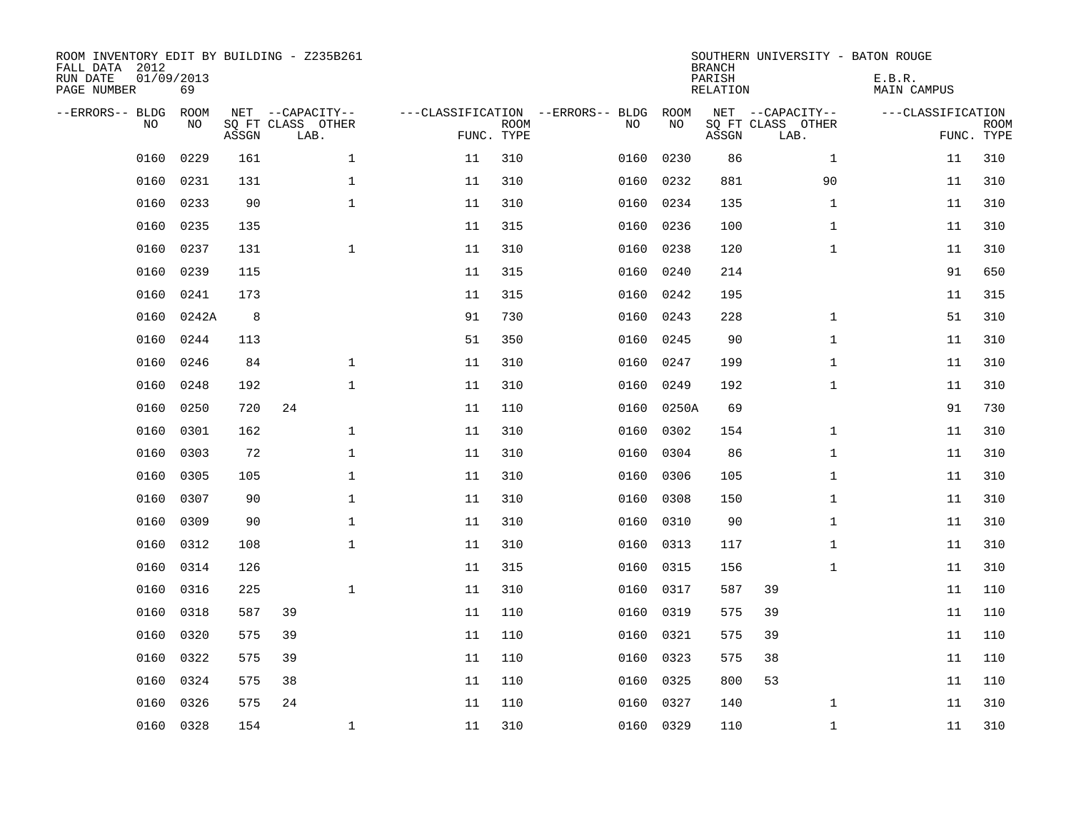| FALL DATA 2012<br>RUN DATE<br>PAGE NUMBER | 01/09/2013 | 69          |       | ROOM INVENTORY EDIT BY BUILDING - Z235B261    |                                   |                           |      |            | <b>BRANCH</b><br>PARISH<br>RELATION | SOUTHERN UNIVERSITY - BATON ROUGE             | E.B.R.<br><b>MAIN CAMPUS</b> |                           |
|-------------------------------------------|------------|-------------|-------|-----------------------------------------------|-----------------------------------|---------------------------|------|------------|-------------------------------------|-----------------------------------------------|------------------------------|---------------------------|
| --ERRORS-- BLDG                           | <b>NO</b>  | ROOM<br>NO. | ASSGN | NET --CAPACITY--<br>SQ FT CLASS OTHER<br>LAB. | ---CLASSIFICATION --ERRORS-- BLDG | <b>ROOM</b><br>FUNC. TYPE | NO   | ROOM<br>NO | ASSGN                               | NET --CAPACITY--<br>SQ FT CLASS OTHER<br>LAB. | ---CLASSIFICATION            | <b>ROOM</b><br>FUNC. TYPE |
|                                           | 0160       | 0229        | 161   | $\mathbf{1}$                                  | 11                                | 310                       | 0160 | 0230       | 86                                  | $\mathbf{1}$                                  | 11                           | 310                       |
|                                           | 0160       | 0231        | 131   | $\mathbf 1$                                   | 11                                | 310                       | 0160 | 0232       | 881                                 | 90                                            | 11                           | 310                       |
|                                           | 0160       | 0233        | 90    | $\mathbf{1}$                                  | 11                                | 310                       | 0160 | 0234       | 135                                 | $\mathbf{1}$                                  | 11                           | 310                       |
|                                           | 0160       | 0235        | 135   |                                               | 11                                | 315                       | 0160 | 0236       | 100                                 | $\mathbf{1}$                                  | 11                           | 310                       |
|                                           | 0160       | 0237        | 131   | $\mathbf 1$                                   | 11                                | 310                       | 0160 | 0238       | 120                                 | $\mathbf{1}$                                  | 11                           | 310                       |
|                                           | 0160       | 0239        | 115   |                                               | 11                                | 315                       | 0160 | 0240       | 214                                 |                                               | 91                           | 650                       |
|                                           | 0160       | 0241        | 173   |                                               | 11                                | 315                       | 0160 | 0242       | 195                                 |                                               | 11                           | 315                       |
|                                           | 0160       | 0242A       | 8     |                                               | 91                                | 730                       | 0160 | 0243       | 228                                 | $\mathbf{1}$                                  | 51                           | 310                       |
|                                           | 0160       | 0244        | 113   |                                               | 51                                | 350                       | 0160 | 0245       | 90                                  | $\mathbf{1}$                                  | 11                           | 310                       |
|                                           | 0160       | 0246        | 84    | $\mathbf 1$                                   | 11                                | 310                       | 0160 | 0247       | 199                                 | $\mathbf{1}$                                  | 11                           | 310                       |
|                                           | 0160       | 0248        | 192   | $\mathbf 1$                                   | 11                                | 310                       | 0160 | 0249       | 192                                 | $\mathbf{1}$                                  | 11                           | 310                       |
|                                           | 0160       | 0250        | 720   | 24                                            | 11                                | 110                       | 0160 | 0250A      | 69                                  |                                               | 91                           | 730                       |
|                                           | 0160       | 0301        | 162   | $\mathbf{1}$                                  | 11                                | 310                       | 0160 | 0302       | 154                                 | $\mathbf{1}$                                  | 11                           | 310                       |
|                                           | 0160       | 0303        | 72    | $\mathbf{1}$                                  | 11                                | 310                       | 0160 | 0304       | 86                                  | $\mathbf{1}$                                  | 11                           | 310                       |
|                                           | 0160       | 0305        | 105   | $\mathbf{1}$                                  | 11                                | 310                       | 0160 | 0306       | 105                                 | $\mathbf{1}$                                  | 11                           | 310                       |
|                                           | 0160       | 0307        | 90    | $\mathbf 1$                                   | 11                                | 310                       | 0160 | 0308       | 150                                 | $\mathbf{1}$                                  | 11                           | 310                       |
|                                           | 0160       | 0309        | 90    | $\mathbf 1$                                   | 11                                | 310                       | 0160 | 0310       | 90                                  | $\mathbf{1}$                                  | 11                           | 310                       |
|                                           | 0160       | 0312        | 108   | $\mathbf{1}$                                  | 11                                | 310                       | 0160 | 0313       | 117                                 | $\mathbf{1}$                                  | 11                           | 310                       |
|                                           | 0160       | 0314        | 126   |                                               | 11                                | 315                       | 0160 | 0315       | 156                                 | $\mathbf{1}$                                  | 11                           | 310                       |
|                                           | 0160       | 0316        | 225   | $\mathbf 1$                                   | 11                                | 310                       | 0160 | 0317       | 587                                 | 39                                            | 11                           | 110                       |
|                                           | 0160       | 0318        | 587   | 39                                            | 11                                | 110                       | 0160 | 0319       | 575                                 | 39                                            | 11                           | 110                       |
|                                           | 0160       | 0320        | 575   | 39                                            | 11                                | 110                       | 0160 | 0321       | 575                                 | 39                                            | 11                           | 110                       |
|                                           | 0160       | 0322        | 575   | 39                                            | 11                                | 110                       | 0160 | 0323       | 575                                 | 38                                            | 11                           | 110                       |
|                                           | 0160       | 0324        | 575   | 38                                            | 11                                | 110                       | 0160 | 0325       | 800                                 | 53                                            | 11                           | 110                       |
|                                           | 0160       | 0326        | 575   | 24                                            | 11                                | 110                       | 0160 | 0327       | 140                                 | $\mathbf{1}$                                  | 11                           | 310                       |
|                                           | 0160       | 0328        | 154   | $\mathbf 1$                                   | 11                                | 310                       |      | 0160 0329  | 110                                 | $\mathbf{1}$                                  | 11                           | 310                       |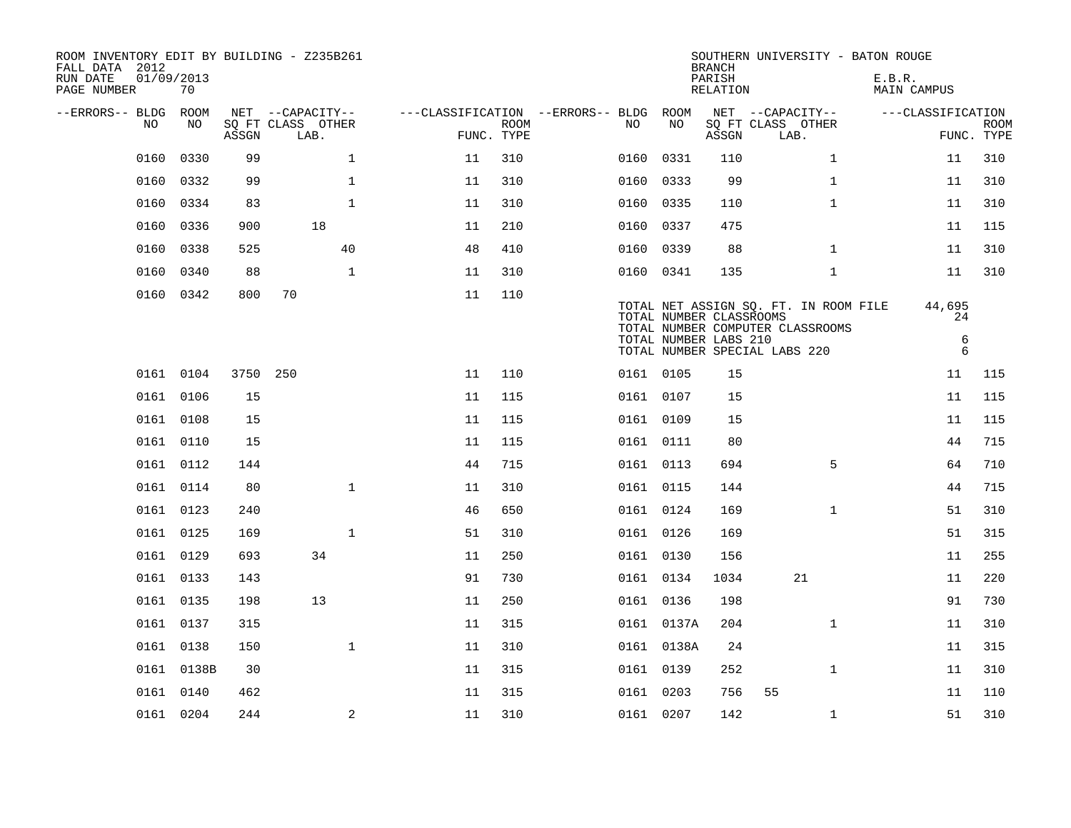| ROOM INVENTORY EDIT BY BUILDING - Z235B261<br>FALL DATA 2012<br>RUN DATE<br>PAGE NUMBER | 01/09/2013<br>70 |          |                                               |              |                                        |                           |           |                                                  | <b>BRANCH</b><br>PARISH<br><b>RELATION</b> | SOUTHERN UNIVERSITY - BATON ROUGE                                                                          | E.B.R.<br><b>MAIN CAMPUS</b> |                           |
|-----------------------------------------------------------------------------------------|------------------|----------|-----------------------------------------------|--------------|----------------------------------------|---------------------------|-----------|--------------------------------------------------|--------------------------------------------|------------------------------------------------------------------------------------------------------------|------------------------------|---------------------------|
| --ERRORS-- BLDG<br>NO.                                                                  | ROOM<br>NO.      | ASSGN    | NET --CAPACITY--<br>SQ FT CLASS OTHER<br>LAB. |              | ---CLASSIFICATION --ERRORS-- BLDG ROOM | <b>ROOM</b><br>FUNC. TYPE | NO.       | NO.                                              | ASSGN                                      | NET --CAPACITY--<br>SQ FT CLASS OTHER<br>LAB.                                                              | ---CLASSIFICATION            | <b>ROOM</b><br>FUNC. TYPE |
| 0160                                                                                    | 0330             | 99       |                                               | $\mathbf{1}$ | 11                                     | 310                       | 0160      | 0331                                             | 110                                        | $\mathbf{1}$                                                                                               | 11                           | 310                       |
| 0160                                                                                    | 0332             | 99       |                                               | $\mathbf{1}$ | 11                                     | 310                       | 0160      | 0333                                             | 99                                         | $\mathbf{1}$                                                                                               | 11                           | 310                       |
| 0160                                                                                    | 0334             | 83       |                                               | $\mathbf{1}$ | 11                                     | 310                       | 0160 0335 |                                                  | 110                                        | $\mathbf{1}$                                                                                               | 11                           | 310                       |
| 0160                                                                                    | 0336             | 900      | 18                                            |              | 11                                     | 210                       | 0160      | 0337                                             | 475                                        |                                                                                                            | 11                           | 115                       |
| 0160                                                                                    | 0338             | 525      |                                               | 40           | 48                                     | 410                       | 0160 0339 |                                                  | 88                                         | $\mathbf{1}$                                                                                               | 11                           | 310                       |
| 0160                                                                                    | 0340             | 88       |                                               | $\mathbf{1}$ | 11                                     | 310                       | 0160 0341 |                                                  | 135                                        | $\mathbf{1}$                                                                                               | 11                           | 310                       |
|                                                                                         | 0160 0342        | 800      | 70                                            |              | 11                                     | 110                       |           | TOTAL NUMBER CLASSROOMS<br>TOTAL NUMBER LABS 210 |                                            | TOTAL NET ASSIGN SQ. FT. IN ROOM FILE<br>TOTAL NUMBER COMPUTER CLASSROOMS<br>TOTAL NUMBER SPECIAL LABS 220 | 44,695<br>24<br>6<br>6       |                           |
|                                                                                         | 0161 0104        | 3750 250 |                                               |              | 11                                     | 110                       | 0161 0105 |                                                  | 15                                         |                                                                                                            | 11                           | 115                       |
|                                                                                         | 0161 0106        | 15       |                                               |              | 11                                     | 115                       | 0161 0107 |                                                  | 15                                         |                                                                                                            | 11                           | 115                       |
|                                                                                         | 0161 0108        | 15       |                                               |              | 11                                     | 115                       | 0161 0109 |                                                  | 15                                         |                                                                                                            | 11                           | 115                       |
|                                                                                         | 0161 0110        | 15       |                                               |              | 11                                     | 115                       | 0161 0111 |                                                  | 80                                         |                                                                                                            | 44                           | 715                       |
|                                                                                         | 0161 0112        | 144      |                                               |              | 44                                     | 715                       | 0161 0113 |                                                  | 694                                        | 5                                                                                                          | 64                           | 710                       |
|                                                                                         | 0161 0114        | 80       |                                               | $\mathbf{1}$ | 11                                     | 310                       | 0161 0115 |                                                  | 144                                        |                                                                                                            | 44                           | 715                       |
|                                                                                         | 0161 0123        | 240      |                                               |              | 46                                     | 650                       | 0161 0124 |                                                  | 169                                        | $\mathbf{1}$                                                                                               | 51                           | 310                       |
|                                                                                         | 0161 0125        | 169      |                                               | $\mathbf{1}$ | 51                                     | 310                       | 0161 0126 |                                                  | 169                                        |                                                                                                            | 51                           | 315                       |
|                                                                                         | 0161 0129        | 693      | 34                                            |              | 11                                     | 250                       | 0161 0130 |                                                  | 156                                        |                                                                                                            | 11                           | 255                       |
|                                                                                         | 0161 0133        | 143      |                                               |              | 91                                     | 730                       | 0161 0134 |                                                  | 1034                                       | 21                                                                                                         | 11                           | 220                       |
|                                                                                         | 0161 0135        | 198      | 13                                            |              | 11                                     | 250                       | 0161 0136 |                                                  | 198                                        |                                                                                                            | 91                           | 730                       |
|                                                                                         | 0161 0137        | 315      |                                               |              | 11                                     | 315                       |           | 0161 0137A                                       | 204                                        | $\mathbf{1}$                                                                                               | 11                           | 310                       |
|                                                                                         | 0161 0138        | 150      |                                               | $\mathbf{1}$ | 11                                     | 310                       |           | 0161 0138A                                       | 24                                         |                                                                                                            | 11                           | 315                       |
|                                                                                         | 0161 0138B       | 30       |                                               |              | 11                                     | 315                       | 0161 0139 |                                                  | 252                                        | $\mathbf{1}$                                                                                               | 11                           | 310                       |
|                                                                                         | 0161 0140        | 462      |                                               |              | 11                                     | 315                       | 0161 0203 |                                                  | 756                                        | 55                                                                                                         | 11                           | 110                       |
|                                                                                         | 0161 0204        | 244      |                                               | 2            | 11                                     | 310                       | 0161 0207 |                                                  | 142                                        | $\mathbf{1}$                                                                                               | 51                           | 310                       |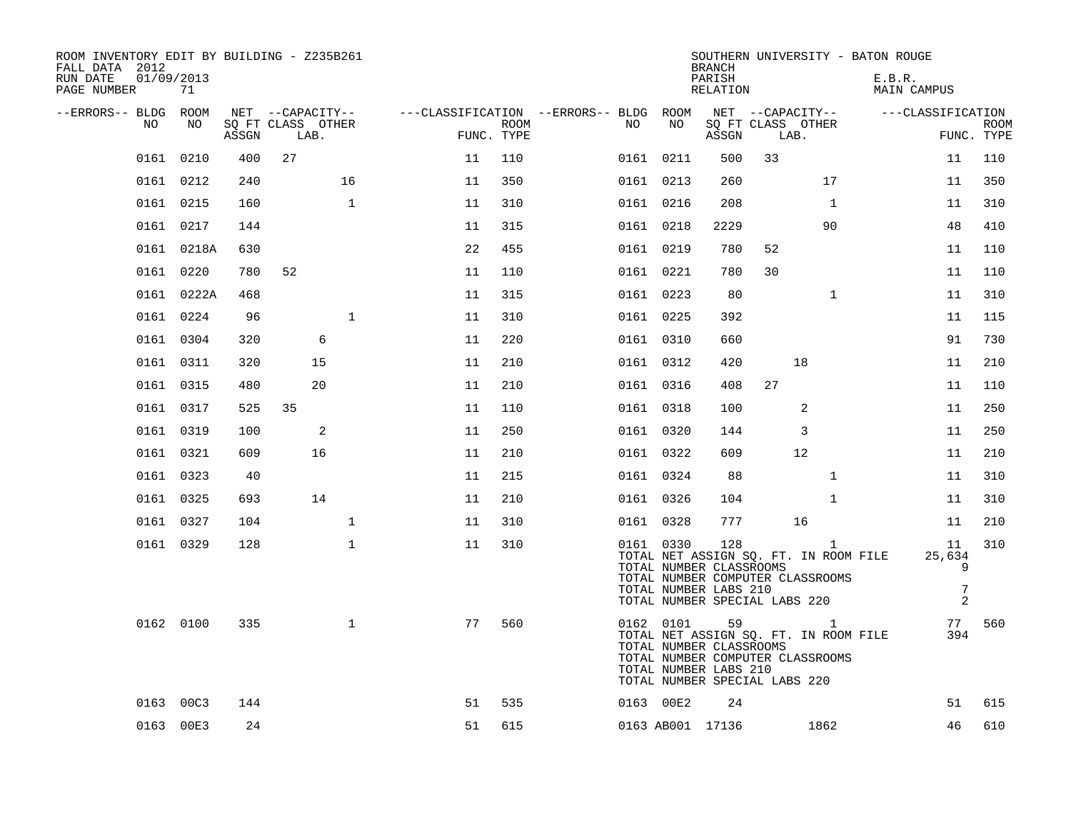| ROOM INVENTORY EDIT BY BUILDING - Z235B261<br>FALL DATA 2012<br>RUN DATE<br>PAGE NUMBER | 01/09/2013<br>71 |       |                           |              |                                        |                    |     |           | <b>BRANCH</b><br>PARISH<br>RELATION                                                      |      |                                                    | SOUTHERN UNIVERSITY - BATON ROUGE<br>E.B.R. | MAIN CAMPUS                                       |                           |
|-----------------------------------------------------------------------------------------|------------------|-------|---------------------------|--------------|----------------------------------------|--------------------|-----|-----------|------------------------------------------------------------------------------------------|------|----------------------------------------------------|---------------------------------------------|---------------------------------------------------|---------------------------|
| --ERRORS-- BLDG ROOM                                                                    |                  |       | NET --CAPACITY--          |              | ---CLASSIFICATION --ERRORS-- BLDG ROOM |                    |     |           |                                                                                          |      | NET --CAPACITY--                                   |                                             | ---CLASSIFICATION                                 |                           |
| NO.                                                                                     | NO.              | ASSGN | SQ FT CLASS OTHER<br>LAB. |              |                                        | ROOM<br>FUNC. TYPE | NO. | NO        | ASSGN                                                                                    | LAB. | SQ FT CLASS OTHER                                  |                                             |                                                   | <b>ROOM</b><br>FUNC. TYPE |
|                                                                                         | 0161 0210        | 400   | 27                        |              | 11                                     | 110                |     | 0161 0211 | 500                                                                                      | 33   |                                                    |                                             | 11                                                | 110                       |
|                                                                                         | 0161 0212        | 240   |                           | 16           | 11                                     | 350                |     | 0161 0213 | 260                                                                                      |      | 17                                                 |                                             | 11                                                | 350                       |
|                                                                                         | 0161 0215        | 160   |                           | $\mathbf 1$  | 11                                     | 310                |     | 0161 0216 | 208                                                                                      |      | $\mathbf{1}$                                       |                                             | 11                                                | 310                       |
|                                                                                         | 0161 0217        | 144   |                           |              | 11                                     | 315                |     | 0161 0218 | 2229                                                                                     |      | 90                                                 |                                             | 48                                                | 410                       |
|                                                                                         | 0161 0218A       | 630   |                           |              | 22                                     | 455                |     | 0161 0219 | 780                                                                                      | 52   |                                                    |                                             | 11                                                | 110                       |
|                                                                                         | 0161 0220        | 780   | 52                        |              | 11                                     | 110                |     | 0161 0221 | 780                                                                                      | 30   |                                                    |                                             | 11                                                | 110                       |
|                                                                                         | 0161 0222A       | 468   |                           |              | 11                                     | 315                |     | 0161 0223 | 80                                                                                       |      | $\mathbf{1}$                                       |                                             | 11                                                | 310                       |
|                                                                                         | 0161 0224        | 96    |                           | $\mathbf{1}$ | 11                                     | 310                |     | 0161 0225 | 392                                                                                      |      |                                                    |                                             | 11                                                | 115                       |
|                                                                                         | 0161 0304        | 320   | 6                         |              | 11                                     | 220                |     | 0161 0310 | 660                                                                                      |      |                                                    |                                             | 91                                                | 730                       |
|                                                                                         | 0161 0311        | 320   | 15                        |              | 11                                     | 210                |     | 0161 0312 | 420                                                                                      |      | 18                                                 |                                             | 11                                                | 210                       |
|                                                                                         | 0161 0315        | 480   | 20                        |              | 11                                     | 210                |     | 0161 0316 | 408                                                                                      | 27   |                                                    |                                             | 11                                                | 110                       |
|                                                                                         | 0161 0317        | 525   | 35                        |              | 11                                     | 110                |     | 0161 0318 | 100                                                                                      |      | 2                                                  |                                             | 11                                                | 250                       |
|                                                                                         | 0161 0319        | 100   | 2                         |              | 11                                     | 250                |     | 0161 0320 | 144                                                                                      |      | 3                                                  |                                             | 11                                                | 250                       |
|                                                                                         | 0161 0321        | 609   | 16                        |              | 11                                     | 210                |     | 0161 0322 | 609                                                                                      |      | 12                                                 |                                             | 11                                                | 210                       |
|                                                                                         | 0161 0323        | 40    |                           |              | 11                                     | 215                |     | 0161 0324 | 88                                                                                       |      | $\mathbf{1}$                                       |                                             | 11                                                | 310                       |
|                                                                                         | 0161 0325        | 693   | 14                        |              | 11                                     | 210                |     | 0161 0326 | 104                                                                                      |      | $\mathbf{1}$                                       |                                             | 11                                                | 310                       |
|                                                                                         | 0161 0327        | 104   |                           | $\mathbf{1}$ | 11                                     | 310                |     | 0161 0328 | 777                                                                                      |      | 16                                                 |                                             | 11                                                | 210                       |
|                                                                                         | 0161 0329        | 128   |                           | $\mathbf{1}$ | 11                                     | 310                |     | 0161 0330 | 128<br>TOTAL NUMBER CLASSROOMS<br>TOTAL NUMBER LABS 210<br>TOTAL NUMBER SPECIAL LABS 220 |      | $\mathbf{1}$<br>TOTAL NUMBER COMPUTER CLASSROOMS   | TOTAL NET ASSIGN SQ. FT. IN ROOM FILE       | 11<br>25,634<br>9<br>$\sqrt{ }$<br>$\overline{2}$ | 310                       |
|                                                                                         | 0162 0100        | 335   |                           | $\mathbf{1}$ | 77                                     | 560                |     | 0162 0101 | TOTAL NUMBER CLASSROOMS<br>TOTAL NUMBER LABS 210<br>TOTAL NUMBER SPECIAL LABS 220        | 59   | $\overline{1}$<br>TOTAL NUMBER COMPUTER CLASSROOMS | TOTAL NET ASSIGN SQ. FT. IN ROOM FILE       | 77<br>394                                         | 560                       |
|                                                                                         | 0163 00C3        | 144   |                           |              | 51                                     | 535                |     | 0163 00E2 | 24                                                                                       |      |                                                    |                                             | 51                                                | 615                       |
|                                                                                         | 0163 00E3        | 24    |                           |              | 51                                     | 615                |     |           | 0163 AB001 17136                                                                         |      | 1862                                               |                                             | 46                                                | 610                       |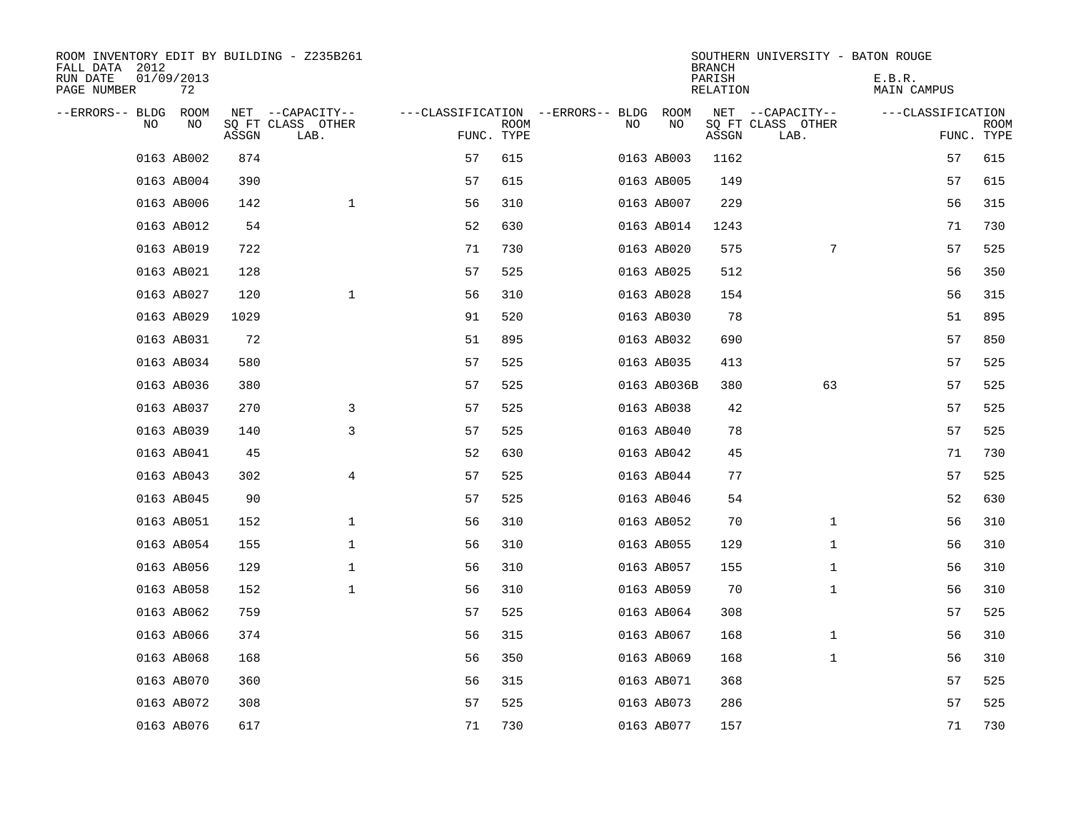| ROOM INVENTORY EDIT BY BUILDING - Z235B261<br>FALL DATA 2012 |                  |       |                           |            |             |                                        |             | <b>BRANCH</b>      | SOUTHERN UNIVERSITY - BATON ROUGE |                       |                    |
|--------------------------------------------------------------|------------------|-------|---------------------------|------------|-------------|----------------------------------------|-------------|--------------------|-----------------------------------|-----------------------|--------------------|
| RUN DATE<br>PAGE NUMBER                                      | 01/09/2013<br>72 |       |                           |            |             |                                        |             | PARISH<br>RELATION |                                   | E.B.R.<br>MAIN CAMPUS |                    |
| --ERRORS-- BLDG ROOM                                         |                  |       | NET --CAPACITY--          |            |             | ---CLASSIFICATION --ERRORS-- BLDG ROOM |             |                    | NET --CAPACITY--                  | ---CLASSIFICATION     |                    |
| NO                                                           | NO               | ASSGN | SQ FT CLASS OTHER<br>LAB. | FUNC. TYPE | <b>ROOM</b> | NO.                                    | NO          | ASSGN              | SQ FT CLASS OTHER<br>LAB.         |                       | ROOM<br>FUNC. TYPE |
|                                                              | 0163 AB002       | 874   |                           | 57         | 615         |                                        | 0163 AB003  | 1162               |                                   | 57                    | 615                |
|                                                              | 0163 AB004       | 390   |                           | 57         | 615         |                                        | 0163 AB005  | 149                |                                   | 57                    | 615                |
|                                                              | 0163 AB006       | 142   | $\mathbf 1$               | 56         | 310         |                                        | 0163 AB007  | 229                |                                   | 56                    | 315                |
|                                                              | 0163 AB012       | 54    |                           | 52         | 630         |                                        | 0163 AB014  | 1243               |                                   | 71                    | 730                |
|                                                              | 0163 AB019       | 722   |                           | 71         | 730         |                                        | 0163 AB020  | 575                | $7\phantom{.0}$                   | 57                    | 525                |
|                                                              | 0163 AB021       | 128   |                           | 57         | 525         |                                        | 0163 AB025  | 512                |                                   | 56                    | 350                |
|                                                              | 0163 AB027       | 120   | $\mathbf{1}$              | 56         | 310         |                                        | 0163 AB028  | 154                |                                   | 56                    | 315                |
|                                                              | 0163 AB029       | 1029  |                           | 91         | 520         |                                        | 0163 AB030  | 78                 |                                   | 51                    | 895                |
|                                                              | 0163 AB031       | 72    |                           | 51         | 895         |                                        | 0163 AB032  | 690                |                                   | 57                    | 850                |
|                                                              | 0163 AB034       | 580   |                           | 57         | 525         |                                        | 0163 AB035  | 413                |                                   | 57                    | 525                |
|                                                              | 0163 AB036       | 380   |                           | 57         | 525         |                                        | 0163 AB036B | 380                | 63                                | 57                    | 525                |
|                                                              | 0163 AB037       | 270   | 3                         | 57         | 525         |                                        | 0163 AB038  | 42                 |                                   | 57                    | 525                |
|                                                              | 0163 AB039       | 140   | 3                         | 57         | 525         |                                        | 0163 AB040  | 78                 |                                   | 57                    | 525                |
|                                                              | 0163 AB041       | 45    |                           | 52         | 630         |                                        | 0163 AB042  | 45                 |                                   | 71                    | 730                |
|                                                              | 0163 AB043       | 302   | $\overline{4}$            | 57         | 525         |                                        | 0163 AB044  | 77                 |                                   | 57                    | 525                |
|                                                              | 0163 AB045       | 90    |                           | 57         | 525         |                                        | 0163 AB046  | 54                 |                                   | 52                    | 630                |
|                                                              | 0163 AB051       | 152   | $\mathbf 1$               | 56         | 310         |                                        | 0163 AB052  | 70                 | $\mathbf{1}$                      | 56                    | 310                |
|                                                              | 0163 AB054       | 155   | $\mathbf 1$               | 56         | 310         |                                        | 0163 AB055  | 129                | $\mathbf{1}$                      | 56                    | 310                |
|                                                              | 0163 AB056       | 129   | $\mathbf 1$               | 56         | 310         |                                        | 0163 AB057  | 155                | $\mathbf{1}$                      | 56                    | 310                |
|                                                              | 0163 AB058       | 152   | $\mathbf 1$               | 56         | 310         |                                        | 0163 AB059  | 70                 | $\mathbf{1}$                      | 56                    | 310                |
|                                                              | 0163 AB062       | 759   |                           | 57         | 525         |                                        | 0163 AB064  | 308                |                                   | 57                    | 525                |
|                                                              | 0163 AB066       | 374   |                           | 56         | 315         |                                        | 0163 AB067  | 168                | $\mathbf{1}$                      | 56                    | 310                |
|                                                              | 0163 AB068       | 168   |                           | 56         | 350         |                                        | 0163 AB069  | 168                | $\mathbf{1}$                      | 56                    | 310                |
|                                                              | 0163 AB070       | 360   |                           | 56         | 315         |                                        | 0163 AB071  | 368                |                                   | 57                    | 525                |
|                                                              | 0163 AB072       | 308   |                           | 57         | 525         |                                        | 0163 AB073  | 286                |                                   | 57                    | 525                |
|                                                              | 0163 AB076       | 617   |                           | 71         | 730         |                                        | 0163 AB077  | 157                |                                   | 71                    | 730                |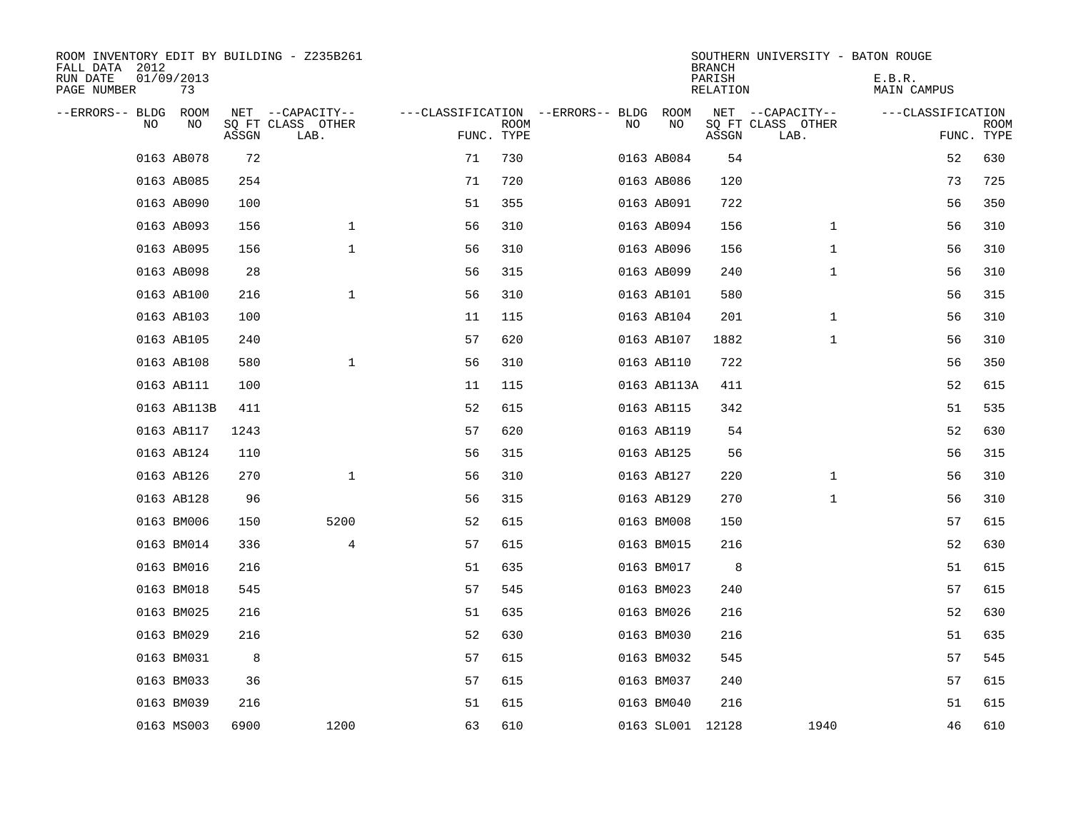| ROOM INVENTORY EDIT BY BUILDING - Z235B261<br>FALL DATA 2012 |                  |       |                           |            |             |                                        |            |             | <b>BRANCH</b>      | SOUTHERN UNIVERSITY - BATON ROUGE |                       |                    |
|--------------------------------------------------------------|------------------|-------|---------------------------|------------|-------------|----------------------------------------|------------|-------------|--------------------|-----------------------------------|-----------------------|--------------------|
| RUN DATE<br>PAGE NUMBER                                      | 01/09/2013<br>73 |       |                           |            |             |                                        |            |             | PARISH<br>RELATION |                                   | E.B.R.<br>MAIN CAMPUS |                    |
| --ERRORS-- BLDG ROOM                                         |                  |       | NET --CAPACITY--          |            |             | ---CLASSIFICATION --ERRORS-- BLDG ROOM |            |             |                    | NET --CAPACITY--                  | ---CLASSIFICATION     |                    |
| NO.                                                          | NO               | ASSGN | SQ FT CLASS OTHER<br>LAB. | FUNC. TYPE | <b>ROOM</b> | NO.                                    |            | NO          | ASSGN              | SQ FT CLASS OTHER<br>LAB.         |                       | ROOM<br>FUNC. TYPE |
|                                                              | 0163 AB078       | 72    |                           | 71         | 730         |                                        | 0163 AB084 |             | 54                 |                                   | 52                    | 630                |
|                                                              | 0163 AB085       | 254   |                           | 71         | 720         |                                        | 0163 AB086 |             | 120                |                                   | 73                    | 725                |
|                                                              | 0163 AB090       | 100   |                           | 51         | 355         |                                        | 0163 AB091 |             | 722                |                                   | 56                    | 350                |
|                                                              | 0163 AB093       | 156   | $\mathbf 1$               | 56         | 310         |                                        | 0163 AB094 |             | 156                | $\mathbf{1}$                      | 56                    | 310                |
|                                                              | 0163 AB095       | 156   | $\mathbf{1}$              | 56         | 310         |                                        | 0163 AB096 |             | 156                | $\mathbf{1}$                      | 56                    | 310                |
|                                                              | 0163 AB098       | 28    |                           | 56         | 315         |                                        | 0163 AB099 |             | 240                | $\mathbf{1}$                      | 56                    | 310                |
|                                                              | 0163 AB100       | 216   | $\mathbf{1}$              | 56         | 310         |                                        | 0163 AB101 |             | 580                |                                   | 56                    | 315                |
|                                                              | 0163 AB103       | 100   |                           | 11         | 115         |                                        | 0163 AB104 |             | 201                | $\mathbf{1}$                      | 56                    | 310                |
|                                                              | 0163 AB105       | 240   |                           | 57         | 620         |                                        | 0163 AB107 |             | 1882               | $\mathbf{1}$                      | 56                    | 310                |
|                                                              | 0163 AB108       | 580   | $\mathbf{1}$              | 56         | 310         |                                        | 0163 AB110 |             | 722                |                                   | 56                    | 350                |
|                                                              | 0163 AB111       | 100   |                           | 11         | 115         |                                        |            | 0163 AB113A | 411                |                                   | 52                    | 615                |
|                                                              | 0163 AB113B      | 411   |                           | 52         | 615         |                                        | 0163 AB115 |             | 342                |                                   | 51                    | 535                |
|                                                              | 0163 AB117       | 1243  |                           | 57         | 620         |                                        | 0163 AB119 |             | 54                 |                                   | 52                    | 630                |
|                                                              | 0163 AB124       | 110   |                           | 56         | 315         |                                        | 0163 AB125 |             | 56                 |                                   | 56                    | 315                |
|                                                              | 0163 AB126       | 270   | $\mathbf 1$               | 56         | 310         |                                        | 0163 AB127 |             | 220                | $\mathbf{1}$                      | 56                    | 310                |
|                                                              | 0163 AB128       | 96    |                           | 56         | 315         |                                        | 0163 AB129 |             | 270                | $\mathbf{1}$                      | 56                    | 310                |
|                                                              | 0163 BM006       | 150   | 5200                      | 52         | 615         |                                        | 0163 BM008 |             | 150                |                                   | 57                    | 615                |
|                                                              | 0163 BM014       | 336   | $\overline{4}$            | 57         | 615         |                                        | 0163 BM015 |             | 216                |                                   | 52                    | 630                |
|                                                              | 0163 BM016       | 216   |                           | 51         | 635         |                                        | 0163 BM017 |             | 8                  |                                   | 51                    | 615                |
|                                                              | 0163 BM018       | 545   |                           | 57         | 545         |                                        | 0163 BM023 |             | 240                |                                   | 57                    | 615                |
|                                                              | 0163 BM025       | 216   |                           | 51         | 635         |                                        | 0163 BM026 |             | 216                |                                   | 52                    | 630                |
|                                                              | 0163 BM029       | 216   |                           | 52         | 630         |                                        | 0163 BM030 |             | 216                |                                   | 51                    | 635                |
|                                                              | 0163 BM031       | 8     |                           | 57         | 615         |                                        | 0163 BM032 |             | 545                |                                   | 57                    | 545                |
|                                                              | 0163 BM033       | 36    |                           | 57         | 615         |                                        | 0163 BM037 |             | 240                |                                   | 57                    | 615                |
|                                                              | 0163 BM039       | 216   |                           | 51         | 615         |                                        | 0163 BM040 |             | 216                |                                   | 51                    | 615                |
|                                                              | 0163 MS003       | 6900  | 1200                      | 63         | 610         |                                        |            |             | 0163 SL001 12128   | 1940                              | 46                    | 610                |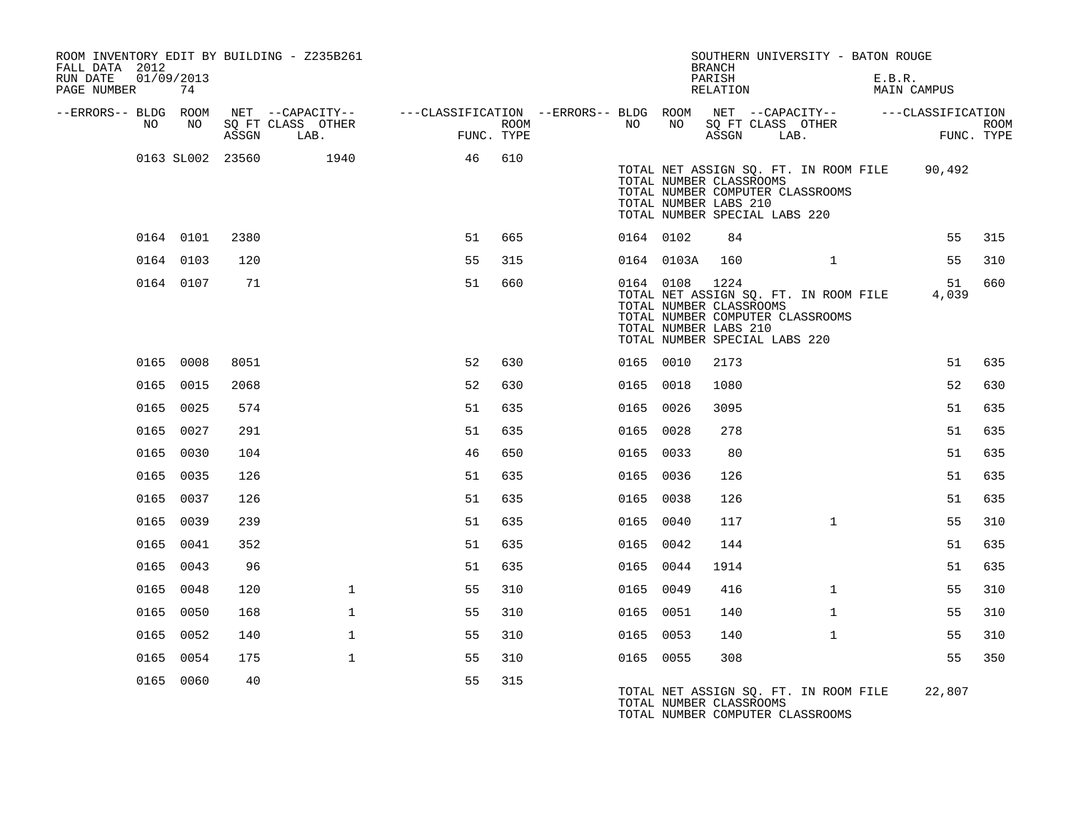| FALL DATA 2012          |    |                  |                  | ROOM INVENTORY EDIT BY BUILDING - Z235B261 |                                                                             |            |           |                | <b>BRANCH</b>                                                                     | SOUTHERN UNIVERSITY - BATON ROUGE                                         |                                              |             |
|-------------------------|----|------------------|------------------|--------------------------------------------|-----------------------------------------------------------------------------|------------|-----------|----------------|-----------------------------------------------------------------------------------|---------------------------------------------------------------------------|----------------------------------------------|-------------|
| RUN DATE<br>PAGE NUMBER |    | 01/09/2013<br>74 |                  |                                            |                                                                             |            |           |                | PARISH<br>RELATION                                                                |                                                                           | E.B.R.<br>MAIN CAMPUS                        |             |
| --ERRORS-- BLDG ROOM    | NO | NO               |                  | NET --CAPACITY--<br>SQ FT CLASS OTHER      | ---CLASSIFICATION --ERRORS-- BLDG ROOM NET --CAPACITY-- -----CLASSIFICATION | ROOM       | NO        | NO 11          |                                                                                   | SQ FT CLASS OTHER                                                         |                                              | <b>ROOM</b> |
|                         |    |                  | ASSGN            | LAB.                                       |                                                                             | FUNC. TYPE |           |                | ASSGN                                                                             | LAB.                                                                      |                                              | FUNC. TYPE  |
|                         |    |                  | 0163 SL002 23560 | 1940                                       | 46                                                                          | 610        |           |                | TOTAL NUMBER CLASSROOMS<br>TOTAL NUMBER LABS 210<br>TOTAL NUMBER SPECIAL LABS 220 | TOTAL NUMBER COMPUTER CLASSROOMS                                          | TOTAL NET ASSIGN SQ. FT. IN ROOM FILE 90,492 |             |
|                         |    | 0164 0101        | 2380             |                                            | 51                                                                          | 665        | 0164 0102 |                | 84                                                                                |                                                                           | 55                                           | 315         |
|                         |    | 0164 0103        | 120              |                                            | 55                                                                          | 315        |           | 0164 0103A     | 160                                                                               | $\mathbf{1}$                                                              | 55                                           | 310         |
|                         |    | 0164 0107        | 71               |                                            | 51                                                                          | 660        |           | 0164 0108 1224 | TOTAL NUMBER CLASSROOMS<br>TOTAL NUMBER LABS 210<br>TOTAL NUMBER SPECIAL LABS 220 | TOTAL NET ASSIGN SQ. FT. IN ROOM FILE<br>TOTAL NUMBER COMPUTER CLASSROOMS | 51<br>4,039                                  | 660         |
|                         |    | 0165 0008        | 8051             |                                            | 52                                                                          | 630        | 0165 0010 |                | 2173                                                                              |                                                                           | 51                                           | 635         |
|                         |    | 0165 0015        | 2068             |                                            | 52                                                                          | 630        | 0165 0018 |                | 1080                                                                              |                                                                           | 52                                           | 630         |
|                         |    | 0165 0025        | 574              |                                            | 51                                                                          | 635        | 0165 0026 |                | 3095                                                                              |                                                                           | 51                                           | 635         |
|                         |    | 0165 0027        | 291              |                                            | 51                                                                          | 635        | 0165 0028 |                | 278                                                                               |                                                                           | 51                                           | 635         |
|                         |    | 0165 0030        | 104              |                                            | 46                                                                          | 650        | 0165 0033 |                | 80                                                                                |                                                                           | 51                                           | 635         |
|                         |    | 0165 0035        | 126              |                                            | 51                                                                          | 635        | 0165 0036 |                | 126                                                                               |                                                                           | 51                                           | 635         |
|                         |    | 0165 0037        | 126              |                                            | 51                                                                          | 635        | 0165 0038 |                | 126                                                                               |                                                                           | 51                                           | 635         |
|                         |    | 0165 0039        | 239              |                                            | 51                                                                          | 635        | 0165 0040 |                | 117                                                                               | $\mathbf{1}$                                                              | 55                                           | 310         |
|                         |    | 0165 0041        | 352              |                                            | 51                                                                          | 635        | 0165 0042 |                | 144                                                                               |                                                                           | 51                                           | 635         |
|                         |    | 0165 0043        | 96               |                                            | 51                                                                          | 635        | 0165 0044 |                | 1914                                                                              |                                                                           | 51                                           | 635         |
|                         |    | 0165 0048        | 120              | $\mathbf{1}$                               | 55                                                                          | 310        | 0165 0049 |                | 416                                                                               | $\mathbf{1}$                                                              | 55                                           | 310         |
|                         |    | 0165 0050        | 168              | $\mathbf{1}$                               | 55                                                                          | 310        | 0165 0051 |                | 140                                                                               | $\mathbf{1}$                                                              | 55                                           | 310         |
|                         |    | 0165 0052        | 140              | $\mathbf 1$                                | 55                                                                          | 310        | 0165 0053 |                | 140                                                                               | $\mathbf{1}$                                                              | 55                                           | 310         |
|                         |    | 0165 0054        | 175              | $\mathbf{1}$                               | 55                                                                          | 310        | 0165 0055 |                | 308                                                                               |                                                                           | 55                                           | 350         |
|                         |    | 0165 0060        | 40               |                                            | 55                                                                          | 315        |           |                | TOTAL NUMBER CLASSROOMS                                                           | TOTAL NET ASSIGN SQ. FT. IN ROOM FILE<br>TOTAL NUMBER COMPUTER CLASSROOMS | 22,807                                       |             |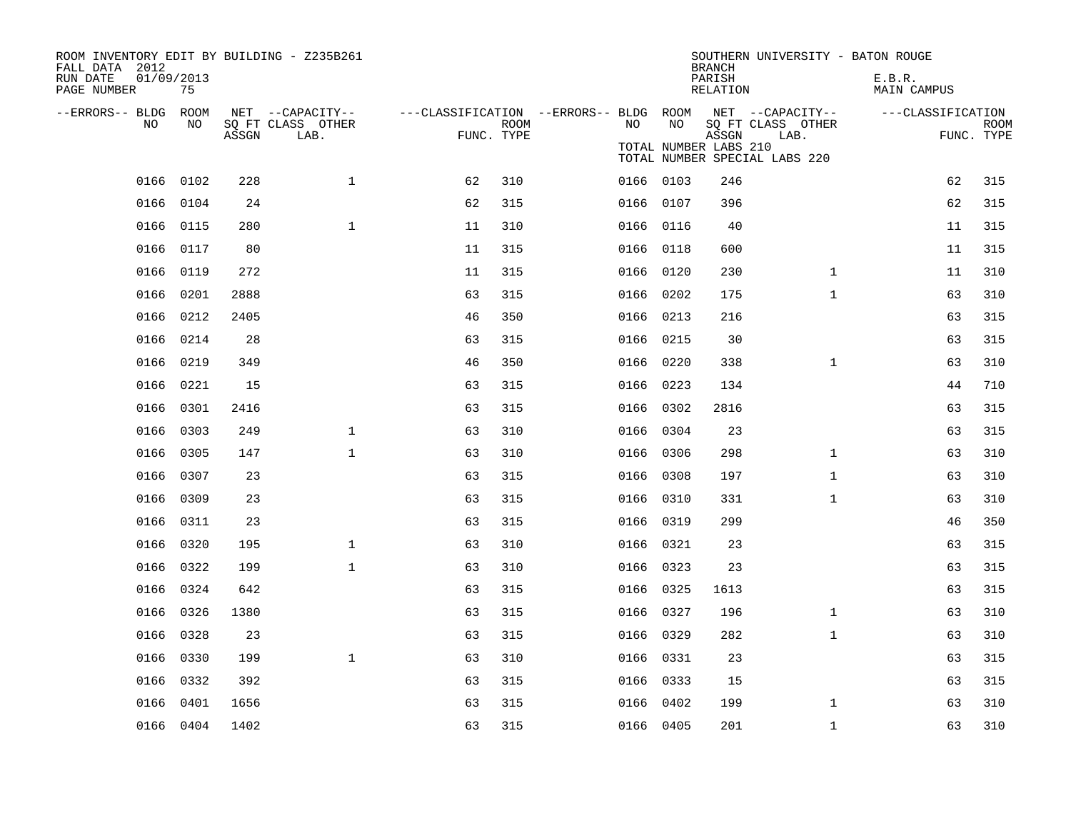| ROOM INVENTORY EDIT BY BUILDING - Z235B261<br>FALL DATA 2012<br>RUN DATE<br>PAGE NUMBER | 01/09/2013<br>75 |       |                                               |                                                      |      |           |                              | <b>BRANCH</b><br>PARISH<br>RELATION | SOUTHERN UNIVERSITY - BATON ROUGE                                              | E.B.R.<br>MAIN CAMPUS |    |                           |
|-----------------------------------------------------------------------------------------|------------------|-------|-----------------------------------------------|------------------------------------------------------|------|-----------|------------------------------|-------------------------------------|--------------------------------------------------------------------------------|-----------------------|----|---------------------------|
| --ERRORS-- BLDG ROOM<br>NO.                                                             | NO.              | ASSGN | NET --CAPACITY--<br>SO FT CLASS OTHER<br>LAB. | ---CLASSIFICATION --ERRORS-- BLDG ROOM<br>FUNC. TYPE | ROOM | NO.       | NO.<br>TOTAL NUMBER LABS 210 | ASSGN                               | NET --CAPACITY--<br>SQ FT CLASS OTHER<br>LAB.<br>TOTAL NUMBER SPECIAL LABS 220 | ---CLASSIFICATION     |    | <b>ROOM</b><br>FUNC. TYPE |
|                                                                                         | 0166 0102        | 228   | $\mathbf{1}$                                  | 62                                                   | 310  | 0166 0103 |                              | 246                                 |                                                                                |                       | 62 | 315                       |
| 0166                                                                                    | 0104             | 24    |                                               | 62                                                   | 315  | 0166 0107 |                              | 396                                 |                                                                                |                       | 62 | 315                       |
|                                                                                         | 0166 0115        | 280   | $\mathbf{1}$                                  | 11                                                   | 310  | 0166 0116 |                              | 40                                  |                                                                                |                       | 11 | 315                       |
| 0166                                                                                    | 0117             | 80    |                                               | 11                                                   | 315  | 0166 0118 |                              | 600                                 |                                                                                |                       | 11 | 315                       |
|                                                                                         | 0166 0119        | 272   |                                               | 11                                                   | 315  | 0166 0120 |                              | 230                                 | $\mathbf{1}$                                                                   |                       | 11 | 310                       |
| 0166                                                                                    | 0201             | 2888  |                                               | 63                                                   | 315  | 0166 0202 |                              | 175                                 | $\mathbf{1}$                                                                   |                       | 63 | 310                       |
|                                                                                         | 0166 0212        | 2405  |                                               | 46                                                   | 350  | 0166 0213 |                              | 216                                 |                                                                                |                       | 63 | 315                       |
| 0166                                                                                    | 0214             | 28    |                                               | 63                                                   | 315  | 0166      | 0215                         | 30                                  |                                                                                |                       | 63 | 315                       |
|                                                                                         | 0166 0219        | 349   |                                               | 46                                                   | 350  | 0166 0220 |                              | 338                                 | $\mathbf{1}$                                                                   |                       | 63 | 310                       |
| 0166                                                                                    | 0221             | 15    |                                               | 63                                                   | 315  | 0166      | 0223                         | 134                                 |                                                                                |                       | 44 | 710                       |
|                                                                                         | 0166 0301        | 2416  |                                               | 63                                                   | 315  | 0166 0302 |                              | 2816                                |                                                                                |                       | 63 | 315                       |
| 0166                                                                                    | 0303             | 249   | $\mathbf{1}$                                  | 63                                                   | 310  | 0166      | 0304                         | 23                                  |                                                                                |                       | 63 | 315                       |
| 0166                                                                                    | 0305             | 147   | $\mathbf{1}$                                  | 63                                                   | 310  | 0166 0306 |                              | 298                                 | $\mathbf{1}$                                                                   |                       | 63 | 310                       |
|                                                                                         | 0166 0307        | 23    |                                               | 63                                                   | 315  | 0166 0308 |                              | 197                                 | $\mathbf{1}$                                                                   |                       | 63 | 310                       |
|                                                                                         | 0166 0309        | 23    |                                               | 63                                                   | 315  | 0166 0310 |                              | 331                                 | $\mathbf{1}$                                                                   |                       | 63 | 310                       |
|                                                                                         | 0166 0311        | 23    |                                               | 63                                                   | 315  | 0166 0319 |                              | 299                                 |                                                                                |                       | 46 | 350                       |
| 0166                                                                                    | 0320             | 195   | $\mathbf{1}$                                  | 63                                                   | 310  | 0166 0321 |                              | 23                                  |                                                                                |                       | 63 | 315                       |
|                                                                                         | 0166 0322        | 199   | $\mathbf{1}$                                  | 63                                                   | 310  | 0166 0323 |                              | 23                                  |                                                                                |                       | 63 | 315                       |
|                                                                                         | 0166 0324        | 642   |                                               | 63                                                   | 315  | 0166 0325 |                              | 1613                                |                                                                                |                       | 63 | 315                       |
|                                                                                         | 0166 0326        | 1380  |                                               | 63                                                   | 315  | 0166 0327 |                              | 196                                 | $\mathbf{1}$                                                                   |                       | 63 | 310                       |
| 0166                                                                                    | 0328             | 23    |                                               | 63                                                   | 315  | 0166      | 0329                         | 282                                 | $\mathbf{1}$                                                                   |                       | 63 | 310                       |
| 0166                                                                                    | 0330             | 199   | $\mathbf{1}$                                  | 63                                                   | 310  | 0166 0331 |                              | 23                                  |                                                                                |                       | 63 | 315                       |
| 0166                                                                                    | 0332             | 392   |                                               | 63                                                   | 315  | 0166 0333 |                              | 15                                  |                                                                                |                       | 63 | 315                       |
| 0166                                                                                    | 0401             | 1656  |                                               | 63                                                   | 315  | 0166 0402 |                              | 199                                 | $\mathbf{1}$                                                                   |                       | 63 | 310                       |
|                                                                                         | 0166 0404        | 1402  |                                               | 63                                                   | 315  | 0166 0405 |                              | 201                                 | $\mathbf{1}$                                                                   |                       | 63 | 310                       |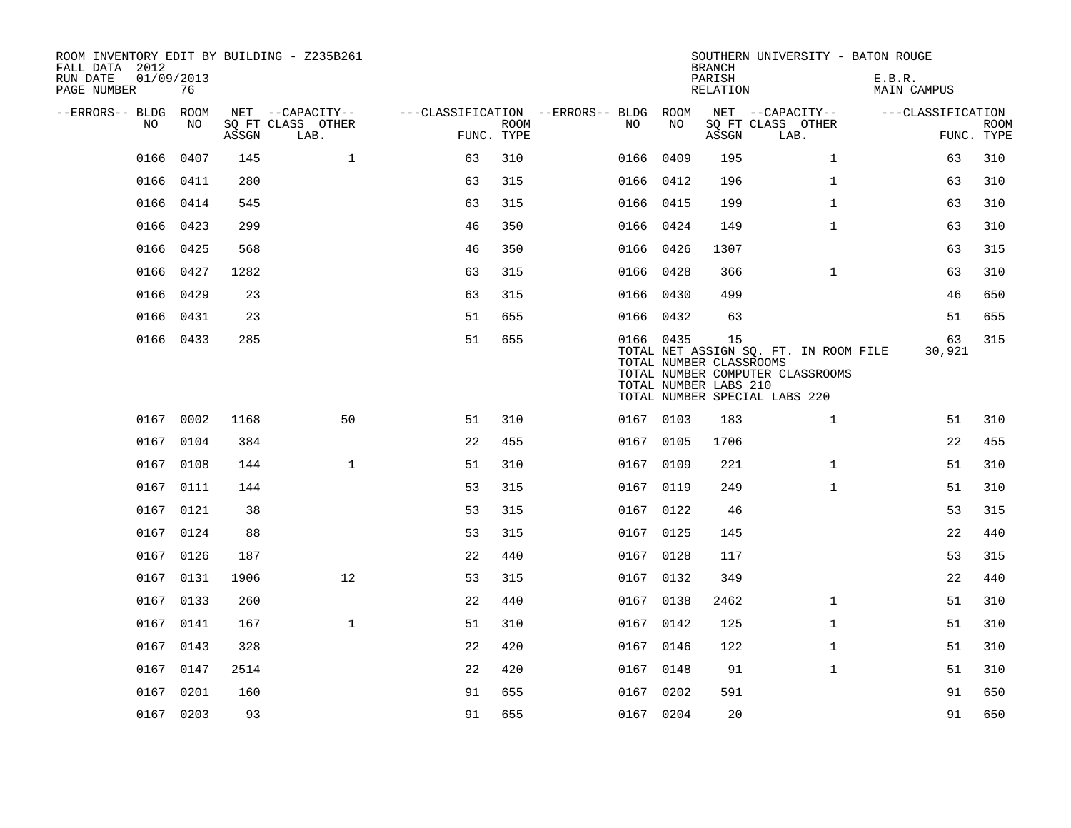| ROOM INVENTORY EDIT BY BUILDING - Z235B261<br>FALL DATA 2012<br>RUN DATE<br>PAGE NUMBER | 01/09/2013<br>76 |       |                           |            |             |                                        |           | <b>BRANCH</b><br>PARISH<br>RELATION                    | SOUTHERN UNIVERSITY - BATON ROUGE                                                                          | E.B.R.<br><b>MAIN CAMPUS</b> |                           |
|-----------------------------------------------------------------------------------------|------------------|-------|---------------------------|------------|-------------|----------------------------------------|-----------|--------------------------------------------------------|------------------------------------------------------------------------------------------------------------|------------------------------|---------------------------|
| --ERRORS-- BLDG ROOM                                                                    |                  |       | NET --CAPACITY--          |            |             | ---CLASSIFICATION --ERRORS-- BLDG ROOM |           |                                                        | NET --CAPACITY--                                                                                           | ---CLASSIFICATION            |                           |
| NO                                                                                      | NO               | ASSGN | SQ FT CLASS OTHER<br>LAB. | FUNC. TYPE | <b>ROOM</b> | NO                                     | NO        | ASSGN                                                  | SQ FT CLASS OTHER<br>LAB.                                                                                  |                              | <b>ROOM</b><br>FUNC. TYPE |
| 0166                                                                                    | 0407             | 145   | $\mathbf{1}$              | 63         | 310         |                                        | 0166 0409 | 195                                                    | $\mathbf{1}$                                                                                               | 63                           | 310                       |
|                                                                                         | 0166 0411        | 280   |                           | 63         | 315         |                                        | 0166 0412 | 196                                                    | $\mathbf{1}$                                                                                               | 63                           | 310                       |
|                                                                                         | 0166 0414        | 545   |                           | 63         | 315         |                                        | 0166 0415 | 199                                                    | $\mathbf{1}$                                                                                               | 63                           | 310                       |
| 0166                                                                                    | 0423             | 299   |                           | 46         | 350         |                                        | 0166 0424 | 149                                                    | $\mathbf{1}$                                                                                               | 63                           | 310                       |
|                                                                                         | 0166 0425        | 568   |                           | 46         | 350         |                                        | 0166 0426 | 1307                                                   |                                                                                                            | 63                           | 315                       |
| 0166                                                                                    | 0427             | 1282  |                           | 63         | 315         |                                        | 0166 0428 | 366                                                    | $\mathbf{1}$                                                                                               | 63                           | 310                       |
|                                                                                         | 0166 0429        | 23    |                           | 63         | 315         |                                        | 0166 0430 | 499                                                    |                                                                                                            | 46                           | 650                       |
| 0166                                                                                    | 0431             | 23    |                           | 51         | 655         |                                        | 0166 0432 | 63                                                     |                                                                                                            | 51                           | 655                       |
|                                                                                         | 0166 0433        | 285   |                           | 51         | 655         |                                        | 0166 0435 | 15<br>TOTAL NUMBER CLASSROOMS<br>TOTAL NUMBER LABS 210 | TOTAL NET ASSIGN SQ. FT. IN ROOM FILE<br>TOTAL NUMBER COMPUTER CLASSROOMS<br>TOTAL NUMBER SPECIAL LABS 220 | 63<br>30,921                 | 315                       |
|                                                                                         | 0167 0002        | 1168  | 50                        | 51         | 310         |                                        | 0167 0103 | 183                                                    | $\mathbf{1}$                                                                                               | 51                           | 310                       |
|                                                                                         | 0167 0104        | 384   |                           | 22         | 455         |                                        | 0167 0105 | 1706                                                   |                                                                                                            | 22                           | 455                       |
|                                                                                         | 0167 0108        | 144   | $\mathbf{1}$              | 51         | 310         |                                        | 0167 0109 | 221                                                    | $\mathbf{1}$                                                                                               | 51                           | 310                       |
|                                                                                         | 0167 0111        | 144   |                           | 53         | 315         |                                        | 0167 0119 | 249                                                    | $\mathbf{1}$                                                                                               | 51                           | 310                       |
|                                                                                         | 0167 0121        | 38    |                           | 53         | 315         |                                        | 0167 0122 | 46                                                     |                                                                                                            | 53                           | 315                       |
|                                                                                         | 0167 0124        | 88    |                           | 53         | 315         |                                        | 0167 0125 | 145                                                    |                                                                                                            | 22                           | 440                       |
|                                                                                         | 0167 0126        | 187   |                           | 22         | 440         |                                        | 0167 0128 | 117                                                    |                                                                                                            | 53                           | 315                       |
|                                                                                         | 0167 0131        | 1906  | 12                        | 53         | 315         |                                        | 0167 0132 | 349                                                    |                                                                                                            | 22                           | 440                       |
|                                                                                         | 0167 0133        | 260   |                           | 22         | 440         |                                        | 0167 0138 | 2462                                                   | $\mathbf{1}$                                                                                               | 51                           | 310                       |
|                                                                                         | 0167 0141        | 167   | $\mathbf{1}$              | 51         | 310         |                                        | 0167 0142 | 125                                                    | $\mathbf{1}$                                                                                               | 51                           | 310                       |
|                                                                                         | 0167 0143        | 328   |                           | 22         | 420         |                                        | 0167 0146 | 122                                                    | $\mathbf{1}$                                                                                               | 51                           | 310                       |
|                                                                                         | 0167 0147        | 2514  |                           | 22         | 420         |                                        | 0167 0148 | 91                                                     | $\mathbf{1}$                                                                                               | 51                           | 310                       |
|                                                                                         | 0167 0201        | 160   |                           | 91         | 655         |                                        | 0167 0202 | 591                                                    |                                                                                                            | 91                           | 650                       |
|                                                                                         | 0167 0203        | 93    |                           | 91         | 655         |                                        | 0167 0204 | 20                                                     |                                                                                                            | 91                           | 650                       |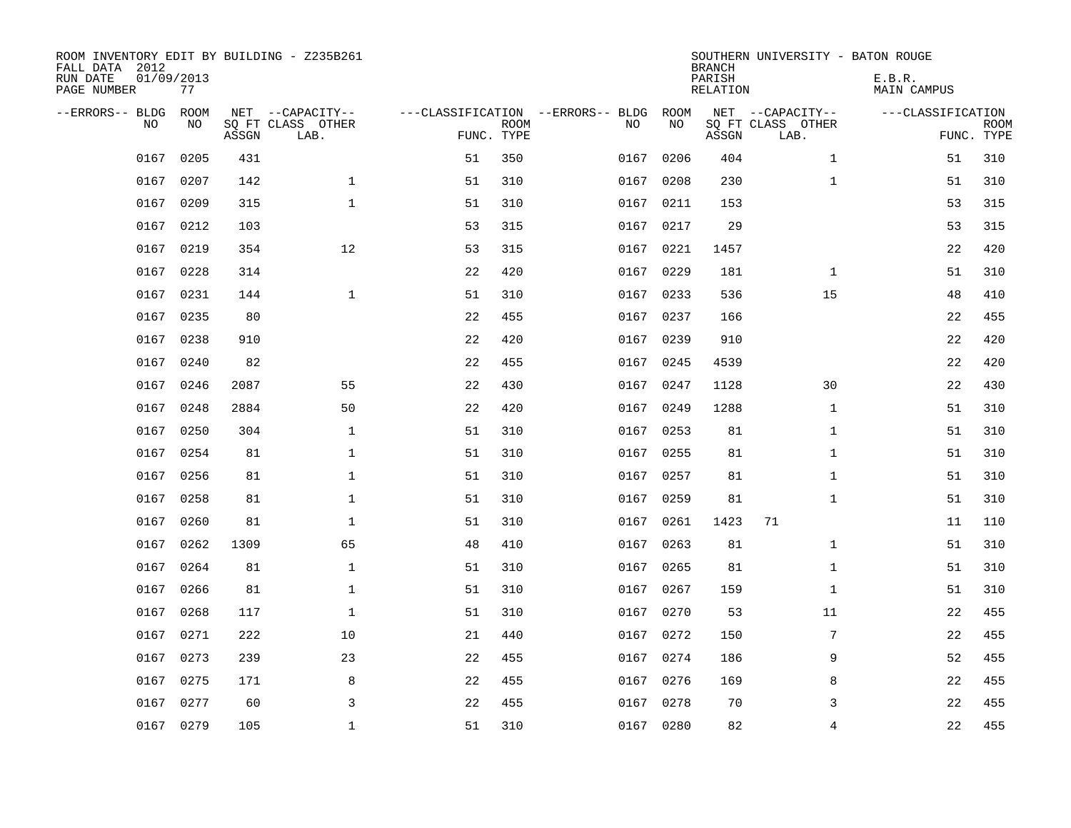| ROOM INVENTORY EDIT BY BUILDING - Z235B261<br>FALL DATA 2012<br>RUN DATE<br>PAGE NUMBER | 01/09/2013<br>77  |       |                                               |    |                           |                                         |            | <b>BRANCH</b><br>PARISH<br><b>RELATION</b> | SOUTHERN UNIVERSITY - BATON ROUGE             | E.B.R.<br><b>MAIN CAMPUS</b> |                           |
|-----------------------------------------------------------------------------------------|-------------------|-------|-----------------------------------------------|----|---------------------------|-----------------------------------------|------------|--------------------------------------------|-----------------------------------------------|------------------------------|---------------------------|
| --ERRORS-- BLDG<br>NO.                                                                  | <b>ROOM</b><br>NO | ASSGN | NET --CAPACITY--<br>SQ FT CLASS OTHER<br>LAB. |    | <b>ROOM</b><br>FUNC. TYPE | ---CLASSIFICATION --ERRORS-- BLDG<br>NO | ROOM<br>NO | ASSGN                                      | NET --CAPACITY--<br>SQ FT CLASS OTHER<br>LAB. | ---CLASSIFICATION            | <b>ROOM</b><br>FUNC. TYPE |
| 0167                                                                                    | 0205              | 431   |                                               | 51 | 350                       | 0167                                    | 0206       | 404                                        | $\mathbf{1}$                                  | 51                           | 310                       |
| 0167                                                                                    | 0207              | 142   | $\mathbf{1}$                                  | 51 | 310                       | 0167                                    | 0208       | 230                                        | $\mathbf{1}$                                  | 51                           | 310                       |
| 0167                                                                                    | 0209              | 315   | $\mathbf{1}$                                  | 51 | 310                       | 0167                                    | 0211       | 153                                        |                                               | 53                           | 315                       |
|                                                                                         | 0167 0212         | 103   |                                               | 53 | 315                       |                                         | 0167 0217  | 29                                         |                                               | 53                           | 315                       |
| 0167                                                                                    | 0219              | 354   | 12                                            | 53 | 315                       | 0167                                    | 0221       | 1457                                       |                                               | 22                           | 420                       |
|                                                                                         | 0167 0228         | 314   |                                               | 22 | 420                       |                                         | 0167 0229  | 181                                        | $\mathbf{1}$                                  | 51                           | 310                       |
| 0167                                                                                    | 0231              | 144   | $\mathbf{1}$                                  | 51 | 310                       | 0167                                    | 0233       | 536                                        | 15                                            | 48                           | 410                       |
|                                                                                         | 0167 0235         | 80    |                                               | 22 | 455                       |                                         | 0167 0237  | 166                                        |                                               | 22                           | 455                       |
| 0167                                                                                    | 0238              | 910   |                                               | 22 | 420                       | 0167                                    | 0239       | 910                                        |                                               | 22                           | 420                       |
|                                                                                         | 0167 0240         | 82    |                                               | 22 | 455                       |                                         | 0167 0245  | 4539                                       |                                               | 22                           | 420                       |
| 0167                                                                                    | 0246              | 2087  | 55                                            | 22 | 430                       | 0167                                    | 0247       | 1128                                       | 30                                            | 22                           | 430                       |
|                                                                                         | 0167 0248         | 2884  | 50                                            | 22 | 420                       |                                         | 0167 0249  | 1288                                       | $\mathbf{1}$                                  | 51                           | 310                       |
| 0167                                                                                    | 0250              | 304   | 1                                             | 51 | 310                       | 0167                                    | 0253       | 81                                         | $\mathbf{1}$                                  | 51                           | 310                       |
| 0167                                                                                    | 0254              | 81    | $\mathbf{1}$                                  | 51 | 310                       | 0167                                    | 0255       | 81                                         | $\mathbf{1}$                                  | 51                           | 310                       |
| 0167                                                                                    | 0256              | 81    | $\mathbf 1$                                   | 51 | 310                       | 0167                                    | 0257       | 81                                         | $\mathbf{1}$                                  | 51                           | 310                       |
| 0167                                                                                    | 0258              | 81    | $\mathbf{1}$                                  | 51 | 310                       | 0167                                    | 0259       | 81                                         | $\mathbf{1}$                                  | 51                           | 310                       |
| 0167                                                                                    | 0260              | 81    | $\mathbf{1}$                                  | 51 | 310                       | 0167                                    | 0261       | 1423                                       | 71                                            | 11                           | 110                       |
| 0167                                                                                    | 0262              | 1309  | 65                                            | 48 | 410                       | 0167                                    | 0263       | 81                                         | $\mathbf{1}$                                  | 51                           | 310                       |
| 0167                                                                                    | 0264              | 81    | $\mathbf{1}$                                  | 51 | 310                       |                                         | 0167 0265  | 81                                         | $\mathbf{1}$                                  | 51                           | 310                       |
| 0167                                                                                    | 0266              | 81    | $\mathbf{1}$                                  | 51 | 310                       | 0167                                    | 0267       | 159                                        | $\mathbf{1}$                                  | 51                           | 310                       |
| 0167                                                                                    | 0268              | 117   | $\mathbf 1$                                   | 51 | 310                       |                                         | 0167 0270  | 53                                         | 11                                            | 22                           | 455                       |
| 0167                                                                                    | 0271              | 222   | 10                                            | 21 | 440                       | 0167                                    | 0272       | 150                                        | 7                                             | 22                           | 455                       |
| 0167                                                                                    | 0273              | 239   | 23                                            | 22 | 455                       |                                         | 0167 0274  | 186                                        | 9                                             | 52                           | 455                       |
| 0167                                                                                    | 0275              | 171   | 8                                             | 22 | 455                       | 0167                                    | 0276       | 169                                        | 8                                             | 22                           | 455                       |
| 0167                                                                                    | 0277              | 60    | 3                                             | 22 | 455                       | 0167                                    | 0278       | 70                                         | 3                                             | 22                           | 455                       |
|                                                                                         | 0167 0279         | 105   | $\mathbf{1}$                                  | 51 | 310                       |                                         | 0167 0280  | 82                                         | $\overline{4}$                                | 22                           | 455                       |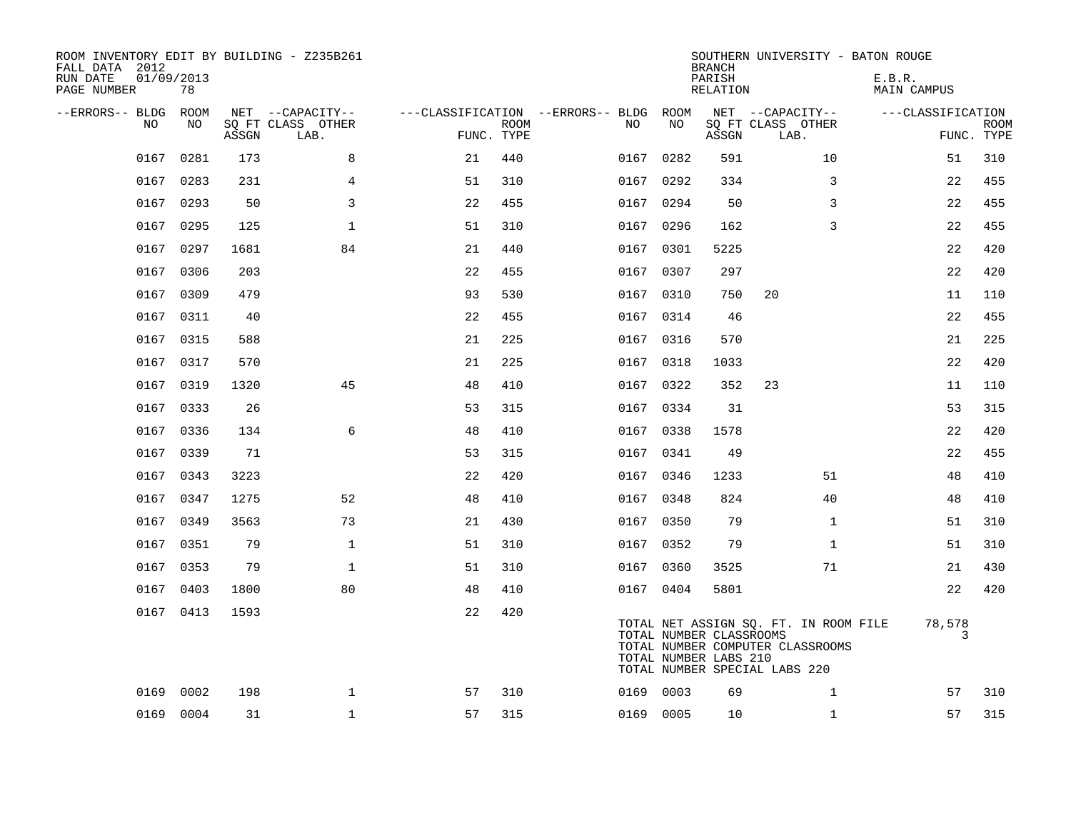| ROOM INVENTORY EDIT BY BUILDING - Z235B261<br>FALL DATA 2012<br>RUN DATE<br>PAGE NUMBER | 01/09/2013<br>78 |       |                           |            |             |                                        |           | <b>BRANCH</b><br>PARISH<br>RELATION              | SOUTHERN UNIVERSITY - BATON ROUGE                                                                          | E.B.R.<br><b>MAIN CAMPUS</b> |                           |
|-----------------------------------------------------------------------------------------|------------------|-------|---------------------------|------------|-------------|----------------------------------------|-----------|--------------------------------------------------|------------------------------------------------------------------------------------------------------------|------------------------------|---------------------------|
| --ERRORS-- BLDG ROOM                                                                    |                  |       | NET --CAPACITY--          |            |             | ---CLASSIFICATION --ERRORS-- BLDG ROOM |           |                                                  | NET --CAPACITY--                                                                                           | ---CLASSIFICATION            |                           |
| NO                                                                                      | NO               | ASSGN | SQ FT CLASS OTHER<br>LAB. | FUNC. TYPE | <b>ROOM</b> | NO                                     | NO        | ASSGN                                            | SQ FT CLASS OTHER<br>LAB.                                                                                  |                              | <b>ROOM</b><br>FUNC. TYPE |
|                                                                                         | 0167 0281        | 173   | 8                         | 21         | 440         |                                        | 0167 0282 | 591                                              | 10                                                                                                         | 51                           | 310                       |
|                                                                                         | 0167 0283        | 231   | $\overline{4}$            | 51         | 310         |                                        | 0167 0292 | 334                                              | 3                                                                                                          | 22                           | 455                       |
|                                                                                         | 0167 0293        | 50    | 3                         | 22         | 455         |                                        | 0167 0294 | 50                                               | 3                                                                                                          | 22                           | 455                       |
| 0167                                                                                    | 0295             | 125   | $\mathbf{1}$              | 51         | 310         | 0167                                   | 0296      | 162                                              | 3                                                                                                          | 22                           | 455                       |
|                                                                                         | 0167 0297        | 1681  | 84                        | 21         | 440         |                                        | 0167 0301 | 5225                                             |                                                                                                            | 22                           | 420                       |
| 0167                                                                                    | 0306             | 203   |                           | 22         | 455         |                                        | 0167 0307 | 297                                              |                                                                                                            | 22                           | 420                       |
| 0167                                                                                    | 0309             | 479   |                           | 93         | 530         |                                        | 0167 0310 | 750                                              | 20                                                                                                         | 11                           | 110                       |
| 0167                                                                                    | 0311             | 40    |                           | 22         | 455         |                                        | 0167 0314 | 46                                               |                                                                                                            | 22                           | 455                       |
|                                                                                         | 0167 0315        | 588   |                           | 21         | 225         |                                        | 0167 0316 | 570                                              |                                                                                                            | 21                           | 225                       |
| 0167                                                                                    | 0317             | 570   |                           | 21         | 225         |                                        | 0167 0318 | 1033                                             |                                                                                                            | 22                           | 420                       |
|                                                                                         | 0167 0319        | 1320  | 45                        | 48         | 410         |                                        | 0167 0322 | 352                                              | 23                                                                                                         | 11                           | 110                       |
| 0167                                                                                    | 0333             | 26    |                           | 53         | 315         |                                        | 0167 0334 | 31                                               |                                                                                                            | 53                           | 315                       |
|                                                                                         | 0167 0336        | 134   | 6                         | 48         | 410         |                                        | 0167 0338 | 1578                                             |                                                                                                            | 22                           | 420                       |
|                                                                                         | 0167 0339        | 71    |                           | 53         | 315         |                                        | 0167 0341 | 49                                               |                                                                                                            | 22                           | 455                       |
|                                                                                         | 0167 0343        | 3223  |                           | 22         | 420         |                                        | 0167 0346 | 1233                                             | 51                                                                                                         | 48                           | 410                       |
| 0167                                                                                    | 0347             | 1275  | 52                        | 48         | 410         |                                        | 0167 0348 | 824                                              | 40                                                                                                         | 48                           | 410                       |
|                                                                                         | 0167 0349        | 3563  | 73                        | 21         | 430         |                                        | 0167 0350 | 79                                               | $\mathbf{1}$                                                                                               | 51                           | 310                       |
|                                                                                         | 0167 0351        | 79    | $\mathbf{1}$              | 51         | 310         |                                        | 0167 0352 | 79                                               | $\mathbf{1}$                                                                                               | 51                           | 310                       |
|                                                                                         | 0167 0353        | 79    | $\mathbf{1}$              | 51         | 310         |                                        | 0167 0360 | 3525                                             | 71                                                                                                         | 21                           | 430                       |
|                                                                                         | 0167 0403        | 1800  | 80                        | 48         | 410         |                                        | 0167 0404 | 5801                                             |                                                                                                            | 22                           | 420                       |
|                                                                                         | 0167 0413        | 1593  |                           | 22         | 420         |                                        |           | TOTAL NUMBER CLASSROOMS<br>TOTAL NUMBER LABS 210 | TOTAL NET ASSIGN SQ. FT. IN ROOM FILE<br>TOTAL NUMBER COMPUTER CLASSROOMS<br>TOTAL NUMBER SPECIAL LABS 220 | 78,578                       | 3                         |
| 0169                                                                                    | 0002             | 198   | $\mathbf 1$               | 57         | 310         |                                        | 0169 0003 | 69                                               | $\mathbf{1}$                                                                                               | 57                           | 310                       |
|                                                                                         | 0169 0004        | 31    | $\mathbf{1}$              | 57         | 315         |                                        | 0169 0005 | 10                                               | $\mathbf{1}$                                                                                               | 57                           | 315                       |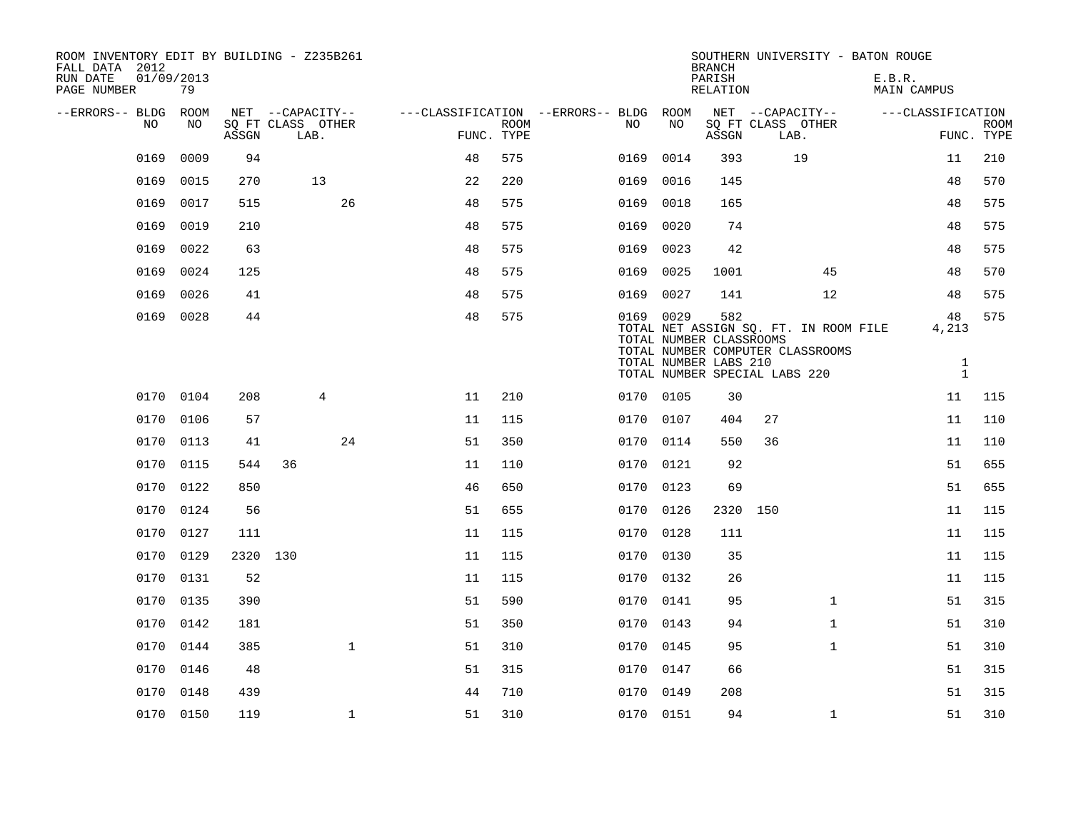| ROOM INVENTORY EDIT BY BUILDING - Z235B261<br>FALL DATA 2012<br>RUN DATE<br>PAGE NUMBER | 01/09/2013<br>79 |          |                                               |    |                           |                                               |           | <b>BRANCH</b><br>PARISH<br>RELATION                     | SOUTHERN UNIVERSITY - BATON ROUGE                                         | E.B.R.<br>MAIN CAMPUS       |                           |
|-----------------------------------------------------------------------------------------|------------------|----------|-----------------------------------------------|----|---------------------------|-----------------------------------------------|-----------|---------------------------------------------------------|---------------------------------------------------------------------------|-----------------------------|---------------------------|
| --ERRORS-- BLDG ROOM<br>NO.                                                             | NO.              | ASSGN    | NET --CAPACITY--<br>SQ FT CLASS OTHER<br>LAB. |    | <b>ROOM</b><br>FUNC. TYPE | ---CLASSIFICATION --ERRORS-- BLDG ROOM<br>NO. | NO        | ASSGN                                                   | NET --CAPACITY--<br>SQ FT CLASS OTHER<br>LAB.                             | ---CLASSIFICATION           | <b>ROOM</b><br>FUNC. TYPE |
| 0169                                                                                    | 0009             | 94       |                                               | 48 | 575                       | 0169                                          | 0014      | 393                                                     | 19                                                                        | 11                          | 210                       |
| 0169                                                                                    | 0015             | 270      | 13                                            | 22 | 220                       | 0169                                          | 0016      | 145                                                     |                                                                           | 48                          | 570                       |
| 0169                                                                                    | 0017             | 515      | 26                                            | 48 | 575                       | 0169                                          | 0018      | 165                                                     |                                                                           | 48                          | 575                       |
| 0169                                                                                    | 0019             | 210      |                                               | 48 | 575                       | 0169                                          | 0020      | 74                                                      |                                                                           | 48                          | 575                       |
| 0169                                                                                    | 0022             | 63       |                                               | 48 | 575                       | 0169                                          | 0023      | 42                                                      |                                                                           | 48                          | 575                       |
| 0169                                                                                    | 0024             | 125      |                                               | 48 | 575                       | 0169                                          | 0025      | 1001                                                    | 45                                                                        | 48                          | 570                       |
| 0169                                                                                    | 0026             | 41       |                                               | 48 | 575                       |                                               | 0169 0027 | 141                                                     | 12                                                                        | 48                          | 575                       |
| 0169                                                                                    | 0028             | 44       |                                               | 48 | 575                       |                                               | 0169 0029 | 582<br>TOTAL NUMBER CLASSROOMS<br>TOTAL NUMBER LABS 210 | TOTAL NET ASSIGN SQ. FT. IN ROOM FILE<br>TOTAL NUMBER COMPUTER CLASSROOMS | 48<br>4,213<br>$\mathbf{1}$ | 575                       |
|                                                                                         |                  |          |                                               |    |                           |                                               |           |                                                         | TOTAL NUMBER SPECIAL LABS 220                                             | $\mathbf{1}$                |                           |
|                                                                                         | 0170 0104        | 208      | $\overline{4}$                                | 11 | 210                       |                                               | 0170 0105 | 30                                                      |                                                                           | 11                          | 115                       |
| 0170                                                                                    | 0106             | 57       |                                               | 11 | 115                       | 0170                                          | 0107      | 404                                                     | 27                                                                        | 11                          | 110                       |
| 0170                                                                                    | 0113             | 41       | 24                                            | 51 | 350                       | 0170                                          | 0114      | 550                                                     | 36                                                                        | 11                          | 110                       |
| 0170                                                                                    | 0115             | 544      | 36                                            | 11 | 110                       |                                               | 0170 0121 | 92                                                      |                                                                           | 51                          | 655                       |
| 0170                                                                                    | 0122             | 850      |                                               | 46 | 650                       | 0170                                          | 0123      | 69                                                      |                                                                           | 51                          | 655                       |
| 0170                                                                                    | 0124             | 56       |                                               | 51 | 655                       | 0170                                          | 0126      |                                                         | 2320 150                                                                  | 11                          | 115                       |
| 0170                                                                                    | 0127             | 111      |                                               | 11 | 115                       | 0170                                          | 0128      | 111                                                     |                                                                           | 11                          | 115                       |
| 0170                                                                                    | 0129             | 2320 130 |                                               | 11 | 115                       |                                               | 0170 0130 | 35                                                      |                                                                           | 11                          | 115                       |
| 0170                                                                                    | 0131             | 52       |                                               | 11 | 115                       | 0170                                          | 0132      | 26                                                      |                                                                           | 11                          | 115                       |
|                                                                                         | 0170 0135        | 390      |                                               | 51 | 590                       |                                               | 0170 0141 | 95                                                      | $\mathbf{1}$                                                              | 51                          | 315                       |
| 0170                                                                                    | 0142             | 181      |                                               | 51 | 350                       | 0170                                          | 0143      | 94                                                      | $\mathbf{1}$                                                              | 51                          | 310                       |
|                                                                                         | 0170 0144        | 385      | $\mathbf{1}$                                  | 51 | 310                       |                                               | 0170 0145 | 95                                                      | $\mathbf{1}$                                                              | 51                          | 310                       |
| 0170                                                                                    | 0146             | 48       |                                               | 51 | 315                       | 0170                                          | 0147      | 66                                                      |                                                                           | 51                          | 315                       |
| 0170                                                                                    | 0148             | 439      |                                               | 44 | 710                       |                                               | 0170 0149 | 208                                                     |                                                                           | 51                          | 315                       |
|                                                                                         | 0170 0150        | 119      | $\mathbf{1}$                                  | 51 | 310                       |                                               | 0170 0151 | 94                                                      | $\mathbf{1}$                                                              | 51                          | 310                       |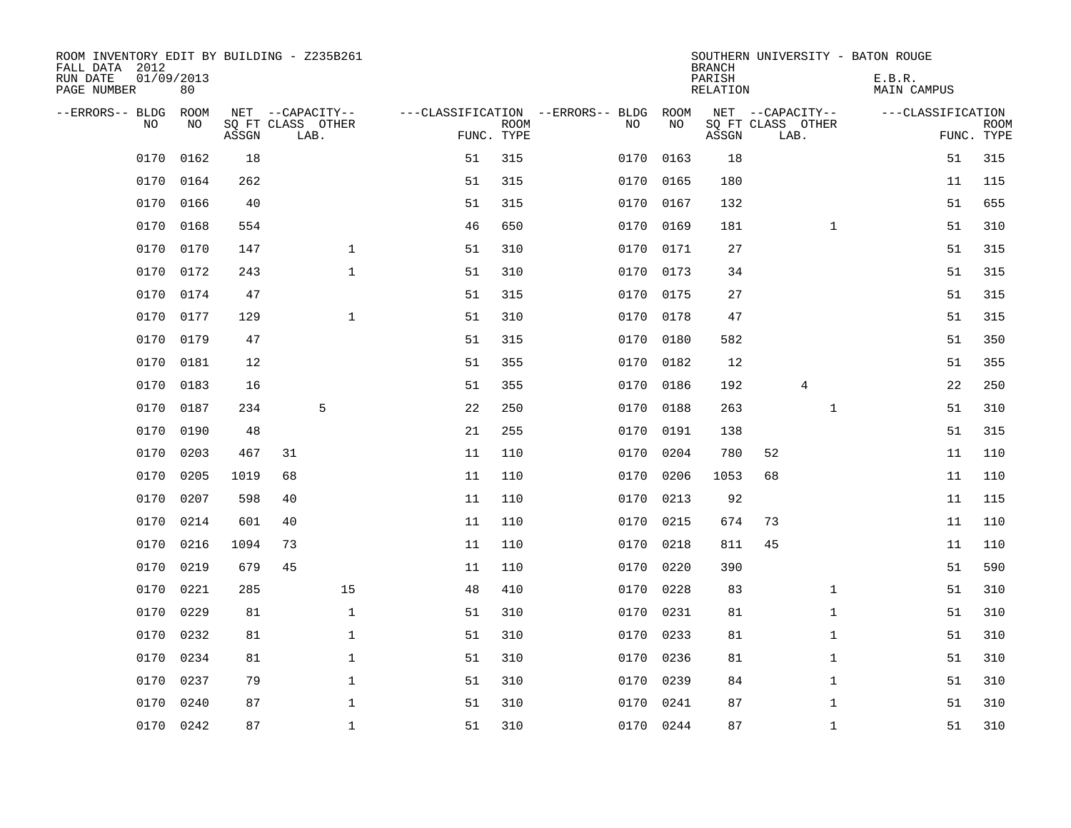| ROOM INVENTORY EDIT BY BUILDING - Z235B261<br>FALL DATA 2012<br>RUN DATE<br>PAGE NUMBER | 01/09/2013<br>80 |       |                                               |    |                           |                                         |            | <b>BRANCH</b><br>PARISH<br><b>RELATION</b> | SOUTHERN UNIVERSITY - BATON ROUGE             | E.B.R.<br><b>MAIN CAMPUS</b> |                           |
|-----------------------------------------------------------------------------------------|------------------|-------|-----------------------------------------------|----|---------------------------|-----------------------------------------|------------|--------------------------------------------|-----------------------------------------------|------------------------------|---------------------------|
| --ERRORS-- BLDG<br>NO                                                                   | ROOM<br>NO       | ASSGN | NET --CAPACITY--<br>SQ FT CLASS OTHER<br>LAB. |    | <b>ROOM</b><br>FUNC. TYPE | ---CLASSIFICATION --ERRORS-- BLDG<br>NO | ROOM<br>NO | ASSGN                                      | NET --CAPACITY--<br>SQ FT CLASS OTHER<br>LAB. | ---CLASSIFICATION            | <b>ROOM</b><br>FUNC. TYPE |
| 0170                                                                                    | 0162             | 18    |                                               | 51 | 315                       | 0170                                    | 0163       | 18                                         |                                               | 51                           | 315                       |
| 0170                                                                                    | 0164             | 262   |                                               | 51 | 315                       | 0170                                    | 0165       | 180                                        |                                               | 11                           | 115                       |
| 0170                                                                                    | 0166             | 40    |                                               | 51 | 315                       | 0170                                    | 0167       | 132                                        |                                               | 51                           | 655                       |
| 0170                                                                                    | 0168             | 554   |                                               | 46 | 650                       | 0170                                    | 0169       | 181                                        | $\mathbf{1}$                                  | 51                           | 310                       |
| 0170                                                                                    | 0170             | 147   | $\mathbf{1}$                                  | 51 | 310                       | 0170                                    | 0171       | 27                                         |                                               | 51                           | 315                       |
| 0170                                                                                    | 0172             | 243   | $\mathbf{1}$                                  | 51 | 310                       |                                         | 0170 0173  | 34                                         |                                               | 51                           | 315                       |
| 0170                                                                                    | 0174             | 47    |                                               | 51 | 315                       | 0170                                    | 0175       | 27                                         |                                               | 51                           | 315                       |
| 0170                                                                                    | 0177             | 129   | $\mathbf{1}$                                  | 51 | 310                       |                                         | 0170 0178  | 47                                         |                                               | 51                           | 315                       |
| 0170                                                                                    | 0179             | 47    |                                               | 51 | 315                       | 0170                                    | 0180       | 582                                        |                                               | 51                           | 350                       |
| 0170                                                                                    | 0181             | 12    |                                               | 51 | 355                       | 0170                                    | 0182       | 12                                         |                                               | 51                           | 355                       |
| 0170                                                                                    | 0183             | 16    |                                               | 51 | 355                       | 0170                                    | 0186       | 192                                        | 4                                             | 22                           | 250                       |
| 0170                                                                                    | 0187             | 234   | 5                                             | 22 | 250                       | 0170                                    | 0188       | 263                                        | $\mathbf{1}$                                  | 51                           | 310                       |
| 0170                                                                                    | 0190             | 48    |                                               | 21 | 255                       | 0170                                    | 0191       | 138                                        |                                               | 51                           | 315                       |
| 0170                                                                                    | 0203             | 467   | 31                                            | 11 | 110                       | 0170                                    | 0204       | 780                                        | 52                                            | 11                           | 110                       |
| 0170                                                                                    | 0205             | 1019  | 68                                            | 11 | 110                       | 0170                                    | 0206       | 1053                                       | 68                                            | 11                           | 110                       |
| 0170                                                                                    | 0207             | 598   | 40                                            | 11 | 110                       | 0170                                    | 0213       | 92                                         |                                               | 11                           | 115                       |
| 0170                                                                                    | 0214             | 601   | 40                                            | 11 | 110                       | 0170                                    | 0215       | 674                                        | 73                                            | 11                           | 110                       |
| 0170                                                                                    | 0216             | 1094  | 73                                            | 11 | 110                       | 0170                                    | 0218       | 811                                        | 45                                            | 11                           | 110                       |
| 0170                                                                                    | 0219             | 679   | 45                                            | 11 | 110                       | 0170                                    | 0220       | 390                                        |                                               | 51                           | 590                       |
| 0170                                                                                    | 0221             | 285   | 15                                            | 48 | 410                       | 0170                                    | 0228       | 83                                         | $\mathbf{1}$                                  | 51                           | 310                       |
| 0170                                                                                    | 0229             | 81    | $\mathbf{1}$                                  | 51 | 310                       | 0170                                    | 0231       | 81                                         | $\mathbf{1}$                                  | 51                           | 310                       |
| 0170                                                                                    | 0232             | 81    | $\mathbf 1$                                   | 51 | 310                       | 0170                                    | 0233       | 81                                         | $\mathbf{1}$                                  | 51                           | 310                       |
| 0170                                                                                    | 0234             | 81    | $\mathbf 1$                                   | 51 | 310                       |                                         | 0170 0236  | 81                                         | $\mathbf{1}$                                  | 51                           | 310                       |
| 0170                                                                                    | 0237             | 79    | $\mathbf{1}$                                  | 51 | 310                       | 0170                                    | 0239       | 84                                         | $\mathbf{1}$                                  | 51                           | 310                       |
| 0170                                                                                    | 0240             | 87    | $\mathbf{1}$                                  | 51 | 310                       | 0170                                    | 0241       | 87                                         | $\mathbf{1}$                                  | 51                           | 310                       |
|                                                                                         | 0170 0242        | 87    | $\mathbf{1}$                                  | 51 | 310                       |                                         | 0170 0244  | 87                                         | $\mathbf{1}$                                  | 51                           | 310                       |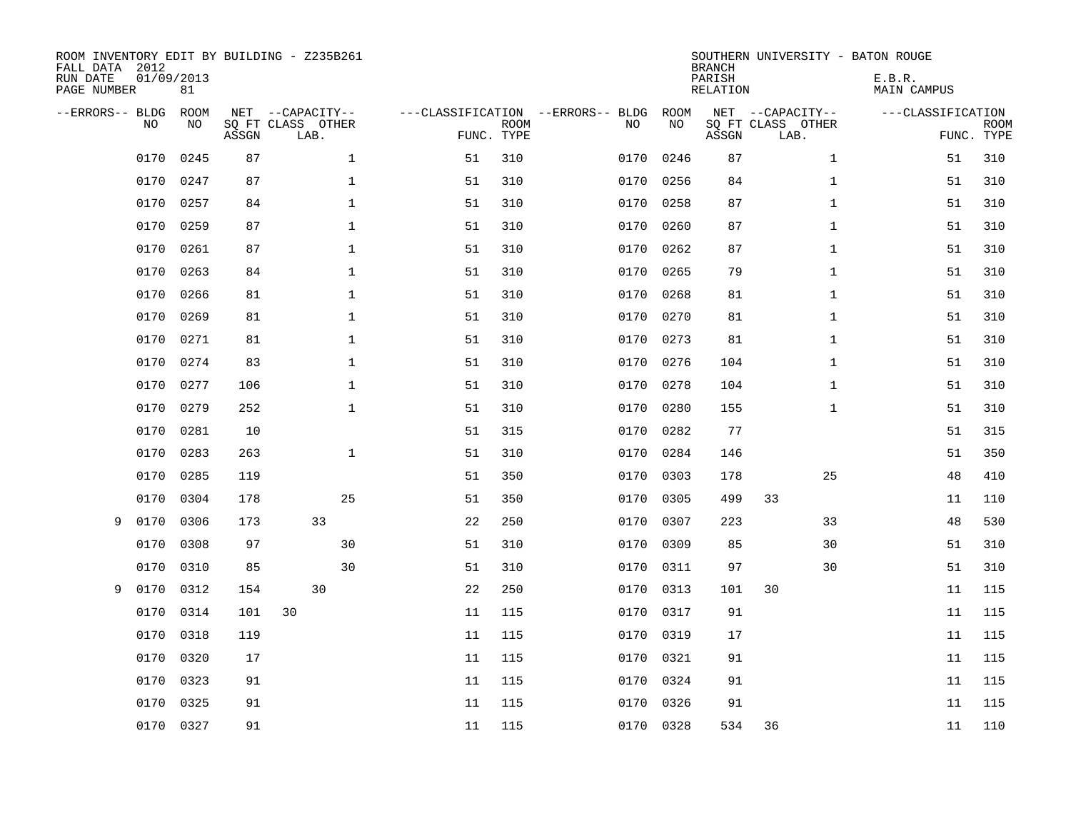| ROOM INVENTORY EDIT BY BUILDING - Z235B261<br>FALL DATA 2012<br>RUN DATE<br>PAGE NUMBER | 01/09/2013 | 81                |       |                                               |              |    |                           |                                         |            | <b>BRANCH</b><br>PARISH<br><b>RELATION</b> | SOUTHERN UNIVERSITY - BATON ROUGE             | E.B.R.<br><b>MAIN CAMPUS</b> |                           |
|-----------------------------------------------------------------------------------------|------------|-------------------|-------|-----------------------------------------------|--------------|----|---------------------------|-----------------------------------------|------------|--------------------------------------------|-----------------------------------------------|------------------------------|---------------------------|
| --ERRORS-- BLDG                                                                         | NO         | <b>ROOM</b><br>NO | ASSGN | NET --CAPACITY--<br>SQ FT CLASS OTHER<br>LAB. |              |    | <b>ROOM</b><br>FUNC. TYPE | ---CLASSIFICATION --ERRORS-- BLDG<br>NO | ROOM<br>NO | ASSGN                                      | NET --CAPACITY--<br>SQ FT CLASS OTHER<br>LAB. | ---CLASSIFICATION            | <b>ROOM</b><br>FUNC. TYPE |
|                                                                                         | 0170       | 0245              | 87    |                                               | $\mathbf 1$  | 51 | 310                       | 0170                                    | 0246       | 87                                         | $\mathbf{1}$                                  | 51                           | 310                       |
|                                                                                         | 0170       | 0247              | 87    |                                               | $\mathbf 1$  | 51 | 310                       | 0170                                    | 0256       | 84                                         | $\mathbf{1}$                                  | 51                           | 310                       |
|                                                                                         | 0170       | 0257              | 84    |                                               | $\mathbf{1}$ | 51 | 310                       | 0170                                    | 0258       | 87                                         | $\mathbf{1}$                                  | 51                           | 310                       |
|                                                                                         | 0170       | 0259              | 87    |                                               | $\mathbf{1}$ | 51 | 310                       | 0170                                    | 0260       | 87                                         | $\mathbf{1}$                                  | 51                           | 310                       |
|                                                                                         | 0170       | 0261              | 87    |                                               | $\mathbf{1}$ | 51 | 310                       | 0170                                    | 0262       | 87                                         | $\mathbf{1}$                                  | 51                           | 310                       |
|                                                                                         | 0170       | 0263              | 84    |                                               | $\mathbf 1$  | 51 | 310                       | 0170                                    | 0265       | 79                                         | $\mathbf{1}$                                  | 51                           | 310                       |
|                                                                                         | 0170       | 0266              | 81    |                                               | $\mathbf 1$  | 51 | 310                       | 0170                                    | 0268       | 81                                         | $\mathbf{1}$                                  | 51                           | 310                       |
|                                                                                         | 0170       | 0269              | 81    |                                               | $\mathbf{1}$ | 51 | 310                       | 0170                                    | 0270       | 81                                         | $\mathbf{1}$                                  | 51                           | 310                       |
|                                                                                         | 0170       | 0271              | 81    |                                               | $\mathbf 1$  | 51 | 310                       | 0170                                    | 0273       | 81                                         | $\mathbf{1}$                                  | 51                           | 310                       |
|                                                                                         | 0170       | 0274              | 83    |                                               | $\mathbf{1}$ | 51 | 310                       | 0170                                    | 0276       | 104                                        | $\mathbf{1}$                                  | 51                           | 310                       |
|                                                                                         | 0170       | 0277              | 106   |                                               | 1            | 51 | 310                       | 0170                                    | 0278       | 104                                        | $\mathbf{1}$                                  | 51                           | 310                       |
|                                                                                         | 0170       | 0279              | 252   |                                               | $\mathbf 1$  | 51 | 310                       | 0170                                    | 0280       | 155                                        | $\mathbf{1}$                                  | 51                           | 310                       |
|                                                                                         | 0170       | 0281              | 10    |                                               |              | 51 | 315                       | 0170                                    | 0282       | 77                                         |                                               | 51                           | 315                       |
|                                                                                         | 0170       | 0283              | 263   |                                               | $\mathbf{1}$ | 51 | 310                       | 0170                                    | 0284       | 146                                        |                                               | 51                           | 350                       |
|                                                                                         | 0170       | 0285              | 119   |                                               |              | 51 | 350                       | 0170                                    | 0303       | 178                                        | 25                                            | 48                           | 410                       |
|                                                                                         | 0170       | 0304              | 178   |                                               | 25           | 51 | 350                       | 0170                                    | 0305       | 499                                        | 33                                            | 11                           | 110                       |
| 9                                                                                       | 0170       | 0306              | 173   | 33                                            |              | 22 | 250                       | 0170                                    | 0307       | 223                                        | 33                                            | 48                           | 530                       |
|                                                                                         | 0170       | 0308              | 97    |                                               | 30           | 51 | 310                       | 0170                                    | 0309       | 85                                         | 30                                            | 51                           | 310                       |
|                                                                                         | 0170       | 0310              | 85    |                                               | 30           | 51 | 310                       | 0170                                    | 0311       | 97                                         | 30                                            | 51                           | 310                       |
| 9                                                                                       | 0170       | 0312              | 154   | 30                                            |              | 22 | 250                       | 0170                                    | 0313       | 101                                        | 30                                            | 11                           | 115                       |
|                                                                                         | 0170       | 0314              | 101   | 30                                            |              | 11 | 115                       | 0170                                    | 0317       | 91                                         |                                               | 11                           | 115                       |
|                                                                                         | 0170       | 0318              | 119   |                                               |              | 11 | 115                       | 0170                                    | 0319       | 17                                         |                                               | 11                           | 115                       |
|                                                                                         | 0170       | 0320              | 17    |                                               |              | 11 | 115                       | 0170                                    | 0321       | 91                                         |                                               | 11                           | 115                       |
|                                                                                         | 0170       | 0323              | 91    |                                               |              | 11 | 115                       | 0170                                    | 0324       | 91                                         |                                               | 11                           | 115                       |
|                                                                                         | 0170       | 0325              | 91    |                                               |              | 11 | 115                       | 0170                                    | 0326       | 91                                         |                                               | 11                           | 115                       |
|                                                                                         | 0170       | 0327              | 91    |                                               |              | 11 | 115                       |                                         | 0170 0328  | 534                                        | 36                                            | 11                           | 110                       |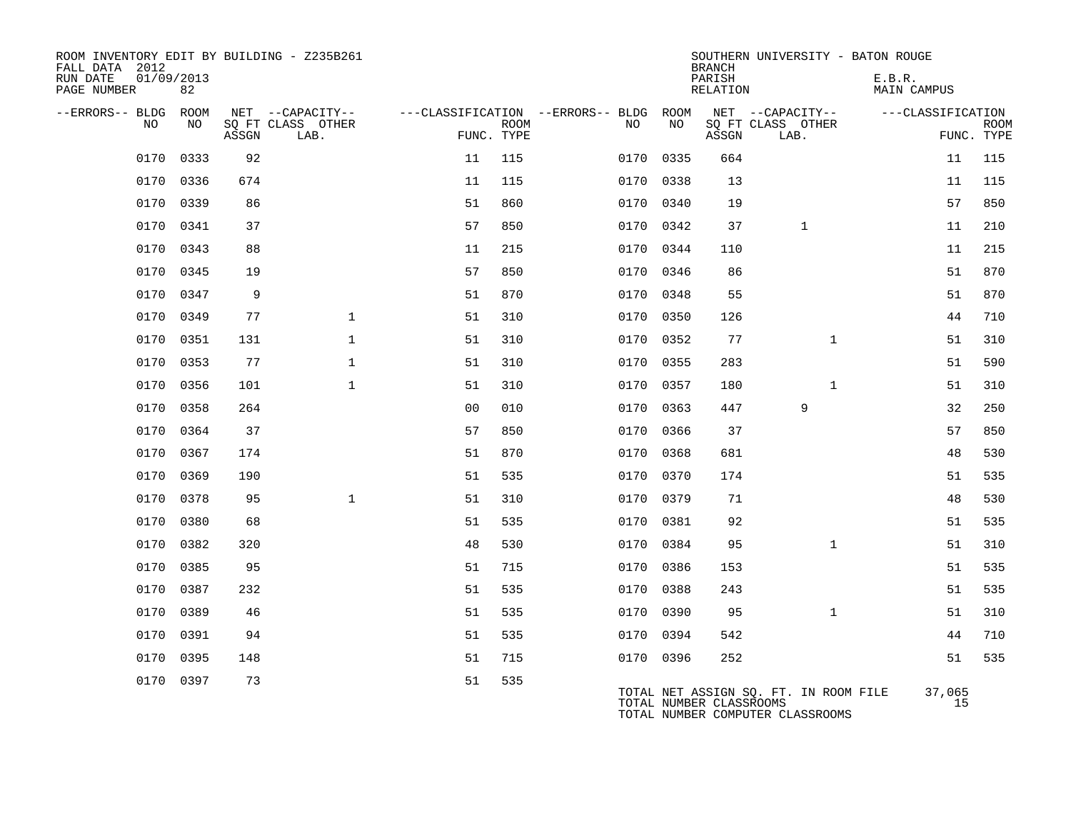| ROOM INVENTORY EDIT BY BUILDING - Z235B261<br>FALL DATA 2012 |           |       |                           |                |             |                                        |           | <b>BRANCH</b>           | SOUTHERN UNIVERSITY - BATON ROUGE                                         |                              |                           |
|--------------------------------------------------------------|-----------|-------|---------------------------|----------------|-------------|----------------------------------------|-----------|-------------------------|---------------------------------------------------------------------------|------------------------------|---------------------------|
| 01/09/2013<br>RUN DATE<br>PAGE NUMBER                        | 82        |       |                           |                |             |                                        |           | PARISH<br>RELATION      |                                                                           | E.B.R.<br><b>MAIN CAMPUS</b> |                           |
| --ERRORS-- BLDG ROOM                                         |           |       | NET --CAPACITY--          |                |             | ---CLASSIFICATION --ERRORS-- BLDG ROOM |           |                         | NET --CAPACITY--                                                          | ---CLASSIFICATION            |                           |
| NO.                                                          | NO.       | ASSGN | SQ FT CLASS OTHER<br>LAB. | FUNC. TYPE     | <b>ROOM</b> | NO                                     | NO        | ASSGN                   | SQ FT CLASS OTHER<br>LAB.                                                 |                              | <b>ROOM</b><br>FUNC. TYPE |
| 0170                                                         | 0333      | 92    |                           | 11             | 115         |                                        | 0170 0335 | 664                     |                                                                           | 11                           | 115                       |
| 0170                                                         | 0336      | 674   |                           | 11             | 115         | 0170                                   | 0338      | 13                      |                                                                           | 11                           | 115                       |
|                                                              | 0170 0339 | 86    |                           | 51             | 860         |                                        | 0170 0340 | 19                      |                                                                           | 57                           | 850                       |
| 0170                                                         | 0341      | 37    |                           | 57             | 850         | 0170                                   | 0342      | 37                      | $\mathbf{1}$                                                              | 11                           | 210                       |
| 0170                                                         | 0343      | 88    |                           | 11             | 215         |                                        | 0170 0344 | 110                     |                                                                           | 11                           | 215                       |
| 0170                                                         | 0345      | 19    |                           | 57             | 850         |                                        | 0170 0346 | 86                      |                                                                           | 51                           | 870                       |
| 0170                                                         | 0347      | 9     |                           | 51             | 870         |                                        | 0170 0348 | 55                      |                                                                           | 51                           | 870                       |
| 0170                                                         | 0349      | 77    | $\mathbf{1}$              | 51             | 310         | 0170                                   | 0350      | 126                     |                                                                           | 44                           | 710                       |
|                                                              | 0170 0351 | 131   | $\mathbf{1}$              | 51             | 310         |                                        | 0170 0352 | 77                      | $\mathbf{1}$                                                              | 51                           | 310                       |
| 0170                                                         | 0353      | 77    | $\mathbf{1}$              | 51             | 310         |                                        | 0170 0355 | 283                     |                                                                           | 51                           | 590                       |
| 0170                                                         | 0356      | 101   | $\mathbf{1}$              | 51             | 310         | 0170                                   | 0357      | 180                     | $\mathbf{1}$                                                              | 51                           | 310                       |
| 0170                                                         | 0358      | 264   |                           | 0 <sub>0</sub> | 010         | 0170                                   | 0363      | 447                     | 9                                                                         | 32                           | 250                       |
| 0170                                                         | 0364      | 37    |                           | 57             | 850         | 0170                                   | 0366      | 37                      |                                                                           | 57                           | 850                       |
| 0170                                                         | 0367      | 174   |                           | 51             | 870         |                                        | 0170 0368 | 681                     |                                                                           | 48                           | 530                       |
| 0170                                                         | 0369      | 190   |                           | 51             | 535         | 0170                                   | 0370      | 174                     |                                                                           | 51                           | 535                       |
| 0170                                                         | 0378      | 95    | $\mathbf{1}$              | 51             | 310         |                                        | 0170 0379 | 71                      |                                                                           | 48                           | 530                       |
| 0170                                                         | 0380      | 68    |                           | 51             | 535         |                                        | 0170 0381 | 92                      |                                                                           | 51                           | 535                       |
| 0170                                                         | 0382      | 320   |                           | 48             | 530         |                                        | 0170 0384 | 95                      | $\mathbf{1}$                                                              | 51                           | 310                       |
| 0170                                                         | 0385      | 95    |                           | 51             | 715         | 0170                                   | 0386      | 153                     |                                                                           | 51                           | 535                       |
| 0170                                                         | 0387      | 232   |                           | 51             | 535         |                                        | 0170 0388 | 243                     |                                                                           | 51                           | 535                       |
| 0170                                                         | 0389      | 46    |                           | 51             | 535         |                                        | 0170 0390 | 95                      | $\mathbf{1}$                                                              | 51                           | 310                       |
| 0170                                                         | 0391      | 94    |                           | 51             | 535         |                                        | 0170 0394 | 542                     |                                                                           | 44                           | 710                       |
| 0170                                                         | 0395      | 148   |                           | 51             | 715         |                                        | 0170 0396 | 252                     |                                                                           | 51                           | 535                       |
|                                                              | 0170 0397 | 73    |                           | 51             | 535         |                                        |           | TOTAL NUMBER CLASSROOMS | TOTAL NET ASSIGN SQ. FT. IN ROOM FILE<br>TOTAL NUMBER COMPUTER CLASSROOMS | 37,065<br>15                 |                           |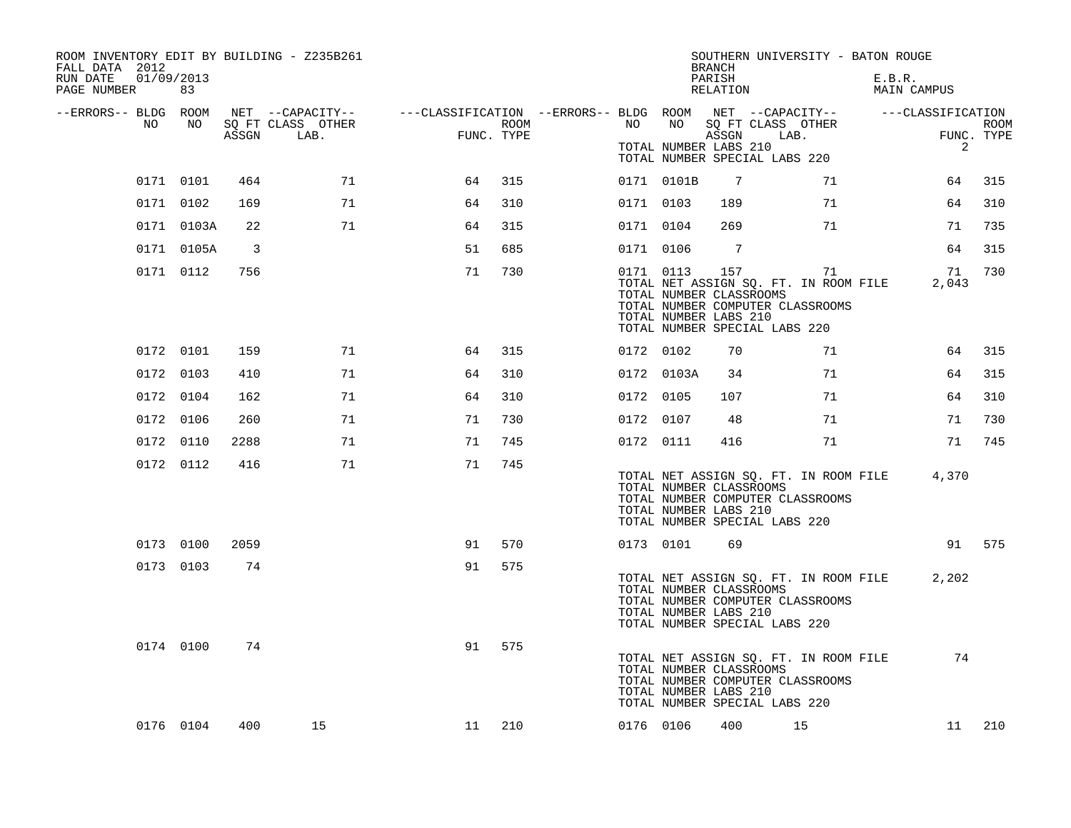| ROOM INVENTORY EDIT BY BUILDING - Z235B261<br>FALL DATA 2012 |            |      |                                 |            |      |           |                                                               | <b>BRANCH</b>      | SOUTHERN UNIVERSITY - BATON ROUGE                                                                                       |                       |                           |
|--------------------------------------------------------------|------------|------|---------------------------------|------------|------|-----------|---------------------------------------------------------------|--------------------|-------------------------------------------------------------------------------------------------------------------------|-----------------------|---------------------------|
| RUN DATE<br>01/09/2013<br>PAGE NUMBER                        | 83         |      |                                 |            |      |           |                                                               | PARISH<br>RELATION |                                                                                                                         | E.B.R.<br>MAIN CAMPUS |                           |
| --ERRORS-- BLDG ROOM<br>NO                                   | NO 11      |      |                                 |            |      | NO        | NO                                                            |                    | NET --CAPACITY-- - ---CLASSIFICATION --ERRORS-- BLDG ROOM NET --CAPACITY-- - ---CLASSIFICATION                          |                       |                           |
|                                                              |            |      | SQ FT CLASS OTHER<br>ASSGN LAB. | FUNC. TYPE | ROOM |           | TOTAL NUMBER LABS 210                                         | ASSGN              | SQ FT CLASS OTHER<br>LAB.<br>TOTAL NUMBER SPECIAL LABS 220                                                              | $\overline{2}$        | <b>ROOM</b><br>FUNC. TYPE |
|                                                              | 0171 0101  | 464  | 71                              | 64         | 315  |           | 0171 0101B                                                    | $\overline{7}$     | 71                                                                                                                      | 64                    | 315                       |
|                                                              | 0171 0102  | 169  | 71                              | 64         | 310  | 0171 0103 |                                                               | 189                | 71                                                                                                                      | 64                    | 310                       |
|                                                              | 0171 0103A | 22   | 71                              | 64         | 315  | 0171 0104 |                                                               | 269                | 71                                                                                                                      | 71                    | 735                       |
|                                                              | 0171 0105A | 3    |                                 | 51         | 685  | 0171 0106 |                                                               | 7                  |                                                                                                                         | 64                    | 315                       |
|                                                              | 0171 0112  | 756  |                                 | 71         | 730  |           | 0171 0113<br>TOTAL NUMBER CLASSROOMS<br>TOTAL NUMBER LABS 210 |                    | 157<br>71<br>TOTAL NET ASSIGN SQ. FT. IN ROOM FILE<br>TOTAL NUMBER COMPUTER CLASSROOMS<br>TOTAL NUMBER SPECIAL LABS 220 | 71<br>2,043           | 730                       |
|                                                              | 0172 0101  | 159  | 71                              | 64         | 315  | 0172 0102 |                                                               | 70                 | 71                                                                                                                      | 64                    | 315                       |
|                                                              | 0172 0103  | 410  | 71                              | 64         | 310  |           | 0172 0103A                                                    | 34                 | 71                                                                                                                      | 64                    | 315                       |
|                                                              | 0172 0104  | 162  | 71                              | 64         | 310  | 0172 0105 |                                                               | 107                | 71                                                                                                                      | 64                    | 310                       |
|                                                              | 0172 0106  | 260  | 71                              | 71         | 730  | 0172 0107 |                                                               | 48                 | 71                                                                                                                      | 71                    | 730                       |
|                                                              | 0172 0110  | 2288 | 71                              | 71         | 745  |           | 0172 0111                                                     | 416                | 71                                                                                                                      | 71                    | 745                       |
|                                                              | 0172 0112  | 416  | 71                              | 71         | 745  |           | TOTAL NUMBER CLASSROOMS<br>TOTAL NUMBER LABS 210              |                    | TOTAL NET ASSIGN SQ. FT. IN ROOM FILE<br>TOTAL NUMBER COMPUTER CLASSROOMS<br>TOTAL NUMBER SPECIAL LABS 220              | 4,370                 |                           |
|                                                              | 0173 0100  | 2059 |                                 | 91         | 570  |           | 0173 0101                                                     | 69                 |                                                                                                                         |                       | 91 575                    |
|                                                              | 0173 0103  | 74   |                                 | 91         | 575  |           | TOTAL NUMBER CLASSROOMS<br>TOTAL NUMBER LABS 210              |                    | TOTAL NET ASSIGN SQ. FT. IN ROOM FILE<br>TOTAL NUMBER COMPUTER CLASSROOMS<br>TOTAL NUMBER SPECIAL LABS 220              | 2,202                 |                           |
|                                                              | 0174 0100  | 74   |                                 | 91         | 575  |           | TOTAL NUMBER CLASSROOMS<br>TOTAL NUMBER LABS 210              |                    | TOTAL NET ASSIGN SQ. FT. IN ROOM FILE<br>TOTAL NUMBER COMPUTER CLASSROOMS<br>TOTAL NUMBER SPECIAL LABS 220              | 74                    |                           |
|                                                              | 0176 0104  | 400  | 15                              | 11 210     |      | 0176 0106 |                                                               | 400                | 15                                                                                                                      | 11                    | 210                       |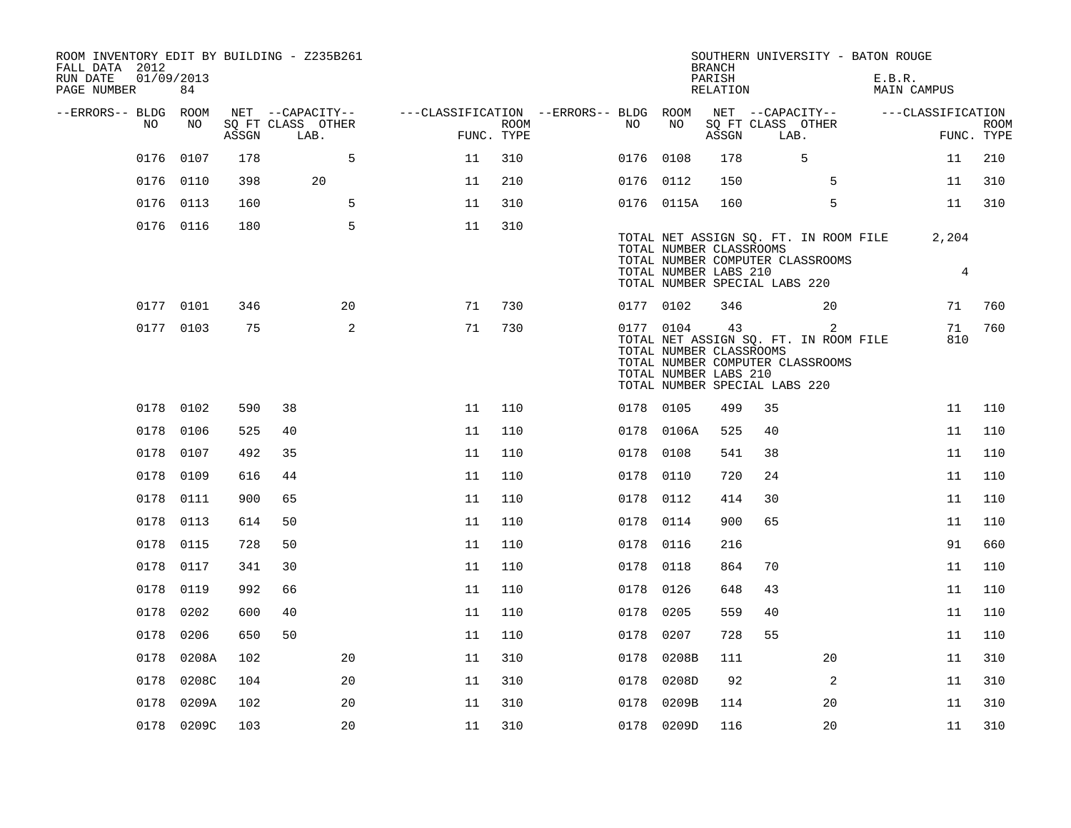| ROOM INVENTORY EDIT BY BUILDING - Z235B261<br>FALL DATA 2012<br>RUN DATE<br>PAGE NUMBER | 01/09/2013<br>84 |       |                                       |    |                                        |      |           |                                                               | <b>BRANCH</b><br>PARISH<br>RELATION |                                       | SOUTHERN UNIVERSITY - BATON ROUGE                                              | E.B.R. | MAIN CAMPUS       |             |
|-----------------------------------------------------------------------------------------|------------------|-------|---------------------------------------|----|----------------------------------------|------|-----------|---------------------------------------------------------------|-------------------------------------|---------------------------------------|--------------------------------------------------------------------------------|--------|-------------------|-------------|
| --ERRORS-- BLDG ROOM<br>NO                                                              | NO               |       | NET --CAPACITY--<br>SQ FT CLASS OTHER |    | ---CLASSIFICATION --ERRORS-- BLDG ROOM | ROOM | NO        | NO                                                            |                                     | NET --CAPACITY--<br>SQ FT CLASS OTHER |                                                                                |        | ---CLASSIFICATION | <b>ROOM</b> |
|                                                                                         |                  | ASSGN | LAB.                                  |    | FUNC. TYPE                             |      |           |                                                               | ASSGN                               | LAB.                                  |                                                                                |        |                   | FUNC. TYPE  |
| 0176                                                                                    | 0107             | 178   |                                       | 5  | 11                                     | 310  | 0176 0108 |                                                               | 178                                 |                                       | 5                                                                              |        | 11                | 210         |
|                                                                                         | 0176 0110        | 398   | 20                                    |    | 11                                     | 210  | 0176 0112 |                                                               | 150                                 |                                       | 5                                                                              |        | 11                | 310         |
|                                                                                         | 0176 0113        | 160   |                                       | 5  | 11                                     | 310  |           | 0176 0115A                                                    | 160                                 |                                       | 5                                                                              |        | 11                | 310         |
|                                                                                         | 0176 0116        | 180   |                                       | 5  | 11                                     | 310  |           | TOTAL NUMBER CLASSROOMS<br>TOTAL NUMBER LABS 210              |                                     | TOTAL NUMBER SPECIAL LABS 220         | TOTAL NET ASSIGN SQ. FT. IN ROOM FILE<br>TOTAL NUMBER COMPUTER CLASSROOMS      |        | 2,204<br>4        |             |
|                                                                                         | 0177 0101        | 346   |                                       | 20 | 71                                     | 730  | 0177 0102 |                                                               | 346                                 |                                       | 20                                                                             |        | 71                | 760         |
|                                                                                         | 0177 0103        | 75    |                                       | 2  | 71                                     | 730  |           | 0177 0104<br>TOTAL NUMBER CLASSROOMS<br>TOTAL NUMBER LABS 210 | 43                                  | TOTAL NUMBER SPECIAL LABS 220         | 2<br>TOTAL NET ASSIGN SQ. FT. IN ROOM FILE<br>TOTAL NUMBER COMPUTER CLASSROOMS |        | 71<br>810         | 760         |
|                                                                                         | 0178 0102        | 590   | 38                                    |    | 11                                     | 110  | 0178 0105 |                                                               | 499                                 | 35                                    |                                                                                |        | 11                | 110         |
| 0178                                                                                    | 0106             | 525   | 40                                    |    | 11                                     | 110  |           | 0178 0106A                                                    | 525                                 | 40                                    |                                                                                |        | 11                | 110         |
| 0178                                                                                    | 0107             | 492   | 35                                    |    | 11                                     | 110  | 0178 0108 |                                                               | 541                                 | 38                                    |                                                                                |        | 11                | 110         |
| 0178                                                                                    | 0109             | 616   | 44                                    |    | 11                                     | 110  | 0178      | 0110                                                          | 720                                 | 24                                    |                                                                                |        | 11                | 110         |
|                                                                                         | 0178 0111        | 900   | 65                                    |    | 11                                     | 110  | 0178 0112 |                                                               | 414                                 | 30                                    |                                                                                |        | 11                | 110         |
| 0178                                                                                    | 0113             | 614   | 50                                    |    | 11                                     | 110  | 0178      | 0114                                                          | 900                                 | 65                                    |                                                                                |        | 11                | 110         |
| 0178                                                                                    | 0115             | 728   | 50                                    |    | 11                                     | 110  | 0178      | 0116                                                          | 216                                 |                                       |                                                                                |        | 91                | 660         |
|                                                                                         | 0178 0117        | 341   | 30                                    |    | 11                                     | 110  | 0178 0118 |                                                               | 864                                 | 70                                    |                                                                                |        | 11                | 110         |
|                                                                                         | 0178 0119        | 992   | 66                                    |    | 11                                     | 110  | 0178 0126 |                                                               | 648                                 | 43                                    |                                                                                |        | 11                | 110         |
|                                                                                         | 0178 0202        | 600   | 40                                    |    | 11                                     | 110  | 0178 0205 |                                                               | 559                                 | 40                                    |                                                                                |        | 11                | 110         |
| 0178                                                                                    | 0206             | 650   | 50                                    |    | 11                                     | 110  | 0178      | 0207                                                          | 728                                 | 55                                    |                                                                                |        | 11                | 110         |
| 0178                                                                                    | 0208A            | 102   |                                       | 20 | 11                                     | 310  | 0178      | 0208B                                                         | 111                                 |                                       | 20                                                                             |        | 11                | 310         |
| 0178                                                                                    | 0208C            | 104   |                                       | 20 | 11                                     | 310  | 0178      | 0208D                                                         | 92                                  |                                       | $\overline{a}$                                                                 |        | 11                | 310         |
| 0178                                                                                    | 0209A            | 102   |                                       | 20 | 11                                     | 310  | 0178      | 0209B                                                         | 114                                 |                                       | 20                                                                             |        | 11                | 310         |
|                                                                                         | 0178 0209C       | 103   |                                       | 20 | 11                                     | 310  |           | 0178 0209D                                                    | 116                                 |                                       | 20                                                                             |        | 11                | 310         |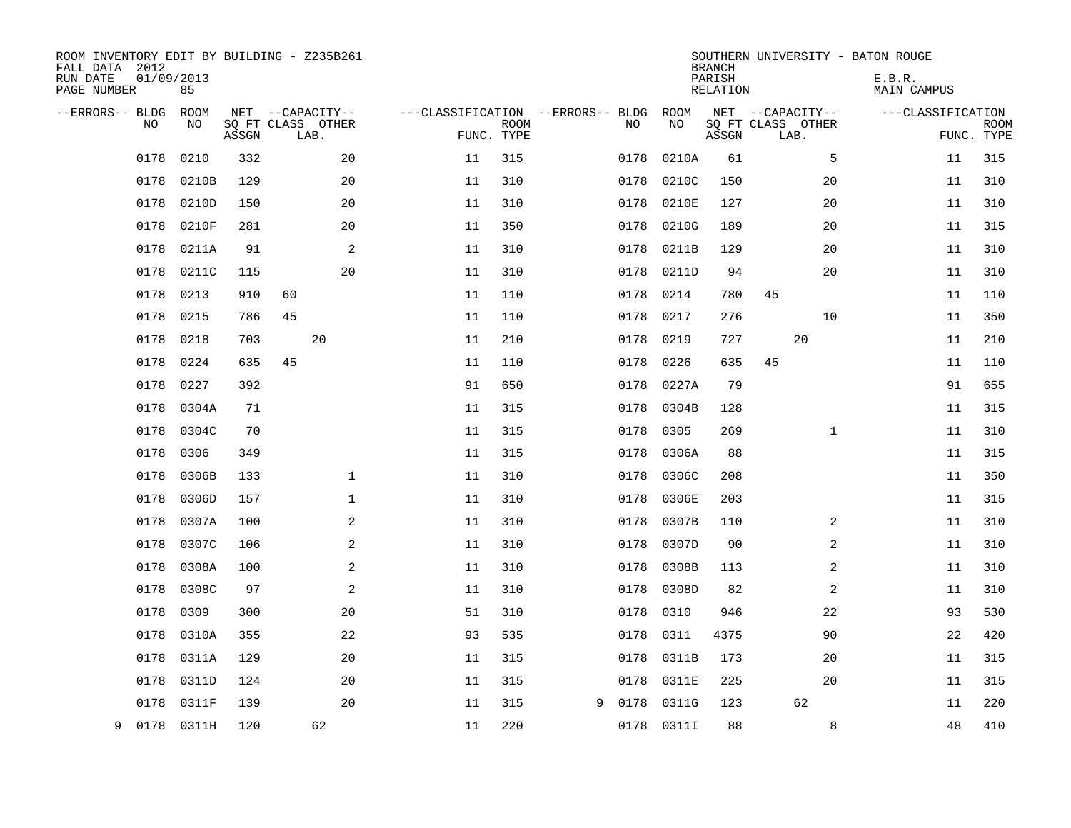| ROOM INVENTORY EDIT BY BUILDING - Z235B261<br>FALL DATA 2012<br>RUN DATE<br>PAGE NUMBER | 01/09/2013<br>85 |       |    |                                               |            |             |                                   |      |            | <b>BRANCH</b><br>PARISH<br><b>RELATION</b> |                                               | SOUTHERN UNIVERSITY - BATON ROUGE<br>E.B.R.<br><b>MAIN CAMPUS</b> |                   |                           |
|-----------------------------------------------------------------------------------------|------------------|-------|----|-----------------------------------------------|------------|-------------|-----------------------------------|------|------------|--------------------------------------------|-----------------------------------------------|-------------------------------------------------------------------|-------------------|---------------------------|
| --ERRORS-- BLDG<br>NO                                                                   | ROOM<br>NO       | ASSGN |    | NET --CAPACITY--<br>SQ FT CLASS OTHER<br>LAB. | FUNC. TYPE | <b>ROOM</b> | ---CLASSIFICATION --ERRORS-- BLDG | NO   | ROOM<br>NO | ASSGN                                      | NET --CAPACITY--<br>SQ FT CLASS OTHER<br>LAB. |                                                                   | ---CLASSIFICATION | <b>ROOM</b><br>FUNC. TYPE |
| 0178                                                                                    | 0210             | 332   |    | 20                                            | 11         | 315         |                                   | 0178 | 0210A      | 61                                         | 5                                             |                                                                   | 11                | 315                       |
| 0178                                                                                    | 0210B            | 129   |    | 20                                            | 11         | 310         |                                   | 0178 | 0210C      | 150                                        | 20                                            |                                                                   | 11                | 310                       |
| 0178                                                                                    | 0210D            | 150   |    | 20                                            | 11         | 310         |                                   | 0178 | 0210E      | 127                                        | 20                                            |                                                                   | 11                | 310                       |
| 0178                                                                                    | 0210F            | 281   |    | 20                                            | 11         | 350         |                                   | 0178 | 0210G      | 189                                        | 20                                            |                                                                   | 11                | 315                       |
| 0178                                                                                    | 0211A            | 91    |    | 2                                             | 11         | 310         |                                   | 0178 | 0211B      | 129                                        | 20                                            |                                                                   | 11                | 310                       |
| 0178                                                                                    | 0211C            | 115   |    | 20                                            | 11         | 310         |                                   | 0178 | 0211D      | 94                                         | 20                                            |                                                                   | 11                | 310                       |
| 0178                                                                                    | 0213             | 910   | 60 |                                               | 11         | 110         |                                   | 0178 | 0214       | 780                                        | 45                                            |                                                                   | 11                | 110                       |
| 0178                                                                                    | 0215             | 786   | 45 |                                               | 11         | 110         |                                   | 0178 | 0217       | 276                                        | 10                                            |                                                                   | 11                | 350                       |
| 0178                                                                                    | 0218             | 703   |    | 20                                            | 11         | 210         |                                   | 0178 | 0219       | 727                                        | 20                                            |                                                                   | 11                | 210                       |
| 0178                                                                                    | 0224             | 635   | 45 |                                               | 11         | 110         |                                   | 0178 | 0226       | 635                                        | 45                                            |                                                                   | 11                | 110                       |
| 0178                                                                                    | 0227             | 392   |    |                                               | 91         | 650         |                                   | 0178 | 0227A      | 79                                         |                                               |                                                                   | 91                | 655                       |
| 0178                                                                                    | 0304A            | 71    |    |                                               | 11         | 315         |                                   | 0178 | 0304B      | 128                                        |                                               |                                                                   | 11                | 315                       |
| 0178                                                                                    | 0304C            | 70    |    |                                               | 11         | 315         |                                   | 0178 | 0305       | 269                                        | $\mathbf{1}$                                  |                                                                   | 11                | 310                       |
| 0178                                                                                    | 0306             | 349   |    |                                               | 11         | 315         |                                   | 0178 | 0306A      | 88                                         |                                               |                                                                   | 11                | 315                       |
| 0178                                                                                    | 0306B            | 133   |    | $\mathbf 1$                                   | 11         | 310         |                                   | 0178 | 0306C      | 208                                        |                                               |                                                                   | 11                | 350                       |
| 0178                                                                                    | 0306D            | 157   |    | 1                                             | 11         | 310         |                                   | 0178 | 0306E      | 203                                        |                                               |                                                                   | 11                | 315                       |
| 0178                                                                                    | 0307A            | 100   |    | $\mathbf{2}$                                  | 11         | 310         |                                   | 0178 | 0307B      | 110                                        | 2                                             |                                                                   | 11                | 310                       |
| 0178                                                                                    | 0307C            | 106   |    | 2                                             | 11         | 310         |                                   | 0178 | 0307D      | 90                                         | 2                                             |                                                                   | 11                | 310                       |
| 0178                                                                                    | 0308A            | 100   |    | 2                                             | 11         | 310         |                                   | 0178 | 0308B      | 113                                        | 2                                             |                                                                   | 11                | 310                       |
| 0178                                                                                    | 0308C            | 97    |    | 2                                             | 11         | 310         |                                   | 0178 | 0308D      | 82                                         | 2                                             |                                                                   | 11                | 310                       |
| 0178                                                                                    | 0309             | 300   |    | 20                                            | 51         | 310         |                                   | 0178 | 0310       | 946                                        | 22                                            |                                                                   | 93                | 530                       |
| 0178                                                                                    | 0310A            | 355   |    | 22                                            | 93         | 535         |                                   | 0178 | 0311       | 4375                                       | 90                                            |                                                                   | 22                | 420                       |
| 0178                                                                                    | 0311A            | 129   |    | 20                                            | 11         | 315         |                                   | 0178 | 0311B      | 173                                        | 20                                            |                                                                   | 11                | 315                       |
| 0178                                                                                    | 0311D            | 124   |    | 20                                            | 11         | 315         |                                   | 0178 | 0311E      | 225                                        | 20                                            |                                                                   | 11                | 315                       |
| 0178                                                                                    | 0311F            | 139   |    | 20                                            | 11         | 315         | 9                                 | 0178 | 0311G      | 123                                        | 62                                            |                                                                   | 11                | 220                       |
| 9                                                                                       | 0178 0311H       | 120   |    | 62                                            | 11         | 220         |                                   |      | 0178 0311I | 88                                         | 8                                             |                                                                   | 48                | 410                       |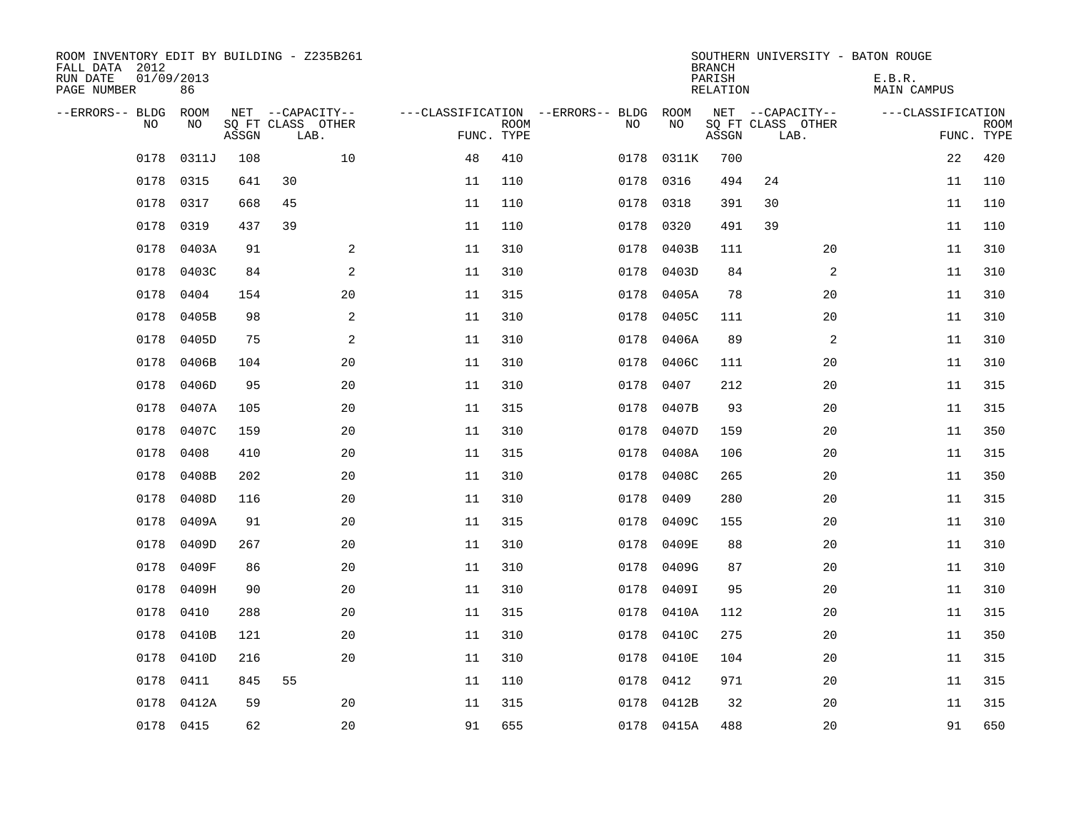| ROOM INVENTORY EDIT BY BUILDING - Z235B261<br>FALL DATA 2012<br>RUN DATE<br>PAGE NUMBER | 01/09/2013<br>86 |       |                                               |    |                           |                                         |            | <b>BRANCH</b><br>PARISH<br><b>RELATION</b> | SOUTHERN UNIVERSITY - BATON ROUGE             | E.B.R.<br><b>MAIN CAMPUS</b> |                           |
|-----------------------------------------------------------------------------------------|------------------|-------|-----------------------------------------------|----|---------------------------|-----------------------------------------|------------|--------------------------------------------|-----------------------------------------------|------------------------------|---------------------------|
| --ERRORS-- BLDG<br>NO.                                                                  | ROOM<br>NO       | ASSGN | NET --CAPACITY--<br>SQ FT CLASS OTHER<br>LAB. |    | <b>ROOM</b><br>FUNC. TYPE | ---CLASSIFICATION --ERRORS-- BLDG<br>NO | ROOM<br>NO | ASSGN                                      | NET --CAPACITY--<br>SQ FT CLASS OTHER<br>LAB. | ---CLASSIFICATION            | <b>ROOM</b><br>FUNC. TYPE |
| 0178                                                                                    | 0311J            | 108   | 10                                            | 48 | 410                       | 0178                                    | 0311K      | 700                                        |                                               | 22                           | 420                       |
| 0178                                                                                    | 0315             | 641   | 30                                            | 11 | 110                       | 0178                                    | 0316       | 494                                        | 24                                            | 11                           | 110                       |
| 0178                                                                                    | 0317             | 668   | 45                                            | 11 | 110                       | 0178                                    | 0318       | 391                                        | 30                                            | 11                           | 110                       |
| 0178                                                                                    | 0319             | 437   | 39                                            | 11 | 110                       | 0178                                    | 0320       | 491                                        | 39                                            | 11                           | 110                       |
| 0178                                                                                    | 0403A            | 91    | 2                                             | 11 | 310                       | 0178                                    | 0403B      | 111                                        | 20                                            | 11                           | 310                       |
| 0178                                                                                    | 0403C            | 84    | 2                                             | 11 | 310                       | 0178                                    | 0403D      | 84                                         | 2                                             | 11                           | 310                       |
| 0178                                                                                    | 0404             | 154   | 20                                            | 11 | 315                       | 0178                                    | 0405A      | 78                                         | 20                                            | 11                           | 310                       |
| 0178                                                                                    | 0405B            | 98    | 2                                             | 11 | 310                       | 0178                                    | 0405C      | 111                                        | 20                                            | 11                           | 310                       |
| 0178                                                                                    | 0405D            | 75    | 2                                             | 11 | 310                       | 0178                                    | 0406A      | 89                                         | 2                                             | 11                           | 310                       |
| 0178                                                                                    | 0406B            | 104   | 20                                            | 11 | 310                       | 0178                                    | 0406C      | 111                                        | 20                                            | 11                           | 310                       |
| 0178                                                                                    | 0406D            | 95    | 20                                            | 11 | 310                       | 0178                                    | 0407       | 212                                        | 20                                            | 11                           | 315                       |
| 0178                                                                                    | 0407A            | 105   | 20                                            | 11 | 315                       | 0178                                    | 0407B      | 93                                         | 20                                            | 11                           | 315                       |
| 0178                                                                                    | 0407C            | 159   | 20                                            | 11 | 310                       | 0178                                    | 0407D      | 159                                        | 20                                            | 11                           | 350                       |
| 0178                                                                                    | 0408             | 410   | 20                                            | 11 | 315                       | 0178                                    | 0408A      | 106                                        | 20                                            | 11                           | 315                       |
| 0178                                                                                    | 0408B            | 202   | 20                                            | 11 | 310                       | 0178                                    | 0408C      | 265                                        | 20                                            | 11                           | 350                       |
| 0178                                                                                    | 0408D            | 116   | 20                                            | 11 | 310                       | 0178                                    | 0409       | 280                                        | 20                                            | 11                           | 315                       |
| 0178                                                                                    | 0409A            | 91    | 20                                            | 11 | 315                       | 0178                                    | 0409C      | 155                                        | 20                                            | 11                           | 310                       |
| 0178                                                                                    | 0409D            | 267   | 20                                            | 11 | 310                       | 0178                                    | 0409E      | 88                                         | 20                                            | 11                           | 310                       |
| 0178                                                                                    | 0409F            | 86    | 20                                            | 11 | 310                       | 0178                                    | 0409G      | 87                                         | 20                                            | 11                           | 310                       |
| 0178                                                                                    | 0409H            | 90    | 20                                            | 11 | 310                       | 0178                                    | 0409I      | 95                                         | 20                                            | 11                           | 310                       |
| 0178                                                                                    | 0410             | 288   | 20                                            | 11 | 315                       | 0178                                    | 0410A      | 112                                        | 20                                            | 11                           | 315                       |
| 0178                                                                                    | 0410B            | 121   | 20                                            | 11 | 310                       | 0178                                    | 0410C      | 275                                        | 20                                            | 11                           | 350                       |
| 0178                                                                                    | 0410D            | 216   | 20                                            | 11 | 310                       | 0178                                    | 0410E      | 104                                        | 20                                            | 11                           | 315                       |
| 0178                                                                                    | 0411             | 845   | 55                                            | 11 | 110                       | 0178                                    | 0412       | 971                                        | 20                                            | 11                           | 315                       |
| 0178                                                                                    | 0412A            | 59    | 20                                            | 11 | 315                       | 0178                                    | 0412B      | 32                                         | 20                                            | 11                           | 315                       |
| 0178                                                                                    | 0415             | 62    | 20                                            | 91 | 655                       |                                         | 0178 0415A | 488                                        | 20                                            | 91                           | 650                       |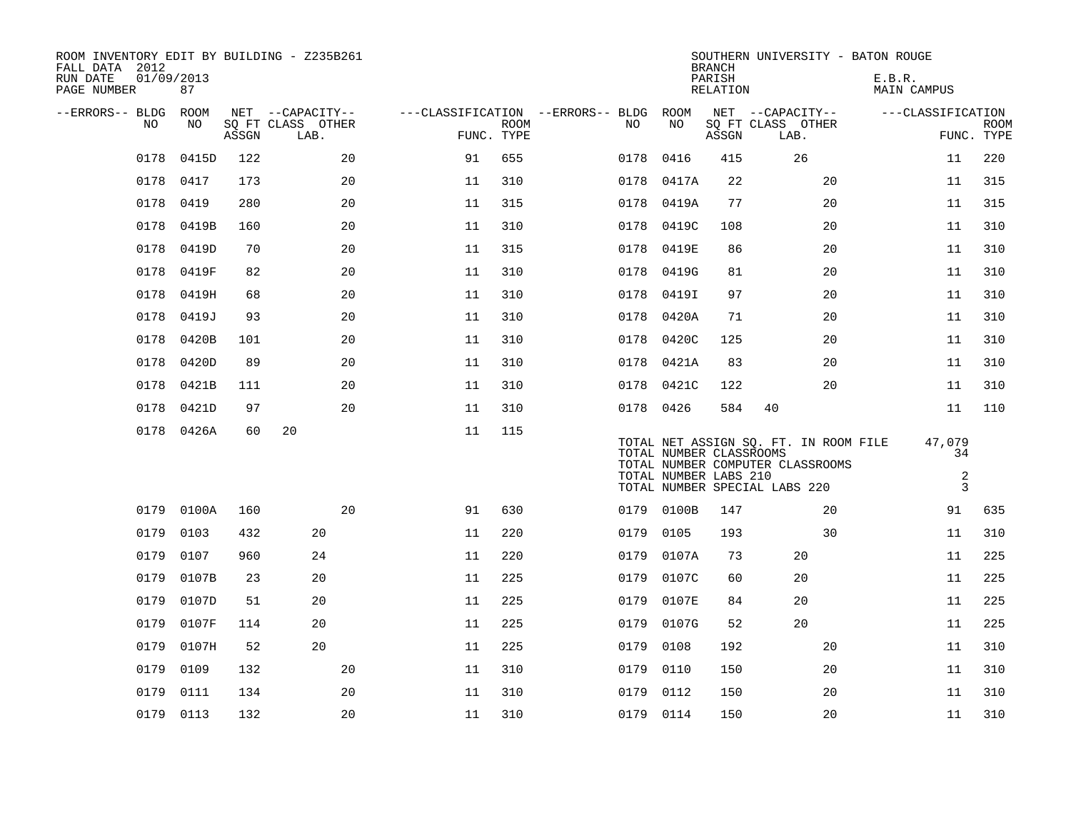| ROOM INVENTORY EDIT BY BUILDING - Z235B261<br>FALL DATA 2012<br>RUN DATE<br>PAGE NUMBER | 01/09/2013<br>87 |       |                           |    |                           |                                   |                                                  | <b>BRANCH</b><br>PARISH<br>RELATION | SOUTHERN UNIVERSITY - BATON ROUGE                                                                          | E.B.R.<br>MAIN CAMPUS               |                           |
|-----------------------------------------------------------------------------------------|------------------|-------|---------------------------|----|---------------------------|-----------------------------------|--------------------------------------------------|-------------------------------------|------------------------------------------------------------------------------------------------------------|-------------------------------------|---------------------------|
| --ERRORS-- BLDG                                                                         | ROOM             |       | NET --CAPACITY--          |    |                           | ---CLASSIFICATION --ERRORS-- BLDG | ROOM                                             |                                     | NET --CAPACITY--                                                                                           | ---CLASSIFICATION                   |                           |
| NO                                                                                      | NO               | ASSGN | SO FT CLASS OTHER<br>LAB. |    | <b>ROOM</b><br>FUNC. TYPE | NO                                | NO                                               | ASSGN                               | SQ FT CLASS OTHER<br>LAB.                                                                                  |                                     | <b>ROOM</b><br>FUNC. TYPE |
| 0178                                                                                    | 0415D            | 122   | 20                        | 91 | 655                       | 0178                              | 0416                                             | 415                                 | 26                                                                                                         | 11                                  | 220                       |
| 0178                                                                                    | 0417             | 173   | 20                        | 11 | 310                       | 0178                              | 0417A                                            | 22                                  | 20                                                                                                         | 11                                  | 315                       |
| 0178                                                                                    | 0419             | 280   | 20                        | 11 | 315                       | 0178                              | 0419A                                            | 77                                  | 20                                                                                                         | 11                                  | 315                       |
| 0178                                                                                    | 0419B            | 160   | 20                        | 11 | 310                       | 0178                              | 0419C                                            | 108                                 | 20                                                                                                         | 11                                  | 310                       |
| 0178                                                                                    | 0419D            | 70    | 20                        | 11 | 315                       | 0178                              | 0419E                                            | 86                                  | 20                                                                                                         | 11                                  | 310                       |
| 0178                                                                                    | 0419F            | 82    | 20                        | 11 | 310                       | 0178                              | 0419G                                            | 81                                  | 20                                                                                                         | 11                                  | 310                       |
| 0178                                                                                    | 0419H            | 68    | 20                        | 11 | 310                       | 0178                              | 0419I                                            | 97                                  | 20                                                                                                         | 11                                  | 310                       |
| 0178                                                                                    | 0419J            | 93    | 20                        | 11 | 310                       | 0178                              | 0420A                                            | 71                                  | 20                                                                                                         | 11                                  | 310                       |
| 0178                                                                                    | 0420B            | 101   | 20                        | 11 | 310                       | 0178                              | 0420C                                            | 125                                 | 20                                                                                                         | 11                                  | 310                       |
| 0178                                                                                    | 0420D            | 89    | 20                        | 11 | 310                       | 0178                              | 0421A                                            | 83                                  | 20                                                                                                         | 11                                  | 310                       |
| 0178                                                                                    | 0421B            | 111   | 20                        | 11 | 310                       |                                   | 0178 0421C                                       | 122                                 | 20                                                                                                         | 11                                  | 310                       |
| 0178                                                                                    | 0421D            | 97    | 20                        | 11 | 310                       |                                   | 0178 0426                                        | 584                                 | 40                                                                                                         | 11                                  | 110                       |
|                                                                                         | 0178 0426A       | 60    | 20                        | 11 | 115                       |                                   | TOTAL NUMBER CLASSROOMS<br>TOTAL NUMBER LABS 210 |                                     | TOTAL NET ASSIGN SQ. FT. IN ROOM FILE<br>TOTAL NUMBER COMPUTER CLASSROOMS<br>TOTAL NUMBER SPECIAL LABS 220 | 47,079<br>34<br>$\overline{a}$<br>3 |                           |
| 0179                                                                                    | 0100A            | 160   | 20                        | 91 | 630                       | 0179                              | 0100B                                            | 147                                 | 20                                                                                                         | 91                                  | 635                       |
| 0179                                                                                    | 0103             | 432   | 20                        | 11 | 220                       | 0179                              | 0105                                             | 193                                 | 30                                                                                                         | 11                                  | 310                       |
| 0179                                                                                    | 0107             | 960   | 24                        | 11 | 220                       | 0179                              | 0107A                                            | 73                                  | 20                                                                                                         | 11                                  | 225                       |
| 0179                                                                                    | 0107B            | 23    | 20                        | 11 | 225                       | 0179                              | 0107C                                            | 60                                  | 20                                                                                                         | 11                                  | 225                       |
| 0179                                                                                    | 0107D            | 51    | 20                        | 11 | 225                       | 0179                              | 0107E                                            | 84                                  | 20                                                                                                         | 11                                  | 225                       |
| 0179                                                                                    | 0107F            | 114   | 20                        | 11 | 225                       | 0179                              | 0107G                                            | 52                                  | 20                                                                                                         | 11                                  | 225                       |
| 0179                                                                                    | 0107H            | 52    | 20                        | 11 | 225                       | 0179                              | 0108                                             | 192                                 | 20                                                                                                         | 11                                  | 310                       |
| 0179                                                                                    | 0109             | 132   | 20                        | 11 | 310                       | 0179                              | 0110                                             | 150                                 | 20                                                                                                         | 11                                  | 310                       |
| 0179                                                                                    | 0111             | 134   | 20                        | 11 | 310                       | 0179                              | 0112                                             | 150                                 | 20                                                                                                         | 11                                  | 310                       |
|                                                                                         | 0179 0113        | 132   | 20                        | 11 | 310                       |                                   | 0179 0114                                        | 150                                 | 20                                                                                                         | 11                                  | 310                       |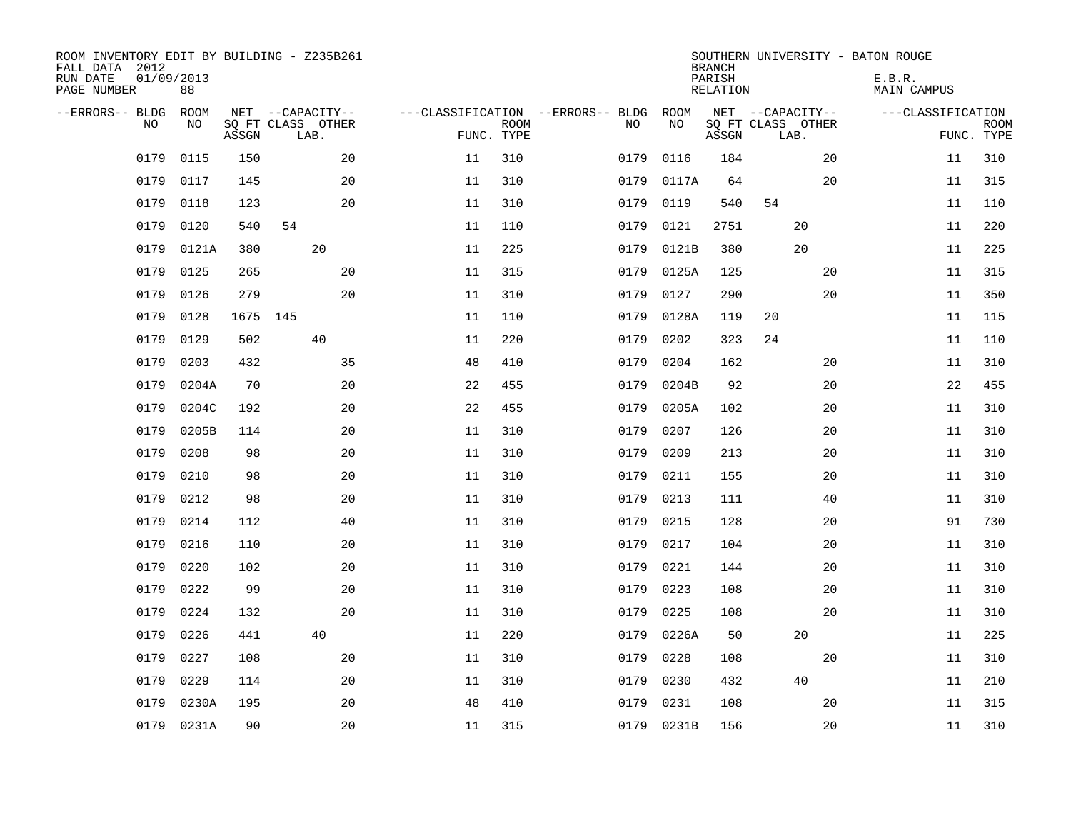| ROOM INVENTORY EDIT BY BUILDING - Z235B261<br>FALL DATA 2012<br>RUN DATE<br>PAGE NUMBER | 01/09/2013<br>88 |          |                           |    |    |                           |                                   |            | <b>BRANCH</b><br>PARISH<br>RELATION |                           |    | SOUTHERN UNIVERSITY - BATON ROUGE<br>E.B.R.<br>MAIN CAMPUS |                           |
|-----------------------------------------------------------------------------------------|------------------|----------|---------------------------|----|----|---------------------------|-----------------------------------|------------|-------------------------------------|---------------------------|----|------------------------------------------------------------|---------------------------|
| --ERRORS-- BLDG                                                                         | ROOM             |          | NET --CAPACITY--          |    |    |                           | ---CLASSIFICATION --ERRORS-- BLDG | ROOM       |                                     | NET --CAPACITY--          |    | ---CLASSIFICATION                                          |                           |
| N <sub>O</sub>                                                                          | NO.              | ASSGN    | SO FT CLASS OTHER<br>LAB. |    |    | <b>ROOM</b><br>FUNC. TYPE | NO.                               | NO.        | ASSGN                               | SQ FT CLASS OTHER<br>LAB. |    |                                                            | <b>ROOM</b><br>FUNC. TYPE |
| 0179                                                                                    | 0115             | 150      |                           | 20 | 11 | 310                       | 0179                              | 0116       | 184                                 |                           | 20 | 11                                                         | 310                       |
| 0179                                                                                    | 0117             | 145      |                           | 20 | 11 | 310                       | 0179                              | 0117A      | 64                                  |                           | 20 | 11                                                         | 315                       |
| 0179                                                                                    | 0118             | 123      |                           | 20 | 11 | 310                       | 0179                              | 0119       | 540                                 | 54                        |    | 11                                                         | 110                       |
| 0179                                                                                    | 0120             | 540      | 54                        |    | 11 | 110                       | 0179                              | 0121       | 2751                                | 20                        |    | 11                                                         | 220                       |
| 0179                                                                                    | 0121A            | 380      | 20                        |    | 11 | 225                       | 0179                              | 0121B      | 380                                 | 20                        |    | 11                                                         | 225                       |
| 0179                                                                                    | 0125             | 265      |                           | 20 | 11 | 315                       | 0179                              | 0125A      | 125                                 |                           | 20 | 11                                                         | 315                       |
| 0179                                                                                    | 0126             | 279      |                           | 20 | 11 | 310                       | 0179                              | 0127       | 290                                 |                           | 20 | 11                                                         | 350                       |
| 0179                                                                                    | 0128             | 1675 145 |                           |    | 11 | 110                       | 0179                              | 0128A      | 119                                 | 20                        |    | 11                                                         | 115                       |
| 0179                                                                                    | 0129             | 502      | 40                        |    | 11 | 220                       | 0179                              | 0202       | 323                                 | 24                        |    | 11                                                         | 110                       |
| 0179                                                                                    | 0203             | 432      |                           | 35 | 48 | 410                       | 0179                              | 0204       | 162                                 |                           | 20 | 11                                                         | 310                       |
| 0179                                                                                    | 0204A            | 70       |                           | 20 | 22 | 455                       | 0179                              | 0204B      | 92                                  |                           | 20 | 22                                                         | 455                       |
| 0179                                                                                    | 0204C            | 192      |                           | 20 | 22 | 455                       | 0179                              | 0205A      | 102                                 |                           | 20 | 11                                                         | 310                       |
| 0179                                                                                    | 0205B            | 114      |                           | 20 | 11 | 310                       | 0179                              | 0207       | 126                                 |                           | 20 | 11                                                         | 310                       |
| 0179                                                                                    | 0208             | 98       |                           | 20 | 11 | 310                       | 0179                              | 0209       | 213                                 |                           | 20 | 11                                                         | 310                       |
| 0179                                                                                    | 0210             | 98       |                           | 20 | 11 | 310                       | 0179                              | 0211       | 155                                 |                           | 20 | 11                                                         | 310                       |
| 0179                                                                                    | 0212             | 98       |                           | 20 | 11 | 310                       | 0179                              | 0213       | 111                                 |                           | 40 | 11                                                         | 310                       |
| 0179                                                                                    | 0214             | 112      |                           | 40 | 11 | 310                       | 0179                              | 0215       | 128                                 |                           | 20 | 91                                                         | 730                       |
| 0179                                                                                    | 0216             | 110      |                           | 20 | 11 | 310                       | 0179                              | 0217       | 104                                 |                           | 20 | 11                                                         | 310                       |
| 0179                                                                                    | 0220             | 102      |                           | 20 | 11 | 310                       | 0179                              | 0221       | 144                                 |                           | 20 | 11                                                         | 310                       |
| 0179                                                                                    | 0222             | 99       |                           | 20 | 11 | 310                       | 0179                              | 0223       | 108                                 |                           | 20 | 11                                                         | 310                       |
| 0179                                                                                    | 0224             | 132      |                           | 20 | 11 | 310                       | 0179                              | 0225       | 108                                 |                           | 20 | 11                                                         | 310                       |
| 0179                                                                                    | 0226             | 441      | 40                        |    | 11 | 220                       | 0179                              | 0226A      | 50                                  | 20                        |    | 11                                                         | 225                       |
| 0179                                                                                    | 0227             | 108      |                           | 20 | 11 | 310                       | 0179                              | 0228       | 108                                 |                           | 20 | 11                                                         | 310                       |
| 0179                                                                                    | 0229             | 114      |                           | 20 | 11 | 310                       | 0179                              | 0230       | 432                                 | 40                        |    | 11                                                         | 210                       |
| 0179                                                                                    | 0230A            | 195      |                           | 20 | 48 | 410                       | 0179                              | 0231       | 108                                 |                           | 20 | 11                                                         | 315                       |
| 0179                                                                                    | 0231A            | 90       |                           | 20 | 11 | 315                       |                                   | 0179 0231B | 156                                 |                           | 20 | 11                                                         | 310                       |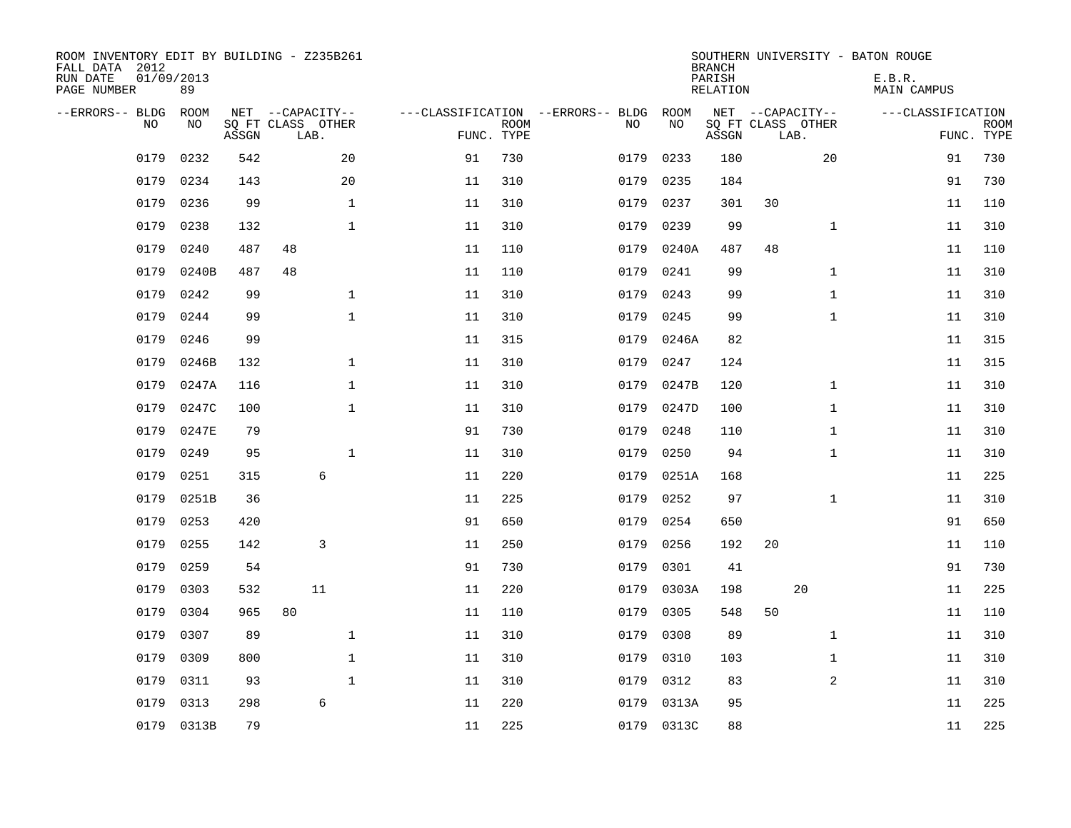| ROOM INVENTORY EDIT BY BUILDING - Z235B261<br>FALL DATA 2012<br>RUN DATE<br>PAGE NUMBER | 01/09/2013<br>89 |       |                           |              |    |                           |                                   |            | <b>BRANCH</b><br>PARISH<br>RELATION |                           |              | SOUTHERN UNIVERSITY - BATON ROUGE<br>E.B.R.<br>MAIN CAMPUS |                           |
|-----------------------------------------------------------------------------------------|------------------|-------|---------------------------|--------------|----|---------------------------|-----------------------------------|------------|-------------------------------------|---------------------------|--------------|------------------------------------------------------------|---------------------------|
| --ERRORS-- BLDG                                                                         | ROOM             |       | NET --CAPACITY--          |              |    |                           | ---CLASSIFICATION --ERRORS-- BLDG | ROOM       |                                     | NET --CAPACITY--          |              | ---CLASSIFICATION                                          |                           |
| N <sub>O</sub>                                                                          | NO.              | ASSGN | SO FT CLASS OTHER<br>LAB. |              |    | <b>ROOM</b><br>FUNC. TYPE | NO.                               | NO         | ASSGN                               | SQ FT CLASS OTHER<br>LAB. |              |                                                            | <b>ROOM</b><br>FUNC. TYPE |
| 0179                                                                                    | 0232             | 542   |                           | 20           | 91 | 730                       | 0179                              | 0233       | 180                                 |                           | 20           | 91                                                         | 730                       |
| 0179                                                                                    | 0234             | 143   |                           | 20           | 11 | 310                       | 0179                              | 0235       | 184                                 |                           |              | 91                                                         | 730                       |
| 0179                                                                                    | 0236             | 99    |                           | $\mathbf{1}$ | 11 | 310                       | 0179                              | 0237       | 301                                 | 30                        |              | 11                                                         | 110                       |
| 0179                                                                                    | 0238             | 132   |                           | $\mathbf{1}$ | 11 | 310                       | 0179                              | 0239       | 99                                  |                           | $\mathbf{1}$ | 11                                                         | 310                       |
| 0179                                                                                    | 0240             | 487   | 48                        |              | 11 | 110                       | 0179                              | 0240A      | 487                                 | 48                        |              | 11                                                         | 110                       |
| 0179                                                                                    | 0240B            | 487   | 48                        |              | 11 | 110                       | 0179                              | 0241       | 99                                  |                           | $\mathbf{1}$ | 11                                                         | 310                       |
| 0179                                                                                    | 0242             | 99    |                           | $\mathbf{1}$ | 11 | 310                       | 0179                              | 0243       | 99                                  |                           | $\mathbf{1}$ | 11                                                         | 310                       |
| 0179                                                                                    | 0244             | 99    |                           | $\mathbf{1}$ | 11 | 310                       | 0179                              | 0245       | 99                                  |                           | $\mathbf{1}$ | 11                                                         | 310                       |
| 0179                                                                                    | 0246             | 99    |                           |              | 11 | 315                       | 0179                              | 0246A      | 82                                  |                           |              | 11                                                         | 315                       |
| 0179                                                                                    | 0246B            | 132   |                           | $\mathbf 1$  | 11 | 310                       | 0179                              | 0247       | 124                                 |                           |              | 11                                                         | 315                       |
| 0179                                                                                    | 0247A            | 116   |                           | $\mathbf 1$  | 11 | 310                       | 0179                              | 0247B      | 120                                 |                           | $\mathbf{1}$ | 11                                                         | 310                       |
| 0179                                                                                    | 0247C            | 100   |                           | $\mathbf{1}$ | 11 | 310                       | 0179                              | 0247D      | 100                                 |                           | $\mathbf{1}$ | 11                                                         | 310                       |
| 0179                                                                                    | 0247E            | 79    |                           |              | 91 | 730                       | 0179                              | 0248       | 110                                 |                           | $\mathbf{1}$ | 11                                                         | 310                       |
| 0179                                                                                    | 0249             | 95    |                           | $\mathbf{1}$ | 11 | 310                       | 0179                              | 0250       | 94                                  |                           | $\mathbf{1}$ | 11                                                         | 310                       |
| 0179                                                                                    | 0251             | 315   | $\epsilon$                |              | 11 | 220                       | 0179                              | 0251A      | 168                                 |                           |              | 11                                                         | 225                       |
| 0179                                                                                    | 0251B            | 36    |                           |              | 11 | 225                       | 0179                              | 0252       | 97                                  |                           | $\mathbf{1}$ | 11                                                         | 310                       |
| 0179                                                                                    | 0253             | 420   |                           |              | 91 | 650                       | 0179                              | 0254       | 650                                 |                           |              | 91                                                         | 650                       |
| 0179                                                                                    | 0255             | 142   | 3                         |              | 11 | 250                       | 0179                              | 0256       | 192                                 | 20                        |              | 11                                                         | 110                       |
| 0179                                                                                    | 0259             | 54    |                           |              | 91 | 730                       | 0179                              | 0301       | 41                                  |                           |              | 91                                                         | 730                       |
| 0179                                                                                    | 0303             | 532   | 11                        |              | 11 | 220                       | 0179                              | 0303A      | 198                                 |                           | 20           | 11                                                         | 225                       |
| 0179                                                                                    | 0304             | 965   | 80                        |              | 11 | 110                       | 0179                              | 0305       | 548                                 | 50                        |              | 11                                                         | 110                       |
| 0179                                                                                    | 0307             | 89    |                           | $\mathbf 1$  | 11 | 310                       | 0179                              | 0308       | 89                                  |                           | $\mathbf{1}$ | 11                                                         | 310                       |
| 0179                                                                                    | 0309             | 800   |                           | $\mathbf{1}$ | 11 | 310                       | 0179                              | 0310       | 103                                 |                           | $\mathbf{1}$ | 11                                                         | 310                       |
| 0179                                                                                    | 0311             | 93    |                           | $\mathbf{1}$ | 11 | 310                       | 0179                              | 0312       | 83                                  |                           | 2            | 11                                                         | 310                       |
| 0179                                                                                    | 0313             | 298   | 6                         |              | 11 | 220                       | 0179                              | 0313A      | 95                                  |                           |              | 11                                                         | 225                       |
|                                                                                         | 0179 0313B       | 79    |                           |              | 11 | 225                       |                                   | 0179 0313C | 88                                  |                           |              | 11                                                         | 225                       |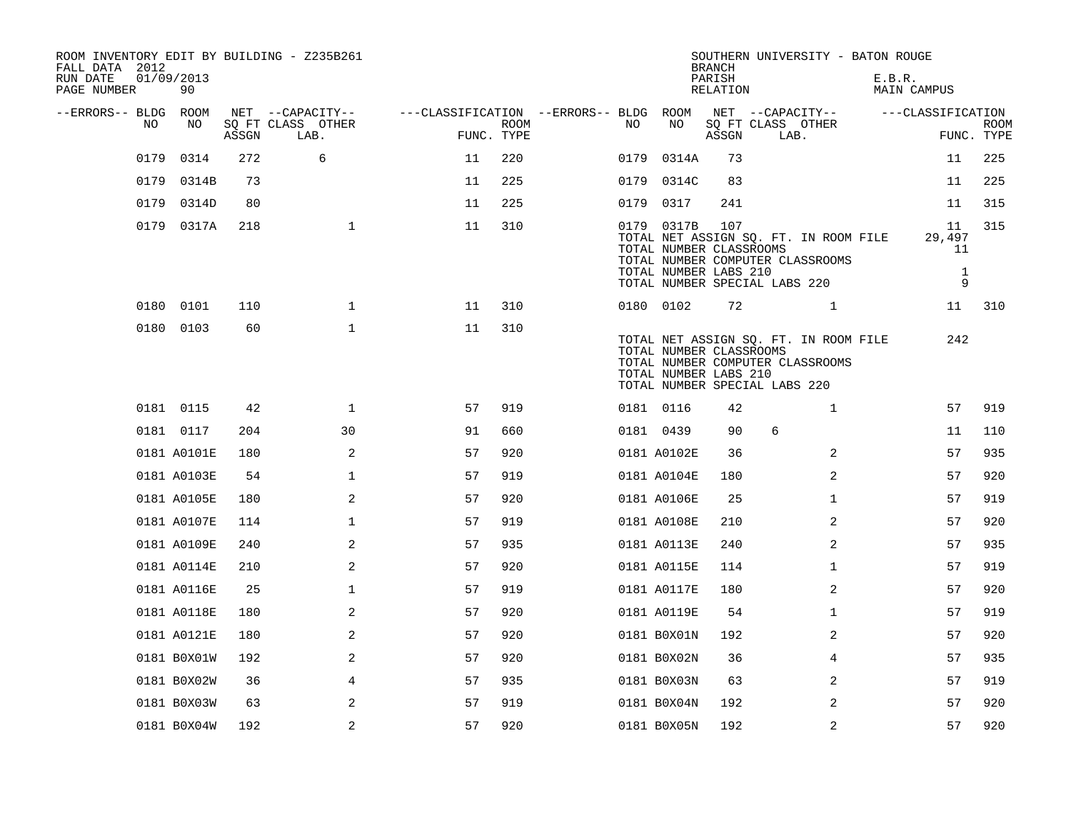| ROOM INVENTORY EDIT BY BUILDING - Z235B261<br>FALL DATA 2012 |                  |       |                           |                                        |             |      |                                                                | <b>BRANCH</b>      | SOUTHERN UNIVERSITY - BATON ROUGE                                                                          |                                         |                    |
|--------------------------------------------------------------|------------------|-------|---------------------------|----------------------------------------|-------------|------|----------------------------------------------------------------|--------------------|------------------------------------------------------------------------------------------------------------|-----------------------------------------|--------------------|
| RUN DATE<br>PAGE NUMBER                                      | 01/09/2013<br>90 |       |                           |                                        |             |      |                                                                | PARISH<br>RELATION |                                                                                                            | E.B.R.<br>MAIN CAMPUS                   |                    |
| --ERRORS-- BLDG ROOM                                         |                  |       | NET --CAPACITY--          | ---CLASSIFICATION --ERRORS-- BLDG ROOM |             |      |                                                                |                    | NET --CAPACITY--                                                                                           | ---CLASSIFICATION                       |                    |
| NO.                                                          | NO               | ASSGN | SQ FT CLASS OTHER<br>LAB. | FUNC. TYPE                             | <b>ROOM</b> | NO.  | NO                                                             | ASSGN              | SQ FT CLASS OTHER<br>LAB.                                                                                  |                                         | ROOM<br>FUNC. TYPE |
| 0179                                                         | 0314             | 272   | 6                         | 11                                     | 220         | 0179 | 0314A                                                          | 73                 |                                                                                                            | 11                                      | 225                |
| 0179                                                         | 0314B            | 73    |                           | 11                                     | 225         |      | 0179 0314C                                                     | 83                 |                                                                                                            | 11                                      | 225                |
| 0179                                                         | 0314D            | 80    |                           | 11                                     | 225         |      | 0179 0317                                                      | 241                |                                                                                                            | 11                                      | 315                |
|                                                              | 0179 0317A       | 218   | $\mathbf 1$               | 11                                     | 310         |      | 0179 0317B<br>TOTAL NUMBER CLASSROOMS<br>TOTAL NUMBER LABS 210 | 107                | TOTAL NET ASSIGN SQ. FT. IN ROOM FILE<br>TOTAL NUMBER COMPUTER CLASSROOMS<br>TOTAL NUMBER SPECIAL LABS 220 | 11<br>29,497<br>11<br>$\mathbf{1}$<br>9 | 315                |
|                                                              | 0180 0101        | 110   | $\mathbf{1}$              | 11                                     | 310         |      | 0180 0102                                                      | 72                 | 1                                                                                                          | 11                                      | 310                |
|                                                              | 0180 0103        | 60    | $\mathbf 1$               | 11                                     | 310         |      | TOTAL NUMBER CLASSROOMS<br>TOTAL NUMBER LABS 210               |                    | TOTAL NET ASSIGN SQ. FT. IN ROOM FILE<br>TOTAL NUMBER COMPUTER CLASSROOMS<br>TOTAL NUMBER SPECIAL LABS 220 | 242                                     |                    |
|                                                              | 0181 0115        | 42    | $\mathbf 1$               | 57                                     | 919         |      | 0181 0116                                                      | 42                 | $\mathbf{1}$                                                                                               | 57                                      | 919                |
|                                                              | 0181 0117        | 204   | 30                        | 91                                     | 660         |      | 0181 0439                                                      | 90                 | 6                                                                                                          | 11                                      | 110                |
|                                                              | 0181 A0101E      | 180   | 2                         | 57                                     | 920         |      | 0181 A0102E                                                    | 36                 | 2                                                                                                          | 57                                      | 935                |
|                                                              | 0181 A0103E      | 54    | 1                         | 57                                     | 919         |      | 0181 A0104E                                                    | 180                | 2                                                                                                          | 57                                      | 920                |
|                                                              | 0181 A0105E      | 180   | 2                         | 57                                     | 920         |      | 0181 A0106E                                                    | 25                 | $\mathbf{1}$                                                                                               | 57                                      | 919                |
|                                                              | 0181 A0107E      | 114   | $\mathbf 1$               | 57                                     | 919         |      | 0181 A0108E                                                    | 210                | 2                                                                                                          | 57                                      | 920                |
|                                                              | 0181 A0109E      | 240   | 2                         | 57                                     | 935         |      | 0181 A0113E                                                    | 240                | 2                                                                                                          | 57                                      | 935                |
|                                                              | 0181 A0114E      | 210   | 2                         | 57                                     | 920         |      | 0181 A0115E                                                    | 114                | $\mathbf{1}$                                                                                               | 57                                      | 919                |
|                                                              | 0181 A0116E      | 25    | $\mathbf 1$               | 57                                     | 919         |      | 0181 A0117E                                                    | 180                | 2                                                                                                          | 57                                      | 920                |
|                                                              | 0181 A0118E      | 180   | 2                         | 57                                     | 920         |      | 0181 A0119E                                                    | 54                 | $\mathbf{1}$                                                                                               | 57                                      | 919                |
|                                                              | 0181 A0121E      | 180   | $\overline{2}$            | 57                                     | 920         |      | 0181 B0X01N                                                    | 192                | $\overline{2}$                                                                                             | 57                                      | 920                |
|                                                              | 0181 B0X01W      | 192   | 2                         | 57                                     | 920         |      | 0181 B0X02N                                                    | 36                 | 4                                                                                                          | 57                                      | 935                |
|                                                              | 0181 B0X02W      | 36    | 4                         | 57                                     | 935         |      | 0181 B0X03N                                                    | 63                 | 2                                                                                                          | 57                                      | 919                |
|                                                              | 0181 B0X03W      | 63    | 2                         | 57                                     | 919         |      | 0181 B0X04N                                                    | 192                | 2                                                                                                          | 57                                      | 920                |
|                                                              | 0181 B0X04W      | 192   | 2                         | 57                                     | 920         |      | 0181 B0X05N                                                    | 192                | 2                                                                                                          | 57                                      | 920                |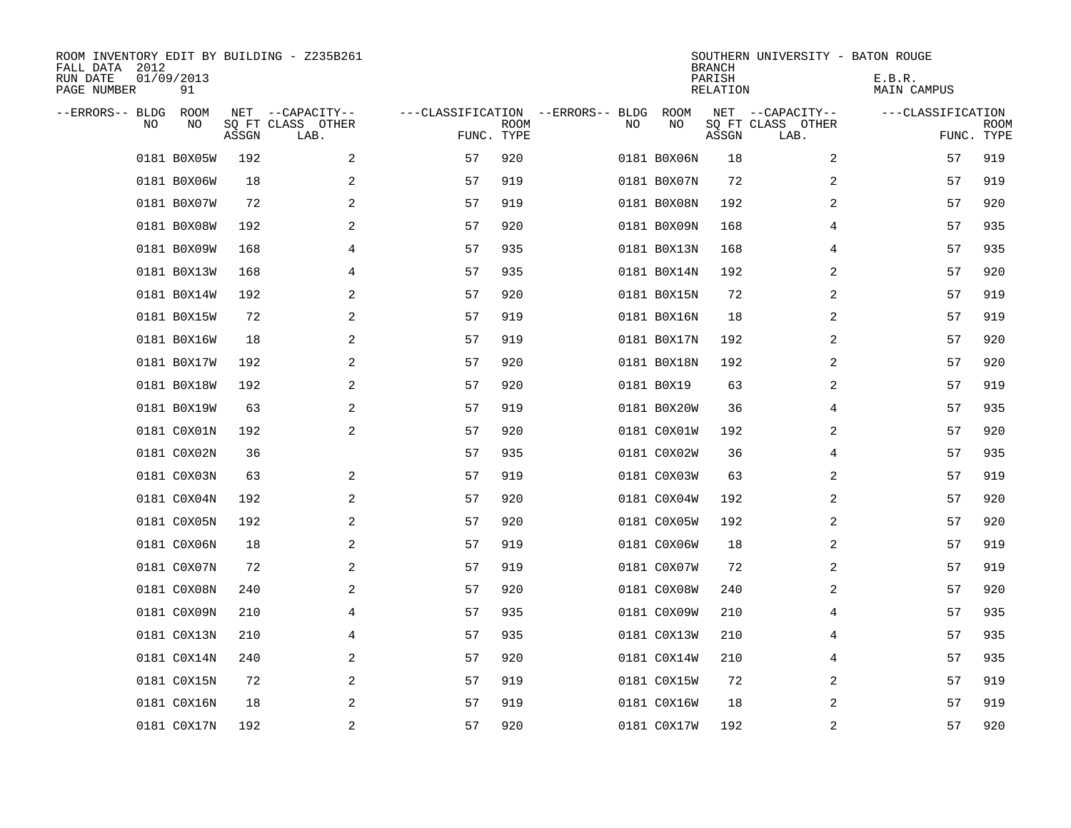| ROOM INVENTORY EDIT BY BUILDING - Z235B261<br>FALL DATA 2012<br>RUN DATE<br>PAGE NUMBER | 01/09/2013<br>91 |       |                                               |                                                 |             |    |             | <b>BRANCH</b><br>PARISH<br><b>RELATION</b> | SOUTHERN UNIVERSITY - BATON ROUGE             | E.B.R.<br>MAIN CAMPUS |                           |
|-----------------------------------------------------------------------------------------|------------------|-------|-----------------------------------------------|-------------------------------------------------|-------------|----|-------------|--------------------------------------------|-----------------------------------------------|-----------------------|---------------------------|
| --ERRORS-- BLDG<br>NO.                                                                  | ROOM<br>NO       | ASSGN | NET --CAPACITY--<br>SQ FT CLASS OTHER<br>LAB. | ---CLASSIFICATION --ERRORS-- BLDG<br>FUNC. TYPE | <b>ROOM</b> | NO | ROOM<br>NO  | ASSGN                                      | NET --CAPACITY--<br>SQ FT CLASS OTHER<br>LAB. | ---CLASSIFICATION     | <b>ROOM</b><br>FUNC. TYPE |
|                                                                                         | 0181 B0X05W      | 192   | 2                                             | 57                                              | 920         |    | 0181 B0X06N | 18                                         | 2                                             | 57                    | 919                       |
|                                                                                         | 0181 B0X06W      | 18    | 2                                             | 57                                              | 919         |    | 0181 B0X07N | 72                                         | 2                                             | 57                    | 919                       |
|                                                                                         | 0181 B0X07W      | 72    | $\overline{a}$                                | 57                                              | 919         |    | 0181 B0X08N | 192                                        | 2                                             | 57                    | 920                       |
|                                                                                         | 0181 B0X08W      | 192   | 2                                             | 57                                              | 920         |    | 0181 B0X09N | 168                                        | 4                                             | 57                    | 935                       |
|                                                                                         | 0181 B0X09W      | 168   | 4                                             | 57                                              | 935         |    | 0181 B0X13N | 168                                        | 4                                             | 57                    | 935                       |
|                                                                                         | 0181 B0X13W      | 168   | 4                                             | 57                                              | 935         |    | 0181 B0X14N | 192                                        | 2                                             | 57                    | 920                       |
|                                                                                         | 0181 B0X14W      | 192   | 2                                             | 57                                              | 920         |    | 0181 B0X15N | 72                                         | 2                                             | 57                    | 919                       |
|                                                                                         | 0181 B0X15W      | 72    | 2                                             | 57                                              | 919         |    | 0181 B0X16N | 18                                         | 2                                             | 57                    | 919                       |
|                                                                                         | 0181 B0X16W      | 18    | 2                                             | 57                                              | 919         |    | 0181 B0X17N | 192                                        | 2                                             | 57                    | 920                       |
|                                                                                         | 0181 B0X17W      | 192   | 2                                             | 57                                              | 920         |    | 0181 B0X18N | 192                                        | 2                                             | 57                    | 920                       |
|                                                                                         | 0181 B0X18W      | 192   | 2                                             | 57                                              | 920         |    | 0181 B0X19  | 63                                         | 2                                             | 57                    | 919                       |
|                                                                                         | 0181 B0X19W      | 63    | 2                                             | 57                                              | 919         |    | 0181 B0X20W | 36                                         | 4                                             | 57                    | 935                       |
|                                                                                         | 0181 C0X01N      | 192   | $\mathbf{2}$                                  | 57                                              | 920         |    | 0181 C0X01W | 192                                        | 2                                             | 57                    | 920                       |
|                                                                                         | 0181 C0X02N      | 36    |                                               | 57                                              | 935         |    | 0181 C0X02W | 36                                         | 4                                             | 57                    | 935                       |
|                                                                                         | 0181 C0X03N      | 63    | 2                                             | 57                                              | 919         |    | 0181 C0X03W | 63                                         | 2                                             | 57                    | 919                       |
|                                                                                         | 0181 C0X04N      | 192   | 2                                             | 57                                              | 920         |    | 0181 C0X04W | 192                                        | 2                                             | 57                    | 920                       |
|                                                                                         | 0181 C0X05N      | 192   | 2                                             | 57                                              | 920         |    | 0181 C0X05W | 192                                        | $\overline{2}$                                | 57                    | 920                       |
|                                                                                         | 0181 C0X06N      | 18    | 2                                             | 57                                              | 919         |    | 0181 C0X06W | 18                                         | 2                                             | 57                    | 919                       |
|                                                                                         | 0181 C0X07N      | 72    | 2                                             | 57                                              | 919         |    | 0181 C0X07W | 72                                         | 2                                             | 57                    | 919                       |
|                                                                                         | 0181 C0X08N      | 240   | 2                                             | 57                                              | 920         |    | 0181 C0X08W | 240                                        | 2                                             | 57                    | 920                       |
|                                                                                         | 0181 C0X09N      | 210   | 4                                             | 57                                              | 935         |    | 0181 C0X09W | 210                                        | 4                                             | 57                    | 935                       |
|                                                                                         | 0181 C0X13N      | 210   | 4                                             | 57                                              | 935         |    | 0181 C0X13W | 210                                        | 4                                             | 57                    | 935                       |
|                                                                                         | 0181 C0X14N      | 240   | 2                                             | 57                                              | 920         |    | 0181 C0X14W | 210                                        | 4                                             | 57                    | 935                       |
|                                                                                         | 0181 C0X15N      | 72    | 2                                             | 57                                              | 919         |    | 0181 C0X15W | 72                                         | 2                                             | 57                    | 919                       |
|                                                                                         | 0181 C0X16N      | 18    | 2                                             | 57                                              | 919         |    | 0181 C0X16W | 18                                         | 2                                             | 57                    | 919                       |
|                                                                                         | 0181 C0X17N      | 192   | 2                                             | 57                                              | 920         |    | 0181 C0X17W | 192                                        | $\overline{2}$                                | 57                    | 920                       |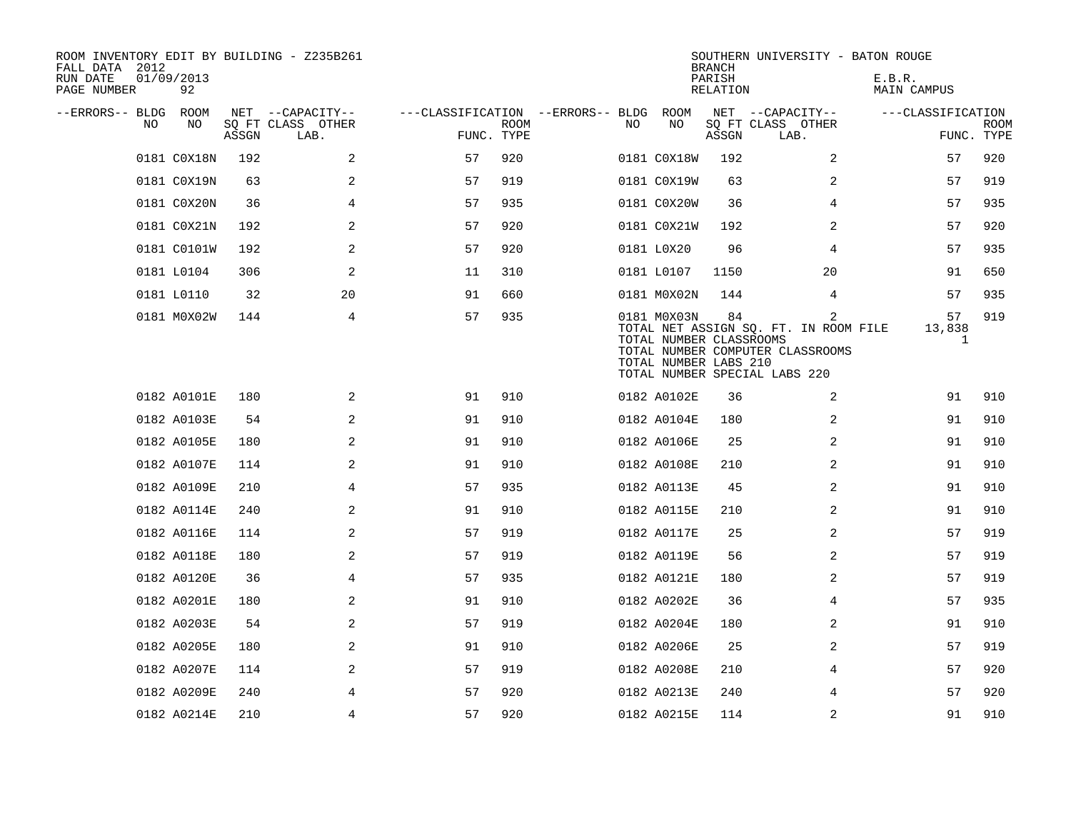| ROOM INVENTORY EDIT BY BUILDING - Z235B261<br>FALL DATA 2012<br>RUN DATE<br>PAGE NUMBER | 01/09/2013<br>92 |       |                           |                                   |             |    |                                                                 | <b>BRANCH</b><br>PARISH<br>RELATION | SOUTHERN UNIVERSITY - BATON ROUGE                                                                               | E.B.R.<br>MAIN CAMPUS |                           |
|-----------------------------------------------------------------------------------------|------------------|-------|---------------------------|-----------------------------------|-------------|----|-----------------------------------------------------------------|-------------------------------------|-----------------------------------------------------------------------------------------------------------------|-----------------------|---------------------------|
| --ERRORS-- BLDG                                                                         | ROOM             |       | NET --CAPACITY--          | ---CLASSIFICATION --ERRORS-- BLDG |             |    | ROOM                                                            |                                     | NET --CAPACITY--                                                                                                | ---CLASSIFICATION     |                           |
| NO                                                                                      | NO               | ASSGN | SQ FT CLASS OTHER<br>LAB. | FUNC. TYPE                        | <b>ROOM</b> | NO | NO                                                              | ASSGN                               | SQ FT CLASS OTHER<br>LAB.                                                                                       |                       | <b>ROOM</b><br>FUNC. TYPE |
|                                                                                         | 0181 C0X18N      | 192   | 2                         | 57                                | 920         |    | 0181 C0X18W                                                     | 192                                 | 2                                                                                                               | 57                    | 920                       |
|                                                                                         | 0181 C0X19N      | 63    | 2                         | 57                                | 919         |    | 0181 C0X19W                                                     | 63                                  | 2                                                                                                               | 57                    | 919                       |
|                                                                                         | 0181 C0X20N      | 36    | 4                         | 57                                | 935         |    | 0181 C0X20W                                                     | 36                                  | 4                                                                                                               | 57                    | 935                       |
|                                                                                         | 0181 C0X21N      | 192   | 2                         | 57                                | 920         |    | 0181 C0X21W                                                     | 192                                 | 2                                                                                                               | 57                    | 920                       |
|                                                                                         | 0181 C0101W      | 192   | 2                         | 57                                | 920         |    | 0181 L0X20                                                      | 96                                  | 4                                                                                                               | 57                    | 935                       |
|                                                                                         | 0181 L0104       | 306   | $\mathbf{2}$              | 11                                | 310         |    | 0181 L0107                                                      | 1150                                | 20                                                                                                              | 91                    | 650                       |
|                                                                                         | 0181 L0110       | 32    | 20                        | 91                                | 660         |    | 0181 M0X02N                                                     | 144                                 | 4                                                                                                               | 57                    | 935                       |
|                                                                                         | 0181 M0X02W      | 144   | 4                         | 57                                | 935         |    | 0181 M0X03N<br>TOTAL NUMBER CLASSROOMS<br>TOTAL NUMBER LABS 210 | 84                                  | 2<br>TOTAL NET ASSIGN SQ. FT. IN ROOM FILE<br>TOTAL NUMBER COMPUTER CLASSROOMS<br>TOTAL NUMBER SPECIAL LABS 220 | 57<br>13,838<br>1     | 919                       |
|                                                                                         | 0182 A0101E      | 180   | 2                         | 91                                | 910         |    | 0182 A0102E                                                     | 36                                  | $\overline{2}$                                                                                                  | 91                    | 910                       |
|                                                                                         | 0182 A0103E      | 54    | 2                         | 91                                | 910         |    | 0182 A0104E                                                     | 180                                 | 2                                                                                                               | 91                    | 910                       |
|                                                                                         | 0182 A0105E      | 180   | 2                         | 91                                | 910         |    | 0182 A0106E                                                     | 25                                  | 2                                                                                                               | 91                    | 910                       |
|                                                                                         | 0182 A0107E      | 114   | 2                         | 91                                | 910         |    | 0182 A0108E                                                     | 210                                 | 2                                                                                                               | 91                    | 910                       |
|                                                                                         | 0182 A0109E      | 210   | 4                         | 57                                | 935         |    | 0182 A0113E                                                     | 45                                  | 2                                                                                                               | 91                    | 910                       |
|                                                                                         | 0182 A0114E      | 240   | 2                         | 91                                | 910         |    | 0182 A0115E                                                     | 210                                 | 2                                                                                                               | 91                    | 910                       |
|                                                                                         | 0182 A0116E      | 114   | 2                         | 57                                | 919         |    | 0182 A0117E                                                     | 25                                  | 2                                                                                                               | 57                    | 919                       |
|                                                                                         | 0182 A0118E      | 180   | 2                         | 57                                | 919         |    | 0182 A0119E                                                     | 56                                  | $\overline{a}$                                                                                                  | 57                    | 919                       |
|                                                                                         | 0182 A0120E      | 36    | 4                         | 57                                | 935         |    | 0182 A0121E                                                     | 180                                 | 2                                                                                                               | 57                    | 919                       |
|                                                                                         | 0182 A0201E      | 180   | 2                         | 91                                | 910         |    | 0182 A0202E                                                     | 36                                  | 4                                                                                                               | 57                    | 935                       |
|                                                                                         | 0182 A0203E      | 54    | 2                         | 57                                | 919         |    | 0182 A0204E                                                     | 180                                 | 2                                                                                                               | 91                    | 910                       |
|                                                                                         | 0182 A0205E      | 180   | 2                         | 91                                | 910         |    | 0182 A0206E                                                     | 25                                  | 2                                                                                                               | 57                    | 919                       |
|                                                                                         | 0182 A0207E      | 114   | 2                         | 57                                | 919         |    | 0182 A0208E                                                     | 210                                 | 4                                                                                                               | 57                    | 920                       |
|                                                                                         | 0182 A0209E      | 240   | 4                         | 57                                | 920         |    | 0182 A0213E                                                     | 240                                 | 4                                                                                                               | 57                    | 920                       |
|                                                                                         | 0182 A0214E      | 210   | $\overline{4}$            | 57                                | 920         |    | 0182 A0215E                                                     | 114                                 | $\overline{a}$                                                                                                  | 91                    | 910                       |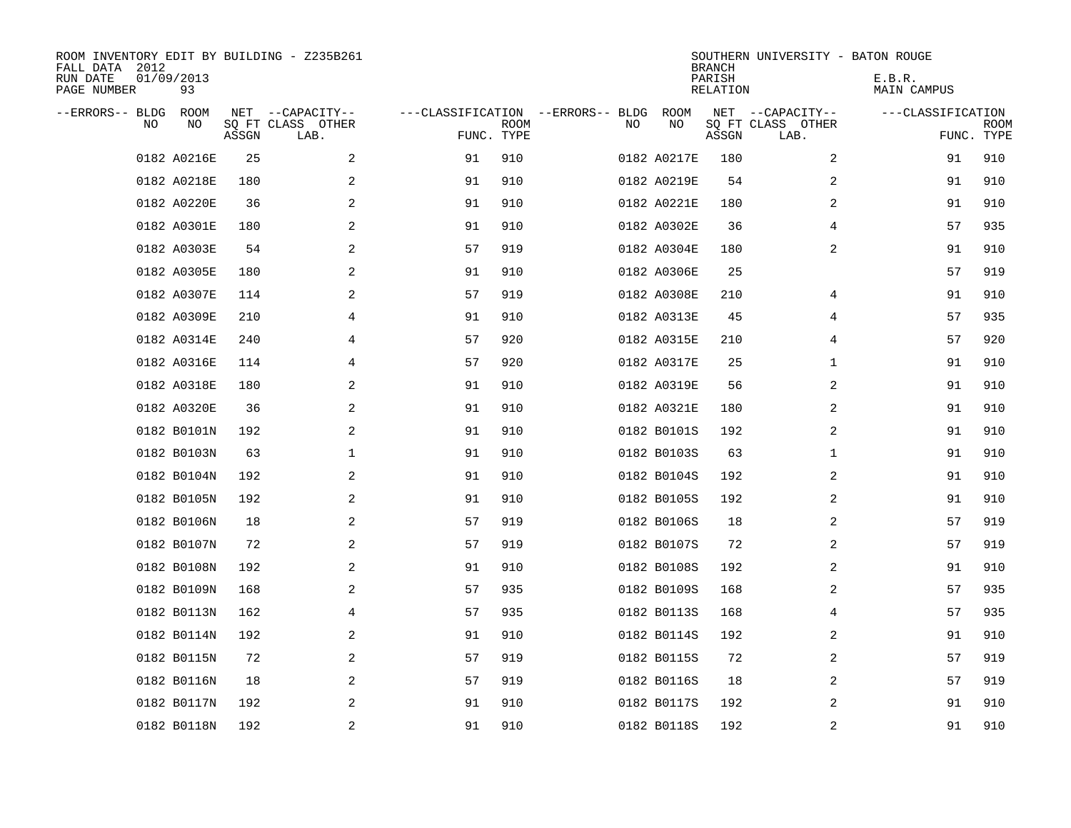| ROOM INVENTORY EDIT BY BUILDING - Z235B261<br>FALL DATA 2012<br>RUN DATE<br>PAGE NUMBER | 01/09/2013<br>93 |       |                                               |                                                 |             |    |             | <b>BRANCH</b><br>PARISH<br>RELATION | SOUTHERN UNIVERSITY - BATON ROUGE             | E.B.R.<br>MAIN CAMPUS |                           |
|-----------------------------------------------------------------------------------------|------------------|-------|-----------------------------------------------|-------------------------------------------------|-------------|----|-------------|-------------------------------------|-----------------------------------------------|-----------------------|---------------------------|
| --ERRORS-- BLDG<br>NO.                                                                  | ROOM<br>NO       | ASSGN | NET --CAPACITY--<br>SQ FT CLASS OTHER<br>LAB. | ---CLASSIFICATION --ERRORS-- BLDG<br>FUNC. TYPE | <b>ROOM</b> | NO | ROOM<br>NO  | ASSGN                               | NET --CAPACITY--<br>SQ FT CLASS OTHER<br>LAB. | ---CLASSIFICATION     | <b>ROOM</b><br>FUNC. TYPE |
|                                                                                         | 0182 A0216E      | 25    | 2                                             | 91                                              | 910         |    | 0182 A0217E | 180                                 | 2                                             | 91                    | 910                       |
|                                                                                         | 0182 A0218E      | 180   | 2                                             | 91                                              | 910         |    | 0182 A0219E | 54                                  | 2                                             | 91                    | 910                       |
|                                                                                         | 0182 A0220E      | 36    | 2                                             | 91                                              | 910         |    | 0182 A0221E | 180                                 | 2                                             | 91                    | 910                       |
|                                                                                         | 0182 A0301E      | 180   | 2                                             | 91                                              | 910         |    | 0182 A0302E | 36                                  | 4                                             | 57                    | 935                       |
|                                                                                         | 0182 A0303E      | 54    | 2                                             | 57                                              | 919         |    | 0182 A0304E | 180                                 | $\overline{a}$                                | 91                    | 910                       |
|                                                                                         | 0182 A0305E      | 180   | 2                                             | 91                                              | 910         |    | 0182 A0306E | 25                                  |                                               | 57                    | 919                       |
|                                                                                         | 0182 A0307E      | 114   | $\mathbf{2}$                                  | 57                                              | 919         |    | 0182 A0308E | 210                                 | 4                                             | 91                    | 910                       |
|                                                                                         | 0182 A0309E      | 210   | 4                                             | 91                                              | 910         |    | 0182 A0313E | 45                                  | 4                                             | 57                    | 935                       |
|                                                                                         | 0182 A0314E      | 240   | 4                                             | 57                                              | 920         |    | 0182 A0315E | 210                                 | 4                                             | 57                    | 920                       |
|                                                                                         | 0182 A0316E      | 114   | 4                                             | 57                                              | 920         |    | 0182 A0317E | 25                                  | $\mathbf{1}$                                  | 91                    | 910                       |
|                                                                                         | 0182 A0318E      | 180   | 2                                             | 91                                              | 910         |    | 0182 A0319E | 56                                  | 2                                             | 91                    | 910                       |
|                                                                                         | 0182 A0320E      | 36    | 2                                             | 91                                              | 910         |    | 0182 A0321E | 180                                 | 2                                             | 91                    | 910                       |
|                                                                                         | 0182 B0101N      | 192   | 2                                             | 91                                              | 910         |    | 0182 B0101S | 192                                 | 2                                             | 91                    | 910                       |
|                                                                                         | 0182 B0103N      | 63    | 1                                             | 91                                              | 910         |    | 0182 B0103S | 63                                  | $\mathbf{1}$                                  | 91                    | 910                       |
|                                                                                         | 0182 B0104N      | 192   | 2                                             | 91                                              | 910         |    | 0182 B0104S | 192                                 | 2                                             | 91                    | 910                       |
|                                                                                         | 0182 B0105N      | 192   | 2                                             | 91                                              | 910         |    | 0182 B0105S | 192                                 | 2                                             | 91                    | 910                       |
|                                                                                         | 0182 B0106N      | 18    | 2                                             | 57                                              | 919         |    | 0182 B0106S | 18                                  | 2                                             | 57                    | 919                       |
|                                                                                         | 0182 B0107N      | 72    | 2                                             | 57                                              | 919         |    | 0182 B0107S | 72                                  | 2                                             | 57                    | 919                       |
|                                                                                         | 0182 B0108N      | 192   | 2                                             | 91                                              | 910         |    | 0182 B0108S | 192                                 | 2                                             | 91                    | 910                       |
|                                                                                         | 0182 B0109N      | 168   | 2                                             | 57                                              | 935         |    | 0182 B0109S | 168                                 | 2                                             | 57                    | 935                       |
|                                                                                         | 0182 B0113N      | 162   | 4                                             | 57                                              | 935         |    | 0182 B0113S | 168                                 | 4                                             | 57                    | 935                       |
|                                                                                         | 0182 B0114N      | 192   | 2                                             | 91                                              | 910         |    | 0182 B0114S | 192                                 | 2                                             | 91                    | 910                       |
|                                                                                         | 0182 B0115N      | 72    | 2                                             | 57                                              | 919         |    | 0182 B0115S | 72                                  | 2                                             | 57                    | 919                       |
|                                                                                         | 0182 B0116N      | 18    | 2                                             | 57                                              | 919         |    | 0182 B0116S | 18                                  | 2                                             | 57                    | 919                       |
|                                                                                         | 0182 B0117N      | 192   | 2                                             | 91                                              | 910         |    | 0182 B0117S | 192                                 | 2                                             | 91                    | 910                       |
|                                                                                         | 0182 B0118N      | 192   | 2                                             | 91                                              | 910         |    | 0182 B0118S | 192                                 | 2                                             | 91                    | 910                       |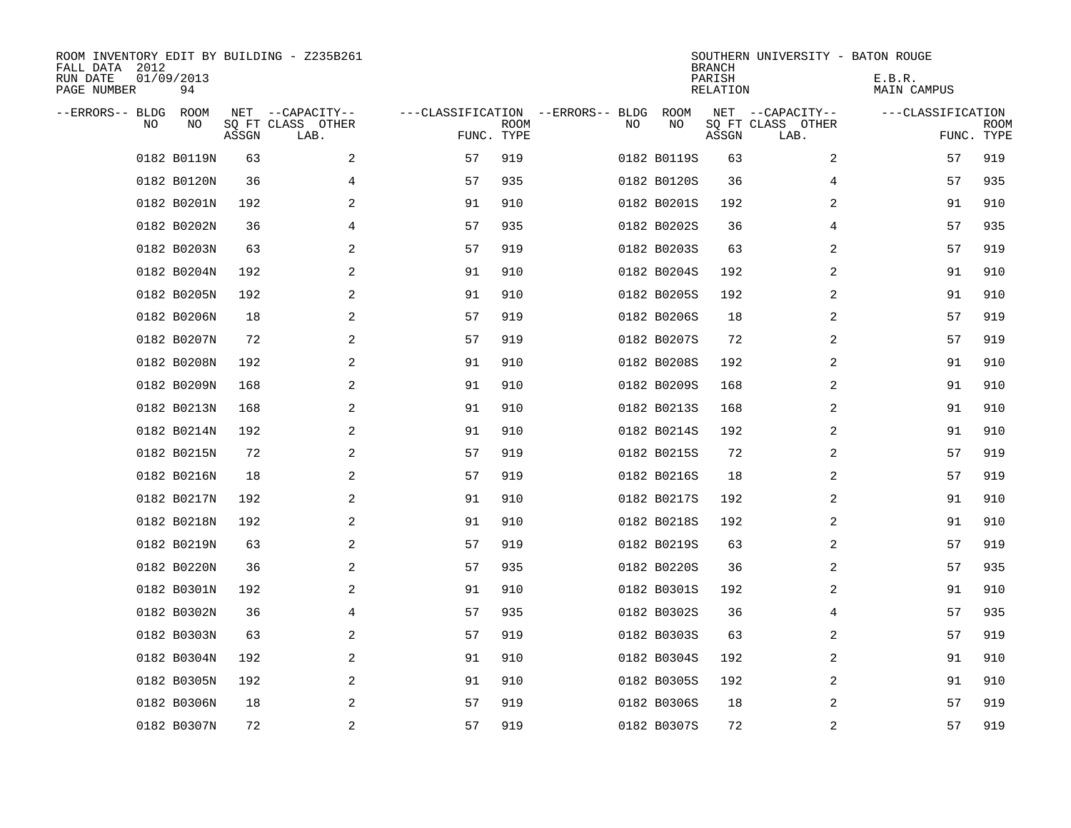| ROOM INVENTORY EDIT BY BUILDING - Z235B261<br>FALL DATA 2012<br>RUN DATE<br>PAGE NUMBER | 01/09/2013<br>94 |       |                                               |                                                 |             |    |             | <b>BRANCH</b><br>PARISH<br><b>RELATION</b> | SOUTHERN UNIVERSITY - BATON ROUGE             | E.B.R.<br>MAIN CAMPUS |                           |
|-----------------------------------------------------------------------------------------|------------------|-------|-----------------------------------------------|-------------------------------------------------|-------------|----|-------------|--------------------------------------------|-----------------------------------------------|-----------------------|---------------------------|
| --ERRORS-- BLDG<br>NO.                                                                  | ROOM<br>NO       | ASSGN | NET --CAPACITY--<br>SQ FT CLASS OTHER<br>LAB. | ---CLASSIFICATION --ERRORS-- BLDG<br>FUNC. TYPE | <b>ROOM</b> | NO | ROOM<br>NO  | ASSGN                                      | NET --CAPACITY--<br>SQ FT CLASS OTHER<br>LAB. | ---CLASSIFICATION     | <b>ROOM</b><br>FUNC. TYPE |
|                                                                                         | 0182 B0119N      | 63    | 2                                             | 57                                              | 919         |    | 0182 B0119S | 63                                         | 2                                             | 57                    | 919                       |
|                                                                                         | 0182 B0120N      | 36    | 4                                             | 57                                              | 935         |    | 0182 B0120S | 36                                         | 4                                             | 57                    | 935                       |
|                                                                                         | 0182 B0201N      | 192   | 2                                             | 91                                              | 910         |    | 0182 B0201S | 192                                        | 2                                             | 91                    | 910                       |
|                                                                                         | 0182 B0202N      | 36    | 4                                             | 57                                              | 935         |    | 0182 B0202S | 36                                         | 4                                             | 57                    | 935                       |
|                                                                                         | 0182 B0203N      | 63    | 2                                             | 57                                              | 919         |    | 0182 B0203S | 63                                         | 2                                             | 57                    | 919                       |
|                                                                                         | 0182 B0204N      | 192   | 2                                             | 91                                              | 910         |    | 0182 B0204S | 192                                        | 2                                             | 91                    | 910                       |
|                                                                                         | 0182 B0205N      | 192   | 2                                             | 91                                              | 910         |    | 0182 B0205S | 192                                        | $\overline{2}$                                | 91                    | 910                       |
|                                                                                         | 0182 B0206N      | 18    | 2                                             | 57                                              | 919         |    | 0182 B0206S | 18                                         | 2                                             | 57                    | 919                       |
|                                                                                         | 0182 B0207N      | 72    | 2                                             | 57                                              | 919         |    | 0182 B0207S | 72                                         | 2                                             | 57                    | 919                       |
|                                                                                         | 0182 B0208N      | 192   | 2                                             | 91                                              | 910         |    | 0182 B0208S | 192                                        | 2                                             | 91                    | 910                       |
|                                                                                         | 0182 B0209N      | 168   | 2                                             | 91                                              | 910         |    | 0182 B0209S | 168                                        | 2                                             | 91                    | 910                       |
|                                                                                         | 0182 B0213N      | 168   | 2                                             | 91                                              | 910         |    | 0182 B0213S | 168                                        | 2                                             | 91                    | 910                       |
|                                                                                         | 0182 B0214N      | 192   | 2                                             | 91                                              | 910         |    | 0182 B0214S | 192                                        | 2                                             | 91                    | 910                       |
|                                                                                         | 0182 B0215N      | 72    | 2                                             | 57                                              | 919         |    | 0182 B0215S | 72                                         | 2                                             | 57                    | 919                       |
|                                                                                         | 0182 B0216N      | 18    | 2                                             | 57                                              | 919         |    | 0182 B0216S | 18                                         | 2                                             | 57                    | 919                       |
|                                                                                         | 0182 B0217N      | 192   | 2                                             | 91                                              | 910         |    | 0182 B0217S | 192                                        | 2                                             | 91                    | 910                       |
|                                                                                         | 0182 B0218N      | 192   | 2                                             | 91                                              | 910         |    | 0182 B0218S | 192                                        | 2                                             | 91                    | 910                       |
|                                                                                         | 0182 B0219N      | 63    | 2                                             | 57                                              | 919         |    | 0182 B0219S | 63                                         | 2                                             | 57                    | 919                       |
|                                                                                         | 0182 B0220N      | 36    | 2                                             | 57                                              | 935         |    | 0182 B0220S | 36                                         | 2                                             | 57                    | 935                       |
|                                                                                         | 0182 B0301N      | 192   | 2                                             | 91                                              | 910         |    | 0182 B0301S | 192                                        | 2                                             | 91                    | 910                       |
|                                                                                         | 0182 B0302N      | 36    | 4                                             | 57                                              | 935         |    | 0182 B0302S | 36                                         | 4                                             | 57                    | 935                       |
|                                                                                         | 0182 B0303N      | 63    | $\sqrt{2}$                                    | 57                                              | 919         |    | 0182 B0303S | 63                                         | 2                                             | 57                    | 919                       |
|                                                                                         | 0182 B0304N      | 192   | 2                                             | 91                                              | 910         |    | 0182 B0304S | 192                                        | 2                                             | 91                    | 910                       |
|                                                                                         | 0182 B0305N      | 192   | 2                                             | 91                                              | 910         |    | 0182 B0305S | 192                                        | 2                                             | 91                    | 910                       |
|                                                                                         | 0182 B0306N      | 18    | 2                                             | 57                                              | 919         |    | 0182 B0306S | 18                                         | 2                                             | 57                    | 919                       |
|                                                                                         | 0182 B0307N      | 72    | $\overline{a}$                                | 57                                              | 919         |    | 0182 B0307S | 72                                         | 2                                             | 57                    | 919                       |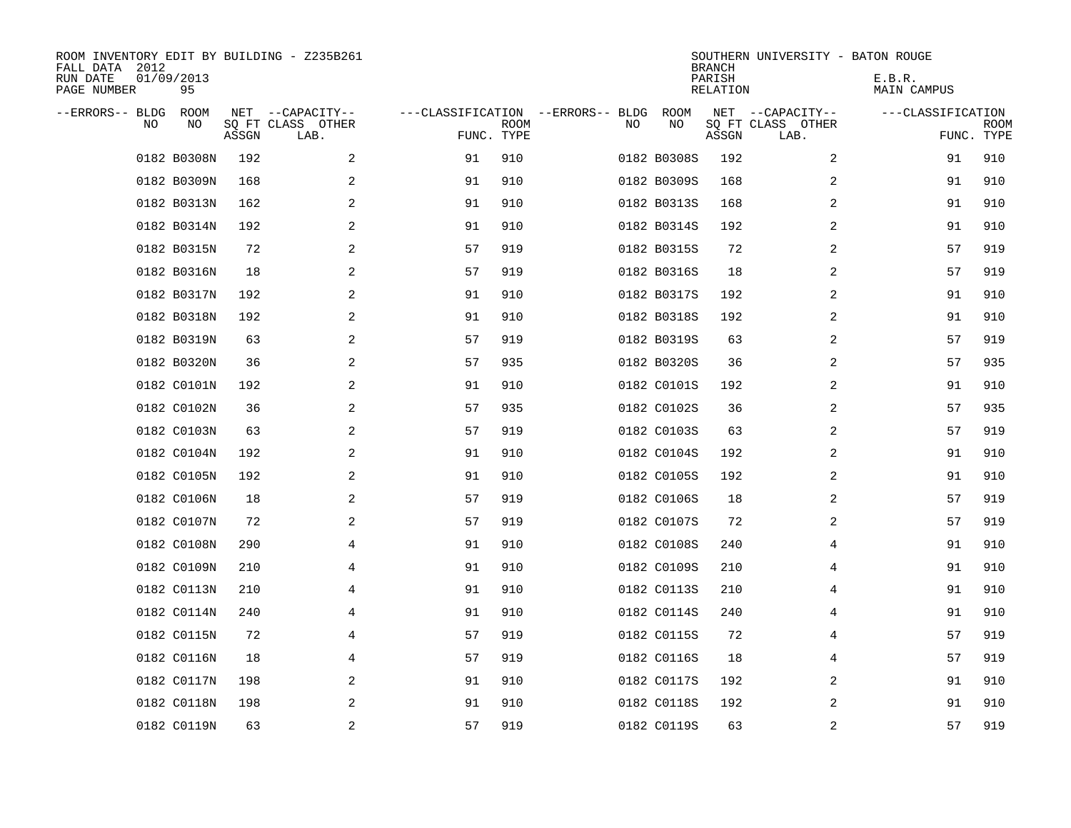| ROOM INVENTORY EDIT BY BUILDING - Z235B261<br>FALL DATA 2012<br>RUN DATE<br>PAGE NUMBER | 01/09/2013<br>95 |       |                                               |                                                 |             |    |                   | <b>BRANCH</b><br>PARISH<br><b>RELATION</b> | SOUTHERN UNIVERSITY - BATON ROUGE             | E.B.R.<br>MAIN CAMPUS |                           |
|-----------------------------------------------------------------------------------------|------------------|-------|-----------------------------------------------|-------------------------------------------------|-------------|----|-------------------|--------------------------------------------|-----------------------------------------------|-----------------------|---------------------------|
| --ERRORS-- BLDG<br>NO                                                                   | ROOM<br>NO       | ASSGN | NET --CAPACITY--<br>SQ FT CLASS OTHER<br>LAB. | ---CLASSIFICATION --ERRORS-- BLDG<br>FUNC. TYPE | <b>ROOM</b> | NO | <b>ROOM</b><br>NO | ASSGN                                      | NET --CAPACITY--<br>SQ FT CLASS OTHER<br>LAB. | ---CLASSIFICATION     | <b>ROOM</b><br>FUNC. TYPE |
|                                                                                         | 0182 B0308N      | 192   | 2                                             | 91                                              | 910         |    | 0182 B0308S       | 192                                        | 2                                             | 91                    | 910                       |
|                                                                                         | 0182 B0309N      | 168   | 2                                             | 91                                              | 910         |    | 0182 B0309S       | 168                                        | 2                                             | 91                    | 910                       |
|                                                                                         | 0182 B0313N      | 162   | 2                                             | 91                                              | 910         |    | 0182 B0313S       | 168                                        | 2                                             | 91                    | 910                       |
|                                                                                         | 0182 B0314N      | 192   | 2                                             | 91                                              | 910         |    | 0182 B0314S       | 192                                        | 2                                             | 91                    | 910                       |
|                                                                                         | 0182 B0315N      | 72    | 2                                             | 57                                              | 919         |    | 0182 B0315S       | 72                                         | 2                                             | 57                    | 919                       |
|                                                                                         | 0182 B0316N      | 18    | 2                                             | 57                                              | 919         |    | 0182 B0316S       | 18                                         | 2                                             | 57                    | 919                       |
|                                                                                         | 0182 B0317N      | 192   | 2                                             | 91                                              | 910         |    | 0182 B0317S       | 192                                        | $\overline{2}$                                | 91                    | 910                       |
|                                                                                         | 0182 B0318N      | 192   | 2                                             | 91                                              | 910         |    | 0182 B0318S       | 192                                        | 2                                             | 91                    | 910                       |
|                                                                                         | 0182 B0319N      | 63    | 2                                             | 57                                              | 919         |    | 0182 B0319S       | 63                                         | 2                                             | 57                    | 919                       |
|                                                                                         | 0182 B0320N      | 36    | 2                                             | 57                                              | 935         |    | 0182 B0320S       | 36                                         | 2                                             | 57                    | 935                       |
|                                                                                         | 0182 C0101N      | 192   | 2                                             | 91                                              | 910         |    | 0182 C0101S       | 192                                        | 2                                             | 91                    | 910                       |
|                                                                                         | 0182 C0102N      | 36    | 2                                             | 57                                              | 935         |    | 0182 C0102S       | 36                                         | 2                                             | 57                    | 935                       |
|                                                                                         | 0182 C0103N      | 63    | 2                                             | 57                                              | 919         |    | 0182 C0103S       | 63                                         | 2                                             | 57                    | 919                       |
|                                                                                         | 0182 C0104N      | 192   | 2                                             | 91                                              | 910         |    | 0182 C0104S       | 192                                        | 2                                             | 91                    | 910                       |
|                                                                                         | 0182 C0105N      | 192   | 2                                             | 91                                              | 910         |    | 0182 C0105S       | 192                                        | 2                                             | 91                    | 910                       |
|                                                                                         | 0182 C0106N      | 18    | 2                                             | 57                                              | 919         |    | 0182 C0106S       | 18                                         | 2                                             | 57                    | 919                       |
|                                                                                         | 0182 C0107N      | 72    | 2                                             | 57                                              | 919         |    | 0182 C0107S       | 72                                         | 2                                             | 57                    | 919                       |
|                                                                                         | 0182 C0108N      | 290   | 4                                             | 91                                              | 910         |    | 0182 C0108S       | 240                                        | 4                                             | 91                    | 910                       |
|                                                                                         | 0182 C0109N      | 210   | 4                                             | 91                                              | 910         |    | 0182 C0109S       | 210                                        | 4                                             | 91                    | 910                       |
|                                                                                         | 0182 C0113N      | 210   | 4                                             | 91                                              | 910         |    | 0182 C0113S       | 210                                        | 4                                             | 91                    | 910                       |
|                                                                                         | 0182 C0114N      | 240   | 4                                             | 91                                              | 910         |    | 0182 C0114S       | 240                                        | 4                                             | 91                    | 910                       |
|                                                                                         | 0182 C0115N      | 72    | 4                                             | 57                                              | 919         |    | 0182 C0115S       | 72                                         | 4                                             | 57                    | 919                       |
|                                                                                         | 0182 C0116N      | 18    | 4                                             | 57                                              | 919         |    | 0182 C0116S       | 18                                         | 4                                             | 57                    | 919                       |
|                                                                                         | 0182 C0117N      | 198   | 2                                             | 91                                              | 910         |    | 0182 C0117S       | 192                                        | 2                                             | 91                    | 910                       |
|                                                                                         | 0182 C0118N      | 198   | 2                                             | 91                                              | 910         |    | 0182 C0118S       | 192                                        | 2                                             | 91                    | 910                       |
|                                                                                         | 0182 C0119N      | 63    | 2                                             | 57                                              | 919         |    | 0182 C0119S       | 63                                         | 2                                             | 57                    | 919                       |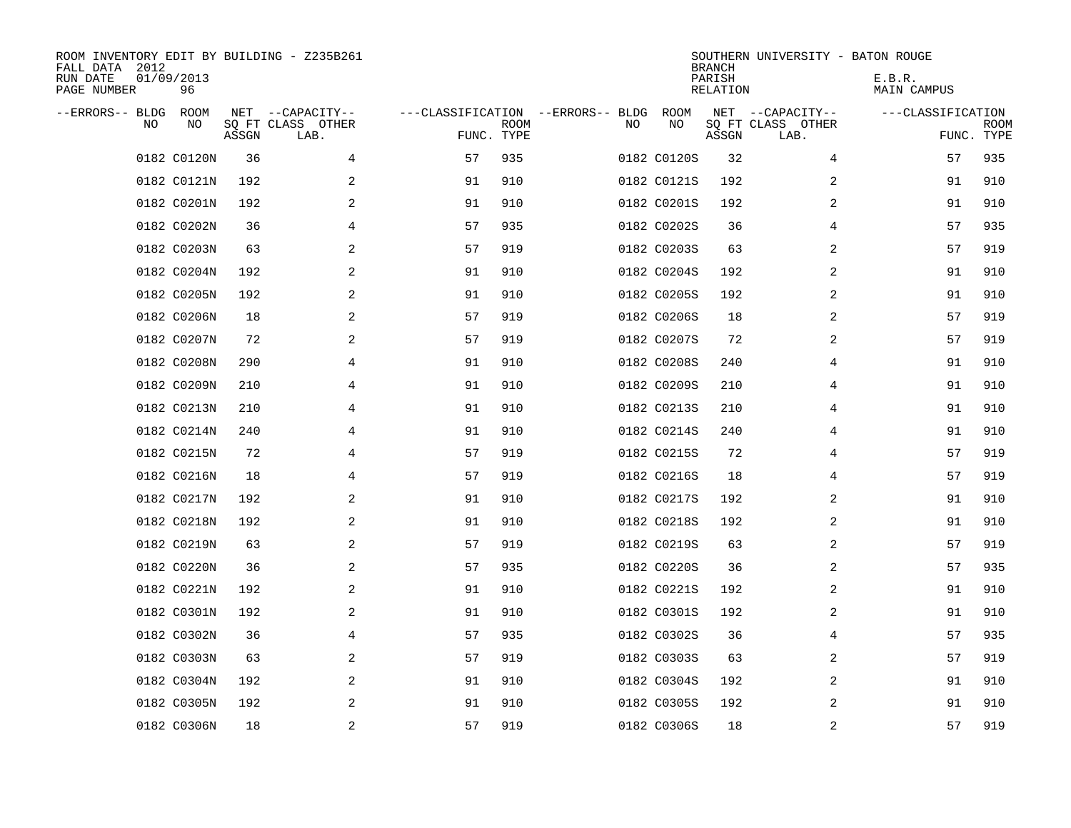| ROOM INVENTORY EDIT BY BUILDING - Z235B261<br>FALL DATA 2012<br>RUN DATE<br>PAGE NUMBER | 01/09/2013<br>96 |       |                                               |                                                 |             |    |             | <b>BRANCH</b><br>PARISH<br>RELATION | SOUTHERN UNIVERSITY - BATON ROUGE             | E.B.R.<br>MAIN CAMPUS |                           |
|-----------------------------------------------------------------------------------------|------------------|-------|-----------------------------------------------|-------------------------------------------------|-------------|----|-------------|-------------------------------------|-----------------------------------------------|-----------------------|---------------------------|
| --ERRORS-- BLDG<br>NO.                                                                  | ROOM<br>NO       | ASSGN | NET --CAPACITY--<br>SQ FT CLASS OTHER<br>LAB. | ---CLASSIFICATION --ERRORS-- BLDG<br>FUNC. TYPE | <b>ROOM</b> | NO | ROOM<br>NO  | ASSGN                               | NET --CAPACITY--<br>SQ FT CLASS OTHER<br>LAB. | ---CLASSIFICATION     | <b>ROOM</b><br>FUNC. TYPE |
|                                                                                         | 0182 C0120N      | 36    | 4                                             | 57                                              | 935         |    | 0182 C0120S | 32                                  | 4                                             | 57                    | 935                       |
|                                                                                         | 0182 C0121N      | 192   | 2                                             | 91                                              | 910         |    | 0182 C0121S | 192                                 | 2                                             | 91                    | 910                       |
|                                                                                         | 0182 C0201N      | 192   | 2                                             | 91                                              | 910         |    | 0182 C0201S | 192                                 | 2                                             | 91                    | 910                       |
|                                                                                         | 0182 C0202N      | 36    | 4                                             | 57                                              | 935         |    | 0182 C0202S | 36                                  | 4                                             | 57                    | 935                       |
|                                                                                         | 0182 C0203N      | 63    | $\overline{a}$                                | 57                                              | 919         |    | 0182 C0203S | 63                                  | 2                                             | 57                    | 919                       |
|                                                                                         | 0182 C0204N      | 192   | 2                                             | 91                                              | 910         |    | 0182 C0204S | 192                                 | 2                                             | 91                    | 910                       |
|                                                                                         | 0182 C0205N      | 192   | 2                                             | 91                                              | 910         |    | 0182 C0205S | 192                                 | 2                                             | 91                    | 910                       |
|                                                                                         | 0182 C0206N      | 18    | 2                                             | 57                                              | 919         |    | 0182 C0206S | 18                                  | 2                                             | 57                    | 919                       |
|                                                                                         | 0182 C0207N      | 72    | 2                                             | 57                                              | 919         |    | 0182 C0207S | 72                                  | 2                                             | 57                    | 919                       |
|                                                                                         | 0182 C0208N      | 290   | 4                                             | 91                                              | 910         |    | 0182 C0208S | 240                                 | 4                                             | 91                    | 910                       |
|                                                                                         | 0182 C0209N      | 210   | 4                                             | 91                                              | 910         |    | 0182 C0209S | 210                                 | 4                                             | 91                    | 910                       |
|                                                                                         | 0182 C0213N      | 210   | 4                                             | 91                                              | 910         |    | 0182 C0213S | 210                                 | 4                                             | 91                    | 910                       |
|                                                                                         | 0182 C0214N      | 240   | 4                                             | 91                                              | 910         |    | 0182 C0214S | 240                                 | 4                                             | 91                    | 910                       |
|                                                                                         | 0182 C0215N      | 72    | 4                                             | 57                                              | 919         |    | 0182 C0215S | 72                                  | 4                                             | 57                    | 919                       |
|                                                                                         | 0182 C0216N      | 18    | 4                                             | 57                                              | 919         |    | 0182 C0216S | 18                                  | 4                                             | 57                    | 919                       |
|                                                                                         | 0182 C0217N      | 192   | 2                                             | 91                                              | 910         |    | 0182 C0217S | 192                                 | 2                                             | 91                    | 910                       |
|                                                                                         | 0182 C0218N      | 192   | 2                                             | 91                                              | 910         |    | 0182 C0218S | 192                                 | 2                                             | 91                    | 910                       |
|                                                                                         | 0182 C0219N      | 63    | 2                                             | 57                                              | 919         |    | 0182 C0219S | 63                                  | 2                                             | 57                    | 919                       |
|                                                                                         | 0182 C0220N      | 36    | 2                                             | 57                                              | 935         |    | 0182 C0220S | 36                                  | 2                                             | 57                    | 935                       |
|                                                                                         | 0182 C0221N      | 192   | 2                                             | 91                                              | 910         |    | 0182 C0221S | 192                                 | 2                                             | 91                    | 910                       |
|                                                                                         | 0182 C0301N      | 192   | 2                                             | 91                                              | 910         |    | 0182 C0301S | 192                                 | 2                                             | 91                    | 910                       |
|                                                                                         | 0182 C0302N      | 36    | 4                                             | 57                                              | 935         |    | 0182 C0302S | 36                                  | 4                                             | 57                    | 935                       |
|                                                                                         | 0182 C0303N      | 63    | 2                                             | 57                                              | 919         |    | 0182 C0303S | 63                                  | 2                                             | 57                    | 919                       |
|                                                                                         | 0182 C0304N      | 192   | 2                                             | 91                                              | 910         |    | 0182 C0304S | 192                                 | 2                                             | 91                    | 910                       |
|                                                                                         | 0182 C0305N      | 192   | 2                                             | 91                                              | 910         |    | 0182 C0305S | 192                                 | 2                                             | 91                    | 910                       |
|                                                                                         | 0182 C0306N      | 18    | 2                                             | 57                                              | 919         |    | 0182 C0306S | 18                                  | 2                                             | 57                    | 919                       |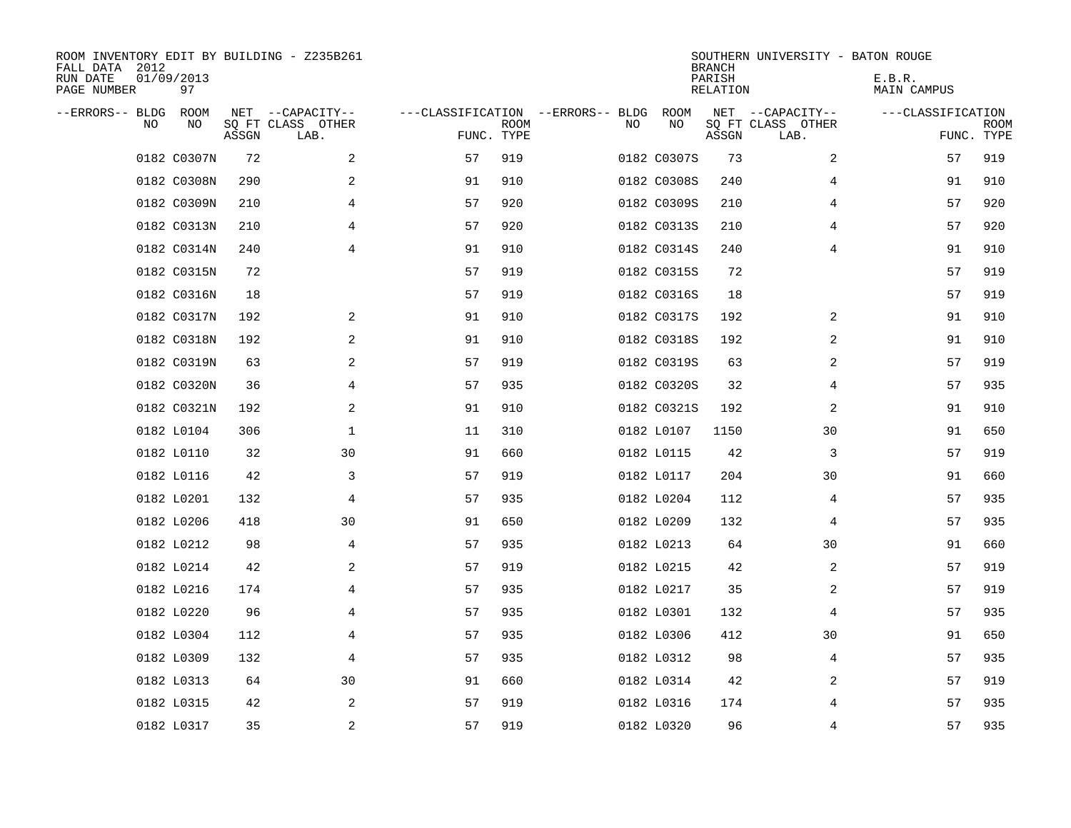| ROOM INVENTORY EDIT BY BUILDING - Z235B261<br>FALL DATA 2012<br>RUN DATE<br>PAGE NUMBER | 01/09/2013<br>97 |       |                                               |                                                 |             |    |             | <b>BRANCH</b><br>PARISH<br><b>RELATION</b> | SOUTHERN UNIVERSITY - BATON ROUGE             | E.B.R.<br>MAIN CAMPUS |                           |
|-----------------------------------------------------------------------------------------|------------------|-------|-----------------------------------------------|-------------------------------------------------|-------------|----|-------------|--------------------------------------------|-----------------------------------------------|-----------------------|---------------------------|
| --ERRORS-- BLDG<br>NO.                                                                  | ROOM<br>NO       | ASSGN | NET --CAPACITY--<br>SQ FT CLASS OTHER<br>LAB. | ---CLASSIFICATION --ERRORS-- BLDG<br>FUNC. TYPE | <b>ROOM</b> | NO | ROOM<br>NO  | ASSGN                                      | NET --CAPACITY--<br>SQ FT CLASS OTHER<br>LAB. | ---CLASSIFICATION     | <b>ROOM</b><br>FUNC. TYPE |
|                                                                                         | 0182 C0307N      | 72    | 2                                             | 57                                              | 919         |    | 0182 C0307S | 73                                         | 2                                             | 57                    | 919                       |
|                                                                                         | 0182 C0308N      | 290   | 2                                             | 91                                              | 910         |    | 0182 C0308S | 240                                        | 4                                             | 91                    | 910                       |
|                                                                                         | 0182 C0309N      | 210   | 4                                             | 57                                              | 920         |    | 0182 C0309S | 210                                        | 4                                             | 57                    | 920                       |
|                                                                                         | 0182 C0313N      | 210   | 4                                             | 57                                              | 920         |    | 0182 C0313S | 210                                        | 4                                             | 57                    | 920                       |
|                                                                                         | 0182 C0314N      | 240   | 4                                             | 91                                              | 910         |    | 0182 C0314S | 240                                        | 4                                             | 91                    | 910                       |
|                                                                                         | 0182 C0315N      | 72    |                                               | 57                                              | 919         |    | 0182 C0315S | 72                                         |                                               | 57                    | 919                       |
|                                                                                         | 0182 C0316N      | 18    |                                               | 57                                              | 919         |    | 0182 C0316S | 18                                         |                                               | 57                    | 919                       |
|                                                                                         | 0182 C0317N      | 192   | 2                                             | 91                                              | 910         |    | 0182 C0317S | 192                                        | 2                                             | 91                    | 910                       |
|                                                                                         | 0182 C0318N      | 192   | 2                                             | 91                                              | 910         |    | 0182 C0318S | 192                                        | 2                                             | 91                    | 910                       |
|                                                                                         | 0182 C0319N      | 63    | 2                                             | 57                                              | 919         |    | 0182 C0319S | 63                                         | 2                                             | 57                    | 919                       |
|                                                                                         | 0182 C0320N      | 36    | 4                                             | 57                                              | 935         |    | 0182 C0320S | 32                                         | 4                                             | 57                    | 935                       |
|                                                                                         | 0182 C0321N      | 192   | 2                                             | 91                                              | 910         |    | 0182 C0321S | 192                                        | 2                                             | 91                    | 910                       |
|                                                                                         | 0182 L0104       | 306   | 1                                             | 11                                              | 310         |    | 0182 L0107  | 1150                                       | 30                                            | 91                    | 650                       |
|                                                                                         | 0182 L0110       | 32    | 30                                            | 91                                              | 660         |    | 0182 L0115  | 42                                         | 3                                             | 57                    | 919                       |
|                                                                                         | 0182 L0116       | 42    | 3                                             | 57                                              | 919         |    | 0182 L0117  | 204                                        | 30                                            | 91                    | 660                       |
|                                                                                         | 0182 L0201       | 132   | 4                                             | 57                                              | 935         |    | 0182 L0204  | 112                                        | 4                                             | 57                    | 935                       |
|                                                                                         | 0182 L0206       | 418   | 30                                            | 91                                              | 650         |    | 0182 L0209  | 132                                        | 4                                             | 57                    | 935                       |
|                                                                                         | 0182 L0212       | 98    | 4                                             | 57                                              | 935         |    | 0182 L0213  | 64                                         | 30                                            | 91                    | 660                       |
|                                                                                         | 0182 L0214       | 42    | 2                                             | 57                                              | 919         |    | 0182 L0215  | 42                                         | 2                                             | 57                    | 919                       |
|                                                                                         | 0182 L0216       | 174   | 4                                             | 57                                              | 935         |    | 0182 L0217  | 35                                         | 2                                             | 57                    | 919                       |
|                                                                                         | 0182 L0220       | 96    | 4                                             | 57                                              | 935         |    | 0182 L0301  | 132                                        | 4                                             | 57                    | 935                       |
|                                                                                         | 0182 L0304       | 112   | 4                                             | 57                                              | 935         |    | 0182 L0306  | 412                                        | 30                                            | 91                    | 650                       |
|                                                                                         | 0182 L0309       | 132   | 4                                             | 57                                              | 935         |    | 0182 L0312  | 98                                         | 4                                             | 57                    | 935                       |
|                                                                                         | 0182 L0313       | 64    | 30                                            | 91                                              | 660         |    | 0182 L0314  | 42                                         | 2                                             | 57                    | 919                       |
|                                                                                         | 0182 L0315       | 42    | 2                                             | 57                                              | 919         |    | 0182 L0316  | 174                                        | 4                                             | 57                    | 935                       |
|                                                                                         | 0182 L0317       | 35    | $\overline{a}$                                | 57                                              | 919         |    | 0182 L0320  | 96                                         | 4                                             | 57                    | 935                       |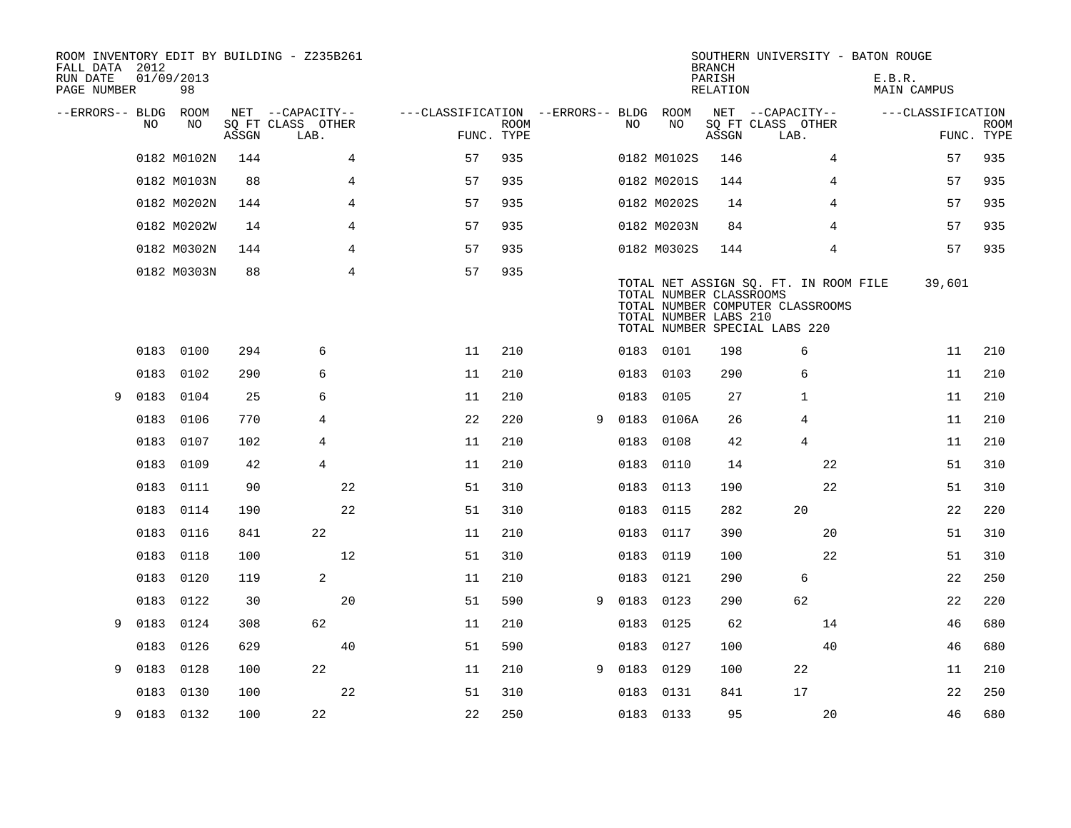| FALL DATA 2012<br>RUN DATE<br>PAGE NUMBER |      | 01/09/2013<br>98 |       | ROOM INVENTORY EDIT BY BUILDING - Z235B261 |                                        |                           |   |      |                                                  | <b>BRANCH</b><br>PARISH<br>RELATION | SOUTHERN UNIVERSITY - BATON ROUGE                                                                          | E.B.R.<br>MAIN CAMPUS |                           |
|-------------------------------------------|------|------------------|-------|--------------------------------------------|----------------------------------------|---------------------------|---|------|--------------------------------------------------|-------------------------------------|------------------------------------------------------------------------------------------------------------|-----------------------|---------------------------|
| --ERRORS-- BLDG ROOM                      |      |                  |       | NET --CAPACITY--                           | ---CLASSIFICATION --ERRORS-- BLDG ROOM |                           |   |      |                                                  |                                     | NET --CAPACITY--                                                                                           | ---CLASSIFICATION     |                           |
|                                           | NO.  | NO               | ASSGN | SQ FT CLASS OTHER<br>LAB.                  |                                        | <b>ROOM</b><br>FUNC. TYPE |   | NO   | NO                                               | ASSGN                               | SQ FT CLASS OTHER<br>LAB.                                                                                  |                       | <b>ROOM</b><br>FUNC. TYPE |
|                                           |      | 0182 M0102N      | 144   |                                            | 4<br>57                                | 935                       |   |      | 0182 M0102S                                      | 146                                 | 4                                                                                                          | 57                    | 935                       |
|                                           |      | 0182 M0103N      | 88    |                                            | 4<br>57                                | 935                       |   |      | 0182 M0201S                                      | 144                                 | 4                                                                                                          | 57                    | 935                       |
|                                           |      | 0182 M0202N      | 144   |                                            | 4<br>57                                | 935                       |   |      | 0182 M0202S                                      | 14                                  | 4                                                                                                          | 57                    | 935                       |
|                                           |      | 0182 M0202W      | 14    |                                            | 4<br>57                                | 935                       |   |      | 0182 M0203N                                      | 84                                  | 4                                                                                                          | 57                    | 935                       |
|                                           |      | 0182 M0302N      | 144   |                                            | 4<br>57                                | 935                       |   |      | 0182 M0302S                                      | 144                                 | 4                                                                                                          | 57                    | 935                       |
|                                           |      | 0182 M0303N      | 88    |                                            | $\overline{4}$<br>57                   | 935                       |   |      | TOTAL NUMBER CLASSROOMS<br>TOTAL NUMBER LABS 210 |                                     | TOTAL NET ASSIGN SQ. FT. IN ROOM FILE<br>TOTAL NUMBER COMPUTER CLASSROOMS<br>TOTAL NUMBER SPECIAL LABS 220 | 39,601                |                           |
|                                           |      | 0183 0100        | 294   | 6                                          | 11                                     | 210                       |   |      | 0183 0101                                        | 198                                 | 6                                                                                                          | 11                    | 210                       |
|                                           | 0183 | 0102             | 290   | 6                                          | 11                                     | 210                       |   |      | 0183 0103                                        | 290                                 | 6                                                                                                          | 11                    | 210                       |
| 9                                         | 0183 | 0104             | 25    | 6                                          | 11                                     | 210                       |   | 0183 | 0105                                             | 27                                  | 1                                                                                                          | 11                    | 210                       |
|                                           | 0183 | 0106             | 770   | 4                                          | 22                                     | 220                       | 9 |      | 0183 0106A                                       | 26                                  | 4                                                                                                          | 11                    | 210                       |
|                                           | 0183 | 0107             | 102   | 4                                          | 11                                     | 210                       |   | 0183 | 0108                                             | 42                                  | 4                                                                                                          | 11                    | 210                       |
|                                           |      | 0183 0109        | 42    | $\overline{4}$                             | 11                                     | 210                       |   |      | 0183 0110                                        | 14                                  | 22                                                                                                         | 51                    | 310                       |
|                                           | 0183 | 0111             | 90    | 22                                         | 51                                     | 310                       |   | 0183 | 0113                                             | 190                                 | 22                                                                                                         | 51                    | 310                       |
|                                           |      | 0183 0114        | 190   | 22                                         | 51                                     | 310                       |   |      | 0183 0115                                        | 282                                 | 20                                                                                                         | 22                    | 220                       |
|                                           | 0183 | 0116             | 841   | 22                                         | 11                                     | 210                       |   | 0183 | 0117                                             | 390                                 | 20                                                                                                         | 51                    | 310                       |
|                                           | 0183 | 0118             | 100   | 12                                         | 51                                     | 310                       |   |      | 0183 0119                                        | 100                                 | 22                                                                                                         | 51                    | 310                       |
|                                           | 0183 | 0120             | 119   | $\overline{a}$                             | 11                                     | 210                       |   | 0183 | 0121                                             | 290                                 | 6                                                                                                          | 22                    | 250                       |
|                                           | 0183 | 0122             | 30    | 20                                         | 51                                     | 590                       | 9 | 0183 | 0123                                             | 290                                 | 62                                                                                                         | 22                    | 220                       |
| 9                                         | 0183 | 0124             | 308   | 62                                         | 11                                     | 210                       |   | 0183 | 0125                                             | 62                                  | 14                                                                                                         | 46                    | 680                       |
|                                           | 0183 | 0126             | 629   | 40                                         | 51                                     | 590                       |   | 0183 | 0127                                             | 100                                 | 40                                                                                                         | 46                    | 680                       |
| 9                                         | 0183 | 0128             | 100   | 22                                         | 11                                     | 210                       | 9 | 0183 | 0129                                             | 100                                 | 22                                                                                                         | 11                    | 210                       |
|                                           | 0183 | 0130             | 100   | 22                                         | 51                                     | 310                       |   | 0183 | 0131                                             | 841                                 | 17                                                                                                         | 22                    | 250                       |
| 9                                         |      | 0183 0132        | 100   | 22                                         | 22                                     | 250                       |   |      | 0183 0133                                        | 95                                  | 20                                                                                                         | 46                    | 680                       |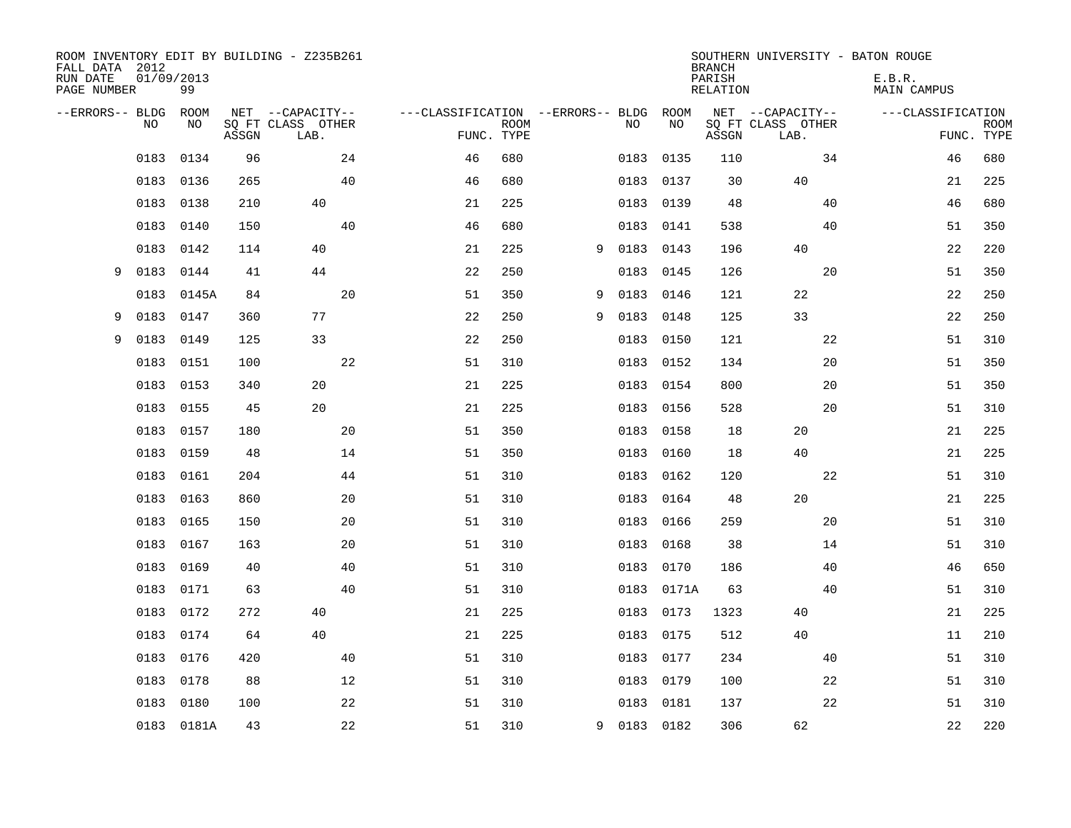| FALL DATA 2012<br>RUN DATE<br>PAGE NUMBER | 01/09/2013 | 99         |       | ROOM INVENTORY EDIT BY BUILDING - Z235B261    |                                   |                           |   |      |            | <b>BRANCH</b><br>PARISH<br><b>RELATION</b> | SOUTHERN UNIVERSITY - BATON ROUGE             | E.B.R.<br><b>MAIN CAMPUS</b> |                           |
|-------------------------------------------|------------|------------|-------|-----------------------------------------------|-----------------------------------|---------------------------|---|------|------------|--------------------------------------------|-----------------------------------------------|------------------------------|---------------------------|
| --ERRORS-- BLDG                           | NO         | ROOM<br>NO | ASSGN | NET --CAPACITY--<br>SQ FT CLASS OTHER<br>LAB. | ---CLASSIFICATION --ERRORS-- BLDG | <b>ROOM</b><br>FUNC. TYPE |   | NO   | ROOM<br>NO | ASSGN                                      | NET --CAPACITY--<br>SQ FT CLASS OTHER<br>LAB. | ---CLASSIFICATION            | <b>ROOM</b><br>FUNC. TYPE |
|                                           | 0183       | 0134       | 96    | 24                                            | 46                                | 680                       |   | 0183 | 0135       | 110                                        | 34                                            | 46                           | 680                       |
|                                           | 0183       | 0136       | 265   | 40                                            | 46                                | 680                       |   | 0183 | 0137       | 30                                         | 40                                            | 21                           | 225                       |
|                                           | 0183       | 0138       | 210   | 40                                            | 21                                | 225                       |   | 0183 | 0139       | 48                                         | 40                                            | 46                           | 680                       |
|                                           | 0183       | 0140       | 150   | 40                                            | 46                                | 680                       |   | 0183 | 0141       | 538                                        | 40                                            | 51                           | 350                       |
|                                           | 0183       | 0142       | 114   | 40                                            | 21                                | 225                       | 9 | 0183 | 0143       | 196                                        | 40                                            | 22                           | 220                       |
| 9                                         | 0183       | 0144       | 41    | 44                                            | 22                                | 250                       |   | 0183 | 0145       | 126                                        | 20                                            | 51                           | 350                       |
|                                           | 0183       | 0145A      | 84    | 20                                            | 51                                | 350                       | 9 | 0183 | 0146       | 121                                        | 22                                            | 22                           | 250                       |
| 9                                         | 0183       | 0147       | 360   | 77                                            | 22                                | 250                       | 9 | 0183 | 0148       | 125                                        | 33                                            | 22                           | 250                       |
| 9                                         | 0183       | 0149       | 125   | 33                                            | 22                                | 250                       |   | 0183 | 0150       | 121                                        | 22                                            | 51                           | 310                       |
|                                           | 0183       | 0151       | 100   | 22                                            | 51                                | 310                       |   | 0183 | 0152       | 134                                        | 20                                            | 51                           | 350                       |
|                                           | 0183       | 0153       | 340   | 20                                            | 21                                | 225                       |   | 0183 | 0154       | 800                                        | 20                                            | 51                           | 350                       |
|                                           | 0183       | 0155       | 45    | 20                                            | 21                                | 225                       |   | 0183 | 0156       | 528                                        | 20                                            | 51                           | 310                       |
|                                           | 0183       | 0157       | 180   | 20                                            | 51                                | 350                       |   | 0183 | 0158       | 18                                         | 20                                            | 21                           | 225                       |
|                                           | 0183       | 0159       | 48    | 14                                            | 51                                | 350                       |   | 0183 | 0160       | 18                                         | 40                                            | 21                           | 225                       |
|                                           | 0183       | 0161       | 204   | 44                                            | 51                                | 310                       |   | 0183 | 0162       | 120                                        | 22                                            | 51                           | 310                       |
|                                           | 0183       | 0163       | 860   | 20                                            | 51                                | 310                       |   | 0183 | 0164       | 48                                         | 20                                            | 21                           | 225                       |
|                                           | 0183       | 0165       | 150   | 20                                            | 51                                | 310                       |   | 0183 | 0166       | 259                                        | 20                                            | 51                           | 310                       |
|                                           | 0183       | 0167       | 163   | 20                                            | 51                                | 310                       |   | 0183 | 0168       | 38                                         | 14                                            | 51                           | 310                       |
|                                           | 0183       | 0169       | 40    | 40                                            | 51                                | 310                       |   | 0183 | 0170       | 186                                        | 40                                            | 46                           | 650                       |
|                                           | 0183       | 0171       | 63    | 40                                            | 51                                | 310                       |   | 0183 | 0171A      | 63                                         | 40                                            | 51                           | 310                       |
|                                           | 0183       | 0172       | 272   | 40                                            | 21                                | 225                       |   | 0183 | 0173       | 1323                                       | 40                                            | 21                           | 225                       |
|                                           | 0183       | 0174       | 64    | 40                                            | 21                                | 225                       |   | 0183 | 0175       | 512                                        | 40                                            | 11                           | 210                       |
|                                           | 0183       | 0176       | 420   | 40                                            | 51                                | 310                       |   | 0183 | 0177       | 234                                        | 40                                            | 51                           | 310                       |
|                                           | 0183       | 0178       | 88    | 12                                            | 51                                | 310                       |   | 0183 | 0179       | 100                                        | 22                                            | 51                           | 310                       |
|                                           | 0183       | 0180       | 100   | 22                                            | 51                                | 310                       |   | 0183 | 0181       | 137                                        | 22                                            | 51                           | 310                       |
|                                           |            | 0183 0181A | 43    | 22                                            | 51                                | 310                       | 9 |      | 0183 0182  | 306                                        | 62                                            | 22                           | 220                       |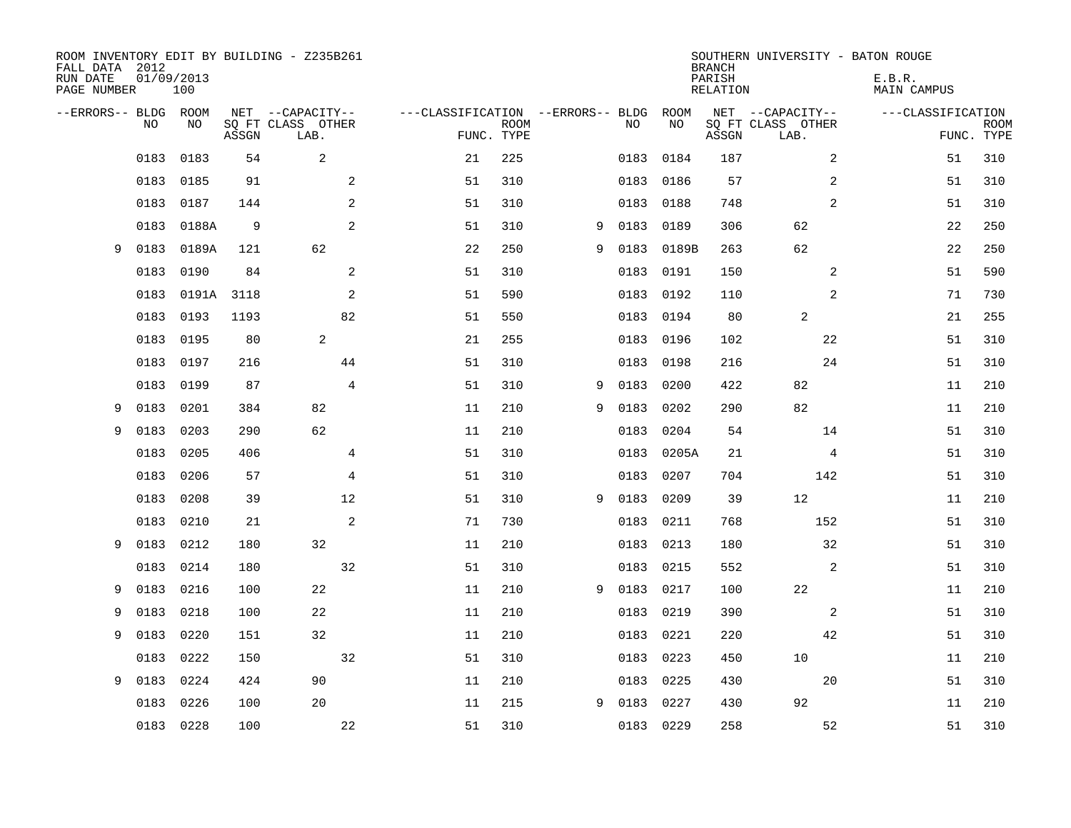| FALL DATA 2012<br>RUN DATE<br>PAGE NUMBER |           | 01/09/2013<br>100 |       | ROOM INVENTORY EDIT BY BUILDING - Z235B261    |                                   |                           |   |      |            | <b>BRANCH</b><br>PARISH<br><b>RELATION</b> | SOUTHERN UNIVERSITY - BATON ROUGE             | E.B.R.<br><b>MAIN CAMPUS</b> |                           |
|-------------------------------------------|-----------|-------------------|-------|-----------------------------------------------|-----------------------------------|---------------------------|---|------|------------|--------------------------------------------|-----------------------------------------------|------------------------------|---------------------------|
| --ERRORS-- BLDG ROOM                      | NO        | NO                | ASSGN | NET --CAPACITY--<br>SQ FT CLASS OTHER<br>LAB. | ---CLASSIFICATION --ERRORS-- BLDG | <b>ROOM</b><br>FUNC. TYPE |   | NO   | ROOM<br>NO | ASSGN                                      | NET --CAPACITY--<br>SQ FT CLASS OTHER<br>LAB. | ---CLASSIFICATION            | <b>ROOM</b><br>FUNC. TYPE |
|                                           | 0183      | 0183              | 54    | $\overline{c}$                                | 21                                | 225                       |   | 0183 | 0184       | 187                                        | 2                                             | 51                           | 310                       |
|                                           | 0183      | 0185              | 91    | 2                                             | 51                                | 310                       |   | 0183 | 0186       | 57                                         | 2                                             | 51                           | 310                       |
|                                           | 0183      | 0187              | 144   | 2                                             | 51                                | 310                       |   | 0183 | 0188       | 748                                        | $\overline{2}$                                | 51                           | 310                       |
|                                           | 0183      | 0188A             | 9     | 2                                             | 51                                | 310                       | 9 | 0183 | 0189       | 306                                        | 62                                            | 22                           | 250                       |
| 9                                         | 0183      | 0189A             | 121   | 62                                            | 22                                | 250                       | 9 | 0183 | 0189B      | 263                                        | 62                                            | 22                           | 250                       |
|                                           | 0183      | 0190              | 84    | 2                                             | 51                                | 310                       |   | 0183 | 0191       | 150                                        | 2                                             | 51                           | 590                       |
|                                           | 0183      | 0191A             | 3118  | 2                                             | 51                                | 590                       |   | 0183 | 0192       | 110                                        | $\overline{2}$                                | 71                           | 730                       |
|                                           | 0183      | 0193              | 1193  | 82                                            | 51                                | 550                       |   | 0183 | 0194       | 80                                         | 2                                             | 21                           | 255                       |
|                                           | 0183      | 0195              | 80    | 2                                             | 21                                | 255                       |   | 0183 | 0196       | 102                                        | 22                                            | 51                           | 310                       |
|                                           | 0183      | 0197              | 216   | 44                                            | 51                                | 310                       |   | 0183 | 0198       | 216                                        | 24                                            | 51                           | 310                       |
|                                           | 0183      | 0199              | 87    | $\overline{4}$                                | 51                                | 310                       | 9 | 0183 | 0200       | 422                                        | 82                                            | 11                           | 210                       |
| 9                                         | 0183      | 0201              | 384   | 82                                            | 11                                | 210                       | 9 | 0183 | 0202       | 290                                        | 82                                            | 11                           | 210                       |
| 9                                         | 0183      | 0203              | 290   | 62                                            | 11                                | 210                       |   | 0183 | 0204       | 54                                         | 14                                            | 51                           | 310                       |
|                                           | 0183      | 0205              | 406   | 4                                             | 51                                | 310                       |   | 0183 | 0205A      | 21                                         | 4                                             | 51                           | 310                       |
|                                           | 0183      | 0206              | 57    | $\overline{4}$                                | 51                                | 310                       |   | 0183 | 0207       | 704                                        | 142                                           | 51                           | 310                       |
|                                           | 0183      | 0208              | 39    | 12                                            | 51                                | 310                       | 9 | 0183 | 0209       | 39                                         | 12                                            | 11                           | 210                       |
|                                           | 0183      | 0210              | 21    | 2                                             | 71                                | 730                       |   | 0183 | 0211       | 768                                        | 152                                           | 51                           | 310                       |
| 9                                         | 0183      | 0212              | 180   | 32                                            | 11                                | 210                       |   | 0183 | 0213       | 180                                        | 32                                            | 51                           | 310                       |
|                                           | 0183      | 0214              | 180   | 32                                            | 51                                | 310                       |   | 0183 | 0215       | 552                                        | 2                                             | 51                           | 310                       |
| 9                                         | 0183      | 0216              | 100   | 22                                            | 11                                | 210                       | 9 | 0183 | 0217       | 100                                        | 22                                            | 11                           | 210                       |
| 9                                         | 0183      | 0218              | 100   | 22                                            | 11                                | 210                       |   | 0183 | 0219       | 390                                        | 2                                             | 51                           | 310                       |
| 9                                         | 0183      | 0220              | 151   | 32                                            | 11                                | 210                       |   | 0183 | 0221       | 220                                        | 42                                            | 51                           | 310                       |
|                                           | 0183      | 0222              | 150   | 32                                            | 51                                | 310                       |   | 0183 | 0223       | 450                                        | 10                                            | 11                           | 210                       |
| 9                                         | 0183      | 0224              | 424   | 90                                            | 11                                | 210                       |   | 0183 | 0225       | 430                                        | 20                                            | 51                           | 310                       |
|                                           | 0183      | 0226              | 100   | 20                                            | 11                                | 215                       | 9 | 0183 | 0227       | 430                                        | 92                                            | 11                           | 210                       |
|                                           | 0183 0228 |                   | 100   | 22                                            | 51                                | 310                       |   |      | 0183 0229  | 258                                        | 52                                            | 51                           | 310                       |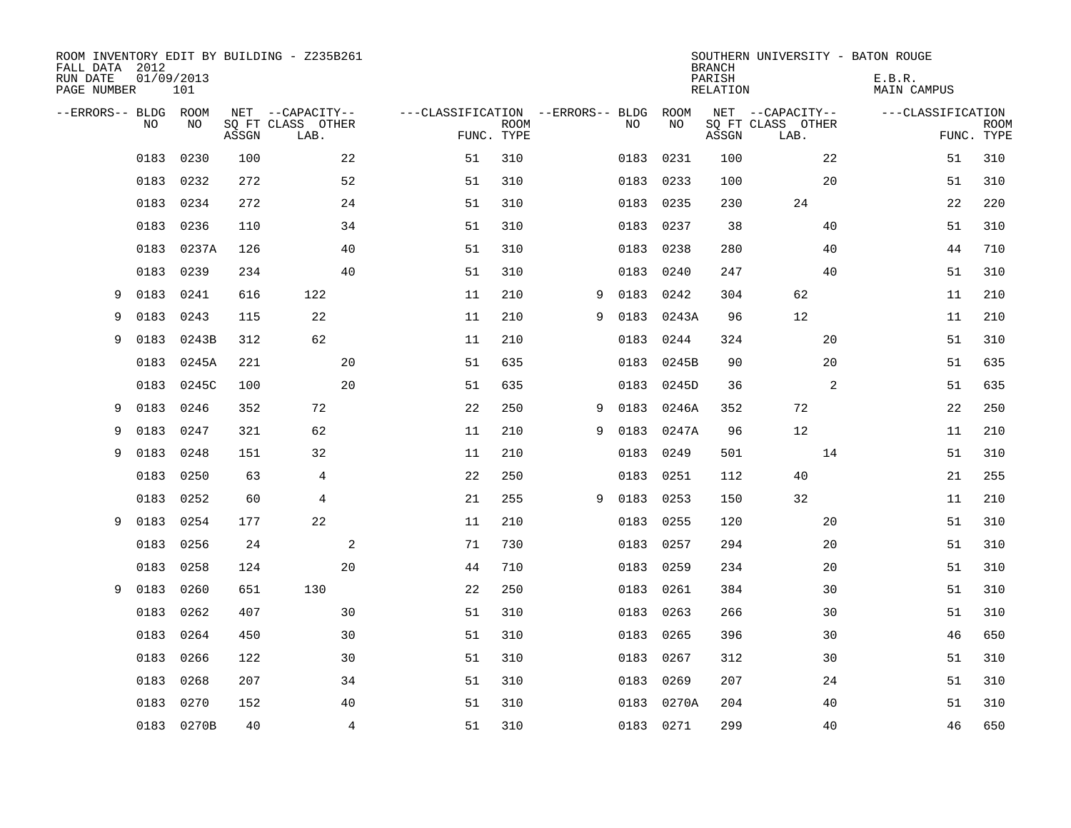| FALL DATA 2012<br>RUN DATE<br>PAGE NUMBER | 01/09/2013 | 101        |       | ROOM INVENTORY EDIT BY BUILDING - Z235B261    |                                   |                           |   |      |            | <b>BRANCH</b><br>PARISH<br><b>RELATION</b> |                                               | SOUTHERN UNIVERSITY - BATON ROUGE<br>E.B.R.<br><b>MAIN CAMPUS</b> |                           |
|-------------------------------------------|------------|------------|-------|-----------------------------------------------|-----------------------------------|---------------------------|---|------|------------|--------------------------------------------|-----------------------------------------------|-------------------------------------------------------------------|---------------------------|
| --ERRORS-- BLDG ROOM                      | NO         | NO         | ASSGN | NET --CAPACITY--<br>SQ FT CLASS OTHER<br>LAB. | ---CLASSIFICATION --ERRORS-- BLDG | <b>ROOM</b><br>FUNC. TYPE |   | NO   | ROOM<br>NO | ASSGN                                      | NET --CAPACITY--<br>SQ FT CLASS OTHER<br>LAB. | ---CLASSIFICATION                                                 | <b>ROOM</b><br>FUNC. TYPE |
|                                           | 0183       | 0230       | 100   | 22                                            | 51                                | 310                       |   | 0183 | 0231       | 100                                        | 22                                            | 51                                                                | 310                       |
|                                           | 0183       | 0232       | 272   |                                               | 52<br>51                          | 310                       |   | 0183 | 0233       | 100                                        | 20                                            | 51                                                                | 310                       |
|                                           | 0183       | 0234       | 272   |                                               | 51<br>24                          | 310                       |   | 0183 | 0235       | 230                                        | 24                                            | 22                                                                | 220                       |
|                                           | 0183       | 0236       | 110   |                                               | 34<br>51                          | 310                       |   | 0183 | 0237       | 38                                         | 40                                            | 51                                                                | 310                       |
|                                           | 0183       | 0237A      | 126   | 40                                            | 51                                | 310                       |   | 0183 | 0238       | 280                                        | 40                                            | 44                                                                | 710                       |
|                                           | 0183       | 0239       | 234   | 40                                            | 51                                | 310                       |   | 0183 | 0240       | 247                                        | 40                                            | 51                                                                | 310                       |
| 9                                         | 0183       | 0241       | 616   | 122                                           | 11                                | 210                       | 9 | 0183 | 0242       | 304                                        | 62                                            | 11                                                                | 210                       |
| 9                                         | 0183       | 0243       | 115   | 22                                            | 11                                | 210                       | 9 | 0183 | 0243A      | 96                                         | 12                                            | 11                                                                | 210                       |
| 9                                         | 0183       | 0243B      | 312   | 62                                            | 11                                | 210                       |   | 0183 | 0244       | 324                                        | 20                                            | 51                                                                | 310                       |
|                                           | 0183       | 0245A      | 221   | 20                                            | 51                                | 635                       |   | 0183 | 0245B      | 90                                         | 20                                            | 51                                                                | 635                       |
|                                           | 0183       | 0245C      | 100   | 20                                            | 51                                | 635                       |   | 0183 | 0245D      | 36                                         | 2                                             | 51                                                                | 635                       |
| 9                                         | 0183       | 0246       | 352   | 72                                            | 22                                | 250                       | 9 | 0183 | 0246A      | 352                                        | 72                                            | 22                                                                | 250                       |
| 9                                         | 0183       | 0247       | 321   | 62                                            | 11                                | 210                       | 9 | 0183 | 0247A      | 96                                         | 12                                            | 11                                                                | 210                       |
| 9                                         | 0183       | 0248       | 151   | 32                                            | 11                                | 210                       |   | 0183 | 0249       | 501                                        | 14                                            | 51                                                                | 310                       |
|                                           | 0183       | 0250       | 63    | 4                                             | 22                                | 250                       |   | 0183 | 0251       | 112                                        | 40                                            | 21                                                                | 255                       |
|                                           | 0183       | 0252       | 60    | 4                                             | 21                                | 255                       | 9 | 0183 | 0253       | 150                                        | 32                                            | 11                                                                | 210                       |
| 9                                         | 0183       | 0254       | 177   | 22                                            | 11                                | 210                       |   | 0183 | 0255       | 120                                        | 20                                            | 51                                                                | 310                       |
|                                           | 0183       | 0256       | 24    |                                               | $\mathbf{2}$<br>71                | 730                       |   | 0183 | 0257       | 294                                        | 20                                            | 51                                                                | 310                       |
|                                           | 0183       | 0258       | 124   | 20                                            | 44                                | 710                       |   | 0183 | 0259       | 234                                        | 20                                            | 51                                                                | 310                       |
| 9                                         | 0183       | 0260       | 651   | 130                                           | 22                                | 250                       |   | 0183 | 0261       | 384                                        | 30                                            | 51                                                                | 310                       |
|                                           | 0183       | 0262       | 407   | 30                                            | 51                                | 310                       |   | 0183 | 0263       | 266                                        | 30                                            | 51                                                                | 310                       |
|                                           | 0183       | 0264       | 450   | 30                                            | 51                                | 310                       |   | 0183 | 0265       | 396                                        | 30                                            | 46                                                                | 650                       |
|                                           | 0183       | 0266       | 122   | 30                                            | 51                                | 310                       |   | 0183 | 0267       | 312                                        | 30                                            | 51                                                                | 310                       |
|                                           | 0183       | 0268       | 207   |                                               | 34<br>51                          | 310                       |   | 0183 | 0269       | 207                                        | 24                                            | 51                                                                | 310                       |
|                                           | 0183       | 0270       | 152   | 40                                            | 51                                | 310                       |   | 0183 | 0270A      | 204                                        | 40                                            | 51                                                                | 310                       |
|                                           |            | 0183 0270B | 40    |                                               | $\overline{4}$<br>51              | 310                       |   |      | 0183 0271  | 299                                        | 40                                            | 46                                                                | 650                       |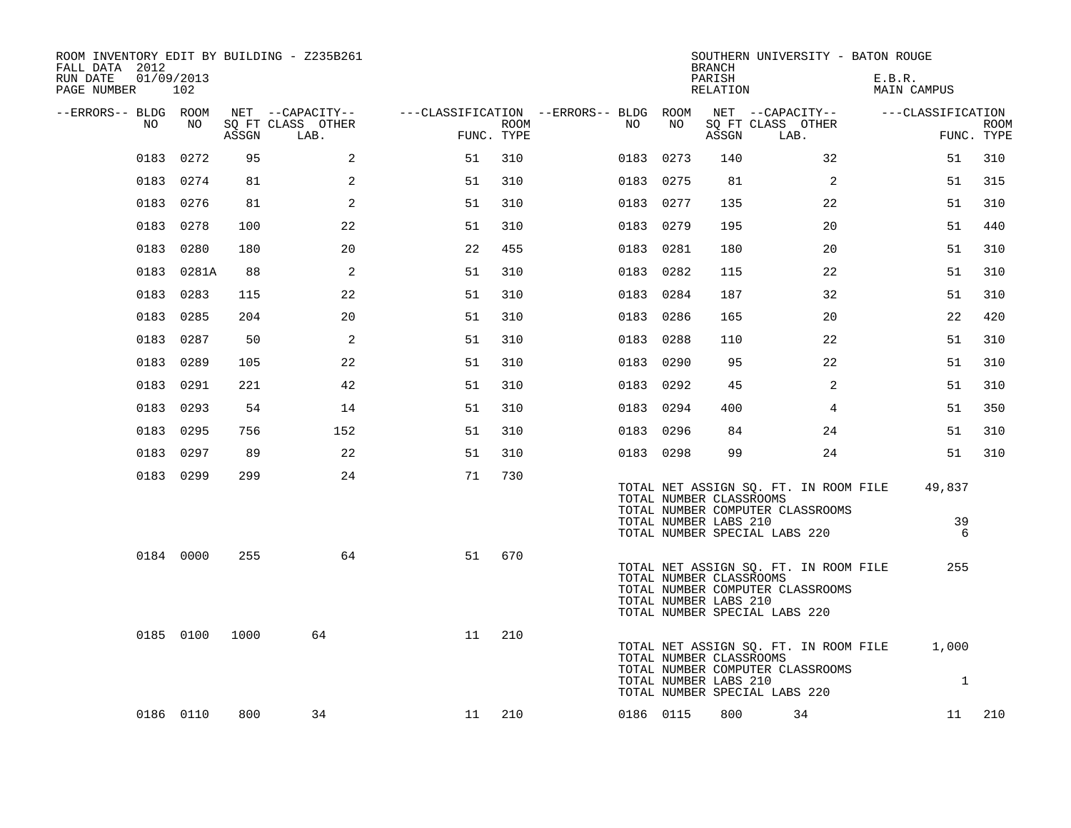| ROOM INVENTORY EDIT BY BUILDING - Z235B261<br>FALL DATA 2012<br>RUN DATE<br>01/09/2013<br>PAGE NUMBER | 102        |       |                           |            |      |                                        |           | <b>BRANCH</b><br>PARISH<br>RELATION              | SOUTHERN UNIVERSITY - BATON ROUGE                                                                          | E.B.R.<br>MAIN CAMPUS |                           |
|-------------------------------------------------------------------------------------------------------|------------|-------|---------------------------|------------|------|----------------------------------------|-----------|--------------------------------------------------|------------------------------------------------------------------------------------------------------------|-----------------------|---------------------------|
| --ERRORS-- BLDG ROOM                                                                                  |            |       | NET --CAPACITY--          |            |      | ---CLASSIFICATION --ERRORS-- BLDG ROOM |           |                                                  | NET --CAPACITY--                                                                                           | ---CLASSIFICATION     |                           |
| NO                                                                                                    | NO         | ASSGN | SQ FT CLASS OTHER<br>LAB. | FUNC. TYPE | ROOM | NO                                     | NO        | ASSGN                                            | SQ FT CLASS OTHER<br>LAB.                                                                                  |                       | <b>ROOM</b><br>FUNC. TYPE |
|                                                                                                       | 0183 0272  | 95    | 2                         | 51         | 310  |                                        | 0183 0273 | 140                                              | 32                                                                                                         | 51                    | 310                       |
|                                                                                                       | 0183 0274  | 81    | 2                         | 51         | 310  |                                        | 0183 0275 | 81                                               | 2                                                                                                          | 51                    | 315                       |
|                                                                                                       | 0183 0276  | 81    | 2                         | 51         | 310  |                                        | 0183 0277 | 135                                              | 22                                                                                                         | 51                    | 310                       |
|                                                                                                       | 0183 0278  | 100   | 22                        | 51         | 310  |                                        | 0183 0279 | 195                                              | 20                                                                                                         | 51                    | 440                       |
|                                                                                                       | 0183 0280  | 180   | 20                        | 22         | 455  |                                        | 0183 0281 | 180                                              | 20                                                                                                         | 51                    | 310                       |
|                                                                                                       | 0183 0281A | 88    | 2                         | 51         | 310  |                                        | 0183 0282 | 115                                              | 22                                                                                                         | 51                    | 310                       |
|                                                                                                       | 0183 0283  | 115   | 22                        | 51         | 310  |                                        | 0183 0284 | 187                                              | 32                                                                                                         | 51                    | 310                       |
|                                                                                                       | 0183 0285  | 204   | 20                        | 51         | 310  |                                        | 0183 0286 | 165                                              | 20                                                                                                         | 22                    | 420                       |
|                                                                                                       | 0183 0287  | 50    | 2                         | 51         | 310  |                                        | 0183 0288 | 110                                              | 22                                                                                                         | 51                    | 310                       |
|                                                                                                       | 0183 0289  | 105   | 22                        | 51         | 310  |                                        | 0183 0290 | 95                                               | 22                                                                                                         | 51                    | 310                       |
|                                                                                                       | 0183 0291  | 221   | 42                        | 51         | 310  |                                        | 0183 0292 | 45                                               | 2                                                                                                          | 51                    | 310                       |
|                                                                                                       | 0183 0293  | 54    | 14                        | 51         | 310  |                                        | 0183 0294 | 400                                              | $\overline{4}$                                                                                             | 51                    | 350                       |
|                                                                                                       | 0183 0295  | 756   | 152                       | 51         | 310  |                                        | 0183 0296 | 84                                               | 24                                                                                                         | 51                    | 310                       |
|                                                                                                       | 0183 0297  | 89    | 22                        | 51         | 310  |                                        | 0183 0298 | 99                                               | 24                                                                                                         | 51                    | 310                       |
|                                                                                                       | 0183 0299  | 299   | 24                        | 71         | 730  |                                        |           | TOTAL NUMBER CLASSROOMS<br>TOTAL NUMBER LABS 210 | TOTAL NET ASSIGN SQ. FT. IN ROOM FILE<br>TOTAL NUMBER COMPUTER CLASSROOMS<br>TOTAL NUMBER SPECIAL LABS 220 | 49,837<br>39<br>6     |                           |
|                                                                                                       | 0184 0000  | 255   | 64                        | 51         | 670  |                                        |           | TOTAL NUMBER CLASSROOMS<br>TOTAL NUMBER LABS 210 | TOTAL NET ASSIGN SQ. FT. IN ROOM FILE<br>TOTAL NUMBER COMPUTER CLASSROOMS<br>TOTAL NUMBER SPECIAL LABS 220 | 255                   |                           |
|                                                                                                       | 0185 0100  | 1000  | 64                        | 11         | 210  |                                        |           | TOTAL NUMBER CLASSROOMS<br>TOTAL NUMBER LABS 210 | TOTAL NET ASSIGN SQ. FT. IN ROOM FILE<br>TOTAL NUMBER COMPUTER CLASSROOMS<br>TOTAL NUMBER SPECIAL LABS 220 | 1,000<br>$\mathbf{1}$ |                           |
|                                                                                                       | 0186 0110  | 800   | 34                        | 11         | 210  |                                        | 0186 0115 | 800                                              | 34                                                                                                         | 11                    | 210                       |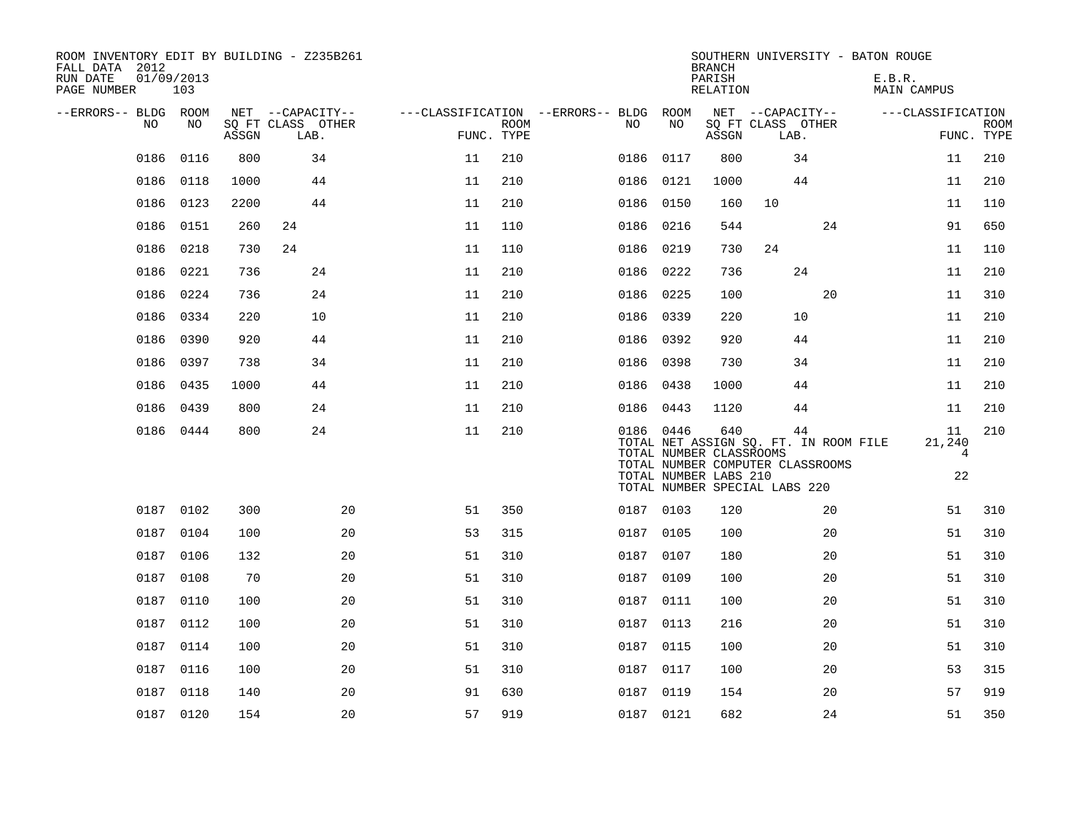| ROOM INVENTORY EDIT BY BUILDING - Z235B261<br>FALL DATA 2012<br>RUN DATE<br>PAGE NUMBER | 01/09/2013<br>103 |       |                           |            |             |                                        |           | <b>BRANCH</b><br>PARISH<br>RELATION                     | SOUTHERN UNIVERSITY - BATON ROUGE                                                                                | E.B.R.<br>MAIN CAMPUS                |                           |
|-----------------------------------------------------------------------------------------|-------------------|-------|---------------------------|------------|-------------|----------------------------------------|-----------|---------------------------------------------------------|------------------------------------------------------------------------------------------------------------------|--------------------------------------|---------------------------|
| --ERRORS-- BLDG ROOM                                                                    |                   |       | NET --CAPACITY--          |            |             | ---CLASSIFICATION --ERRORS-- BLDG ROOM |           |                                                         | NET --CAPACITY--                                                                                                 | ---CLASSIFICATION                    |                           |
| NO                                                                                      | NO                | ASSGN | SO FT CLASS OTHER<br>LAB. | FUNC. TYPE | <b>ROOM</b> | NO.                                    | NO        | ASSGN                                                   | SQ FT CLASS OTHER<br>LAB.                                                                                        |                                      | <b>ROOM</b><br>FUNC. TYPE |
| 0186                                                                                    | 0116              | 800   | 34                        | 11         | 210         | 0186                                   | 0117      | 800                                                     | 34                                                                                                               | 11                                   | 210                       |
| 0186                                                                                    | 0118              | 1000  | 44                        | 11         | 210         | 0186                                   | 0121      | 1000                                                    | 44                                                                                                               | 11                                   | 210                       |
| 0186                                                                                    | 0123              | 2200  | 44                        | 11         | 210         |                                        | 0186 0150 | 160                                                     | 10                                                                                                               | 11                                   | 110                       |
| 0186                                                                                    | 0151              | 260   | 24                        | 11         | 110         | 0186                                   | 0216      | 544                                                     | 24                                                                                                               | 91                                   | 650                       |
| 0186                                                                                    | 0218              | 730   | 24                        | 11         | 110         |                                        | 0186 0219 | 730                                                     | 24                                                                                                               | 11                                   | 110                       |
| 0186                                                                                    | 0221              | 736   | 24                        | 11         | 210         | 0186 0222                              |           | 736                                                     | 24                                                                                                               | 11                                   | 210                       |
| 0186                                                                                    | 0224              | 736   | 24                        | 11         | 210         |                                        | 0186 0225 | 100                                                     | 20                                                                                                               | 11                                   | 310                       |
| 0186                                                                                    | 0334              | 220   | 10                        | 11         | 210         | 0186 0339                              |           | 220                                                     | 10                                                                                                               | 11                                   | 210                       |
| 0186                                                                                    | 0390              | 920   | 44                        | 11         | 210         |                                        | 0186 0392 | 920                                                     | 44                                                                                                               | 11                                   | 210                       |
| 0186                                                                                    | 0397              | 738   | 34                        | 11         | 210         | 0186 0398                              |           | 730                                                     | 34                                                                                                               | 11                                   | 210                       |
| 0186                                                                                    | 0435              | 1000  | 44                        | 11         | 210         | 0186 0438                              |           | 1000                                                    | 44                                                                                                               | 11                                   | 210                       |
| 0186                                                                                    | 0439              | 800   | 24                        | 11         | 210         | 0186 0443                              |           | 1120                                                    | 44                                                                                                               | 11                                   | 210                       |
|                                                                                         | 0186 0444         | 800   | 24                        | 11         | 210         | 0186 0446                              |           | 640<br>TOTAL NUMBER CLASSROOMS<br>TOTAL NUMBER LABS 210 | 44<br>TOTAL NET ASSIGN SQ. FT. IN ROOM FILE<br>TOTAL NUMBER COMPUTER CLASSROOMS<br>TOTAL NUMBER SPECIAL LABS 220 | 11<br>21,240<br>$\overline{4}$<br>22 | 210                       |
|                                                                                         | 0187 0102         | 300   | 20                        | 51         | 350         | 0187 0103                              |           | 120                                                     | 20                                                                                                               | 51                                   | 310                       |
|                                                                                         | 0187 0104         | 100   | 20                        | 53         | 315         | 0187 0105                              |           | 100                                                     | 20                                                                                                               | 51                                   | 310                       |
|                                                                                         | 0187 0106         | 132   | 20                        | 51         | 310         |                                        | 0187 0107 | 180                                                     | 20                                                                                                               | 51                                   | 310                       |
|                                                                                         | 0187 0108         | 70    | 20                        | 51         | 310         | 0187 0109                              |           | 100                                                     | 20                                                                                                               | 51                                   | 310                       |
|                                                                                         | 0187 0110         | 100   | 20                        | 51         | 310         |                                        | 0187 0111 | 100                                                     | 20                                                                                                               | 51                                   | 310                       |
|                                                                                         | 0187 0112         | 100   | 20                        | 51         | 310         | 0187 0113                              |           | 216                                                     | 20                                                                                                               | 51                                   | 310                       |
|                                                                                         | 0187 0114         | 100   | 20                        | 51         | 310         |                                        | 0187 0115 | 100                                                     | 20                                                                                                               | 51                                   | 310                       |
|                                                                                         | 0187 0116         | 100   | 20                        | 51         | 310         | 0187 0117                              |           | 100                                                     | 20                                                                                                               | 53                                   | 315                       |
|                                                                                         | 0187 0118         | 140   | 20                        | 91         | 630         | 0187 0119                              |           | 154                                                     | 20                                                                                                               | 57                                   | 919                       |
|                                                                                         | 0187 0120         | 154   | 20                        | 57         | 919         | 0187 0121                              |           | 682                                                     | 24                                                                                                               | 51                                   | 350                       |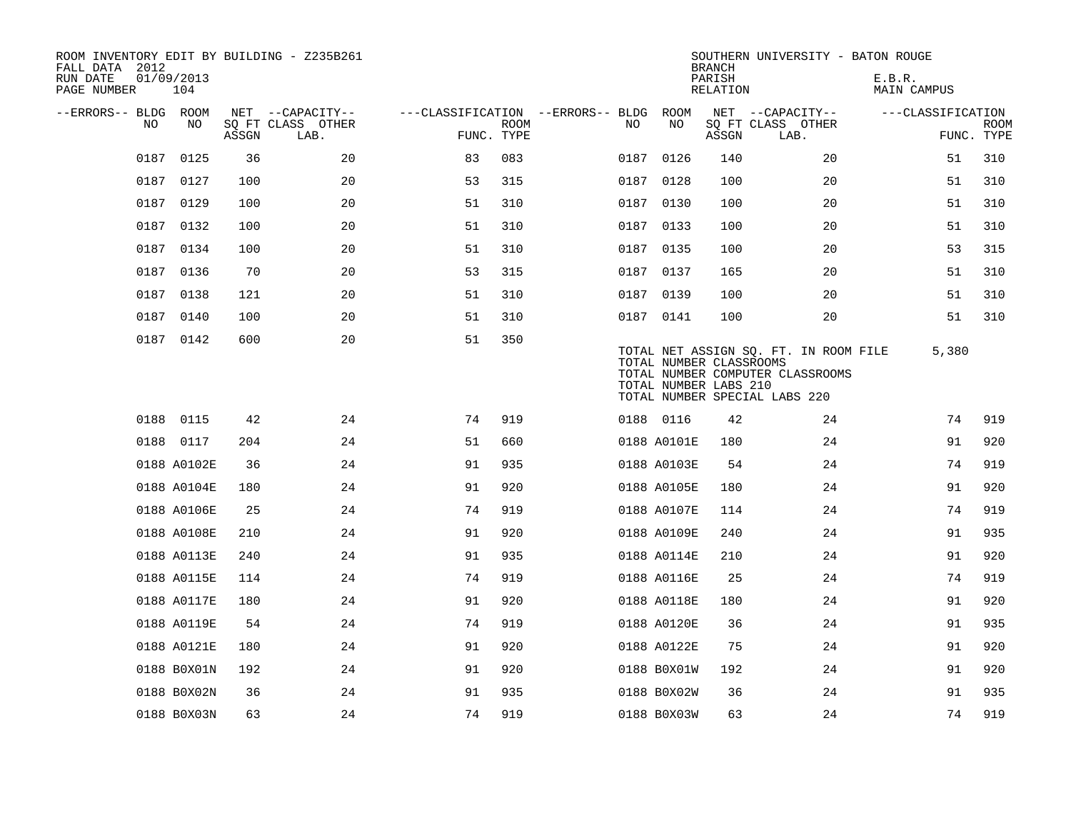| ROOM INVENTORY EDIT BY BUILDING - Z235B261<br>FALL DATA 2012<br>RUN DATE<br>PAGE NUMBER | 01/09/2013<br>104 |       |                           |                                   |             |      |             | <b>BRANCH</b><br>PARISH<br>RELATION              | SOUTHERN UNIVERSITY - BATON ROUGE                                                                          | E.B.R.<br>MAIN CAMPUS |                           |
|-----------------------------------------------------------------------------------------|-------------------|-------|---------------------------|-----------------------------------|-------------|------|-------------|--------------------------------------------------|------------------------------------------------------------------------------------------------------------|-----------------------|---------------------------|
| --ERRORS-- BLDG ROOM                                                                    |                   |       | NET --CAPACITY--          | ---CLASSIFICATION --ERRORS-- BLDG |             |      | ROOM        |                                                  | NET --CAPACITY--                                                                                           | ---CLASSIFICATION     |                           |
| NO.                                                                                     | NO                | ASSGN | SQ FT CLASS OTHER<br>LAB. | FUNC. TYPE                        | <b>ROOM</b> | NO.  | NO          | ASSGN                                            | SQ FT CLASS OTHER<br>LAB.                                                                                  |                       | <b>ROOM</b><br>FUNC. TYPE |
|                                                                                         | 0187 0125         | 36    | 20                        | 83                                | 083         |      | 0187 0126   | 140                                              | 20                                                                                                         | 51                    | 310                       |
|                                                                                         | 0187 0127         | 100   | 20                        | 53                                | 315         | 0187 | 0128        | 100                                              | 20                                                                                                         | 51                    | 310                       |
|                                                                                         | 0187 0129         | 100   | 20                        | 51                                | 310         |      | 0187 0130   | 100                                              | 20                                                                                                         | 51                    | 310                       |
|                                                                                         | 0187 0132         | 100   | 20                        | 51                                | 310         |      | 0187 0133   | 100                                              | 20                                                                                                         | 51                    | 310                       |
|                                                                                         | 0187 0134         | 100   | 20                        | 51                                | 310         |      | 0187 0135   | 100                                              | 20                                                                                                         | 53                    | 315                       |
|                                                                                         | 0187 0136         | 70    | 20                        | 53                                | 315         |      | 0187 0137   | 165                                              | 20                                                                                                         | 51                    | 310                       |
|                                                                                         | 0187 0138         | 121   | 20                        | 51                                | 310         |      | 0187 0139   | 100                                              | 20                                                                                                         | 51                    | 310                       |
| 0187                                                                                    | 0140              | 100   | 20                        | 51                                | 310         |      | 0187 0141   | 100                                              | 20                                                                                                         | 51                    | 310                       |
|                                                                                         | 0187 0142         | 600   | 20                        | 51                                | 350         |      |             | TOTAL NUMBER CLASSROOMS<br>TOTAL NUMBER LABS 210 | TOTAL NET ASSIGN SQ. FT. IN ROOM FILE<br>TOTAL NUMBER COMPUTER CLASSROOMS<br>TOTAL NUMBER SPECIAL LABS 220 | 5,380                 |                           |
|                                                                                         | 0188 0115         | 42    | 24                        | 74                                | 919         |      | 0188 0116   | 42                                               | 24                                                                                                         | 74                    | 919                       |
|                                                                                         | 0188 0117         | 204   | 24                        | 51                                | 660         |      | 0188 A0101E | 180                                              | 24                                                                                                         | 91                    | 920                       |
|                                                                                         | 0188 A0102E       | 36    | 24                        | 91                                | 935         |      | 0188 A0103E | 54                                               | 24                                                                                                         | 74                    | 919                       |
|                                                                                         | 0188 A0104E       | 180   | 24                        | 91                                | 920         |      | 0188 A0105E | 180                                              | 24                                                                                                         | 91                    | 920                       |
|                                                                                         | 0188 A0106E       | 25    | 24                        | 74                                | 919         |      | 0188 A0107E | 114                                              | 24                                                                                                         | 74                    | 919                       |
|                                                                                         | 0188 A0108E       | 210   | 24                        | 91                                | 920         |      | 0188 A0109E | 240                                              | 24                                                                                                         | 91                    | 935                       |
|                                                                                         | 0188 A0113E       | 240   | 24                        | 91                                | 935         |      | 0188 A0114E | 210                                              | 24                                                                                                         | 91                    | 920                       |
|                                                                                         | 0188 A0115E       | 114   | 24                        | 74                                | 919         |      | 0188 A0116E | 25                                               | 24                                                                                                         | 74                    | 919                       |
|                                                                                         | 0188 A0117E       | 180   | 24                        | 91                                | 920         |      | 0188 A0118E | 180                                              | 24                                                                                                         | 91                    | 920                       |
|                                                                                         | 0188 A0119E       | 54    | 24                        | 74                                | 919         |      | 0188 A0120E | 36                                               | 24                                                                                                         | 91                    | 935                       |
|                                                                                         | 0188 A0121E       | 180   | 24                        | 91                                | 920         |      | 0188 A0122E | 75                                               | 24                                                                                                         | 91                    | 920                       |
|                                                                                         | 0188 B0X01N       | 192   | 24                        | 91                                | 920         |      | 0188 B0X01W | 192                                              | 24                                                                                                         | 91                    | 920                       |
|                                                                                         | 0188 B0X02N       | 36    | 24                        | 91                                | 935         |      | 0188 B0X02W | 36                                               | 24                                                                                                         | 91                    | 935                       |
|                                                                                         | 0188 B0X03N       | 63    | 24                        | 74                                | 919         |      | 0188 B0X03W | 63                                               | 24                                                                                                         | 74                    | 919                       |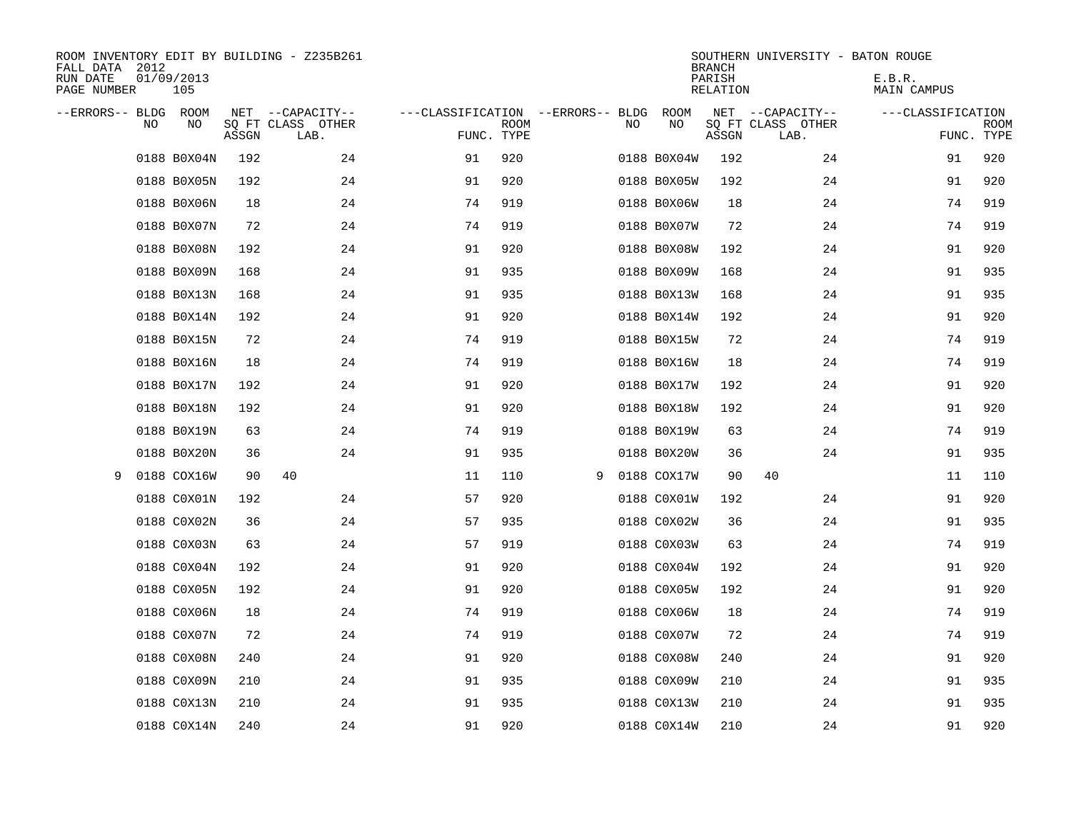| ROOM INVENTORY EDIT BY BUILDING - Z235B261<br>FALL DATA 2012<br>RUN DATE<br>PAGE NUMBER | 01/09/2013<br>105 |       |                                               |                                                 |             |   |    |             | <b>BRANCH</b><br>PARISH<br><b>RELATION</b> | SOUTHERN UNIVERSITY - BATON ROUGE             | E.B.R.<br>MAIN CAMPUS |                           |
|-----------------------------------------------------------------------------------------|-------------------|-------|-----------------------------------------------|-------------------------------------------------|-------------|---|----|-------------|--------------------------------------------|-----------------------------------------------|-----------------------|---------------------------|
| --ERRORS-- BLDG ROOM<br>NO                                                              | NO                | ASSGN | NET --CAPACITY--<br>SQ FT CLASS OTHER<br>LAB. | ---CLASSIFICATION --ERRORS-- BLDG<br>FUNC. TYPE | <b>ROOM</b> |   | NO | ROOM<br>NO  | ASSGN                                      | NET --CAPACITY--<br>SQ FT CLASS OTHER<br>LAB. | ---CLASSIFICATION     | <b>ROOM</b><br>FUNC. TYPE |
|                                                                                         | 0188 B0X04N       | 192   | 24                                            | 91                                              | 920         |   |    | 0188 B0X04W | 192                                        | 24                                            | 91                    | 920                       |
|                                                                                         | 0188 B0X05N       | 192   | 24                                            | 91                                              | 920         |   |    | 0188 B0X05W | 192                                        | 24                                            | 91                    | 920                       |
|                                                                                         | 0188 B0X06N       | 18    | 24                                            | 74                                              | 919         |   |    | 0188 B0X06W | 18                                         | 24                                            | 74                    | 919                       |
|                                                                                         | 0188 B0X07N       | 72    | 24                                            | 74                                              | 919         |   |    | 0188 B0X07W | 72                                         | 24                                            | 74                    | 919                       |
|                                                                                         | 0188 B0X08N       | 192   | 24                                            | 91                                              | 920         |   |    | 0188 B0X08W | 192                                        | 24                                            | 91                    | 920                       |
|                                                                                         | 0188 B0X09N       | 168   | 24                                            | 91                                              | 935         |   |    | 0188 B0X09W | 168                                        | 24                                            | 91                    | 935                       |
|                                                                                         | 0188 B0X13N       | 168   | 24                                            | 91                                              | 935         |   |    | 0188 B0X13W | 168                                        | 24                                            | 91                    | 935                       |
|                                                                                         | 0188 B0X14N       | 192   | 24                                            | 91                                              | 920         |   |    | 0188 B0X14W | 192                                        | 24                                            | 91                    | 920                       |
|                                                                                         | 0188 B0X15N       | 72    | 24                                            | 74                                              | 919         |   |    | 0188 B0X15W | 72                                         | 24                                            | 74                    | 919                       |
|                                                                                         | 0188 B0X16N       | 18    | 24                                            | 74                                              | 919         |   |    | 0188 B0X16W | 18                                         | 24                                            | 74                    | 919                       |
|                                                                                         | 0188 B0X17N       | 192   | 24                                            | 91                                              | 920         |   |    | 0188 B0X17W | 192                                        | 24                                            | 91                    | 920                       |
|                                                                                         | 0188 B0X18N       | 192   | 24                                            | 91                                              | 920         |   |    | 0188 B0X18W | 192                                        | 24                                            | 91                    | 920                       |
|                                                                                         | 0188 B0X19N       | 63    | 24                                            | 74                                              | 919         |   |    | 0188 B0X19W | 63                                         | 24                                            | 74                    | 919                       |
|                                                                                         | 0188 B0X20N       | 36    | 24                                            | 91                                              | 935         |   |    | 0188 B0X20W | 36                                         | 24                                            | 91                    | 935                       |
| 9                                                                                       | 0188 COX16W       | 90    | 40                                            | 11                                              | 110         | 9 |    | 0188 COX17W | 90                                         | 40                                            | 11                    | 110                       |
|                                                                                         | 0188 C0X01N       | 192   | 24                                            | 57                                              | 920         |   |    | 0188 C0X01W | 192                                        | 24                                            | 91                    | 920                       |
|                                                                                         | 0188 C0X02N       | 36    | 24                                            | 57                                              | 935         |   |    | 0188 C0X02W | 36                                         | 24                                            | 91                    | 935                       |
|                                                                                         | 0188 C0X03N       | 63    | 24                                            | 57                                              | 919         |   |    | 0188 C0X03W | 63                                         | 24                                            | 74                    | 919                       |
|                                                                                         | 0188 C0X04N       | 192   | 24                                            | 91                                              | 920         |   |    | 0188 C0X04W | 192                                        | 24                                            | 91                    | 920                       |
|                                                                                         | 0188 C0X05N       | 192   | 24                                            | 91                                              | 920         |   |    | 0188 C0X05W | 192                                        | 24                                            | 91                    | 920                       |
|                                                                                         | 0188 C0X06N       | 18    | 24                                            | 74                                              | 919         |   |    | 0188 C0X06W | 18                                         | 24                                            | 74                    | 919                       |
|                                                                                         | 0188 C0X07N       | 72    | 24                                            | 74                                              | 919         |   |    | 0188 C0X07W | 72                                         | 24                                            | 74                    | 919                       |
|                                                                                         | 0188 C0X08N       | 240   | 24                                            | 91                                              | 920         |   |    | 0188 C0X08W | 240                                        | 24                                            | 91                    | 920                       |
|                                                                                         | 0188 C0X09N       | 210   | 24                                            | 91                                              | 935         |   |    | 0188 C0X09W | 210                                        | 24                                            | 91                    | 935                       |
|                                                                                         | 0188 C0X13N       | 210   | 24                                            | 91                                              | 935         |   |    | 0188 C0X13W | 210                                        | 24                                            | 91                    | 935                       |
|                                                                                         | 0188 C0X14N       | 240   | 24                                            | 91                                              | 920         |   |    | 0188 C0X14W | 210                                        | 24                                            | 91                    | 920                       |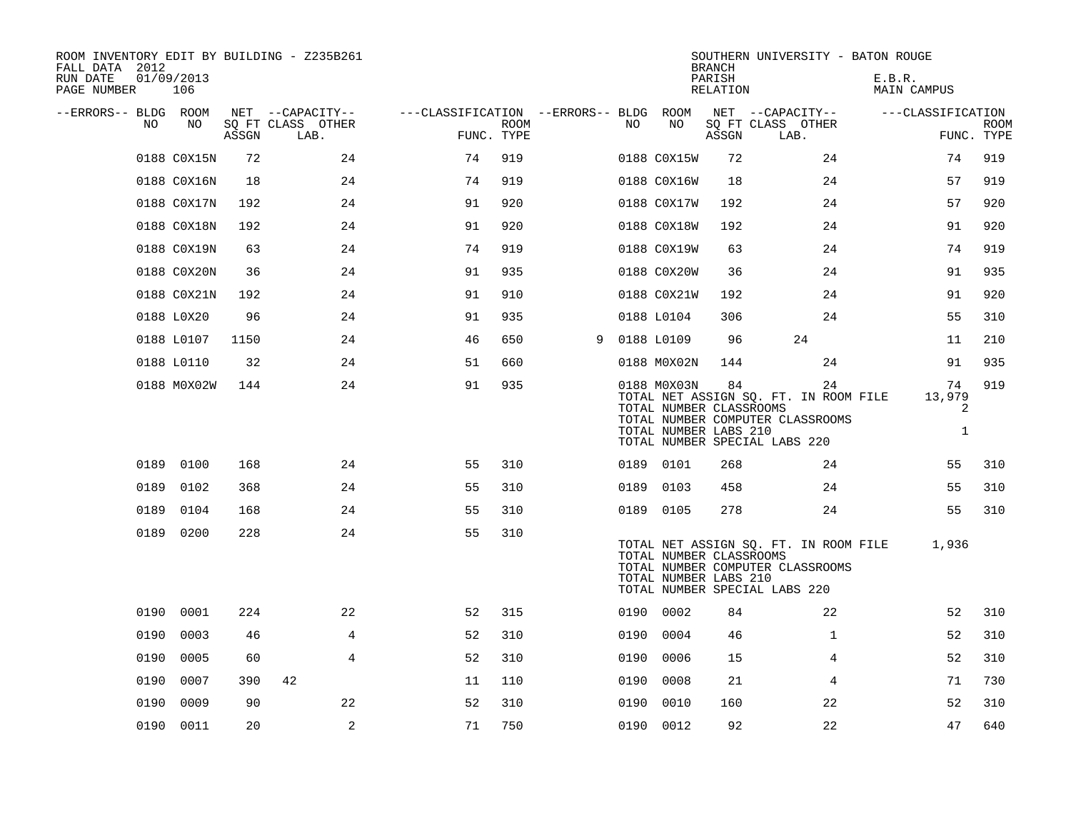| ROOM INVENTORY EDIT BY BUILDING - Z235B261<br>FALL DATA 2012<br>RUN DATE<br>PAGE NUMBER | 01/09/2013<br>106 |       |                                       |                                        |      |   |      |                                                                 | <b>BRANCH</b><br>PARISH<br>RELATION | SOUTHERN UNIVERSITY - BATON ROUGE                                                                                | E.B.R.<br>MAIN CAMPUS             |             |
|-----------------------------------------------------------------------------------------|-------------------|-------|---------------------------------------|----------------------------------------|------|---|------|-----------------------------------------------------------------|-------------------------------------|------------------------------------------------------------------------------------------------------------------|-----------------------------------|-------------|
| --ERRORS-- BLDG ROOM<br>NO                                                              | NO                |       | NET --CAPACITY--<br>SQ FT CLASS OTHER | ---CLASSIFICATION --ERRORS-- BLDG ROOM | ROOM |   | NO   | NO                                                              |                                     | NET --CAPACITY--<br>SQ FT CLASS OTHER                                                                            | ---CLASSIFICATION                 | <b>ROOM</b> |
|                                                                                         |                   | ASSGN | LAB.                                  | FUNC. TYPE                             |      |   |      |                                                                 | ASSGN                               | LAB.                                                                                                             |                                   | FUNC. TYPE  |
|                                                                                         | 0188 C0X15N       | 72    | 24                                    | 74                                     | 919  |   |      | 0188 C0X15W                                                     | 72                                  | 24                                                                                                               | 74                                | 919         |
|                                                                                         | 0188 C0X16N       | 18    | 24                                    | 74                                     | 919  |   |      | 0188 C0X16W                                                     | 18                                  | 24                                                                                                               | 57                                | 919         |
|                                                                                         | 0188 C0X17N       | 192   | 24                                    | 91                                     | 920  |   |      | 0188 C0X17W                                                     | 192                                 | 24                                                                                                               | 57                                | 920         |
|                                                                                         | 0188 C0X18N       | 192   | 24                                    | 91                                     | 920  |   |      | 0188 C0X18W                                                     | 192                                 | 24                                                                                                               | 91                                | 920         |
|                                                                                         | 0188 C0X19N       | 63    | 24                                    | 74                                     | 919  |   |      | 0188 C0X19W                                                     | 63                                  | 24                                                                                                               | 74                                | 919         |
|                                                                                         | 0188 C0X20N       | 36    | 24                                    | 91                                     | 935  |   |      | 0188 C0X20W                                                     | 36                                  | 24                                                                                                               | 91                                | 935         |
|                                                                                         | 0188 C0X21N       | 192   | 24                                    | 91                                     | 910  |   |      | 0188 C0X21W                                                     | 192                                 | 24                                                                                                               | 91                                | 920         |
|                                                                                         | 0188 L0X20        | 96    | 24                                    | 91                                     | 935  |   |      | 0188 L0104                                                      | 306                                 | 24                                                                                                               | 55                                | 310         |
|                                                                                         | 0188 L0107        | 1150  | 24                                    | 46                                     | 650  | 9 |      | 0188 L0109                                                      | 96                                  | 24                                                                                                               | 11                                | 210         |
|                                                                                         | 0188 L0110        | 32    | 24                                    | 51                                     | 660  |   |      | 0188 M0X02N                                                     | 144                                 | 24                                                                                                               | 91                                | 935         |
|                                                                                         | 0188 M0X02W       | 144   | 24                                    | 91                                     | 935  |   |      | 0188 M0X03N<br>TOTAL NUMBER CLASSROOMS<br>TOTAL NUMBER LABS 210 | 84                                  | 24<br>TOTAL NET ASSIGN SQ. FT. IN ROOM FILE<br>TOTAL NUMBER COMPUTER CLASSROOMS<br>TOTAL NUMBER SPECIAL LABS 220 | 74<br>13,979<br>2<br>$\mathbf{1}$ | 919         |
|                                                                                         | 0189 0100         | 168   | 24                                    | 55                                     | 310  |   |      | 0189 0101                                                       | 268                                 | 24                                                                                                               | 55                                | 310         |
| 0189                                                                                    | 0102              | 368   | 24                                    | 55                                     | 310  |   |      | 0189 0103                                                       | 458                                 | 24                                                                                                               | 55                                | 310         |
|                                                                                         | 0189 0104         | 168   | 24                                    | 55                                     | 310  |   |      | 0189 0105                                                       | 278                                 | 24                                                                                                               | 55                                | 310         |
|                                                                                         | 0189 0200         | 228   | 24                                    | 55                                     | 310  |   |      | TOTAL NUMBER CLASSROOMS<br>TOTAL NUMBER LABS 210                |                                     | TOTAL NET ASSIGN SO. FT. IN ROOM FILE<br>TOTAL NUMBER COMPUTER CLASSROOMS<br>TOTAL NUMBER SPECIAL LABS 220       | 1,936                             |             |
|                                                                                         | 0190 0001         | 224   | 22                                    | 52                                     | 315  |   |      | 0190 0002                                                       | 84                                  | 22                                                                                                               | 52                                | 310         |
| 0190                                                                                    | 0003              | 46    | 4                                     | 52                                     | 310  |   | 0190 | 0004                                                            | 46                                  | $\mathbf{1}$                                                                                                     | 52                                | 310         |
|                                                                                         | 0190 0005         | 60    | 4                                     | 52                                     | 310  |   |      | 0190 0006                                                       | 15                                  | 4                                                                                                                | 52                                | 310         |
| 0190                                                                                    | 0007              | 390   | 42                                    | 11                                     | 110  |   | 0190 | 0008                                                            | 21                                  | 4                                                                                                                | 71                                | 730         |
| 0190                                                                                    | 0009              | 90    | 22                                    | 52                                     | 310  |   | 0190 | 0010                                                            | 160                                 | 22                                                                                                               | 52                                | 310         |
|                                                                                         | 0190 0011         | 20    | 2                                     | 71                                     | 750  |   |      | 0190 0012                                                       | 92                                  | 22                                                                                                               | 47                                | 640         |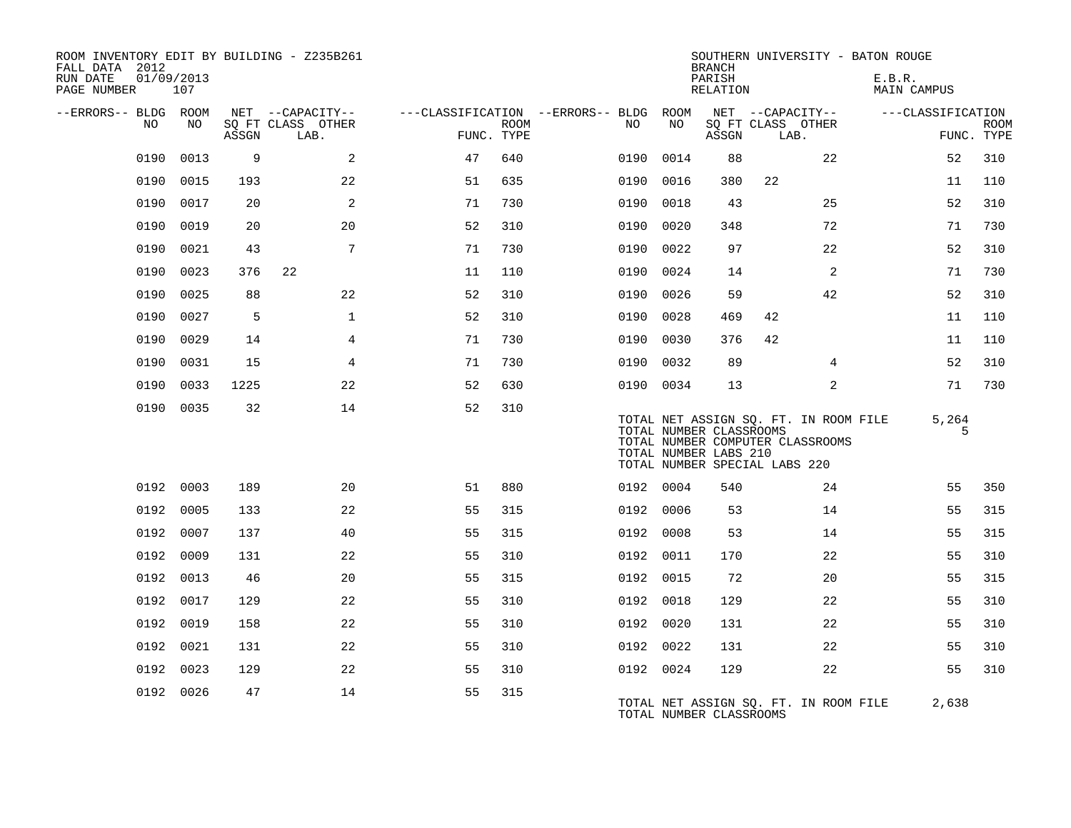| ROOM INVENTORY EDIT BY BUILDING - Z235B261<br>FALL DATA 2012<br>RUN DATE<br>PAGE NUMBER | 01/09/2013<br>107 |       |                           |            |             |                                        |           | <b>BRANCH</b><br>PARISH<br>RELATION                                               |      |                                                                           | SOUTHERN UNIVERSITY - BATON ROUGE<br>E.B.R.<br>MAIN CAMPUS |            |                           |
|-----------------------------------------------------------------------------------------|-------------------|-------|---------------------------|------------|-------------|----------------------------------------|-----------|-----------------------------------------------------------------------------------|------|---------------------------------------------------------------------------|------------------------------------------------------------|------------|---------------------------|
| --ERRORS-- BLDG ROOM                                                                    |                   |       | NET --CAPACITY--          |            |             | ---CLASSIFICATION --ERRORS-- BLDG ROOM |           | NET --CAPACITY--                                                                  |      |                                                                           | ---CLASSIFICATION                                          |            |                           |
| NO                                                                                      | NO                | ASSGN | SQ FT CLASS OTHER<br>LAB. | FUNC. TYPE | <b>ROOM</b> | NO.                                    | NO        | ASSGN                                                                             | LAB. | SQ FT CLASS OTHER                                                         |                                                            |            | <b>ROOM</b><br>FUNC. TYPE |
| 0190                                                                                    | 0013              | 9     | 2                         | 47         | 640         | 0190                                   | 0014      | 88                                                                                |      | 22                                                                        |                                                            | 52         | 310                       |
| 0190                                                                                    | 0015              | 193   | 22                        | 51         | 635         | 0190                                   | 0016      | 380                                                                               | 22   |                                                                           |                                                            | 11         | 110                       |
|                                                                                         | 0190 0017         | 20    | 2                         | 71         | 730         | 0190                                   | 0018      | 43                                                                                |      | 25                                                                        |                                                            | 52         | 310                       |
| 0190                                                                                    | 0019              | 20    | 20                        | 52         | 310         | 0190                                   | 0020      | 348                                                                               |      | 72                                                                        |                                                            | 71         | 730                       |
| 0190                                                                                    | 0021              | 43    | 7                         | 71         | 730         | 0190                                   | 0022      | 97                                                                                |      | 22                                                                        |                                                            | 52         | 310                       |
| 0190                                                                                    | 0023              | 376   | 22                        | 11         | 110         | 0190                                   | 0024      | 14                                                                                |      | 2                                                                         |                                                            | 71         | 730                       |
| 0190                                                                                    | 0025              | 88    | 22                        | 52         | 310         | 0190                                   | 0026      | 59                                                                                |      | 42                                                                        |                                                            | 52         | 310                       |
| 0190                                                                                    | 0027              | 5     | $\mathbf{1}$              | 52         | 310         | 0190                                   | 0028      | 469                                                                               | 42   |                                                                           |                                                            | 11         | 110                       |
| 0190                                                                                    | 0029              | 14    | 4                         | 71         | 730         | 0190                                   | 0030      | 376                                                                               | 42   |                                                                           |                                                            | 11         | 110                       |
| 0190                                                                                    | 0031              | 15    | 4                         | 71         | 730         | 0190                                   | 0032      | 89                                                                                |      | 4                                                                         |                                                            | 52         | 310                       |
| 0190                                                                                    | 0033              | 1225  | 22                        | 52         | 630         |                                        | 0190 0034 | 13                                                                                |      | 2                                                                         |                                                            | 71         | 730                       |
|                                                                                         | 0190 0035         | 32    | 14                        | 52         | 310         |                                        |           | TOTAL NUMBER CLASSROOMS<br>TOTAL NUMBER LABS 210<br>TOTAL NUMBER SPECIAL LABS 220 |      | TOTAL NET ASSIGN SQ. FT. IN ROOM FILE<br>TOTAL NUMBER COMPUTER CLASSROOMS |                                                            | 5,264<br>5 |                           |
| 0192                                                                                    | 0003              | 189   | 20                        | 51         | 880         |                                        | 0192 0004 | 540                                                                               |      | 24                                                                        |                                                            | 55         | 350                       |
| 0192                                                                                    | 0005              | 133   | 22                        | 55         | 315         |                                        | 0192 0006 | 53                                                                                |      | 14                                                                        |                                                            | 55         | 315                       |
|                                                                                         | 0192 0007         | 137   | 40                        | 55         | 315         |                                        | 0192 0008 | 53                                                                                |      | 14                                                                        |                                                            | 55         | 315                       |
|                                                                                         | 0192 0009         | 131   | 22                        | 55         | 310         |                                        | 0192 0011 | 170                                                                               |      | 22                                                                        |                                                            | 55         | 310                       |
|                                                                                         | 0192 0013         | 46    | 20                        | 55         | 315         |                                        | 0192 0015 | 72                                                                                |      | 20                                                                        |                                                            | 55         | 315                       |
|                                                                                         | 0192 0017         | 129   | 22                        | 55         | 310         |                                        | 0192 0018 | 129                                                                               |      | 22                                                                        |                                                            | 55         | 310                       |
|                                                                                         | 0192 0019         | 158   | 22                        | 55         | 310         |                                        | 0192 0020 | 131                                                                               |      | 22                                                                        |                                                            | 55         | 310                       |
|                                                                                         | 0192 0021         | 131   | 22                        | 55         | 310         |                                        | 0192 0022 | 131                                                                               |      | 22                                                                        |                                                            | 55         | 310                       |
|                                                                                         | 0192 0023         | 129   | 22                        | 55         | 310         |                                        | 0192 0024 | 129                                                                               |      | 22                                                                        |                                                            | 55         | 310                       |
|                                                                                         | 0192 0026         | 47    | 14                        | 55         | 315         |                                        |           | TOTAL NUMBER CLASSROOMS                                                           |      | TOTAL NET ASSIGN SQ. FT. IN ROOM FILE                                     |                                                            | 2,638      |                           |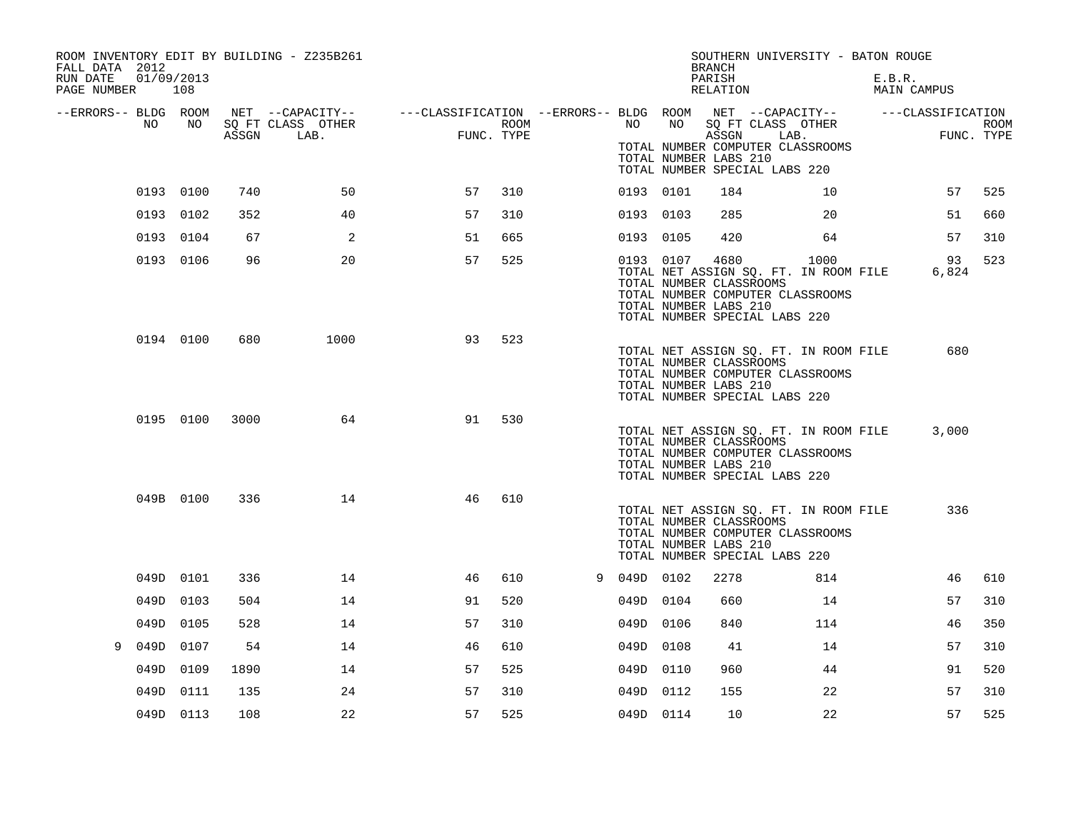| ROOM INVENTORY EDIT BY BUILDING - Z235B261<br>FALL DATA 2012<br>01/09/2013<br>RUN DATE |           |      |                                 |                                                                                                              |      |             |           | <b>BRANCH</b><br>PARISH                                  | SOUTHERN UNIVERSITY - BATON ROUGE                                                                                  | E.B.R.      |                    |
|----------------------------------------------------------------------------------------|-----------|------|---------------------------------|--------------------------------------------------------------------------------------------------------------|------|-------------|-----------|----------------------------------------------------------|--------------------------------------------------------------------------------------------------------------------|-------------|--------------------|
| PAGE NUMBER 108                                                                        |           |      |                                 |                                                                                                              |      |             |           | RELATION                                                 |                                                                                                                    | MAIN CAMPUS |                    |
| --ERRORS-- BLDG ROOM<br>NO                                                             | NO        |      | SO FT CLASS OTHER<br>ASSGN LAB. | NET --CAPACITY-- - ---CLASSIFICATION --ERRORS-- BLDG ROOM NET --CAPACITY-- - ---CLASSIFICATION<br>FUNC. TYPE | ROOM |             | NO NO     | ASSGN<br>TOTAL NUMBER LABS 210                           | SQ FT CLASS OTHER<br>LAB.<br>TOTAL NUMBER COMPUTER CLASSROOMS<br>TOTAL NUMBER SPECIAL LABS 220                     |             | ROOM<br>FUNC. TYPE |
|                                                                                        | 0193 0100 | 740  | 50                              | 57                                                                                                           | 310  |             | 0193 0101 | 184                                                      | 10                                                                                                                 | 57          | 525                |
|                                                                                        | 0193 0102 | 352  | 40                              | 57                                                                                                           | 310  | 0193 0103   |           | 285                                                      | 20                                                                                                                 | 51          | 660                |
|                                                                                        | 0193 0104 | 67   | 2                               | 51                                                                                                           | 665  | 0193 0105   |           | 420                                                      | 64                                                                                                                 | 57          | 310                |
|                                                                                        | 0193 0106 | 96   | 20                              | 57                                                                                                           | 525  |             | 0193 0107 | 4680<br>TOTAL NUMBER CLASSROOMS<br>TOTAL NUMBER LABS 210 | 1000<br>TOTAL NET ASSIGN SQ. FT. IN ROOM FILE<br>TOTAL NUMBER COMPUTER CLASSROOMS<br>TOTAL NUMBER SPECIAL LABS 220 | 93<br>6,824 | 523                |
|                                                                                        | 0194 0100 | 680  | 1000                            | 93                                                                                                           | 523  |             |           | TOTAL NUMBER CLASSROOMS<br>TOTAL NUMBER LABS 210         | TOTAL NET ASSIGN SQ. FT. IN ROOM FILE<br>TOTAL NUMBER COMPUTER CLASSROOMS<br>TOTAL NUMBER SPECIAL LABS 220         | 680         |                    |
|                                                                                        | 0195 0100 | 3000 | 64                              | 91                                                                                                           | 530  |             |           | TOTAL NUMBER CLASSROOMS<br>TOTAL NUMBER LABS 210         | TOTAL NET ASSIGN SQ. FT. IN ROOM FILE<br>TOTAL NUMBER COMPUTER CLASSROOMS<br>TOTAL NUMBER SPECIAL LABS 220         | 3,000       |                    |
|                                                                                        | 049B 0100 | 336  | 14                              | 46                                                                                                           | 610  |             |           | TOTAL NUMBER CLASSROOMS<br>TOTAL NUMBER LABS 210         | TOTAL NET ASSIGN SQ. FT. IN ROOM FILE<br>TOTAL NUMBER COMPUTER CLASSROOMS<br>TOTAL NUMBER SPECIAL LABS 220         | 336         |                    |
|                                                                                        | 049D 0101 | 336  | 14                              | 46                                                                                                           | 610  | 9 049D 0102 |           | 2278                                                     | 814                                                                                                                | 46          | 610                |
|                                                                                        | 049D 0103 | 504  | 14                              | 91                                                                                                           | 520  | 049D 0104   |           | 660                                                      | 14                                                                                                                 | 57          | 310                |
| 049D                                                                                   | 0105      | 528  | 14                              | 57                                                                                                           | 310  | 049D 0106   |           | 840                                                      | 114                                                                                                                | 46          | 350                |
| 9                                                                                      | 049D 0107 | 54   | 14                              | 46                                                                                                           | 610  | 049D 0108   |           | 41                                                       | 14                                                                                                                 | 57          | 310                |
|                                                                                        | 049D 0109 | 1890 | 14                              | 57                                                                                                           | 525  | 049D 0110   |           | 960                                                      | 44                                                                                                                 | 91          | 520                |
|                                                                                        | 049D 0111 | 135  | 24                              | 57                                                                                                           | 310  | 049D 0112   |           | 155                                                      | 22                                                                                                                 | 57          | 310                |
|                                                                                        | 049D 0113 | 108  | 22                              | 57                                                                                                           | 525  | 049D 0114   |           | 10                                                       | 22                                                                                                                 | 57          | 525                |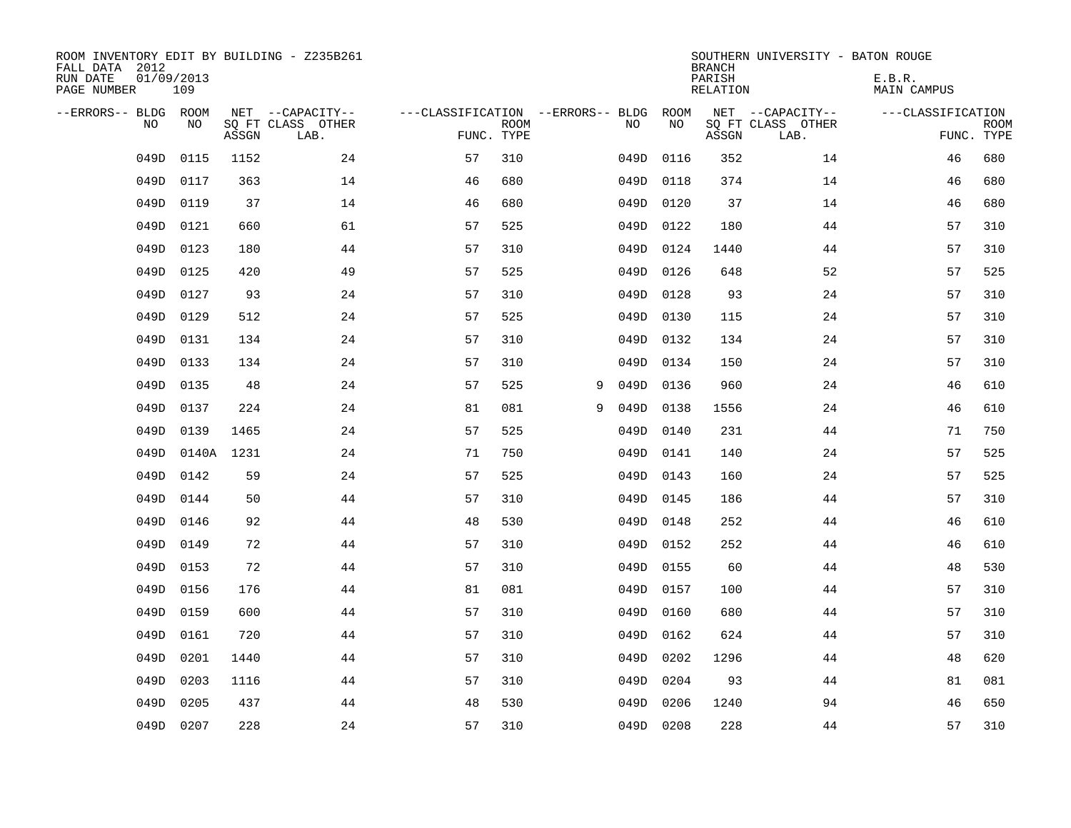| ROOM INVENTORY EDIT BY BUILDING - Z235B261<br>FALL DATA 2012<br>RUN DATE<br>PAGE NUMBER | 01/09/2013<br>109 |       |                                               |                                                 |             |   |      |            | <b>BRANCH</b><br>PARISH<br><b>RELATION</b> | SOUTHERN UNIVERSITY - BATON ROUGE             | E.B.R.<br><b>MAIN CAMPUS</b> |                           |
|-----------------------------------------------------------------------------------------|-------------------|-------|-----------------------------------------------|-------------------------------------------------|-------------|---|------|------------|--------------------------------------------|-----------------------------------------------|------------------------------|---------------------------|
| --ERRORS-- BLDG ROOM<br>NO                                                              | NO                | ASSGN | NET --CAPACITY--<br>SQ FT CLASS OTHER<br>LAB. | ---CLASSIFICATION --ERRORS-- BLDG<br>FUNC. TYPE | <b>ROOM</b> |   | NO   | ROOM<br>NO | ASSGN                                      | NET --CAPACITY--<br>SQ FT CLASS OTHER<br>LAB. | ---CLASSIFICATION            | <b>ROOM</b><br>FUNC. TYPE |
| 049D                                                                                    | 0115              | 1152  | 24                                            | 57                                              | 310         |   | 049D | 0116       | 352                                        | 14                                            | 46                           | 680                       |
| 049D                                                                                    | 0117              | 363   | 14                                            | 46                                              | 680         |   | 049D | 0118       | 374                                        | 14                                            | 46                           | 680                       |
| 049D                                                                                    | 0119              | 37    | 14                                            | 46                                              | 680         |   | 049D | 0120       | 37                                         | 14                                            | 46                           | 680                       |
| 049D                                                                                    | 0121              | 660   | 61                                            | 57                                              | 525         |   | 049D | 0122       | 180                                        | 44                                            | 57                           | 310                       |
| 049D                                                                                    | 0123              | 180   | 44                                            | 57                                              | 310         |   | 049D | 0124       | 1440                                       | 44                                            | 57                           | 310                       |
| 049D                                                                                    | 0125              | 420   | 49                                            | 57                                              | 525         |   | 049D | 0126       | 648                                        | 52                                            | 57                           | 525                       |
| 049D                                                                                    | 0127              | 93    | 24                                            | 57                                              | 310         |   | 049D | 0128       | 93                                         | 24                                            | 57                           | 310                       |
| 049D                                                                                    | 0129              | 512   | 24                                            | 57                                              | 525         |   | 049D | 0130       | 115                                        | 24                                            | 57                           | 310                       |
| 049D                                                                                    | 0131              | 134   | 24                                            | 57                                              | 310         |   | 049D | 0132       | 134                                        | 24                                            | 57                           | 310                       |
| 049D                                                                                    | 0133              | 134   | 24                                            | 57                                              | 310         |   | 049D | 0134       | 150                                        | 24                                            | 57                           | 310                       |
| 049D                                                                                    | 0135              | 48    | 24                                            | 57                                              | 525         | 9 | 049D | 0136       | 960                                        | 24                                            | 46                           | 610                       |
| 049D                                                                                    | 0137              | 224   | 24                                            | 81                                              | 081         | 9 | 049D | 0138       | 1556                                       | 24                                            | 46                           | 610                       |
| 049D                                                                                    | 0139              | 1465  | 24                                            | 57                                              | 525         |   | 049D | 0140       | 231                                        | 44                                            | 71                           | 750                       |
| 049D                                                                                    | 0140A             | 1231  | 24                                            | 71                                              | 750         |   | 049D | 0141       | 140                                        | 24                                            | 57                           | 525                       |
| 049D                                                                                    | 0142              | 59    | 24                                            | 57                                              | 525         |   | 049D | 0143       | 160                                        | 24                                            | 57                           | 525                       |
| 049D                                                                                    | 0144              | 50    | 44                                            | 57                                              | 310         |   | 049D | 0145       | 186                                        | 44                                            | 57                           | 310                       |
| 049D                                                                                    | 0146              | 92    | 44                                            | 48                                              | 530         |   | 049D | 0148       | 252                                        | 44                                            | 46                           | 610                       |
| 049D                                                                                    | 0149              | 72    | 44                                            | 57                                              | 310         |   | 049D | 0152       | 252                                        | 44                                            | 46                           | 610                       |
| 049D                                                                                    | 0153              | 72    | 44                                            | 57                                              | 310         |   |      | 049D 0155  | 60                                         | 44                                            | 48                           | 530                       |
| 049D                                                                                    | 0156              | 176   | 44                                            | 81                                              | 081         |   | 049D | 0157       | 100                                        | 44                                            | 57                           | 310                       |
| 049D                                                                                    | 0159              | 600   | 44                                            | 57                                              | 310         |   | 049D | 0160       | 680                                        | 44                                            | 57                           | 310                       |
| 049D                                                                                    | 0161              | 720   | 44                                            | 57                                              | 310         |   | 049D | 0162       | 624                                        | 44                                            | 57                           | 310                       |
| 049D                                                                                    | 0201              | 1440  | 44                                            | 57                                              | 310         |   | 049D | 0202       | 1296                                       | 44                                            | 48                           | 620                       |
| 049D                                                                                    | 0203              | 1116  | 44                                            | 57                                              | 310         |   | 049D | 0204       | 93                                         | 44                                            | 81                           | 081                       |
| 049D                                                                                    | 0205              | 437   | 44                                            | 48                                              | 530         |   | 049D | 0206       | 1240                                       | 94                                            | 46                           | 650                       |
|                                                                                         | 049D 0207         | 228   | 24                                            | 57                                              | 310         |   |      | 049D 0208  | 228                                        | 44                                            | 57                           | 310                       |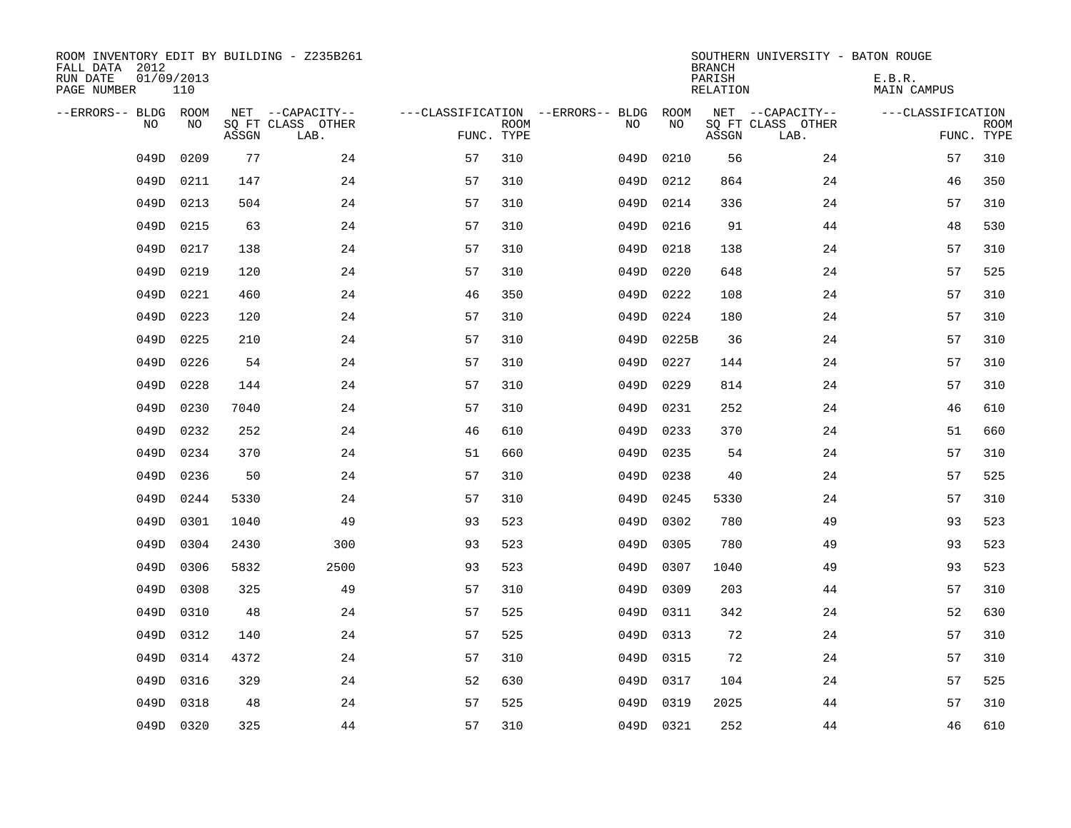| ROOM INVENTORY EDIT BY BUILDING - Z235B261<br>FALL DATA 2012<br>RUN DATE<br>PAGE NUMBER | 01/09/2013<br>110 |              |                                               |                                                 |             |      |              | <b>BRANCH</b><br>PARISH<br>RELATION | SOUTHERN UNIVERSITY - BATON ROUGE             | E.B.R.<br><b>MAIN CAMPUS</b> |                           |
|-----------------------------------------------------------------------------------------|-------------------|--------------|-----------------------------------------------|-------------------------------------------------|-------------|------|--------------|-------------------------------------|-----------------------------------------------|------------------------------|---------------------------|
| --ERRORS-- BLDG ROOM<br>N <sub>O</sub>                                                  | NO.               | ASSGN        | NET --CAPACITY--<br>SO FT CLASS OTHER<br>LAB. | ---CLASSIFICATION --ERRORS-- BLDG<br>FUNC. TYPE | <b>ROOM</b> | NO.  | ROOM<br>NO.  | ASSGN                               | NET --CAPACITY--<br>SQ FT CLASS OTHER<br>LAB. | ---CLASSIFICATION            | <b>ROOM</b><br>FUNC. TYPE |
|                                                                                         |                   |              |                                               |                                                 |             |      |              |                                     |                                               |                              |                           |
| 049D                                                                                    | 0209              | 77           | 24                                            | 57                                              | 310         | 049D | 0210         | 56                                  | 24                                            | 57                           | 310                       |
| 049D                                                                                    | 0211              | 147          | 24                                            | 57                                              | 310         | 049D | 0212         | 864                                 | 24                                            | 46                           | 350                       |
| 049D                                                                                    | 0213              | 504<br>63    | 24                                            | 57<br>57                                        | 310         | 049D | 0214         | 336<br>91                           | 24                                            | 57                           | 310                       |
| 049D                                                                                    | 0215              |              | 24                                            |                                                 | 310         | 049D | 0216         |                                     | 44                                            | 48                           | 530                       |
| 049D                                                                                    | 0217              | 138<br>120   | 24                                            | 57<br>57                                        | 310<br>310  | 049D | 0218         | 138<br>648                          | 24<br>24                                      | 57<br>57                     | 310                       |
| 049D                                                                                    | 0219              |              | 24                                            |                                                 |             | 049D | 0220         |                                     |                                               |                              | 525                       |
| 049D                                                                                    | 0221              | 460          | 24                                            | 46                                              | 350         | 049D | 0222         | 108                                 | 24                                            | 57                           | 310                       |
| 049D                                                                                    | 0223<br>0225      | 120          | 24                                            | 57                                              | 310         | 049D | 0224         | 180                                 | 24                                            | 57<br>57                     | 310<br>310                |
| 049D                                                                                    | 0226              | 210<br>54    | 24<br>24                                      | 57                                              | 310         | 049D | 0225B        | 36                                  | 24<br>24                                      | 57                           | 310                       |
| 049D                                                                                    |                   |              |                                               | 57                                              | 310         | 049D | 0227         | 144                                 |                                               |                              |                           |
| 049D<br>049D                                                                            | 0228              | 144          | 24<br>24                                      | 57<br>57                                        | 310<br>310  | 049D | 0229         | 814<br>252                          | 24<br>24                                      | 57<br>46                     | 310                       |
|                                                                                         | 0230              | 7040         |                                               |                                                 |             | 049D | 0231         |                                     |                                               |                              | 610                       |
| 049D<br>049D                                                                            | 0232<br>0234      | 252<br>370   | 24<br>24                                      | 46<br>51                                        | 610<br>660  | 049D | 0233<br>0235 | 370<br>54                           | 24<br>24                                      | 51<br>57                     | 660<br>310                |
|                                                                                         |                   | 50           |                                               | 57                                              | 310         | 049D |              |                                     |                                               |                              | 525                       |
| 049D<br>049D                                                                            | 0236              |              | 24<br>24                                      | 57                                              |             | 049D | 0238         | 40                                  | 24<br>24                                      | 57<br>57                     | 310                       |
|                                                                                         | 0244              | 5330         |                                               |                                                 | 310         | 049D | 0245         | 5330                                |                                               |                              | 523                       |
| 049D                                                                                    | 0301              | 1040         | 49                                            | 93                                              | 523         | 049D | 0302         | 780                                 | 49                                            | 93                           |                           |
| 049D                                                                                    | 0304<br>0306      | 2430<br>5832 | 300<br>2500                                   | 93                                              | 523         | 049D | 0305         | 780                                 | 49                                            | 93<br>93                     | 523<br>523                |
| 049D                                                                                    |                   |              |                                               | 93                                              | 523         | 049D | 0307         | 1040                                | 49                                            |                              |                           |
| 049D                                                                                    | 0308              | 325          | 49                                            | 57                                              | 310         | 049D | 0309         | 203                                 | 44                                            | 57                           | 310                       |
| 049D                                                                                    | 0310              | 48           | 24                                            | 57                                              | 525         | 049D | 0311         | 342                                 | 24                                            | 52                           | 630                       |
| 049D                                                                                    | 0312              | 140          | 24                                            | 57                                              | 525         | 049D | 0313         | 72                                  | 24                                            | 57                           | 310                       |
| 049D                                                                                    | 0314              | 4372         | 24                                            | 57                                              | 310         |      | 049D 0315    | 72                                  | 24                                            | 57                           | 310                       |
| 049D                                                                                    | 0316              | 329          | 24                                            | 52                                              | 630         | 049D | 0317         | 104                                 | 24                                            | 57                           | 525                       |
| 049D                                                                                    | 0318              | 48           | 24                                            | 57                                              | 525         | 049D | 0319         | 2025                                | 44                                            | 57                           | 310                       |
|                                                                                         | 049D 0320         | 325          | 44                                            | 57                                              | 310         |      | 049D 0321    | 252                                 | 44                                            | 46                           | 610                       |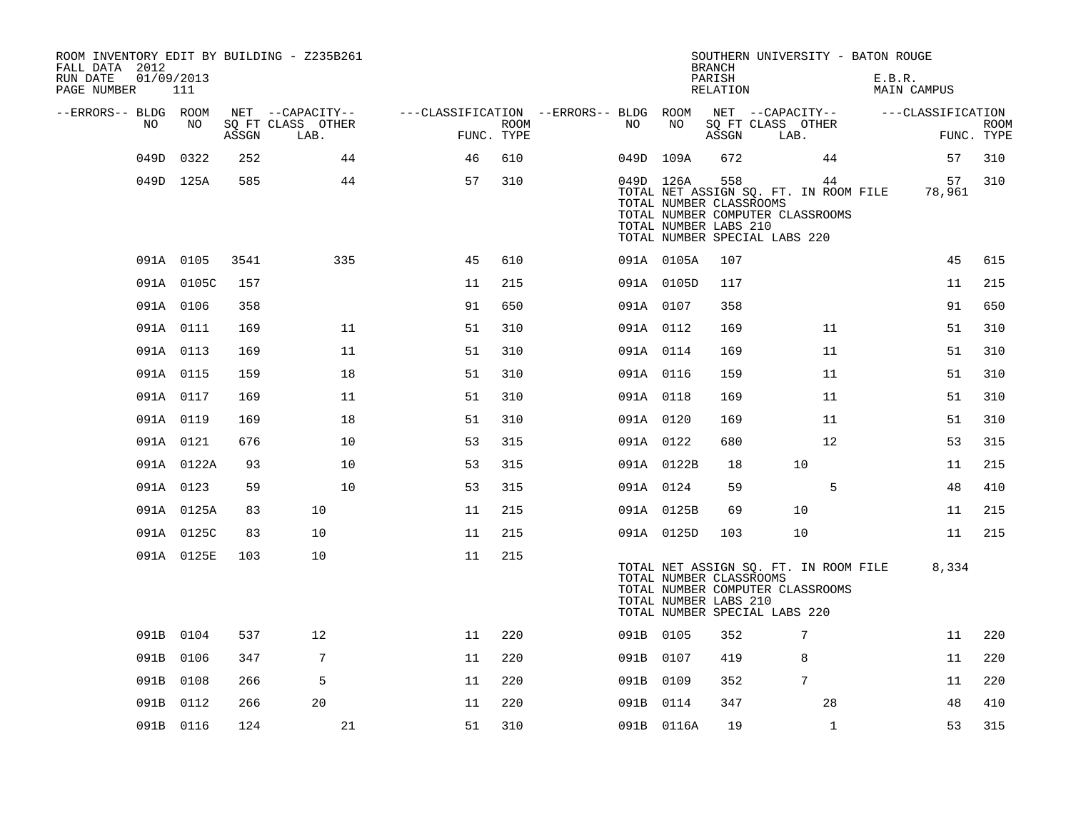| ROOM INVENTORY EDIT BY BUILDING - Z235B261<br>FALL DATA 2012<br>RUN DATE<br>PAGE NUMBER | 01/09/2013<br>111 |       |                           |                                        |                    |    |                                                               | <b>BRANCH</b><br>PARISH<br>RELATION | SOUTHERN UNIVERSITY - BATON ROUGE                                                                                | E.B.R.<br>MAIN CAMPUS |                           |
|-----------------------------------------------------------------------------------------|-------------------|-------|---------------------------|----------------------------------------|--------------------|----|---------------------------------------------------------------|-------------------------------------|------------------------------------------------------------------------------------------------------------------|-----------------------|---------------------------|
| --ERRORS-- BLDG ROOM<br>NO.                                                             | NO                |       | NET --CAPACITY--          | ---CLASSIFICATION --ERRORS-- BLDG ROOM |                    |    | NO                                                            |                                     | NET --CAPACITY--                                                                                                 | ---CLASSIFICATION     |                           |
|                                                                                         |                   | ASSGN | SQ FT CLASS OTHER<br>LAB. |                                        | ROOM<br>FUNC. TYPE | NO |                                                               | ASSGN                               | SQ FT CLASS OTHER<br>LAB.                                                                                        |                       | <b>ROOM</b><br>FUNC. TYPE |
| 049D                                                                                    | 0322              | 252   | 44                        | 46                                     | 610                |    | 049D 109A                                                     | 672                                 | 44                                                                                                               | 57                    | 310                       |
|                                                                                         | 049D 125A         | 585   | 44                        | 57                                     | 310                |    | 049D 126A<br>TOTAL NUMBER CLASSROOMS<br>TOTAL NUMBER LABS 210 | 558                                 | 44<br>TOTAL NET ASSIGN SQ. FT. IN ROOM FILE<br>TOTAL NUMBER COMPUTER CLASSROOMS<br>TOTAL NUMBER SPECIAL LABS 220 | 57<br>78,961          | 310                       |
|                                                                                         | 091A 0105         | 3541  | 335                       | 45                                     | 610                |    | 091A 0105A                                                    | 107                                 |                                                                                                                  | 45                    | 615                       |
|                                                                                         | 091A 0105C        | 157   |                           | 11                                     | 215                |    | 091A 0105D                                                    | 117                                 |                                                                                                                  | 11                    | 215                       |
|                                                                                         | 091A 0106         | 358   |                           | 91                                     | 650                |    | 091A 0107                                                     | 358                                 |                                                                                                                  | 91                    | 650                       |
|                                                                                         | 091A 0111         | 169   | 11                        | 51                                     | 310                |    | 091A 0112                                                     | 169                                 | 11                                                                                                               | 51                    | 310                       |
|                                                                                         | 091A 0113         | 169   | 11                        | 51                                     | 310                |    | 091A 0114                                                     | 169                                 | 11                                                                                                               | 51                    | 310                       |
|                                                                                         | 091A 0115         | 159   | 18                        | 51                                     | 310                |    | 091A 0116                                                     | 159                                 | 11                                                                                                               | 51                    | 310                       |
|                                                                                         | 091A 0117         | 169   | 11                        | 51                                     | 310                |    | 091A 0118                                                     | 169                                 | 11                                                                                                               | 51                    | 310                       |
|                                                                                         | 091A 0119         | 169   | 18                        | 51                                     | 310                |    | 091A 0120                                                     | 169                                 | 11                                                                                                               | 51                    | 310                       |
|                                                                                         | 091A 0121         | 676   | 10                        | 53                                     | 315                |    | 091A 0122                                                     | 680                                 | 12                                                                                                               | 53                    | 315                       |
|                                                                                         | 091A 0122A        | 93    | 10                        | 53                                     | 315                |    | 091A 0122B                                                    | 18                                  | 10                                                                                                               | 11                    | 215                       |
|                                                                                         | 091A 0123         | 59    | 10                        | 53                                     | 315                |    | 091A 0124                                                     | 59                                  | 5                                                                                                                | 48                    | 410                       |
|                                                                                         | 091A 0125A        | 83    | 10                        | 11                                     | 215                |    | 091A 0125B                                                    | 69                                  | 10                                                                                                               | 11                    | 215                       |
|                                                                                         | 091A 0125C        | 83    | 10                        | 11                                     | 215                |    | 091A 0125D                                                    | 103                                 | 10                                                                                                               | 11                    | 215                       |
|                                                                                         | 091A 0125E        | 103   | 10                        | 11                                     | 215                |    | TOTAL NUMBER CLASSROOMS<br>TOTAL NUMBER LABS 210              |                                     | TOTAL NET ASSIGN SQ. FT. IN ROOM FILE<br>TOTAL NUMBER COMPUTER CLASSROOMS<br>TOTAL NUMBER SPECIAL LABS 220       | 8,334                 |                           |
|                                                                                         | 091B 0104         | 537   | 12                        | 11                                     | 220                |    | 091B 0105                                                     | 352                                 | 7                                                                                                                | 11                    | 220                       |
|                                                                                         | 091B 0106         | 347   | 7                         | 11                                     | 220                |    | 091B 0107                                                     | 419                                 | 8                                                                                                                | 11                    | 220                       |
|                                                                                         | 091B 0108         | 266   | 5                         | 11                                     | 220                |    | 091B 0109                                                     | 352                                 | 7                                                                                                                | 11                    | 220                       |
|                                                                                         | 091B 0112         | 266   | 20                        | 11                                     | 220                |    | 091B 0114                                                     | 347                                 | 28                                                                                                               | 48                    | 410                       |
|                                                                                         | 091B 0116         | 124   | 21                        | 51                                     | 310                |    | 091B 0116A                                                    | 19                                  | $\mathbf{1}$                                                                                                     | 53                    | 315                       |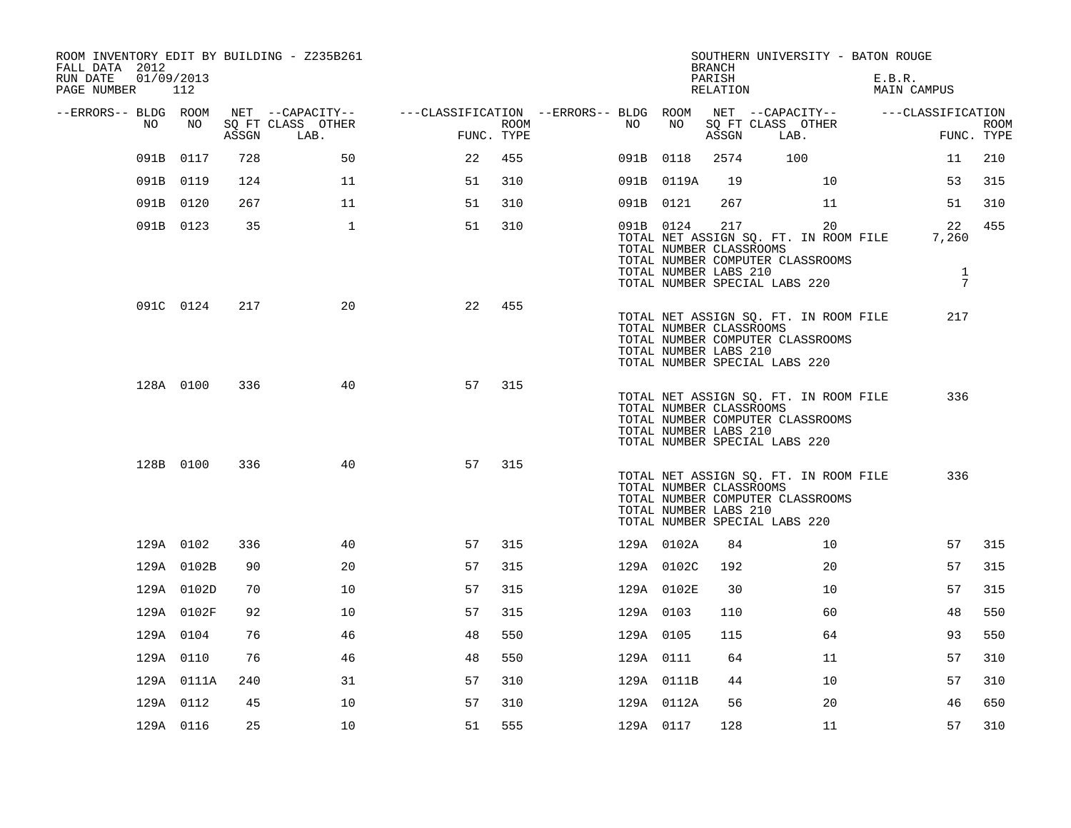| ROOM INVENTORY EDIT BY BUILDING - Z235B261<br>FALL DATA 2012<br>RUN DATE<br>01/09/2013<br>PAGE NUMBER | 112        |       |                           |                                        |      |           |                                                  | <b>BRANCH</b><br>PARISH<br>RELATION | SOUTHERN UNIVERSITY - BATON ROUGE                                                                                | E.B.R. | MAIN CAMPUS                                    |                           |
|-------------------------------------------------------------------------------------------------------|------------|-------|---------------------------|----------------------------------------|------|-----------|--------------------------------------------------|-------------------------------------|------------------------------------------------------------------------------------------------------------------|--------|------------------------------------------------|---------------------------|
| --ERRORS-- BLDG ROOM                                                                                  |            |       | NET --CAPACITY--          | ---CLASSIFICATION --ERRORS-- BLDG ROOM |      |           |                                                  |                                     | NET --CAPACITY-- ---CLASSIFICATION                                                                               |        |                                                |                           |
| NO.                                                                                                   | NO         | ASSGN | SQ FT CLASS OTHER<br>LAB. | FUNC. TYPE                             | ROOM | NO        | NO                                               | ASSGN                               | SQ FT CLASS OTHER<br>LAB.                                                                                        |        |                                                | <b>ROOM</b><br>FUNC. TYPE |
|                                                                                                       | 091B 0117  | 728   | 50                        | 22                                     | 455  |           | 091B 0118                                        | 2574                                | 100                                                                                                              |        | 11                                             | 210                       |
|                                                                                                       | 091B 0119  | 124   | 11                        | 51                                     | 310  |           | 091B 0119A                                       | 19                                  | 10                                                                                                               |        | 53                                             | 315                       |
|                                                                                                       | 091B 0120  | 267   | 11                        | 51                                     | 310  |           | 091B 0121                                        | 267                                 | 11                                                                                                               |        | 51                                             | 310                       |
|                                                                                                       | 091B 0123  | 35    | $\mathbf{1}$              | 51                                     | 310  | 091B 0124 | TOTAL NUMBER CLASSROOMS<br>TOTAL NUMBER LABS 210 | 217                                 | 20<br>TOTAL NET ASSIGN SQ. FT. IN ROOM FILE<br>TOTAL NUMBER COMPUTER CLASSROOMS<br>TOTAL NUMBER SPECIAL LABS 220 |        | 22<br>7,260<br>$\mathbf{1}$<br>$7\overline{ }$ | 455                       |
|                                                                                                       | 091C 0124  | 217   | 20                        | 22                                     | 455  |           | TOTAL NUMBER CLASSROOMS<br>TOTAL NUMBER LABS 210 |                                     | TOTAL NET ASSIGN SQ. FT. IN ROOM FILE<br>TOTAL NUMBER COMPUTER CLASSROOMS<br>TOTAL NUMBER SPECIAL LABS 220       |        | 217                                            |                           |
|                                                                                                       | 128A 0100  | 336   | 40                        | 57                                     | 315  |           | TOTAL NUMBER CLASSROOMS<br>TOTAL NUMBER LABS 210 |                                     | TOTAL NET ASSIGN SQ. FT. IN ROOM FILE<br>TOTAL NUMBER COMPUTER CLASSROOMS<br>TOTAL NUMBER SPECIAL LABS 220       |        | 336                                            |                           |
|                                                                                                       | 128B 0100  | 336   | 40                        | 57                                     | 315  |           | TOTAL NUMBER CLASSROOMS<br>TOTAL NUMBER LABS 210 |                                     | TOTAL NET ASSIGN SQ. FT. IN ROOM FILE<br>TOTAL NUMBER COMPUTER CLASSROOMS<br>TOTAL NUMBER SPECIAL LABS 220       |        | 336                                            |                           |
|                                                                                                       | 129A 0102  | 336   | 40                        | 57                                     | 315  |           | 129A 0102A                                       | 84                                  | 10                                                                                                               |        | 57                                             | 315                       |
|                                                                                                       | 129A 0102B | 90    | 20                        | 57                                     | 315  |           | 129A 0102C                                       | 192                                 | 20                                                                                                               |        | 57                                             | 315                       |
|                                                                                                       | 129A 0102D | 70    | 10                        | 57                                     | 315  |           | 129A 0102E                                       | 30                                  | 10                                                                                                               |        | 57                                             | 315                       |
|                                                                                                       | 129A 0102F | 92    | 10                        | 57                                     | 315  | 129A 0103 |                                                  | 110                                 | 60                                                                                                               |        | 48                                             | 550                       |
|                                                                                                       | 129A 0104  | 76    | 46                        | 48                                     | 550  | 129A 0105 |                                                  | 115                                 | 64                                                                                                               |        | 93                                             | 550                       |
|                                                                                                       | 129A 0110  | 76    | 46                        | 48                                     | 550  | 129A 0111 |                                                  | 64                                  | 11                                                                                                               |        | 57                                             | 310                       |
|                                                                                                       | 129A 0111A | 240   | 31                        | 57                                     | 310  |           | 129A 0111B                                       | 44                                  | 10                                                                                                               |        | 57                                             | 310                       |
|                                                                                                       | 129A 0112  | 45    | 10                        | 57                                     | 310  |           | 129A 0112A                                       | 56                                  | 20                                                                                                               |        | 46                                             | 650                       |
|                                                                                                       | 129A 0116  | 25    | 10                        | 51                                     | 555  | 129A 0117 |                                                  | 128                                 | 11                                                                                                               |        | 57                                             | 310                       |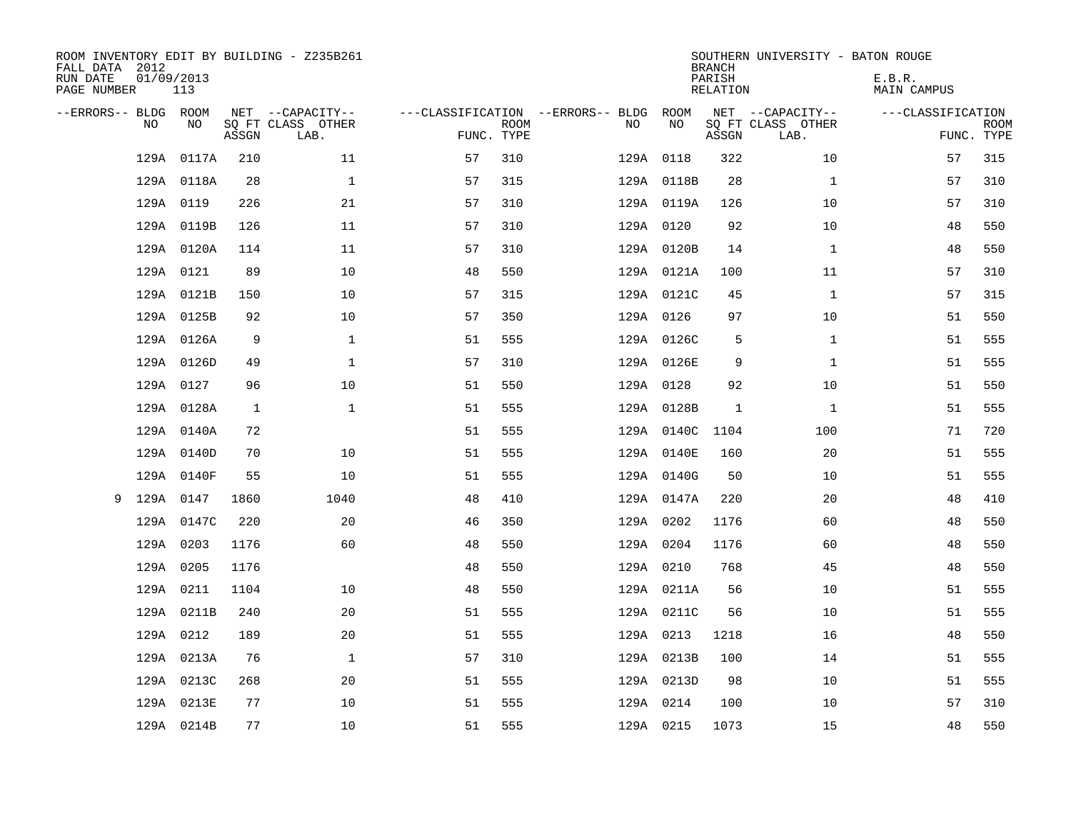| ROOM INVENTORY EDIT BY BUILDING - Z235B261<br>FALL DATA 2012<br>RUN DATE<br>PAGE NUMBER | 01/09/2013<br>113 |              |                                               |            |             |                                         |            | <b>BRANCH</b><br>PARISH<br><b>RELATION</b> | SOUTHERN UNIVERSITY - BATON ROUGE             | E.B.R.<br><b>MAIN CAMPUS</b> |                           |
|-----------------------------------------------------------------------------------------|-------------------|--------------|-----------------------------------------------|------------|-------------|-----------------------------------------|------------|--------------------------------------------|-----------------------------------------------|------------------------------|---------------------------|
| --ERRORS-- BLDG ROOM<br>NO.                                                             | NO                | ASSGN        | NET --CAPACITY--<br>SQ FT CLASS OTHER<br>LAB. | FUNC. TYPE | <b>ROOM</b> | ---CLASSIFICATION --ERRORS-- BLDG<br>NO | ROOM<br>NO | ASSGN                                      | NET --CAPACITY--<br>SQ FT CLASS OTHER<br>LAB. | ---CLASSIFICATION            | <b>ROOM</b><br>FUNC. TYPE |
| 129A                                                                                    | 0117A             | 210          | 11                                            | 57         | 310         |                                         | 129A 0118  | 322                                        | 10                                            | 57                           | 315                       |
|                                                                                         | 129A 0118A        | 28           | $\mathbf 1$                                   | 57         | 315         |                                         | 129A 0118B | 28                                         | $\mathbf{1}$                                  | 57                           | 310                       |
|                                                                                         | 129A 0119         | 226          | 21                                            | 57         | 310         |                                         | 129A 0119A | 126                                        | 10                                            | 57                           | 310                       |
|                                                                                         | 129A 0119B        | 126          | 11                                            | 57         | 310         |                                         | 129A 0120  | 92                                         | 10                                            | 48                           | 550                       |
|                                                                                         | 129A 0120A        | 114          | 11                                            | 57         | 310         |                                         | 129A 0120B | 14                                         | $\mathbf{1}$                                  | 48                           | 550                       |
|                                                                                         | 129A 0121         | 89           | 10                                            | 48         | 550         |                                         | 129A 0121A | 100                                        | 11                                            | 57                           | 310                       |
|                                                                                         | 129A 0121B        | 150          | 10                                            | 57         | 315         |                                         | 129A 0121C | 45                                         | $\mathbf{1}$                                  | 57                           | 315                       |
|                                                                                         | 129A 0125B        | 92           | 10                                            | 57         | 350         |                                         | 129A 0126  | 97                                         | 10                                            | 51                           | 550                       |
|                                                                                         | 129A 0126A        | 9            | $\mathbf{1}$                                  | 51         | 555         |                                         | 129A 0126C | 5                                          | $\mathbf{1}$                                  | 51                           | 555                       |
|                                                                                         | 129A 0126D        | 49           | $\mathbf{1}$                                  | 57         | 310         |                                         | 129A 0126E | 9                                          | $\mathbf{1}$                                  | 51                           | 555                       |
|                                                                                         | 129A 0127         | 96           | 10                                            | 51         | 550         |                                         | 129A 0128  | 92                                         | 10                                            | 51                           | 550                       |
|                                                                                         | 129A 0128A        | $\mathbf{1}$ | $\mathbf{1}$                                  | 51         | 555         |                                         | 129A 0128B | 1                                          | $\mathbf{1}$                                  | 51                           | 555                       |
|                                                                                         | 129A 0140A        | 72           |                                               | 51         | 555         |                                         | 129A 0140C | 1104                                       | 100                                           | 71                           | 720                       |
|                                                                                         | 129A 0140D        | 70           | 10                                            | 51         | 555         |                                         | 129A 0140E | 160                                        | 20                                            | 51                           | 555                       |
|                                                                                         | 129A 0140F        | 55           | 10                                            | 51         | 555         |                                         | 129A 0140G | 50                                         | 10                                            | 51                           | 555                       |
| 9                                                                                       | 129A 0147         | 1860         | 1040                                          | 48         | 410         |                                         | 129A 0147A | 220                                        | 20                                            | 48                           | 410                       |
|                                                                                         | 129A 0147C        | 220          | 20                                            | 46         | 350         |                                         | 129A 0202  | 1176                                       | 60                                            | 48                           | 550                       |
|                                                                                         | 129A 0203         | 1176         | 60                                            | 48         | 550         |                                         | 129A 0204  | 1176                                       | 60                                            | 48                           | 550                       |
|                                                                                         | 129A 0205         | 1176         |                                               | 48         | 550         |                                         | 129A 0210  | 768                                        | 45                                            | 48                           | 550                       |
|                                                                                         | 129A 0211         | 1104         | 10                                            | 48         | 550         |                                         | 129A 0211A | 56                                         | 10                                            | 51                           | 555                       |
|                                                                                         | 129A 0211B        | 240          | 20                                            | 51         | 555         |                                         | 129A 0211C | 56                                         | 10                                            | 51                           | 555                       |
|                                                                                         | 129A 0212         | 189          | 20                                            | 51         | 555         |                                         | 129A 0213  | 1218                                       | 16                                            | 48                           | 550                       |
|                                                                                         | 129A 0213A        | 76           | $\mathbf{1}$                                  | 57         | 310         |                                         | 129A 0213B | 100                                        | 14                                            | 51                           | 555                       |
|                                                                                         | 129A 0213C        | 268          | 20                                            | 51         | 555         |                                         | 129A 0213D | 98                                         | 10                                            | 51                           | 555                       |
|                                                                                         | 129A 0213E        | 77           | 10                                            | 51         | 555         |                                         | 129A 0214  | 100                                        | 10                                            | 57                           | 310                       |
|                                                                                         | 129A 0214B        | 77           | 10                                            | 51         | 555         |                                         | 129A 0215  | 1073                                       | 15                                            | 48                           | 550                       |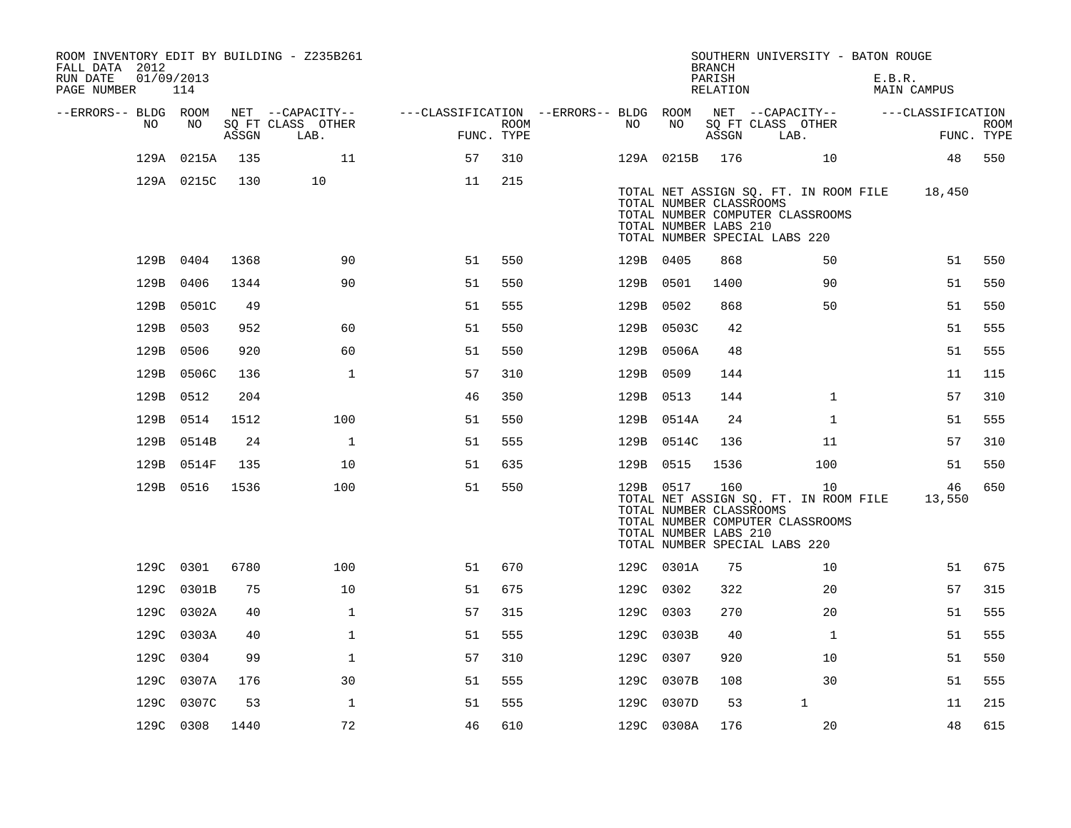| ROOM INVENTORY EDIT BY BUILDING - Z235B261<br>FALL DATA 2012<br>RUN DATE<br>PAGE NUMBER | 01/09/2013<br>114 |       |                                       |                                                         |      |           |                                                  | <b>BRANCH</b><br>PARISH<br>RELATION | SOUTHERN UNIVERSITY - BATON ROUGE                                                                                | E.B.R.<br>MAIN CAMPUS |             |
|-----------------------------------------------------------------------------------------|-------------------|-------|---------------------------------------|---------------------------------------------------------|------|-----------|--------------------------------------------------|-------------------------------------|------------------------------------------------------------------------------------------------------------------|-----------------------|-------------|
| --ERRORS-- BLDG ROOM<br>NO.                                                             | NO.               |       | NET --CAPACITY--<br>SQ FT CLASS OTHER | ---CLASSIFICATION --ERRORS-- BLDG ROOM NET --CAPACITY-- | ROOM | NO        | NO                                               |                                     | SQ FT CLASS OTHER                                                                                                | ---CLASSIFICATION     | <b>ROOM</b> |
|                                                                                         |                   | ASSGN | LAB.                                  | FUNC. TYPE                                              |      |           |                                                  | ASSGN                               | LAB.                                                                                                             |                       | FUNC. TYPE  |
|                                                                                         | 129A 0215A        | 135   | 11                                    | 57                                                      | 310  |           | 129A 0215B 176                                   |                                     | 10                                                                                                               | 48                    | 550         |
|                                                                                         | 129A 0215C        | 130   | 10                                    | 11                                                      | 215  |           | TOTAL NUMBER CLASSROOMS<br>TOTAL NUMBER LABS 210 |                                     | TOTAL NET ASSIGN SQ. FT. IN ROOM FILE<br>TOTAL NUMBER COMPUTER CLASSROOMS<br>TOTAL NUMBER SPECIAL LABS 220       | 18,450                |             |
|                                                                                         | 129B 0404         | 1368  | 90                                    | 51                                                      | 550  | 129B 0405 |                                                  | 868                                 | 50                                                                                                               | 51                    | 550         |
|                                                                                         | 129B 0406         | 1344  | 90                                    | 51                                                      | 550  | 129B 0501 |                                                  | 1400                                | 90                                                                                                               | 51                    | 550         |
|                                                                                         | 129B 0501C        | 49    |                                       | 51                                                      | 555  | 129B 0502 |                                                  | 868                                 | 50                                                                                                               | 51                    | 550         |
|                                                                                         | 129B 0503         | 952   | 60                                    | 51                                                      | 550  |           | 129B 0503C                                       | 42                                  |                                                                                                                  | 51                    | 555         |
|                                                                                         | 129B 0506         | 920   | 60                                    | 51                                                      | 550  |           | 129B 0506A                                       | 48                                  |                                                                                                                  | 51                    | 555         |
|                                                                                         | 129B 0506C        | 136   | $\mathbf{1}$                          | 57                                                      | 310  | 129B 0509 |                                                  | 144                                 |                                                                                                                  | 11                    | 115         |
|                                                                                         | 129B 0512         | 204   |                                       | 46                                                      | 350  | 129B 0513 |                                                  | 144                                 | $\mathbf{1}$                                                                                                     | 57                    | 310         |
|                                                                                         | 129B 0514         | 1512  | 100                                   | 51                                                      | 550  |           | 129B 0514A                                       | 24                                  | $\mathbf{1}$                                                                                                     | 51                    | 555         |
|                                                                                         | 129B 0514B        | 24    | $\mathbf{1}$                          | 51                                                      | 555  |           | 129B 0514C                                       | 136                                 | 11                                                                                                               | 57                    | 310         |
|                                                                                         | 129B 0514F        | 135   | 10                                    | 51                                                      | 635  | 129B 0515 |                                                  | 1536                                | 100                                                                                                              | 51                    | 550         |
|                                                                                         | 129B 0516         | 1536  | 100                                   | 51                                                      | 550  | 129B 0517 | TOTAL NUMBER CLASSROOMS<br>TOTAL NUMBER LABS 210 | 160                                 | 10<br>TOTAL NET ASSIGN SQ. FT. IN ROOM FILE<br>TOTAL NUMBER COMPUTER CLASSROOMS<br>TOTAL NUMBER SPECIAL LABS 220 | 46<br>13,550          | 650         |
|                                                                                         | 129C 0301         | 6780  | 100                                   | 51                                                      | 670  |           | 129C 0301A                                       | 75                                  | 10                                                                                                               | 51                    | 675         |
|                                                                                         | 129C 0301B        | 75    | 10                                    | 51                                                      | 675  | 129C 0302 |                                                  | 322                                 | 20                                                                                                               | 57                    | 315         |
|                                                                                         | 129C 0302A        | 40    | $\mathbf 1$                           | 57                                                      | 315  | 129C 0303 |                                                  | 270                                 | 20                                                                                                               | 51                    | 555         |
|                                                                                         | 129C 0303A        | 40    | $\mathbf{1}$                          | 51                                                      | 555  |           | 129C 0303B                                       | 40                                  | $\mathbf{1}$                                                                                                     | 51                    | 555         |
|                                                                                         | 129C 0304         | 99    | $\mathbf 1$                           | 57                                                      | 310  | 129C 0307 |                                                  | 920                                 | 10                                                                                                               | 51                    | 550         |
|                                                                                         | 129C 0307A        | 176   | 30                                    | 51                                                      | 555  |           | 129C 0307B                                       | 108                                 | 30                                                                                                               | 51                    | 555         |
| 129C                                                                                    | 0307C             | 53    | $\mathbf{1}$                          | 51                                                      | 555  |           | 129C 0307D                                       | 53                                  | $\mathbf 1$                                                                                                      | 11                    | 215         |
|                                                                                         | 129C 0308         | 1440  | 72                                    | 46                                                      | 610  |           | 129C 0308A                                       | 176                                 | 20                                                                                                               | 48                    | 615         |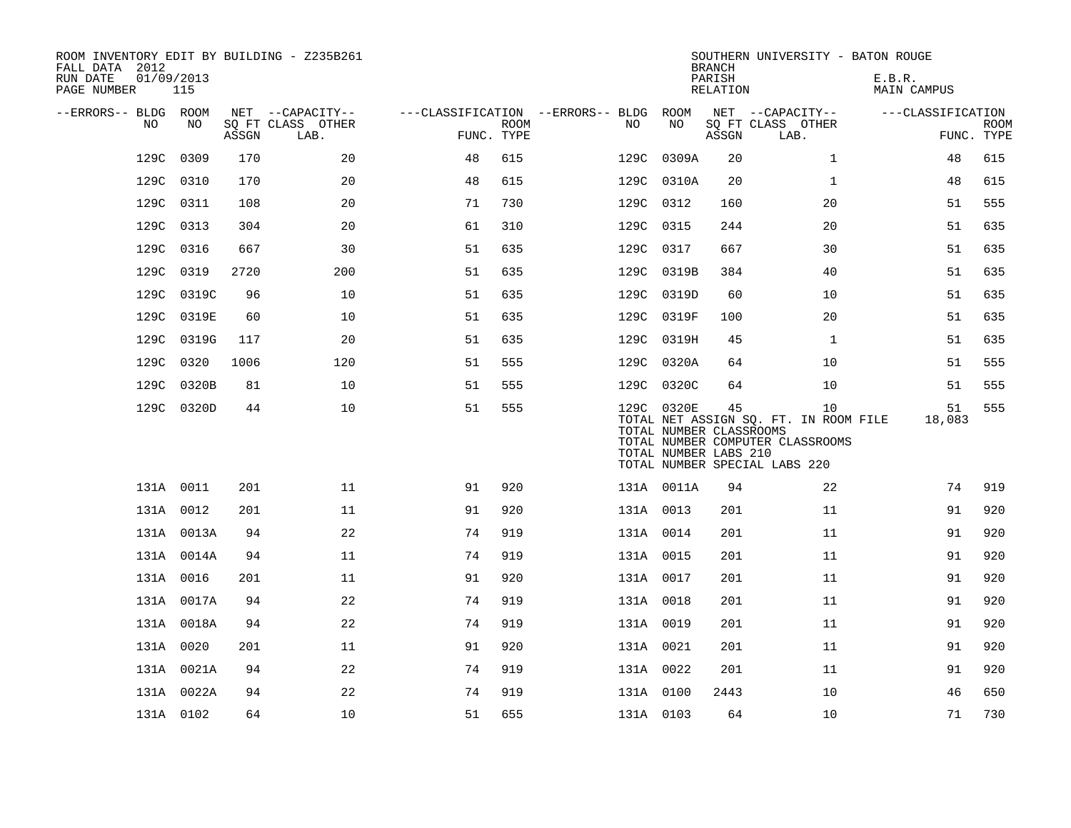| ROOM INVENTORY EDIT BY BUILDING - Z235B261<br>FALL DATA 2012<br>RUN DATE<br>PAGE NUMBER | 01/09/2013<br>115 |       |                           |            |             |                                   |      |            | <b>BRANCH</b><br>PARISH<br>RELATION                    | SOUTHERN UNIVERSITY - BATON ROUGE                                                                                | E.B.R.<br><b>MAIN CAMPUS</b> |                           |
|-----------------------------------------------------------------------------------------|-------------------|-------|---------------------------|------------|-------------|-----------------------------------|------|------------|--------------------------------------------------------|------------------------------------------------------------------------------------------------------------------|------------------------------|---------------------------|
| --ERRORS-- BLDG ROOM                                                                    |                   |       | NET --CAPACITY--          |            |             | ---CLASSIFICATION --ERRORS-- BLDG |      | ROOM       |                                                        | NET --CAPACITY--                                                                                                 | ---CLASSIFICATION            |                           |
| NO                                                                                      | NO                | ASSGN | SQ FT CLASS OTHER<br>LAB. | FUNC. TYPE | <b>ROOM</b> | NO.                               |      | NO         | ASSGN                                                  | SQ FT CLASS OTHER<br>LAB.                                                                                        |                              | <b>ROOM</b><br>FUNC. TYPE |
| 129C                                                                                    | 0309              | 170   | 20                        | 48         | 615         | 129C                              |      | 0309A      | 20                                                     | $\mathbf{1}$                                                                                                     | 48                           | 615                       |
| 129C                                                                                    | 0310              | 170   | 20                        | 48         | 615         |                                   | 129C | 0310A      | 20                                                     | $\mathbf{1}$                                                                                                     | 48                           | 615                       |
| 129C                                                                                    | 0311              | 108   | 20                        | 71         | 730         |                                   |      | 129C 0312  | 160                                                    | 20                                                                                                               | 51                           | 555                       |
| 129C                                                                                    | 0313              | 304   | 20                        | 61         | 310         |                                   | 129C | 0315       | 244                                                    | 20                                                                                                               | 51                           | 635                       |
| 129C                                                                                    | 0316              | 667   | 30                        | 51         | 635         |                                   | 129C | 0317       | 667                                                    | 30                                                                                                               | 51                           | 635                       |
| 129C                                                                                    | 0319              | 2720  | 200                       | 51         | 635         |                                   |      | 129C 0319B | 384                                                    | 40                                                                                                               | 51                           | 635                       |
| 129C                                                                                    | 0319C             | 96    | 10                        | 51         | 635         |                                   |      | 129C 0319D | 60                                                     | 10                                                                                                               | 51                           | 635                       |
| 129C                                                                                    | 0319E             | 60    | 10                        | 51         | 635         |                                   | 129C | 0319F      | 100                                                    | 20                                                                                                               | 51                           | 635                       |
| 129C                                                                                    | 0319G             | 117   | 20                        | 51         | 635         |                                   | 129C | 0319H      | 45                                                     | $\mathbf{1}$                                                                                                     | 51                           | 635                       |
| 129C                                                                                    | 0320              | 1006  | 120                       | 51         | 555         |                                   |      | 129C 0320A | 64                                                     | 10                                                                                                               | 51                           | 555                       |
| 129C                                                                                    | 0320B             | 81    | 10                        | 51         | 555         |                                   |      | 129C 0320C | 64                                                     | 10                                                                                                               | 51                           | 555                       |
|                                                                                         | 129C 0320D        | 44    | 10                        | 51         | 555         |                                   |      | 129C 0320E | 45<br>TOTAL NUMBER CLASSROOMS<br>TOTAL NUMBER LABS 210 | 10<br>TOTAL NET ASSIGN SQ. FT. IN ROOM FILE<br>TOTAL NUMBER COMPUTER CLASSROOMS<br>TOTAL NUMBER SPECIAL LABS 220 | 51<br>18,083                 | 555                       |
|                                                                                         | 131A 0011         | 201   | 11                        | 91         | 920         |                                   |      | 131A 0011A | 94                                                     | 22                                                                                                               | 74                           | 919                       |
|                                                                                         | 131A 0012         | 201   | 11                        | 91         | 920         |                                   |      | 131A 0013  | 201                                                    | 11                                                                                                               | 91                           | 920                       |
|                                                                                         | 131A 0013A        | 94    | 22                        | 74         | 919         |                                   |      | 131A 0014  | 201                                                    | 11                                                                                                               | 91                           | 920                       |
|                                                                                         | 131A 0014A        | 94    | 11                        | 74         | 919         |                                   |      | 131A 0015  | 201                                                    | 11                                                                                                               | 91                           | 920                       |
|                                                                                         | 131A 0016         | 201   | 11                        | 91         | 920         |                                   |      | 131A 0017  | 201                                                    | 11                                                                                                               | 91                           | 920                       |
|                                                                                         | 131A 0017A        | 94    | 22                        | 74         | 919         |                                   |      | 131A 0018  | 201                                                    | 11                                                                                                               | 91                           | 920                       |
|                                                                                         | 131A 0018A        | 94    | 22                        | 74         | 919         |                                   |      | 131A 0019  | 201                                                    | 11                                                                                                               | 91                           | 920                       |
|                                                                                         | 131A 0020         | 201   | 11                        | 91         | 920         |                                   |      | 131A 0021  | 201                                                    | 11                                                                                                               | 91                           | 920                       |
|                                                                                         | 131A 0021A        | 94    | 22                        | 74         | 919         |                                   |      | 131A 0022  | 201                                                    | 11                                                                                                               | 91                           | 920                       |
|                                                                                         | 131A 0022A        | 94    | 22                        | 74         | 919         |                                   |      | 131A 0100  | 2443                                                   | 10                                                                                                               | 46                           | 650                       |
|                                                                                         | 131A 0102         | 64    | 10                        | 51         | 655         |                                   |      | 131A 0103  | 64                                                     | 10                                                                                                               | 71                           | 730                       |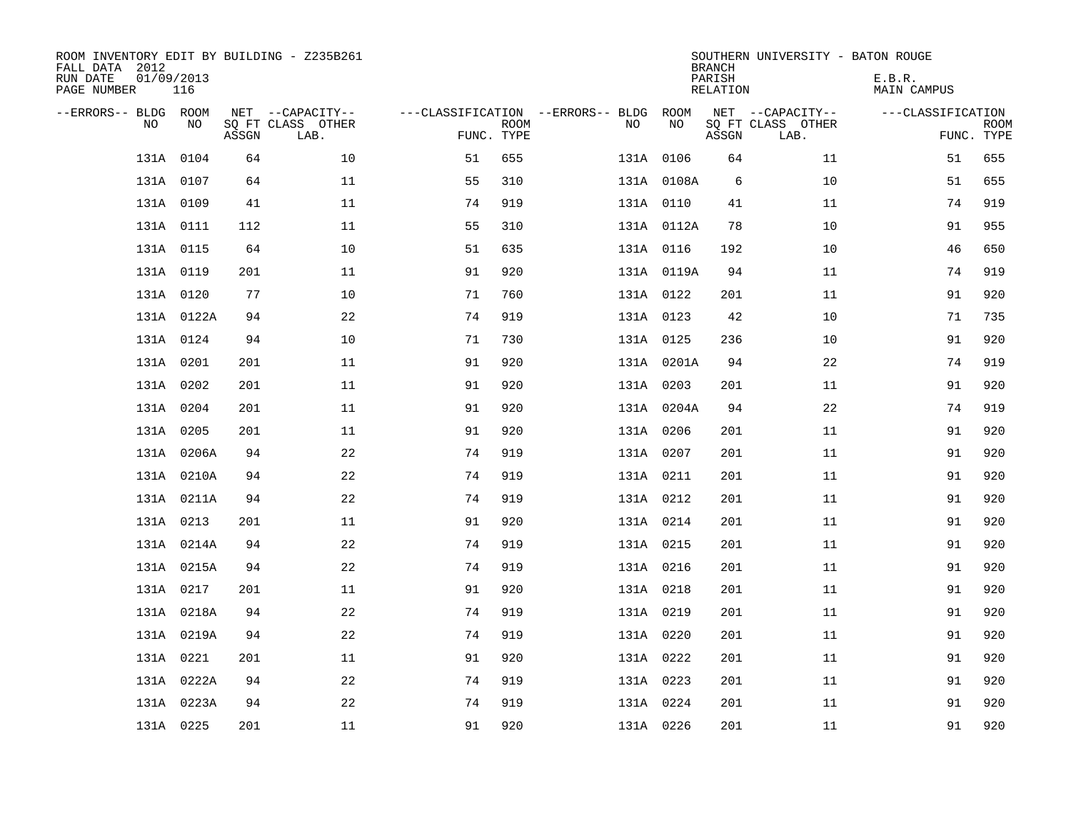| FALL DATA 2012<br>RUN DATE<br>PAGE NUMBER | 01/09/2013 | 116        |       | ROOM INVENTORY EDIT BY BUILDING - Z235B261    |                                                 |             |           |            | <b>BRANCH</b><br>PARISH<br>RELATION | SOUTHERN UNIVERSITY - BATON ROUGE             | E.B.R.<br><b>MAIN CAMPUS</b> |                           |
|-------------------------------------------|------------|------------|-------|-----------------------------------------------|-------------------------------------------------|-------------|-----------|------------|-------------------------------------|-----------------------------------------------|------------------------------|---------------------------|
| --ERRORS-- BLDG ROOM                      | <b>NO</b>  | NO.        | ASSGN | NET --CAPACITY--<br>SQ FT CLASS OTHER<br>LAB. | ---CLASSIFICATION --ERRORS-- BLDG<br>FUNC. TYPE | <b>ROOM</b> | NO        | ROOM<br>NO | ASSGN                               | NET --CAPACITY--<br>SQ FT CLASS OTHER<br>LAB. | ---CLASSIFICATION            | <b>ROOM</b><br>FUNC. TYPE |
|                                           | 131A       | 0104       | 64    | 10                                            | 51                                              | 655         |           | 131A 0106  | 64                                  | 11                                            | 51                           | 655                       |
|                                           | 131A 0107  |            | 64    | 11                                            | 55                                              | 310         |           | 131A 0108A | 6                                   | 10                                            | 51                           | 655                       |
|                                           | 131A 0109  |            | 41    | 11                                            | 74                                              | 919         |           | 131A 0110  | 41                                  | 11                                            | 74                           | 919                       |
|                                           | 131A 0111  |            | 112   | 11                                            | 55                                              | 310         |           | 131A 0112A | 78                                  | 10                                            | 91                           | 955                       |
|                                           | 131A 0115  |            | 64    | 10                                            | 51                                              | 635         |           | 131A 0116  | 192                                 | 10                                            | 46                           | 650                       |
|                                           | 131A 0119  |            | 201   | 11                                            | 91                                              | 920         |           | 131A 0119A | 94                                  | 11                                            | 74                           | 919                       |
|                                           | 131A 0120  |            | 77    | 10                                            | 71                                              | 760         |           | 131A 0122  | 201                                 | 11                                            | 91                           | 920                       |
|                                           |            | 131A 0122A | 94    | 22                                            | 74                                              | 919         |           | 131A 0123  | 42                                  | 10                                            | 71                           | 735                       |
|                                           | 131A 0124  |            | 94    | 10                                            | 71                                              | 730         |           | 131A 0125  | 236                                 | 10                                            | 91                           | 920                       |
|                                           | 131A 0201  |            | 201   | 11                                            | 91                                              | 920         |           | 131A 0201A | 94                                  | 22                                            | 74                           | 919                       |
|                                           | 131A 0202  |            | 201   | 11                                            | 91                                              | 920         |           | 131A 0203  | 201                                 | 11                                            | 91                           | 920                       |
|                                           | 131A 0204  |            | 201   | 11                                            | 91                                              | 920         |           | 131A 0204A | 94                                  | 22                                            | 74                           | 919                       |
|                                           | 131A 0205  |            | 201   | 11                                            | 91                                              | 920         |           | 131A 0206  | 201                                 | 11                                            | 91                           | 920                       |
|                                           |            | 131A 0206A | 94    | 22                                            | 74                                              | 919         | 131A 0207 |            | 201                                 | 11                                            | 91                           | 920                       |
|                                           |            | 131A 0210A | 94    | 22                                            | 74                                              | 919         | 131A 0211 |            | 201                                 | 11                                            | 91                           | 920                       |
|                                           |            | 131A 0211A | 94    | 22                                            | 74                                              | 919         | 131A 0212 |            | 201                                 | 11                                            | 91                           | 920                       |
|                                           | 131A 0213  |            | 201   | 11                                            | 91                                              | 920         | 131A 0214 |            | 201                                 | 11                                            | 91                           | 920                       |
|                                           |            | 131A 0214A | 94    | 22                                            | 74                                              | 919         | 131A 0215 |            | 201                                 | 11                                            | 91                           | 920                       |
|                                           |            | 131A 0215A | 94    | 22                                            | 74                                              | 919         | 131A 0216 |            | 201                                 | 11                                            | 91                           | 920                       |
|                                           | 131A 0217  |            | 201   | 11                                            | 91                                              | 920         | 131A 0218 |            | 201                                 | 11                                            | 91                           | 920                       |
|                                           |            | 131A 0218A | 94    | 22                                            | 74                                              | 919         | 131A 0219 |            | 201                                 | 11                                            | 91                           | 920                       |
|                                           |            | 131A 0219A | 94    | 22                                            | 74                                              | 919         | 131A 0220 |            | 201                                 | 11                                            | 91                           | 920                       |
|                                           | 131A 0221  |            | 201   | 11                                            | 91                                              | 920         | 131A 0222 |            | 201                                 | 11                                            | 91                           | 920                       |
|                                           |            | 131A 0222A | 94    | 22                                            | 74                                              | 919         | 131A 0223 |            | 201                                 | 11                                            | 91                           | 920                       |
|                                           |            | 131A 0223A | 94    | 22                                            | 74                                              | 919         | 131A 0224 |            | 201                                 | 11                                            | 91                           | 920                       |
|                                           | 131A 0225  |            | 201   | 11                                            | 91                                              | 920         |           | 131A 0226  | 201                                 | 11                                            | 91                           | 920                       |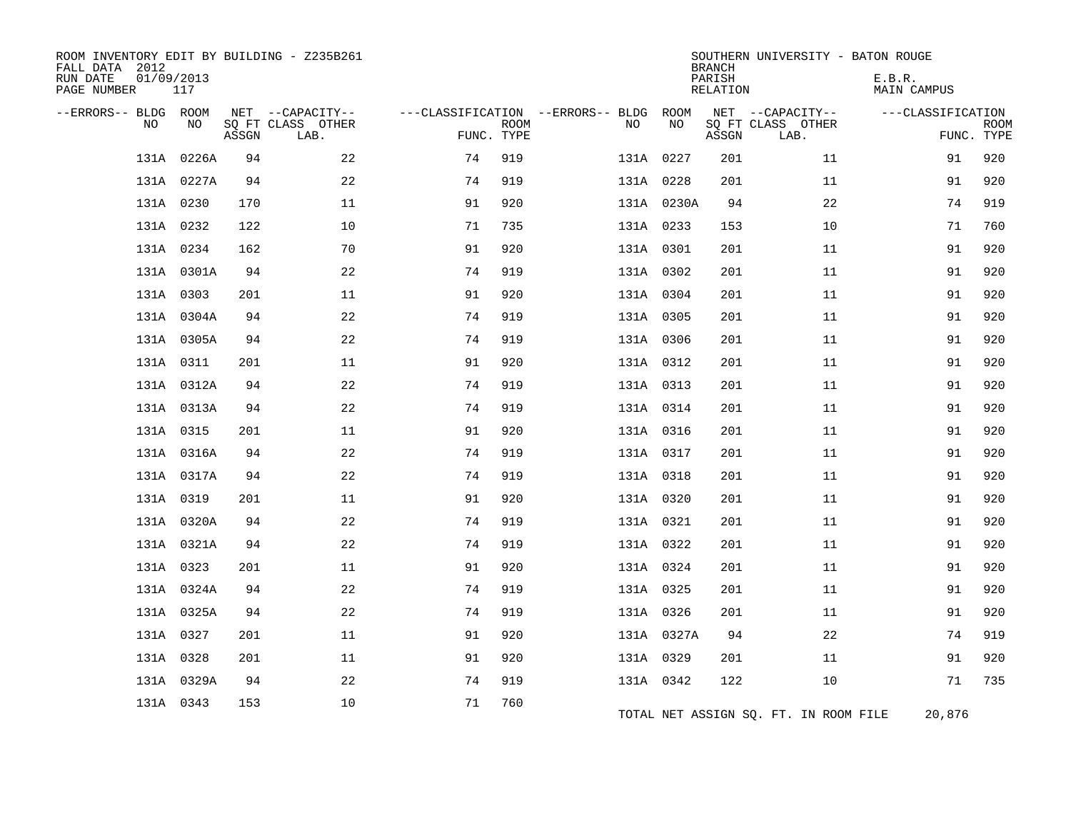| ROOM INVENTORY EDIT BY BUILDING - Z235B261<br>FALL DATA 2012<br>RUN DATE<br>01/09/2013<br>PAGE NUMBER | 117        |       |                           |                                   |             |           |            | <b>BRANCH</b><br>PARISH<br>RELATION | SOUTHERN UNIVERSITY - BATON ROUGE     | E.B.R.<br>MAIN CAMPUS |                           |
|-------------------------------------------------------------------------------------------------------|------------|-------|---------------------------|-----------------------------------|-------------|-----------|------------|-------------------------------------|---------------------------------------|-----------------------|---------------------------|
| --ERRORS-- BLDG ROOM                                                                                  |            |       | NET --CAPACITY--          | ---CLASSIFICATION --ERRORS-- BLDG |             |           | ROOM       |                                     | NET --CAPACITY--                      | ---CLASSIFICATION     |                           |
| NO                                                                                                    | NO         | ASSGN | SQ FT CLASS OTHER<br>LAB. | FUNC. TYPE                        | <b>ROOM</b> | NO        | NO         | ASSGN                               | SQ FT CLASS OTHER<br>LAB.             |                       | <b>ROOM</b><br>FUNC. TYPE |
| 131A                                                                                                  | 0226A      | 94    | 22                        | 74                                | 919         | 131A 0227 |            | 201                                 | 11                                    | 91                    | 920                       |
|                                                                                                       | 131A 0227A | 94    | 22                        | 74                                | 919         | 131A 0228 |            | 201                                 | 11                                    | 91                    | 920                       |
|                                                                                                       | 131A 0230  | 170   | 11                        | 91                                | 920         |           | 131A 0230A | 94                                  | 22                                    | 74                    | 919                       |
|                                                                                                       | 131A 0232  | 122   | 10                        | 71                                | 735         | 131A 0233 |            | 153                                 | 10                                    | 71                    | 760                       |
|                                                                                                       | 131A 0234  | 162   | 70                        | 91                                | 920         | 131A 0301 |            | 201                                 | 11                                    | 91                    | 920                       |
|                                                                                                       | 131A 0301A | 94    | 22                        | 74                                | 919         | 131A 0302 |            | 201                                 | 11                                    | 91                    | 920                       |
|                                                                                                       | 131A 0303  | 201   | 11                        | 91                                | 920         | 131A 0304 |            | 201                                 | 11                                    | 91                    | 920                       |
|                                                                                                       | 131A 0304A | 94    | 22                        | 74                                | 919         | 131A 0305 |            | 201                                 | 11                                    | 91                    | 920                       |
|                                                                                                       | 131A 0305A | 94    | 22                        | 74                                | 919         | 131A 0306 |            | 201                                 | 11                                    | 91                    | 920                       |
|                                                                                                       | 131A 0311  | 201   | 11                        | 91                                | 920         | 131A 0312 |            | 201                                 | 11                                    | 91                    | 920                       |
|                                                                                                       | 131A 0312A | 94    | 22                        | 74                                | 919         | 131A 0313 |            | 201                                 | 11                                    | 91                    | 920                       |
|                                                                                                       | 131A 0313A | 94    | 22                        | 74                                | 919         | 131A 0314 |            | 201                                 | 11                                    | 91                    | 920                       |
|                                                                                                       | 131A 0315  | 201   | 11                        | 91                                | 920         | 131A 0316 |            | 201                                 | 11                                    | 91                    | 920                       |
|                                                                                                       | 131A 0316A | 94    | 22                        | 74                                | 919         | 131A 0317 |            | 201                                 | 11                                    | 91                    | 920                       |
|                                                                                                       | 131A 0317A | 94    | 22                        | 74                                | 919         | 131A 0318 |            | 201                                 | 11                                    | 91                    | 920                       |
|                                                                                                       | 131A 0319  | 201   | 11                        | 91                                | 920         | 131A 0320 |            | 201                                 | 11                                    | 91                    | 920                       |
|                                                                                                       | 131A 0320A | 94    | 22                        | 74                                | 919         | 131A 0321 |            | 201                                 | 11                                    | 91                    | 920                       |
|                                                                                                       | 131A 0321A | 94    | 22                        | 74                                | 919         | 131A 0322 |            | 201                                 | 11                                    | 91                    | 920                       |
|                                                                                                       | 131A 0323  | 201   | 11                        | 91                                | 920         | 131A 0324 |            | 201                                 | 11                                    | 91                    | 920                       |
|                                                                                                       | 131A 0324A | 94    | 22                        | 74                                | 919         | 131A 0325 |            | 201                                 | 11                                    | 91                    | 920                       |
|                                                                                                       | 131A 0325A | 94    | 22                        | 74                                | 919         | 131A 0326 |            | 201                                 | 11                                    | 91                    | 920                       |
|                                                                                                       | 131A 0327  | 201   | 11                        | 91                                | 920         |           | 131A 0327A | 94                                  | 22                                    | 74                    | 919                       |
|                                                                                                       | 131A 0328  | 201   | 11                        | 91                                | 920         | 131A 0329 |            | 201                                 | 11                                    | 91                    | 920                       |
|                                                                                                       | 131A 0329A | 94    | 22                        | 74                                | 919         | 131A 0342 |            | 122                                 | 10                                    | 71                    | 735                       |
|                                                                                                       | 131A 0343  | 153   | 10                        | 71                                | 760         |           |            |                                     | TOTAL NET ASSIGN SQ. FT. IN ROOM FILE | 20,876                |                           |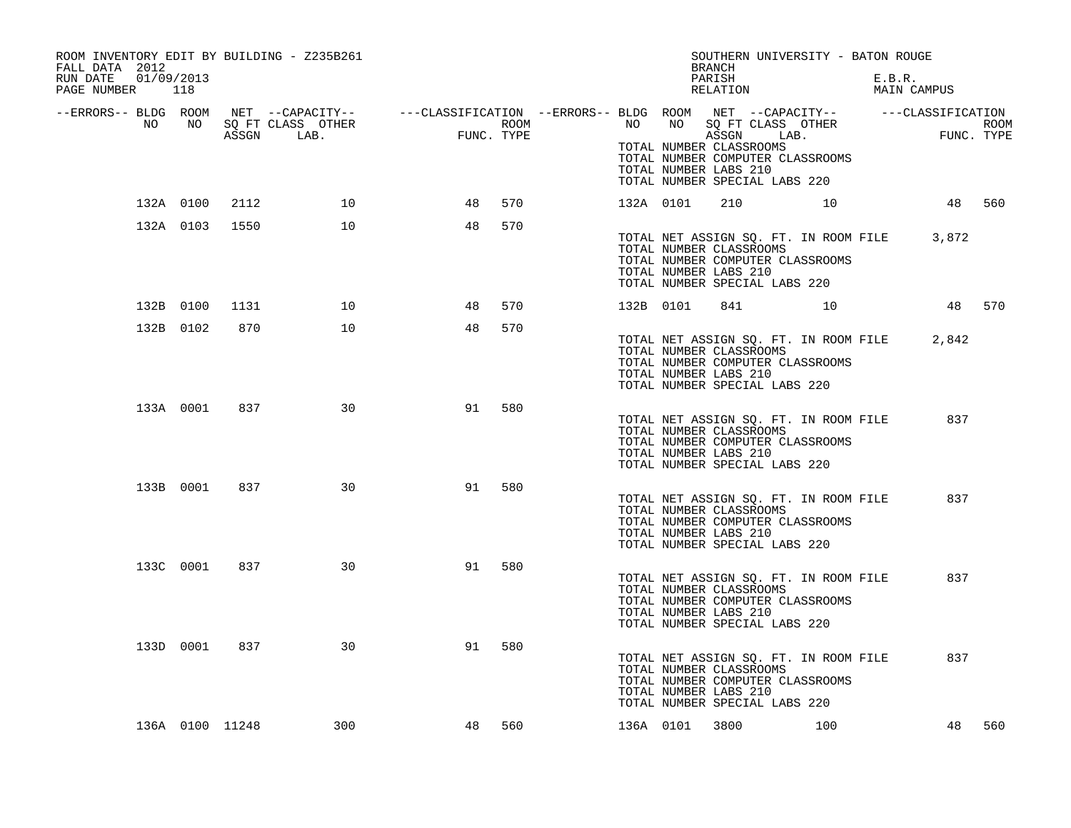| ROOM INVENTORY EDIT BY BUILDING - Z235B261<br>FALL DATA 2012<br>RUN DATE  01/09/2013<br>PAGE NUMBER 118 |           |                |                        |                                                                                                                                                                                                |            |      |           | SOUTHERN UNIVERSITY - BATON ROUGE<br>BRANCH<br>PARISH<br>RELATION                                                                                              |        | E.B.R.<br>MAIN CAMPUS                       |     |
|---------------------------------------------------------------------------------------------------------|-----------|----------------|------------------------|------------------------------------------------------------------------------------------------------------------------------------------------------------------------------------------------|------------|------|-----------|----------------------------------------------------------------------------------------------------------------------------------------------------------------|--------|---------------------------------------------|-----|
|                                                                                                         |           |                |                        | -ERRORS-- BLDG ROOM NET --CAPACITY-- ----CLASSIFICATION --ERRORS-- BLDG ROOM NET --CAPACITY-- -----CLASSIFICATION-<br>NO NO SQ FT CLASS OTHER ---CLASSIFICATION ROOM NO SQ FT CLASS OTHER ROOM | FUNC. TYPE | ROOM |           | ASSGN LAB.<br>TOTAL NUMBER CLASSROOMS<br>TOTAL NUMBER COMPUTER CLASSROOMS<br>TOTAL NUMBER LABS 210<br>TOTAL NUMBER SPECIAL LABS 220                            |        | ROOM<br>FUNC. TYPE                          |     |
|                                                                                                         |           | 132A 0100 2112 | 10                     | 48                                                                                                                                                                                             | 570        |      | 132A 0101 | 210 10                                                                                                                                                         |        | 48 560                                      |     |
|                                                                                                         |           | 132A 0103 1550 | 10                     | 48                                                                                                                                                                                             | 570        |      |           | TOTAL NUMBER CLASSROOMS<br>TOTAL NUMBER COMPUTER CLASSROOMS<br>TOTAL NUMBER LABS 210<br>TOTAL NUMBER SPECIAL LABS 220                                          |        | TOTAL NET ASSIGN SQ. FT. IN ROOM FILE 3,872 |     |
|                                                                                                         | 132B 0100 | 1131           | 10                     | 48                                                                                                                                                                                             | 570        |      | 132B 0101 |                                                                                                                                                                | 841 10 | 48 570                                      |     |
|                                                                                                         | 132B 0102 | 870            | 10                     | 48                                                                                                                                                                                             | 570        |      |           | TOTAL NET ASSIGN SQ. FT. IN ROOM FILE<br>TOTAL NUMBER CLASSROOMS<br>TOTAL NUMBER COMPUTER CLASSROOMS<br>TOTAL NUMBER LABS 210<br>TOTAL NUMBER SPECIAL LABS 220 |        | 2,842                                       |     |
|                                                                                                         | 133A 0001 | 837            | 30                     | 91                                                                                                                                                                                             | 580        |      |           | TOTAL NET ASSIGN SQ. FT. IN ROOM FILE<br>TOTAL NUMBER CLASSROOMS<br>TOTAL NUMBER COMPUTER CLASSROOMS<br>TOTAL NUMBER LABS 210<br>TOTAL NUMBER SPECIAL LABS 220 |        | 837                                         |     |
|                                                                                                         | 133B 0001 | 837            | 30                     | 91                                                                                                                                                                                             | 580        |      |           | TOTAL NET ASSIGN SO. FT. IN ROOM FILE<br>TOTAL NUMBER CLASSROOMS<br>TOTAL NUMBER COMPUTER CLASSROOMS<br>TOTAL NUMBER LABS 210<br>TOTAL NUMBER SPECIAL LABS 220 |        | 837                                         |     |
|                                                                                                         | 133C 0001 | 837            | 30                     | 91                                                                                                                                                                                             | 580        |      |           | TOTAL NET ASSIGN SQ. FT. IN ROOM FILE<br>TOTAL NUMBER CLASSROOMS<br>TOTAL NUMBER COMPUTER CLASSROOMS<br>TOTAL NUMBER LABS 210<br>TOTAL NUMBER SPECIAL LABS 220 |        | 837                                         |     |
|                                                                                                         | 133D 0001 | 837            | 30                     | 91                                                                                                                                                                                             | 580        |      |           | TOTAL NET ASSIGN SQ. FT. IN ROOM FILE<br>TOTAL NUMBER CLASSROOMS<br>TOTAL NUMBER COMPUTER CLASSROOMS<br>TOTAL NUMBER LABS 210<br>TOTAL NUMBER SPECIAL LABS 220 |        | 837                                         |     |
|                                                                                                         |           |                | 300<br>136A 0100 11248 | 48                                                                                                                                                                                             | 560        |      |           | 136A 0101 3800 100                                                                                                                                             |        | 48                                          | 560 |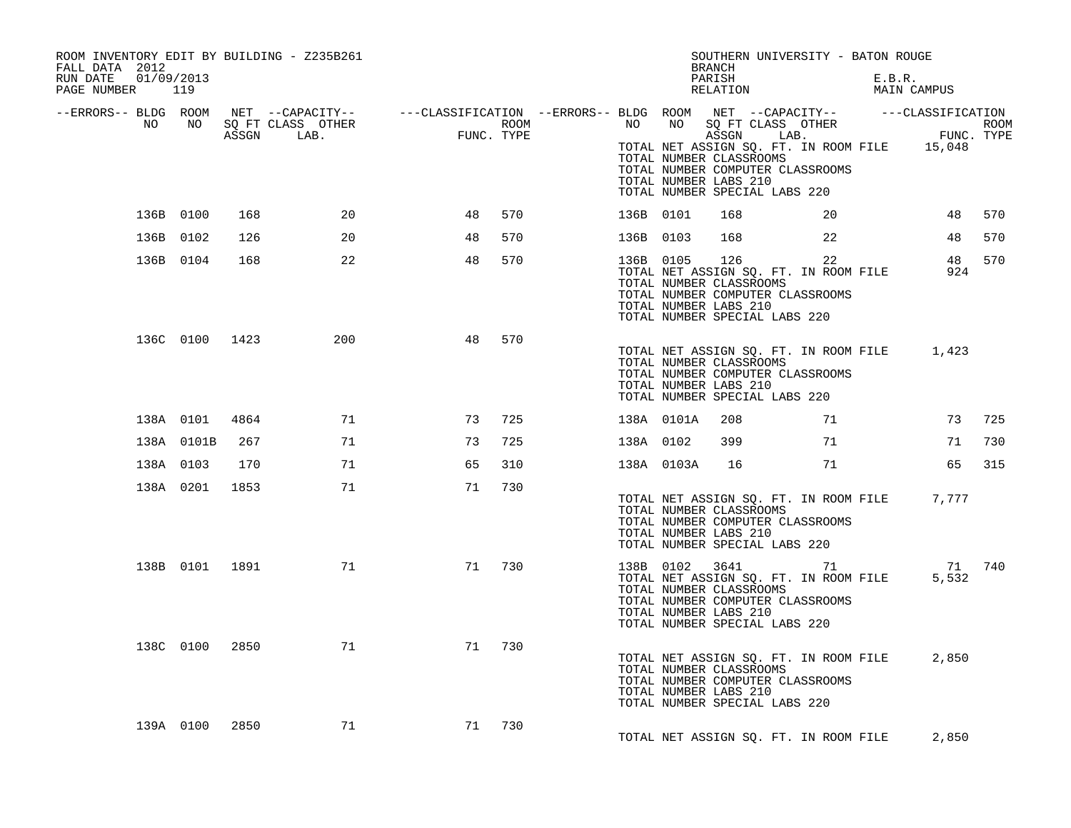| ROOM INVENTORY EDIT BY BUILDING - Z235B261<br>FALL DATA 2012<br>01/09/2013<br>RUN DATE<br>PAGE NUMBER | 119            |       |                           |                                                                                                              |      |           |            | <b>BRANCH</b><br>PARISH<br>RELATION                          | SOUTHERN UNIVERSITY - BATON ROUGE                                                                                                              | E.B.R.<br>MAIN CAMPUS |             |      |
|-------------------------------------------------------------------------------------------------------|----------------|-------|---------------------------|--------------------------------------------------------------------------------------------------------------|------|-----------|------------|--------------------------------------------------------------|------------------------------------------------------------------------------------------------------------------------------------------------|-----------------------|-------------|------|
| --ERRORS-- BLDG ROOM<br>NO                                                                            | NO             | ASSGN | SQ FT CLASS OTHER<br>LAB. | NET --CAPACITY-- - ---CLASSIFICATION --ERRORS-- BLDG ROOM NET --CAPACITY-- - ---CLASSIFICATION<br>FUNC. TYPE | ROOM | NO        | NO         | ASSGN<br>TOTAL NUMBER CLASSROOMS<br>TOTAL NUMBER LABS 210    | SQ FT CLASS OTHER<br>LAB.<br>TOTAL NET ASSIGN SQ. FT. IN ROOM FILE 15,048<br>TOTAL NUMBER COMPUTER CLASSROOMS<br>TOTAL NUMBER SPECIAL LABS 220 |                       | FUNC. TYPE  | ROOM |
|                                                                                                       | 136B 0100      | 168   | 20                        | 48                                                                                                           | 570  | 136B 0101 |            | 168                                                          | 20                                                                                                                                             |                       | 48          | 570  |
|                                                                                                       | 136B 0102      | 126   | 20                        | 48                                                                                                           | 570  | 136B 0103 |            | 168                                                          | 22                                                                                                                                             |                       | 48          | 570  |
|                                                                                                       | 136B 0104      | 168   | 22                        | 48                                                                                                           | 570  | 136B 0105 |            | 126<br>TOTAL NUMBER CLASSROOMS<br>TOTAL NUMBER LABS 210      | 22<br>TOTAL NET ASSIGN SQ. FT. IN ROOM FILE<br>TOTAL NUMBER COMPUTER CLASSROOMS<br>TOTAL NUMBER SPECIAL LABS 220                               |                       | 48<br>924   | 570  |
|                                                                                                       | 136C 0100      | 1423  | 200                       | 48                                                                                                           | 570  |           |            | TOTAL NUMBER CLASSROOMS<br>TOTAL NUMBER LABS 210             | TOTAL NET ASSIGN SQ. FT. IN ROOM FILE<br>TOTAL NUMBER COMPUTER CLASSROOMS<br>TOTAL NUMBER SPECIAL LABS 220                                     |                       | 1,423       |      |
|                                                                                                       | 138A 0101      | 4864  | 71                        | 73                                                                                                           | 725  |           | 138A 0101A | 208                                                          | 71                                                                                                                                             |                       | 73          | 725  |
|                                                                                                       | 138A 0101B     | 267   | 71                        | 73                                                                                                           | 725  | 138A 0102 |            | 399                                                          | 71                                                                                                                                             |                       | 71          | 730  |
|                                                                                                       | 138A 0103      | 170   | 71                        | 65                                                                                                           | 310  |           | 138A 0103A | 16                                                           | 71                                                                                                                                             |                       | 65          | 315  |
|                                                                                                       | 138A 0201      | 1853  | 71                        | 71                                                                                                           | 730  |           |            | TOTAL NUMBER CLASSROOMS<br>TOTAL NUMBER LABS 210             | TOTAL NET ASSIGN SQ. FT. IN ROOM FILE<br>TOTAL NUMBER COMPUTER CLASSROOMS<br>TOTAL NUMBER SPECIAL LABS 220                                     |                       | 7,777       |      |
|                                                                                                       | 138B 0101 1891 |       | 71                        | 71                                                                                                           | 730  |           | 138B 0102  | 3641 300<br>TOTAL NUMBER CLASSROOMS<br>TOTAL NUMBER LABS 210 | 71<br>TOTAL NET ASSIGN SQ. FT. IN ROOM FILE<br>TOTAL NUMBER COMPUTER CLASSROOMS<br>TOTAL NUMBER SPECIAL LABS 220                               |                       | 71<br>5,532 | 740  |
|                                                                                                       | 138C 0100      | 2850  | 71                        | 71                                                                                                           | 730  |           |            | TOTAL NUMBER CLASSROOMS<br>TOTAL NUMBER LABS 210             | TOTAL NET ASSIGN SQ. FT. IN ROOM FILE<br>TOTAL NUMBER COMPUTER CLASSROOMS<br>TOTAL NUMBER SPECIAL LABS 220                                     |                       | 2,850       |      |
|                                                                                                       | 139A 0100      | 2850  | 71                        | 71                                                                                                           | 730  |           |            |                                                              | TOTAL NET ASSIGN SQ. FT. IN ROOM FILE                                                                                                          |                       | 2,850       |      |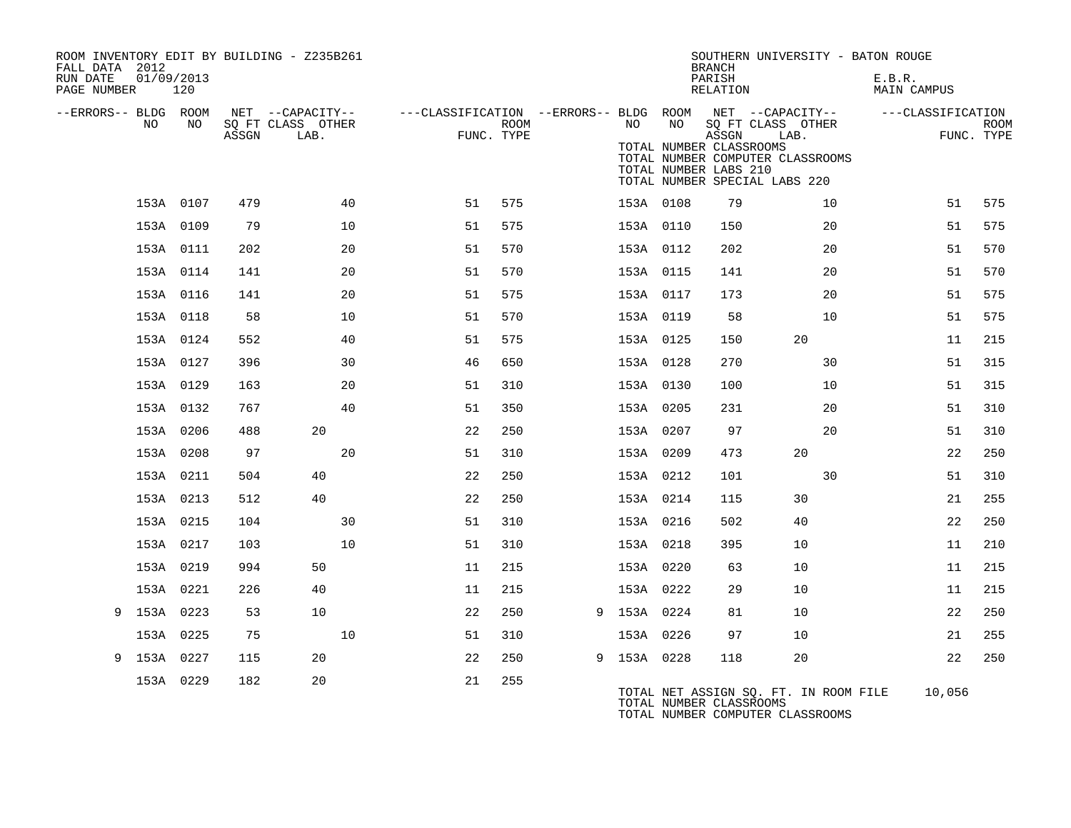| FALL DATA 2012<br>RUN DATE |     | 01/09/2013  |       | ROOM INVENTORY EDIT BY BUILDING - Z235B261    |                                                         |                    |             |    | <b>BRANCH</b><br>PARISH                                   | SOUTHERN UNIVERSITY - BATON ROUGE                                 | E.B.R.             |                           |
|----------------------------|-----|-------------|-------|-----------------------------------------------|---------------------------------------------------------|--------------------|-------------|----|-----------------------------------------------------------|-------------------------------------------------------------------|--------------------|---------------------------|
| PAGE NUMBER                |     | 120         |       |                                               |                                                         |                    |             |    | RELATION                                                  |                                                                   | <b>MAIN CAMPUS</b> |                           |
| --ERRORS-- BLDG ROOM       | NO. | NO.         | ASSGN | NET --CAPACITY--<br>SQ FT CLASS OTHER<br>LAB. | ---CLASSIFICATION --ERRORS-- BLDG ROOM NET --CAPACITY-- | ROOM<br>FUNC. TYPE | NO .        | NO |                                                           | SQ FT CLASS OTHER<br>LAB.                                         | ---CLASSIFICATION  | <b>ROOM</b><br>FUNC. TYPE |
|                            |     |             |       |                                               |                                                         |                    |             |    | ASSGN<br>TOTAL NUMBER CLASSROOMS<br>TOTAL NUMBER LABS 210 | TOTAL NUMBER COMPUTER CLASSROOMS<br>TOTAL NUMBER SPECIAL LABS 220 |                    |                           |
|                            |     | 153A 0107   | 479   | 40                                            | 51                                                      | 575                | 153A 0108   |    | 79                                                        | 10                                                                | 51                 | 575                       |
|                            |     | 153A 0109   | 79    | 10                                            | 51                                                      | 575                | 153A 0110   |    | 150                                                       | 20                                                                | 51                 | 575                       |
|                            |     | 153A 0111   | 202   | 20                                            | 51                                                      | 570                | 153A 0112   |    | 202                                                       | 20                                                                | 51                 | 570                       |
|                            |     | 153A 0114   | 141   | 20                                            | 51                                                      | 570                | 153A 0115   |    | 141                                                       | 20                                                                | 51                 | 570                       |
|                            |     | 153A 0116   | 141   | 20                                            | 51                                                      | 575                | 153A 0117   |    | 173                                                       | 20                                                                | 51                 | 575                       |
|                            |     | 153A 0118   | 58    | 10                                            | 51                                                      | 570                | 153A 0119   |    | 58                                                        | 10                                                                | 51                 | 575                       |
|                            |     | 153A 0124   | 552   | 40                                            | 51                                                      | 575                | 153A 0125   |    | 150                                                       | 20                                                                | 11                 | 215                       |
|                            |     | 153A 0127   | 396   | 30                                            | 46                                                      | 650                | 153A 0128   |    | 270                                                       | 30                                                                | 51                 | 315                       |
|                            |     | 153A 0129   | 163   | 20                                            | 51                                                      | 310                | 153A 0130   |    | 100                                                       | 10                                                                | 51                 | 315                       |
|                            |     | 153A 0132   | 767   | 40                                            | 51                                                      | 350                | 153A 0205   |    | 231                                                       | 20                                                                | 51                 | 310                       |
|                            |     | 153A 0206   | 488   | 20                                            | 22                                                      | 250                | 153A 0207   |    | 97                                                        | 20                                                                | 51                 | 310                       |
|                            |     | 153A 0208   | 97    | 20                                            | 51                                                      | 310                | 153A 0209   |    | 473                                                       | 20                                                                | 22                 | 250                       |
|                            |     | 153A 0211   | 504   | 40                                            | 22                                                      | 250                | 153A 0212   |    | 101                                                       | 30                                                                | 51                 | 310                       |
|                            |     | 153A 0213   | 512   | 40                                            | 22                                                      | 250                | 153A 0214   |    | 115                                                       | 30                                                                | 21                 | 255                       |
|                            |     | 153A 0215   | 104   | 30                                            | 51                                                      | 310                | 153A 0216   |    | 502                                                       | 40                                                                | 22                 | 250                       |
|                            |     | 153A 0217   | 103   | 10                                            | 51                                                      | 310                | 153A 0218   |    | 395                                                       | 10                                                                | 11                 | 210                       |
|                            |     | 153A 0219   | 994   | 50                                            | 11                                                      | 215                | 153A 0220   |    | 63                                                        | 10                                                                | 11                 | 215                       |
|                            |     | 153A 0221   | 226   | 40                                            | 11                                                      | 215                | 153A 0222   |    | 29                                                        | 10                                                                | 11                 | 215                       |
| 9                          |     | 153A 0223   | 53    | 10                                            | 22                                                      | 250                | 9 153A 0224 |    | 81                                                        | 10                                                                | 22                 | 250                       |
|                            |     | 153A 0225   | 75    | 10                                            | 51                                                      | 310                | 153A 0226   |    | 97                                                        | 10                                                                | 21                 | 255                       |
|                            |     | 9 153A 0227 | 115   | 20                                            | 22                                                      | 250                | 9 153A 0228 |    | 118                                                       | 20                                                                | 22                 | 250                       |
|                            |     | 153A 0229   | 182   | 20                                            | 21                                                      | 255                |             |    | TOTAL NUMBER CLASSROOMS                                   | TOTAL NET ASSIGN SQ. FT. IN ROOM FILE                             | 10,056             |                           |

TOTAL NUMBER COMPUTER CLASSROOMS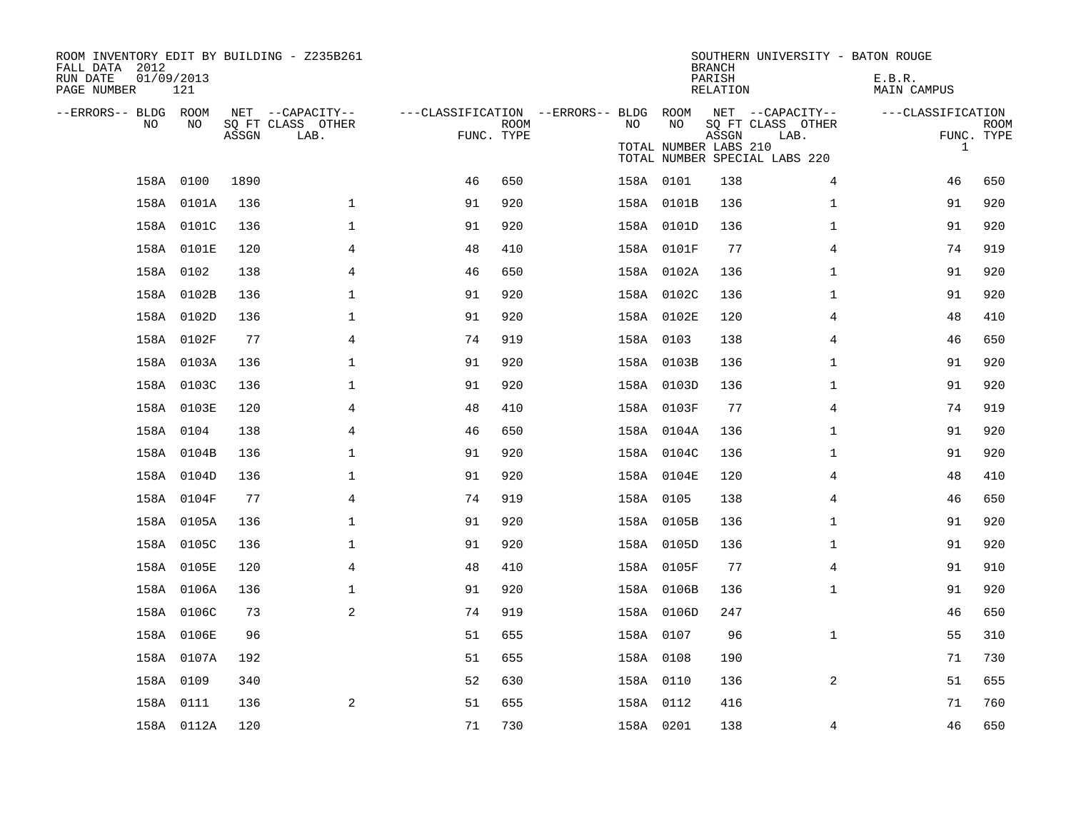| ROOM INVENTORY EDIT BY BUILDING - Z235B261<br>FALL DATA 2012<br>RUN DATE<br>PAGE NUMBER | 01/09/2013<br>121 |       |                                               |                                                      |             |           |                             | <b>BRANCH</b><br>PARISH<br><b>RELATION</b> | SOUTHERN UNIVERSITY - BATON ROUGE                                              | E.B.R.<br><b>MAIN CAMPUS</b>      |                           |
|-----------------------------------------------------------------------------------------|-------------------|-------|-----------------------------------------------|------------------------------------------------------|-------------|-----------|-----------------------------|--------------------------------------------|--------------------------------------------------------------------------------|-----------------------------------|---------------------------|
| --ERRORS-- BLDG ROOM<br>NO                                                              | NO                | ASSGN | NET --CAPACITY--<br>SQ FT CLASS OTHER<br>LAB. | ---CLASSIFICATION --ERRORS-- BLDG ROOM<br>FUNC. TYPE | <b>ROOM</b> | NO        | NO<br>TOTAL NUMBER LABS 210 | ASSGN                                      | NET --CAPACITY--<br>SQ FT CLASS OTHER<br>LAB.<br>TOTAL NUMBER SPECIAL LABS 220 | ---CLASSIFICATION<br>$\mathbf{1}$ | <b>ROOM</b><br>FUNC. TYPE |
|                                                                                         | 158A 0100         | 1890  |                                               | 46                                                   | 650         | 158A 0101 |                             | 138                                        | 4                                                                              | 46                                | 650                       |
|                                                                                         | 158A 0101A        | 136   | $\mathbf{1}$                                  | 91                                                   | 920         |           | 158A 0101B                  | 136                                        | $\mathbf{1}$                                                                   | 91                                | 920                       |
|                                                                                         | 158A 0101C        | 136   | $\mathbf{1}$                                  | 91                                                   | 920         |           | 158A 0101D                  | 136                                        | $\mathbf{1}$                                                                   | 91                                | 920                       |
|                                                                                         | 158A 0101E        | 120   | $\overline{4}$                                | 48                                                   | 410         |           | 158A 0101F                  | 77                                         | $\overline{4}$                                                                 | 74                                | 919                       |
|                                                                                         | 158A 0102         | 138   | 4                                             | 46                                                   | 650         |           | 158A 0102A                  | 136                                        | $\mathbf{1}$                                                                   | 91                                | 920                       |
|                                                                                         | 158A 0102B        | 136   | $\mathbf 1$                                   | 91                                                   | 920         |           | 158A 0102C                  | 136                                        | $\mathbf{1}$                                                                   | 91                                | 920                       |
|                                                                                         | 158A 0102D        | 136   | 1                                             | 91                                                   | 920         |           | 158A 0102E                  | 120                                        | 4                                                                              | 48                                | 410                       |
|                                                                                         | 158A 0102F        | 77    | 4                                             | 74                                                   | 919         | 158A 0103 |                             | 138                                        | 4                                                                              | 46                                | 650                       |
|                                                                                         | 158A 0103A        | 136   | $\mathbf 1$                                   | 91                                                   | 920         |           | 158A 0103B                  | 136                                        | $\mathbf{1}$                                                                   | 91                                | 920                       |
|                                                                                         | 158A 0103C        | 136   | 1                                             | 91                                                   | 920         |           | 158A 0103D                  | 136                                        | $\mathbf{1}$                                                                   | 91                                | 920                       |
|                                                                                         | 158A 0103E        | 120   | 4                                             | 48                                                   | 410         |           | 158A 0103F                  | 77                                         | 4                                                                              | 74                                | 919                       |
|                                                                                         | 158A 0104         | 138   | 4                                             | 46                                                   | 650         |           | 158A 0104A                  | 136                                        | $\mathbf{1}$                                                                   | 91                                | 920                       |
|                                                                                         | 158A 0104B        | 136   | $\mathbf 1$                                   | 91                                                   | 920         |           | 158A 0104C                  | 136                                        | $\mathbf{1}$                                                                   | 91                                | 920                       |
|                                                                                         | 158A 0104D        | 136   | $\mathbf{1}$                                  | 91                                                   | 920         |           | 158A 0104E                  | 120                                        | 4                                                                              | 48                                | 410                       |
|                                                                                         | 158A 0104F        | 77    | $\overline{4}$                                | 74                                                   | 919         | 158A 0105 |                             | 138                                        | $\overline{4}$                                                                 | 46                                | 650                       |
|                                                                                         | 158A 0105A        | 136   | $\mathbf 1$                                   | 91                                                   | 920         |           | 158A 0105B                  | 136                                        | $\mathbf{1}$                                                                   | 91                                | 920                       |
|                                                                                         | 158A 0105C        | 136   | 1                                             | 91                                                   | 920         |           | 158A 0105D                  | 136                                        | $\mathbf{1}$                                                                   | 91                                | 920                       |
|                                                                                         | 158A 0105E        | 120   | 4                                             | 48                                                   | 410         |           | 158A 0105F                  | 77                                         | 4                                                                              | 91                                | 910                       |
|                                                                                         | 158A 0106A        | 136   | $\mathbf 1$                                   | 91                                                   | 920         |           | 158A 0106B                  | 136                                        | $\mathbf{1}$                                                                   | 91                                | 920                       |
|                                                                                         | 158A 0106C        | 73    | 2                                             | 74                                                   | 919         |           | 158A 0106D                  | 247                                        |                                                                                | 46                                | 650                       |
|                                                                                         | 158A 0106E        | 96    |                                               | 51                                                   | 655         | 158A 0107 |                             | 96                                         | $\mathbf{1}$                                                                   | 55                                | 310                       |
|                                                                                         | 158A 0107A        | 192   |                                               | 51                                                   | 655         | 158A 0108 |                             | 190                                        |                                                                                | 71                                | 730                       |
|                                                                                         | 158A 0109         | 340   |                                               | 52                                                   | 630         | 158A 0110 |                             | 136                                        | 2                                                                              | 51                                | 655                       |
|                                                                                         | 158A 0111         | 136   | 2                                             | 51                                                   | 655         | 158A 0112 |                             | 416                                        |                                                                                | 71                                | 760                       |
|                                                                                         | 158A 0112A        | 120   |                                               | 71                                                   | 730         | 158A 0201 |                             | 138                                        | 4                                                                              | 46                                | 650                       |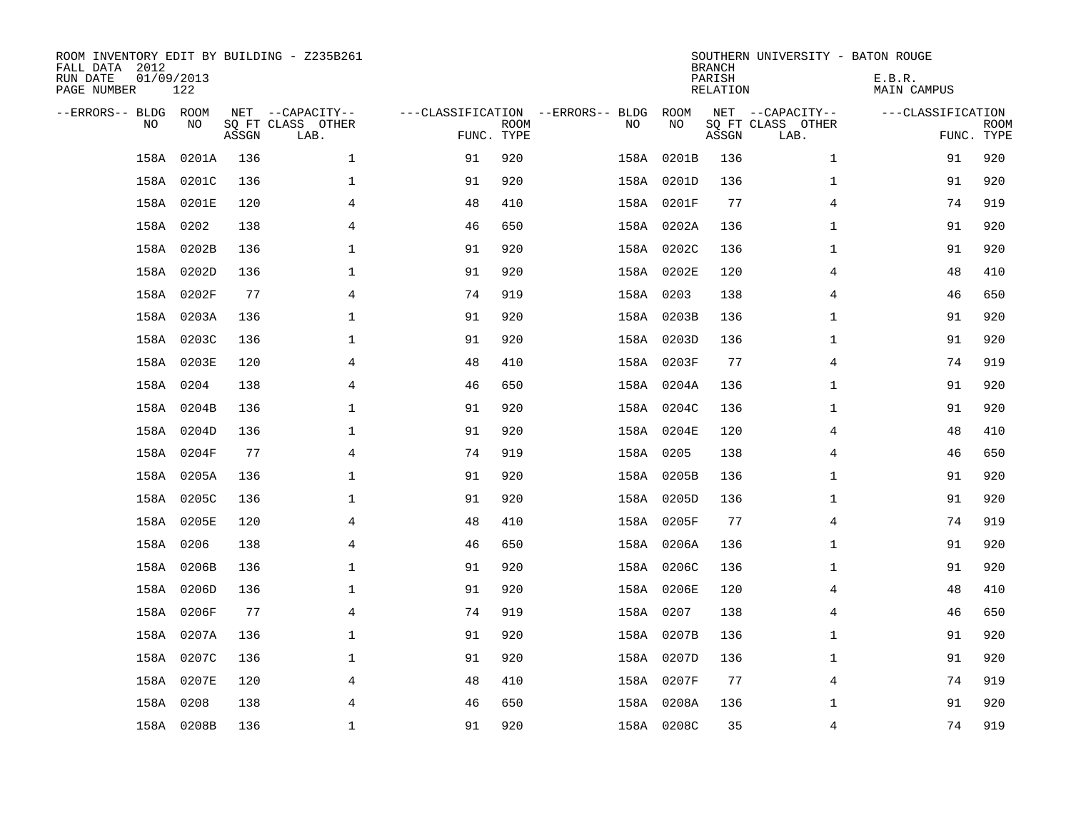| ROOM INVENTORY EDIT BY BUILDING - Z235B261<br>FALL DATA 2012<br>RUN DATE<br>PAGE NUMBER | 01/09/2013<br>122 |       |                                               |                                                 |             |           |            | <b>BRANCH</b><br>PARISH<br><b>RELATION</b> | SOUTHERN UNIVERSITY - BATON ROUGE             | E.B.R.<br><b>MAIN CAMPUS</b> |                           |
|-----------------------------------------------------------------------------------------|-------------------|-------|-----------------------------------------------|-------------------------------------------------|-------------|-----------|------------|--------------------------------------------|-----------------------------------------------|------------------------------|---------------------------|
| --ERRORS-- BLDG ROOM<br>NO                                                              | NO                | ASSGN | NET --CAPACITY--<br>SQ FT CLASS OTHER<br>LAB. | ---CLASSIFICATION --ERRORS-- BLDG<br>FUNC. TYPE | <b>ROOM</b> | NO        | ROOM<br>NO | ASSGN                                      | NET --CAPACITY--<br>SQ FT CLASS OTHER<br>LAB. | ---CLASSIFICATION            | <b>ROOM</b><br>FUNC. TYPE |
| 158A                                                                                    | 0201A             | 136   | $\mathbf 1$                                   | 91                                              | 920         | 158A      | 0201B      | 136                                        | $\mathbf{1}$                                  | 91                           | 920                       |
| 158A                                                                                    | 0201C             | 136   | 1                                             | 91                                              | 920         |           | 158A 0201D | 136                                        | $\mathbf{1}$                                  | 91                           | 920                       |
|                                                                                         | 158A 0201E        | 120   | 4                                             | 48                                              | 410         |           | 158A 0201F | 77                                         | $\overline{4}$                                | 74                           | 919                       |
|                                                                                         | 158A 0202         | 138   | $\overline{4}$                                | 46                                              | 650         |           | 158A 0202A | 136                                        | $\mathbf{1}$                                  | 91                           | 920                       |
| 158A                                                                                    | 0202B             | 136   | $\mathbf 1$                                   | 91                                              | 920         |           | 158A 0202C | 136                                        | $\mathbf{1}$                                  | 91                           | 920                       |
|                                                                                         | 158A 0202D        | 136   | 1                                             | 91                                              | 920         |           | 158A 0202E | 120                                        | 4                                             | 48                           | 410                       |
|                                                                                         | 158A 0202F        | 77    | $\overline{4}$                                | 74                                              | 919         | 158A 0203 |            | 138                                        | 4                                             | 46                           | 650                       |
|                                                                                         | 158A 0203A        | 136   | $\mathbf{1}$                                  | 91                                              | 920         |           | 158A 0203B | 136                                        | $\mathbf{1}$                                  | 91                           | 920                       |
|                                                                                         | 158A 0203C        | 136   | $\mathbf 1$                                   | 91                                              | 920         |           | 158A 0203D | 136                                        | $\mathbf{1}$                                  | 91                           | 920                       |
|                                                                                         | 158A 0203E        | 120   | $\overline{4}$                                | 48                                              | 410         |           | 158A 0203F | 77                                         | $\overline{4}$                                | 74                           | 919                       |
|                                                                                         | 158A 0204         | 138   | 4                                             | 46                                              | 650         |           | 158A 0204A | 136                                        | $\mathbf{1}$                                  | 91                           | 920                       |
|                                                                                         | 158A 0204B        | 136   | $\mathbf 1$                                   | 91                                              | 920         |           | 158A 0204C | 136                                        | $\mathbf{1}$                                  | 91                           | 920                       |
|                                                                                         | 158A 0204D        | 136   | $\mathbf 1$                                   | 91                                              | 920         |           | 158A 0204E | 120                                        | 4                                             | 48                           | 410                       |
|                                                                                         | 158A 0204F        | 77    | $\overline{4}$                                | 74                                              | 919         | 158A 0205 |            | 138                                        | 4                                             | 46                           | 650                       |
|                                                                                         | 158A 0205A        | 136   | $\mathbf 1$                                   | 91                                              | 920         |           | 158A 0205B | 136                                        | $\mathbf{1}$                                  | 91                           | 920                       |
|                                                                                         | 158A 0205C        | 136   | $\mathbf 1$                                   | 91                                              | 920         |           | 158A 0205D | 136                                        | $\mathbf{1}$                                  | 91                           | 920                       |
|                                                                                         | 158A 0205E        | 120   | 4                                             | 48                                              | 410         |           | 158A 0205F | 77                                         | 4                                             | 74                           | 919                       |
| 158A                                                                                    | 0206              | 138   | $\overline{4}$                                | 46                                              | 650         |           | 158A 0206A | 136                                        | $\mathbf{1}$                                  | 91                           | 920                       |
|                                                                                         | 158A 0206B        | 136   | $\mathbf 1$                                   | 91                                              | 920         |           | 158A 0206C | 136                                        | $\mathbf{1}$                                  | 91                           | 920                       |
|                                                                                         | 158A 0206D        | 136   | $\mathbf 1$                                   | 91                                              | 920         |           | 158A 0206E | 120                                        | 4                                             | 48                           | 410                       |
|                                                                                         | 158A 0206F        | 77    | $\overline{4}$                                | 74                                              | 919         | 158A 0207 |            | 138                                        | 4                                             | 46                           | 650                       |
|                                                                                         | 158A 0207A        | 136   | $\mathbf 1$                                   | 91                                              | 920         |           | 158A 0207B | 136                                        | $\mathbf{1}$                                  | 91                           | 920                       |
|                                                                                         | 158A 0207C        | 136   | $\mathbf 1$                                   | 91                                              | 920         |           | 158A 0207D | 136                                        | $\mathbf{1}$                                  | 91                           | 920                       |
|                                                                                         | 158A 0207E        | 120   | 4                                             | 48                                              | 410         |           | 158A 0207F | 77                                         | 4                                             | 74                           | 919                       |
|                                                                                         | 158A 0208         | 138   | 4                                             | 46                                              | 650         |           | 158A 0208A | 136                                        | $\mathbf{1}$                                  | 91                           | 920                       |
|                                                                                         | 158A 0208B        | 136   | $\mathbf{1}$                                  | 91                                              | 920         |           | 158A 0208C | 35                                         | $\overline{4}$                                | 74                           | 919                       |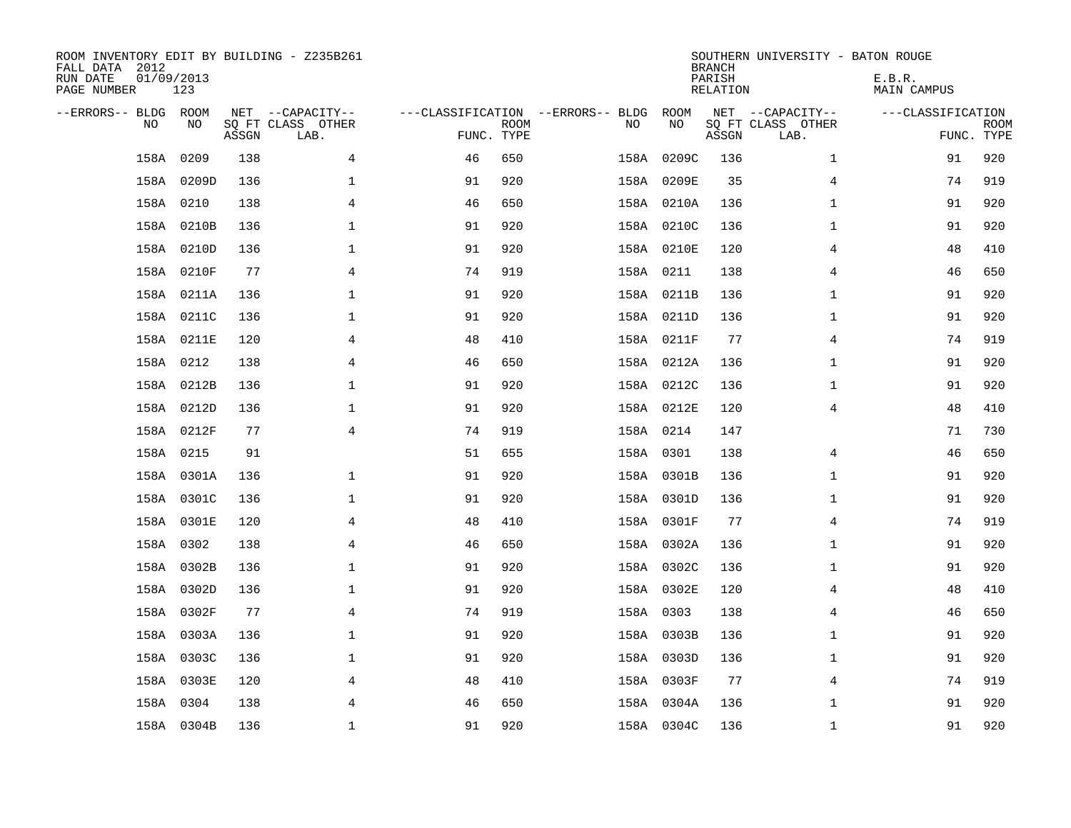| ROOM INVENTORY EDIT BY BUILDING - Z235B261<br>FALL DATA 2012<br>RUN DATE<br>PAGE NUMBER | 01/09/2013<br>123 |       |                                               |            |             |                                         |      |            | <b>BRANCH</b><br>PARISH<br><b>RELATION</b> | SOUTHERN UNIVERSITY - BATON ROUGE             | E.B.R.<br><b>MAIN CAMPUS</b> |                           |
|-----------------------------------------------------------------------------------------|-------------------|-------|-----------------------------------------------|------------|-------------|-----------------------------------------|------|------------|--------------------------------------------|-----------------------------------------------|------------------------------|---------------------------|
| --ERRORS-- BLDG ROOM<br>NO                                                              | NO                | ASSGN | NET --CAPACITY--<br>SQ FT CLASS OTHER<br>LAB. | FUNC. TYPE | <b>ROOM</b> | ---CLASSIFICATION --ERRORS-- BLDG<br>NO |      | ROOM<br>NO | ASSGN                                      | NET --CAPACITY--<br>SQ FT CLASS OTHER<br>LAB. | ---CLASSIFICATION            | <b>ROOM</b><br>FUNC. TYPE |
| 158A                                                                                    | 0209              | 138   | 4                                             | 46         | 650         |                                         | 158A | 0209C      | 136                                        | $\mathbf{1}$                                  | 91                           | 920                       |
| 158A                                                                                    | 0209D             | 136   | $\mathbf 1$                                   | 91         | 920         |                                         |      | 158A 0209E | 35                                         | 4                                             | 74                           | 919                       |
|                                                                                         | 158A 0210         | 138   | 4                                             | 46         | 650         |                                         |      | 158A 0210A | 136                                        | $\mathbf{1}$                                  | 91                           | 920                       |
|                                                                                         | 158A 0210B        | 136   | $\mathbf 1$                                   | 91         | 920         |                                         |      | 158A 0210C | 136                                        | $\mathbf{1}$                                  | 91                           | 920                       |
|                                                                                         | 158A 0210D        | 136   | $\mathbf 1$                                   | 91         | 920         |                                         |      | 158A 0210E | 120                                        | 4                                             | 48                           | 410                       |
|                                                                                         | 158A 0210F        | 77    | 4                                             | 74         | 919         |                                         |      | 158A 0211  | 138                                        | 4                                             | 46                           | 650                       |
|                                                                                         | 158A 0211A        | 136   | $\mathbf 1$                                   | 91         | 920         |                                         |      | 158A 0211B | 136                                        | $\mathbf{1}$                                  | 91                           | 920                       |
|                                                                                         | 158A 0211C        | 136   | $\mathbf{1}$                                  | 91         | 920         |                                         |      | 158A 0211D | 136                                        | $\mathbf{1}$                                  | 91                           | 920                       |
|                                                                                         | 158A 0211E        | 120   | $\overline{4}$                                | 48         | 410         |                                         |      | 158A 0211F | 77                                         | $\overline{4}$                                | 74                           | 919                       |
|                                                                                         | 158A 0212         | 138   | $\overline{4}$                                | 46         | 650         |                                         |      | 158A 0212A | 136                                        | $\mathbf{1}$                                  | 91                           | 920                       |
|                                                                                         | 158A 0212B        | 136   | $\mathbf 1$                                   | 91         | 920         |                                         |      | 158A 0212C | 136                                        | $\mathbf{1}$                                  | 91                           | 920                       |
|                                                                                         | 158A 0212D        | 136   | $\mathbf 1$                                   | 91         | 920         |                                         |      | 158A 0212E | 120                                        | 4                                             | 48                           | 410                       |
|                                                                                         | 158A 0212F        | 77    | 4                                             | 74         | 919         |                                         |      | 158A 0214  | 147                                        |                                               | 71                           | 730                       |
|                                                                                         | 158A 0215         | 91    |                                               | 51         | 655         |                                         |      | 158A 0301  | 138                                        | 4                                             | 46                           | 650                       |
|                                                                                         | 158A 0301A        | 136   | $\mathbf{1}$                                  | 91         | 920         |                                         |      | 158A 0301B | 136                                        | $\mathbf{1}$                                  | 91                           | 920                       |
|                                                                                         | 158A 0301C        | 136   | 1                                             | 91         | 920         |                                         |      | 158A 0301D | 136                                        | $\mathbf{1}$                                  | 91                           | 920                       |
|                                                                                         | 158A 0301E        | 120   | 4                                             | 48         | 410         |                                         |      | 158A 0301F | 77                                         | 4                                             | 74                           | 919                       |
|                                                                                         | 158A 0302         | 138   | $\overline{4}$                                | 46         | 650         |                                         |      | 158A 0302A | 136                                        | $\mathbf{1}$                                  | 91                           | 920                       |
|                                                                                         | 158A 0302B        | 136   | $\mathbf 1$                                   | 91         | 920         |                                         |      | 158A 0302C | 136                                        | $\mathbf{1}$                                  | 91                           | 920                       |
|                                                                                         | 158A 0302D        | 136   | $\mathbf 1$                                   | 91         | 920         |                                         |      | 158A 0302E | 120                                        | 4                                             | 48                           | 410                       |
|                                                                                         | 158A 0302F        | 77    | $\overline{4}$                                | 74         | 919         |                                         |      | 158A 0303  | 138                                        | 4                                             | 46                           | 650                       |
|                                                                                         | 158A 0303A        | 136   | $\mathbf 1$                                   | 91         | 920         |                                         |      | 158A 0303B | 136                                        | $\mathbf{1}$                                  | 91                           | 920                       |
|                                                                                         | 158A 0303C        | 136   | $\mathbf 1$                                   | 91         | 920         |                                         |      | 158A 0303D | 136                                        | $\mathbf{1}$                                  | 91                           | 920                       |
|                                                                                         | 158A 0303E        | 120   | 4                                             | 48         | 410         |                                         |      | 158A 0303F | 77                                         | 4                                             | 74                           | 919                       |
|                                                                                         | 158A 0304         | 138   | 4                                             | 46         | 650         |                                         |      | 158A 0304A | 136                                        | $\mathbf{1}$                                  | 91                           | 920                       |
|                                                                                         | 158A 0304B        | 136   | $\mathbf{1}$                                  | 91         | 920         |                                         |      | 158A 0304C | 136                                        | $\mathbf{1}$                                  | 91                           | 920                       |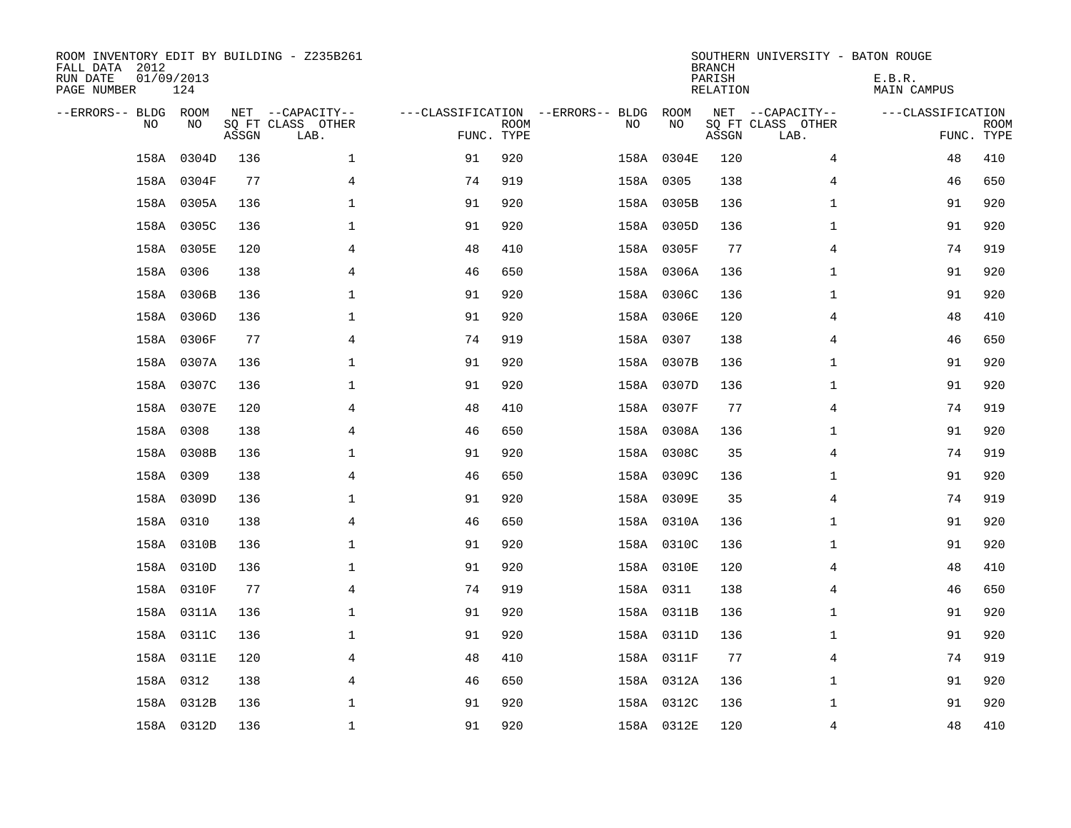| ROOM INVENTORY EDIT BY BUILDING - Z235B261<br>FALL DATA 2012<br>RUN DATE<br>PAGE NUMBER | 01/09/2013<br>124 |       |                                               |                                                 |             |    |            | <b>BRANCH</b><br>PARISH<br><b>RELATION</b> | SOUTHERN UNIVERSITY - BATON ROUGE             | E.B.R.<br><b>MAIN CAMPUS</b> |                           |
|-----------------------------------------------------------------------------------------|-------------------|-------|-----------------------------------------------|-------------------------------------------------|-------------|----|------------|--------------------------------------------|-----------------------------------------------|------------------------------|---------------------------|
| --ERRORS-- BLDG ROOM<br>NO                                                              | NO                | ASSGN | NET --CAPACITY--<br>SQ FT CLASS OTHER<br>LAB. | ---CLASSIFICATION --ERRORS-- BLDG<br>FUNC. TYPE | <b>ROOM</b> | NO | ROOM<br>NO | ASSGN                                      | NET --CAPACITY--<br>SQ FT CLASS OTHER<br>LAB. | ---CLASSIFICATION            | <b>ROOM</b><br>FUNC. TYPE |
| 158A                                                                                    | 0304D             | 136   | $\mathbf 1$                                   | 91                                              | 920         |    | 158A 0304E | 120                                        | 4                                             | 48                           | 410                       |
|                                                                                         | 158A 0304F        | 77    | 4                                             | 74                                              | 919         |    | 158A 0305  | 138                                        | 4                                             | 46                           | 650                       |
|                                                                                         | 158A 0305A        | 136   | $\mathbf 1$                                   | 91                                              | 920         |    | 158A 0305B | 136                                        | $\mathbf{1}$                                  | 91                           | 920                       |
|                                                                                         | 158A 0305C        | 136   | $\mathbf 1$                                   | 91                                              | 920         |    | 158A 0305D | 136                                        | $\mathbf{1}$                                  | 91                           | 920                       |
|                                                                                         | 158A 0305E        | 120   | 4                                             | 48                                              | 410         |    | 158A 0305F | 77                                         | 4                                             | 74                           | 919                       |
|                                                                                         | 158A 0306         | 138   | 4                                             | 46                                              | 650         |    | 158A 0306A | 136                                        | $\mathbf{1}$                                  | 91                           | 920                       |
|                                                                                         | 158A 0306B        | 136   | $\mathbf 1$                                   | 91                                              | 920         |    | 158A 0306C | 136                                        | $\mathbf{1}$                                  | 91                           | 920                       |
|                                                                                         | 158A 0306D        | 136   | $\mathbf{1}$                                  | 91                                              | 920         |    | 158A 0306E | 120                                        | 4                                             | 48                           | 410                       |
|                                                                                         | 158A 0306F        | 77    | $\overline{4}$                                | 74                                              | 919         |    | 158A 0307  | 138                                        | $\overline{4}$                                | 46                           | 650                       |
|                                                                                         | 158A 0307A        | 136   | $\mathbf{1}$                                  | 91                                              | 920         |    | 158A 0307B | 136                                        | $\mathbf{1}$                                  | 91                           | 920                       |
|                                                                                         | 158A 0307C        | 136   | $\mathbf 1$                                   | 91                                              | 920         |    | 158A 0307D | 136                                        | $\mathbf{1}$                                  | 91                           | 920                       |
|                                                                                         | 158A 0307E        | 120   | 4                                             | 48                                              | 410         |    | 158A 0307F | 77                                         | 4                                             | 74                           | 919                       |
| 158A                                                                                    | 0308              | 138   | 4                                             | 46                                              | 650         |    | 158A 0308A | 136                                        | $\mathbf{1}$                                  | 91                           | 920                       |
|                                                                                         | 158A 0308B        | 136   | $\mathbf 1$                                   | 91                                              | 920         |    | 158A 0308C | 35                                         | 4                                             | 74                           | 919                       |
|                                                                                         | 158A 0309         | 138   | $\overline{4}$                                | 46                                              | 650         |    | 158A 0309C | 136                                        | $\mathbf{1}$                                  | 91                           | 920                       |
|                                                                                         | 158A 0309D        | 136   | $\mathbf 1$                                   | 91                                              | 920         |    | 158A 0309E | 35                                         | 4                                             | 74                           | 919                       |
|                                                                                         | 158A 0310         | 138   | 4                                             | 46                                              | 650         |    | 158A 0310A | 136                                        | $\mathbf{1}$                                  | 91                           | 920                       |
|                                                                                         | 158A 0310B        | 136   | $\mathbf 1$                                   | 91                                              | 920         |    | 158A 0310C | 136                                        | $\mathbf{1}$                                  | 91                           | 920                       |
|                                                                                         | 158A 0310D        | 136   | $\mathbf 1$                                   | 91                                              | 920         |    | 158A 0310E | 120                                        | 4                                             | 48                           | 410                       |
|                                                                                         | 158A 0310F        | 77    | $\overline{4}$                                | 74                                              | 919         |    | 158A 0311  | 138                                        | $\overline{4}$                                | 46                           | 650                       |
|                                                                                         | 158A 0311A        | 136   | $\mathbf{1}$                                  | 91                                              | 920         |    | 158A 0311B | 136                                        | $\mathbf{1}$                                  | 91                           | 920                       |
|                                                                                         | 158A 0311C        | 136   | $\mathbf 1$                                   | 91                                              | 920         |    | 158A 0311D | 136                                        | $\mathbf{1}$                                  | 91                           | 920                       |
|                                                                                         | 158A 0311E        | 120   | 4                                             | 48                                              | 410         |    | 158A 0311F | 77                                         | 4                                             | 74                           | 919                       |
|                                                                                         | 158A 0312         | 138   | 4                                             | 46                                              | 650         |    | 158A 0312A | 136                                        | $\mathbf{1}$                                  | 91                           | 920                       |
|                                                                                         | 158A 0312B        | 136   | $\mathbf 1$                                   | 91                                              | 920         |    | 158A 0312C | 136                                        | $\mathbf{1}$                                  | 91                           | 920                       |
|                                                                                         | 158A 0312D        | 136   | $\mathbf{1}$                                  | 91                                              | 920         |    | 158A 0312E | 120                                        | $\overline{4}$                                | 48                           | 410                       |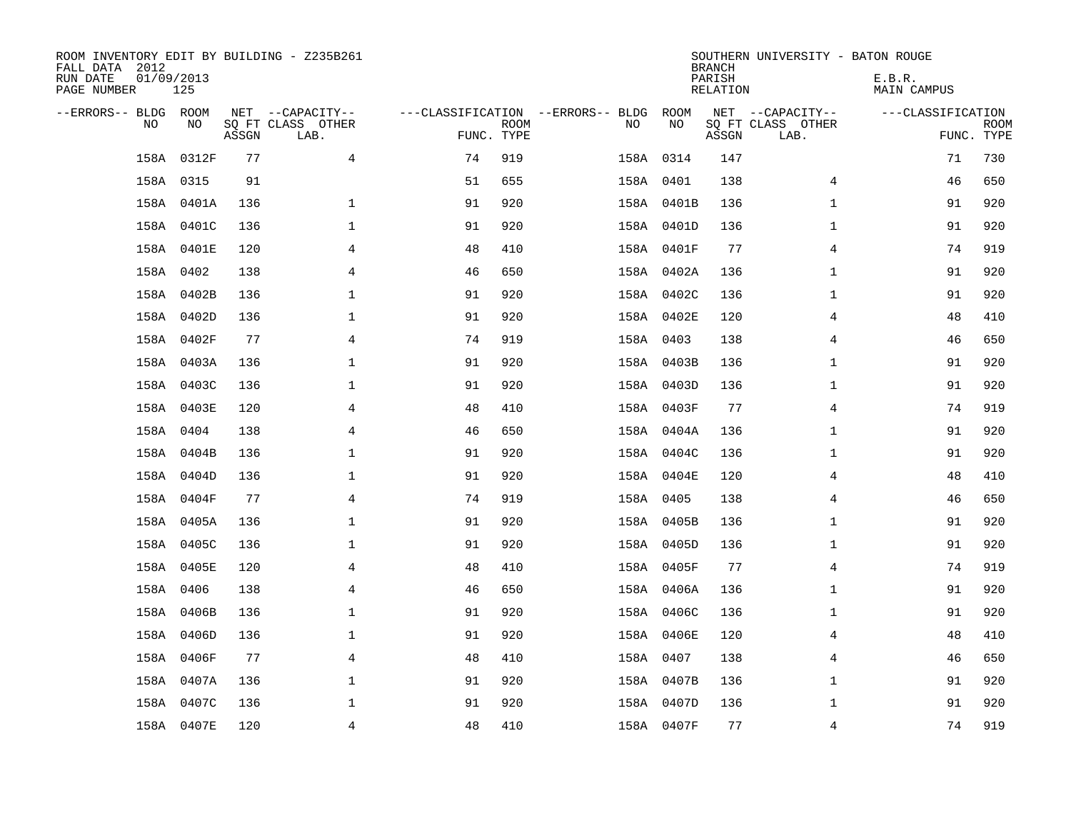| ROOM INVENTORY EDIT BY BUILDING - Z235B261<br>FALL DATA 2012<br>RUN DATE<br>PAGE NUMBER | 01/09/2013<br>125 |       |                                               |            |             |                                          |            | <b>BRANCH</b><br>PARISH<br>RELATION | SOUTHERN UNIVERSITY - BATON ROUGE             | E.B.R.<br>MAIN CAMPUS |                           |
|-----------------------------------------------------------------------------------------|-------------------|-------|-----------------------------------------------|------------|-------------|------------------------------------------|------------|-------------------------------------|-----------------------------------------------|-----------------------|---------------------------|
| --ERRORS-- BLDG ROOM<br>N <sub>O</sub>                                                  | NO.               | ASSGN | NET --CAPACITY--<br>SO FT CLASS OTHER<br>LAB. | FUNC. TYPE | <b>ROOM</b> | ---CLASSIFICATION --ERRORS-- BLDG<br>NO. | ROOM<br>NO | ASSGN                               | NET --CAPACITY--<br>SQ FT CLASS OTHER<br>LAB. | ---CLASSIFICATION     | <b>ROOM</b><br>FUNC. TYPE |
| 158A                                                                                    | 0312F             | 77    | $\overline{4}$                                | 74         | 919         |                                          | 158A 0314  | 147                                 |                                               | 71                    | 730                       |
|                                                                                         | 158A 0315         | 91    |                                               | 51         | 655         |                                          | 158A 0401  | 138                                 | $\overline{4}$                                | 46                    | 650                       |
|                                                                                         | 158A 0401A        | 136   | $\mathbf{1}$                                  | 91         | 920         |                                          | 158A 0401B | 136                                 | $\mathbf{1}$                                  | 91                    | 920                       |
|                                                                                         | 158A 0401C        | 136   | 1                                             | 91         | 920         |                                          | 158A 0401D | 136                                 | $\mathbf{1}$                                  | 91                    | 920                       |
|                                                                                         | 158A 0401E        | 120   | 4                                             | 48         | 410         |                                          | 158A 0401F | 77                                  | $\overline{4}$                                | 74                    | 919                       |
|                                                                                         | 158A 0402         | 138   | $\overline{4}$                                | 46         | 650         |                                          | 158A 0402A | 136                                 | $\mathbf{1}$                                  | 91                    | 920                       |
|                                                                                         | 158A 0402B        | 136   | $\mathbf 1$                                   | 91         | 920         |                                          | 158A 0402C | 136                                 | $\mathbf{1}$                                  | 91                    | 920                       |
|                                                                                         | 158A 0402D        | 136   | $\mathbf 1$                                   | 91         | 920         |                                          | 158A 0402E | 120                                 | 4                                             | 48                    | 410                       |
|                                                                                         | 158A 0402F        | 77    | 4                                             | 74         | 919         |                                          | 158A 0403  | 138                                 | 4                                             | 46                    | 650                       |
|                                                                                         | 158A 0403A        | 136   | $\mathbf 1$                                   | 91         | 920         |                                          | 158A 0403B | 136                                 | $\mathbf{1}$                                  | 91                    | 920                       |
|                                                                                         | 158A 0403C        | 136   | $\mathbf 1$                                   | 91         | 920         |                                          | 158A 0403D | 136                                 | $\mathbf{1}$                                  | 91                    | 920                       |
|                                                                                         | 158A 0403E        | 120   | $\overline{4}$                                | 48         | 410         |                                          | 158A 0403F | 77                                  | $\overline{4}$                                | 74                    | 919                       |
|                                                                                         | 158A 0404         | 138   | 4                                             | 46         | 650         |                                          | 158A 0404A | 136                                 | $\mathbf{1}$                                  | 91                    | 920                       |
|                                                                                         | 158A 0404B        | 136   | $\mathbf 1$                                   | 91         | 920         |                                          | 158A 0404C | 136                                 | $\mathbf{1}$                                  | 91                    | 920                       |
|                                                                                         | 158A 0404D        | 136   | 1                                             | 91         | 920         |                                          | 158A 0404E | 120                                 | 4                                             | 48                    | 410                       |
|                                                                                         | 158A 0404F        | 77    | $\overline{4}$                                | 74         | 919         |                                          | 158A 0405  | 138                                 | $\overline{4}$                                | 46                    | 650                       |
|                                                                                         | 158A 0405A        | 136   | $\mathbf 1$                                   | 91         | 920         |                                          | 158A 0405B | 136                                 | $\mathbf{1}$                                  | 91                    | 920                       |
|                                                                                         | 158A 0405C        | 136   | $\mathbf 1$                                   | 91         | 920         |                                          | 158A 0405D | 136                                 | $\mathbf{1}$                                  | 91                    | 920                       |
|                                                                                         | 158A 0405E        | 120   | 4                                             | 48         | 410         |                                          | 158A 0405F | 77                                  | 4                                             | 74                    | 919                       |
|                                                                                         | 158A 0406         | 138   | $\overline{4}$                                | 46         | 650         |                                          | 158A 0406A | 136                                 | $\mathbf{1}$                                  | 91                    | 920                       |
|                                                                                         | 158A 0406B        | 136   | $\mathbf 1$                                   | 91         | 920         |                                          | 158A 0406C | 136                                 | $\mathbf{1}$                                  | 91                    | 920                       |
|                                                                                         | 158A 0406D        | 136   | $\mathbf 1$                                   | 91         | 920         |                                          | 158A 0406E | 120                                 | 4                                             | 48                    | 410                       |
|                                                                                         | 158A 0406F        | 77    | 4                                             | 48         | 410         |                                          | 158A 0407  | 138                                 | 4                                             | 46                    | 650                       |
|                                                                                         | 158A 0407A        | 136   | 1                                             | 91         | 920         |                                          | 158A 0407B | 136                                 | $\mathbf{1}$                                  | 91                    | 920                       |
|                                                                                         | 158A 0407C        | 136   | $\mathbf 1$                                   | 91         | 920         |                                          | 158A 0407D | 136                                 | $\mathbf{1}$                                  | 91                    | 920                       |
|                                                                                         | 158A 0407E        | 120   | $\overline{4}$                                | 48         | 410         |                                          | 158A 0407F | 77                                  | $\overline{4}$                                | 74                    | 919                       |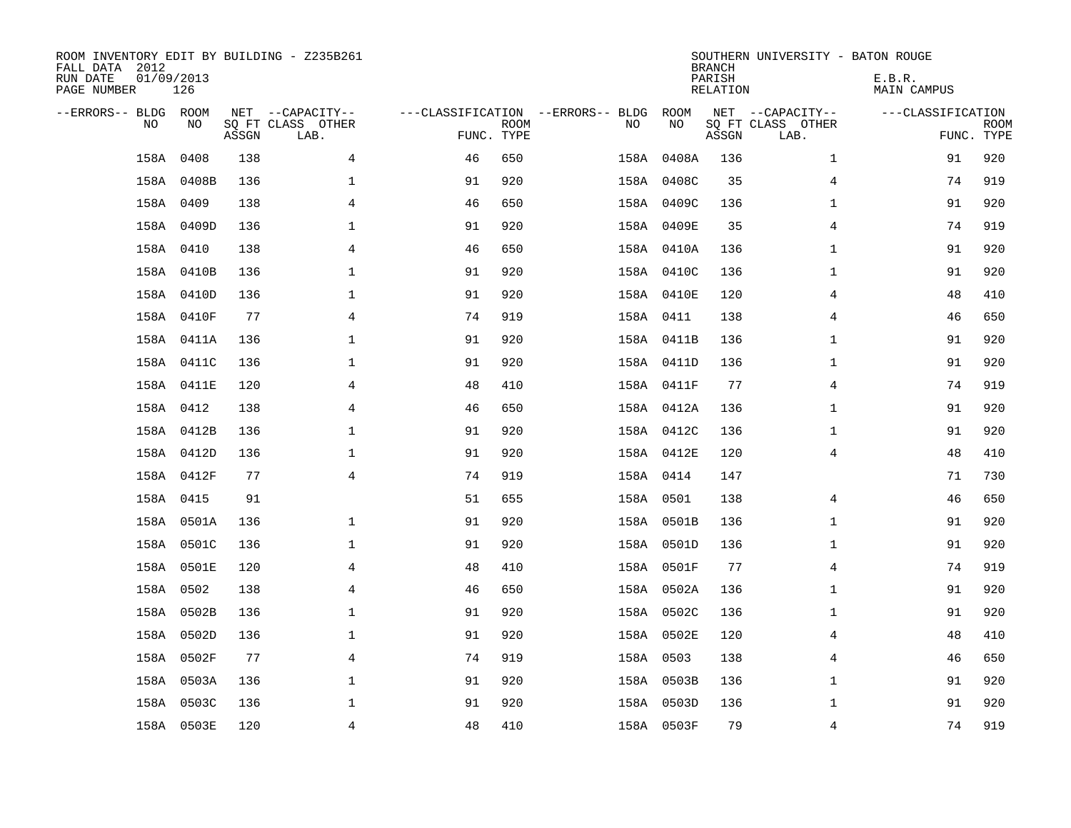| ROOM INVENTORY EDIT BY BUILDING - Z235B261<br>FALL DATA 2012<br>RUN DATE<br>PAGE NUMBER | 01/09/2013<br>126 |       |                                               |                                                 |             |           |            | <b>BRANCH</b><br>PARISH<br><b>RELATION</b> | SOUTHERN UNIVERSITY - BATON ROUGE             | E.B.R.<br><b>MAIN CAMPUS</b> |                           |
|-----------------------------------------------------------------------------------------|-------------------|-------|-----------------------------------------------|-------------------------------------------------|-------------|-----------|------------|--------------------------------------------|-----------------------------------------------|------------------------------|---------------------------|
| --ERRORS-- BLDG ROOM<br>NO                                                              | NO                | ASSGN | NET --CAPACITY--<br>SQ FT CLASS OTHER<br>LAB. | ---CLASSIFICATION --ERRORS-- BLDG<br>FUNC. TYPE | <b>ROOM</b> | NO        | ROOM<br>NO | ASSGN                                      | NET --CAPACITY--<br>SQ FT CLASS OTHER<br>LAB. | ---CLASSIFICATION            | <b>ROOM</b><br>FUNC. TYPE |
| 158A                                                                                    | 0408              | 138   | 4                                             | 46                                              | 650         |           | 158A 0408A | 136                                        | $\mathbf{1}$                                  | 91                           | 920                       |
|                                                                                         | 158A 0408B        | 136   | $\mathbf 1$                                   | 91                                              | 920         |           | 158A 0408C | 35                                         | 4                                             | 74                           | 919                       |
|                                                                                         | 158A 0409         | 138   | $\overline{4}$                                | 46                                              | 650         |           | 158A 0409C | 136                                        | $\mathbf{1}$                                  | 91                           | 920                       |
|                                                                                         | 158A 0409D        | 136   | $\mathbf{1}$                                  | 91                                              | 920         |           | 158A 0409E | 35                                         | 4                                             | 74                           | 919                       |
|                                                                                         | 158A 0410         | 138   | $\overline{4}$                                | 46                                              | 650         |           | 158A 0410A | 136                                        | $\mathbf{1}$                                  | 91                           | 920                       |
|                                                                                         | 158A 0410B        | 136   | $\mathbf 1$                                   | 91                                              | 920         |           | 158A 0410C | 136                                        | $\mathbf{1}$                                  | 91                           | 920                       |
|                                                                                         | 158A 0410D        | 136   | $\mathbf{1}$                                  | 91                                              | 920         |           | 158A 0410E | 120                                        | $\overline{4}$                                | 48                           | 410                       |
|                                                                                         | 158A 0410F        | 77    | $\overline{4}$                                | 74                                              | 919         | 158A 0411 |            | 138                                        | $\overline{4}$                                | 46                           | 650                       |
|                                                                                         | 158A 0411A        | 136   | $\mathbf 1$                                   | 91                                              | 920         |           | 158A 0411B | 136                                        | $\mathbf{1}$                                  | 91                           | 920                       |
|                                                                                         | 158A 0411C        | 136   | $\mathbf 1$                                   | 91                                              | 920         |           | 158A 0411D | 136                                        | $\mathbf{1}$                                  | 91                           | 920                       |
|                                                                                         | 158A 0411E        | 120   | 4                                             | 48                                              | 410         |           | 158A 0411F | 77                                         | 4                                             | 74                           | 919                       |
|                                                                                         | 158A 0412         | 138   | 4                                             | 46                                              | 650         |           | 158A 0412A | 136                                        | $\mathbf{1}$                                  | 91                           | 920                       |
|                                                                                         | 158A 0412B        | 136   | $\mathbf 1$                                   | 91                                              | 920         |           | 158A 0412C | 136                                        | $\mathbf{1}$                                  | 91                           | 920                       |
|                                                                                         | 158A 0412D        | 136   | 1                                             | 91                                              | 920         |           | 158A 0412E | 120                                        | 4                                             | 48                           | 410                       |
|                                                                                         | 158A 0412F        | 77    | $\overline{4}$                                | 74                                              | 919         | 158A 0414 |            | 147                                        |                                               | 71                           | 730                       |
|                                                                                         | 158A 0415         | 91    |                                               | 51                                              | 655         | 158A 0501 |            | 138                                        | 4                                             | 46                           | 650                       |
|                                                                                         | 158A 0501A        | 136   | $\mathbf{1}$                                  | 91                                              | 920         |           | 158A 0501B | 136                                        | $\mathbf{1}$                                  | 91                           | 920                       |
|                                                                                         | 158A 0501C        | 136   | $\mathbf 1$                                   | 91                                              | 920         |           | 158A 0501D | 136                                        | $\mathbf{1}$                                  | 91                           | 920                       |
|                                                                                         | 158A 0501E        | 120   | 4                                             | 48                                              | 410         |           | 158A 0501F | 77                                         | 4                                             | 74                           | 919                       |
|                                                                                         | 158A 0502         | 138   | 4                                             | 46                                              | 650         |           | 158A 0502A | 136                                        | $\mathbf{1}$                                  | 91                           | 920                       |
|                                                                                         | 158A 0502B        | 136   | $\mathbf{1}$                                  | 91                                              | 920         |           | 158A 0502C | 136                                        | $\mathbf{1}$                                  | 91                           | 920                       |
|                                                                                         | 158A 0502D        | 136   | $\mathbf 1$                                   | 91                                              | 920         |           | 158A 0502E | 120                                        | $\overline{4}$                                | 48                           | 410                       |
|                                                                                         | 158A 0502F        | 77    | 4                                             | 74                                              | 919         | 158A 0503 |            | 138                                        | 4                                             | 46                           | 650                       |
|                                                                                         | 158A 0503A        | 136   | $\mathbf 1$                                   | 91                                              | 920         |           | 158A 0503B | 136                                        | $\mathbf{1}$                                  | 91                           | 920                       |
|                                                                                         | 158A 0503C        | 136   | $\mathbf 1$                                   | 91                                              | 920         |           | 158A 0503D | 136                                        | $\mathbf{1}$                                  | 91                           | 920                       |
|                                                                                         | 158A 0503E        | 120   | $\overline{4}$                                | 48                                              | 410         |           | 158A 0503F | 79                                         | $\overline{4}$                                | 74                           | 919                       |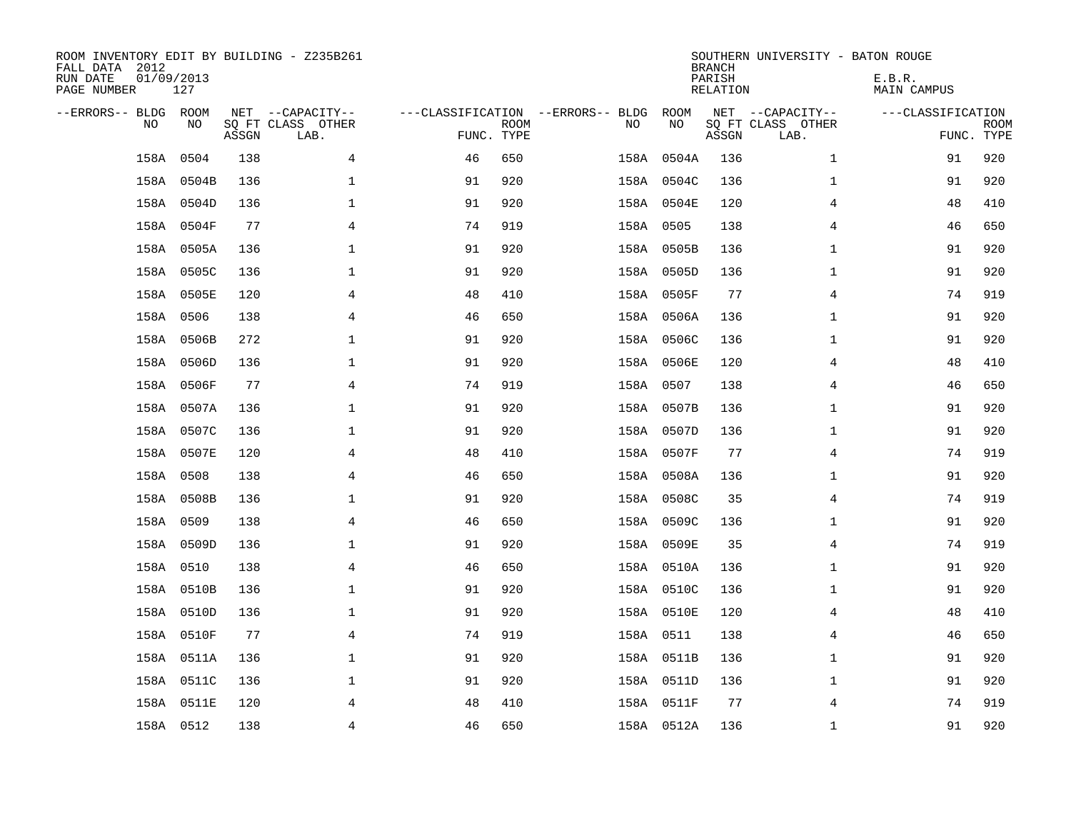| ROOM INVENTORY EDIT BY BUILDING - Z235B261<br>FALL DATA 2012<br>RUN DATE<br>PAGE NUMBER | 01/09/2013<br>127 |       |                                               |                                                 |             |           |            | <b>BRANCH</b><br>PARISH<br><b>RELATION</b> | SOUTHERN UNIVERSITY - BATON ROUGE             | E.B.R.<br><b>MAIN CAMPUS</b> |                           |
|-----------------------------------------------------------------------------------------|-------------------|-------|-----------------------------------------------|-------------------------------------------------|-------------|-----------|------------|--------------------------------------------|-----------------------------------------------|------------------------------|---------------------------|
| --ERRORS-- BLDG ROOM<br>NO                                                              | NO                | ASSGN | NET --CAPACITY--<br>SQ FT CLASS OTHER<br>LAB. | ---CLASSIFICATION --ERRORS-- BLDG<br>FUNC. TYPE | <b>ROOM</b> | NO        | ROOM<br>NO | ASSGN                                      | NET --CAPACITY--<br>SQ FT CLASS OTHER<br>LAB. | ---CLASSIFICATION            | <b>ROOM</b><br>FUNC. TYPE |
| 158A                                                                                    | 0504              | 138   | 4                                             | 46                                              | 650         |           | 158A 0504A | 136                                        | $\mathbf{1}$                                  | 91                           | 920                       |
|                                                                                         | 158A 0504B        | 136   | 1                                             | 91                                              | 920         |           | 158A 0504C | 136                                        | $\mathbf{1}$                                  | 91                           | 920                       |
|                                                                                         | 158A 0504D        | 136   | 1                                             | 91                                              | 920         |           | 158A 0504E | 120                                        | 4                                             | 48                           | 410                       |
|                                                                                         | 158A 0504F        | 77    | $\overline{4}$                                | 74                                              | 919         | 158A 0505 |            | 138                                        | 4                                             | 46                           | 650                       |
|                                                                                         | 158A 0505A        | 136   | $\mathbf{1}$                                  | 91                                              | 920         |           | 158A 0505B | 136                                        | $\mathbf{1}$                                  | 91                           | 920                       |
|                                                                                         | 158A 0505C        | 136   | $\mathbf 1$                                   | 91                                              | 920         |           | 158A 0505D | 136                                        | $\mathbf{1}$                                  | 91                           | 920                       |
|                                                                                         | 158A 0505E        | 120   | 4                                             | 48                                              | 410         |           | 158A 0505F | 77                                         | 4                                             | 74                           | 919                       |
|                                                                                         | 158A 0506         | 138   | 4                                             | 46                                              | 650         |           | 158A 0506A | 136                                        | $\mathbf{1}$                                  | 91                           | 920                       |
|                                                                                         | 158A 0506B        | 272   | $\mathbf 1$                                   | 91                                              | 920         |           | 158A 0506C | 136                                        | $\mathbf{1}$                                  | 91                           | 920                       |
|                                                                                         | 158A 0506D        | 136   | $\mathbf 1$                                   | 91                                              | 920         |           | 158A 0506E | 120                                        | 4                                             | 48                           | 410                       |
|                                                                                         | 158A 0506F        | 77    | $\overline{4}$                                | 74                                              | 919         | 158A 0507 |            | 138                                        | 4                                             | 46                           | 650                       |
|                                                                                         | 158A 0507A        | 136   | $\mathbf{1}$                                  | 91                                              | 920         |           | 158A 0507B | 136                                        | $\mathbf{1}$                                  | 91                           | 920                       |
|                                                                                         | 158A 0507C        | 136   | $\mathbf 1$                                   | 91                                              | 920         |           | 158A 0507D | 136                                        | $\mathbf{1}$                                  | 91                           | 920                       |
|                                                                                         | 158A 0507E        | 120   | 4                                             | 48                                              | 410         |           | 158A 0507F | 77                                         | 4                                             | 74                           | 919                       |
|                                                                                         | 158A 0508         | 138   | 4                                             | 46                                              | 650         |           | 158A 0508A | 136                                        | $\mathbf{1}$                                  | 91                           | 920                       |
|                                                                                         | 158A 0508B        | 136   | 1                                             | 91                                              | 920         |           | 158A 0508C | 35                                         | 4                                             | 74                           | 919                       |
|                                                                                         | 158A 0509         | 138   | $\overline{4}$                                | 46                                              | 650         |           | 158A 0509C | 136                                        | $\mathbf{1}$                                  | 91                           | 920                       |
|                                                                                         | 158A 0509D        | 136   | $\mathbf 1$                                   | 91                                              | 920         |           | 158A 0509E | 35                                         | $\overline{4}$                                | 74                           | 919                       |
|                                                                                         | 158A 0510         | 138   | 4                                             | 46                                              | 650         |           | 158A 0510A | 136                                        | $\mathbf{1}$                                  | 91                           | 920                       |
|                                                                                         | 158A 0510B        | 136   | 1                                             | 91                                              | 920         |           | 158A 0510C | 136                                        | $\mathbf{1}$                                  | 91                           | 920                       |
|                                                                                         | 158A 0510D        | 136   | $\mathbf 1$                                   | 91                                              | 920         |           | 158A 0510E | 120                                        | 4                                             | 48                           | 410                       |
|                                                                                         | 158A 0510F        | 77    | $\overline{4}$                                | 74                                              | 919         | 158A 0511 |            | 138                                        | 4                                             | 46                           | 650                       |
|                                                                                         | 158A 0511A        | 136   | $\mathbf 1$                                   | 91                                              | 920         |           | 158A 0511B | 136                                        | $\mathbf{1}$                                  | 91                           | 920                       |
|                                                                                         | 158A 0511C        | 136   | $\mathbf 1$                                   | 91                                              | 920         |           | 158A 0511D | 136                                        | $\mathbf{1}$                                  | 91                           | 920                       |
|                                                                                         | 158A 0511E        | 120   | 4                                             | 48                                              | 410         |           | 158A 0511F | 77                                         | 4                                             | 74                           | 919                       |
|                                                                                         | 158A 0512         | 138   | 4                                             | 46                                              | 650         |           | 158A 0512A | 136                                        | $\mathbf{1}$                                  | 91                           | 920                       |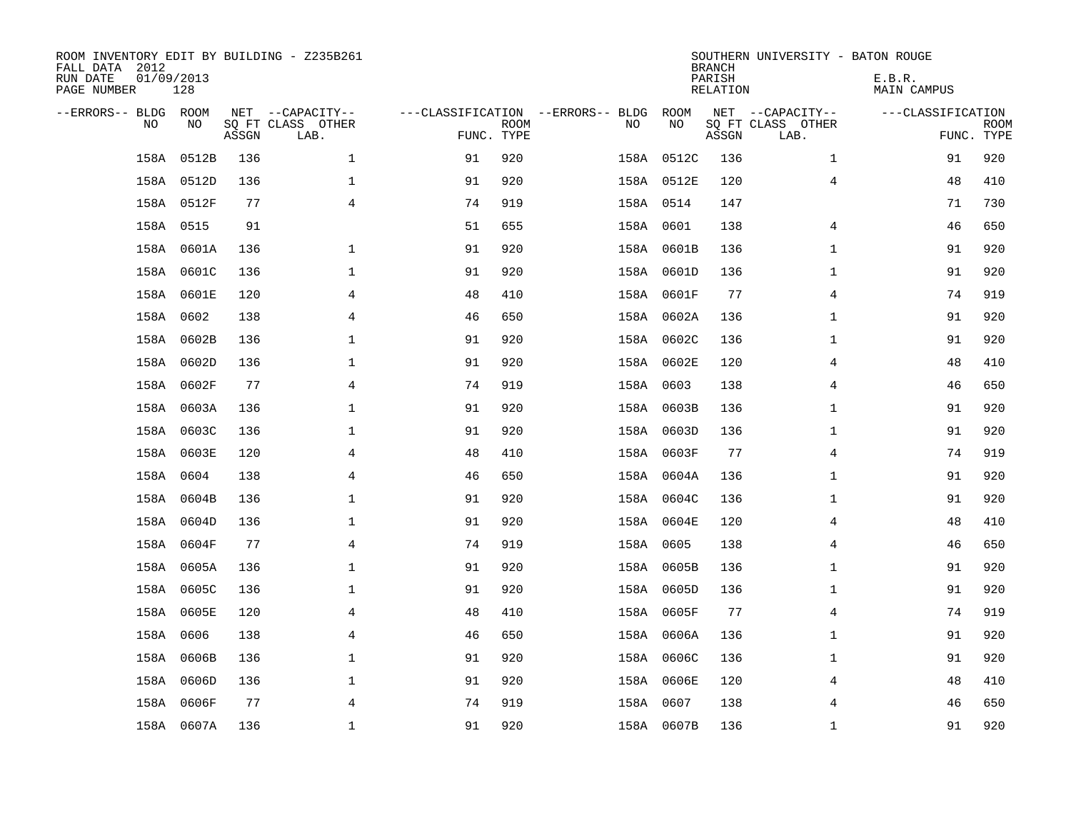| ROOM INVENTORY EDIT BY BUILDING - Z235B261<br>FALL DATA 2012<br>RUN DATE<br>PAGE NUMBER | 01/09/2013<br>128 |       |                           |            |             |                                   |            | <b>BRANCH</b><br>PARISH<br>RELATION | SOUTHERN UNIVERSITY - BATON ROUGE | E.B.R.<br>MAIN CAMPUS |                           |
|-----------------------------------------------------------------------------------------|-------------------|-------|---------------------------|------------|-------------|-----------------------------------|------------|-------------------------------------|-----------------------------------|-----------------------|---------------------------|
| --ERRORS-- BLDG ROOM                                                                    |                   |       | NET --CAPACITY--          |            |             | ---CLASSIFICATION --ERRORS-- BLDG | ROOM       |                                     | NET --CAPACITY--                  | ---CLASSIFICATION     |                           |
| N <sub>O</sub>                                                                          | NO.               | ASSGN | SO FT CLASS OTHER<br>LAB. | FUNC. TYPE | <b>ROOM</b> | NO.                               | NO         | ASSGN                               | SQ FT CLASS OTHER<br>LAB.         |                       | <b>ROOM</b><br>FUNC. TYPE |
| 158A                                                                                    | 0512B             | 136   | $\mathbf 1$               | 91         | 920         |                                   | 158A 0512C | 136                                 | $\mathbf{1}$                      | 91                    | 920                       |
|                                                                                         | 158A 0512D        | 136   | $\mathbf{1}$              | 91         | 920         |                                   | 158A 0512E | 120                                 | $\overline{4}$                    | 48                    | 410                       |
|                                                                                         | 158A 0512F        | 77    | 4                         | 74         | 919         |                                   | 158A 0514  | 147                                 |                                   | 71                    | 730                       |
|                                                                                         | 158A 0515         | 91    |                           | 51         | 655         |                                   | 158A 0601  | 138                                 | 4                                 | 46                    | 650                       |
|                                                                                         | 158A 0601A        | 136   | $\mathbf 1$               | 91         | 920         |                                   | 158A 0601B | 136                                 | $\mathbf{1}$                      | 91                    | 920                       |
|                                                                                         | 158A 0601C        | 136   | $\mathbf 1$               | 91         | 920         |                                   | 158A 0601D | 136                                 | $\mathbf{1}$                      | 91                    | 920                       |
|                                                                                         | 158A 0601E        | 120   | $\overline{4}$            | 48         | 410         |                                   | 158A 0601F | 77                                  | $\overline{4}$                    | 74                    | 919                       |
|                                                                                         | 158A 0602         | 138   | 4                         | 46         | 650         |                                   | 158A 0602A | 136                                 | $\mathbf{1}$                      | 91                    | 920                       |
|                                                                                         | 158A 0602B        | 136   | $\mathbf 1$               | 91         | 920         |                                   | 158A 0602C | 136                                 | $\mathbf{1}$                      | 91                    | 920                       |
|                                                                                         | 158A 0602D        | 136   | $\mathbf 1$               | 91         | 920         |                                   | 158A 0602E | 120                                 | 4                                 | 48                    | 410                       |
|                                                                                         | 158A 0602F        | 77    | $\overline{4}$            | 74         | 919         |                                   | 158A 0603  | 138                                 | 4                                 | 46                    | 650                       |
|                                                                                         | 158A 0603A        | 136   | $\mathbf{1}$              | 91         | 920         |                                   | 158A 0603B | 136                                 | $\mathbf{1}$                      | 91                    | 920                       |
| 158A                                                                                    | 0603C             | 136   | $\mathbf 1$               | 91         | 920         |                                   | 158A 0603D | 136                                 | $\mathbf{1}$                      | 91                    | 920                       |
|                                                                                         | 158A 0603E        | 120   | 4                         | 48         | 410         |                                   | 158A 0603F | 77                                  | 4                                 | 74                    | 919                       |
| 158A                                                                                    | 0604              | 138   | 4                         | 46         | 650         |                                   | 158A 0604A | 136                                 | $\mathbf{1}$                      | 91                    | 920                       |
|                                                                                         | 158A 0604B        | 136   | $\mathbf{1}$              | 91         | 920         |                                   | 158A 0604C | 136                                 | $\mathbf{1}$                      | 91                    | 920                       |
|                                                                                         | 158A 0604D        | 136   | $\mathbf{1}$              | 91         | 920         |                                   | 158A 0604E | 120                                 | $\overline{4}$                    | 48                    | 410                       |
|                                                                                         | 158A 0604F        | 77    | $\overline{4}$            | 74         | 919         |                                   | 158A 0605  | 138                                 | 4                                 | 46                    | 650                       |
|                                                                                         | 158A 0605A        | 136   | $\mathbf 1$               | 91         | 920         |                                   | 158A 0605B | 136                                 | $\mathbf{1}$                      | 91                    | 920                       |
|                                                                                         | 158A 0605C        | 136   | $\mathbf 1$               | 91         | 920         |                                   | 158A 0605D | 136                                 | $\mathbf{1}$                      | 91                    | 920                       |
|                                                                                         | 158A 0605E        | 120   | $\overline{4}$            | 48         | 410         |                                   | 158A 0605F | 77                                  | $\overline{4}$                    | 74                    | 919                       |
| 158A                                                                                    | 0606              | 138   | 4                         | 46         | 650         |                                   | 158A 0606A | 136                                 | $\mathbf{1}$                      | 91                    | 920                       |
|                                                                                         | 158A 0606B        | 136   | $\mathbf 1$               | 91         | 920         |                                   | 158A 0606C | 136                                 | $\mathbf{1}$                      | 91                    | 920                       |
|                                                                                         | 158A 0606D        | 136   | $\mathbf 1$               | 91         | 920         |                                   | 158A 0606E | 120                                 | 4                                 | 48                    | 410                       |
|                                                                                         | 158A 0606F        | 77    | 4                         | 74         | 919         |                                   | 158A 0607  | 138                                 | 4                                 | 46                    | 650                       |
|                                                                                         | 158A 0607A        | 136   | $\mathbf{1}$              | 91         | 920         |                                   | 158A 0607B | 136                                 | $\mathbf{1}$                      | 91                    | 920                       |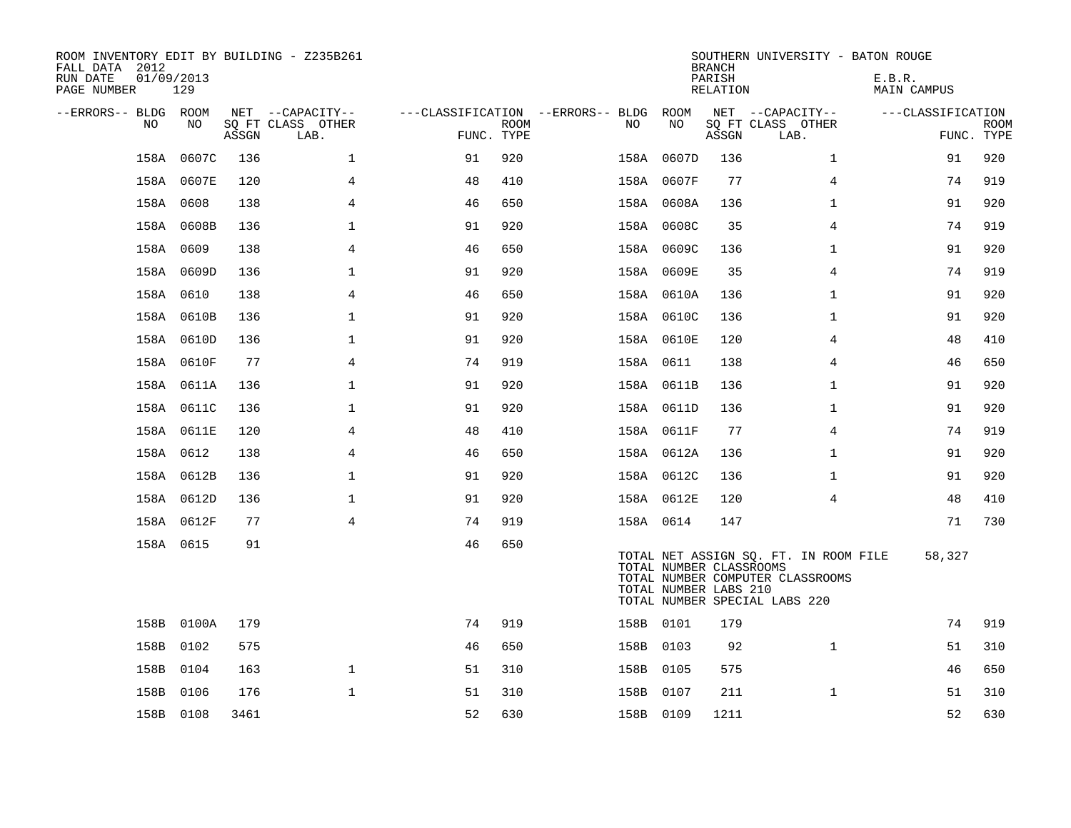| ROOM INVENTORY EDIT BY BUILDING - Z235B261<br>FALL DATA 2012<br>RUN DATE<br>PAGE NUMBER | 01/09/2013<br>129 |       |                           |            |             |                                   |                                                  | <b>BRANCH</b><br>PARISH<br>RELATION | SOUTHERN UNIVERSITY - BATON ROUGE                                                                          | E.B.R.<br>MAIN CAMPUS |                           |
|-----------------------------------------------------------------------------------------|-------------------|-------|---------------------------|------------|-------------|-----------------------------------|--------------------------------------------------|-------------------------------------|------------------------------------------------------------------------------------------------------------|-----------------------|---------------------------|
| --ERRORS-- BLDG ROOM                                                                    |                   |       | NET --CAPACITY--          |            |             | ---CLASSIFICATION --ERRORS-- BLDG | ROOM                                             |                                     | NET --CAPACITY--                                                                                           | ---CLASSIFICATION     |                           |
| NO                                                                                      | NO                | ASSGN | SO FT CLASS OTHER<br>LAB. | FUNC. TYPE | <b>ROOM</b> | NO                                | NO                                               | ASSGN                               | SQ FT CLASS OTHER<br>LAB.                                                                                  |                       | <b>ROOM</b><br>FUNC. TYPE |
|                                                                                         | 158A 0607C        | 136   | $\mathbf{1}$              | 91         | 920         |                                   | 158A 0607D                                       | 136                                 | $\mathbf{1}$                                                                                               | 91                    | 920                       |
|                                                                                         | 158A 0607E        | 120   | 4                         | 48         | 410         |                                   | 158A 0607F                                       | 77                                  | 4                                                                                                          | 74                    | 919                       |
|                                                                                         | 158A 0608         | 138   | 4                         | 46         | 650         |                                   | 158A 0608A                                       | 136                                 | $\mathbf{1}$                                                                                               | 91                    | 920                       |
|                                                                                         | 158A 0608B        | 136   | $\mathbf{1}$              | 91         | 920         |                                   | 158A 0608C                                       | 35                                  | $\overline{4}$                                                                                             | 74                    | 919                       |
|                                                                                         | 158A 0609         | 138   | 4                         | 46         | 650         |                                   | 158A 0609C                                       | 136                                 | $\mathbf{1}$                                                                                               | 91                    | 920                       |
|                                                                                         | 158A 0609D        | 136   | $\mathbf{1}$              | 91         | 920         |                                   | 158A 0609E                                       | 35                                  | $\overline{4}$                                                                                             | 74                    | 919                       |
|                                                                                         | 158A 0610         | 138   | $\overline{4}$            | 46         | 650         |                                   | 158A 0610A                                       | 136                                 | $\mathbf{1}$                                                                                               | 91                    | 920                       |
|                                                                                         | 158A 0610B        | 136   | $\mathbf{1}$              | 91         | 920         |                                   | 158A 0610C                                       | 136                                 | $\mathbf{1}$                                                                                               | 91                    | 920                       |
|                                                                                         | 158A 0610D        | 136   | $\mathbf{1}$              | 91         | 920         |                                   | 158A 0610E                                       | 120                                 | $\overline{4}$                                                                                             | 48                    | 410                       |
|                                                                                         | 158A 0610F        | 77    | $\overline{4}$            | 74         | 919         | 158A 0611                         |                                                  | 138                                 | 4                                                                                                          | 46                    | 650                       |
|                                                                                         | 158A 0611A        | 136   | $\mathbf{1}$              | 91         | 920         |                                   | 158A 0611B                                       | 136                                 | $\mathbf{1}$                                                                                               | 91                    | 920                       |
|                                                                                         | 158A 0611C        | 136   | $\mathbf 1$               | 91         | 920         |                                   | 158A 0611D                                       | 136                                 | $\mathbf{1}$                                                                                               | 91                    | 920                       |
|                                                                                         | 158A 0611E        | 120   | 4                         | 48         | 410         |                                   | 158A 0611F                                       | 77                                  | 4                                                                                                          | 74                    | 919                       |
|                                                                                         | 158A 0612         | 138   | $\overline{4}$            | 46         | 650         |                                   | 158A 0612A                                       | 136                                 | $\mathbf{1}$                                                                                               | 91                    | 920                       |
|                                                                                         | 158A 0612B        | 136   | $\mathbf 1$               | 91         | 920         |                                   | 158A 0612C                                       | 136                                 | $\mathbf{1}$                                                                                               | 91                    | 920                       |
|                                                                                         | 158A 0612D        | 136   | $\mathbf 1$               | 91         | 920         |                                   | 158A 0612E                                       | 120                                 | $\overline{4}$                                                                                             | 48                    | 410                       |
|                                                                                         | 158A 0612F        | 77    | $\overline{4}$            | 74         | 919         | 158A 0614                         |                                                  | 147                                 |                                                                                                            | 71                    | 730                       |
|                                                                                         | 158A 0615         | 91    |                           | 46         | 650         |                                   | TOTAL NUMBER CLASSROOMS<br>TOTAL NUMBER LABS 210 |                                     | TOTAL NET ASSIGN SQ. FT. IN ROOM FILE<br>TOTAL NUMBER COMPUTER CLASSROOMS<br>TOTAL NUMBER SPECIAL LABS 220 | 58,327                |                           |
|                                                                                         | 158B 0100A        | 179   |                           | 74         | 919         | 158B 0101                         |                                                  | 179                                 |                                                                                                            | 74                    | 919                       |
|                                                                                         | 158B 0102         | 575   |                           | 46         | 650         | 158B 0103                         |                                                  | 92                                  | $\mathbf{1}$                                                                                               | 51                    | 310                       |
|                                                                                         | 158B 0104         | 163   | $\mathbf{1}$              | 51         | 310         | 158B 0105                         |                                                  | 575                                 |                                                                                                            | 46                    | 650                       |
| 158B                                                                                    | 0106              | 176   | $\mathbf{1}$              | 51         | 310         | 158B 0107                         |                                                  | 211                                 | $\mathbf{1}$                                                                                               | 51                    | 310                       |
|                                                                                         | 158B 0108         | 3461  |                           | 52         | 630         | 158B 0109                         |                                                  | 1211                                |                                                                                                            | 52                    | 630                       |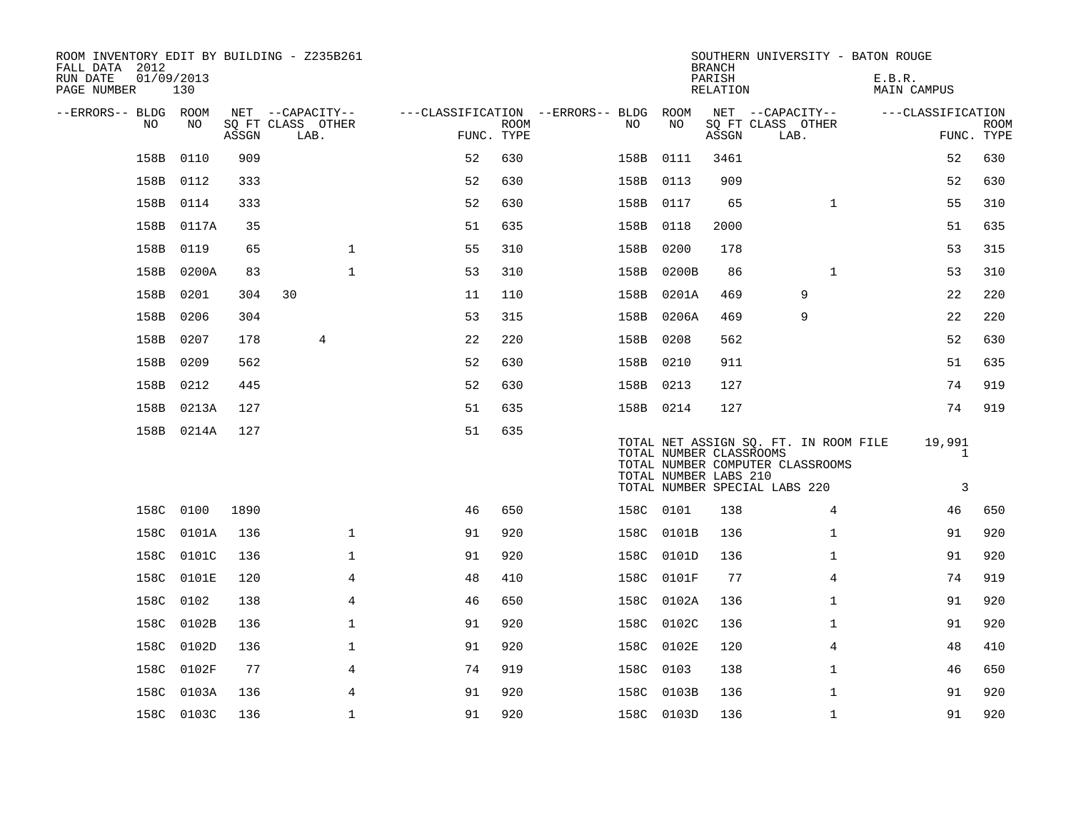| ROOM INVENTORY EDIT BY BUILDING - Z235B261<br>FALL DATA 2012<br>RUN DATE<br>PAGE NUMBER | 01/09/2013<br>130 |       |                                       |              |                                        |             |           |                                                  | <b>BRANCH</b><br>PARISH<br>RELATION |                                                                                                            |              | SOUTHERN UNIVERSITY - BATON ROUGE<br>E.B.R.<br>MAIN CAMPUS |                             |             |
|-----------------------------------------------------------------------------------------|-------------------|-------|---------------------------------------|--------------|----------------------------------------|-------------|-----------|--------------------------------------------------|-------------------------------------|------------------------------------------------------------------------------------------------------------|--------------|------------------------------------------------------------|-----------------------------|-------------|
|                                                                                         |                   |       |                                       |              |                                        |             |           |                                                  |                                     |                                                                                                            |              |                                                            |                             |             |
| --ERRORS-- BLDG ROOM<br>NO                                                              | NO                |       | NET --CAPACITY--<br>SO FT CLASS OTHER |              | ---CLASSIFICATION --ERRORS-- BLDG ROOM | <b>ROOM</b> | NO        | NO                                               |                                     | NET --CAPACITY--<br>SQ FT CLASS OTHER                                                                      |              |                                                            | ---CLASSIFICATION           | <b>ROOM</b> |
|                                                                                         |                   | ASSGN | LAB.                                  |              | FUNC. TYPE                             |             |           |                                                  | ASSGN                               | LAB.                                                                                                       |              |                                                            | FUNC. TYPE                  |             |
| 158B                                                                                    | 0110              | 909   |                                       |              | 52                                     | 630         | 158B      | 0111                                             | 3461                                |                                                                                                            |              |                                                            | 52                          | 630         |
| 158B                                                                                    | 0112              | 333   |                                       |              | 52                                     | 630         | 158B      | 0113                                             | 909                                 |                                                                                                            |              |                                                            | 52                          | 630         |
| 158B                                                                                    | 0114              | 333   |                                       |              | 52                                     | 630         | 158B 0117 |                                                  | 65                                  |                                                                                                            | $\mathbf{1}$ |                                                            | 55                          | 310         |
| 158B                                                                                    | 0117A             | 35    |                                       |              | 51                                     | 635         | 158B      | 0118                                             | 2000                                |                                                                                                            |              |                                                            | 51                          | 635         |
| 158B                                                                                    | 0119              | 65    |                                       | $\mathbf 1$  | 55                                     | 310         | 158B      | 0200                                             | 178                                 |                                                                                                            |              |                                                            | 53                          | 315         |
| 158B                                                                                    | 0200A             | 83    |                                       | $\mathbf{1}$ | 53                                     | 310         | 158B      | 0200B                                            | 86                                  |                                                                                                            | $\mathbf{1}$ |                                                            | 53                          | 310         |
| 158B                                                                                    | 0201              | 304   | 30                                    |              | 11                                     | 110         |           | 158B 0201A                                       | 469                                 |                                                                                                            | 9            |                                                            | 22                          | 220         |
| 158B                                                                                    | 0206              | 304   |                                       |              | 53                                     | 315         |           | 158B 0206A                                       | 469                                 |                                                                                                            | 9            |                                                            | 22                          | 220         |
| 158B                                                                                    | 0207              | 178   | 4                                     |              | 22                                     | 220         | 158B 0208 |                                                  | 562                                 |                                                                                                            |              |                                                            | 52                          | 630         |
| 158B                                                                                    | 0209              | 562   |                                       |              | 52                                     | 630         | 158B 0210 |                                                  | 911                                 |                                                                                                            |              |                                                            | 51                          | 635         |
| 158B                                                                                    | 0212              | 445   |                                       |              | 52                                     | 630         | 158B 0213 |                                                  | 127                                 |                                                                                                            |              |                                                            | 74                          | 919         |
| 158B                                                                                    | 0213A             | 127   |                                       |              | 51                                     | 635         | 158B 0214 |                                                  | 127                                 |                                                                                                            |              |                                                            | 74                          | 919         |
|                                                                                         | 158B 0214A        | 127   |                                       |              | 51                                     | 635         |           | TOTAL NUMBER CLASSROOMS<br>TOTAL NUMBER LABS 210 |                                     | TOTAL NET ASSIGN SQ. FT. IN ROOM FILE<br>TOTAL NUMBER COMPUTER CLASSROOMS<br>TOTAL NUMBER SPECIAL LABS 220 |              |                                                            | 19,991<br>$\mathbf{1}$<br>3 |             |
|                                                                                         | 158C 0100         | 1890  |                                       |              | 46                                     | 650         | 158C 0101 |                                                  | 138                                 |                                                                                                            | 4            |                                                            | 46                          | 650         |
| 158C                                                                                    | 0101A             | 136   |                                       | $\mathbf{1}$ | 91                                     | 920         |           | 158C 0101B                                       | 136                                 |                                                                                                            | $\mathbf{1}$ |                                                            | 91                          | 920         |
| 158C                                                                                    | 0101C             | 136   |                                       | $\mathbf 1$  | 91                                     | 920         |           | 158C 0101D                                       | 136                                 |                                                                                                            | $\mathbf{1}$ |                                                            | 91                          | 920         |
|                                                                                         | 158C 0101E        | 120   |                                       | 4            | 48                                     | 410         | 158C      | 0101F                                            | 77                                  |                                                                                                            | 4            |                                                            | 74                          | 919         |
| 158C                                                                                    | 0102              | 138   |                                       | 4            | 46                                     | 650         |           | 158C 0102A                                       | 136                                 |                                                                                                            | $\mathbf{1}$ |                                                            | 91                          | 920         |
| 158C                                                                                    | 0102B             | 136   |                                       | $\mathbf 1$  | 91                                     | 920         | 158C      | 0102C                                            | 136                                 |                                                                                                            | $\mathbf{1}$ |                                                            | 91                          | 920         |
| 158C                                                                                    | 0102D             | 136   |                                       | $\mathbf 1$  | 91                                     | 920         |           | 158C 0102E                                       | 120                                 |                                                                                                            | 4            |                                                            | 48                          | 410         |
| 158C                                                                                    | 0102F             | 77    |                                       | 4            | 74                                     | 919         | 158C      | 0103                                             | 138                                 |                                                                                                            | $\mathbf{1}$ |                                                            | 46                          | 650         |
| 158C                                                                                    | 0103A             | 136   |                                       | 4            | 91                                     | 920         | 158C      | 0103B                                            | 136                                 |                                                                                                            | $\mathbf{1}$ |                                                            | 91                          | 920         |
|                                                                                         | 158C 0103C        | 136   |                                       | $\mathbf 1$  | 91                                     | 920         |           | 158C 0103D                                       | 136                                 |                                                                                                            | $\mathbf{1}$ |                                                            | 91                          | 920         |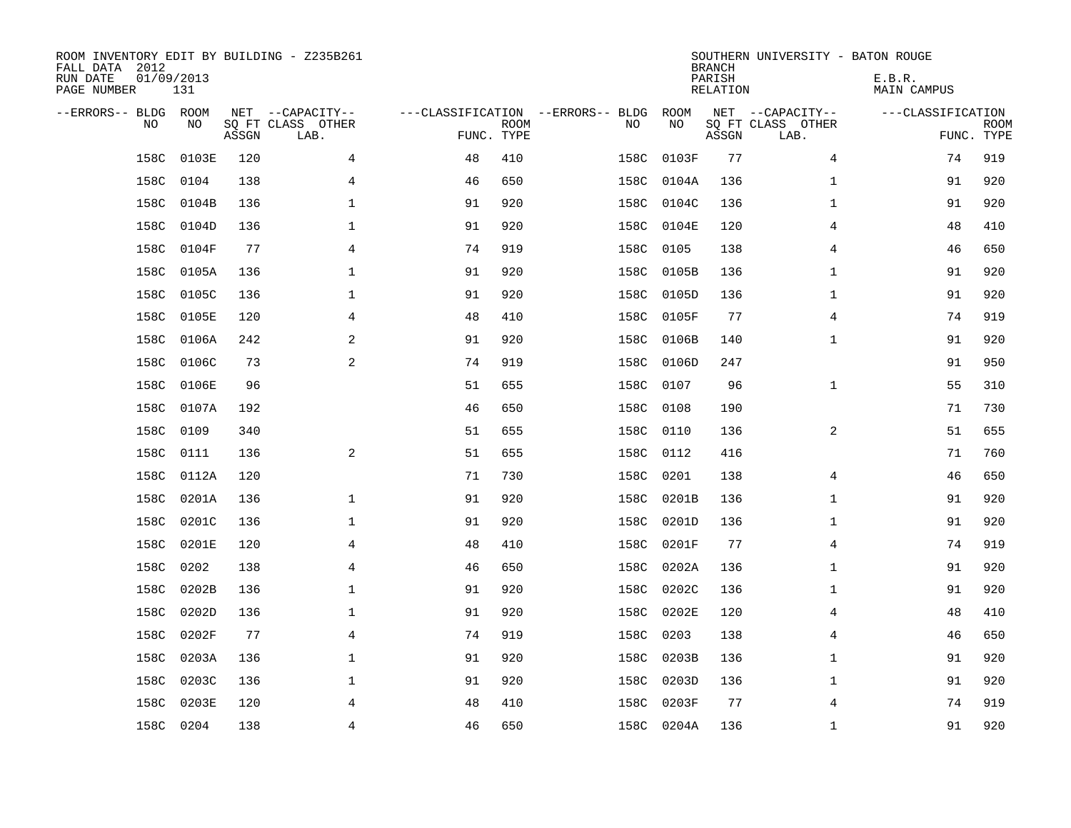| ROOM INVENTORY EDIT BY BUILDING - Z235B261<br>FALL DATA 2012<br>RUN DATE<br>PAGE NUMBER | 01/09/2013<br>131 |       |                                               |                                                 |             |      |            | <b>BRANCH</b><br>PARISH<br><b>RELATION</b> | SOUTHERN UNIVERSITY - BATON ROUGE             | E.B.R.<br><b>MAIN CAMPUS</b> |                           |
|-----------------------------------------------------------------------------------------|-------------------|-------|-----------------------------------------------|-------------------------------------------------|-------------|------|------------|--------------------------------------------|-----------------------------------------------|------------------------------|---------------------------|
| --ERRORS-- BLDG ROOM<br>NO                                                              | NO                | ASSGN | NET --CAPACITY--<br>SQ FT CLASS OTHER<br>LAB. | ---CLASSIFICATION --ERRORS-- BLDG<br>FUNC. TYPE | <b>ROOM</b> | NO   | ROOM<br>NO | ASSGN                                      | NET --CAPACITY--<br>SQ FT CLASS OTHER<br>LAB. | ---CLASSIFICATION            | <b>ROOM</b><br>FUNC. TYPE |
| 158C                                                                                    | 0103E             | 120   | 4                                             | 48                                              | 410         | 158C | 0103F      | 77                                         | 4                                             | 74                           | 919                       |
| 158C                                                                                    | 0104              | 138   | 4                                             | 46                                              | 650         | 158C | 0104A      | 136                                        | $\mathbf{1}$                                  | 91                           | 920                       |
| 158C                                                                                    | 0104B             | 136   | $\mathbf 1$                                   | 91                                              | 920         | 158C | 0104C      | 136                                        | $\mathbf{1}$                                  | 91                           | 920                       |
| 158C                                                                                    | 0104D             | 136   | $\mathbf 1$                                   | 91                                              | 920         | 158C | 0104E      | 120                                        | 4                                             | 48                           | 410                       |
| 158C                                                                                    | 0104F             | 77    | $\overline{4}$                                | 74                                              | 919         | 158C | 0105       | 138                                        | $\overline{4}$                                | 46                           | 650                       |
| 158C                                                                                    | 0105A             | 136   | $\mathbf 1$                                   | 91                                              | 920         | 158C | 0105B      | 136                                        | $\mathbf{1}$                                  | 91                           | 920                       |
| 158C                                                                                    | 0105C             | 136   | $\mathbf 1$                                   | 91                                              | 920         | 158C | 0105D      | 136                                        | $\mathbf{1}$                                  | 91                           | 920                       |
| 158C                                                                                    | 0105E             | 120   | 4                                             | 48                                              | 410         | 158C | 0105F      | 77                                         | 4                                             | 74                           | 919                       |
| 158C                                                                                    | 0106A             | 242   | 2                                             | 91                                              | 920         | 158C | 0106B      | 140                                        | $\mathbf{1}$                                  | 91                           | 920                       |
| 158C                                                                                    | 0106C             | 73    | 2                                             | 74                                              | 919         | 158C | 0106D      | 247                                        |                                               | 91                           | 950                       |
| 158C                                                                                    | 0106E             | 96    |                                               | 51                                              | 655         | 158C | 0107       | 96                                         | $\mathbf{1}$                                  | 55                           | 310                       |
| 158C                                                                                    | 0107A             | 192   |                                               | 46                                              | 650         | 158C | 0108       | 190                                        |                                               | 71                           | 730                       |
| 158C                                                                                    | 0109              | 340   |                                               | 51                                              | 655         | 158C | 0110       | 136                                        | 2                                             | 51                           | 655                       |
| 158C                                                                                    | 0111              | 136   | $\overline{a}$                                | 51                                              | 655         | 158C | 0112       | 416                                        |                                               | 71                           | 760                       |
| 158C                                                                                    | 0112A             | 120   |                                               | 71                                              | 730         | 158C | 0201       | 138                                        | 4                                             | 46                           | 650                       |
| 158C                                                                                    | 0201A             | 136   | $\mathbf 1$                                   | 91                                              | 920         | 158C | 0201B      | 136                                        | $\mathbf{1}$                                  | 91                           | 920                       |
| 158C                                                                                    | 0201C             | 136   | $\mathbf 1$                                   | 91                                              | 920         | 158C | 0201D      | 136                                        | $\mathbf{1}$                                  | 91                           | 920                       |
| 158C                                                                                    | 0201E             | 120   | $\overline{4}$                                | 48                                              | 410         | 158C | 0201F      | 77                                         | $\overline{4}$                                | 74                           | 919                       |
| 158C                                                                                    | 0202              | 138   | 4                                             | 46                                              | 650         | 158C | 0202A      | 136                                        | $\mathbf{1}$                                  | 91                           | 920                       |
| 158C                                                                                    | 0202B             | 136   | $\mathbf 1$                                   | 91                                              | 920         | 158C | 0202C      | 136                                        | $\mathbf{1}$                                  | 91                           | 920                       |
| 158C                                                                                    | 0202D             | 136   | $\mathbf 1$                                   | 91                                              | 920         | 158C | 0202E      | 120                                        | 4                                             | 48                           | 410                       |
| 158C                                                                                    | 0202F             | 77    | $\overline{4}$                                | 74                                              | 919         | 158C | 0203       | 138                                        | 4                                             | 46                           | 650                       |
| 158C                                                                                    | 0203A             | 136   | $\mathbf 1$                                   | 91                                              | 920         | 158C | 0203B      | 136                                        | $\mathbf{1}$                                  | 91                           | 920                       |
| 158C                                                                                    | 0203C             | 136   | $\mathbf 1$                                   | 91                                              | 920         | 158C | 0203D      | 136                                        | $\mathbf{1}$                                  | 91                           | 920                       |
| 158C                                                                                    | 0203E             | 120   | 4                                             | 48                                              | 410         | 158C | 0203F      | 77                                         | 4                                             | 74                           | 919                       |
|                                                                                         | 158C 0204         | 138   | 4                                             | 46                                              | 650         |      | 158C 0204A | 136                                        | $\mathbf{1}$                                  | 91                           | 920                       |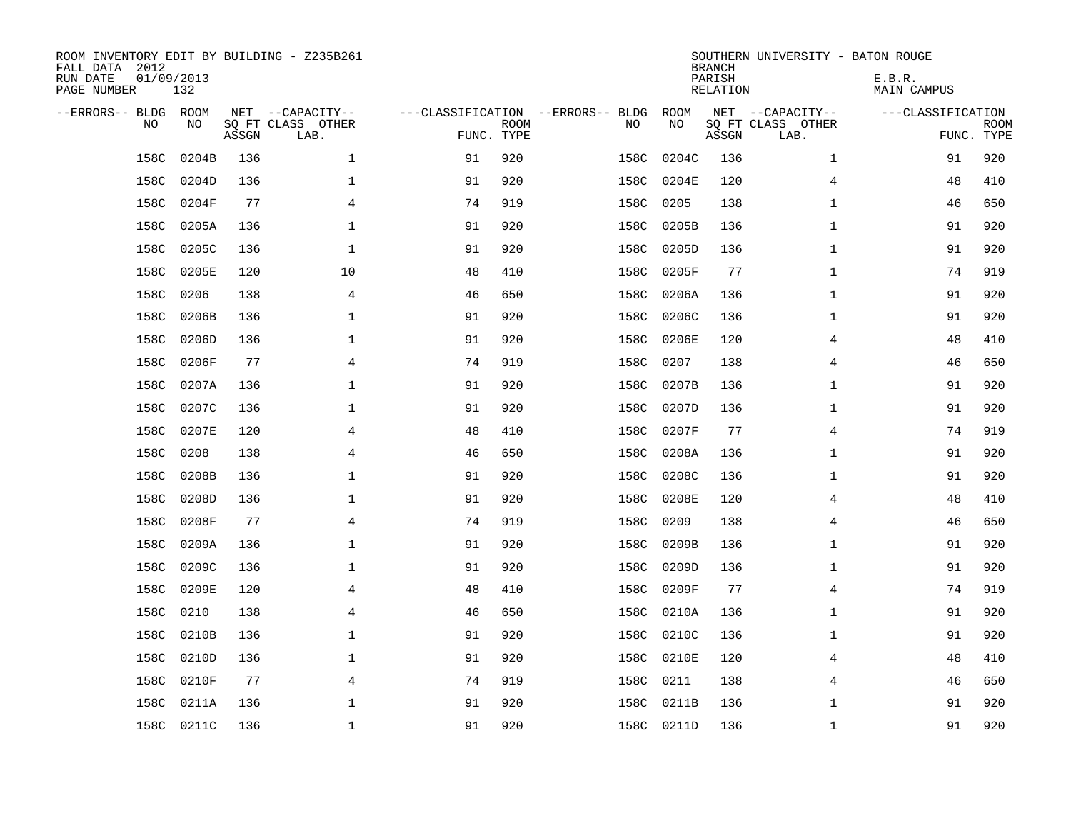| ROOM INVENTORY EDIT BY BUILDING - Z235B261<br>FALL DATA 2012<br>RUN DATE<br>PAGE NUMBER | 01/09/2013<br>132 |       |                                               |                                                 |             |      |            | <b>BRANCH</b><br>PARISH<br><b>RELATION</b> | SOUTHERN UNIVERSITY - BATON ROUGE             | E.B.R.<br><b>MAIN CAMPUS</b> |                           |
|-----------------------------------------------------------------------------------------|-------------------|-------|-----------------------------------------------|-------------------------------------------------|-------------|------|------------|--------------------------------------------|-----------------------------------------------|------------------------------|---------------------------|
| --ERRORS-- BLDG ROOM<br>NO                                                              | NO                | ASSGN | NET --CAPACITY--<br>SQ FT CLASS OTHER<br>LAB. | ---CLASSIFICATION --ERRORS-- BLDG<br>FUNC. TYPE | <b>ROOM</b> | NO   | ROOM<br>NO | ASSGN                                      | NET --CAPACITY--<br>SQ FT CLASS OTHER<br>LAB. | ---CLASSIFICATION            | <b>ROOM</b><br>FUNC. TYPE |
| 158C                                                                                    | 0204B             | 136   | $\mathbf 1$                                   | 91                                              | 920         | 158C | 0204C      | 136                                        | $\mathbf{1}$                                  | 91                           | 920                       |
| 158C                                                                                    | 0204D             | 136   | $\mathbf 1$                                   | 91                                              | 920         | 158C | 0204E      | 120                                        | 4                                             | 48                           | 410                       |
| 158C                                                                                    | 0204F             | 77    | 4                                             | 74                                              | 919         | 158C | 0205       | 138                                        | $\mathbf{1}$                                  | 46                           | 650                       |
| 158C                                                                                    | 0205A             | 136   | $\mathbf 1$                                   | 91                                              | 920         | 158C | 0205B      | 136                                        | $\mathbf{1}$                                  | 91                           | 920                       |
| 158C                                                                                    | 0205C             | 136   | $\mathbf{1}$                                  | 91                                              | 920         | 158C | 0205D      | 136                                        | $\mathbf{1}$                                  | 91                           | 920                       |
| 158C                                                                                    | 0205E             | 120   | 10                                            | 48                                              | 410         | 158C | 0205F      | 77                                         | $\mathbf{1}$                                  | 74                           | 919                       |
| 158C                                                                                    | 0206              | 138   | 4                                             | 46                                              | 650         | 158C | 0206A      | 136                                        | $\mathbf{1}$                                  | 91                           | 920                       |
| 158C                                                                                    | 0206B             | 136   | $\mathbf 1$                                   | 91                                              | 920         | 158C | 0206C      | 136                                        | $\mathbf{1}$                                  | 91                           | 920                       |
| 158C                                                                                    | 0206D             | 136   | $\mathbf 1$                                   | 91                                              | 920         | 158C | 0206E      | 120                                        | 4                                             | 48                           | 410                       |
| 158C                                                                                    | 0206F             | 77    | $\overline{4}$                                | 74                                              | 919         | 158C | 0207       | 138                                        | 4                                             | 46                           | 650                       |
| 158C                                                                                    | 0207A             | 136   | $\mathbf 1$                                   | 91                                              | 920         | 158C | 0207B      | 136                                        | $\mathbf{1}$                                  | 91                           | 920                       |
| 158C                                                                                    | 0207C             | 136   | $\mathbf{1}$                                  | 91                                              | 920         | 158C | 0207D      | 136                                        | $\mathbf{1}$                                  | 91                           | 920                       |
| 158C                                                                                    | 0207E             | 120   | 4                                             | 48                                              | 410         | 158C | 0207F      | 77                                         | 4                                             | 74                           | 919                       |
| 158C                                                                                    | 0208              | 138   | 4                                             | 46                                              | 650         | 158C | 0208A      | 136                                        | $\mathbf{1}$                                  | 91                           | 920                       |
| 158C                                                                                    | 0208B             | 136   | 1                                             | 91                                              | 920         | 158C | 0208C      | 136                                        | 1                                             | 91                           | 920                       |
| 158C                                                                                    | 0208D             | 136   | 1                                             | 91                                              | 920         | 158C | 0208E      | 120                                        | 4                                             | 48                           | 410                       |
| 158C                                                                                    | 0208F             | 77    | 4                                             | 74                                              | 919         | 158C | 0209       | 138                                        | 4                                             | 46                           | 650                       |
| 158C                                                                                    | 0209A             | 136   | $\mathbf 1$                                   | 91                                              | 920         | 158C | 0209B      | 136                                        | $\mathbf{1}$                                  | 91                           | 920                       |
| 158C                                                                                    | 0209C             | 136   | 1                                             | 91                                              | 920         | 158C | 0209D      | 136                                        | $\mathbf{1}$                                  | 91                           | 920                       |
| 158C                                                                                    | 0209E             | 120   | 4                                             | 48                                              | 410         | 158C | 0209F      | 77                                         | 4                                             | 74                           | 919                       |
| 158C                                                                                    | 0210              | 138   | 4                                             | 46                                              | 650         | 158C | 0210A      | 136                                        | $\mathbf{1}$                                  | 91                           | 920                       |
| 158C                                                                                    | 0210B             | 136   | 1                                             | 91                                              | 920         | 158C | 0210C      | 136                                        | $\mathbf{1}$                                  | 91                           | 920                       |
| 158C                                                                                    | 0210D             | 136   | 1                                             | 91                                              | 920         | 158C | 0210E      | 120                                        | 4                                             | 48                           | 410                       |
| 158C                                                                                    | 0210F             | 77    | 4                                             | 74                                              | 919         | 158C | 0211       | 138                                        | 4                                             | 46                           | 650                       |
| 158C                                                                                    | 0211A             | 136   | $\mathbf 1$                                   | 91                                              | 920         | 158C | 0211B      | 136                                        | $\mathbf{1}$                                  | 91                           | 920                       |
|                                                                                         | 158C 0211C        | 136   | $\mathbf{1}$                                  | 91                                              | 920         |      | 158C 0211D | 136                                        | $\mathbf{1}$                                  | 91                           | 920                       |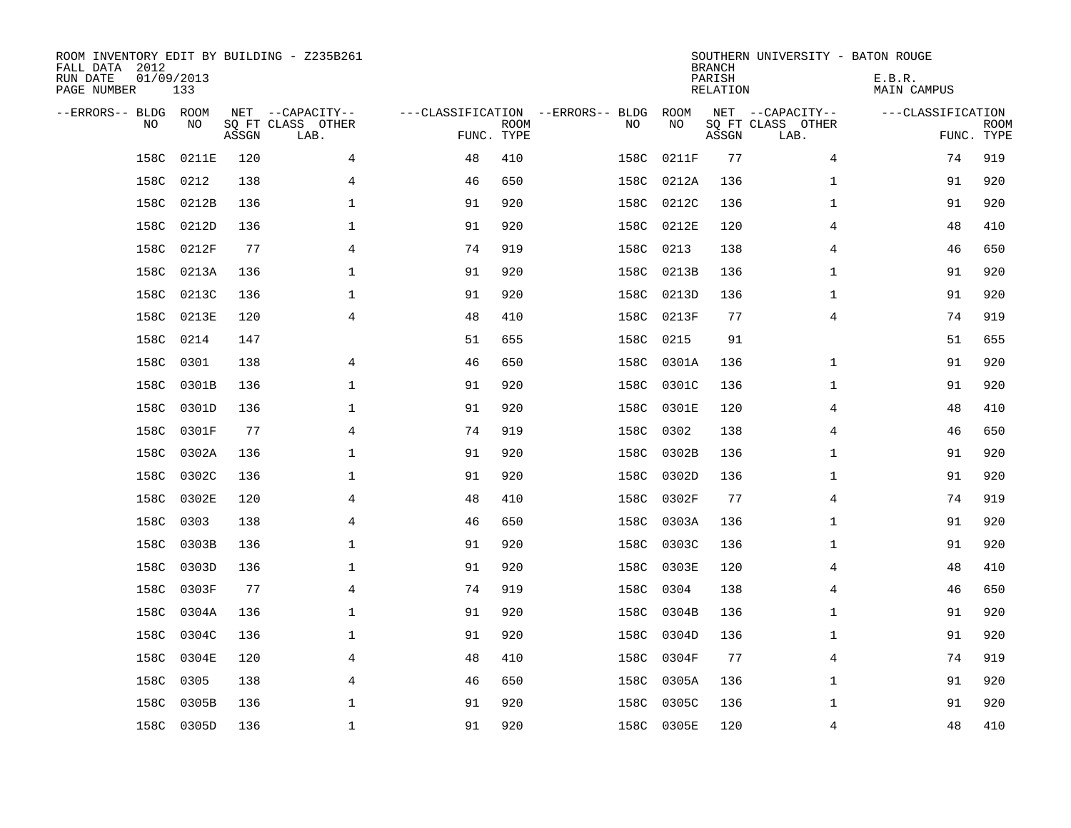| ROOM INVENTORY EDIT BY BUILDING - Z235B261<br>FALL DATA 2012<br>RUN DATE<br>PAGE NUMBER | 01/09/2013<br>133 |       |                                               |                                                 |             |      |            | <b>BRANCH</b><br>PARISH<br><b>RELATION</b> | SOUTHERN UNIVERSITY - BATON ROUGE             | E.B.R.<br><b>MAIN CAMPUS</b> |                           |
|-----------------------------------------------------------------------------------------|-------------------|-------|-----------------------------------------------|-------------------------------------------------|-------------|------|------------|--------------------------------------------|-----------------------------------------------|------------------------------|---------------------------|
| --ERRORS-- BLDG ROOM<br>NO                                                              | NO                | ASSGN | NET --CAPACITY--<br>SQ FT CLASS OTHER<br>LAB. | ---CLASSIFICATION --ERRORS-- BLDG<br>FUNC. TYPE | <b>ROOM</b> | NO   | ROOM<br>NO | ASSGN                                      | NET --CAPACITY--<br>SQ FT CLASS OTHER<br>LAB. | ---CLASSIFICATION            | <b>ROOM</b><br>FUNC. TYPE |
| 158C                                                                                    | 0211E             | 120   | 4                                             | 48                                              | 410         | 158C | 0211F      | 77                                         | 4                                             | 74                           | 919                       |
| 158C                                                                                    | 0212              | 138   | 4                                             | 46                                              | 650         | 158C | 0212A      | 136                                        | $\mathbf{1}$                                  | 91                           | 920                       |
| 158C                                                                                    | 0212B             | 136   | 1                                             | 91                                              | 920         | 158C | 0212C      | 136                                        | $\mathbf{1}$                                  | 91                           | 920                       |
| 158C                                                                                    | 0212D             | 136   | $\mathbf 1$                                   | 91                                              | 920         | 158C | 0212E      | 120                                        | 4                                             | 48                           | 410                       |
| 158C                                                                                    | 0212F             | 77    | 4                                             | 74                                              | 919         | 158C | 0213       | 138                                        | 4                                             | 46                           | 650                       |
| 158C                                                                                    | 0213A             | 136   | $\mathbf{1}$                                  | 91                                              | 920         | 158C | 0213B      | 136                                        | $\mathbf{1}$                                  | 91                           | 920                       |
| 158C                                                                                    | 0213C             | 136   | $\mathbf{1}$                                  | 91                                              | 920         | 158C | 0213D      | 136                                        | $\mathbf{1}$                                  | 91                           | 920                       |
| 158C                                                                                    | 0213E             | 120   | $\overline{4}$                                | 48                                              | 410         | 158C | 0213F      | 77                                         | $\overline{4}$                                | 74                           | 919                       |
| 158C                                                                                    | 0214              | 147   |                                               | 51                                              | 655         | 158C | 0215       | 91                                         |                                               | 51                           | 655                       |
| 158C                                                                                    | 0301              | 138   | 4                                             | 46                                              | 650         | 158C | 0301A      | 136                                        | $\mathbf{1}$                                  | 91                           | 920                       |
| 158C                                                                                    | 0301B             | 136   | $\mathbf 1$                                   | 91                                              | 920         | 158C | 0301C      | 136                                        | $\mathbf{1}$                                  | 91                           | 920                       |
| 158C                                                                                    | 0301D             | 136   | $\mathbf 1$                                   | 91                                              | 920         | 158C | 0301E      | 120                                        | 4                                             | 48                           | 410                       |
| 158C                                                                                    | 0301F             | 77    | 4                                             | 74                                              | 919         | 158C | 0302       | 138                                        | 4                                             | 46                           | 650                       |
| 158C                                                                                    | 0302A             | 136   | 1                                             | 91                                              | 920         | 158C | 0302B      | 136                                        | $\mathbf{1}$                                  | 91                           | 920                       |
| 158C                                                                                    | 0302C             | 136   | 1                                             | 91                                              | 920         | 158C | 0302D      | 136                                        | $\mathbf{1}$                                  | 91                           | 920                       |
| 158C                                                                                    | 0302E             | 120   | 4                                             | 48                                              | 410         | 158C | 0302F      | 77                                         | 4                                             | 74                           | 919                       |
| 158C                                                                                    | 0303              | 138   | 4                                             | 46                                              | 650         | 158C | 0303A      | 136                                        | $\mathbf{1}$                                  | 91                           | 920                       |
| 158C                                                                                    | 0303B             | 136   | $\mathbf 1$                                   | 91                                              | 920         | 158C | 0303C      | 136                                        | $\mathbf{1}$                                  | 91                           | 920                       |
|                                                                                         | 158C 0303D        | 136   | 1                                             | 91                                              | 920         |      | 158C 0303E | 120                                        | 4                                             | 48                           | 410                       |
| 158C                                                                                    | 0303F             | 77    | $\overline{4}$                                | 74                                              | 919         | 158C | 0304       | 138                                        | 4                                             | 46                           | 650                       |
| 158C                                                                                    | 0304A             | 136   | $\mathbf{1}$                                  | 91                                              | 920         | 158C | 0304B      | 136                                        | $\mathbf{1}$                                  | 91                           | 920                       |
| 158C                                                                                    | 0304C             | 136   | $\mathbf 1$                                   | 91                                              | 920         | 158C | 0304D      | 136                                        | $\mathbf{1}$                                  | 91                           | 920                       |
| 158C                                                                                    | 0304E             | 120   | 4                                             | 48                                              | 410         | 158C | 0304F      | 77                                         | 4                                             | 74                           | 919                       |
| 158C                                                                                    | 0305              | 138   | 4                                             | 46                                              | 650         | 158C | 0305A      | 136                                        | $\mathbf{1}$                                  | 91                           | 920                       |
| 158C                                                                                    | 0305B             | 136   | $\mathbf 1$                                   | 91                                              | 920         | 158C | 0305C      | 136                                        | $\mathbf{1}$                                  | 91                           | 920                       |
|                                                                                         | 158C 0305D        | 136   | $\mathbf{1}$                                  | 91                                              | 920         |      | 158C 0305E | 120                                        | $\overline{4}$                                | 48                           | 410                       |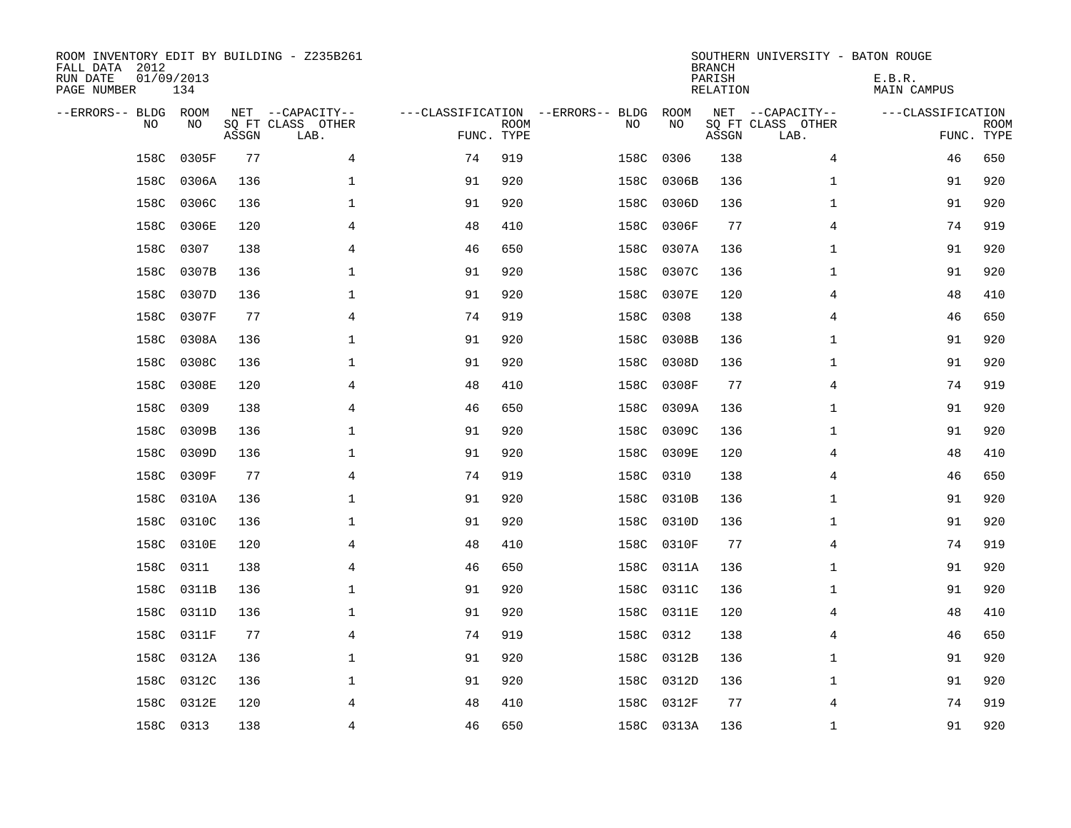| ROOM INVENTORY EDIT BY BUILDING - Z235B261<br>FALL DATA 2012<br>RUN DATE<br>PAGE NUMBER | 01/09/2013<br>134 |       |                                               |            |             |                                         |            | <b>BRANCH</b><br>PARISH<br><b>RELATION</b> | SOUTHERN UNIVERSITY - BATON ROUGE             | E.B.R.<br><b>MAIN CAMPUS</b> |                           |
|-----------------------------------------------------------------------------------------|-------------------|-------|-----------------------------------------------|------------|-------------|-----------------------------------------|------------|--------------------------------------------|-----------------------------------------------|------------------------------|---------------------------|
| --ERRORS-- BLDG ROOM<br>NO                                                              | NO                | ASSGN | NET --CAPACITY--<br>SQ FT CLASS OTHER<br>LAB. | FUNC. TYPE | <b>ROOM</b> | ---CLASSIFICATION --ERRORS-- BLDG<br>NO | ROOM<br>NO | ASSGN                                      | NET --CAPACITY--<br>SQ FT CLASS OTHER<br>LAB. | ---CLASSIFICATION            | <b>ROOM</b><br>FUNC. TYPE |
| 158C                                                                                    | 0305F             | 77    | 4                                             | 74         | 919         | 158C                                    | 0306       | 138                                        | 4                                             | 46                           | 650                       |
| 158C                                                                                    | 0306A             | 136   | 1                                             | 91         | 920         | 158C                                    | 0306B      | 136                                        | $\mathbf{1}$                                  | 91                           | 920                       |
| 158C                                                                                    | 0306C             | 136   | 1                                             | 91         | 920         | 158C                                    | 0306D      | 136                                        | $\mathbf{1}$                                  | 91                           | 920                       |
| 158C                                                                                    | 0306E             | 120   | 4                                             | 48         | 410         | 158C                                    | 0306F      | 77                                         | 4                                             | 74                           | 919                       |
| 158C                                                                                    | 0307              | 138   | $\overline{4}$                                | 46         | 650         | 158C                                    | 0307A      | 136                                        | $\mathbf{1}$                                  | 91                           | 920                       |
| 158C                                                                                    | 0307B             | 136   | $\mathbf 1$                                   | 91         | 920         | 158C                                    | 0307C      | 136                                        | $\mathbf{1}$                                  | 91                           | 920                       |
| 158C                                                                                    | 0307D             | 136   | 1                                             | 91         | 920         | 158C                                    | 0307E      | 120                                        | 4                                             | 48                           | 410                       |
| 158C                                                                                    | 0307F             | 77    | 4                                             | 74         | 919         | 158C                                    | 0308       | 138                                        | 4                                             | 46                           | 650                       |
| 158C                                                                                    | 0308A             | 136   | 1                                             | 91         | 920         | 158C                                    | 0308B      | 136                                        | $\mathbf{1}$                                  | 91                           | 920                       |
| 158C                                                                                    | 0308C             | 136   | 1                                             | 91         | 920         | 158C                                    | 0308D      | 136                                        | $\mathbf{1}$                                  | 91                           | 920                       |
| 158C                                                                                    | 0308E             | 120   | 4                                             | 48         | 410         | 158C                                    | 0308F      | 77                                         | 4                                             | 74                           | 919                       |
| 158C                                                                                    | 0309              | 138   | $\overline{4}$                                | 46         | 650         | 158C                                    | 0309A      | 136                                        | $\mathbf{1}$                                  | 91                           | 920                       |
| 158C                                                                                    | 0309B             | 136   | $\mathbf 1$                                   | 91         | 920         | 158C                                    | 0309C      | 136                                        | $\mathbf{1}$                                  | 91                           | 920                       |
| 158C                                                                                    | 0309D             | 136   | 1                                             | 91         | 920         | 158C                                    | 0309E      | 120                                        | 4                                             | 48                           | 410                       |
| 158C                                                                                    | 0309F             | 77    | 4                                             | 74         | 919         | 158C                                    | 0310       | 138                                        | 4                                             | 46                           | 650                       |
| 158C                                                                                    | 0310A             | 136   | 1                                             | 91         | 920         | 158C                                    | 0310B      | 136                                        | $\mathbf{1}$                                  | 91                           | 920                       |
| 158C                                                                                    | 0310C             | 136   | 1                                             | 91         | 920         | 158C                                    | 0310D      | 136                                        | $\mathbf{1}$                                  | 91                           | 920                       |
| 158C                                                                                    | 0310E             | 120   | $\overline{4}$                                | 48         | 410         | 158C                                    | 0310F      | 77                                         | $\overline{4}$                                | 74                           | 919                       |
|                                                                                         | 158C 0311         | 138   | 4                                             | 46         | 650         |                                         | 158C 0311A | 136                                        | $\mathbf{1}$                                  | 91                           | 920                       |
| 158C                                                                                    | 0311B             | 136   | 1                                             | 91         | 920         |                                         | 158C 0311C | 136                                        | $\mathbf{1}$                                  | 91                           | 920                       |
| 158C                                                                                    | 0311D             | 136   | 1                                             | 91         | 920         |                                         | 158C 0311E | 120                                        | 4                                             | 48                           | 410                       |
| 158C                                                                                    | 0311F             | 77    | $\overline{4}$                                | 74         | 919         | 158C                                    | 0312       | 138                                        | 4                                             | 46                           | 650                       |
| 158C                                                                                    | 0312A             | 136   | 1                                             | 91         | 920         | 158C                                    | 0312B      | 136                                        | $\mathbf{1}$                                  | 91                           | 920                       |
| 158C                                                                                    | 0312C             | 136   | 1                                             | 91         | 920         |                                         | 158C 0312D | 136                                        | $\mathbf{1}$                                  | 91                           | 920                       |
| 158C                                                                                    | 0312E             | 120   | 4                                             | 48         | 410         | 158C                                    | 0312F      | 77                                         | 4                                             | 74                           | 919                       |
|                                                                                         | 158C 0313         | 138   | 4                                             | 46         | 650         |                                         | 158C 0313A | 136                                        | $\mathbf{1}$                                  | 91                           | 920                       |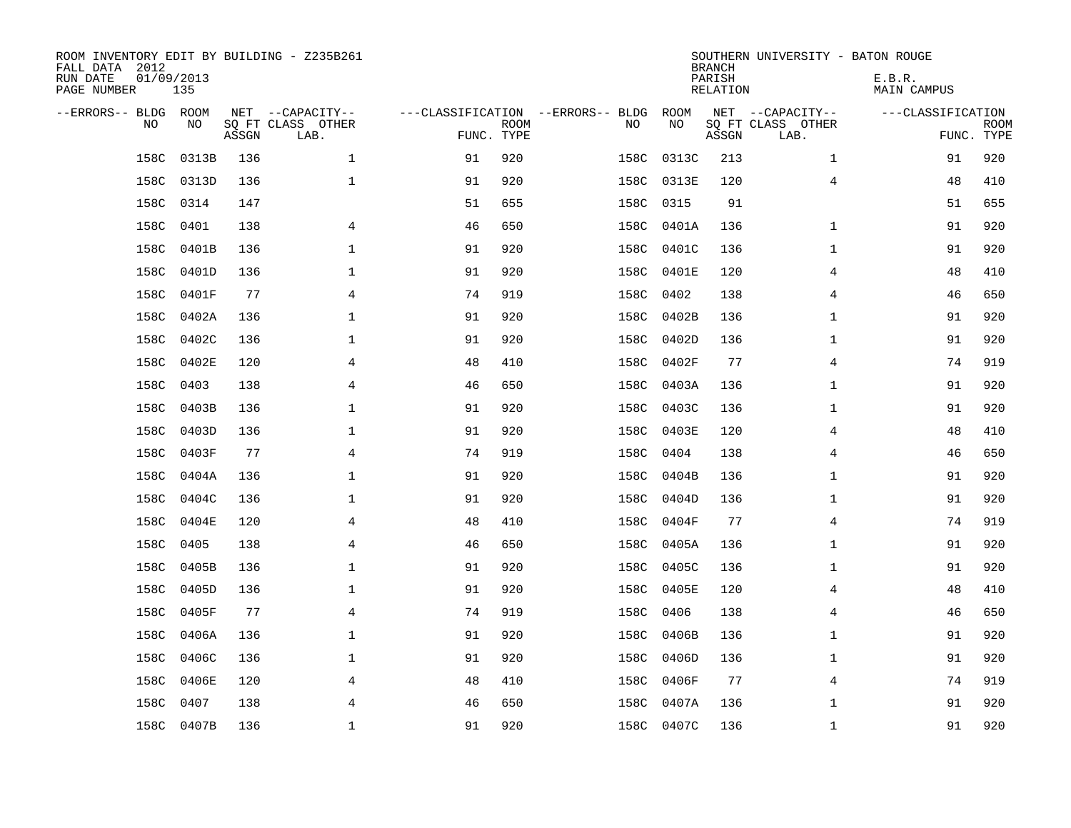| ROOM INVENTORY EDIT BY BUILDING - Z235B261<br>FALL DATA 2012<br>RUN DATE<br>PAGE NUMBER | 01/09/2013<br>135 |       |                                               |                                                 |             |      |            | <b>BRANCH</b><br>PARISH<br><b>RELATION</b> | SOUTHERN UNIVERSITY - BATON ROUGE             | E.B.R.<br><b>MAIN CAMPUS</b> |                           |
|-----------------------------------------------------------------------------------------|-------------------|-------|-----------------------------------------------|-------------------------------------------------|-------------|------|------------|--------------------------------------------|-----------------------------------------------|------------------------------|---------------------------|
| --ERRORS-- BLDG ROOM<br>NO                                                              | NO                | ASSGN | NET --CAPACITY--<br>SQ FT CLASS OTHER<br>LAB. | ---CLASSIFICATION --ERRORS-- BLDG<br>FUNC. TYPE | <b>ROOM</b> | NO   | ROOM<br>NO | ASSGN                                      | NET --CAPACITY--<br>SQ FT CLASS OTHER<br>LAB. | ---CLASSIFICATION            | <b>ROOM</b><br>FUNC. TYPE |
| 158C                                                                                    | 0313B             | 136   | $\mathbf 1$                                   | 91                                              | 920         | 158C | 0313C      | 213                                        | $\mathbf{1}$                                  | 91                           | 920                       |
| 158C                                                                                    | 0313D             | 136   | $\mathbf 1$                                   | 91                                              | 920         |      | 158C 0313E | 120                                        | 4                                             | 48                           | 410                       |
| 158C                                                                                    | 0314              | 147   |                                               | 51                                              | 655         | 158C | 0315       | 91                                         |                                               | 51                           | 655                       |
| 158C                                                                                    | 0401              | 138   | 4                                             | 46                                              | 650         |      | 158C 0401A | 136                                        | $\mathbf{1}$                                  | 91                           | 920                       |
| 158C                                                                                    | 0401B             | 136   | $\mathbf{1}$                                  | 91                                              | 920         |      | 158C 0401C | 136                                        | $\mathbf{1}$                                  | 91                           | 920                       |
| 158C                                                                                    | 0401D             | 136   | $\mathbf 1$                                   | 91                                              | 920         |      | 158C 0401E | 120                                        | 4                                             | 48                           | 410                       |
| 158C                                                                                    | 0401F             | 77    | 4                                             | 74                                              | 919         | 158C | 0402       | 138                                        | 4                                             | 46                           | 650                       |
| 158C                                                                                    | 0402A             | 136   | $\mathbf{1}$                                  | 91                                              | 920         |      | 158C 0402B | 136                                        | $\mathbf{1}$                                  | 91                           | 920                       |
| 158C                                                                                    | 0402C             | 136   | $\mathbf 1$                                   | 91                                              | 920         | 158C | 0402D      | 136                                        | $\mathbf{1}$                                  | 91                           | 920                       |
| 158C                                                                                    | 0402E             | 120   | 4                                             | 48                                              | 410         | 158C | 0402F      | 77                                         | 4                                             | 74                           | 919                       |
| 158C                                                                                    | 0403              | 138   | 4                                             | 46                                              | 650         | 158C | 0403A      | 136                                        | $\mathbf{1}$                                  | 91                           | 920                       |
| 158C                                                                                    | 0403B             | 136   | $\mathbf{1}$                                  | 91                                              | 920         | 158C | 0403C      | 136                                        | $\mathbf{1}$                                  | 91                           | 920                       |
| 158C                                                                                    | 0403D             | 136   | $\mathbf 1$                                   | 91                                              | 920         | 158C | 0403E      | 120                                        | 4                                             | 48                           | 410                       |
| 158C                                                                                    | 0403F             | 77    | 4                                             | 74                                              | 919         | 158C | 0404       | 138                                        | 4                                             | 46                           | 650                       |
| 158C                                                                                    | 0404A             | 136   | 1                                             | 91                                              | 920         | 158C | 0404B      | 136                                        | $\mathbf{1}$                                  | 91                           | 920                       |
| 158C                                                                                    | 0404C             | 136   | 1                                             | 91                                              | 920         | 158C | 0404D      | 136                                        | $\mathbf{1}$                                  | 91                           | 920                       |
| 158C                                                                                    | 0404E             | 120   | 4                                             | 48                                              | 410         | 158C | 0404F      | 77                                         | 4                                             | 74                           | 919                       |
| 158C                                                                                    | 0405              | 138   | $\overline{4}$                                | 46                                              | 650         | 158C | 0405A      | 136                                        | $\mathbf{1}$                                  | 91                           | 920                       |
|                                                                                         | 158C 0405B        | 136   | $\mathbf{1}$                                  | 91                                              | 920         |      | 158C 0405C | 136                                        | $\mathbf{1}$                                  | 91                           | 920                       |
| 158C                                                                                    | 0405D             | 136   | 1                                             | 91                                              | 920         |      | 158C 0405E | 120                                        | 4                                             | 48                           | 410                       |
|                                                                                         | 158C 0405F        | 77    | 4                                             | 74                                              | 919         | 158C | 0406       | 138                                        | 4                                             | 46                           | 650                       |
| 158C                                                                                    | 0406A             | 136   | 1                                             | 91                                              | 920         | 158C | 0406B      | 136                                        | $\mathbf{1}$                                  | 91                           | 920                       |
| 158C                                                                                    | 0406C             | 136   | 1                                             | 91                                              | 920         | 158C | 0406D      | 136                                        | $\mathbf{1}$                                  | 91                           | 920                       |
| 158C                                                                                    | 0406E             | 120   | 4                                             | 48                                              | 410         |      | 158C 0406F | 77                                         | 4                                             | 74                           | 919                       |
| 158C                                                                                    | 0407              | 138   | 4                                             | 46                                              | 650         | 158C | 0407A      | 136                                        | $\mathbf{1}$                                  | 91                           | 920                       |
|                                                                                         | 158C 0407B        | 136   | $\mathbf{1}$                                  | 91                                              | 920         |      | 158C 0407C | 136                                        | $\mathbf{1}$                                  | 91                           | 920                       |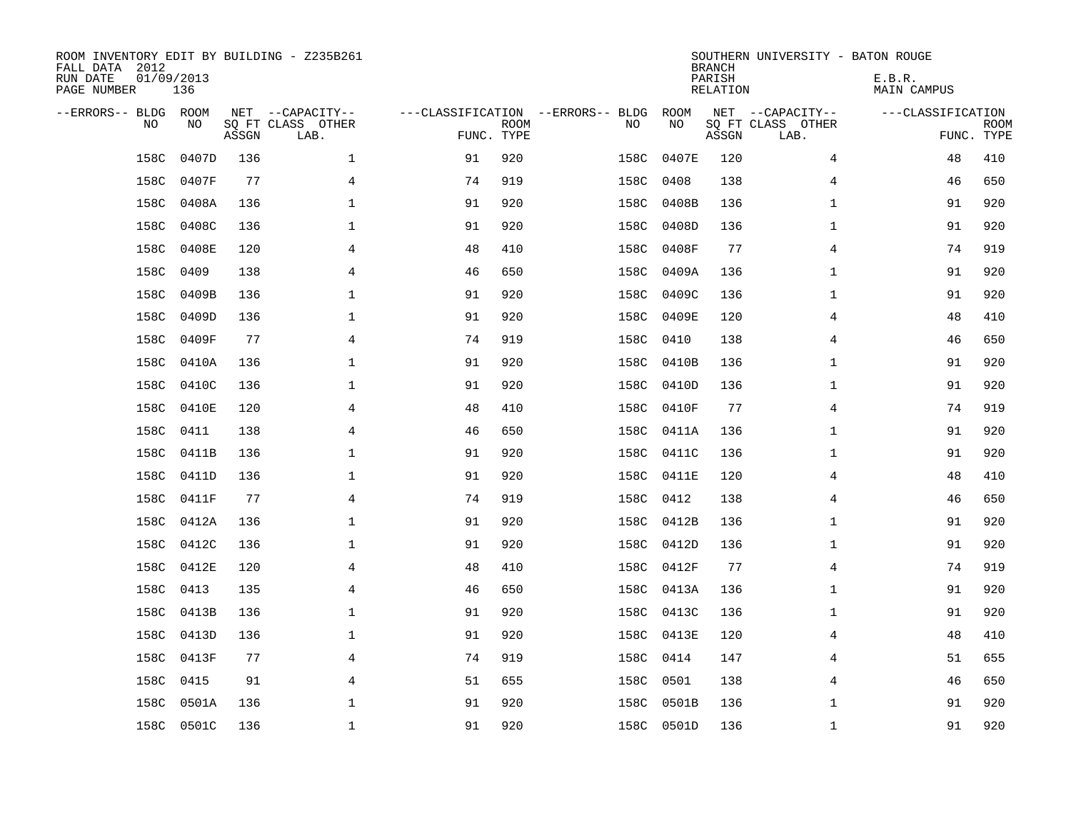| ROOM INVENTORY EDIT BY BUILDING - Z235B261<br>FALL DATA 2012<br>RUN DATE<br>PAGE NUMBER | 01/09/2013<br>136 |       |                                               |                                                 |             |           |            | <b>BRANCH</b><br>PARISH<br><b>RELATION</b> | SOUTHERN UNIVERSITY - BATON ROUGE             | E.B.R.<br><b>MAIN CAMPUS</b> |                           |
|-----------------------------------------------------------------------------------------|-------------------|-------|-----------------------------------------------|-------------------------------------------------|-------------|-----------|------------|--------------------------------------------|-----------------------------------------------|------------------------------|---------------------------|
| --ERRORS-- BLDG ROOM<br>NO                                                              | NO                | ASSGN | NET --CAPACITY--<br>SQ FT CLASS OTHER<br>LAB. | ---CLASSIFICATION --ERRORS-- BLDG<br>FUNC. TYPE | <b>ROOM</b> | NO        | ROOM<br>NO | ASSGN                                      | NET --CAPACITY--<br>SQ FT CLASS OTHER<br>LAB. | ---CLASSIFICATION            | <b>ROOM</b><br>FUNC. TYPE |
| 158C                                                                                    | 0407D             | 136   | $\mathbf{1}$                                  | 91                                              | 920         | 158C      | 0407E      | 120                                        | 4                                             | 48                           | 410                       |
| 158C                                                                                    | 0407F             | 77    | 4                                             | 74                                              | 919         | 158C      | 0408       | 138                                        | 4                                             | 46                           | 650                       |
| 158C                                                                                    | 0408A             | 136   | 1                                             | 91                                              | 920         | 158C      | 0408B      | 136                                        | $\mathbf{1}$                                  | 91                           | 920                       |
| 158C                                                                                    | 0408C             | 136   | 1                                             | 91                                              | 920         | 158C      | 0408D      | 136                                        | $\mathbf{1}$                                  | 91                           | 920                       |
| 158C                                                                                    | 0408E             | 120   | $\overline{4}$                                | 48                                              | 410         | 158C      | 0408F      | 77                                         | $\overline{4}$                                | 74                           | 919                       |
| 158C                                                                                    | 0409              | 138   | $\overline{4}$                                | 46                                              | 650         | 158C      | 0409A      | 136                                        | $\mathbf{1}$                                  | 91                           | 920                       |
| 158C                                                                                    | 0409B             | 136   | 1                                             | 91                                              | 920         | 158C      | 0409C      | 136                                        | $\mathbf{1}$                                  | 91                           | 920                       |
| 158C                                                                                    | 0409D             | 136   | $\mathbf 1$                                   | 91                                              | 920         |           | 158C 0409E | 120                                        | 4                                             | 48                           | 410                       |
| 158C                                                                                    | 0409F             | 77    | 4                                             | 74                                              | 919         | 158C      | 0410       | 138                                        | 4                                             | 46                           | 650                       |
| 158C                                                                                    | 0410A             | 136   | $\mathbf 1$                                   | 91                                              | 920         | 158C      | 0410B      | 136                                        | $\mathbf{1}$                                  | 91                           | 920                       |
| 158C                                                                                    | 0410C             | 136   | 1                                             | 91                                              | 920         | 158C      | 0410D      | 136                                        | $\mathbf{1}$                                  | 91                           | 920                       |
| 158C                                                                                    | 0410E             | 120   | $\overline{4}$                                | 48                                              | 410         | 158C      | 0410F      | 77                                         | 4                                             | 74                           | 919                       |
| 158C                                                                                    | 0411              | 138   | 4                                             | 46                                              | 650         | 158C      | 0411A      | 136                                        | $\mathbf{1}$                                  | 91                           | 920                       |
| 158C                                                                                    | 0411B             | 136   | 1                                             | 91                                              | 920         | 158C      | 0411C      | 136                                        | $\mathbf{1}$                                  | 91                           | 920                       |
| 158C                                                                                    | 0411D             | 136   | 1                                             | 91                                              | 920         | 158C      | 0411E      | 120                                        | 4                                             | 48                           | 410                       |
| 158C                                                                                    | 0411F             | 77    | 4                                             | 74                                              | 919         | 158C      | 0412       | 138                                        | 4                                             | 46                           | 650                       |
| 158C                                                                                    | 0412A             | 136   | 1                                             | 91                                              | 920         | 158C      | 0412B      | 136                                        | $\mathbf{1}$                                  | 91                           | 920                       |
| 158C                                                                                    | 0412C             | 136   | $\mathbf{1}$                                  | 91                                              | 920         | 158C      | 0412D      | 136                                        | $\mathbf{1}$                                  | 91                           | 920                       |
|                                                                                         | 158C 0412E        | 120   | 4                                             | 48                                              | 410         |           | 158C 0412F | 77                                         | $\overline{4}$                                | 74                           | 919                       |
| 158C                                                                                    | 0413              | 135   | 4                                             | 46                                              | 650         |           | 158C 0413A | 136                                        | $\mathbf{1}$                                  | 91                           | 920                       |
| 158C                                                                                    | 0413B             | 136   | 1                                             | 91                                              | 920         |           | 158C 0413C | 136                                        | $\mathbf{1}$                                  | 91                           | 920                       |
| 158C                                                                                    | 0413D             | 136   | 1                                             | 91                                              | 920         |           | 158C 0413E | 120                                        | 4                                             | 48                           | 410                       |
| 158C                                                                                    | 0413F             | 77    | 4                                             | 74                                              | 919         | 158C 0414 |            | 147                                        | 4                                             | 51                           | 655                       |
| 158C                                                                                    | 0415              | 91    | 4                                             | 51                                              | 655         | 158C 0501 |            | 138                                        | 4                                             | 46                           | 650                       |
| 158C                                                                                    | 0501A             | 136   | $\mathbf 1$                                   | 91                                              | 920         | 158C      | 0501B      | 136                                        | $\mathbf{1}$                                  | 91                           | 920                       |
|                                                                                         | 158C 0501C        | 136   | $\mathbf{1}$                                  | 91                                              | 920         |           | 158C 0501D | 136                                        | $\mathbf{1}$                                  | 91                           | 920                       |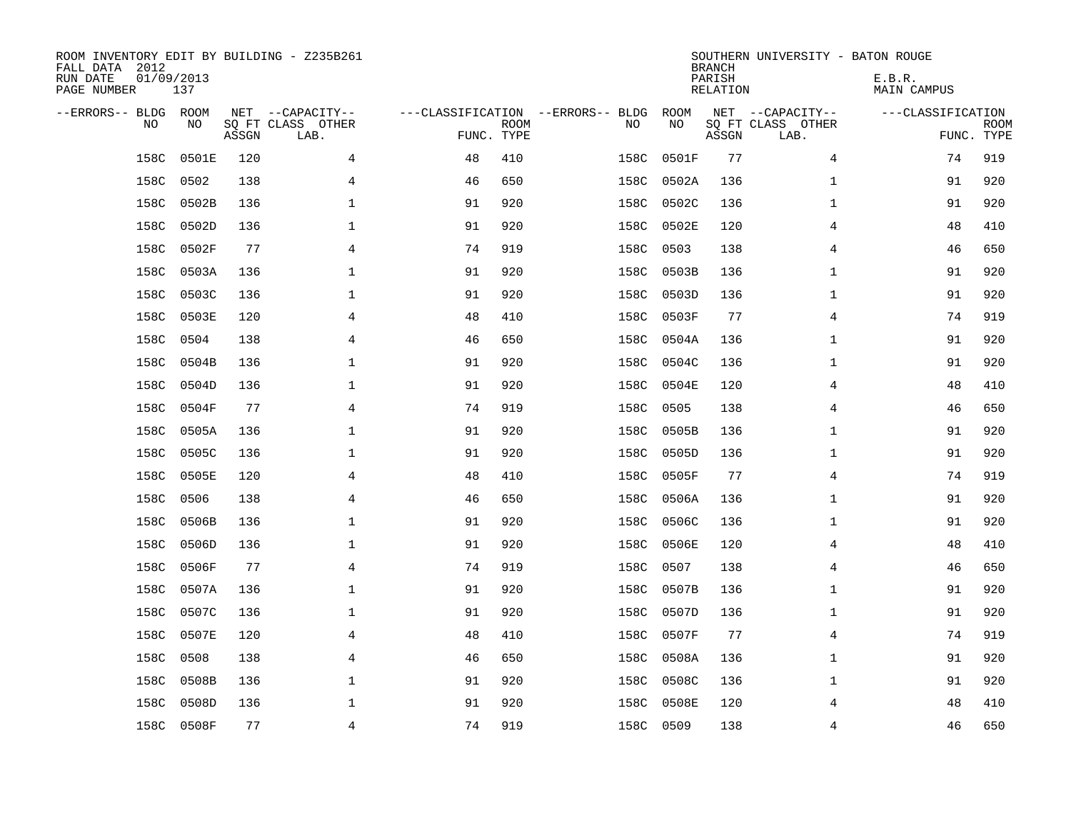| ROOM INVENTORY EDIT BY BUILDING - Z235B261<br>FALL DATA 2012<br>RUN DATE<br>PAGE NUMBER | 01/09/2013<br>137 |       |                                               |                                   |                           |           |            | <b>BRANCH</b><br>PARISH<br><b>RELATION</b> | SOUTHERN UNIVERSITY - BATON ROUGE             | E.B.R.<br>MAIN CAMPUS |                           |
|-----------------------------------------------------------------------------------------|-------------------|-------|-----------------------------------------------|-----------------------------------|---------------------------|-----------|------------|--------------------------------------------|-----------------------------------------------|-----------------------|---------------------------|
| --ERRORS-- BLDG<br>NO                                                                   | ROOM<br>NO        | ASSGN | NET --CAPACITY--<br>SQ FT CLASS OTHER<br>LAB. | ---CLASSIFICATION --ERRORS-- BLDG | <b>ROOM</b><br>FUNC. TYPE | NO        | ROOM<br>NO | ASSGN                                      | NET --CAPACITY--<br>SQ FT CLASS OTHER<br>LAB. | ---CLASSIFICATION     | <b>ROOM</b><br>FUNC. TYPE |
| 158C                                                                                    | 0501E             | 120   | 4                                             | 48                                | 410                       | 158C      | 0501F      | 77                                         | $\overline{4}$                                | 74                    | 919                       |
| 158C                                                                                    | 0502              | 138   | 4                                             | 46                                | 650                       | 158C      | 0502A      | 136                                        | $\mathbf{1}$                                  | 91                    | 920                       |
| 158C                                                                                    | 0502B             | 136   | 1                                             | 91                                | 920                       | 158C      | 0502C      | 136                                        | $\mathbf{1}$                                  | 91                    | 920                       |
| 158C                                                                                    | 0502D             | 136   | 1                                             | 91                                | 920                       | 158C      | 0502E      | 120                                        | 4                                             | 48                    | 410                       |
| 158C                                                                                    | 0502F             | 77    | 4                                             | 74                                | 919                       | 158C      | 0503       | 138                                        | 4                                             | 46                    | 650                       |
| 158C                                                                                    | 0503A             | 136   | $\mathbf 1$                                   | 91                                | 920                       | 158C      | 0503B      | 136                                        | $\mathbf{1}$                                  | 91                    | 920                       |
| 158C                                                                                    | 0503C             | 136   | $\mathbf{1}$                                  | 91                                | 920                       | 158C      | 0503D      | 136                                        | $\mathbf{1}$                                  | 91                    | 920                       |
| 158C                                                                                    | 0503E             | 120   | 4                                             | 48                                | 410                       | 158C      | 0503F      | 77                                         | 4                                             | 74                    | 919                       |
| 158C                                                                                    | 0504              | 138   | 4                                             | 46                                | 650                       | 158C      | 0504A      | 136                                        | $\mathbf{1}$                                  | 91                    | 920                       |
| 158C                                                                                    | 0504B             | 136   | $\mathbf{1}$                                  | 91                                | 920                       | 158C      | 0504C      | 136                                        | $\mathbf{1}$                                  | 91                    | 920                       |
| 158C                                                                                    | 0504D             | 136   | $\mathbf 1$                                   | 91                                | 920                       | 158C      | 0504E      | 120                                        | 4                                             | 48                    | 410                       |
| 158C                                                                                    | 0504F             | 77    | 4                                             | 74                                | 919                       | 158C      | 0505       | 138                                        | 4                                             | 46                    | 650                       |
| 158C                                                                                    | 0505A             | 136   | $\mathbf 1$                                   | 91                                | 920                       | 158C      | 0505B      | 136                                        | $\mathbf{1}$                                  | 91                    | 920                       |
| 158C                                                                                    | 0505C             | 136   | 1                                             | 91                                | 920                       | 158C      | 0505D      | 136                                        | $\mathbf{1}$                                  | 91                    | 920                       |
| 158C                                                                                    | 0505E             | 120   | 4                                             | 48                                | 410                       | 158C      | 0505F      | 77                                         | 4                                             | 74                    | 919                       |
| 158C                                                                                    | 0506              | 138   | 4                                             | 46                                | 650                       | 158C      | 0506A      | 136                                        | $\mathbf{1}$                                  | 91                    | 920                       |
| 158C                                                                                    | 0506B             | 136   | 1                                             | 91                                | 920                       | 158C      | 0506C      | 136                                        | $\mathbf{1}$                                  | 91                    | 920                       |
| 158C                                                                                    | 0506D             | 136   | 1                                             | 91                                | 920                       | 158C      | 0506E      | 120                                        | 4                                             | 48                    | 410                       |
| 158C                                                                                    | 0506F             | 77    | 4                                             | 74                                | 919                       | 158C      | 0507       | 138                                        | 4                                             | 46                    | 650                       |
| 158C                                                                                    | 0507A             | 136   | 1                                             | 91                                | 920                       | 158C      | 0507B      | 136                                        | $\mathbf{1}$                                  | 91                    | 920                       |
| 158C                                                                                    | 0507C             | 136   | 1                                             | 91                                | 920                       | 158C      | 0507D      | 136                                        | $\mathbf{1}$                                  | 91                    | 920                       |
| 158C                                                                                    | 0507E             | 120   | 4                                             | 48                                | 410                       | 158C      | 0507F      | 77                                         | 4                                             | 74                    | 919                       |
| 158C                                                                                    | 0508              | 138   | 4                                             | 46                                | 650                       | 158C      | 0508A      | 136                                        | $\mathbf{1}$                                  | 91                    | 920                       |
| 158C                                                                                    | 0508B             | 136   | $\mathbf 1$                                   | 91                                | 920                       | 158C      | 0508C      | 136                                        | $\mathbf{1}$                                  | 91                    | 920                       |
| 158C                                                                                    | 0508D             | 136   | 1                                             | 91                                | 920                       | 158C      | 0508E      | 120                                        | 4                                             | 48                    | 410                       |
|                                                                                         | 158C 0508F        | 77    | 4                                             | 74                                | 919                       | 158C 0509 |            | 138                                        | 4                                             | 46                    | 650                       |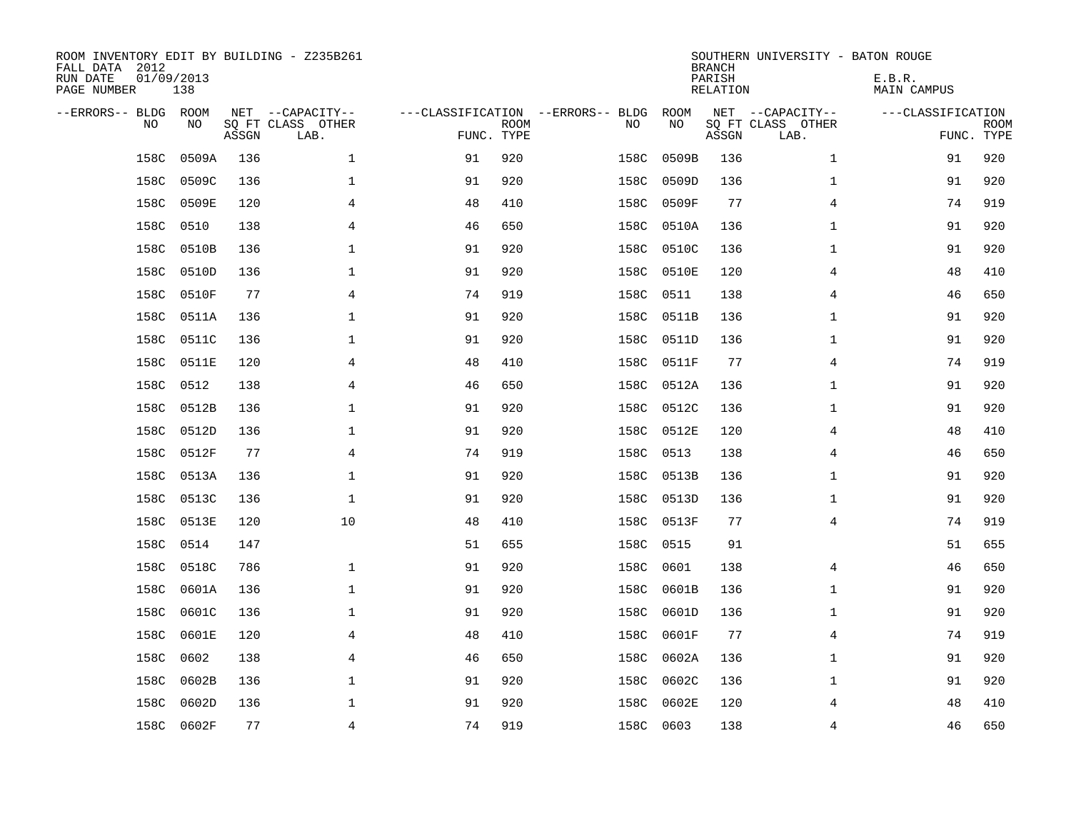| ROOM INVENTORY EDIT BY BUILDING - Z235B261<br>FALL DATA 2012<br>RUN DATE<br>PAGE NUMBER | 01/09/2013<br>138 |       |                                               |            |             |                                   |      |            | <b>BRANCH</b><br>PARISH<br><b>RELATION</b> | SOUTHERN UNIVERSITY - BATON ROUGE             | E.B.R.<br><b>MAIN CAMPUS</b> |                           |
|-----------------------------------------------------------------------------------------|-------------------|-------|-----------------------------------------------|------------|-------------|-----------------------------------|------|------------|--------------------------------------------|-----------------------------------------------|------------------------------|---------------------------|
| --ERRORS-- BLDG ROOM<br>NO                                                              | NO                | ASSGN | NET --CAPACITY--<br>SQ FT CLASS OTHER<br>LAB. | FUNC. TYPE | <b>ROOM</b> | ---CLASSIFICATION --ERRORS-- BLDG | NO   | ROOM<br>NO | ASSGN                                      | NET --CAPACITY--<br>SQ FT CLASS OTHER<br>LAB. | ---CLASSIFICATION            | <b>ROOM</b><br>FUNC. TYPE |
| 158C                                                                                    | 0509A             | 136   | $\mathbf 1$                                   | 91         | 920         |                                   | 158C | 0509B      | 136                                        | $\mathbf{1}$                                  | 91                           | 920                       |
| 158C                                                                                    | 0509C             | 136   | 1                                             | 91         | 920         |                                   | 158C | 0509D      | 136                                        | $\mathbf{1}$                                  | 91                           | 920                       |
| 158C                                                                                    | 0509E             | 120   | 4                                             | 48         | 410         |                                   | 158C | 0509F      | 77                                         | 4                                             | 74                           | 919                       |
| 158C                                                                                    | 0510              | 138   | 4                                             | 46         | 650         |                                   | 158C | 0510A      | 136                                        | $\mathbf{1}$                                  | 91                           | 920                       |
| 158C                                                                                    | 0510B             | 136   | $\mathbf{1}$                                  | 91         | 920         |                                   | 158C | 0510C      | 136                                        | $\mathbf{1}$                                  | 91                           | 920                       |
| 158C                                                                                    | 0510D             | 136   | $\mathbf 1$                                   | 91         | 920         |                                   | 158C | 0510E      | 120                                        | 4                                             | 48                           | 410                       |
| 158C                                                                                    | 0510F             | 77    | 4                                             | 74         | 919         |                                   | 158C | 0511       | 138                                        | 4                                             | 46                           | 650                       |
| 158C                                                                                    | 0511A             | 136   | $\mathbf{1}$                                  | 91         | 920         |                                   | 158C | 0511B      | 136                                        | $\mathbf{1}$                                  | 91                           | 920                       |
| 158C                                                                                    | 0511C             | 136   | 1                                             | 91         | 920         |                                   | 158C | 0511D      | 136                                        | $\mathbf{1}$                                  | 91                           | 920                       |
| 158C                                                                                    | 0511E             | 120   | 4                                             | 48         | 410         |                                   | 158C | 0511F      | 77                                         | 4                                             | 74                           | 919                       |
| 158C                                                                                    | 0512              | 138   | 4                                             | 46         | 650         |                                   | 158C | 0512A      | 136                                        | $\mathbf{1}$                                  | 91                           | 920                       |
| 158C                                                                                    | 0512B             | 136   | $\mathbf{1}$                                  | 91         | 920         |                                   | 158C | 0512C      | 136                                        | $\mathbf{1}$                                  | 91                           | 920                       |
| 158C                                                                                    | 0512D             | 136   | $\mathbf 1$                                   | 91         | 920         |                                   | 158C | 0512E      | 120                                        | 4                                             | 48                           | 410                       |
| 158C                                                                                    | 0512F             | 77    | 4                                             | 74         | 919         |                                   | 158C | 0513       | 138                                        | 4                                             | 46                           | 650                       |
| 158C                                                                                    | 0513A             | 136   | 1                                             | 91         | 920         |                                   | 158C | 0513B      | 136                                        | $\mathbf{1}$                                  | 91                           | 920                       |
| 158C                                                                                    | 0513C             | 136   | $\mathbf{1}$                                  | 91         | 920         |                                   | 158C | 0513D      | 136                                        | $\mathbf{1}$                                  | 91                           | 920                       |
| 158C                                                                                    | 0513E             | 120   | 10                                            | 48         | 410         |                                   | 158C | 0513F      | 77                                         | 4                                             | 74                           | 919                       |
| 158C                                                                                    | 0514              | 147   |                                               | 51         | 655         |                                   | 158C | 0515       | 91                                         |                                               | 51                           | 655                       |
|                                                                                         | 158C 0518C        | 786   | $\mathbf 1$                                   | 91         | 920         |                                   | 158C | 0601       | 138                                        | 4                                             | 46                           | 650                       |
| 158C                                                                                    | 0601A             | 136   | $\mathbf 1$                                   | 91         | 920         |                                   | 158C | 0601B      | 136                                        | $\mathbf{1}$                                  | 91                           | 920                       |
| 158C                                                                                    | 0601C             | 136   | 1                                             | 91         | 920         |                                   | 158C | 0601D      | 136                                        | $\mathbf{1}$                                  | 91                           | 920                       |
| 158C                                                                                    | 0601E             | 120   | 4                                             | 48         | 410         |                                   | 158C | 0601F      | 77                                         | 4                                             | 74                           | 919                       |
| 158C                                                                                    | 0602              | 138   | 4                                             | 46         | 650         |                                   | 158C | 0602A      | 136                                        | $\mathbf{1}$                                  | 91                           | 920                       |
| 158C                                                                                    | 0602B             | 136   | $\mathbf 1$                                   | 91         | 920         |                                   | 158C | 0602C      | 136                                        | $\mathbf{1}$                                  | 91                           | 920                       |
| 158C                                                                                    | 0602D             | 136   | $\mathbf 1$                                   | 91         | 920         |                                   | 158C | 0602E      | 120                                        | 4                                             | 48                           | 410                       |
|                                                                                         | 158C 0602F        | 77    | 4                                             | 74         | 919         |                                   |      | 158C 0603  | 138                                        | 4                                             | 46                           | 650                       |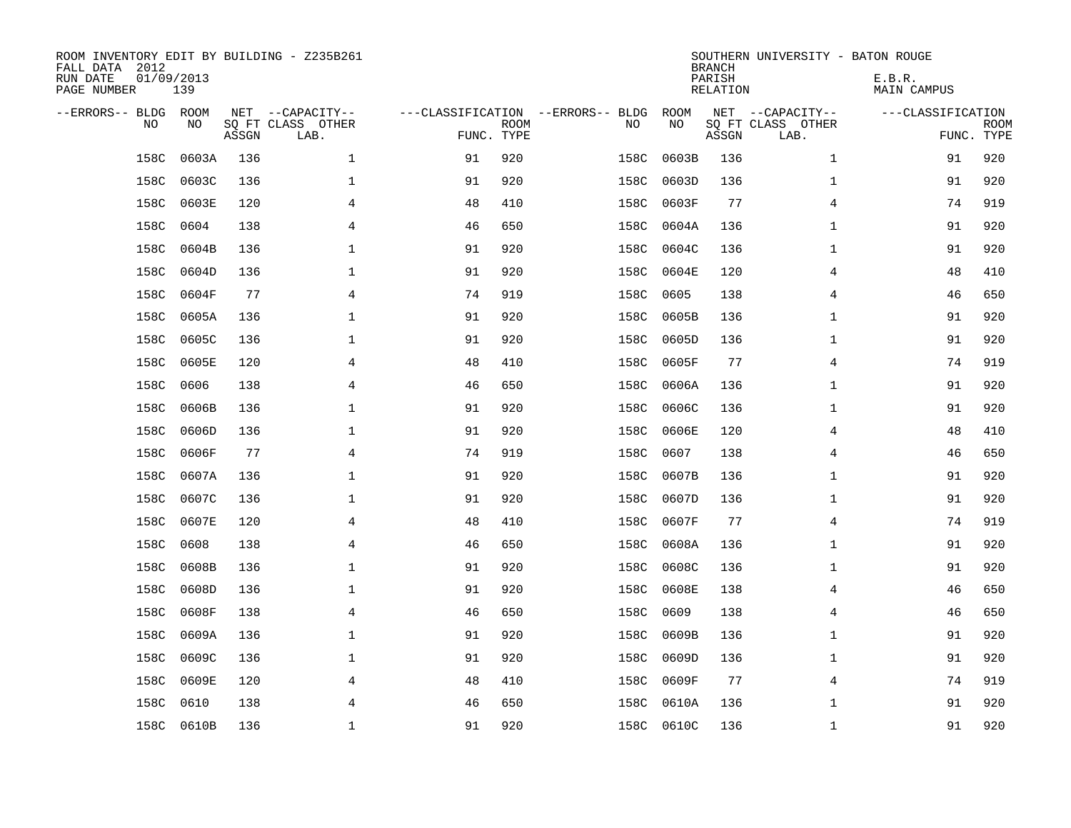| ROOM INVENTORY EDIT BY BUILDING - Z235B261<br>FALL DATA 2012<br>RUN DATE<br>PAGE NUMBER | 01/09/2013<br>139 |       |                                               |                                                 |             |      |            | <b>BRANCH</b><br>PARISH<br><b>RELATION</b> | SOUTHERN UNIVERSITY - BATON ROUGE             | E.B.R.<br><b>MAIN CAMPUS</b> |                           |
|-----------------------------------------------------------------------------------------|-------------------|-------|-----------------------------------------------|-------------------------------------------------|-------------|------|------------|--------------------------------------------|-----------------------------------------------|------------------------------|---------------------------|
| --ERRORS-- BLDG ROOM<br>NO                                                              | NO                | ASSGN | NET --CAPACITY--<br>SQ FT CLASS OTHER<br>LAB. | ---CLASSIFICATION --ERRORS-- BLDG<br>FUNC. TYPE | <b>ROOM</b> | NO   | ROOM<br>NO | ASSGN                                      | NET --CAPACITY--<br>SQ FT CLASS OTHER<br>LAB. | ---CLASSIFICATION            | <b>ROOM</b><br>FUNC. TYPE |
| 158C                                                                                    | 0603A             | 136   | $\mathbf 1$                                   | 91                                              | 920         | 158C | 0603B      | 136                                        | $\mathbf{1}$                                  | 91                           | 920                       |
| 158C                                                                                    | 0603C             | 136   | 1                                             | 91                                              | 920         | 158C | 0603D      | 136                                        | $\mathbf{1}$                                  | 91                           | 920                       |
| 158C                                                                                    | 0603E             | 120   | 4                                             | 48                                              | 410         | 158C | 0603F      | 77                                         | 4                                             | 74                           | 919                       |
| 158C                                                                                    | 0604              | 138   | 4                                             | 46                                              | 650         | 158C | 0604A      | 136                                        | $\mathbf{1}$                                  | 91                           | 920                       |
| 158C                                                                                    | 0604B             | 136   | $\mathbf 1$                                   | 91                                              | 920         | 158C | 0604C      | 136                                        | $\mathbf{1}$                                  | 91                           | 920                       |
| 158C                                                                                    | 0604D             | 136   | $\mathbf 1$                                   | 91                                              | 920         | 158C | 0604E      | 120                                        | 4                                             | 48                           | 410                       |
| 158C                                                                                    | 0604F             | 77    | 4                                             | 74                                              | 919         | 158C | 0605       | 138                                        | 4                                             | 46                           | 650                       |
| 158C                                                                                    | 0605A             | 136   | $\mathbf{1}$                                  | 91                                              | 920         | 158C | 0605B      | 136                                        | $\mathbf{1}$                                  | 91                           | 920                       |
| 158C                                                                                    | 0605C             | 136   | 1                                             | 91                                              | 920         | 158C | 0605D      | 136                                        | $\mathbf{1}$                                  | 91                           | 920                       |
| 158C                                                                                    | 0605E             | 120   | 4                                             | 48                                              | 410         | 158C | 0605F      | 77                                         | 4                                             | 74                           | 919                       |
| 158C                                                                                    | 0606              | 138   | 4                                             | 46                                              | 650         | 158C | 0606A      | 136                                        | $\mathbf{1}$                                  | 91                           | 920                       |
| 158C                                                                                    | 0606B             | 136   | $\mathbf{1}$                                  | 91                                              | 920         | 158C | 0606C      | 136                                        | $\mathbf{1}$                                  | 91                           | 920                       |
| 158C                                                                                    | 0606D             | 136   | $\mathbf 1$                                   | 91                                              | 920         | 158C | 0606E      | 120                                        | 4                                             | 48                           | 410                       |
| 158C                                                                                    | 0606F             | 77    | 4                                             | 74                                              | 919         | 158C | 0607       | 138                                        | 4                                             | 46                           | 650                       |
| 158C                                                                                    | 0607A             | 136   | 1                                             | 91                                              | 920         | 158C | 0607B      | 136                                        | $\mathbf{1}$                                  | 91                           | 920                       |
| 158C                                                                                    | 0607C             | 136   | 1                                             | 91                                              | 920         | 158C | 0607D      | 136                                        | $\mathbf{1}$                                  | 91                           | 920                       |
| 158C                                                                                    | 0607E             | 120   | 4                                             | 48                                              | 410         | 158C | 0607F      | 77                                         | 4                                             | 74                           | 919                       |
| 158C                                                                                    | 0608              | 138   | $\overline{4}$                                | 46                                              | 650         | 158C | 0608A      | 136                                        | $\mathbf{1}$                                  | 91                           | 920                       |
| 158C                                                                                    | 0608B             | 136   | $\mathbf 1$                                   | 91                                              | 920         | 158C | 0608C      | 136                                        | $\mathbf{1}$                                  | 91                           | 920                       |
| 158C                                                                                    | 0608D             | 136   | 1                                             | 91                                              | 920         | 158C | 0608E      | 138                                        | 4                                             | 46                           | 650                       |
| 158C                                                                                    | 0608F             | 138   | 4                                             | 46                                              | 650         | 158C | 0609       | 138                                        | 4                                             | 46                           | 650                       |
| 158C                                                                                    | 0609A             | 136   | 1                                             | 91                                              | 920         | 158C | 0609B      | 136                                        | $\mathbf{1}$                                  | 91                           | 920                       |
| 158C                                                                                    | 0609C             | 136   | 1                                             | 91                                              | 920         | 158C | 0609D      | 136                                        | $\mathbf{1}$                                  | 91                           | 920                       |
| 158C                                                                                    | 0609E             | 120   | 4                                             | 48                                              | 410         | 158C | 0609F      | 77                                         | 4                                             | 74                           | 919                       |
| 158C                                                                                    | 0610              | 138   | 4                                             | 46                                              | 650         | 158C | 0610A      | 136                                        | $\mathbf{1}$                                  | 91                           | 920                       |
|                                                                                         | 158C 0610B        | 136   | $\mathbf{1}$                                  | 91                                              | 920         |      | 158C 0610C | 136                                        | $\mathbf{1}$                                  | 91                           | 920                       |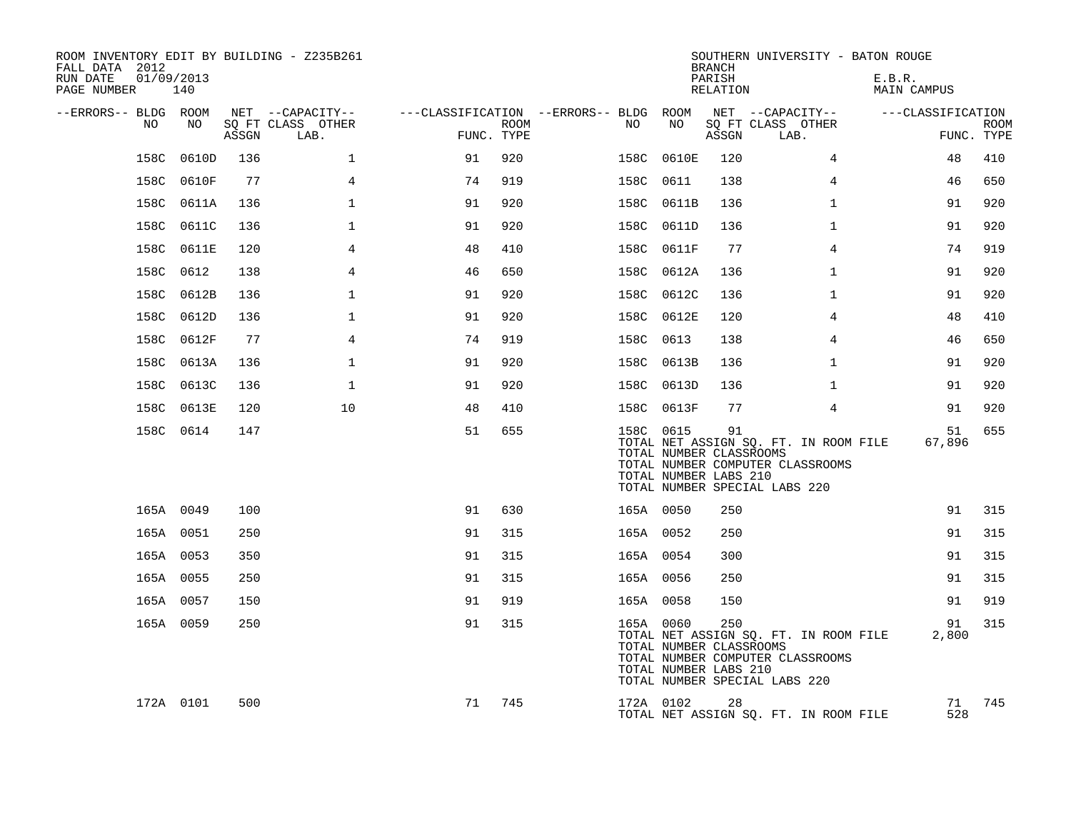| ROOM INVENTORY EDIT BY BUILDING - Z235B261<br>FALL DATA 2012<br>RUN DATE<br>01/09/2013<br>PAGE NUMBER | 140        |       |                           |            |      |                                        |                                                               | <b>BRANCH</b><br>PARISH<br>RELATION | SOUTHERN UNIVERSITY - BATON ROUGE                                                                          | E.B.R.<br>MAIN CAMPUS |                           |
|-------------------------------------------------------------------------------------------------------|------------|-------|---------------------------|------------|------|----------------------------------------|---------------------------------------------------------------|-------------------------------------|------------------------------------------------------------------------------------------------------------|-----------------------|---------------------------|
| --ERRORS-- BLDG ROOM                                                                                  |            |       | NET --CAPACITY--          |            |      | ---CLASSIFICATION --ERRORS-- BLDG ROOM |                                                               |                                     | NET --CAPACITY--                                                                                           | ---CLASSIFICATION     |                           |
| NO.                                                                                                   | NO.        | ASSGN | SO FT CLASS OTHER<br>LAB. | FUNC. TYPE | ROOM | NO                                     | NO                                                            | ASSGN                               | SQ FT CLASS OTHER<br>LAB.                                                                                  |                       | <b>ROOM</b><br>FUNC. TYPE |
|                                                                                                       | 158C 0610D | 136   | $\mathbf 1$               | 91         | 920  |                                        | 158C 0610E                                                    | 120                                 | 4                                                                                                          | 48                    | 410                       |
|                                                                                                       | 158C 0610F | 77    | $\overline{4}$            | 74         | 919  | 158C 0611                              |                                                               | 138                                 | $\overline{4}$                                                                                             | 46                    | 650                       |
|                                                                                                       | 158C 0611A | 136   | $\mathbf{1}$              | 91         | 920  |                                        | 158C 0611B                                                    | 136                                 | $\mathbf{1}$                                                                                               | 91                    | 920                       |
|                                                                                                       | 158C 0611C | 136   | $\mathbf{1}$              | 91         | 920  |                                        | 158C 0611D                                                    | 136                                 | $\mathbf{1}$                                                                                               | 91                    | 920                       |
|                                                                                                       | 158C 0611E | 120   | $\overline{4}$            | 48         | 410  |                                        | 158C 0611F                                                    | 77                                  | $\overline{4}$                                                                                             | 74                    | 919                       |
|                                                                                                       | 158C 0612  | 138   | 4                         | 46         | 650  |                                        | 158C 0612A                                                    | 136                                 | $\mathbf{1}$                                                                                               | 91                    | 920                       |
|                                                                                                       | 158C 0612B | 136   | $\mathbf{1}$              | 91         | 920  |                                        | 158C 0612C                                                    | 136                                 | $\mathbf{1}$                                                                                               | 91                    | 920                       |
|                                                                                                       | 158C 0612D | 136   | $\mathbf{1}$              | 91         | 920  |                                        | 158C 0612E                                                    | 120                                 | $\overline{4}$                                                                                             | 48                    | 410                       |
|                                                                                                       | 158C 0612F | 77    | 4                         | 74         | 919  | 158C 0613                              |                                                               | 138                                 | 4                                                                                                          | 46                    | 650                       |
|                                                                                                       | 158C 0613A | 136   | $\mathbf{1}$              | 91         | 920  |                                        | 158C 0613B                                                    | 136                                 | $\mathbf{1}$                                                                                               | 91                    | 920                       |
|                                                                                                       | 158C 0613C | 136   | $\mathbf{1}$              | 91         | 920  |                                        | 158C 0613D                                                    | 136                                 | $\mathbf{1}$                                                                                               | 91                    | 920                       |
|                                                                                                       | 158C 0613E | 120   | 10                        | 48         | 410  |                                        | 158C 0613F                                                    | 77                                  | $\overline{4}$                                                                                             | 91                    | 920                       |
|                                                                                                       | 158C 0614  | 147   |                           | 51         | 655  |                                        | 158C 0615<br>TOTAL NUMBER CLASSROOMS<br>TOTAL NUMBER LABS 210 | 91                                  | TOTAL NET ASSIGN SQ. FT. IN ROOM FILE<br>TOTAL NUMBER COMPUTER CLASSROOMS<br>TOTAL NUMBER SPECIAL LABS 220 | 51<br>67,896          | 655                       |
|                                                                                                       | 165A 0049  | 100   |                           | 91         | 630  | 165A 0050                              |                                                               | 250                                 |                                                                                                            | 91                    | 315                       |
|                                                                                                       | 165A 0051  | 250   |                           | 91         | 315  | 165A 0052                              |                                                               | 250                                 |                                                                                                            | 91                    | 315                       |
|                                                                                                       | 165A 0053  | 350   |                           | 91         | 315  | 165A 0054                              |                                                               | 300                                 |                                                                                                            | 91                    | 315                       |
|                                                                                                       | 165A 0055  | 250   |                           | 91         | 315  | 165A 0056                              |                                                               | 250                                 |                                                                                                            | 91                    | 315                       |
|                                                                                                       | 165A 0057  | 150   |                           | 91         | 919  | 165A 0058                              |                                                               | 150                                 |                                                                                                            | 91                    | 919                       |
|                                                                                                       | 165A 0059  | 250   |                           | 91         | 315  | 165A 0060                              | TOTAL NUMBER CLASSROOMS<br>TOTAL NUMBER LABS 210              | 250                                 | TOTAL NET ASSIGN SQ. FT. IN ROOM FILE<br>TOTAL NUMBER COMPUTER CLASSROOMS<br>TOTAL NUMBER SPECIAL LABS 220 | 91<br>2,800           | 315                       |
|                                                                                                       | 172A 0101  | 500   |                           | 71         | 745  |                                        | 172A 0102                                                     | 28                                  | TOTAL NET ASSIGN SQ. FT. IN ROOM FILE                                                                      | 71<br>528             | 745                       |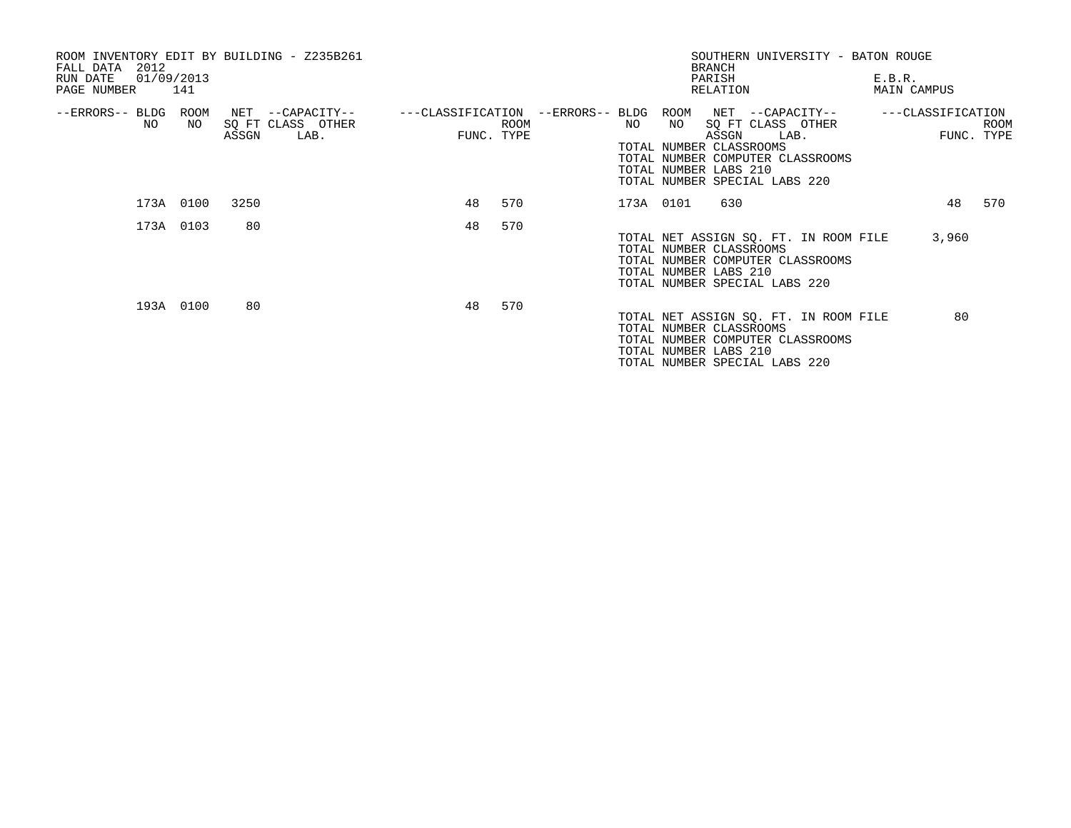| ROOM INVENTORY EDIT BY BUILDING - Z235B261<br>2012<br>FALL DATA<br>01/09/2013<br>RUN DATE<br>PAGE NUMBER 141 | SOUTHERN UNIVERSITY - BATON ROUGE<br><b>BRANCH</b><br>PARISH<br>RELATION                                                                                                                                                                                    | E.B.R.<br>MAIN CAMPUS                          |
|--------------------------------------------------------------------------------------------------------------|-------------------------------------------------------------------------------------------------------------------------------------------------------------------------------------------------------------------------------------------------------------|------------------------------------------------|
| --ERRORS-- BLDG<br>ROOM<br>NET --CAPACITY--<br>SQ FT CLASS OTHER<br>NO.<br>NO.<br>LAB.<br>ASSGN              | ---CLASSIFICATION --ERRORS-- BLDG ROOM<br>NET --CAPACITY--<br>NO<br>SQ FT CLASS OTHER<br>ROOM<br>NO<br>FUNC. TYPE<br>LAB.<br>ASSGN<br>TOTAL NUMBER CLASSROOMS<br>TOTAL NUMBER COMPUTER CLASSROOMS<br>TOTAL NUMBER LABS 210<br>TOTAL NUMBER SPECIAL LABS 220 | ---CLASSIFICATION<br><b>ROOM</b><br>FUNC. TYPE |
| 3250<br>173A 0100                                                                                            | 48<br>570<br>173A 0101<br>630                                                                                                                                                                                                                               | 48<br>570                                      |
| 173A 0103<br>80                                                                                              | 48<br>570<br>TOTAL NET ASSIGN SQ. FT. IN ROOM FILE<br>TOTAL NUMBER CLASSROOMS<br>TOTAL NUMBER COMPUTER CLASSROOMS<br>TOTAL NUMBER LABS 210<br>TOTAL NUMBER SPECIAL LABS 220                                                                                 | 3,960                                          |
| 193A 0100<br>80                                                                                              | 570<br>48<br>TOTAL NET ASSIGN SQ. FT. IN ROOM FILE<br>TOTAL NUMBER CLASSROOMS<br>TOTAL NUMBER COMPUTER CLASSROOMS<br>TOTAL NUMBER LABS 210<br>TOTAL NUMBER SPECIAL LABS 220                                                                                 | 80                                             |